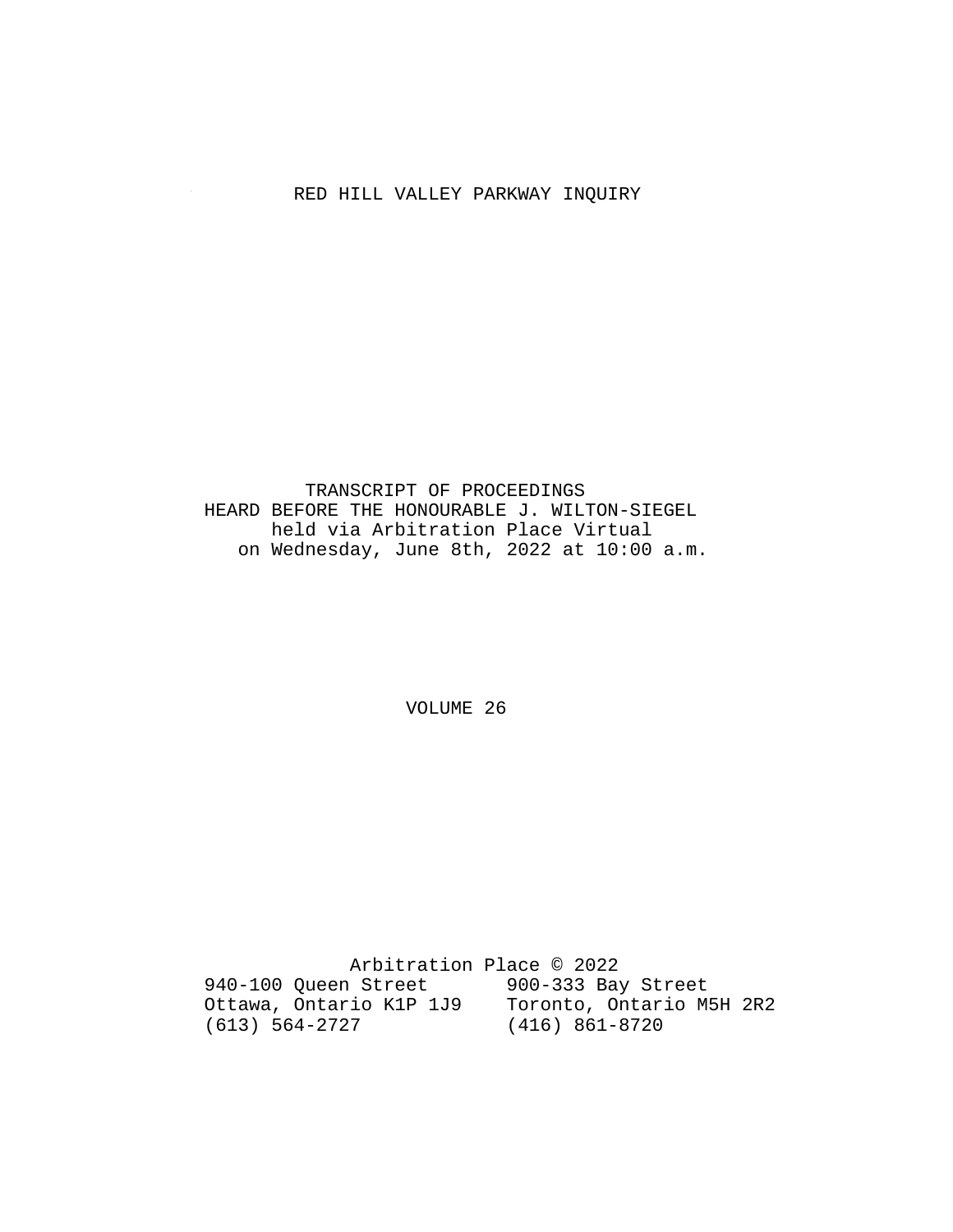# RED HILL VALLEY PARKWAY INQUIRY

 TRANSCRIPT OF PROCEEDINGS HEARD BEFORE THE HONOURABLE J. WILTON-SIEGEL held via Arbitration Place Virtual on Wednesday, June 8th, 2022 at 10:00 a.m.

VOLUME 26

 Arbitration Place © 2022 940-100 Queen Street 900-333 Bay Street Ottawa, Ontario K1P 1J9 Toronto, Ontario M5H 2R2 (613) 564-2727 (416) 861-8720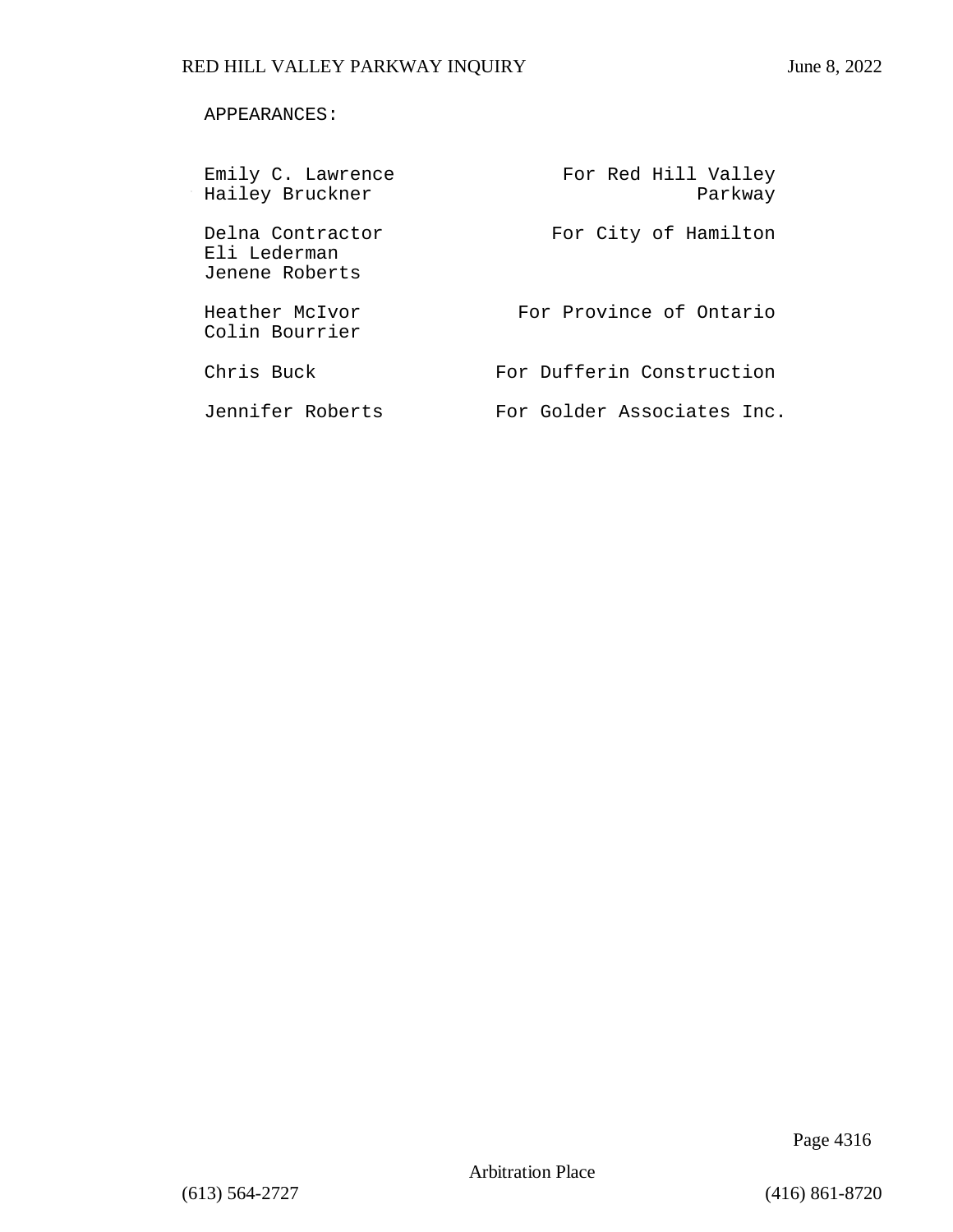### APPEARANCES:

| Emily C. Lawrence<br>Hailey Bruckner               | For Red Hill Valley<br>Parkway |
|----------------------------------------------------|--------------------------------|
| Delna Contractor<br>Eli Lederman<br>Jenene Roberts | For City of Hamilton           |
| Heather McIvor<br>Colin Bourrier                   | For Province of Ontario        |
| Chris Buck                                         | For Dufferin Construction      |
| Jennifer Roberts                                   | For Golder Associates Inc.     |

Page 4316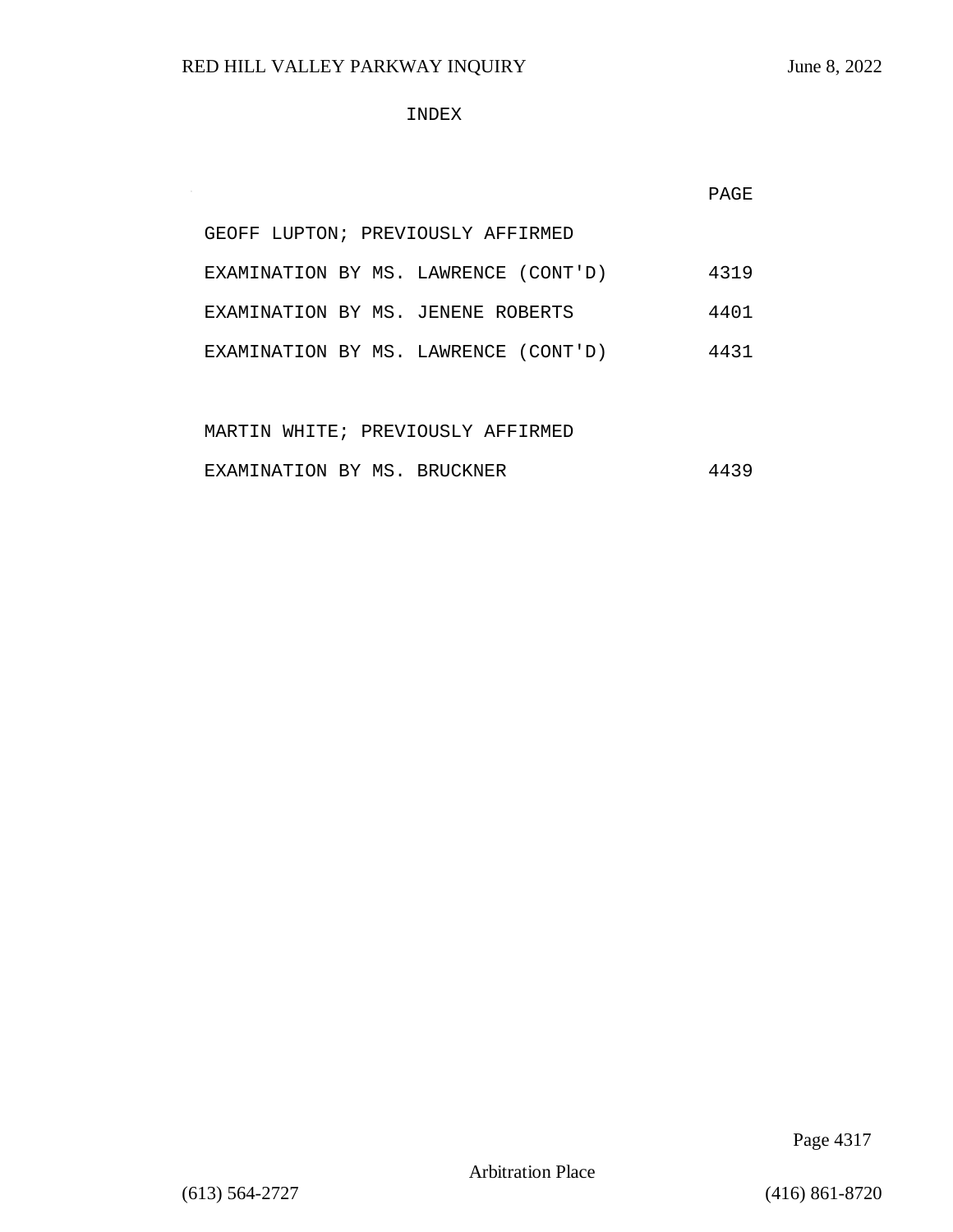$\sim$ 

### INDEX

|  | GEOFF LUPTON; PREVIOUSLY AFFIRMED    |      |
|--|--------------------------------------|------|
|  | EXAMINATION BY MS. LAWRENCE (CONT'D) | 4319 |
|  | EXAMINATION BY MS. JENENE ROBERTS    | 4401 |
|  | EXAMINATION BY MS. LAWRENCE (CONT'D) | 4431 |

|                             |  |  | MARTIN WHITE; PREVIOUSLY AFFIRMED |      |
|-----------------------------|--|--|-----------------------------------|------|
| EXAMINATION BY MS. BRUCKNER |  |  |                                   | 4439 |

Page 4317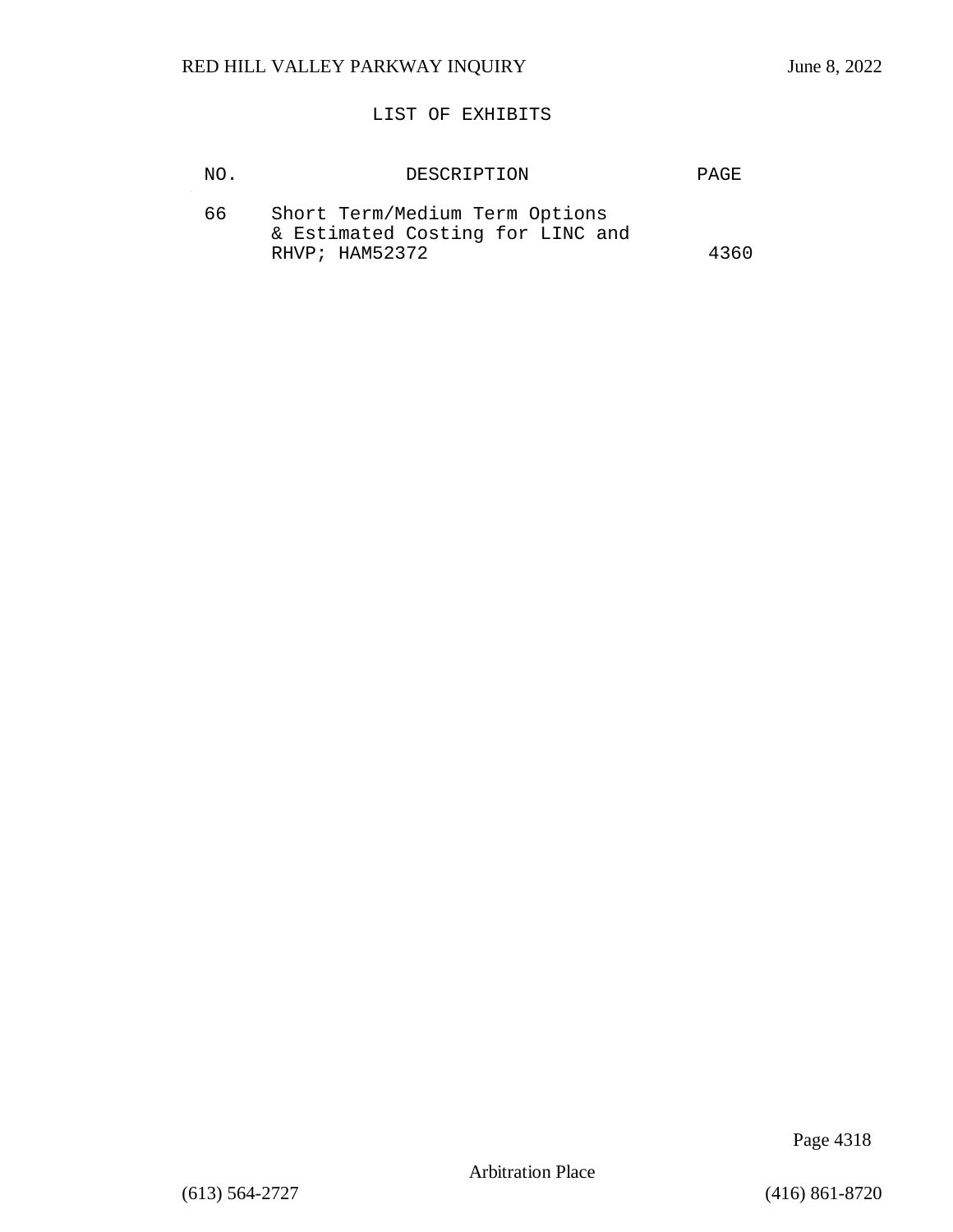### LIST OF EXHIBITS

|                                                                                                     | PAGE. |
|-----------------------------------------------------------------------------------------------------|-------|
| Short Term/Medium Term Options<br>66.<br>& Estimated Costing for LINC and<br>RHVP; HAM52372<br>4360 |       |

Page 4318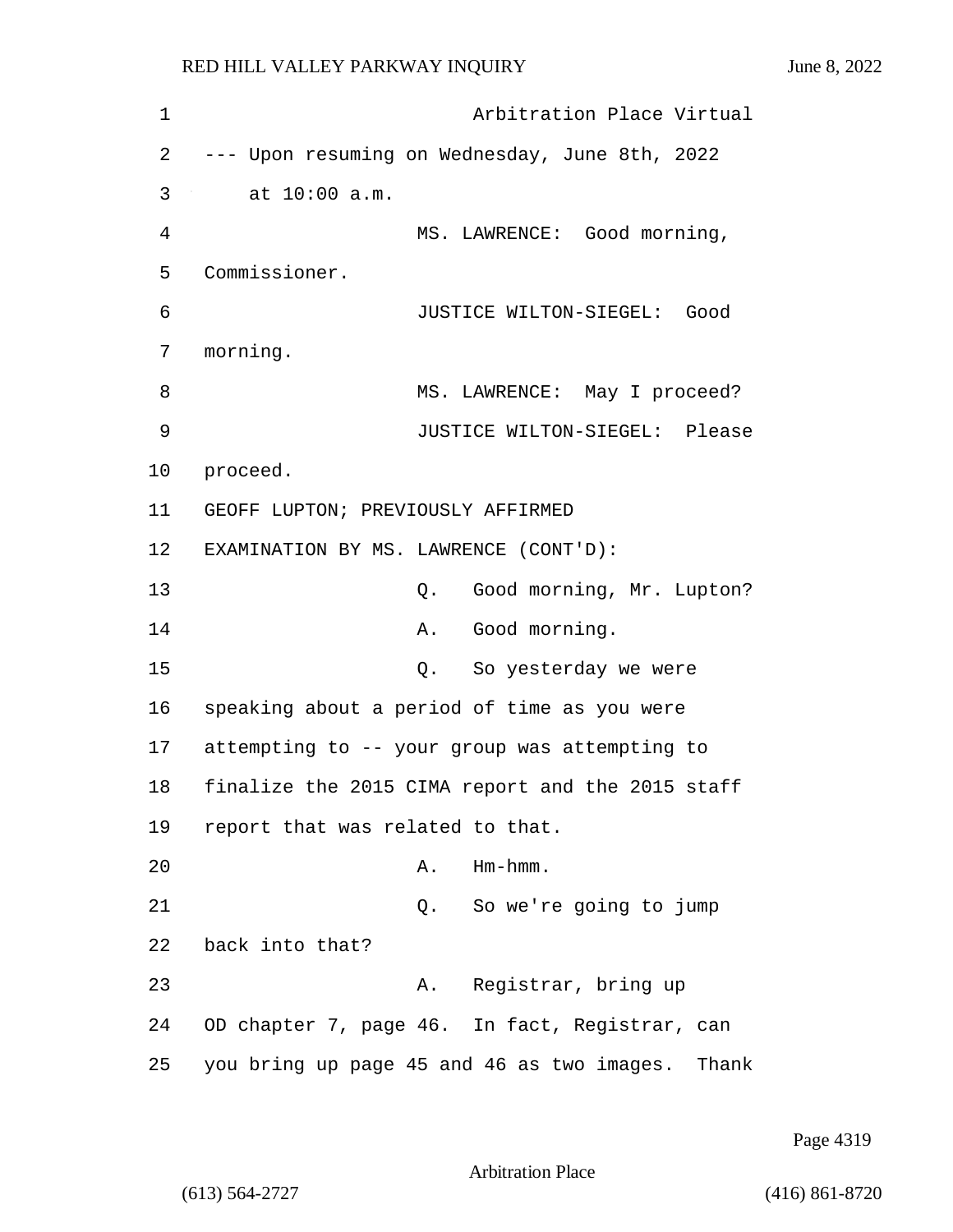1 Arbitration Place Virtual 2 --- Upon resuming on Wednesday, June 8th, 2022 3 at 10:00 a.m. 4 MS. LAWRENCE: Good morning, 5 Commissioner. 6 JUSTICE WILTON-SIEGEL: Good 7 morning. 8 MS. LAWRENCE: May I proceed? 9 JUSTICE WILTON-SIEGEL: Please 10 proceed. 11 GEOFF LUPTON; PREVIOUSLY AFFIRMED 12 EXAMINATION BY MS. LAWRENCE (CONT'D): 13 Q. Good morning, Mr. Lupton? 14 A. Good morning. 15 Q. So yesterday we were 16 speaking about a period of time as you were 17 attempting to -- your group was attempting to 18 finalize the 2015 CIMA report and the 2015 staff 19 report that was related to that. 20 A. Hm-hmm. 21 Q. So we're going to jump 22 back into that? 23 A. Registrar, bring up 24 OD chapter 7, page 46. In fact, Registrar, can 25 you bring up page 45 and 46 as two images. Thank

Page 4319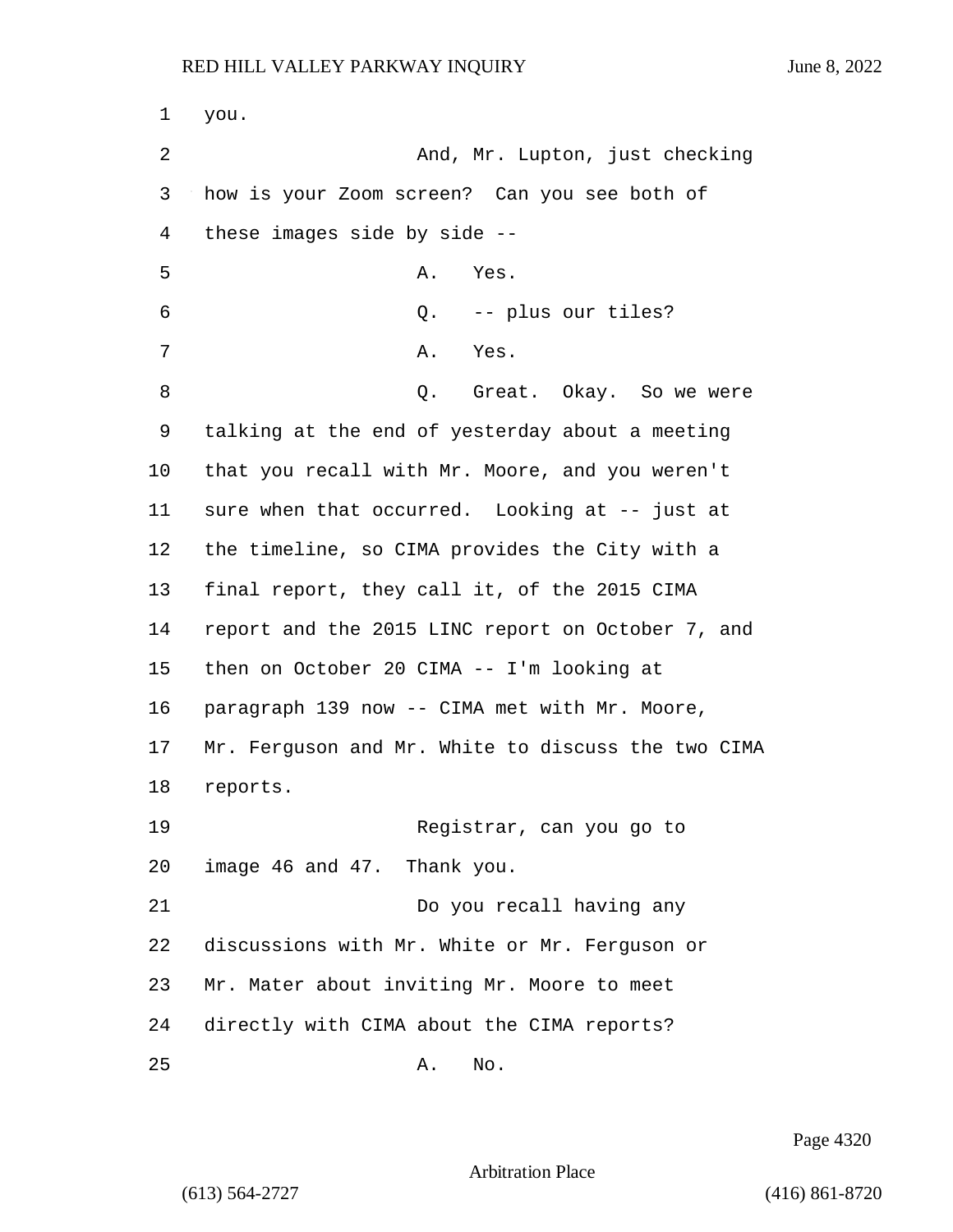1 you. 2 And, Mr. Lupton, just checking 3 how is your Zoom screen? Can you see both of 4 these images side by side -- 5 A. Yes. 6 Q. -- plus our tiles? 7 A. Yes. 8 a C. Great. Okay. So we were 9 talking at the end of yesterday about a meeting 10 that you recall with Mr. Moore, and you weren't 11 sure when that occurred. Looking at -- just at 12 the timeline, so CIMA provides the City with a 13 final report, they call it, of the 2015 CIMA 14 report and the 2015 LINC report on October 7, and 15 then on October 20 CIMA -- I'm looking at 16 paragraph 139 now -- CIMA met with Mr. Moore, 17 Mr. Ferguson and Mr. White to discuss the two CIMA 18 reports. 19 Registrar, can you go to 20 image 46 and 47. Thank you.

21 Do you recall having any discussions with Mr. White or Mr. Ferguson or Mr. Mater about inviting Mr. Moore to meet directly with CIMA about the CIMA reports?

25 A. No.

Page 4320

```
Arbitration Place
```
(613) 564-2727 (416) 861-8720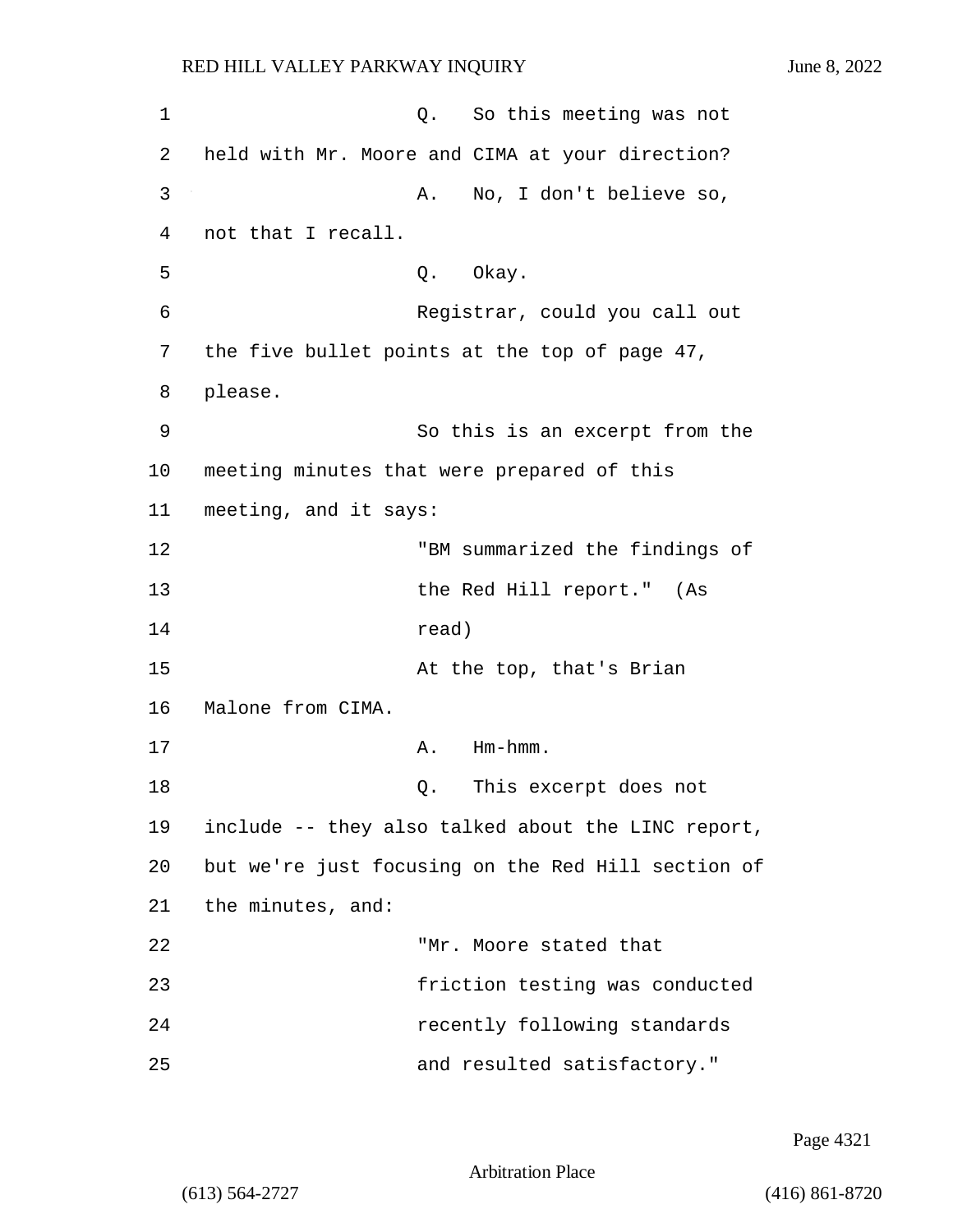1 C. So this meeting was not 2 held with Mr. Moore and CIMA at your direction? 3 A. No, I don't believe so, 4 not that I recall. 5 Q. Okay. 6 Registrar, could you call out 7 the five bullet points at the top of page 47, 8 please. 9 So this is an excerpt from the 10 meeting minutes that were prepared of this 11 meeting, and it says: 12 "BM summarized the findings of 13 the Red Hill report." (As 14 read) 15 At the top, that's Brian 16 Malone from CIMA. 17 A. Hm-hmm. 18 Q. This excerpt does not 19 include -- they also talked about the LINC report, 20 but we're just focusing on the Red Hill section of 21 the minutes, and: 22 "Mr. Moore stated that 23 friction testing was conducted 24 recently following standards 25 and resulted satisfactory."

Page 4321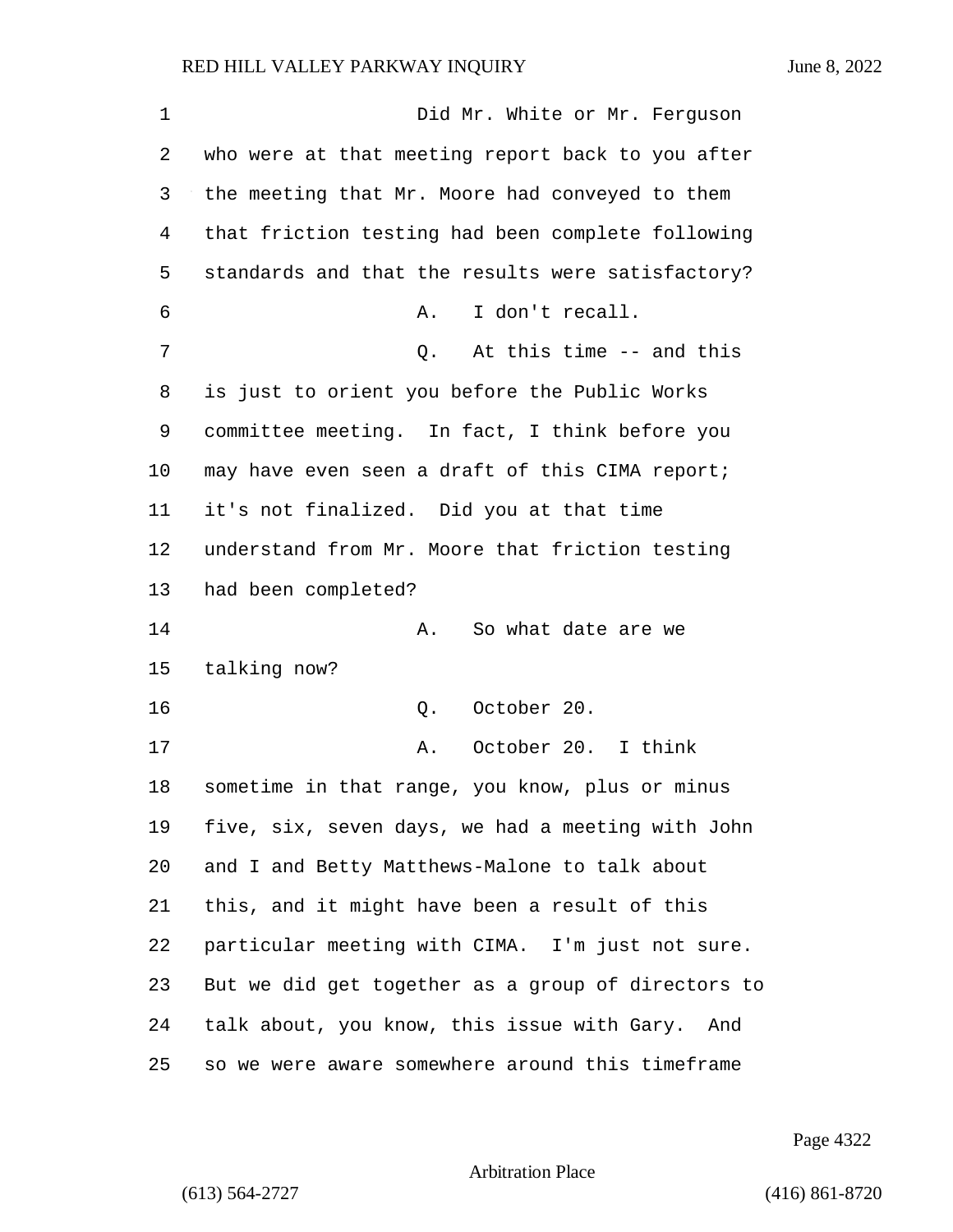1 Did Mr. White or Mr. Ferguson who were at that meeting report back to you after the meeting that Mr. Moore had conveyed to them that friction testing had been complete following standards and that the results were satisfactory? 6 A. I don't recall. 7 Q. At this time -- and this is just to orient you before the Public Works committee meeting. In fact, I think before you 10 may have even seen a draft of this CIMA report; it's not finalized. Did you at that time understand from Mr. Moore that friction testing had been completed? **A.** So what date are we talking now? 16 Q. October 20. 17 A. October 20. I think sometime in that range, you know, plus or minus five, six, seven days, we had a meeting with John and I and Betty Matthews-Malone to talk about this, and it might have been a result of this particular meeting with CIMA. I'm just not sure. But we did get together as a group of directors to talk about, you know, this issue with Gary. And so we were aware somewhere around this timeframe

Page 4322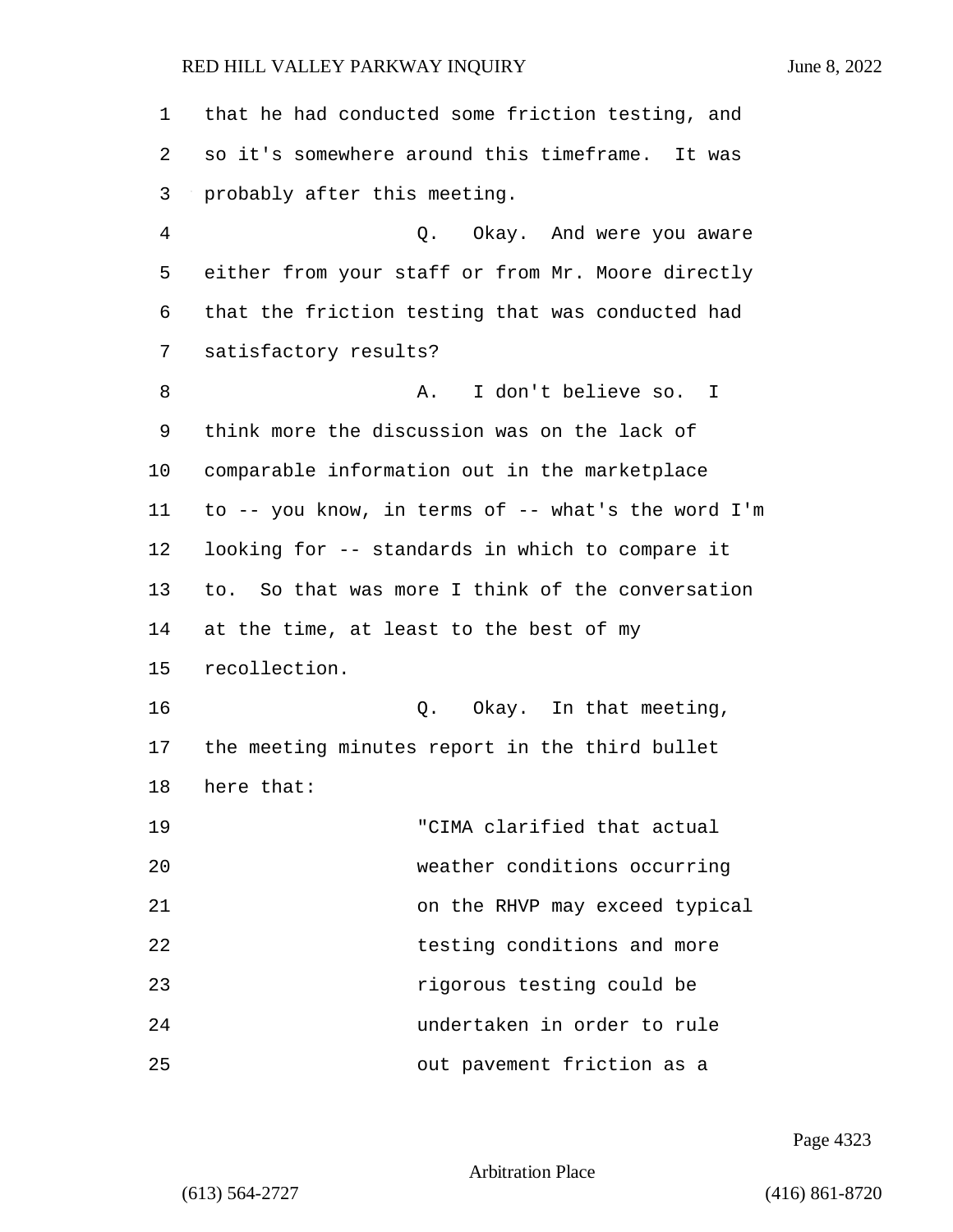| 1  | that he had conducted some friction testing, and   |
|----|----------------------------------------------------|
| 2  | so it's somewhere around this timeframe. It was    |
| 3  | probably after this meeting.                       |
| 4  | Q. Okay. And were you aware                        |
| 5  | either from your staff or from Mr. Moore directly  |
| 6  | that the friction testing that was conducted had   |
| 7  | satisfactory results?                              |
| 8  | I don't believe so. I<br>Α.                        |
| 9  | think more the discussion was on the lack of       |
| 10 | comparable information out in the marketplace      |
| 11 | to -- you know, in terms of -- what's the word I'm |
| 12 | looking for -- standards in which to compare it    |
| 13 | to. So that was more I think of the conversation   |
| 14 | at the time, at least to the best of my            |
| 15 | recollection.                                      |
| 16 | Q. Okay. In that meeting,                          |
| 17 | the meeting minutes report in the third bullet     |
| 18 | here that:                                         |
| 19 | "CIMA clarified that actual                        |
| 20 | weather conditions occurring                       |
| 21 | on the RHVP may exceed typical                     |
| 22 | testing conditions and more                        |
| 23 | rigorous testing could be                          |
| 24 | undertaken in order to rule                        |
| 25 | out pavement friction as a                         |

Page 4323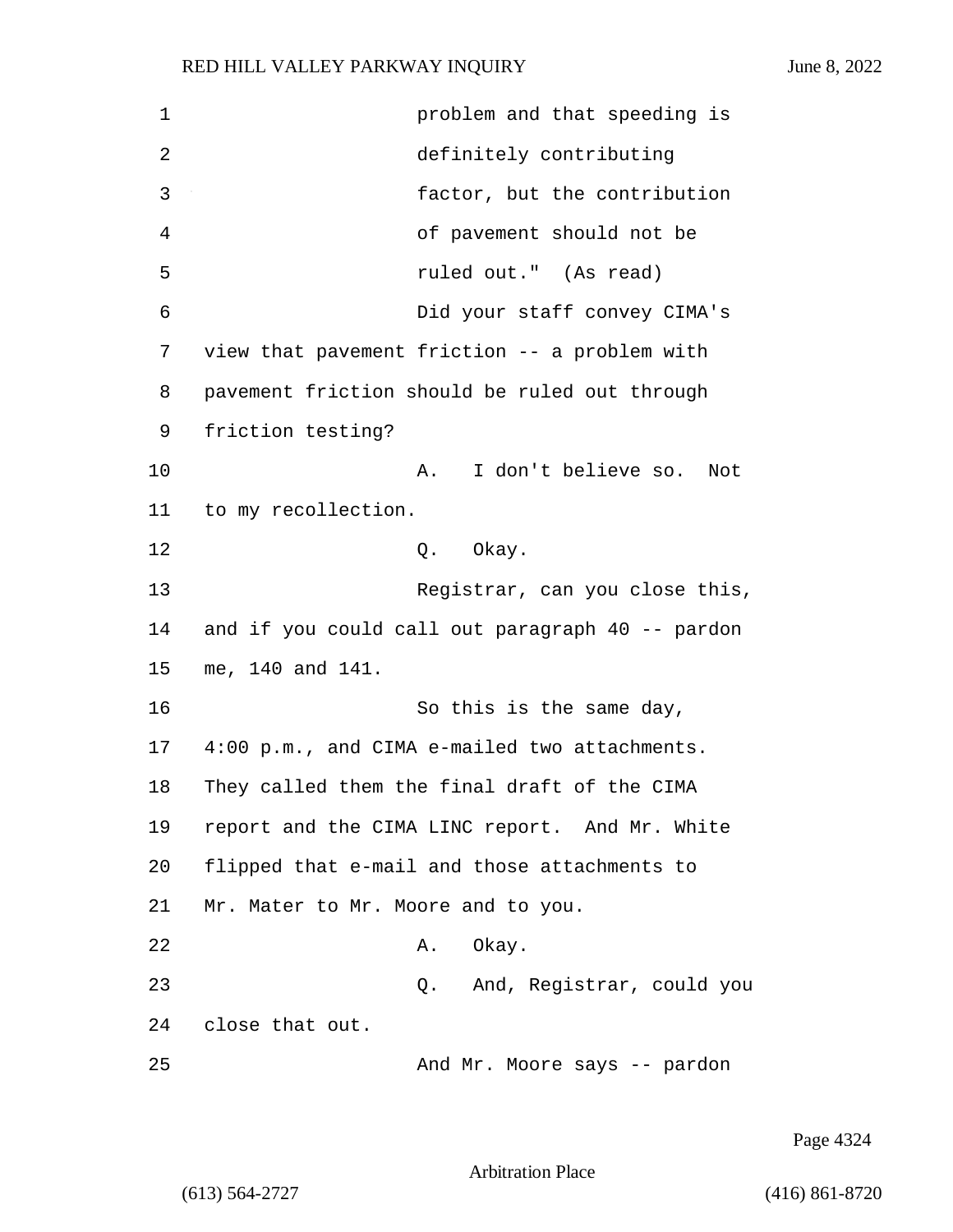1 problem and that speeding is 2 definitely contributing 3 factor, but the contribution 4 of pavement should not be 5 ruled out." (As read) 6 Did your staff convey CIMA's 7 view that pavement friction -- a problem with 8 pavement friction should be ruled out through 9 friction testing? 10 A. I don't believe so. Not 11 to my recollection. 12 0. Okay. 13 Registrar, can you close this, 14 and if you could call out paragraph 40 -- pardon 15 me, 140 and 141. 16 So this is the same day, 17 4:00 p.m., and CIMA e-mailed two attachments. 18 They called them the final draft of the CIMA 19 report and the CIMA LINC report. And Mr. White 20 flipped that e-mail and those attachments to 21 Mr. Mater to Mr. Moore and to you. 22 A. Okay. 23 Q. And, Registrar, could you 24 close that out. 25 And Mr. Moore says -- pardon

Page 4324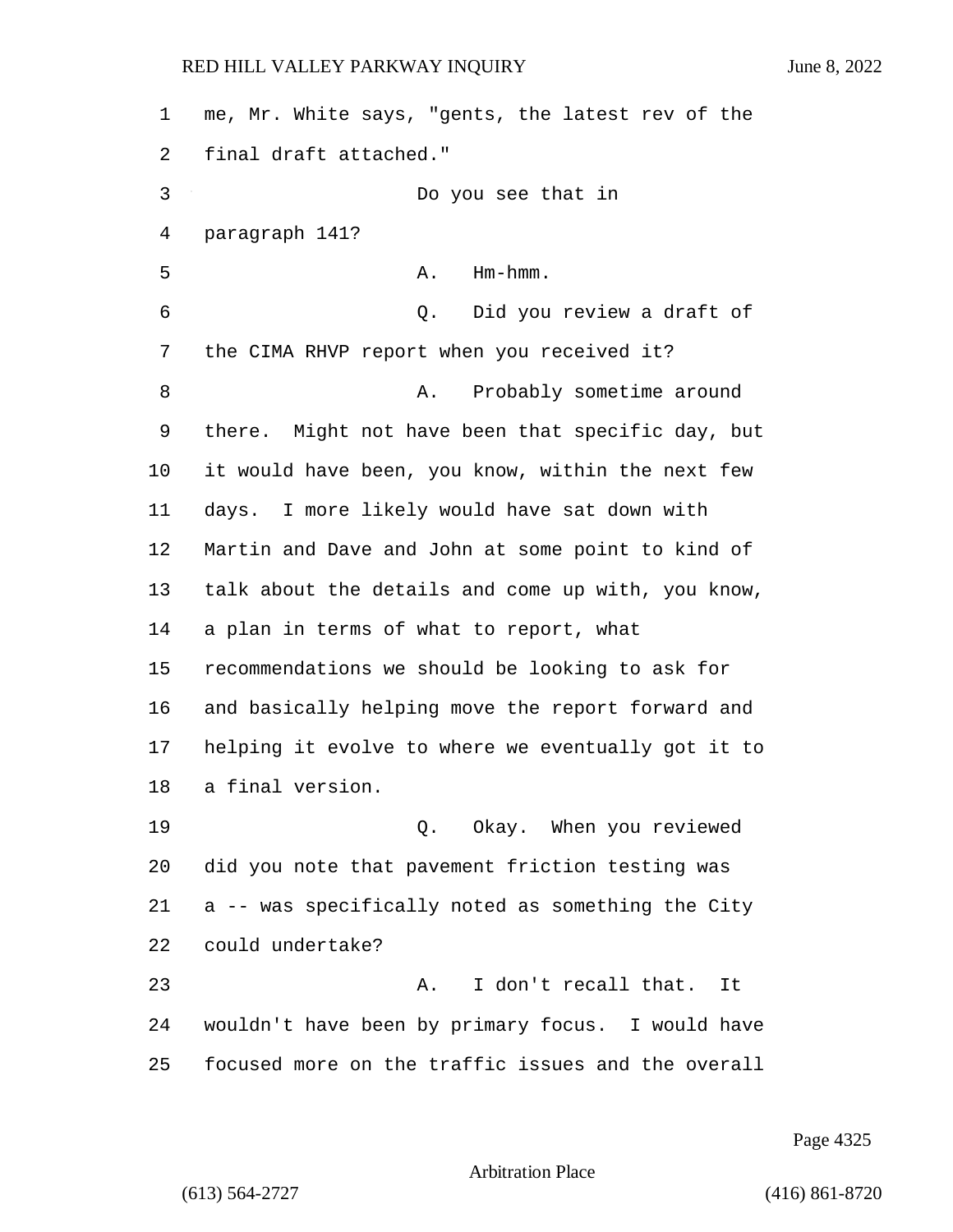me, Mr. White says, "gents, the latest rev of the final draft attached." 3 Do you see that in paragraph 141? 5 A. Hm-hmm. 6 Q. Did you review a draft of the CIMA RHVP report when you received it? 8 A. Probably sometime around there. Might not have been that specific day, but it would have been, you know, within the next few days. I more likely would have sat down with Martin and Dave and John at some point to kind of talk about the details and come up with, you know, a plan in terms of what to report, what recommendations we should be looking to ask for and basically helping move the report forward and helping it evolve to where we eventually got it to a final version. 19 Q. Okay. When you reviewed did you note that pavement friction testing was a -- was specifically noted as something the City could undertake? 23 A. I don't recall that. It wouldn't have been by primary focus. I would have focused more on the traffic issues and the overall

Page 4325

Arbitration Place

(613) 564-2727 (416) 861-8720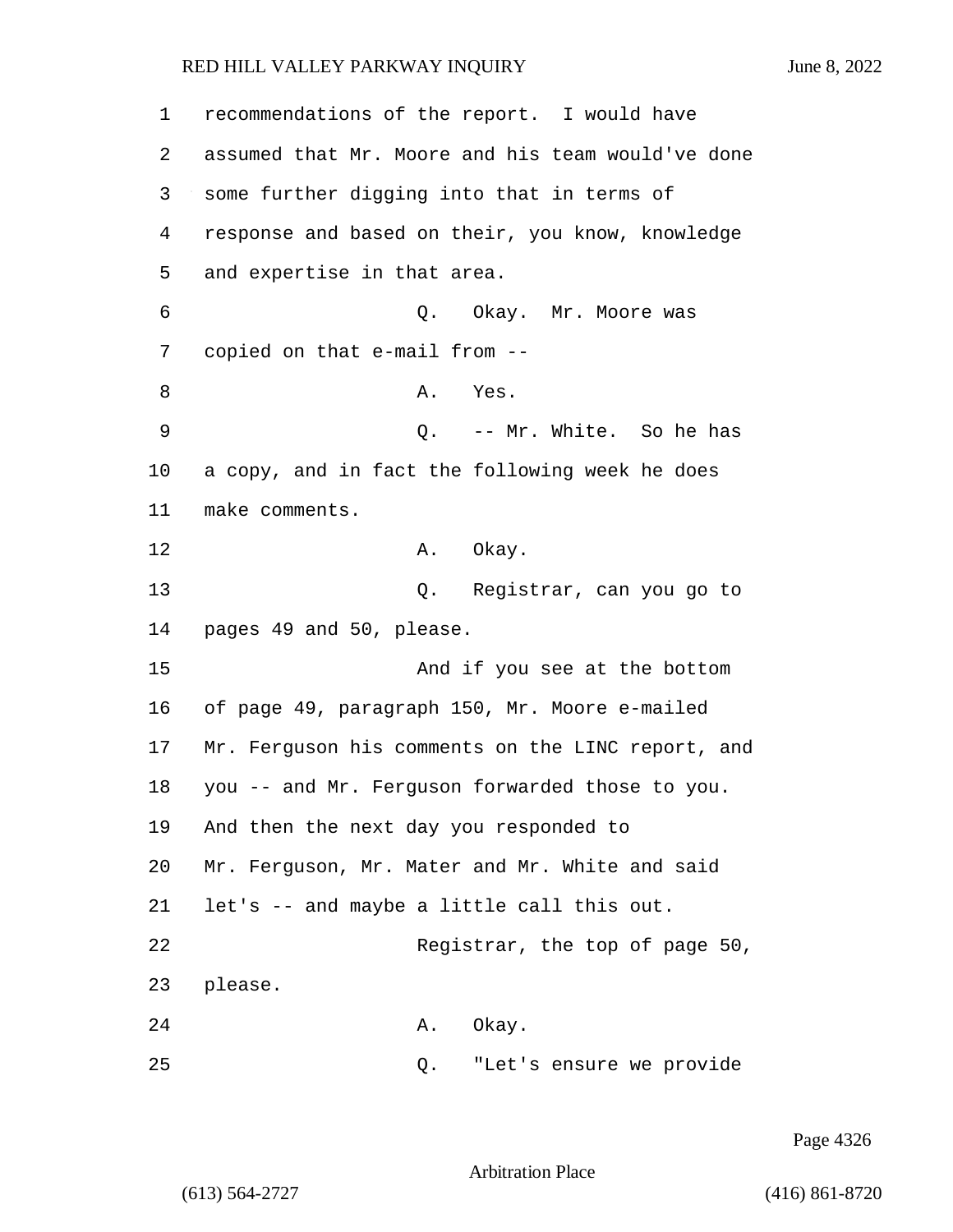1 recommendations of the report. I would have 2 assumed that Mr. Moore and his team would've done 3 some further digging into that in terms of 4 response and based on their, you know, knowledge 5 and expertise in that area. 6 Q. Okay. Mr. Moore was 7 copied on that e-mail from -- 8 A. Yes. 9 Q. -- Mr. White. So he has 10 a copy, and in fact the following week he does 11 make comments. 12 A. Okay. 13 Q. Registrar, can you go to 14 pages 49 and 50, please. 15 And if you see at the bottom 16 of page 49, paragraph 150, Mr. Moore e-mailed 17 Mr. Ferguson his comments on the LINC report, and 18 you -- and Mr. Ferguson forwarded those to you. 19 And then the next day you responded to 20 Mr. Ferguson, Mr. Mater and Mr. White and said 21 let's -- and maybe a little call this out. 22 Registrar, the top of page 50, 23 please. 24 A. Okay. 25 Q. "Let's ensure we provide

Page 4326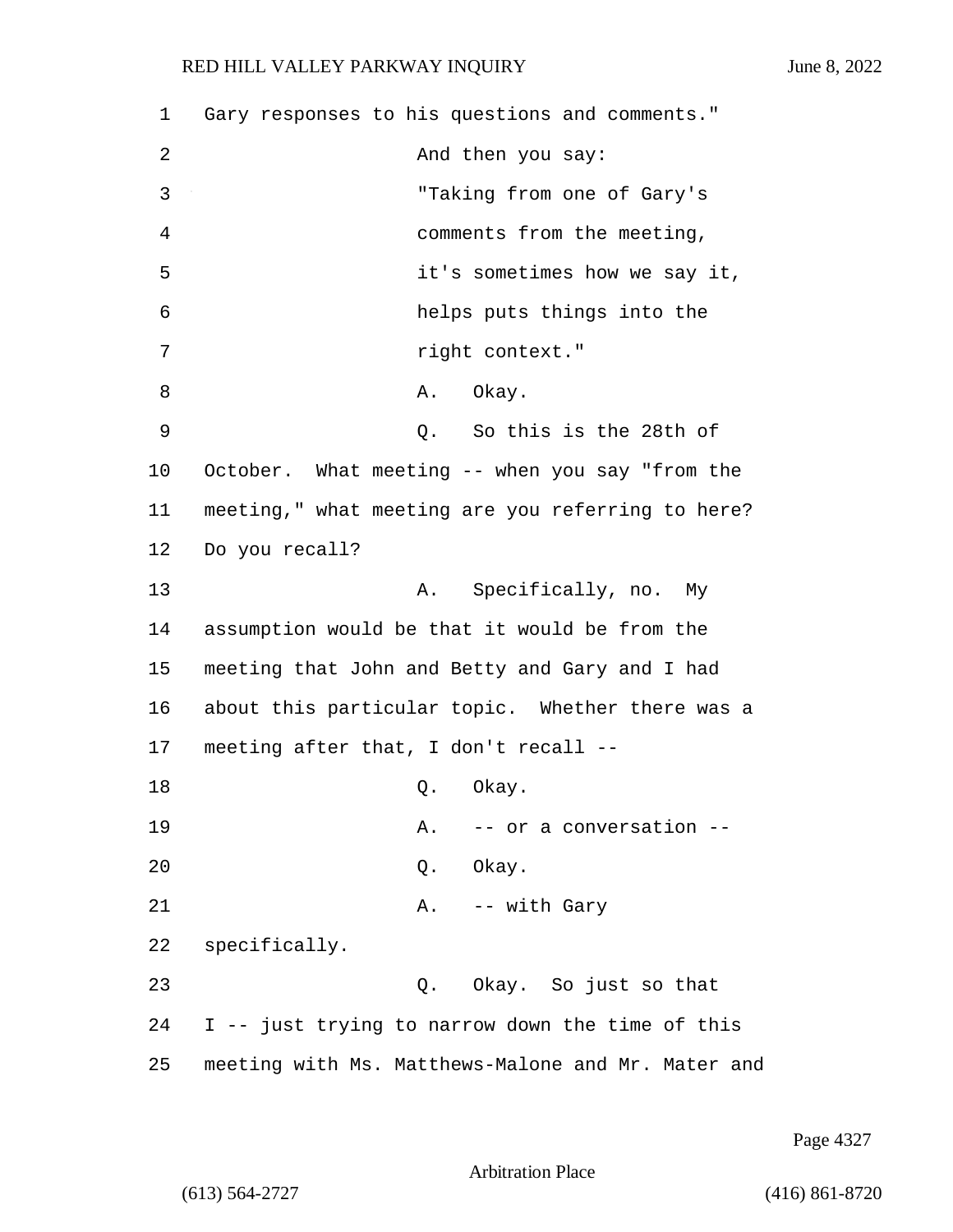1 Gary responses to his questions and comments." 2 And then you say: 3 "Taking from one of Gary's 4 comments from the meeting, 5 it's sometimes how we say it, 6 helps puts things into the 7 right context." 8 A. Okay. 9 Q. So this is the 28th of 10 October. What meeting -- when you say "from the 11 meeting," what meeting are you referring to here? 12 Do you recall? 13 A. Specifically, no. My 14 assumption would be that it would be from the 15 meeting that John and Betty and Gary and I had 16 about this particular topic. Whether there was a 17 meeting after that, I don't recall -- 18 Q. Okay. 19 A. -- or a conversation --20 Q. Okay. 21 A. -- with Gary 22 specifically. 23 Q. Okay. So just so that 24 I -- just trying to narrow down the time of this 25 meeting with Ms. Matthews-Malone and Mr. Mater and

Page 4327

Arbitration Place

(613) 564-2727 (416) 861-8720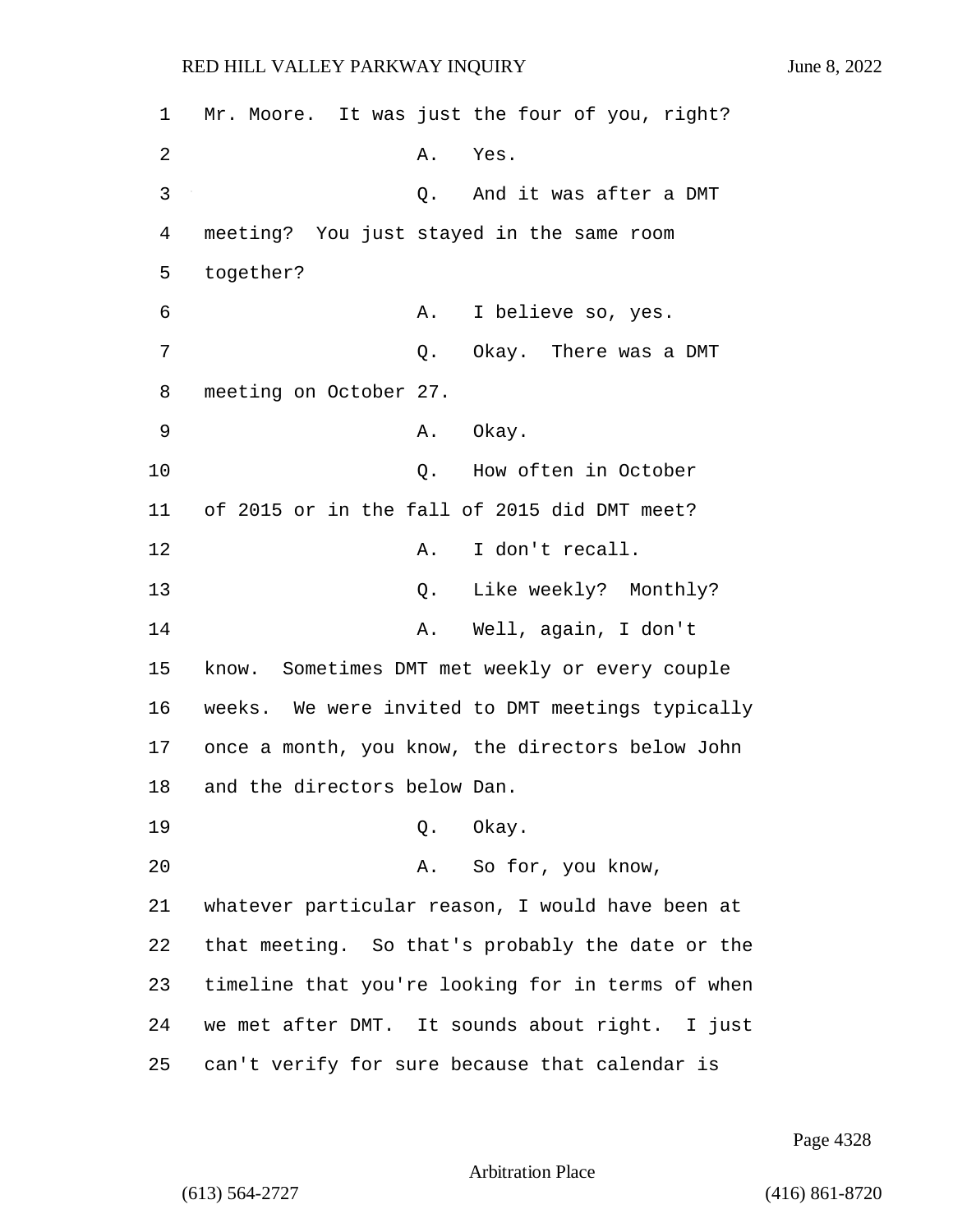1 Mr. Moore. It was just the four of you, right? 2 A. Yes. 3 Q. And it was after a DMT 4 meeting? You just stayed in the same room 5 together? 6 A. I believe so, yes. 7 C. Okay. There was a DMT 8 meeting on October 27. 9 A. Okay. 10 Q. How often in October 11 of 2015 or in the fall of 2015 did DMT meet? 12 A. I don't recall. 13 Q. Like weekly? Monthly? 14 A. Well, again, I don't 15 know. Sometimes DMT met weekly or every couple 16 weeks. We were invited to DMT meetings typically 17 once a month, you know, the directors below John 18 and the directors below Dan. 19 Q. Okay. 20 A. So for, you know, 21 whatever particular reason, I would have been at 22 that meeting. So that's probably the date or the 23 timeline that you're looking for in terms of when 24 we met after DMT. It sounds about right. I just 25 can't verify for sure because that calendar is

Page 4328

Arbitration Place

(613) 564-2727 (416) 861-8720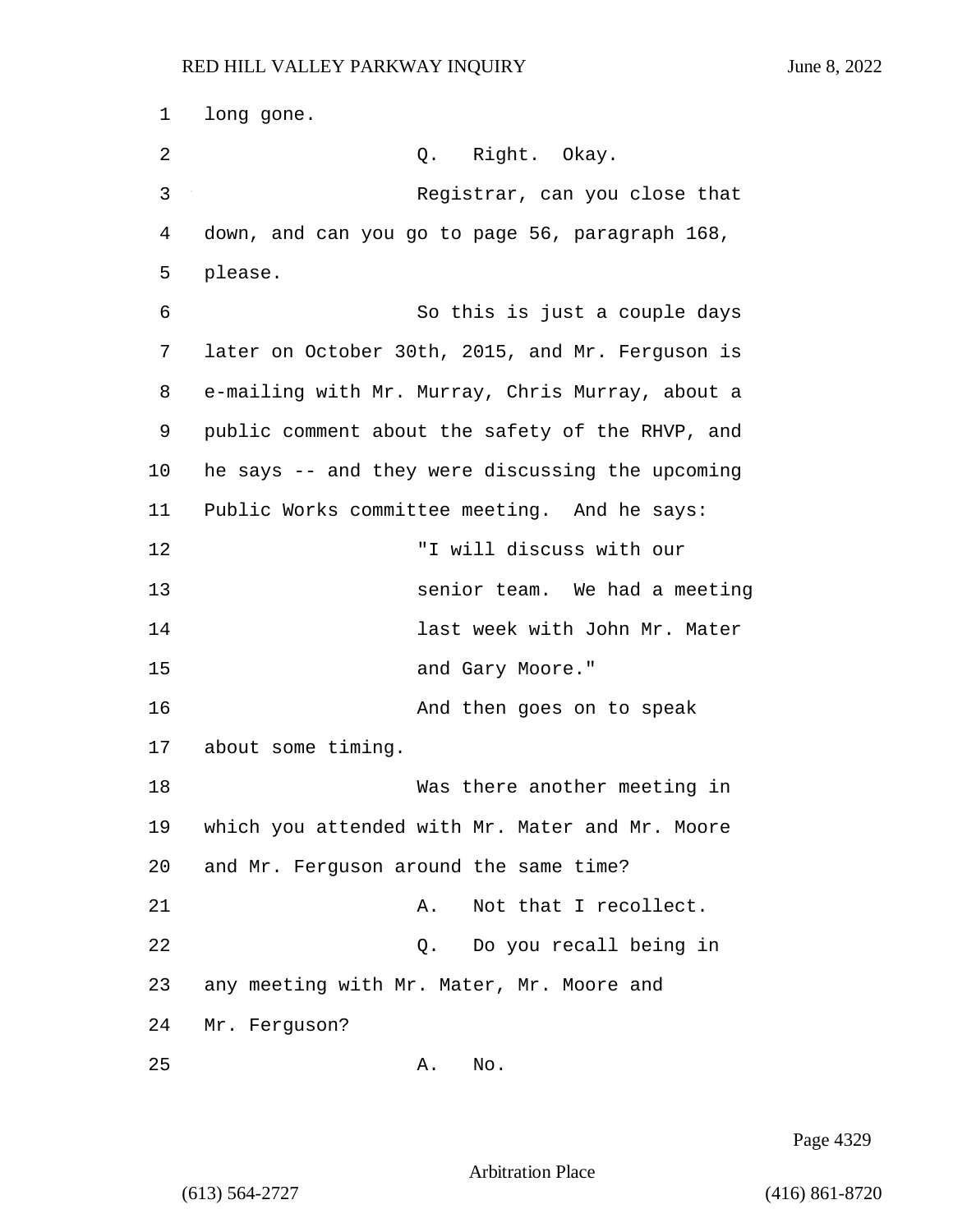1 long gone. 2 Q. Right. Okay. 3 Registrar, can you close that 4 down, and can you go to page 56, paragraph 168, 5 please. 6 So this is just a couple days 7 later on October 30th, 2015, and Mr. Ferguson is 8 e-mailing with Mr. Murray, Chris Murray, about a 9 public comment about the safety of the RHVP, and 10 he says -- and they were discussing the upcoming 11 Public Works committee meeting. And he says: 12 "I will discuss with our 13 senior team. We had a meeting 14 last week with John Mr. Mater 15 and Gary Moore." 16 **And then goes on to speak** 17 about some timing. 18 Was there another meeting in 19 which you attended with Mr. Mater and Mr. Moore 20 and Mr. Ferguson around the same time? 21 A. Not that I recollect. 22 Q. Do you recall being in 23 any meeting with Mr. Mater, Mr. Moore and 24 Mr. Ferguson? 25 A. No.

Page 4329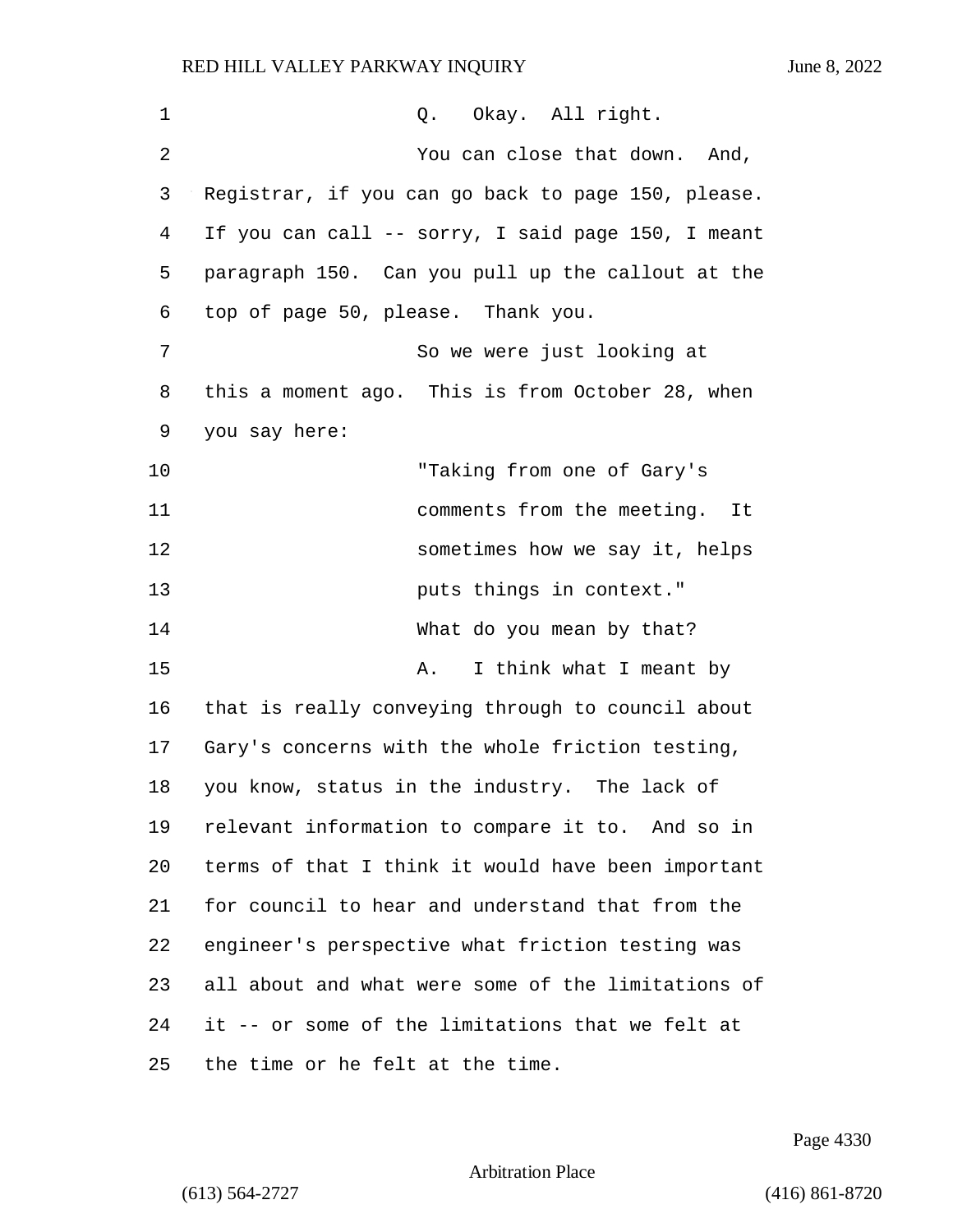| 1  | Q. Okay. All right.                                |
|----|----------------------------------------------------|
| 2  | You can close that down. And,                      |
| 3  | Registrar, if you can go back to page 150, please. |
| 4  | If you can call -- sorry, I said page 150, I meant |
| 5  | paragraph 150. Can you pull up the callout at the  |
| 6  | top of page 50, please. Thank you.                 |
| 7  | So we were just looking at                         |
| 8  | this a moment ago. This is from October 28, when   |
| 9  | you say here:                                      |
| 10 | "Taking from one of Gary's                         |
| 11 | comments from the meeting.<br>It                   |
| 12 | sometimes how we say it, helps                     |
| 13 | puts things in context."                           |
| 14 | What do you mean by that?                          |
| 15 | I think what I meant by<br>Α.                      |
| 16 | that is really conveying through to council about  |
| 17 | Gary's concerns with the whole friction testing,   |
| 18 | you know, status in the industry. The lack of      |
| 19 | relevant information to compare it to. And so in   |
| 20 | terms of that I think it would have been important |
| 21 | for council to hear and understand that from the   |
| 22 | engineer's perspective what friction testing was   |
| 23 | all about and what were some of the limitations of |
| 24 | it -- or some of the limitations that we felt at   |
| 25 | the time or he felt at the time.                   |

Page 4330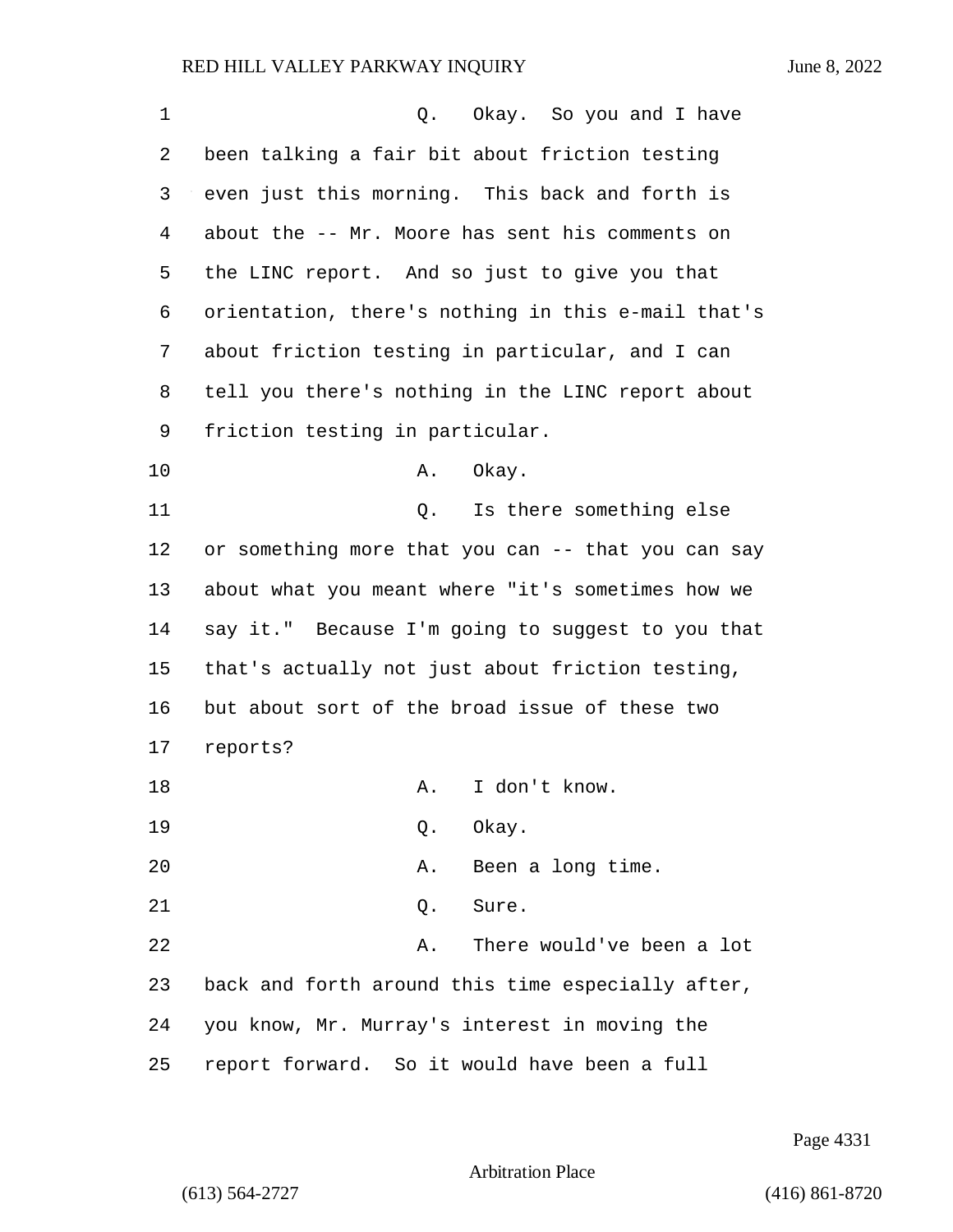| 1  | Q. Okay. So you and I have                         |
|----|----------------------------------------------------|
| 2  | been talking a fair bit about friction testing     |
| 3  | even just this morning. This back and forth is     |
| 4  | about the -- Mr. Moore has sent his comments on    |
| 5  | the LINC report. And so just to give you that      |
| 6  | orientation, there's nothing in this e-mail that's |
| 7  | about friction testing in particular, and I can    |
| 8  | tell you there's nothing in the LINC report about  |
| 9  | friction testing in particular.                    |
| 10 | Okay.<br>Α.                                        |
| 11 | Is there something else<br>Q.                      |
| 12 | or something more that you can -- that you can say |
| 13 | about what you meant where "it's sometimes how we  |
| 14 | say it." Because I'm going to suggest to you that  |
| 15 | that's actually not just about friction testing,   |
| 16 | but about sort of the broad issue of these two     |
| 17 | reports?                                           |
| 18 | I don't know.<br>Α.                                |
| 19 | Okay.<br>Q.                                        |
| 20 | Been a long time.<br>Α.                            |
| 21 | Sure.<br>Q.                                        |
| 22 | There would've been a lot<br>Α.                    |
| 23 | back and forth around this time especially after,  |
| 24 | you know, Mr. Murray's interest in moving the      |
| 25 | report forward. So it would have been a full       |

Page 4331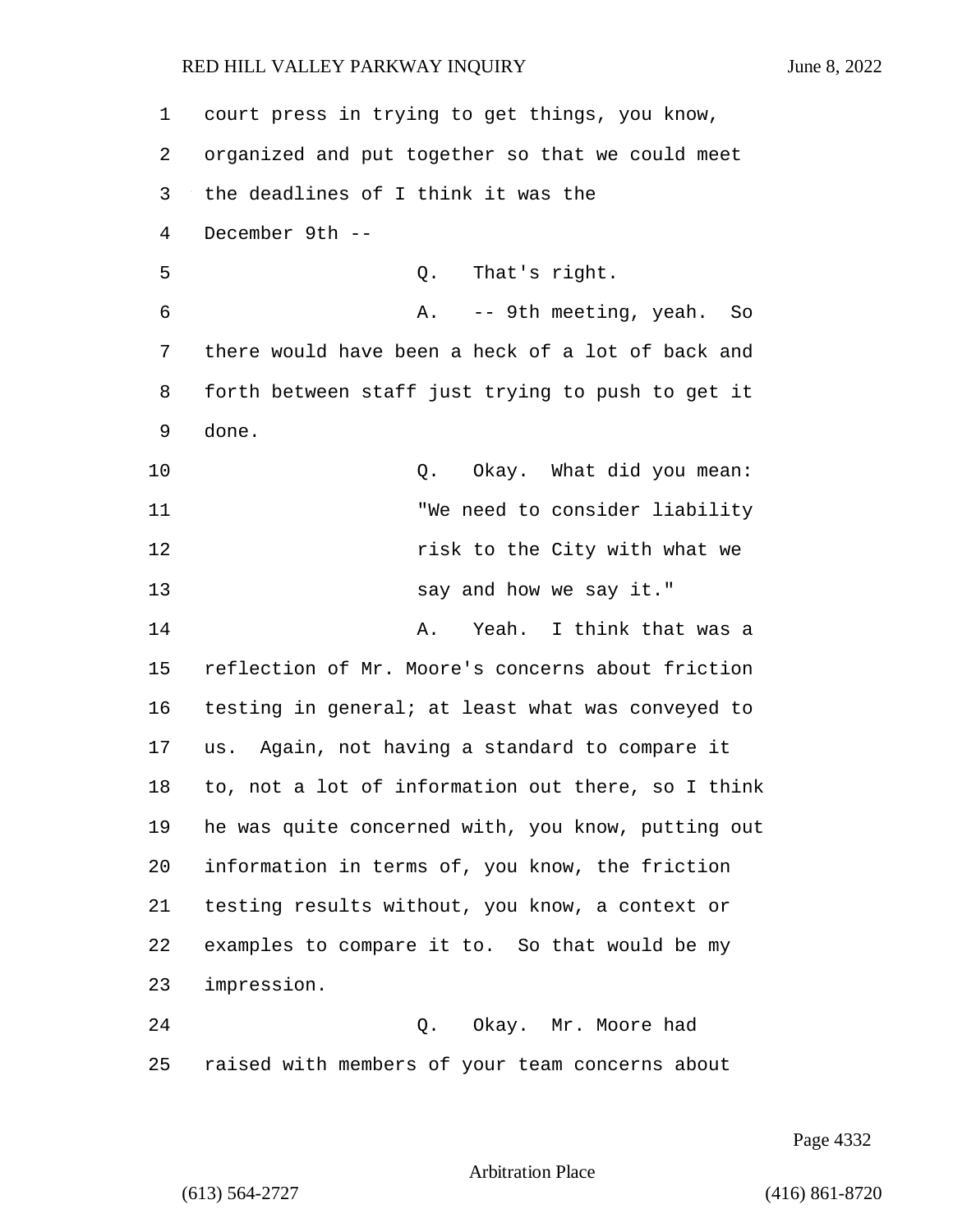court press in trying to get things, you know, organized and put together so that we could meet the deadlines of I think it was the December 9th -- 5 Q. That's right. 6 A. -- 9th meeting, yeah. So there would have been a heck of a lot of back and forth between staff just trying to push to get it done. **Q.** Okay. What did you mean: 11 "We need to consider liability 12 risk to the City with what we 13 say and how we say it." 14 A. Yeah. I think that was a reflection of Mr. Moore's concerns about friction testing in general; at least what was conveyed to us. Again, not having a standard to compare it to, not a lot of information out there, so I think he was quite concerned with, you know, putting out information in terms of, you know, the friction testing results without, you know, a context or examples to compare it to. So that would be my impression. 24 Q. Okay. Mr. Moore had raised with members of your team concerns about

Page 4332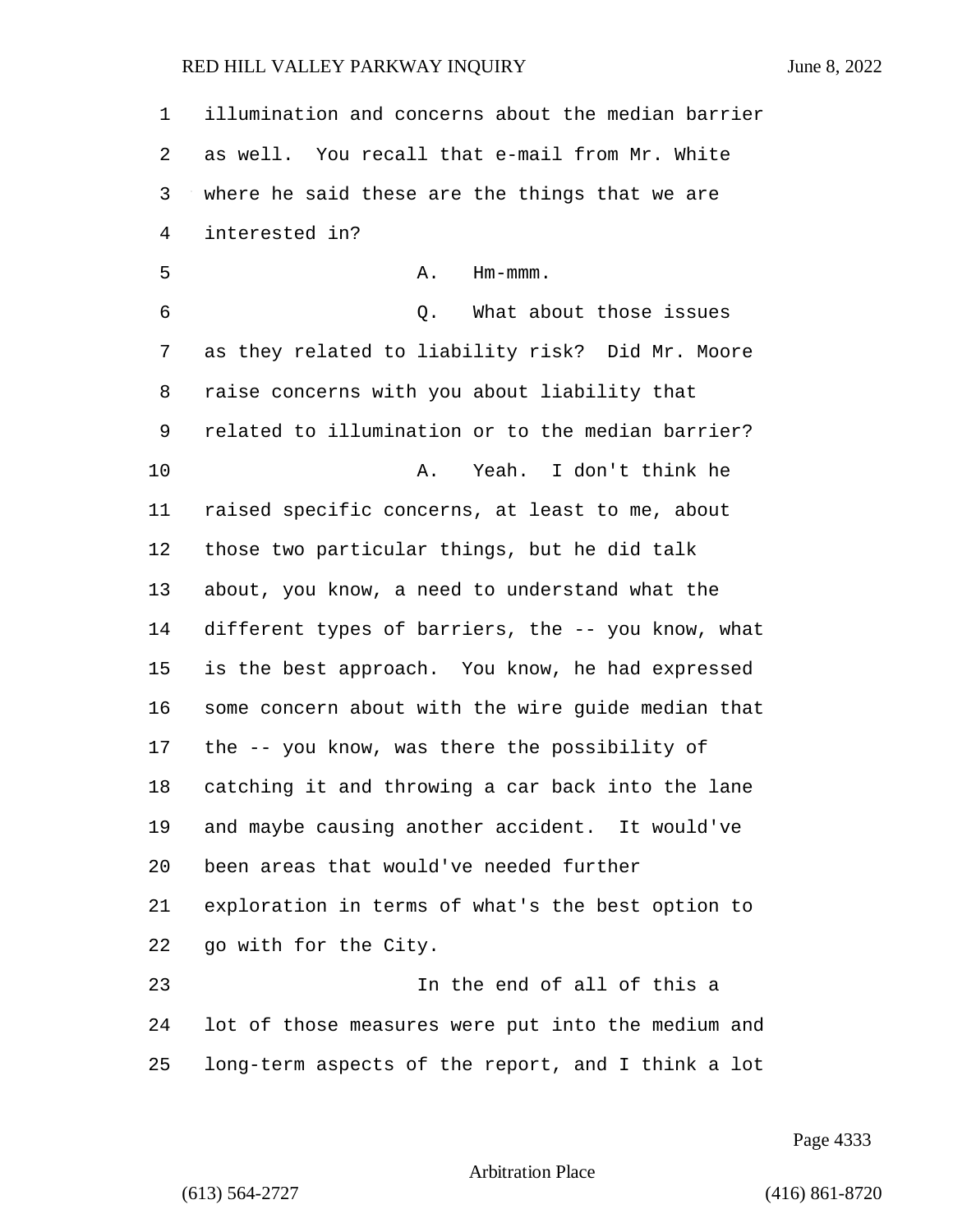| 1       | illumination and concerns about the median barrier |
|---------|----------------------------------------------------|
| 2       | as well. You recall that e-mail from Mr. White     |
| 3       | where he said these are the things that we are     |
| 4       | interested in?                                     |
| 5       | Α.<br>$Hm-mmm$ .                                   |
| 6       | What about those issues<br>Q.                      |
| 7       | as they related to liability risk? Did Mr. Moore   |
| 8       | raise concerns with you about liability that       |
| 9       | related to illumination or to the median barrier?  |
| $10 \,$ | Yeah. I don't think he<br>Α.                       |
| 11      | raised specific concerns, at least to me, about    |
| 12      | those two particular things, but he did talk       |
| 13      | about, you know, a need to understand what the     |
| 14      | different types of barriers, the -- you know, what |
| 15      | is the best approach. You know, he had expressed   |
| 16      | some concern about with the wire guide median that |
| 17      | the -- you know, was there the possibility of      |
| 18      | catching it and throwing a car back into the lane  |
| 19      | and maybe causing another accident. It would've    |
| 20      | been areas that would've needed further            |
| 21      | exploration in terms of what's the best option to  |
| 22      | go with for the City.                              |
| 23      | In the end of all of this a                        |
| 24      | lot of those measures were put into the medium and |
| 25      | long-term aspects of the report, and I think a lot |

Page 4333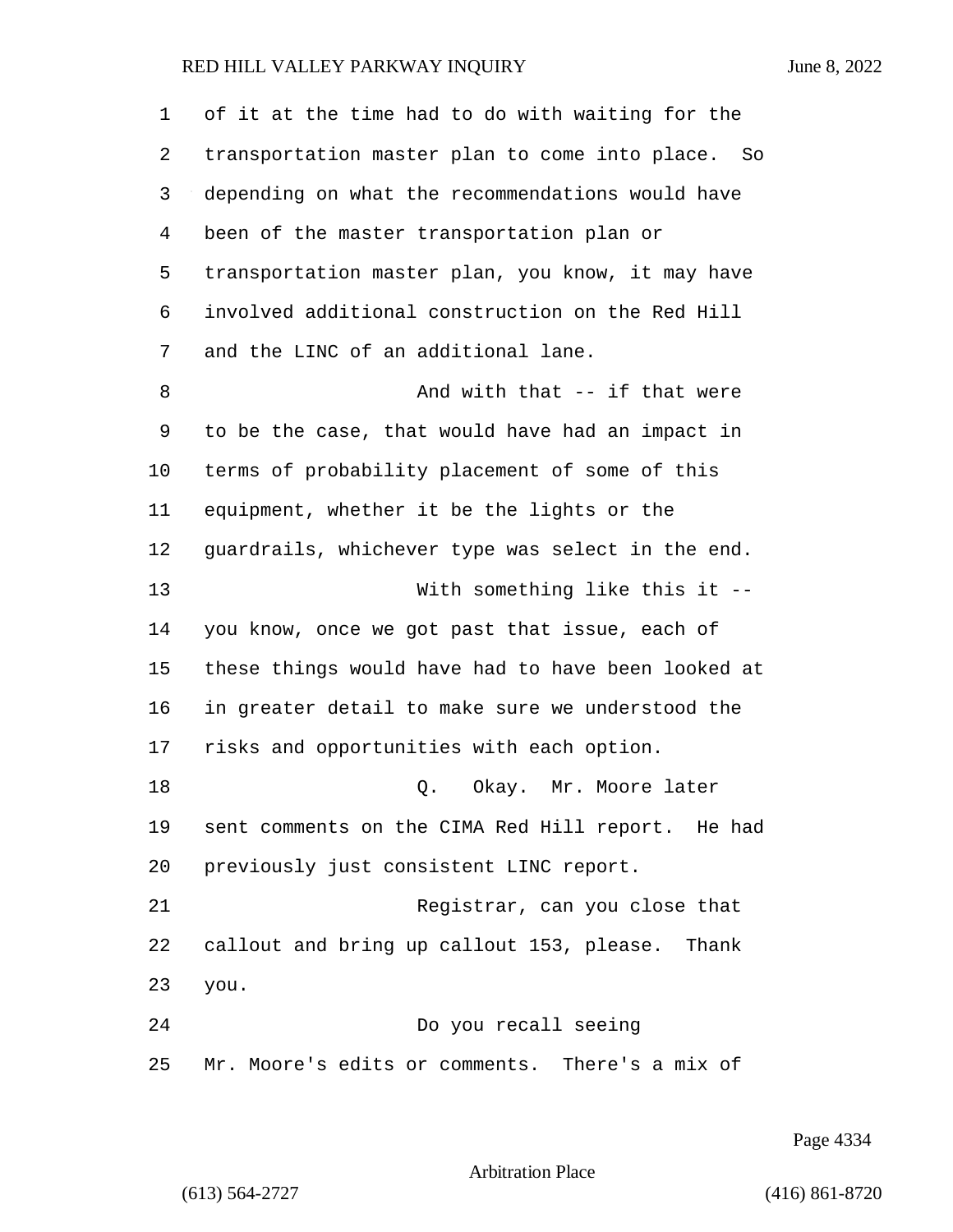of it at the time had to do with waiting for the transportation master plan to come into place. So depending on what the recommendations would have been of the master transportation plan or transportation master plan, you know, it may have involved additional construction on the Red Hill and the LINC of an additional lane. 8 And with that -- if that were to be the case, that would have had an impact in terms of probability placement of some of this equipment, whether it be the lights or the guardrails, whichever type was select in the end. 13 With something like this it -- you know, once we got past that issue, each of these things would have had to have been looked at in greater detail to make sure we understood the risks and opportunities with each option. 18 Q. Okay. Mr. Moore later sent comments on the CIMA Red Hill report. He had previously just consistent LINC report. 21 Registrar, can you close that callout and bring up callout 153, please. Thank you. 24 Do you recall seeing Mr. Moore's edits or comments. There's a mix of

Page 4334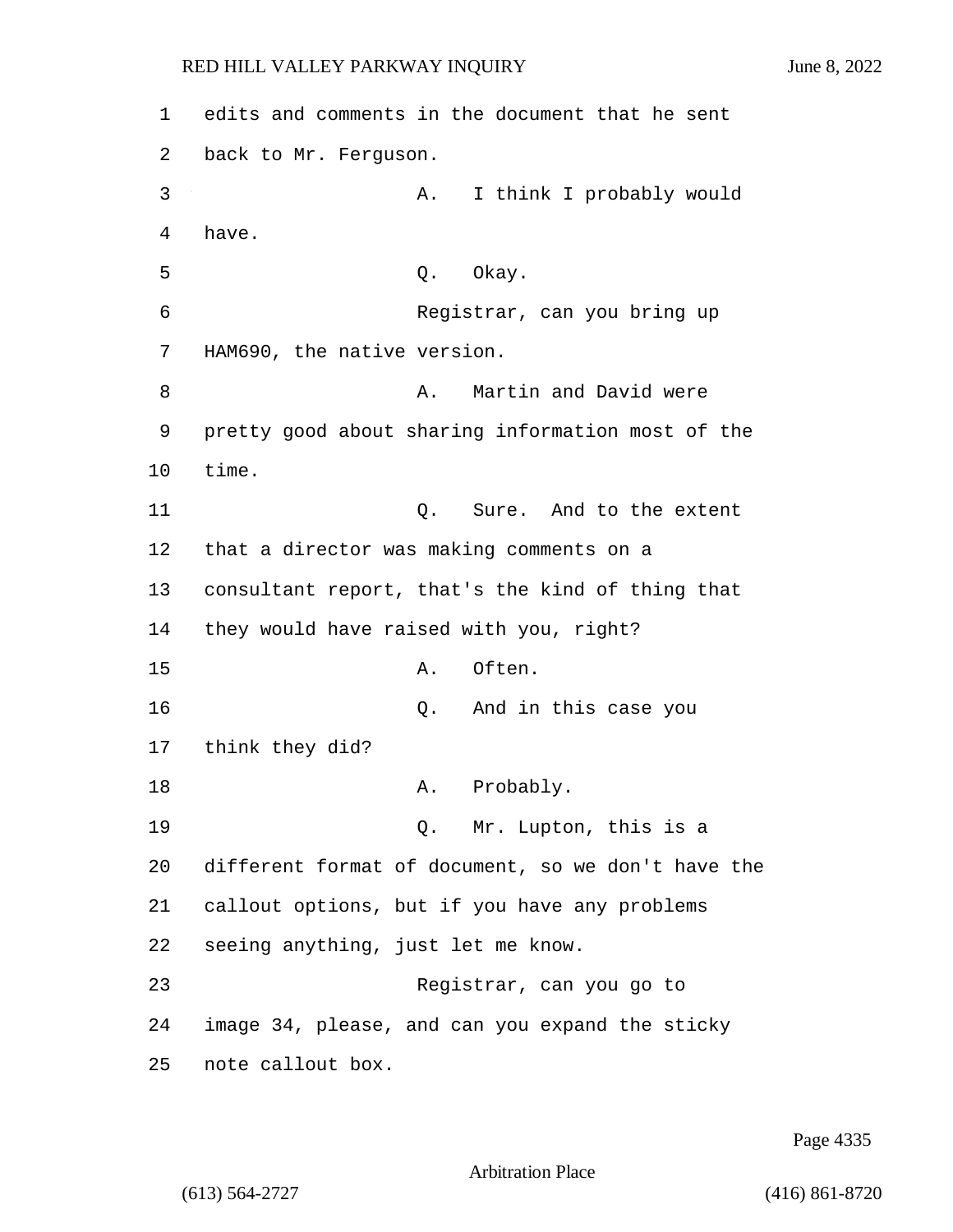1 edits and comments in the document that he sent 2 back to Mr. Ferguson. 3 A. I think I probably would 4 have. 5 Q. Okay. 6 Registrar, can you bring up 7 HAM690, the native version. 8 A. Martin and David were 9 pretty good about sharing information most of the 10 time. 11 Q. Sure. And to the extent 12 that a director was making comments on a 13 consultant report, that's the kind of thing that 14 they would have raised with you, right? 15 A. Often. 16 Q. And in this case you 17 think they did? 18 A. Probably. 19 Q. Mr. Lupton, this is a 20 different format of document, so we don't have the 21 callout options, but if you have any problems 22 seeing anything, just let me know. 23 Registrar, can you go to 24 image 34, please, and can you expand the sticky 25 note callout box.

Page 4335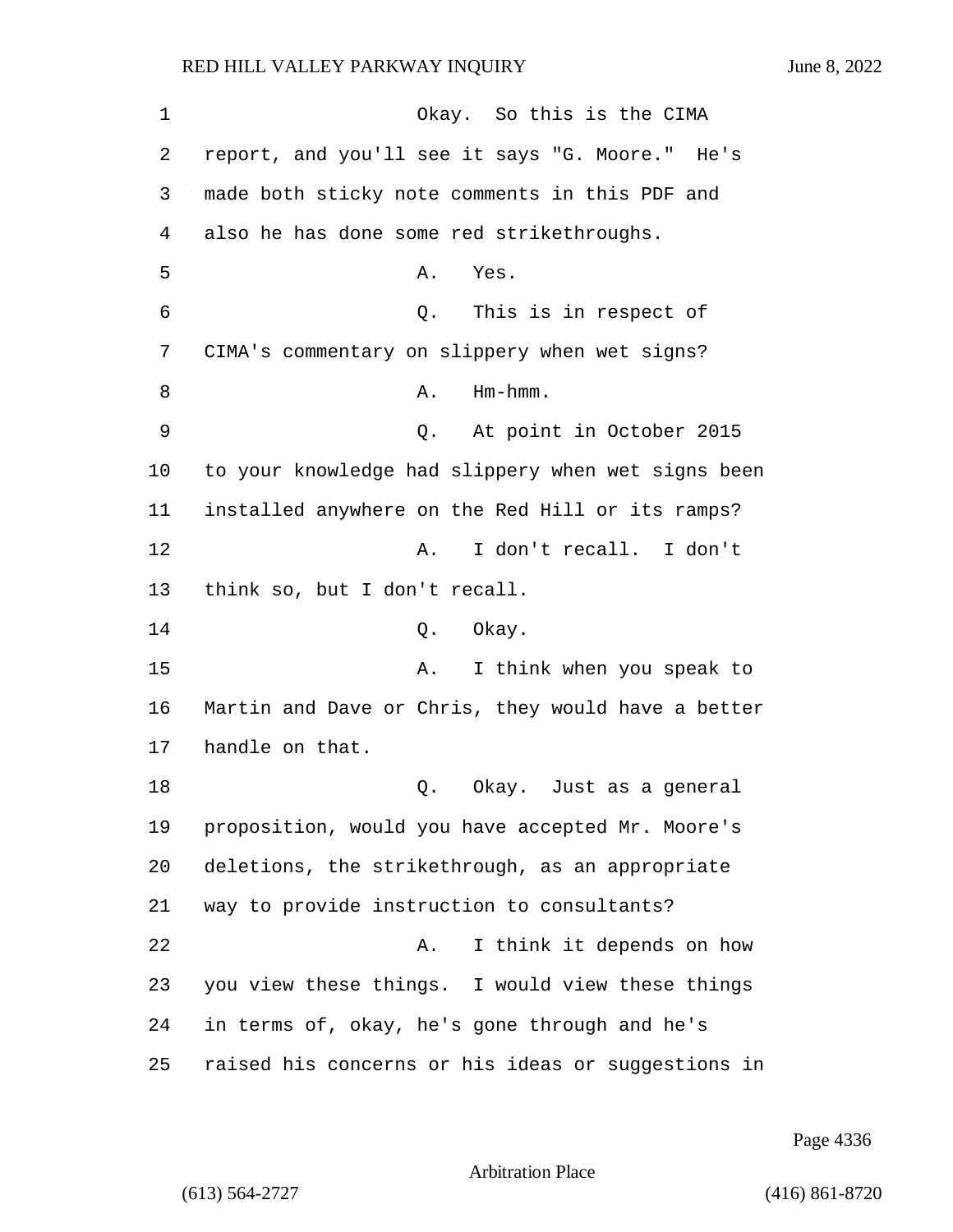1 Okay. So this is the CIMA 2 report, and you'll see it says "G. Moore." He's 3 made both sticky note comments in this PDF and 4 also he has done some red strikethroughs. 5 A. Yes. 6 Q. This is in respect of 7 CIMA's commentary on slippery when wet signs? 8 A. Hm-hmm. 9 Q. At point in October 2015 10 to your knowledge had slippery when wet signs been 11 installed anywhere on the Red Hill or its ramps? 12 A. I don't recall. I don't 13 think so, but I don't recall. 14 0. Okay. 15 A. I think when you speak to 16 Martin and Dave or Chris, they would have a better 17 handle on that. 18 Q. Okay. Just as a general 19 proposition, would you have accepted Mr. Moore's 20 deletions, the strikethrough, as an appropriate 21 way to provide instruction to consultants? 22 A. I think it depends on how 23 you view these things. I would view these things 24 in terms of, okay, he's gone through and he's 25 raised his concerns or his ideas or suggestions in

Page 4336

```
Arbitration Place
```
(613) 564-2727 (416) 861-8720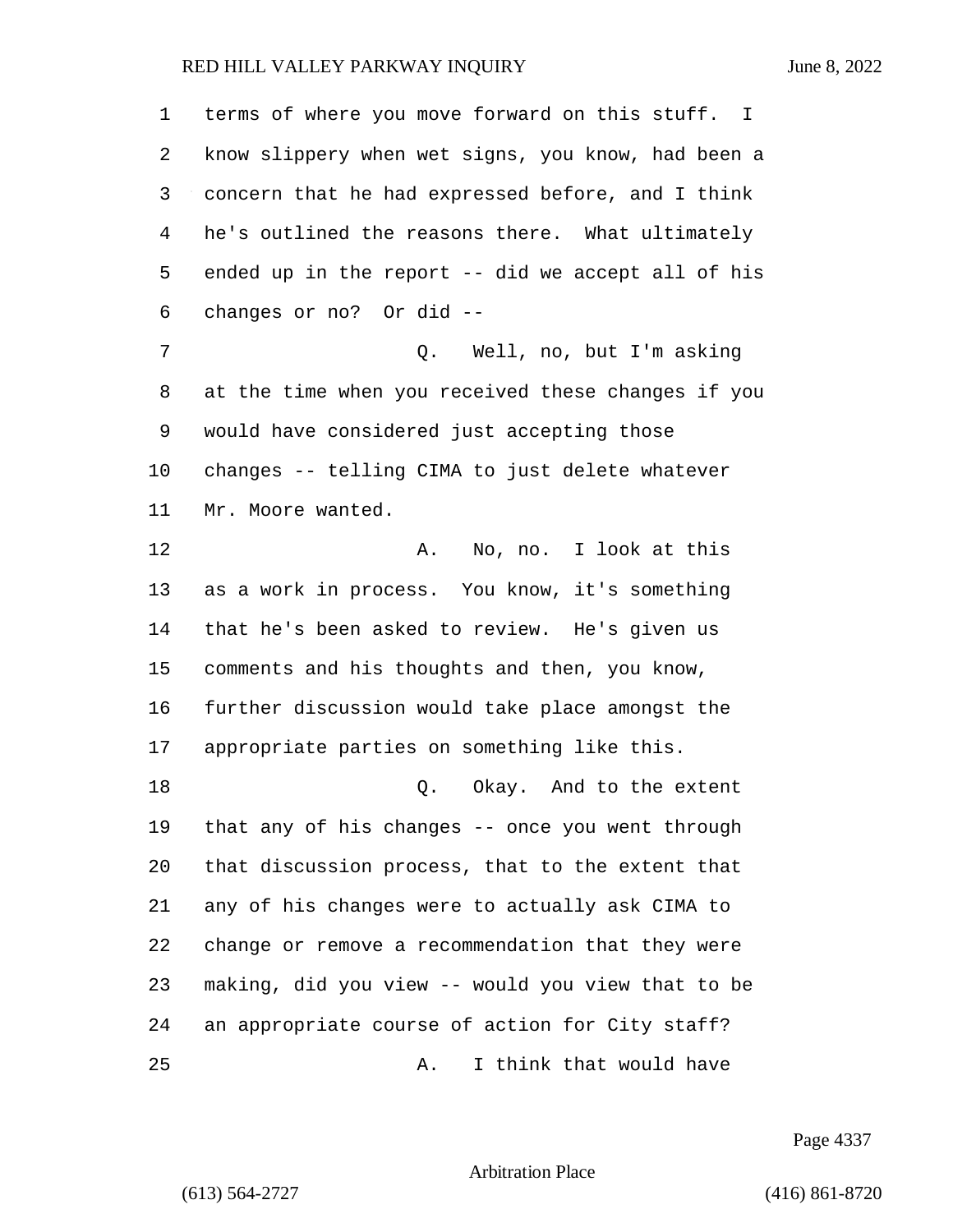terms of where you move forward on this stuff. I know slippery when wet signs, you know, had been a concern that he had expressed before, and I think he's outlined the reasons there. What ultimately ended up in the report -- did we accept all of his changes or no? Or did -- 7 Q. Well, no, but I'm asking at the time when you received these changes if you would have considered just accepting those changes -- telling CIMA to just delete whatever Mr. Moore wanted. 12 A. No, no. I look at this as a work in process. You know, it's something that he's been asked to review. He's given us comments and his thoughts and then, you know, further discussion would take place amongst the appropriate parties on something like this. 18 Q. Okay. And to the extent that any of his changes -- once you went through that discussion process, that to the extent that any of his changes were to actually ask CIMA to change or remove a recommendation that they were making, did you view -- would you view that to be an appropriate course of action for City staff? 25 A. I think that would have

Page 4337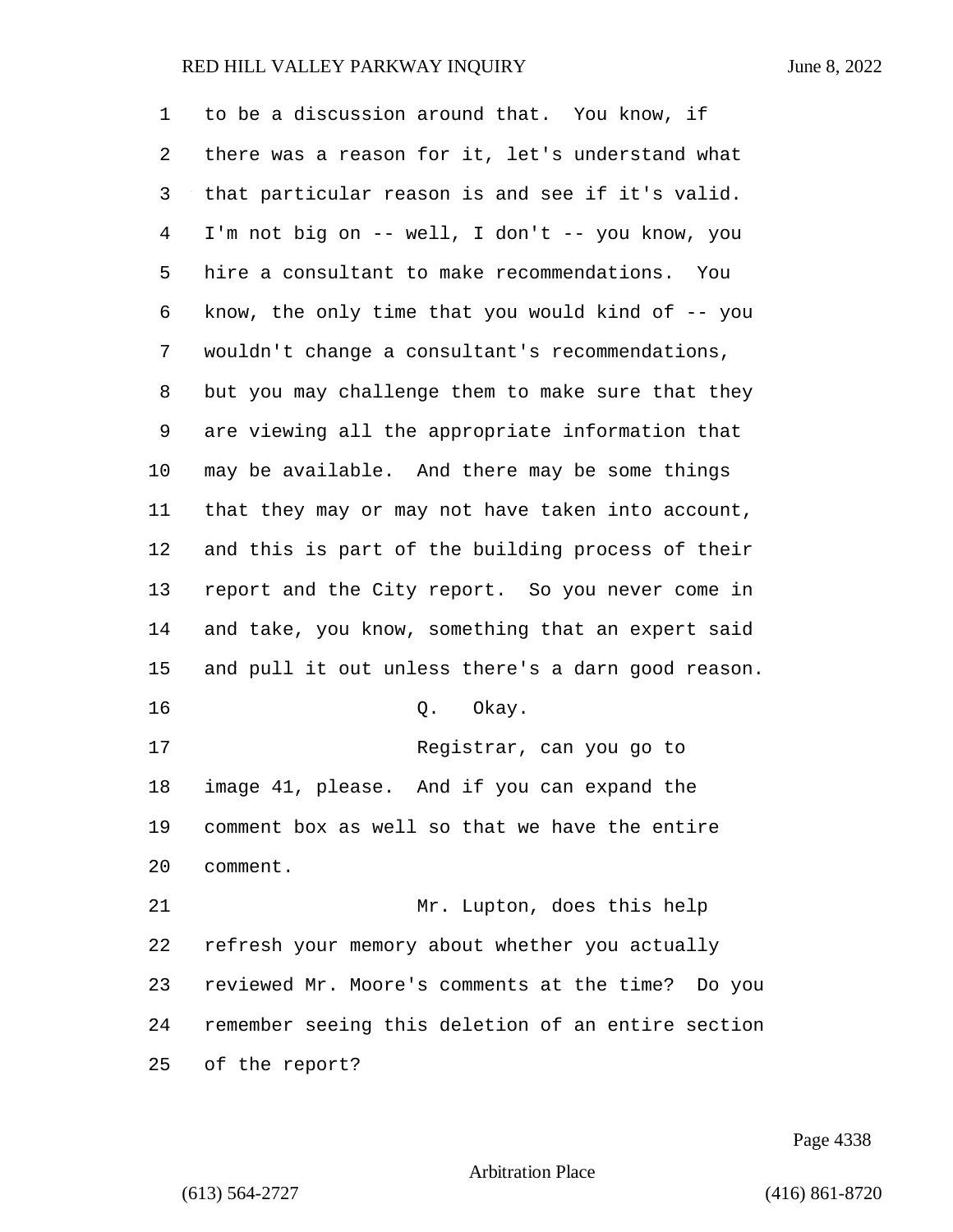| 1              | to be a discussion around that. You know, if         |
|----------------|------------------------------------------------------|
| 2              | there was a reason for it, let's understand what     |
| 3              | that particular reason is and see if it's valid.     |
| $\overline{4}$ | I'm not big on -- well, I don't -- you know, you     |
| 5              | hire a consultant to make recommendations. You       |
| 6              | know, the only time that you would kind of $-$ - you |
| 7              | wouldn't change a consultant's recommendations,      |
| 8              | but you may challenge them to make sure that they    |
| 9              | are viewing all the appropriate information that     |
| 10             | may be available. And there may be some things       |
| 11             | that they may or may not have taken into account,    |
| 12             | and this is part of the building process of their    |
| 13             | report and the City report. So you never come in     |
| 14             | and take, you know, something that an expert said    |
| 15             | and pull it out unless there's a darn good reason.   |
| 16             | Q. Okay.                                             |
| 17             | Registrar, can you go to                             |
| 18             | image 41, please.<br>And if you can expand the       |
| 19             | comment box as well so that we have the entire       |
| 20             | comment.                                             |
| 21             | Mr. Lupton, does this help                           |
| 22             | refresh your memory about whether you actually       |
| 23             | reviewed Mr. Moore's comments at the time?<br>Do you |
| 24             | remember seeing this deletion of an entire section   |
| 25             | of the report?                                       |

Page 4338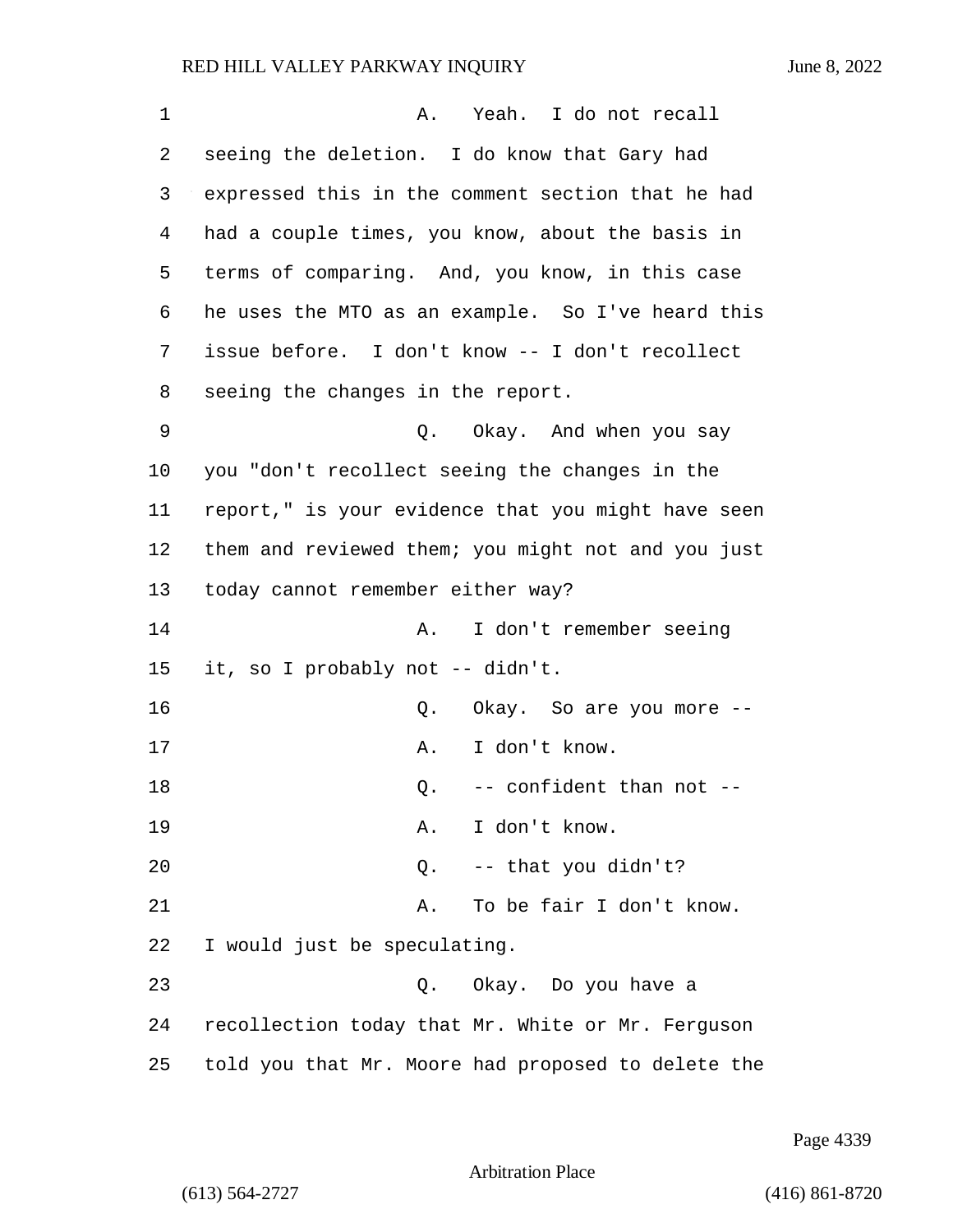| $\mathbf 1$ | Yeah. I do not recall<br>Α.                        |
|-------------|----------------------------------------------------|
| 2           | seeing the deletion. I do know that Gary had       |
| 3           | expressed this in the comment section that he had  |
| 4           | had a couple times, you know, about the basis in   |
| 5           | terms of comparing. And, you know, in this case    |
| 6           | he uses the MTO as an example. So I've heard this  |
| 7           | issue before. I don't know -- I don't recollect    |
| 8           | seeing the changes in the report.                  |
| 9           | Q. Okay. And when you say                          |
| $10 \,$     | you "don't recollect seeing the changes in the     |
| 11          | report," is your evidence that you might have seen |
| 12          | them and reviewed them; you might not and you just |
| 13          | today cannot remember either way?                  |
| 14          | I don't remember seeing<br>Α.                      |
| 15          | it, so I probably not -- didn't.                   |
| 16          | Okay. So are you more --<br>Q.                     |
| 17          | I don't know.<br>Α.                                |
| 18          | -- confident than not --<br>Q.                     |
| 19          | A. I don't know.                                   |
| 20          | -- that you didn't?<br>Q.                          |
| 21          | To be fair I don't know.<br>Α.                     |
| 22          | I would just be speculating.                       |
| 23          | Q. Okay. Do you have a                             |
| 24          | recollection today that Mr. White or Mr. Ferguson  |
| 25          | told you that Mr. Moore had proposed to delete the |

Page 4339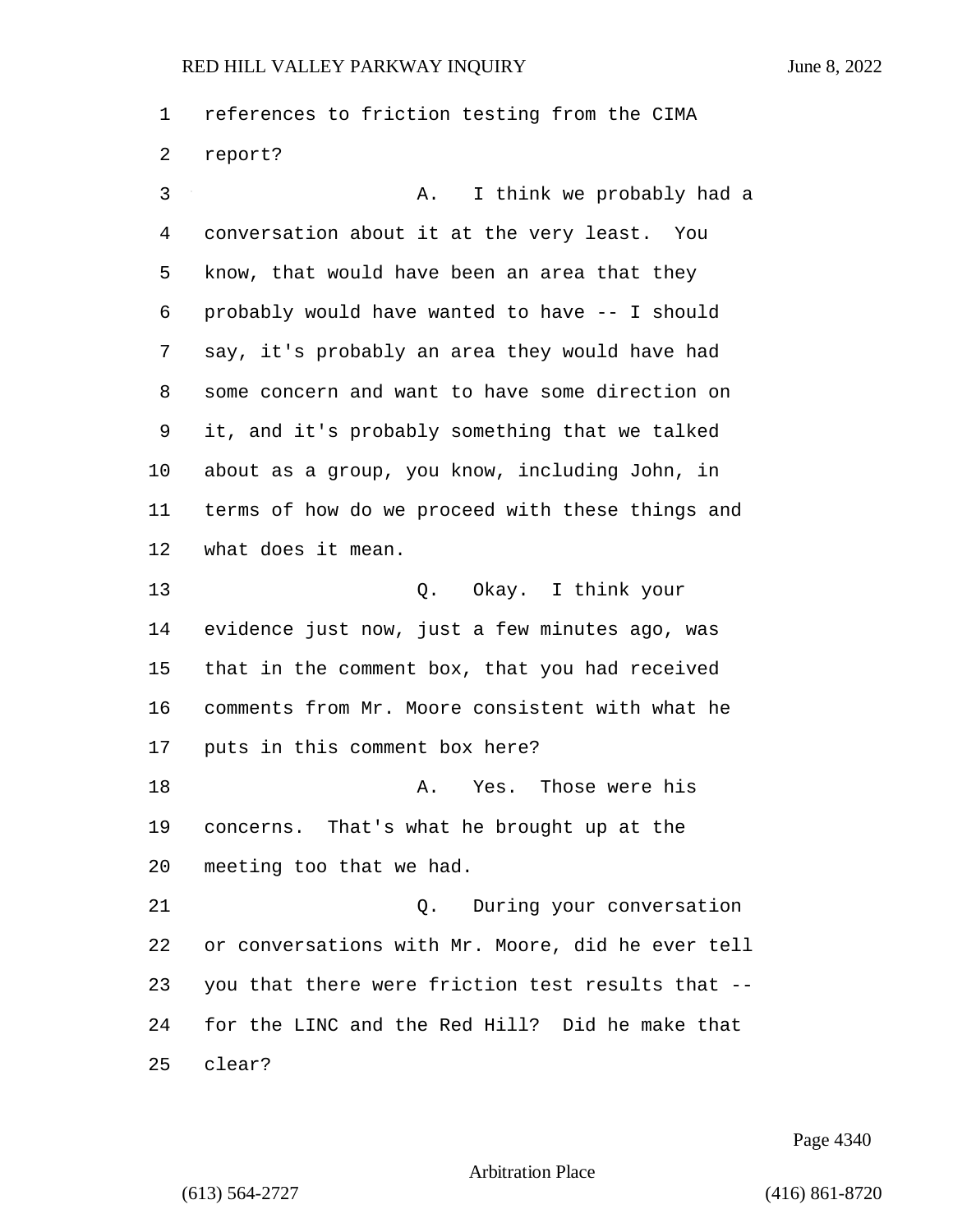references to friction testing from the CIMA report?

3 A. I think we probably had a conversation about it at the very least. You know, that would have been an area that they probably would have wanted to have -- I should say, it's probably an area they would have had some concern and want to have some direction on it, and it's probably something that we talked about as a group, you know, including John, in terms of how do we proceed with these things and what does it mean. 13 Q. Okay. I think your evidence just now, just a few minutes ago, was that in the comment box, that you had received comments from Mr. Moore consistent with what he puts in this comment box here? 18 A. Yes. Those were his concerns. That's what he brought up at the meeting too that we had. 21 Q. During your conversation or conversations with Mr. Moore, did he ever tell you that there were friction test results that -- for the LINC and the Red Hill? Did he make that clear?

Page 4340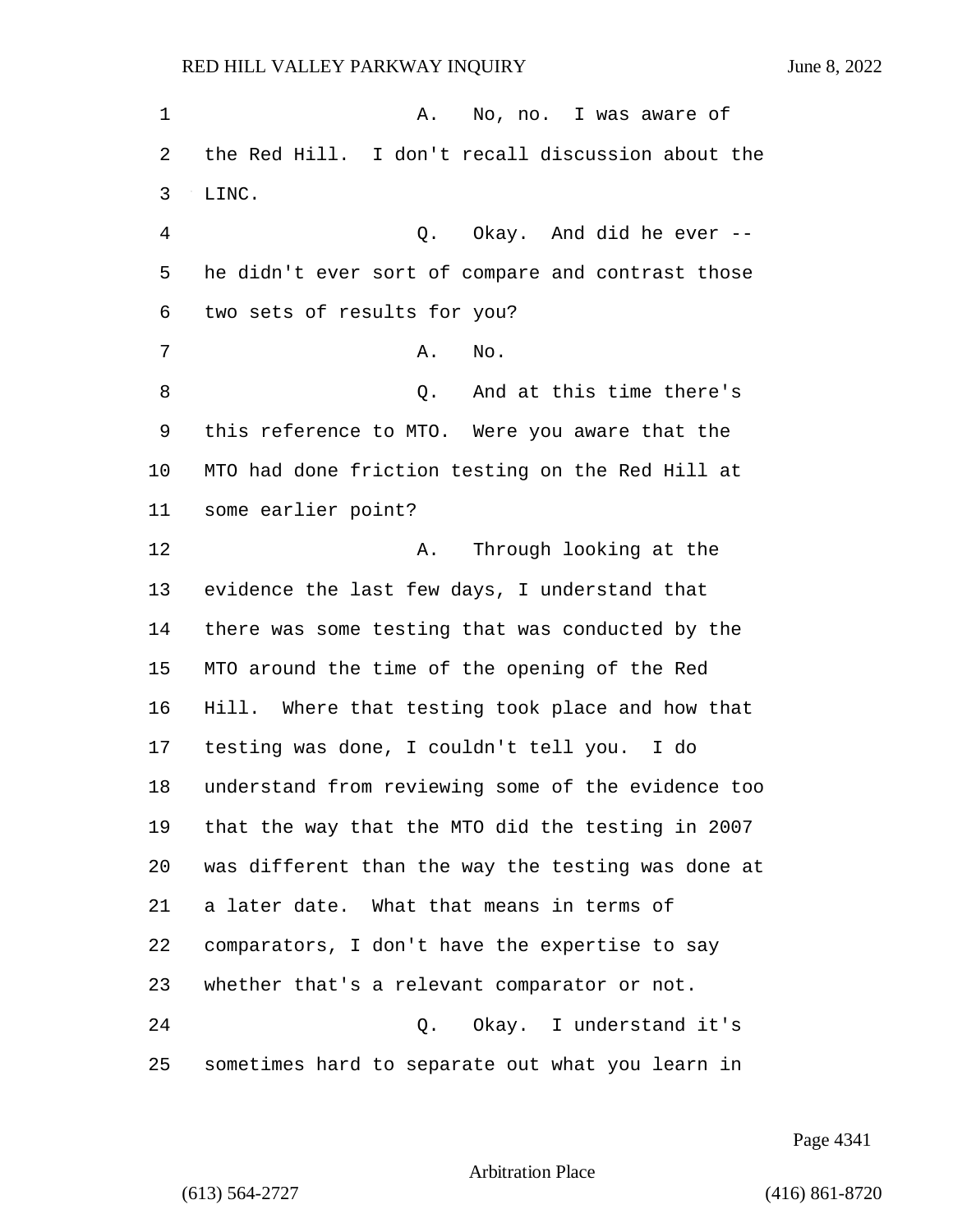1 A. No, no. I was aware of the Red Hill. I don't recall discussion about the LINC. 4 Q. Okay. And did he ever -- he didn't ever sort of compare and contrast those two sets of results for you? 7 A. No. 8 Q. And at this time there's this reference to MTO. Were you aware that the MTO had done friction testing on the Red Hill at some earlier point? 12 A. Through looking at the evidence the last few days, I understand that there was some testing that was conducted by the MTO around the time of the opening of the Red Hill. Where that testing took place and how that testing was done, I couldn't tell you. I do understand from reviewing some of the evidence too that the way that the MTO did the testing in 2007 was different than the way the testing was done at a later date. What that means in terms of comparators, I don't have the expertise to say whether that's a relevant comparator or not. 24 Q. Okay. I understand it's sometimes hard to separate out what you learn in

Page 4341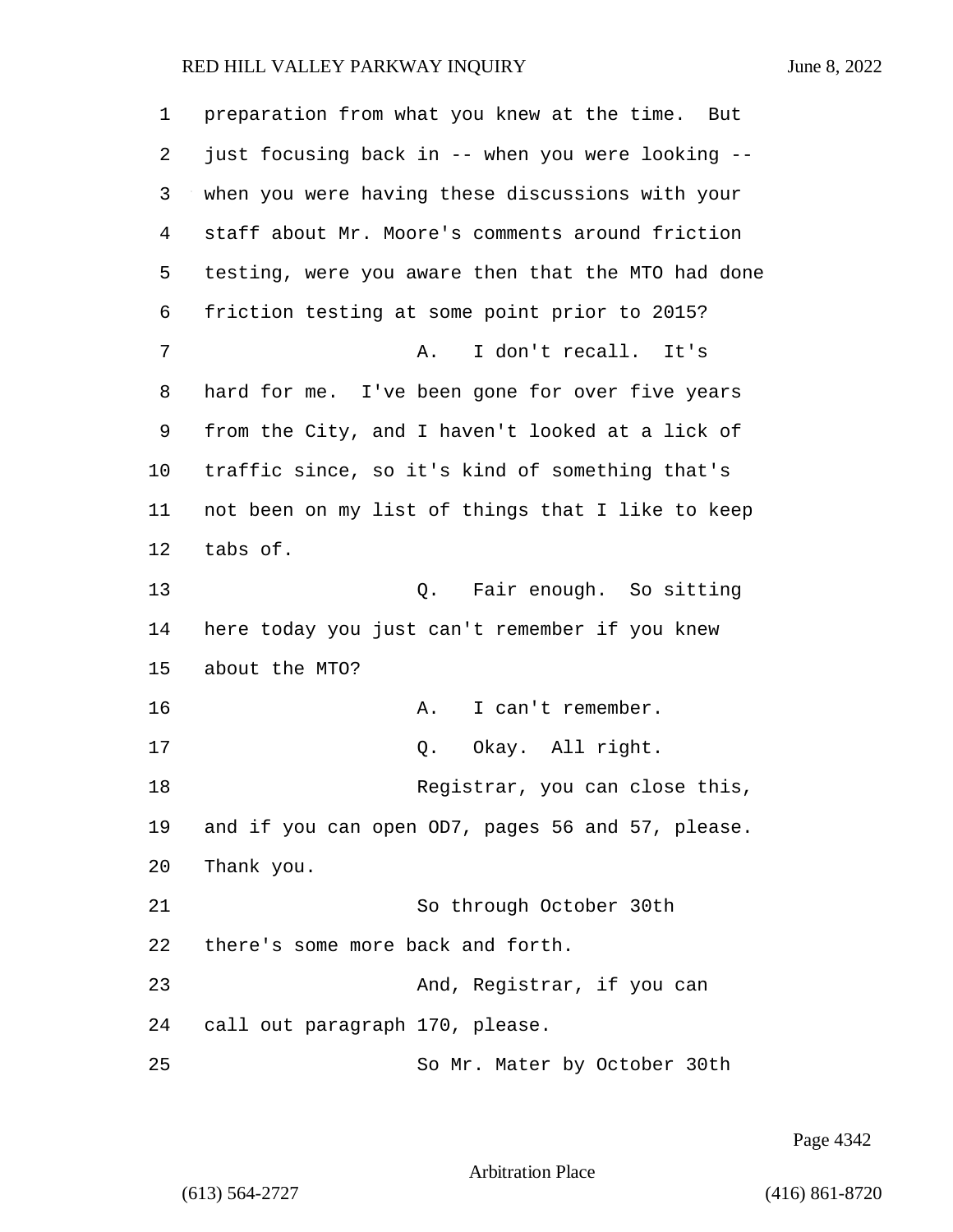| 1  | preparation from what you knew at the time.<br>But |
|----|----------------------------------------------------|
| 2  | just focusing back in -- when you were looking --  |
| 3  | when you were having these discussions with your   |
| 4  | staff about Mr. Moore's comments around friction   |
| 5  | testing, were you aware then that the MTO had done |
| 6  | friction testing at some point prior to 2015?      |
| 7  | I don't recall. It's<br>Α.                         |
| 8  | hard for me. I've been gone for over five years    |
| 9  | from the City, and I haven't looked at a lick of   |
| 10 | traffic since, so it's kind of something that's    |
| 11 | not been on my list of things that I like to keep  |
| 12 | tabs of.                                           |
| 13 | Q. Fair enough. So sitting                         |
| 14 | here today you just can't remember if you knew     |
| 15 | about the MTO?                                     |
| 16 | I can't remember.<br>Α.                            |
| 17 | Okay. All right.<br>Q.                             |
| 18 | Registrar, you can close this,                     |
| 19 | and if you can open OD7, pages 56 and 57, please.  |
| 20 | Thank you.                                         |
| 21 | So through October 30th                            |
| 22 | there's some more back and forth.                  |
| 23 | And, Registrar, if you can                         |
| 24 | call out paragraph 170, please.                    |
| 25 | So Mr. Mater by October 30th                       |

Page 4342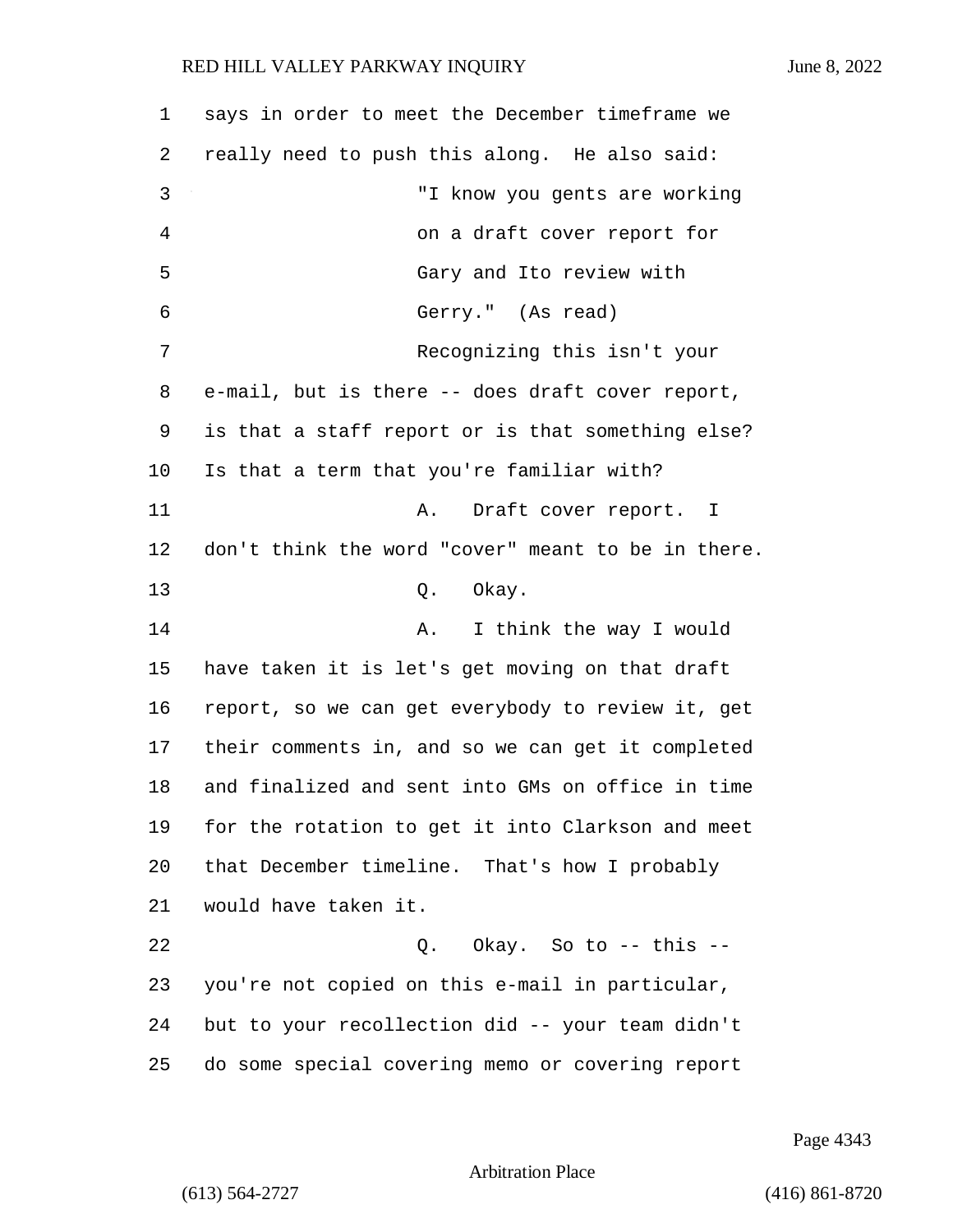says in order to meet the December timeframe we really need to push this along. He also said: 3 "I know you gents are working 4 on a draft cover report for 5 Gary and Ito review with 6 Gerry." (As read) 7 Recognizing this isn't your e-mail, but is there -- does draft cover report, is that a staff report or is that something else? Is that a term that you're familiar with? 11 A. Draft cover report. I don't think the word "cover" meant to be in there. 13 Q. Okay. 14 A. I think the way I would have taken it is let's get moving on that draft report, so we can get everybody to review it, get their comments in, and so we can get it completed and finalized and sent into GMs on office in time for the rotation to get it into Clarkson and meet that December timeline. That's how I probably would have taken it. 22 Q. Okay. So to -- this -- you're not copied on this e-mail in particular, but to your recollection did -- your team didn't do some special covering memo or covering report

Page 4343

Arbitration Place

(613) 564-2727 (416) 861-8720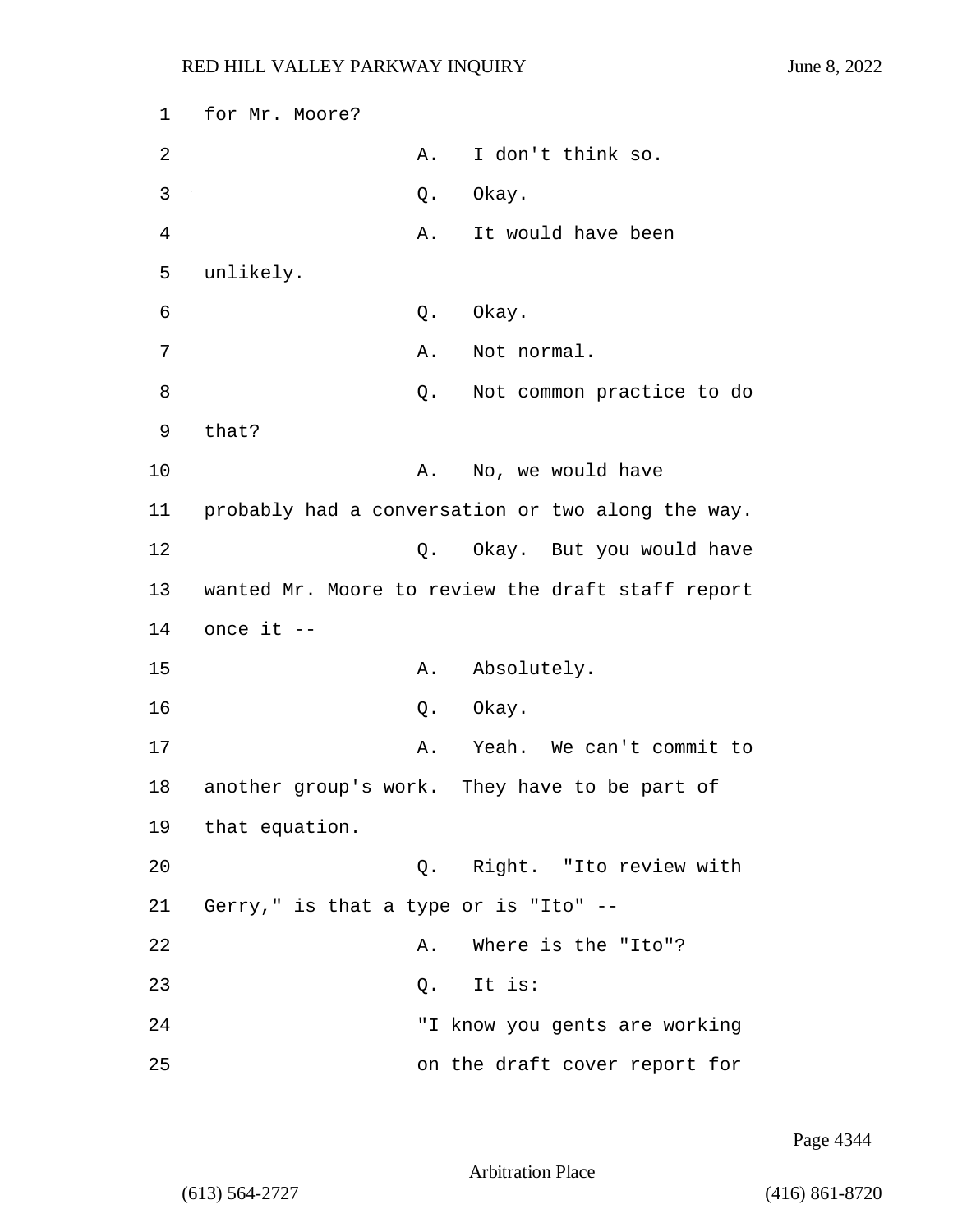1 for Mr. Moore? 2 A. I don't think so. 3 Q. Okay. 4 A. It would have been 5 unlikely. 6 Q. Okay. 7 A. Not normal. 8 a Q. Not common practice to do 9 that? 10 A. No, we would have 11 probably had a conversation or two along the way. 12 **Q.** Okay. But you would have 13 wanted Mr. Moore to review the draft staff report 14 once it -- 15 A. Absolutely. 16 Q. Okay. 17 A. Yeah. We can't commit to 18 another group's work. They have to be part of 19 that equation. 20 Q. Right. "Ito review with 21 Gerry," is that a type or is "Ito" -- 22 A. Where is the "Ito"? 23 Q. It is: 24 "I know you gents are working 25 on the draft cover report for

Page 4344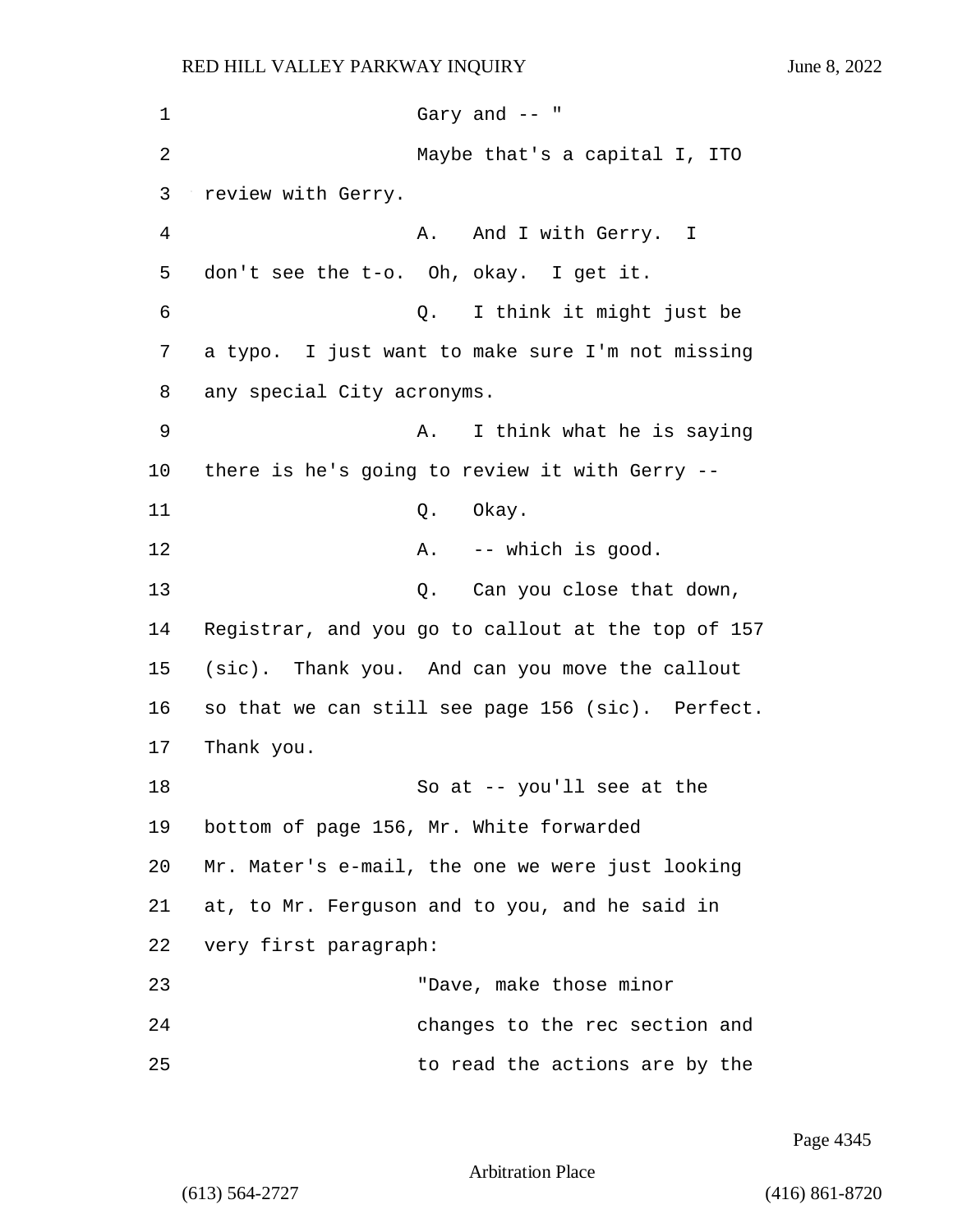1 Gary and -- " 2 Maybe that's a capital I, ITO 3 review with Gerry. 4 A. And I with Gerry. I 5 don't see the t-o. Oh, okay. I get it. 6 Q. I think it might just be 7 a typo. I just want to make sure I'm not missing 8 any special City acronyms. 9 A. I think what he is saying 10 there is he's going to review it with Gerry -- 11 Q. Okay. 12 A. -- which is good. 13 Q. Can you close that down, 14 Registrar, and you go to callout at the top of 157 15 (sic). Thank you. And can you move the callout 16 so that we can still see page 156 (sic). Perfect. 17 Thank you. 18 So at -- you'll see at the 19 bottom of page 156, Mr. White forwarded 20 Mr. Mater's e-mail, the one we were just looking 21 at, to Mr. Ferguson and to you, and he said in 22 very first paragraph: 23 "Dave, make those minor 24 changes to the rec section and 25 to read the actions are by the

Page 4345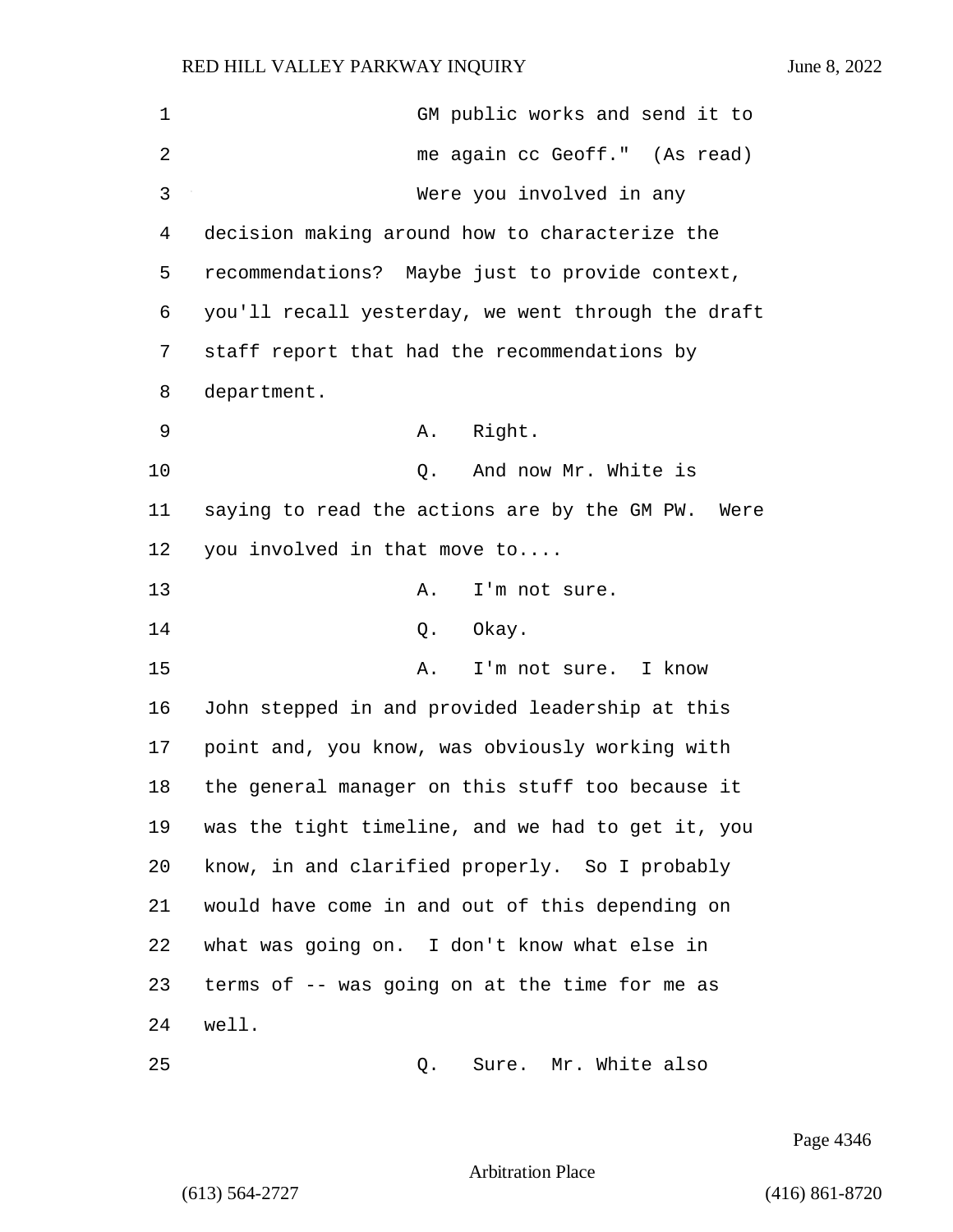| 1  | GM public works and send it to                     |
|----|----------------------------------------------------|
| 2  | me again cc Geoff." (As read)                      |
| 3  | Were you involved in any                           |
| 4  | decision making around how to characterize the     |
| 5  | recommendations? Maybe just to provide context,    |
| 6  | you'll recall yesterday, we went through the draft |
| 7  | staff report that had the recommendations by       |
| 8  | department.                                        |
| 9  | Right.<br>А.                                       |
| 10 | And now Mr. White is<br>$Q$ .                      |
| 11 | saying to read the actions are by the GM PW. Were  |
| 12 | you involved in that move to                       |
| 13 | I'm not sure.<br>Α.                                |
| 14 | Okay.<br>Q.                                        |
| 15 | I'm not sure. I know<br>Α.                         |
| 16 | John stepped in and provided leadership at this    |
| 17 | point and, you know, was obviously working with    |
| 18 | the general manager on this stuff too because it   |
| 19 | was the tight timeline, and we had to get it, you  |
| 20 | know, in and clarified properly. So I probably     |
| 21 | would have come in and out of this depending on    |
| 22 | what was going on. I don't know what else in       |
| 23 | terms of -- was going on at the time for me as     |
| 24 | well.                                              |
| 25 | Sure. Mr. White also<br>Q.                         |

Page 4346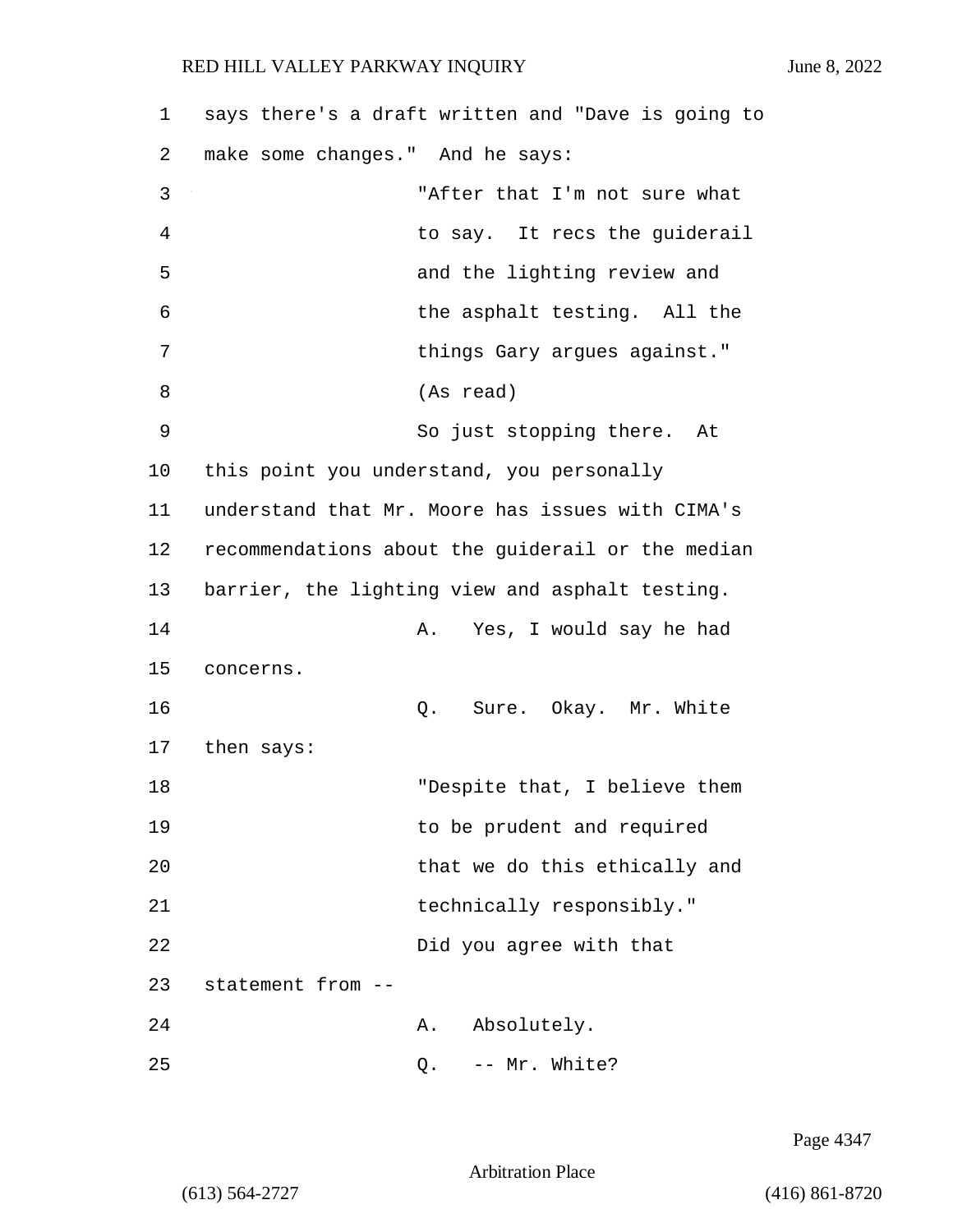| 1  | says there's a draft written and "Dave is going to |
|----|----------------------------------------------------|
| 2  | make some changes." And he says:                   |
| 3  | "After that I'm not sure what                      |
| 4  | to say. It recs the guiderail                      |
| 5  | and the lighting review and                        |
| 6  | the asphalt testing. All the                       |
| 7  | things Gary argues against."                       |
| 8  | (As read)                                          |
| 9  | So just stopping there. At                         |
| 10 | this point you understand, you personally          |
| 11 | understand that Mr. Moore has issues with CIMA's   |
| 12 | recommendations about the guiderail or the median  |
| 13 | barrier, the lighting view and asphalt testing.    |
| 14 | Yes, I would say he had<br>Α.                      |
| 15 | concerns.                                          |
| 16 | Sure. Okay. Mr. White<br>Q.                        |
| 17 | then says:                                         |
| 18 | "Despite that, I believe them                      |
| 19 | to be prudent and required                         |
| 20 | that we do this ethically and                      |
| 21 | technically responsibly."                          |
| 22 | Did you agree with that                            |
| 23 | statement from --                                  |
| 24 | Absolutely.<br>Α.                                  |
| 25 | -- Mr. White?<br>Q.                                |

Page 4347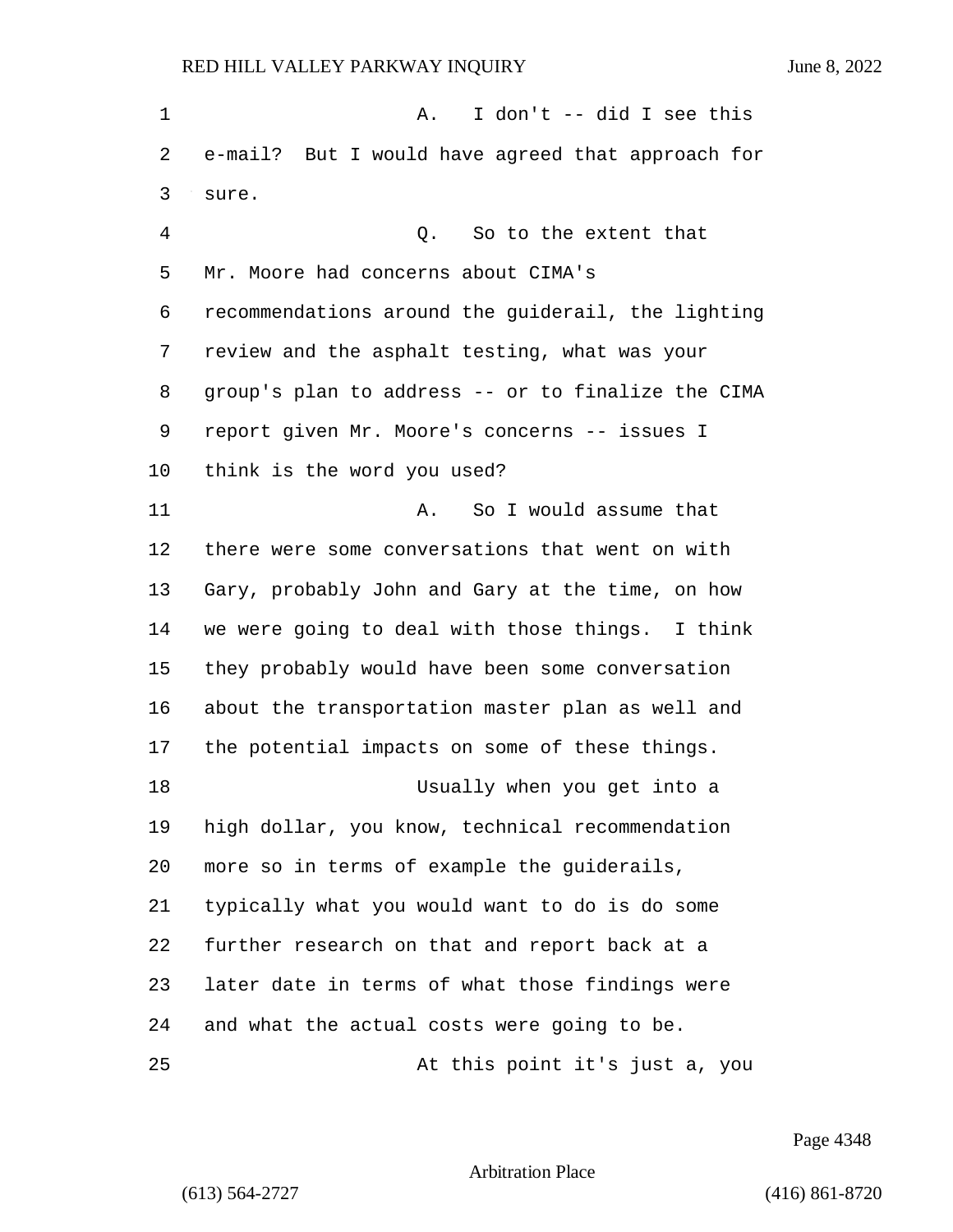1 A. I don't -- did I see this e-mail? But I would have agreed that approach for sure. 4 Q. So to the extent that Mr. Moore had concerns about CIMA's recommendations around the guiderail, the lighting review and the asphalt testing, what was your group's plan to address -- or to finalize the CIMA report given Mr. Moore's concerns -- issues I think is the word you used? 11 A. So I would assume that there were some conversations that went on with Gary, probably John and Gary at the time, on how we were going to deal with those things. I think they probably would have been some conversation about the transportation master plan as well and the potential impacts on some of these things. 18 Usually when you get into a high dollar, you know, technical recommendation more so in terms of example the guiderails, typically what you would want to do is do some further research on that and report back at a later date in terms of what those findings were and what the actual costs were going to be. 25 At this point it's just a, you

Page 4348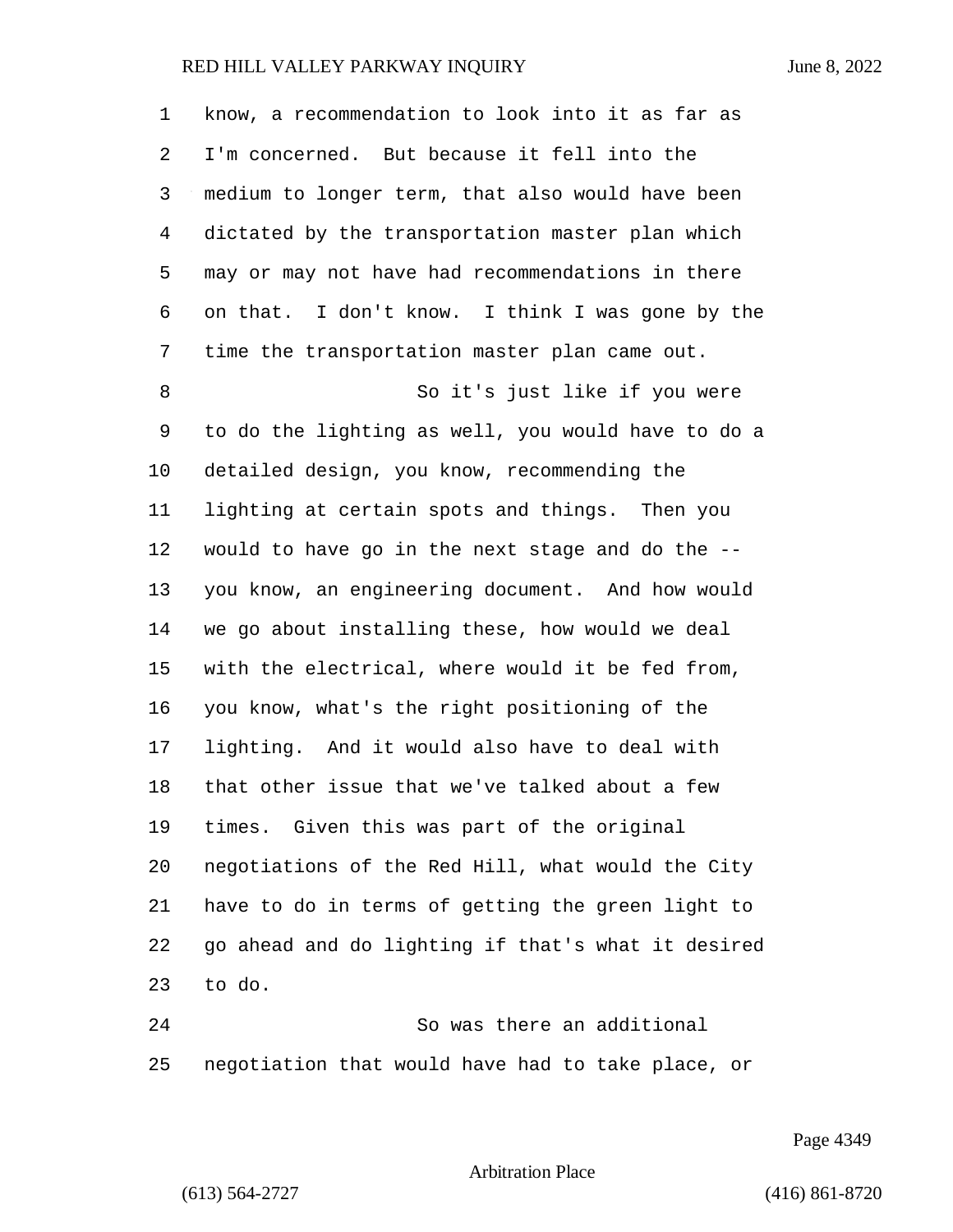| 1              | know, a recommendation to look into it as far as   |
|----------------|----------------------------------------------------|
| 2              | I'm concerned. But because it fell into the        |
| 3              | medium to longer term, that also would have been   |
| $\overline{4}$ | dictated by the transportation master plan which   |
| 5              | may or may not have had recommendations in there   |
| 6              | on that. I don't know. I think I was gone by the   |
| 7              | time the transportation master plan came out.      |
| 8              | So it's just like if you were                      |
| 9              | to do the lighting as well, you would have to do a |
| 10             | detailed design, you know, recommending the        |
| 11             | lighting at certain spots and things. Then you     |
| 12             | would to have go in the next stage and do the --   |
| 13             | you know, an engineering document. And how would   |
| 14             | we go about installing these, how would we deal    |
| 15             | with the electrical, where would it be fed from,   |
| 16             | you know, what's the right positioning of the      |
| 17             | lighting. And it would also have to deal with      |
| 18             | that other issue that we've talked about a few     |
| 19             | times. Given this was part of the original         |
| 20             | negotiations of the Red Hill, what would the City  |
| 21             | have to do in terms of getting the green light to  |
| 22             | go ahead and do lighting if that's what it desired |
| 23             | to do.                                             |
| 24             | So was there an additional                         |
|                |                                                    |

negotiation that would have had to take place, or

Page 4349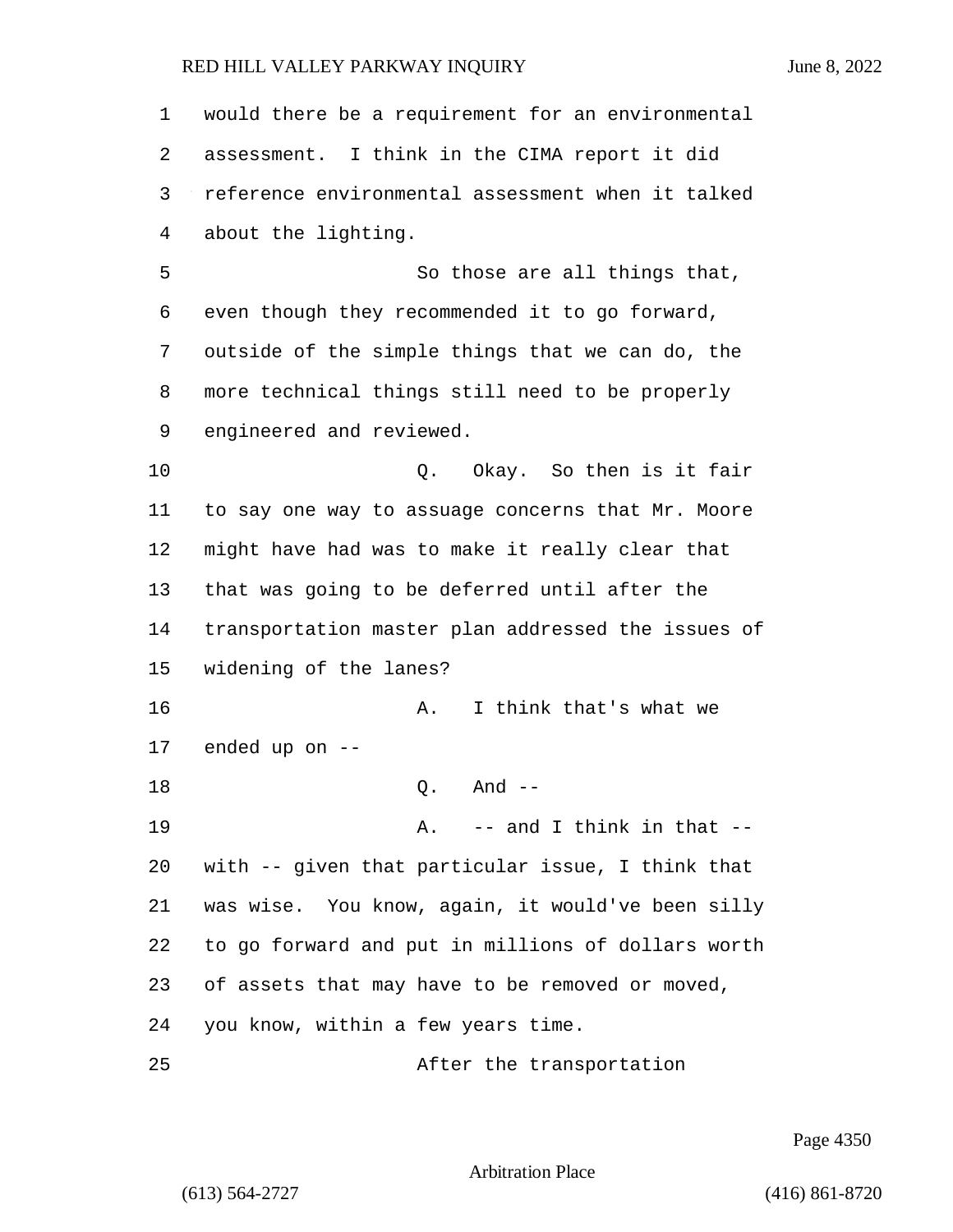would there be a requirement for an environmental assessment. I think in the CIMA report it did reference environmental assessment when it talked about the lighting. 5 So those are all things that, even though they recommended it to go forward, outside of the simple things that we can do, the more technical things still need to be properly engineered and reviewed. **Q.** Okay. So then is it fair to say one way to assuage concerns that Mr. Moore might have had was to make it really clear that that was going to be deferred until after the transportation master plan addressed the issues of widening of the lanes? 16 A. I think that's what we ended up on -- 18 0. And --19 A. -- and I think in that -- with -- given that particular issue, I think that was wise. You know, again, it would've been silly to go forward and put in millions of dollars worth of assets that may have to be removed or moved, you know, within a few years time. 25 After the transportation

Page 4350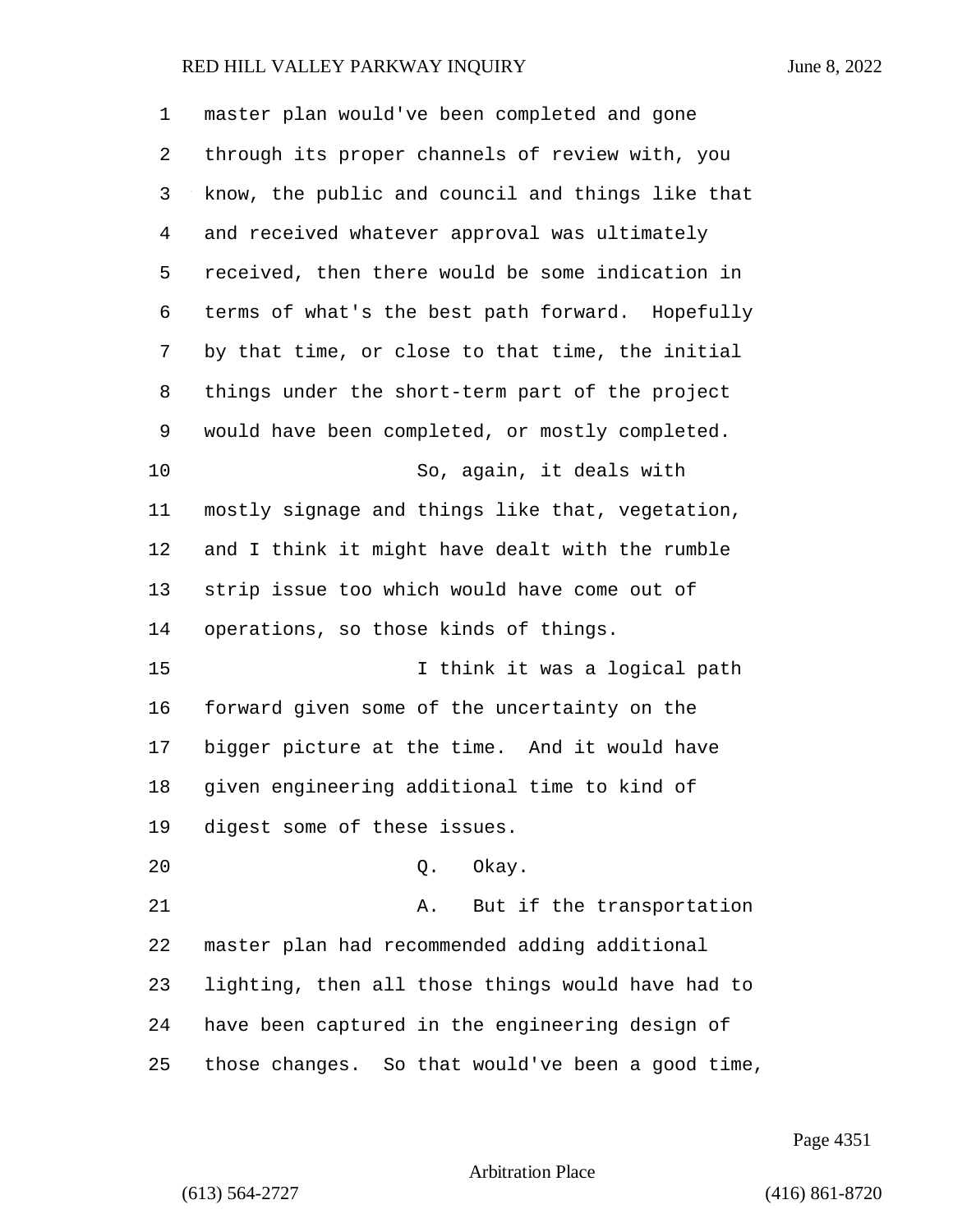| $\mathbf 1$    | master plan would've been completed and gone      |
|----------------|---------------------------------------------------|
| 2              | through its proper channels of review with, you   |
| 3              | know, the public and council and things like that |
| $\overline{4}$ | and received whatever approval was ultimately     |
| 5              | received, then there would be some indication in  |
| 6              | terms of what's the best path forward. Hopefully  |
| 7              | by that time, or close to that time, the initial  |
| 8              | things under the short-term part of the project   |
| 9              | would have been completed, or mostly completed.   |
| 10             | So, again, it deals with                          |
| 11             | mostly signage and things like that, vegetation,  |
| 12             | and I think it might have dealt with the rumble   |
| 13             | strip issue too which would have come out of      |
| 14             | operations, so those kinds of things.             |
| 15             | I think it was a logical path                     |
| 16             | forward given some of the uncertainty on the      |
| 17             | bigger picture at the time. And it would have     |
| 18             | given engineering additional time to kind of      |
| 19             | digest some of these issues.                      |
| 20             | Okay.<br>Q.                                       |
| 21             | But if the transportation<br>Α.                   |
| 22             | master plan had recommended adding additional     |
| 23             | lighting, then all those things would have had to |
| 24             | have been captured in the engineering design of   |
| 25             | those changes. So that would've been a good time, |

Page 4351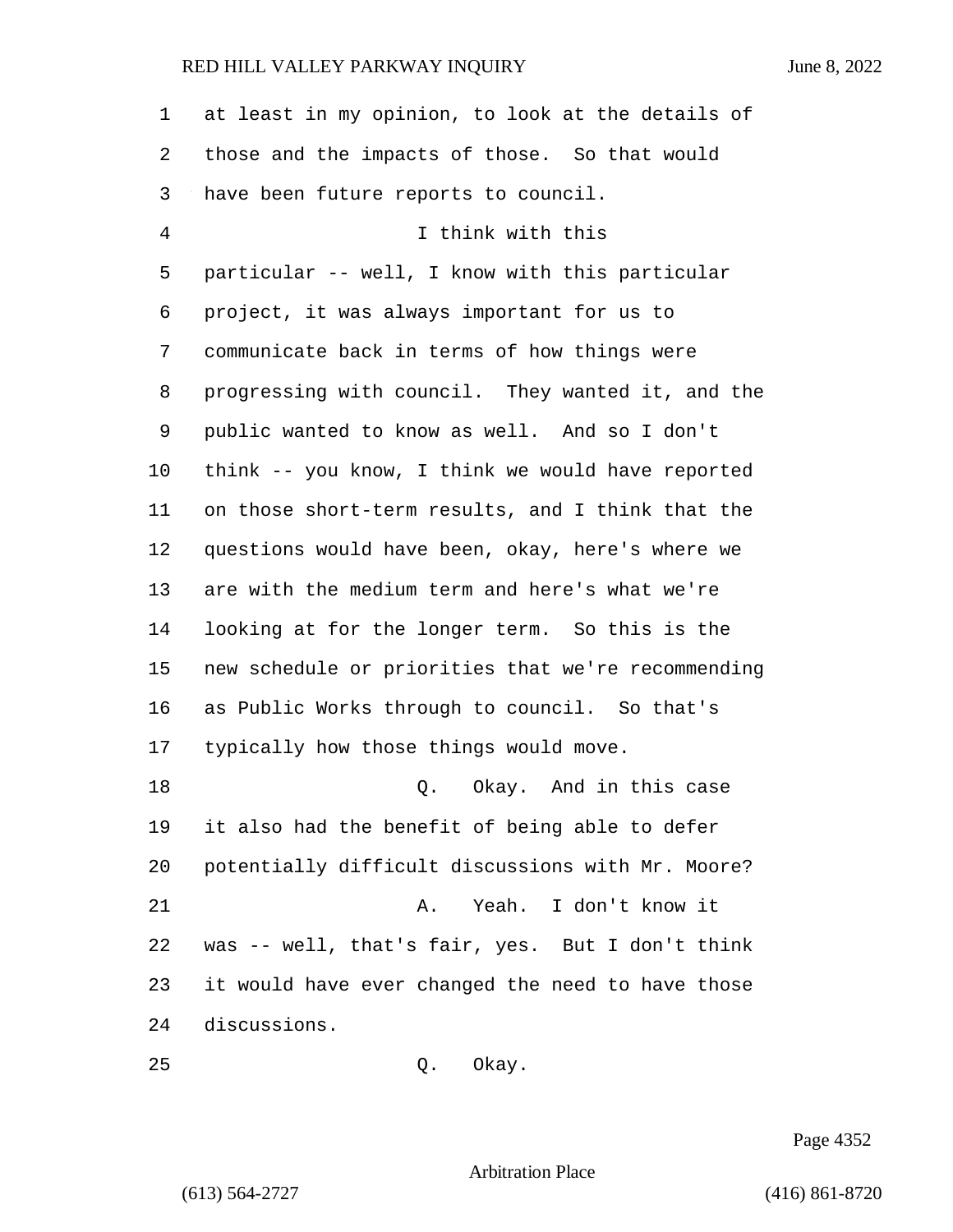| $\mathbf 1$ | at least in my opinion, to look at the details of  |
|-------------|----------------------------------------------------|
| 2           | those and the impacts of those. So that would      |
| 3           | have been future reports to council.               |
| 4           | I think with this                                  |
| 5           | particular -- well, I know with this particular    |
| 6           | project, it was always important for us to         |
| 7           | communicate back in terms of how things were       |
| 8           | progressing with council. They wanted it, and the  |
| 9           | public wanted to know as well. And so I don't      |
| 10          | think -- you know, I think we would have reported  |
| 11          | on those short-term results, and I think that the  |
| 12          | questions would have been, okay, here's where we   |
| 13          | are with the medium term and here's what we're     |
| 14          | looking at for the longer term. So this is the     |
| 15          | new schedule or priorities that we're recommending |
| 16          | as Public Works through to council. So that's      |
| 17          | typically how those things would move.             |
| 18          | Okay. And in this case<br>Q.                       |
| 19          | it also had the benefit of being able to defer     |
| 20          | potentially difficult discussions with Mr. Moore?  |
| 21          | Yeah. I don't know it<br>Α.                        |
| 22          | was -- well, that's fair, yes. But I don't think   |
| 23          | it would have ever changed the need to have those  |
| 24          | discussions.                                       |
| 25          | Okay.<br>Q.                                        |

Page 4352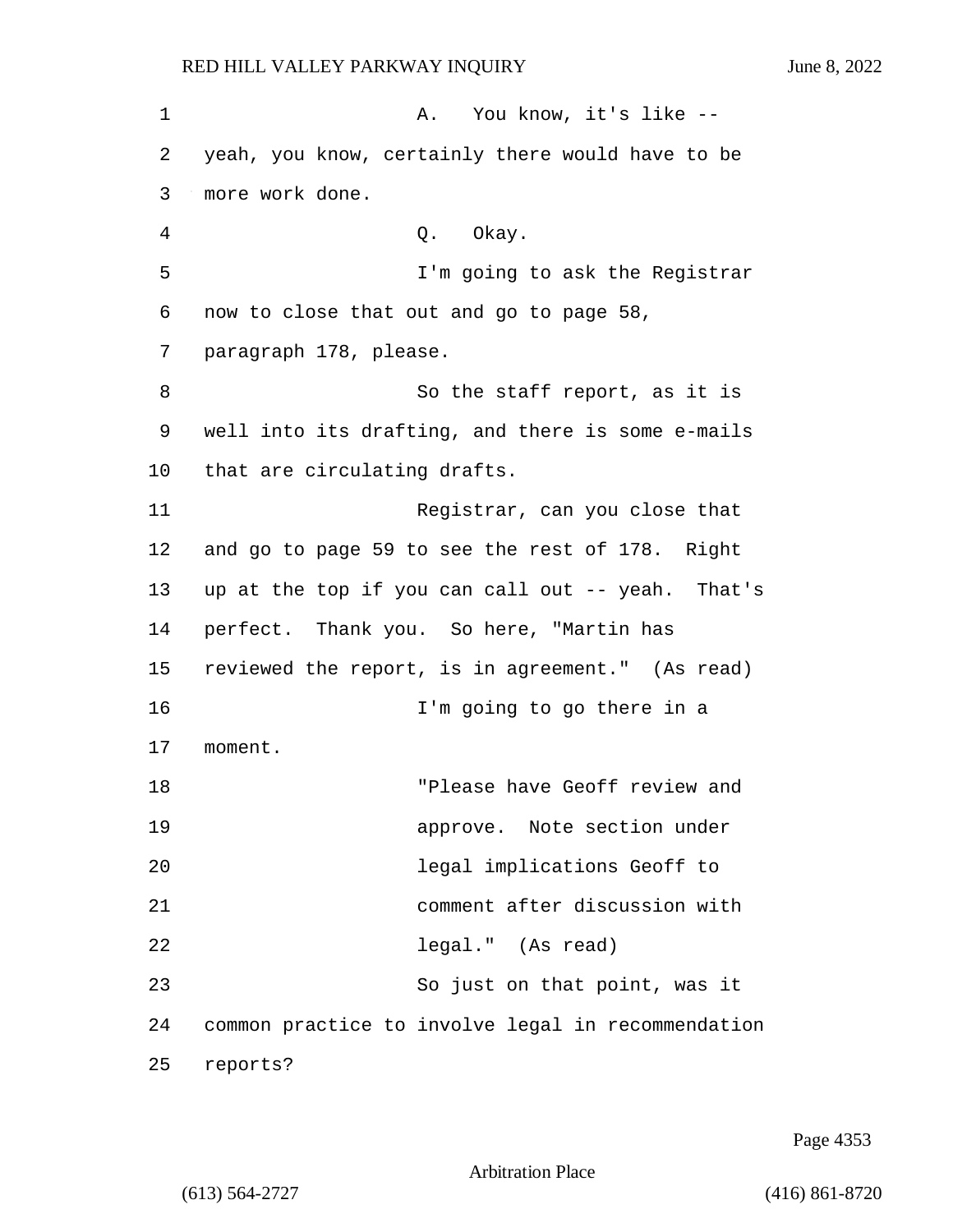1 A. You know, it's like --2 yeah, you know, certainly there would have to be 3 more work done. 4 Q. Okay. 5 I'm going to ask the Registrar 6 now to close that out and go to page 58, 7 paragraph 178, please. 8 So the staff report, as it is 9 well into its drafting, and there is some e-mails 10 that are circulating drafts. 11 Registrar, can you close that 12 and go to page 59 to see the rest of 178. Right 13 up at the top if you can call out -- yeah. That's 14 perfect. Thank you. So here, "Martin has 15 reviewed the report, is in agreement." (As read) 16 I'm going to go there in a 17 moment. 18 "Please have Geoff review and 19 approve. Note section under 20 legal implications Geoff to 21 comment after discussion with 22 legal." (As read) 23 So just on that point, was it

24 common practice to involve legal in recommendation

25 reports?

Page 4353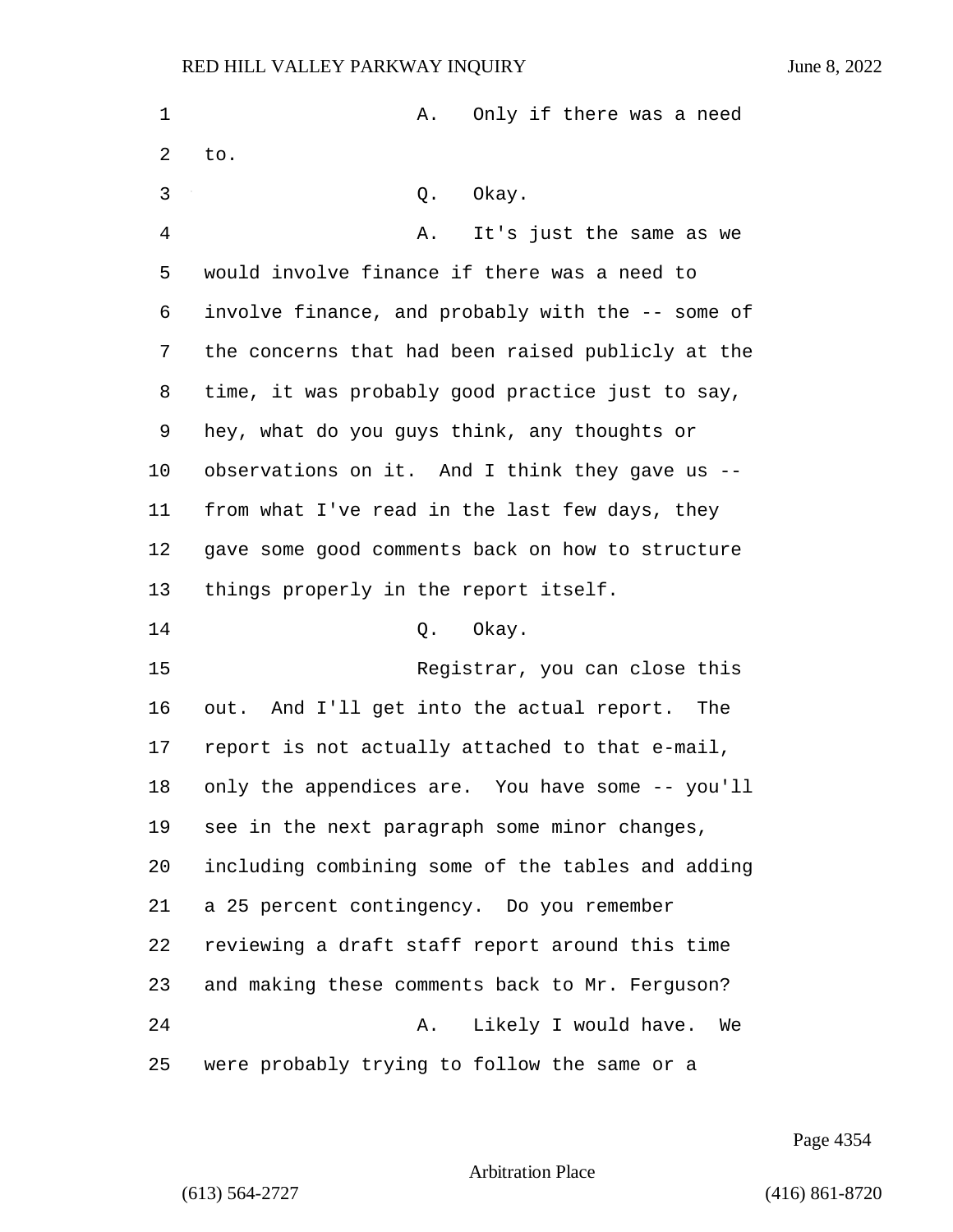| 1  | Only if there was a need<br>Α.                    |
|----|---------------------------------------------------|
| 2  | to.                                               |
| 3  | Okay.<br>Q.                                       |
| 4  | It's just the same as we<br>Α.                    |
| 5  | would involve finance if there was a need to      |
| 6  | involve finance, and probably with the -- some of |
| 7  | the concerns that had been raised publicly at the |
| 8  | time, it was probably good practice just to say,  |
| 9  | hey, what do you guys think, any thoughts or      |
| 10 | observations on it. And I think they gave us --   |
| 11 | from what I've read in the last few days, they    |
| 12 | gave some good comments back on how to structure  |
| 13 | things properly in the report itself.             |
| 14 | Okay.<br>Q.                                       |
| 15 | Registrar, you can close this                     |
| 16 | out. And I'll get into the actual report. The     |
| 17 | report is not actually attached to that e-mail,   |
| 18 | only the appendices are. You have some -- you'll  |
| 19 | see in the next paragraph some minor changes,     |
| 20 | including combining some of the tables and adding |
| 21 | a 25 percent contingency. Do you remember         |
| 22 | reviewing a draft staff report around this time   |
| 23 | and making these comments back to Mr. Ferguson?   |
| 24 | Likely I would have.<br>Α.<br>We                  |
| 25 | were probably trying to follow the same or a      |

Page 4354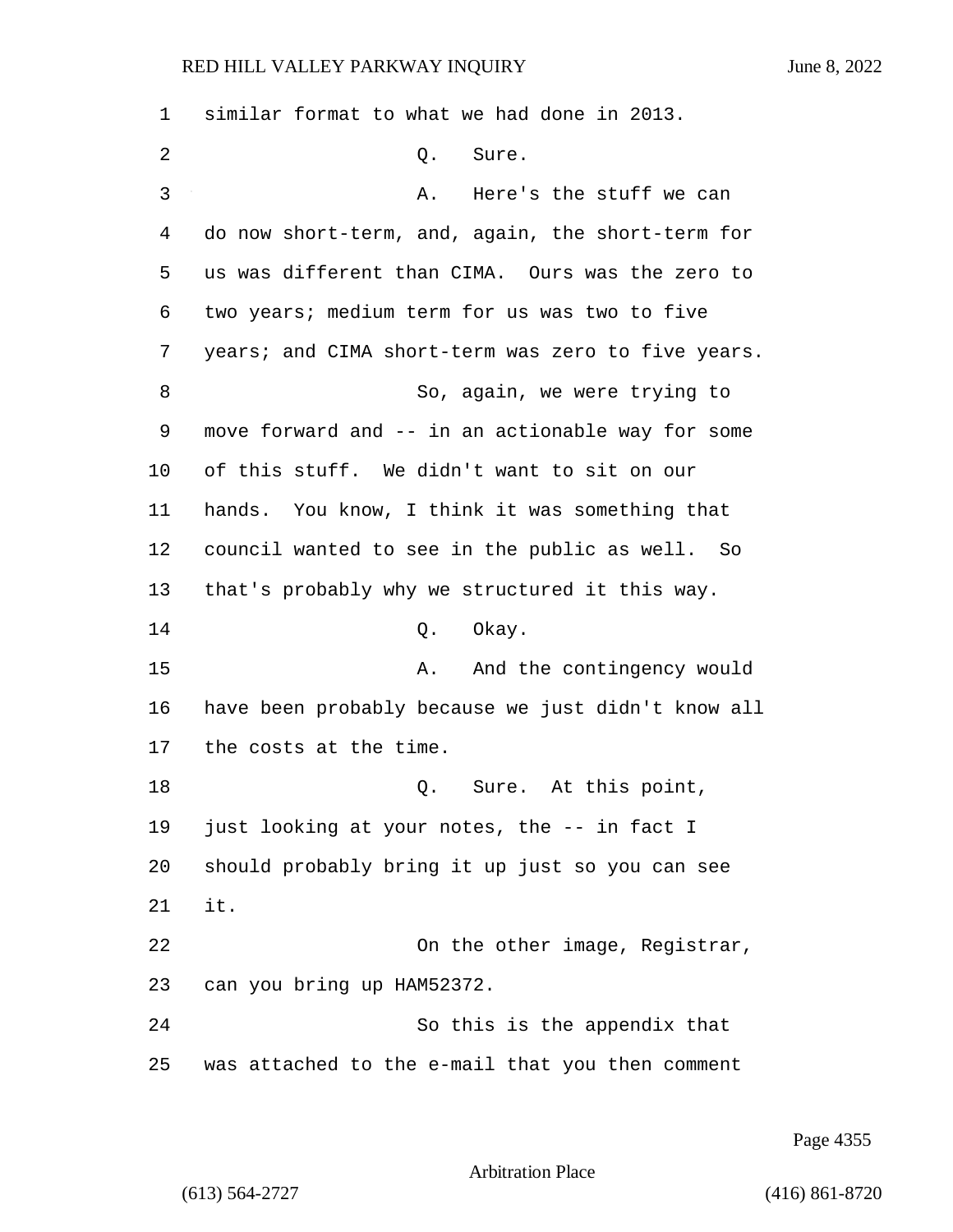| 1              | similar format to what we had done in 2013.        |
|----------------|----------------------------------------------------|
| $\overline{2}$ | Sure.<br>Q.                                        |
| 3              | Here's the stuff we can<br>Α.                      |
| 4              | do now short-term, and, again, the short-term for  |
| 5              | us was different than CIMA. Ours was the zero to   |
| 6              | two years; medium term for us was two to five      |
| 7              | years; and CIMA short-term was zero to five years. |
| 8              | So, again, we were trying to                       |
| 9              | move forward and -- in an actionable way for some  |
| 10             | of this stuff. We didn't want to sit on our        |
| 11             | hands. You know, I think it was something that     |
| 12             | council wanted to see in the public as well. So    |
| 13             | that's probably why we structured it this way.     |
| 14             | Okay.<br>Q.                                        |
| 15             | And the contingency would<br>Α.                    |
| 16             | have been probably because we just didn't know all |
| 17             | the costs at the time.                             |
| 18             | Sure. At this point,<br>Q.                         |
| 19             | just looking at your notes, the -- in fact I       |
| 20             | should probably bring it up just so you can see    |
| 21             | it.                                                |
| 22             | On the other image, Registrar,                     |
| 23             | can you bring up HAM52372.                         |
| 24             | So this is the appendix that                       |
| 25             | was attached to the e-mail that you then comment   |

Page 4355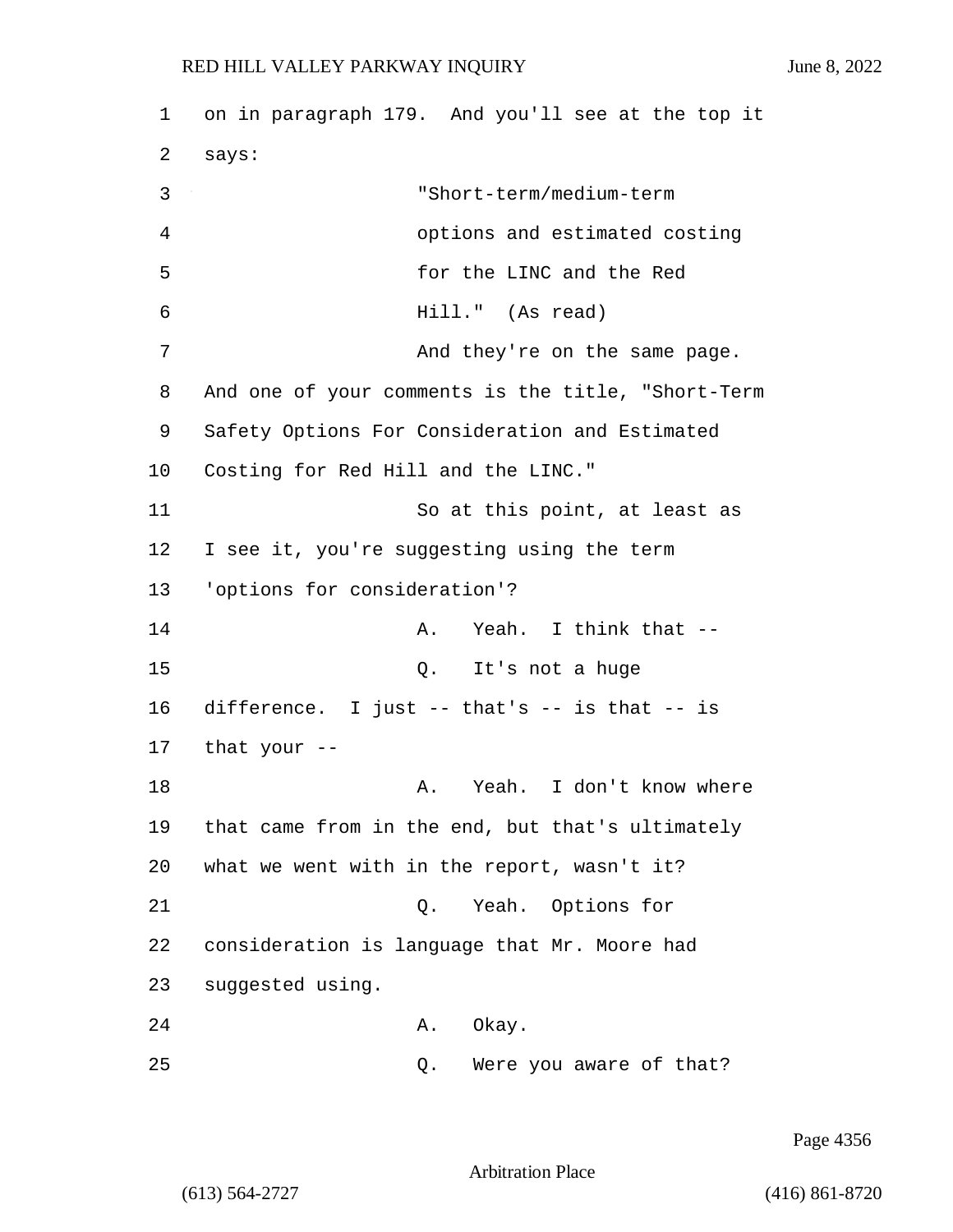1 on in paragraph 179. And you'll see at the top it 2 says: 3 "Short-term/medium-term 4 options and estimated costing 5 for the LINC and the Red 6 Hill." (As read) 7 And they're on the same page. 8 And one of your comments is the title, "Short-Term 9 Safety Options For Consideration and Estimated 10 Costing for Red Hill and the LINC." 11 So at this point, at least as 12 I see it, you're suggesting using the term 13 'options for consideration'? 14 A. Yeah. I think that -- 15 Q. It's not a huge 16 difference. I just -- that's -- is that -- is 17 that your -- 18 A. Yeah. I don't know where 19 that came from in the end, but that's ultimately 20 what we went with in the report, wasn't it? 21 Q. Yeah. Options for 22 consideration is language that Mr. Moore had 23 suggested using. 24 A. Okay.

25 Q. Were you aware of that?

Page 4356

Arbitration Place

(613) 564-2727 (416) 861-8720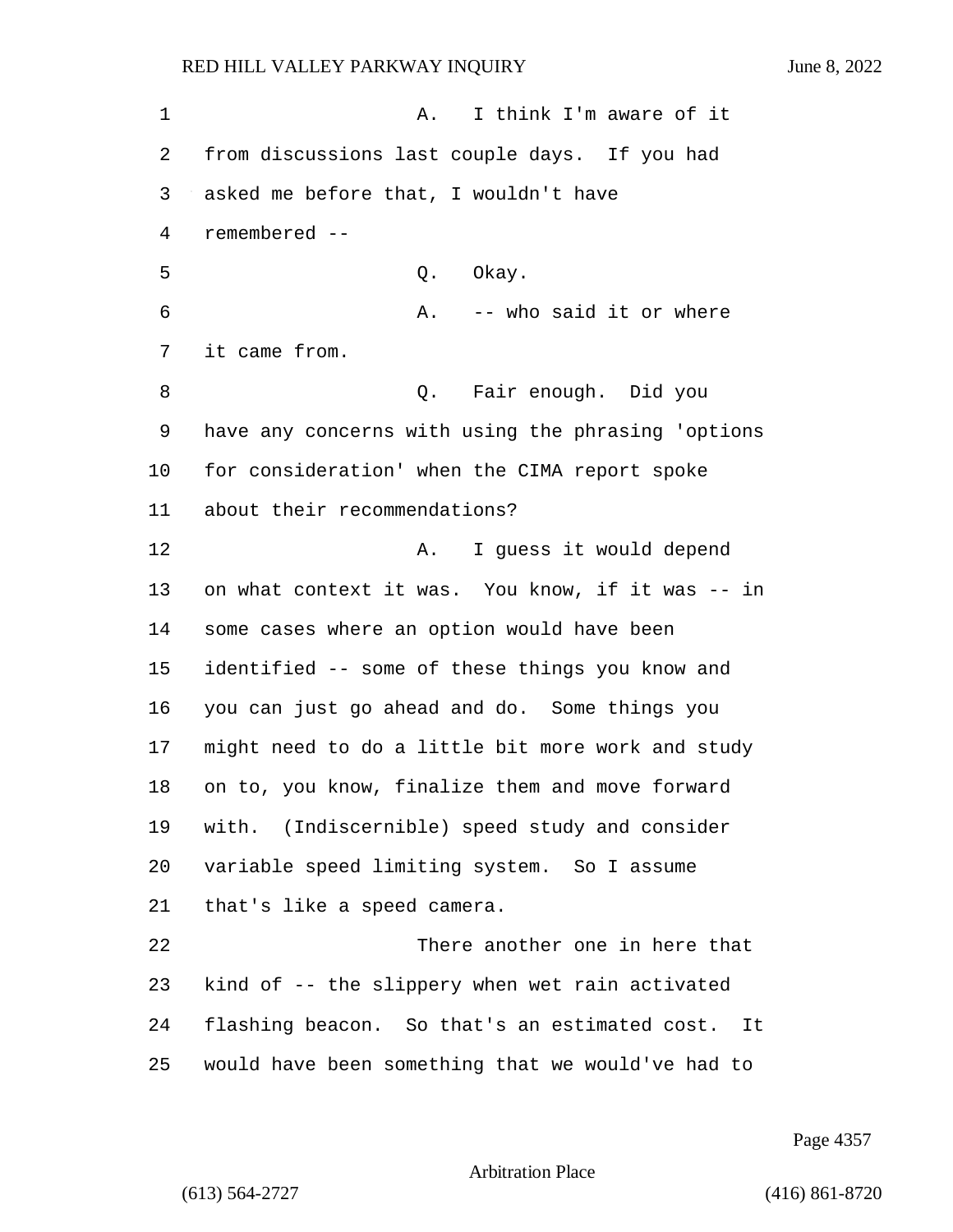1 A. I think I'm aware of it from discussions last couple days. If you had asked me before that, I wouldn't have remembered -- 5 Q. Okay. 6 A. -- who said it or where it came from. 8 Q. Fair enough. Did you have any concerns with using the phrasing 'options for consideration' when the CIMA report spoke about their recommendations? 12 A. I guess it would depend on what context it was. You know, if it was -- in some cases where an option would have been identified -- some of these things you know and you can just go ahead and do. Some things you might need to do a little bit more work and study on to, you know, finalize them and move forward with. (Indiscernible) speed study and consider variable speed limiting system. So I assume that's like a speed camera. 22 There another one in here that kind of -- the slippery when wet rain activated flashing beacon. So that's an estimated cost. It would have been something that we would've had to

Page 4357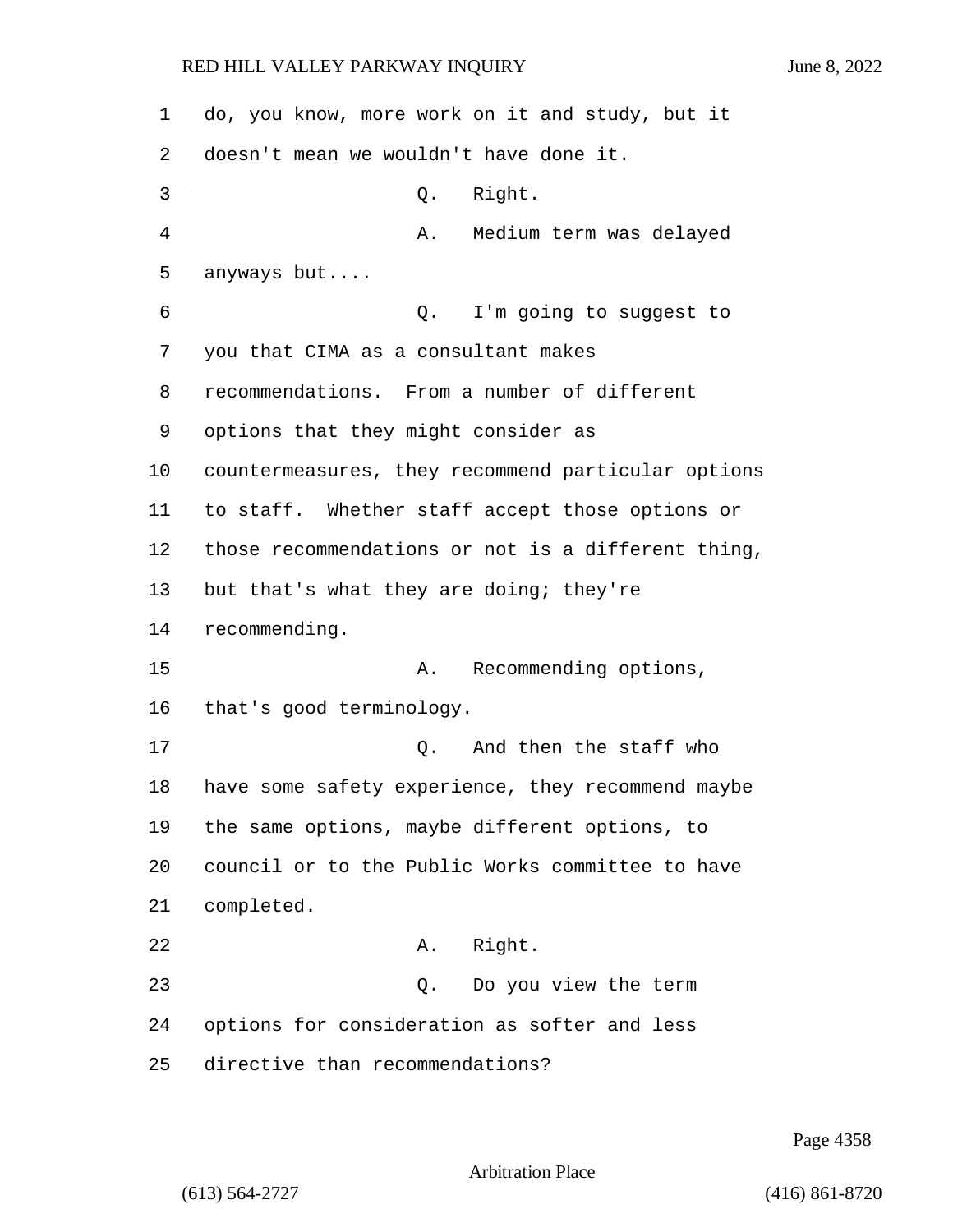| 1  | do, you know, more work on it and study, but it    |
|----|----------------------------------------------------|
| 2  | doesn't mean we wouldn't have done it.             |
| 3  | Right.<br>Q.                                       |
| 4  | Medium term was delayed<br>Α.                      |
| 5  | anyways but                                        |
| 6  | I'm going to suggest to<br>Q.                      |
| 7  | you that CIMA as a consultant makes                |
| 8  | recommendations. From a number of different        |
| 9  | options that they might consider as                |
| 10 | countermeasures, they recommend particular options |
| 11 | to staff. Whether staff accept those options or    |
| 12 | those recommendations or not is a different thing, |
| 13 | but that's what they are doing; they're            |
| 14 | recommending.                                      |
| 15 | Recommending options,<br>Α.                        |
| 16 | that's good terminology.                           |
| 17 | And then the staff who<br>Q.                       |
| 18 | have some safety experience, they recommend maybe  |
| 19 | the same options, maybe different options, to      |
| 20 | council or to the Public Works committee to have   |
| 21 | completed.                                         |
| 22 | Right.<br>Α.                                       |
| 23 | Do you view the term<br>Q.                         |
| 24 | options for consideration as softer and less       |
| 25 | directive than recommendations?                    |

Page 4358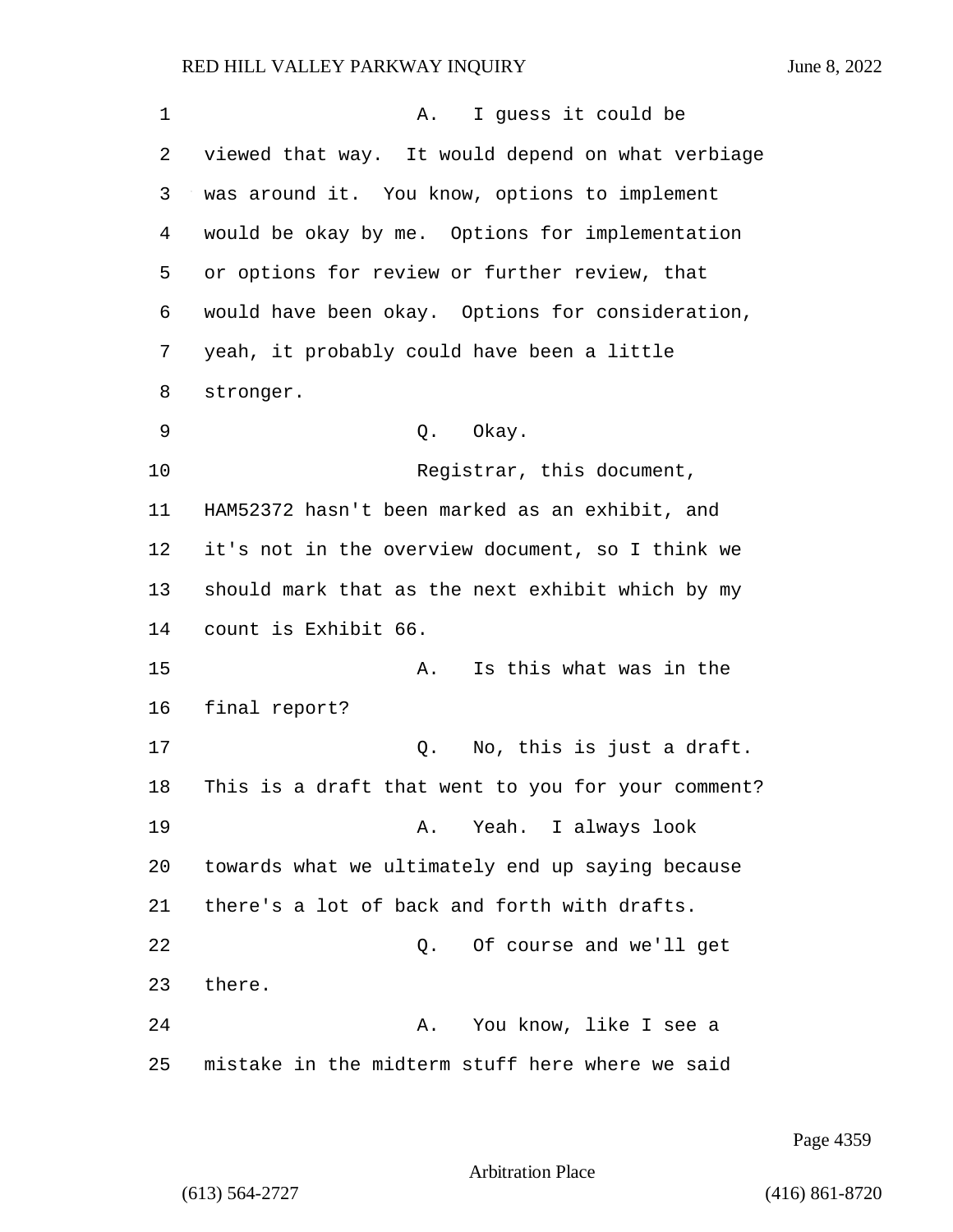1 A. I quess it could be viewed that way. It would depend on what verbiage was around it. You know, options to implement would be okay by me. Options for implementation or options for review or further review, that would have been okay. Options for consideration, yeah, it probably could have been a little stronger. 9 Q. Okay. 10 Registrar, this document, HAM52372 hasn't been marked as an exhibit, and it's not in the overview document, so I think we should mark that as the next exhibit which by my count is Exhibit 66. 15 A. Is this what was in the final report? 17 Q. No, this is just a draft. This is a draft that went to you for your comment? 19 A. Yeah. I always look towards what we ultimately end up saying because there's a lot of back and forth with drafts. 22 Q. Of course and we'll get 23 there. 24 A. You know, like I see a mistake in the midterm stuff here where we said

Page 4359

Arbitration Place

(613) 564-2727 (416) 861-8720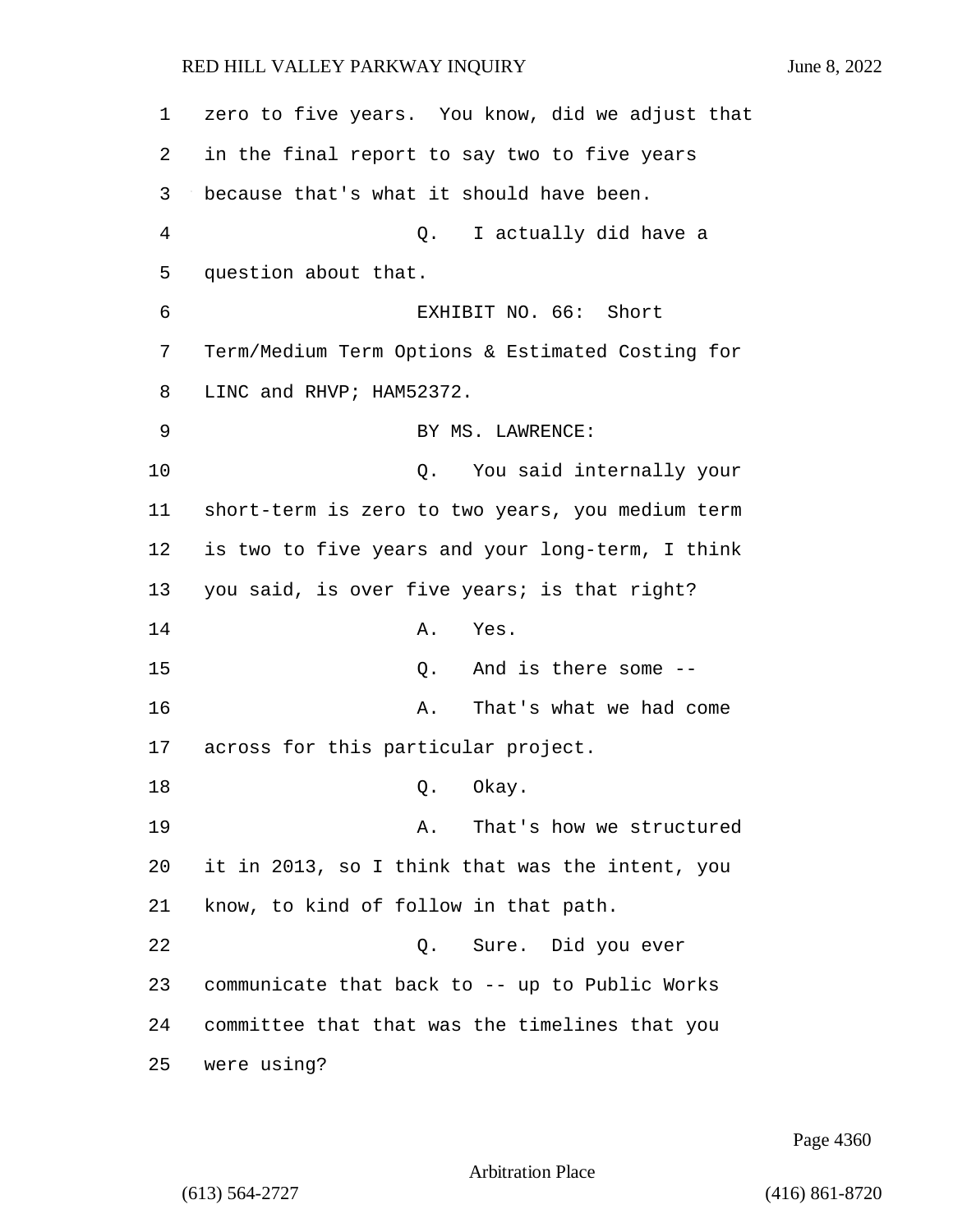| 1              | zero to five years. You know, did we adjust that |
|----------------|--------------------------------------------------|
| 2              | in the final report to say two to five years     |
| 3              | because that's what it should have been.         |
| $\overline{4}$ | I actually did have a<br>Q.                      |
| 5              | question about that.                             |
| 6              | EXHIBIT NO. 66: Short                            |
| 7              | Term/Medium Term Options & Estimated Costing for |
| 8              | LINC and RHVP; HAM52372.                         |
| 9              | BY MS. LAWRENCE:                                 |
| 10             | Q. You said internally your                      |
| 11             | short-term is zero to two years, you medium term |
| 12             | is two to five years and your long-term, I think |
| 13             | you said, is over five years; is that right?     |
| 14             | Α.<br>Yes.                                       |
| 15             | And is there some --<br>Q.                       |
| 16             | That's what we had come<br>Α.                    |
| 17             | across for this particular project.              |
| 18             | Okay.<br>Q.                                      |
| 19             | That's how we structured<br>A.                   |
| 20             | it in 2013, so I think that was the intent, you  |
| 21             | know, to kind of follow in that path.            |
| 22             | Q. Sure. Did you ever                            |
| 23             | communicate that back to -- up to Public Works   |
| 24             | committee that that was the timelines that you   |
| 25             | were using?                                      |

Page 4360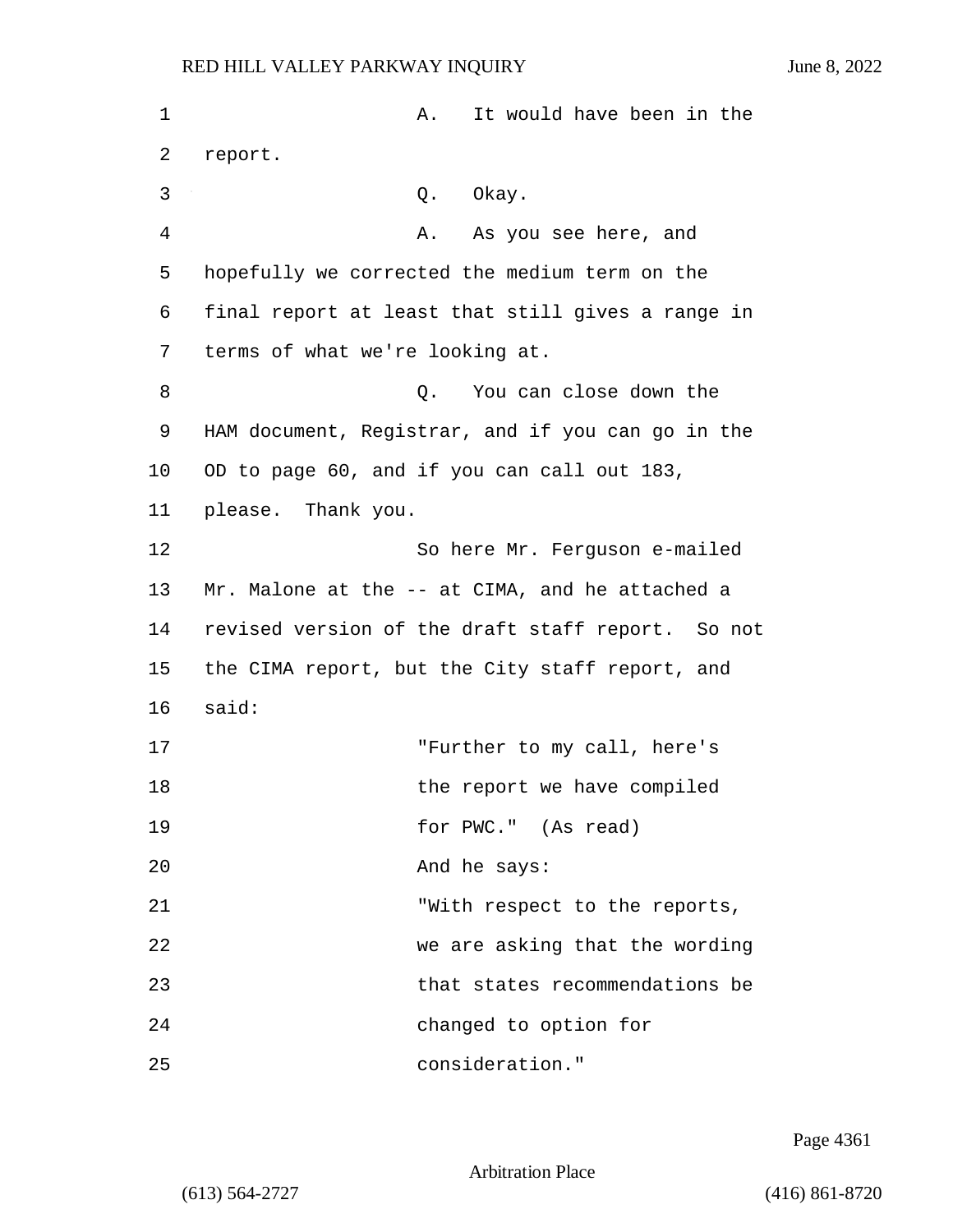| 1  | It would have been in the<br>А.                   |
|----|---------------------------------------------------|
| 2  | report.                                           |
| 3  | Okay.<br>Q.                                       |
| 4  | As you see here, and<br>А.                        |
| 5  | hopefully we corrected the medium term on the     |
| 6  | final report at least that still gives a range in |
| 7  | terms of what we're looking at.                   |
| 8  | You can close down the<br>Q.                      |
| 9  | HAM document, Registrar, and if you can go in the |
| 10 | OD to page 60, and if you can call out 183,       |
| 11 | please. Thank you.                                |
| 12 | So here Mr. Ferguson e-mailed                     |
| 13 | Mr. Malone at the -- at CIMA, and he attached a   |
| 14 | revised version of the draft staff report. So not |
| 15 | the CIMA report, but the City staff report, and   |
| 16 | said:                                             |
| 17 | "Further to my call, here's                       |
| 18 | the report we have compiled                       |
| 19 | for PWC." (As read)                               |
| 20 | And he says:                                      |
| 21 | "With respect to the reports,                     |
| 22 | we are asking that the wording                    |
| 23 | that states recommendations be                    |
| 24 | changed to option for                             |
| 25 | consideration."                                   |

Page 4361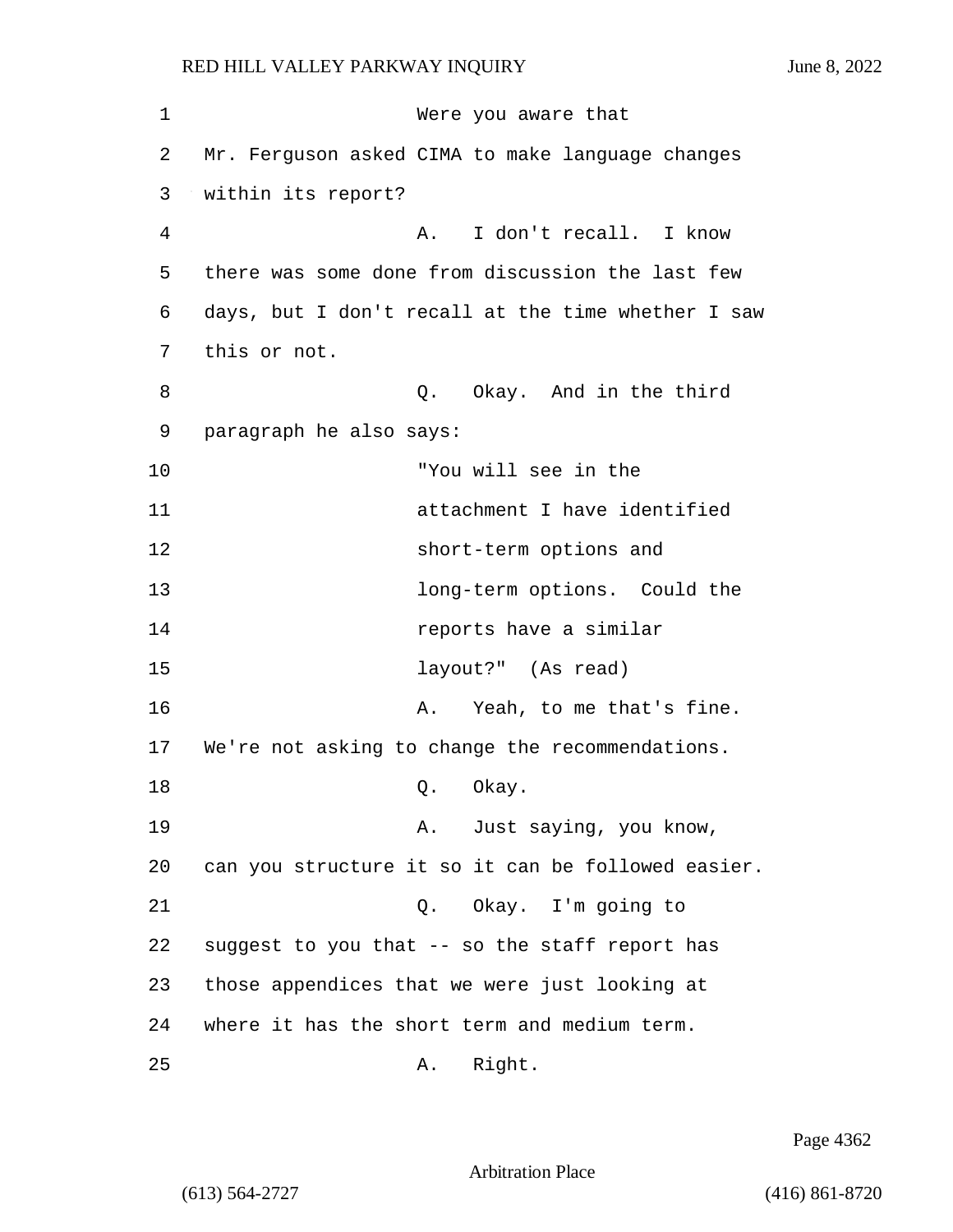1 Were you aware that 2 Mr. Ferguson asked CIMA to make language changes 3 within its report? 4 A. I don't recall. I know 5 there was some done from discussion the last few 6 days, but I don't recall at the time whether I saw 7 this or not. 8 and in the third g. Okay. And in the third 9 paragraph he also says: 10 "You will see in the 11 attachment I have identified 12 short-term options and 13 **13** long-term options. Could the 14 reports have a similar 15 layout?" (As read) 16 A. Yeah, to me that's fine. 17 We're not asking to change the recommendations. 18 Q. Okay. 19 A. Just saying, you know, 20 can you structure it so it can be followed easier. 21 Q. Okay. I'm going to 22 suggest to you that -- so the staff report has 23 those appendices that we were just looking at 24 where it has the short term and medium term. 25 A. Right.

Page 4362

Arbitration Place

(613) 564-2727 (416) 861-8720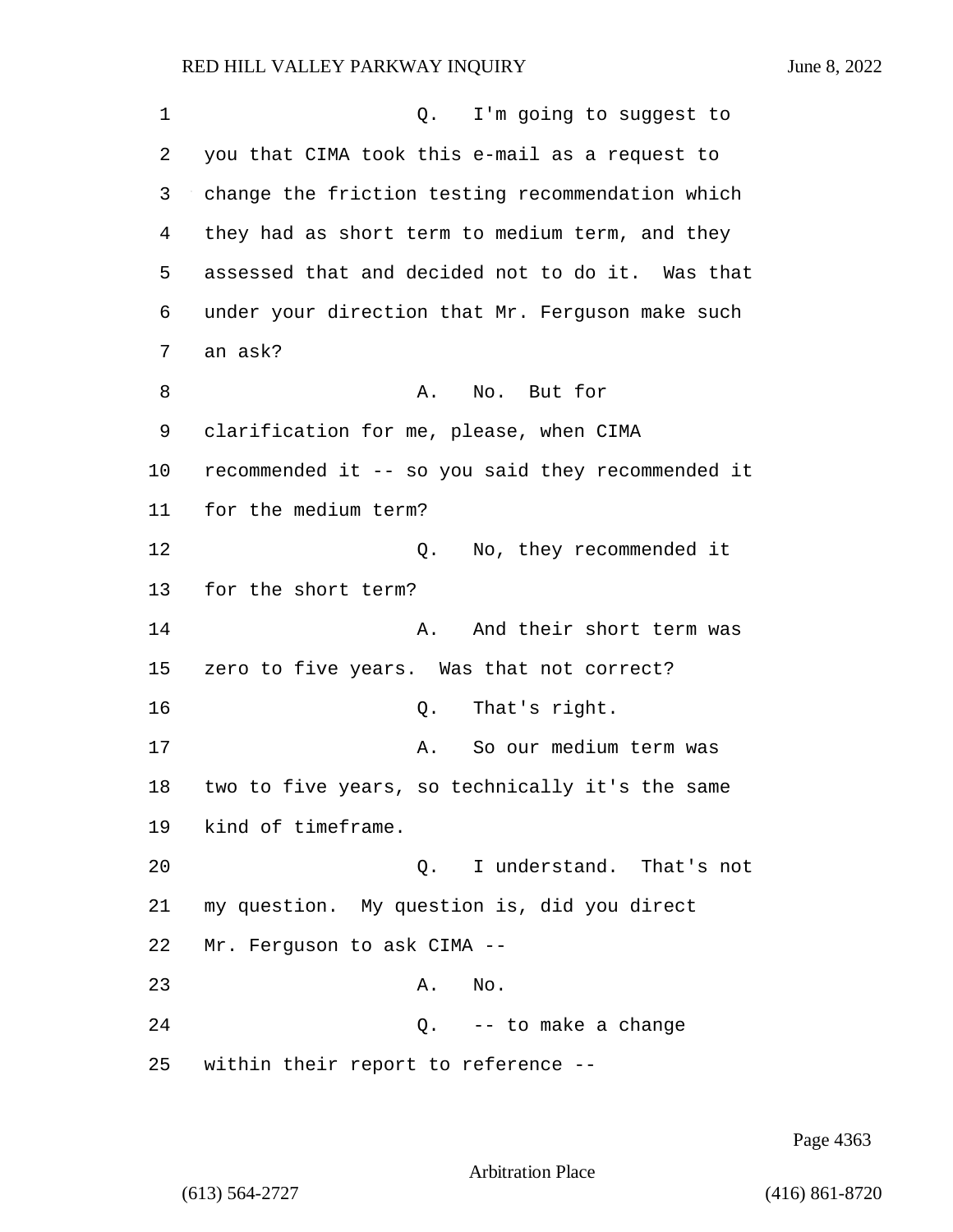1 Q. I'm going to suggest to 2 you that CIMA took this e-mail as a request to 3 change the friction testing recommendation which 4 they had as short term to medium term, and they 5 assessed that and decided not to do it. Was that 6 under your direction that Mr. Ferguson make such 7 an ask? 8 A. No. But for 9 clarification for me, please, when CIMA 10 recommended it -- so you said they recommended it 11 for the medium term? 12 O. No, they recommended it 13 for the short term? 14 A. And their short term was 15 zero to five years. Was that not correct? 16 Q. That's right. 17 A. So our medium term was 18 two to five years, so technically it's the same 19 kind of timeframe. 20 Q. I understand. That's not 21 my question. My question is, did you direct 22 Mr. Ferguson to ask CIMA -- 23 A. No. 24 Q. -- to make a change 25 within their report to reference --

Page 4363

Arbitration Place

(613) 564-2727 (416) 861-8720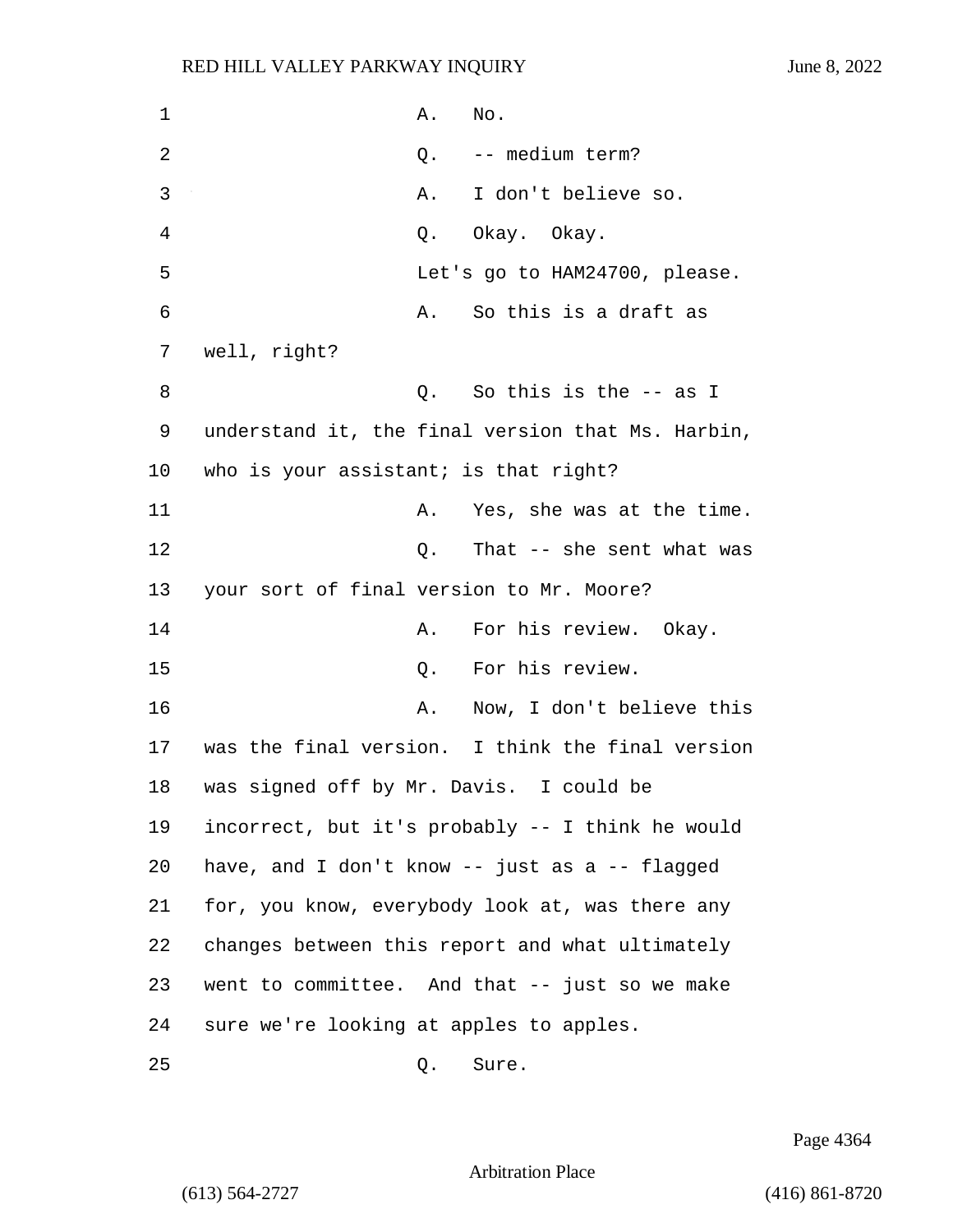1 A. No. 2 Q. -- medium term? 3 A. I don't believe so. 4 Q. Okay. Okay. 5 Let's go to HAM24700, please. 6 A. So this is a draft as 7 well, right? 8 Q. So this is the -- as I 9 understand it, the final version that Ms. Harbin, 10 who is your assistant; is that right? 11 A. Yes, she was at the time. 12 Q. That -- she sent what was 13 your sort of final version to Mr. Moore? 14 **A.** For his review. Okay. 15 Q. For his review. 16 A. Now, I don't believe this 17 was the final version. I think the final version 18 was signed off by Mr. Davis. I could be 19 incorrect, but it's probably -- I think he would 20 have, and I don't know -- just as a -- flagged 21 for, you know, everybody look at, was there any 22 changes between this report and what ultimately 23 went to committee. And that -- just so we make 24 sure we're looking at apples to apples. 25 Q. Sure.

Page 4364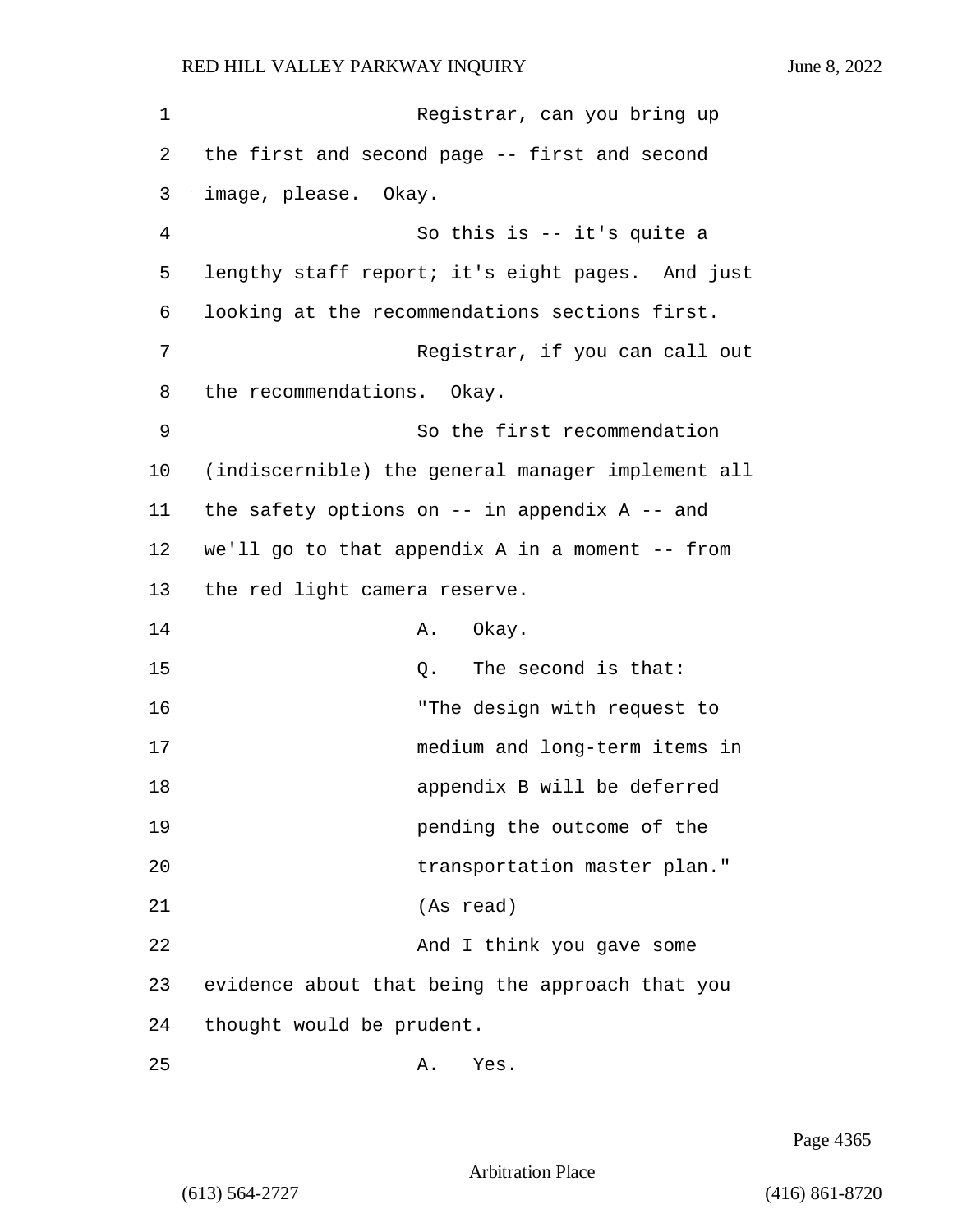1 Registrar, can you bring up 2 the first and second page -- first and second 3 image, please. Okay. 4 So this is -- it's quite a 5 lengthy staff report; it's eight pages. And just 6 looking at the recommendations sections first. 7 Registrar, if you can call out 8 the recommendations. Okay. 9 So the first recommendation 10 (indiscernible) the general manager implement all 11 the safety options on -- in appendix A -- and 12 we'll go to that appendix A in a moment -- from 13 the red light camera reserve. 14 A. Okay. 15 C. The second is that: 16 "The design with request to 17 medium and long-term items in 18 appendix B will be deferred 19 pending the outcome of the 20 transportation master plan." 21 (As read) 22 And I think you gave some 23 evidence about that being the approach that you 24 thought would be prudent.  $25$  A. Yes.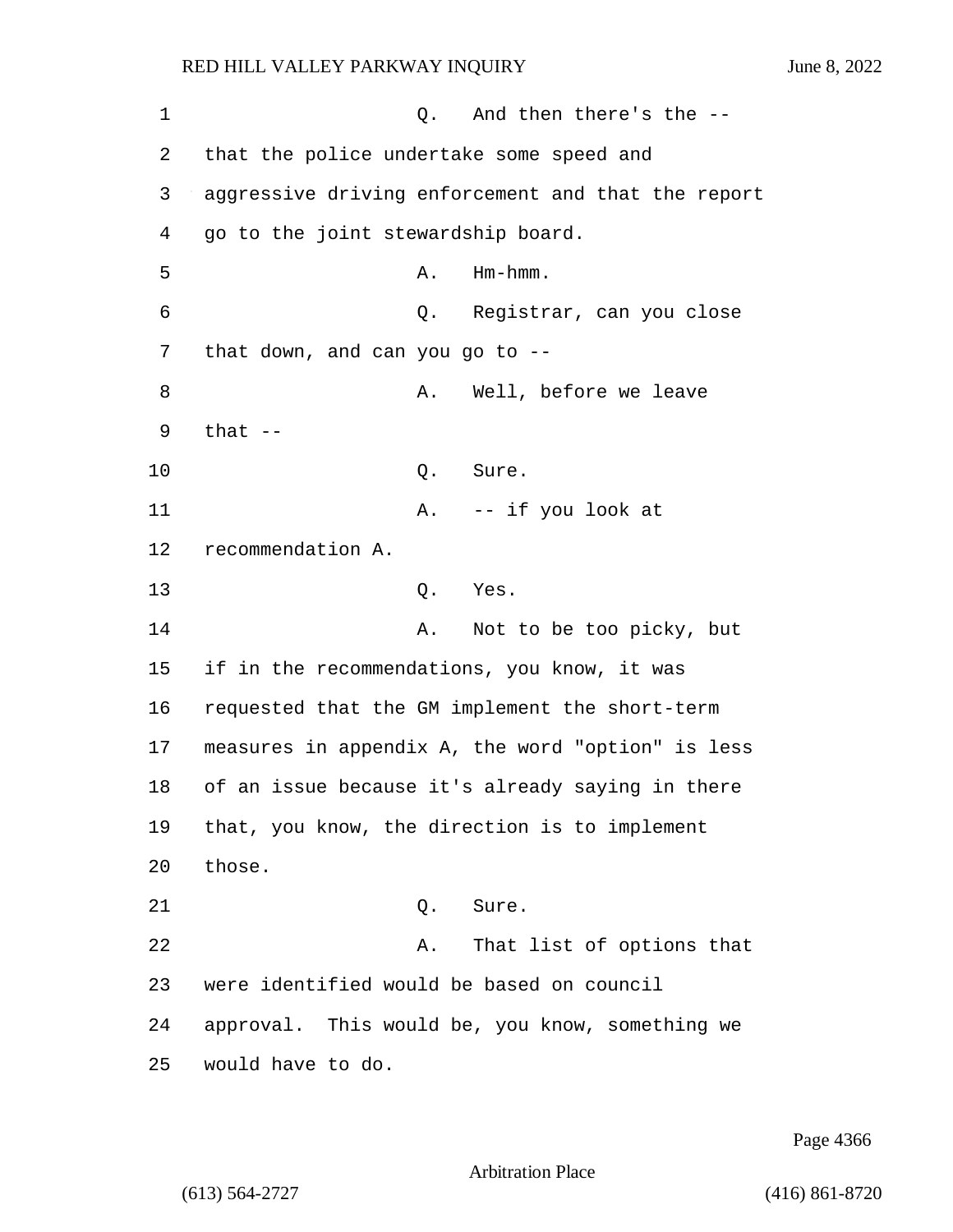| 1  | And then there's the --<br>Q.                      |
|----|----------------------------------------------------|
| 2  | that the police undertake some speed and           |
| 3  | aggressive driving enforcement and that the report |
| 4  | go to the joint stewardship board.                 |
| 5  | Hm-hmm.<br>Α.                                      |
| 6  | Q. Registrar, can you close                        |
| 7  | that down, and can you go to $-$ -                 |
| 8  | Well, before we leave<br>Α.                        |
| 9  | that $-$                                           |
| 10 | Q.<br>Sure.                                        |
| 11 | A. -- if you look at                               |
| 12 | recommendation A.                                  |
| 13 | Yes.<br>Q.                                         |
| 14 | Not to be too picky, but<br>Α.                     |
| 15 | if in the recommendations, you know, it was        |
| 16 | requested that the GM implement the short-term     |
| 17 | measures in appendix A, the word "option" is less  |
| 18 | of an issue because it's already saying in there   |
| 19 | that, you know, the direction is to implement      |
| 20 | those.                                             |
| 21 | Sure.<br>Q.                                        |
| 22 | That list of options that<br>Α.                    |
| 23 | were identified would be based on council          |
| 24 | approval. This would be, you know, something we    |
| 25 | would have to do.                                  |

Page 4366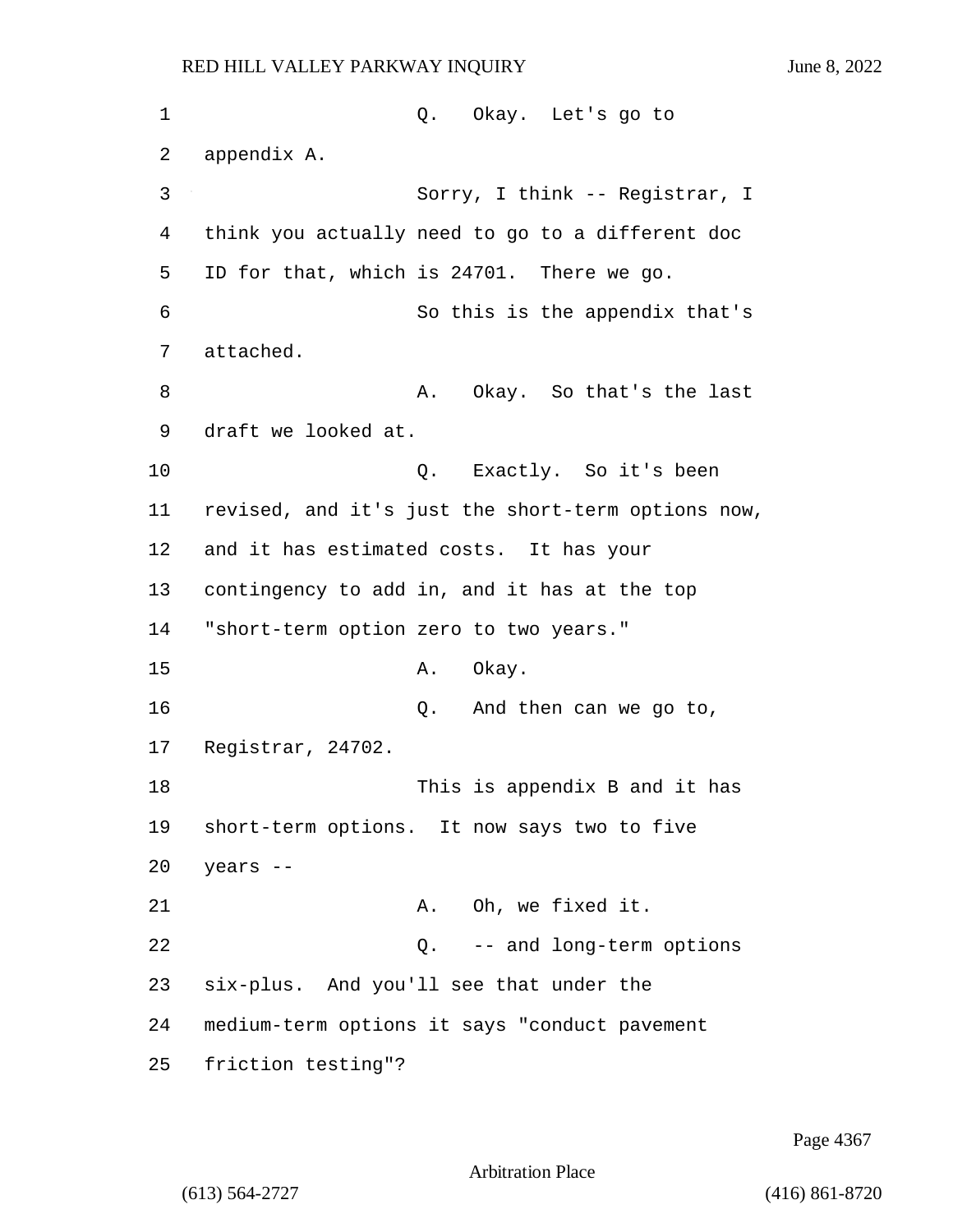1 Q. Okay. Let's go to 2 appendix A. 3 Sorry, I think -- Registrar, I 4 think you actually need to go to a different doc 5 ID for that, which is 24701. There we go. 6 So this is the appendix that's 7 attached. 8 A. Okay. So that's the last 9 draft we looked at. 10 Q. Exactly. So it's been 11 revised, and it's just the short-term options now, 12 and it has estimated costs. It has your 13 contingency to add in, and it has at the top 14 "short-term option zero to two years." 15 A. Okay. 16 Q. And then can we go to, 17 Registrar, 24702. 18 This is appendix B and it has 19 short-term options. It now says two to five 20 years -- 21 A. Oh, we fixed it. 22 Q. -- and long-term options 23 six-plus. And you'll see that under the 24 medium-term options it says "conduct pavement 25 friction testing"?

Page 4367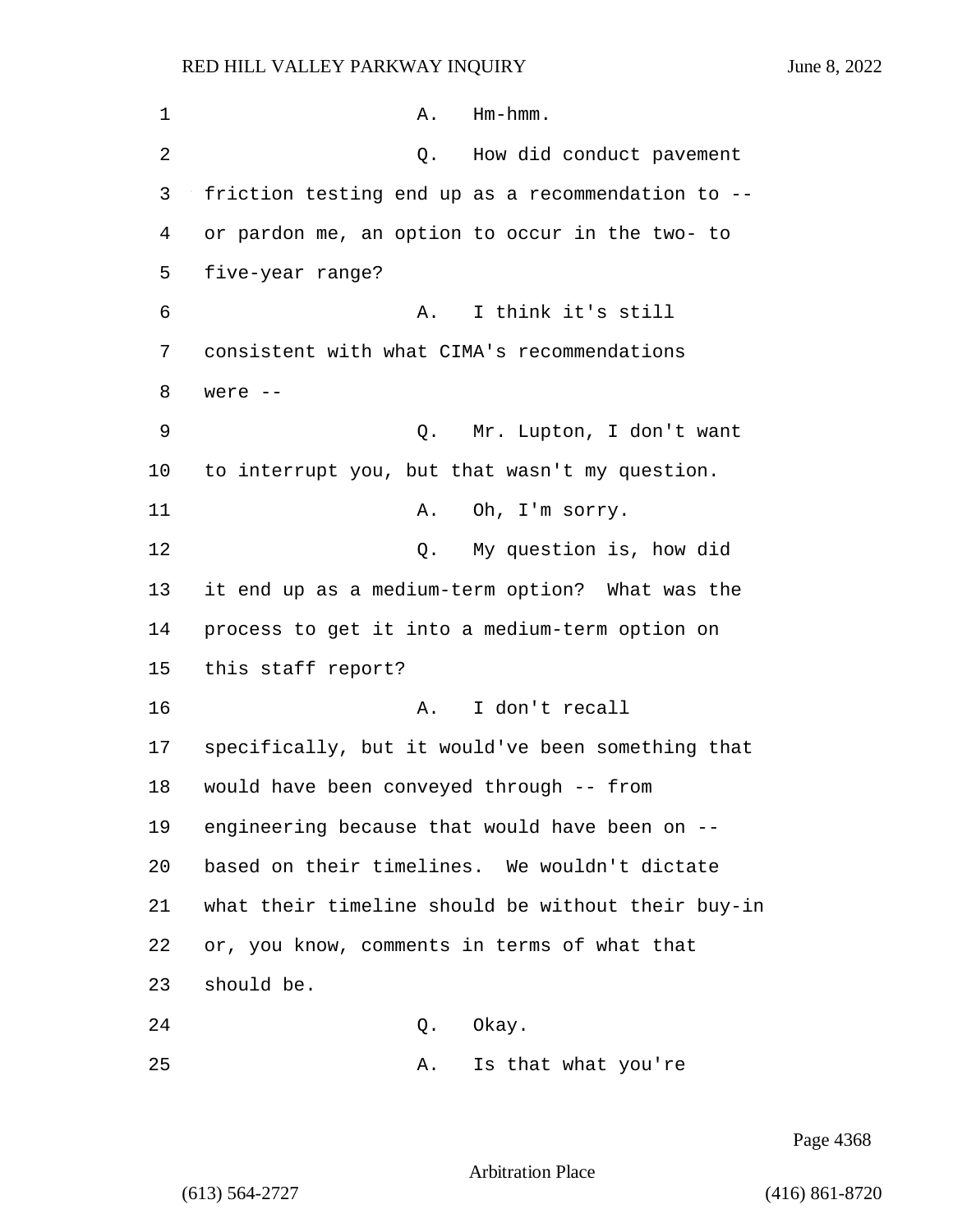| 1  | $Hm-hmm$ .<br>Α.                                   |
|----|----------------------------------------------------|
| 2  | How did conduct pavement<br>Q.                     |
| 3  | friction testing end up as a recommendation to --  |
| 4  | or pardon me, an option to occur in the two- to    |
| 5  | five-year range?                                   |
| 6  | I think it's still<br>Α.                           |
| 7  | consistent with what CIMA's recommendations        |
| 8  | were --                                            |
| 9  | Mr. Lupton, I don't want<br>Q.                     |
| 10 | to interrupt you, but that wasn't my question.     |
| 11 | Oh, I'm sorry.<br>Α.                               |
| 12 | My question is, how did<br>Q.                      |
| 13 | it end up as a medium-term option? What was the    |
| 14 | process to get it into a medium-term option on     |
| 15 | this staff report?                                 |
| 16 | I don't recall<br>Α.                               |
| 17 | specifically, but it would've been something that  |
| 18 | would have been conveyed through -- from           |
| 19 | engineering because that would have been on --     |
| 20 | based on their timelines. We wouldn't dictate      |
| 21 | what their timeline should be without their buy-in |
| 22 | or, you know, comments in terms of what that       |
| 23 | should be.                                         |
| 24 | Okay.<br>Q.                                        |
| 25 | Is that what you're<br>Α.                          |

Page 4368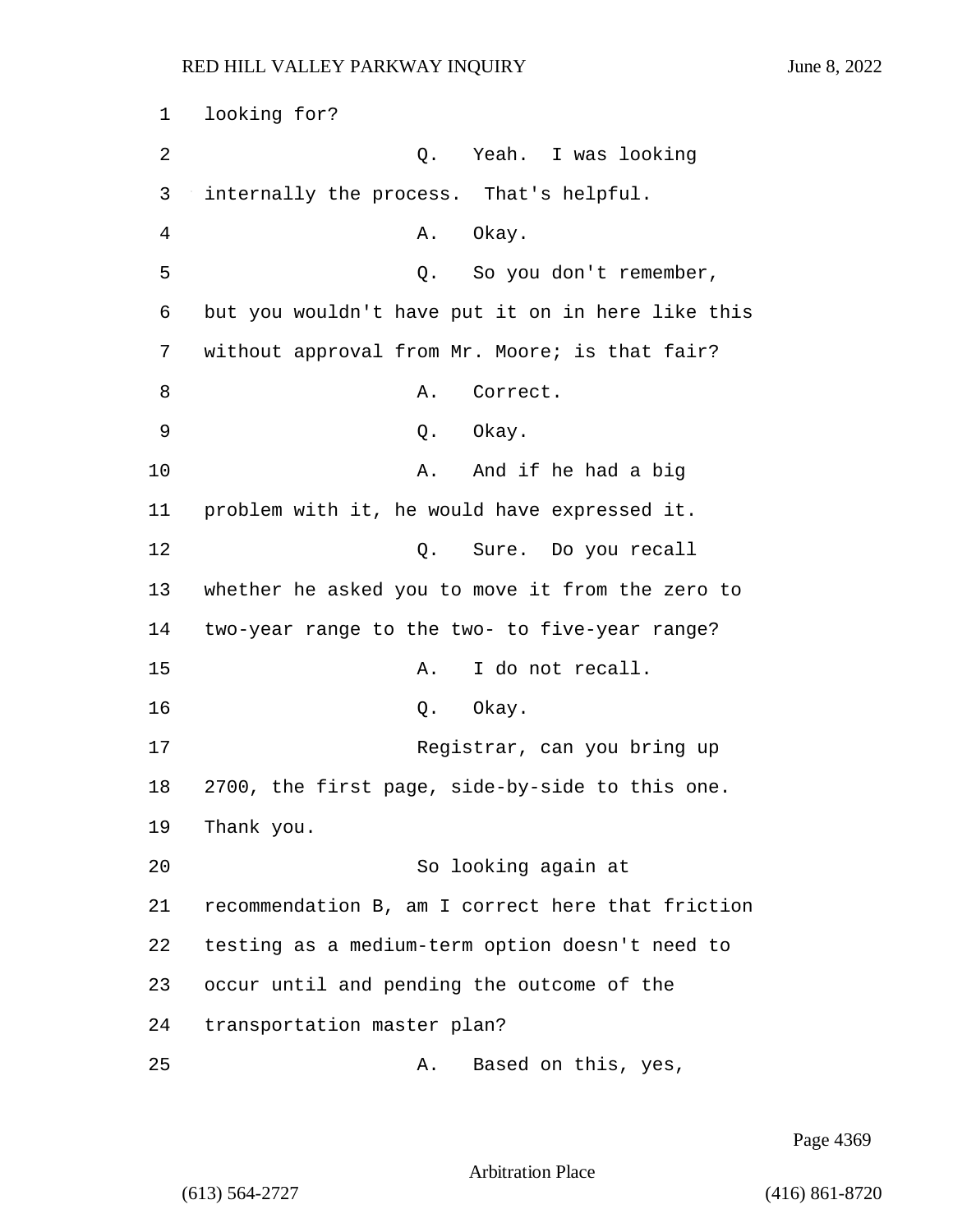1 looking for? 2 Q. Yeah. I was looking 3 internally the process. That's helpful. 4 A. Okay. 5 Q. So you don't remember, 6 but you wouldn't have put it on in here like this 7 without approval from Mr. Moore; is that fair? 8 A. Correct. 9 Q. Okay. 10 A. And if he had a big 11 problem with it, he would have expressed it. 12 O. Sure. Do you recall 13 whether he asked you to move it from the zero to 14 two-year range to the two- to five-year range? 15 A. I do not recall. 16 Q. Okay. 17 Registrar, can you bring up 18 2700, the first page, side-by-side to this one. 19 Thank you. 20 So looking again at 21 recommendation B, am I correct here that friction 22 testing as a medium-term option doesn't need to 23 occur until and pending the outcome of the 24 transportation master plan? 25 A. Based on this, yes,

Page 4369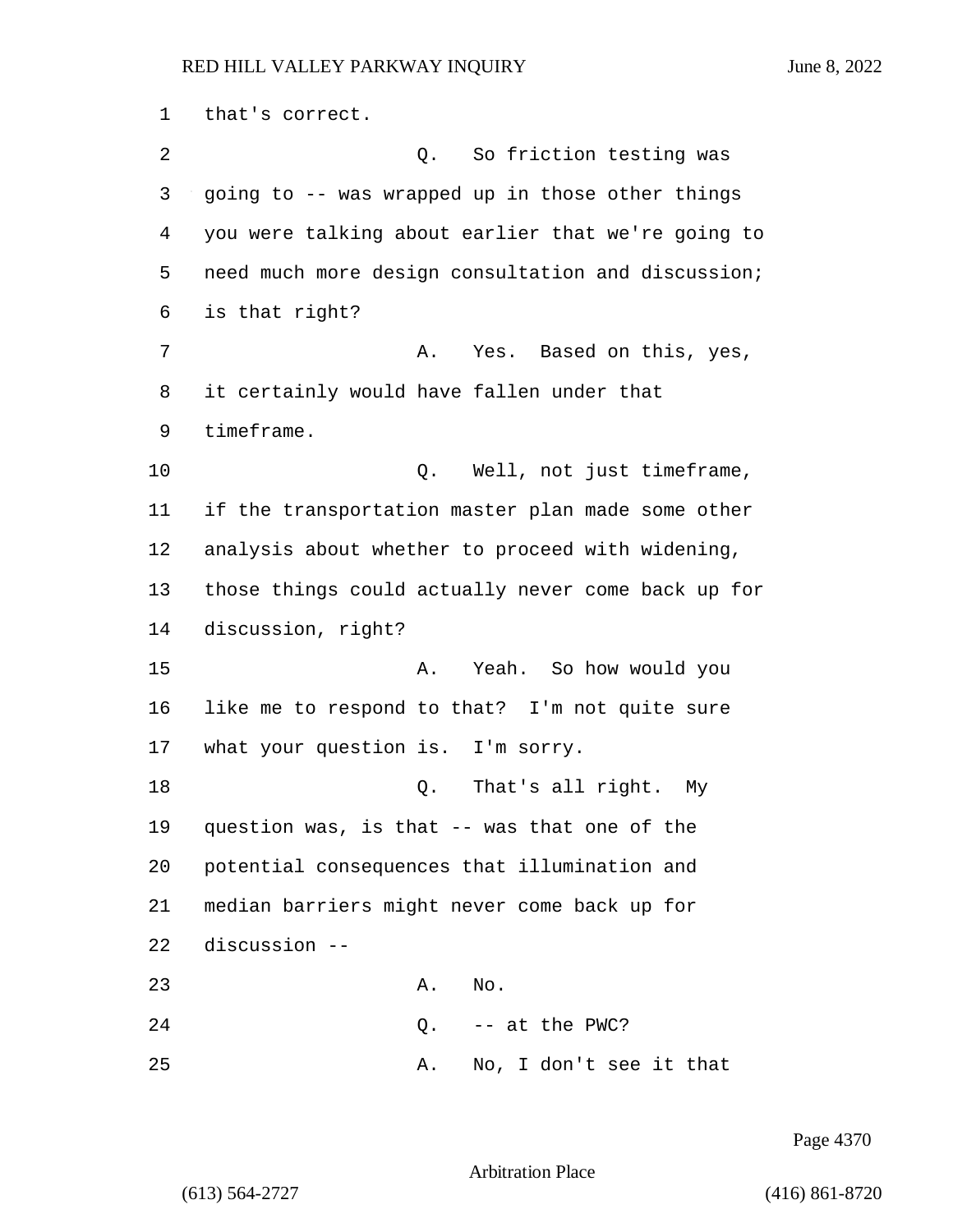that's correct. 2 Q. So friction testing was going to -- was wrapped up in those other things you were talking about earlier that we're going to need much more design consultation and discussion; is that right? 7 A. Yes. Based on this, yes, it certainly would have fallen under that timeframe. 10 Q. Well, not just timeframe, if the transportation master plan made some other analysis about whether to proceed with widening, those things could actually never come back up for discussion, right? 15 A. Yeah. So how would you like me to respond to that? I'm not quite sure what your question is. I'm sorry. 18 Q. That's all right. My question was, is that -- was that one of the potential consequences that illumination and median barriers might never come back up for discussion -- 23 A. No. Q.  $-$  at the PWC? 25 A. No, I don't see it that

Page 4370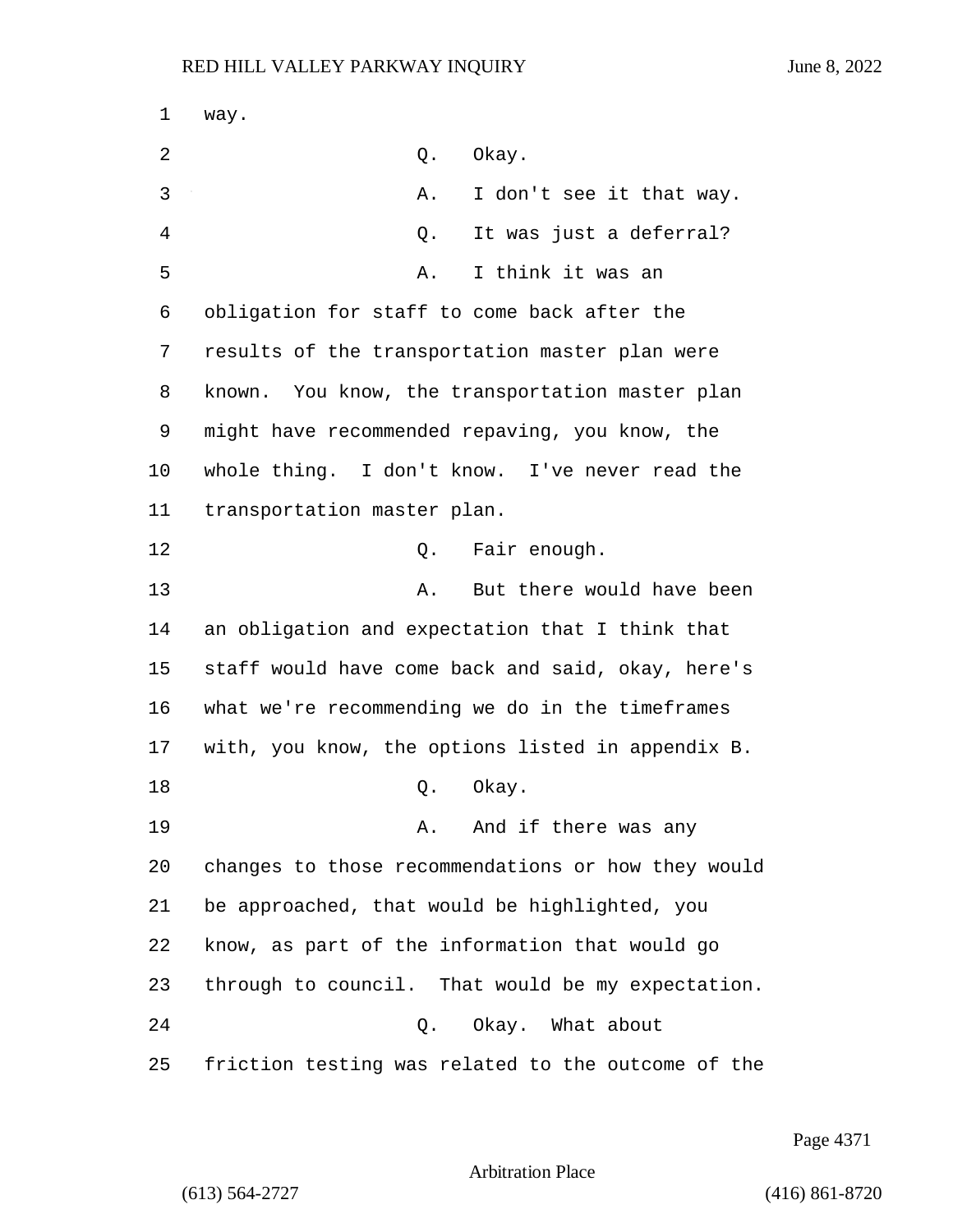1 way. 2 Q. Okay. 3 A. I don't see it that way. 4 Q. It was just a deferral? 5 A. I think it was an 6 obligation for staff to come back after the 7 results of the transportation master plan were 8 known. You know, the transportation master plan 9 might have recommended repaving, you know, the 10 whole thing. I don't know. I've never read the 11 transportation master plan. 12 C. Fair enough. 13 A. But there would have been 14 an obligation and expectation that I think that 15 staff would have come back and said, okay, here's 16 what we're recommending we do in the timeframes 17 with, you know, the options listed in appendix B. 18 Q. Okay. 19 A. And if there was any 20 changes to those recommendations or how they would 21 be approached, that would be highlighted, you 22 know, as part of the information that would go 23 through to council. That would be my expectation. 24 Q. Okay. What about 25 friction testing was related to the outcome of the

Page 4371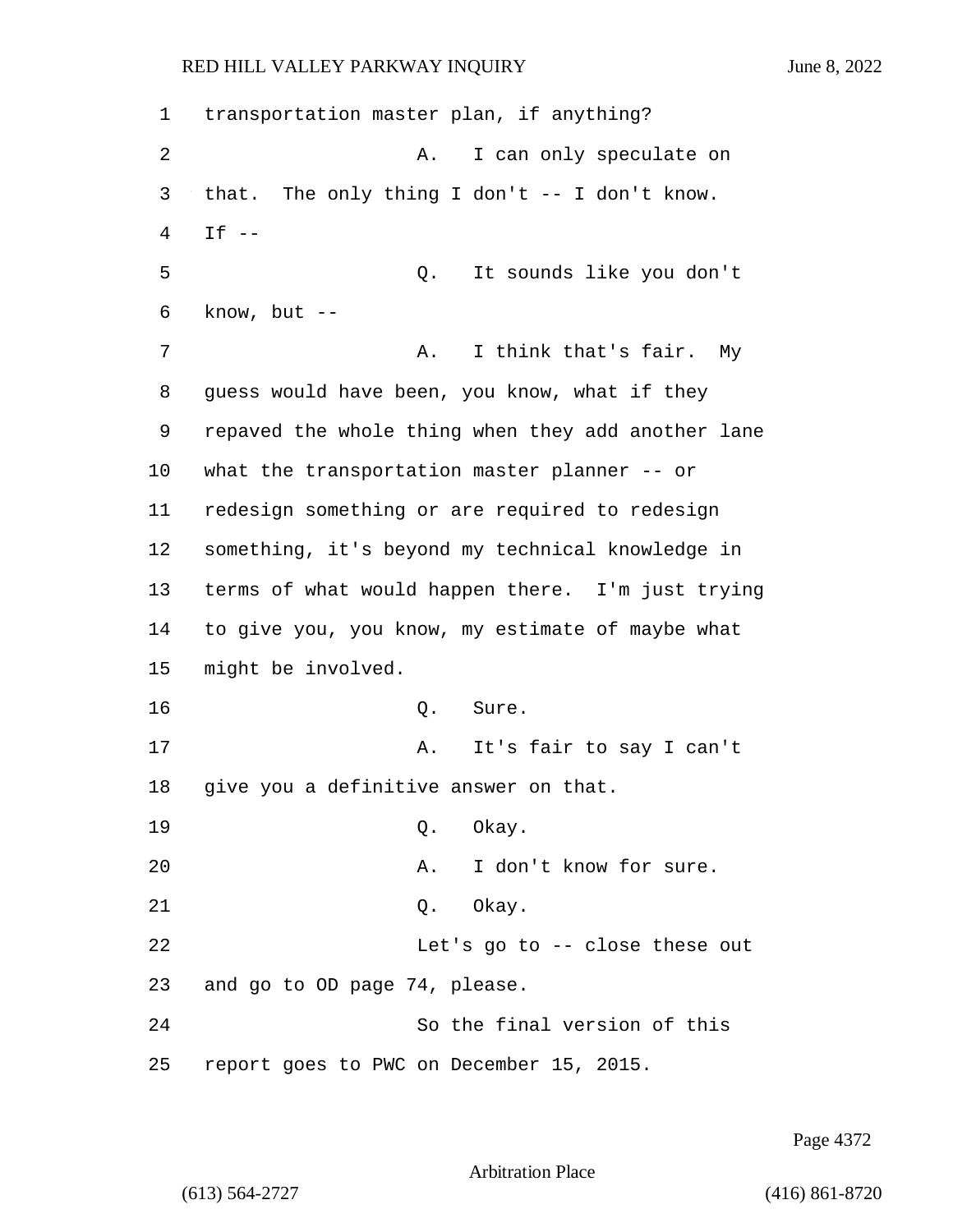1 transportation master plan, if anything? 2 A. I can only speculate on 3 that. The only thing I don't -- I don't know. 4 If -- 5 Q. It sounds like you don't  $6$  know, but  $-$ 7 A. I think that's fair. My 8 guess would have been, you know, what if they 9 repaved the whole thing when they add another lane 10 what the transportation master planner -- or 11 redesign something or are required to redesign 12 something, it's beyond my technical knowledge in 13 terms of what would happen there. I'm just trying 14 to give you, you know, my estimate of maybe what 15 might be involved. 16 Q. Sure. 17 A. It's fair to say I can't 18 give you a definitive answer on that. 19 Q. Okay. 20 A. I don't know for sure. 21 Q. Okay. 22 Let's go to -- close these out 23 and go to OD page 74, please. 24 So the final version of this 25 report goes to PWC on December 15, 2015.

Page 4372

Arbitration Place

(613) 564-2727 (416) 861-8720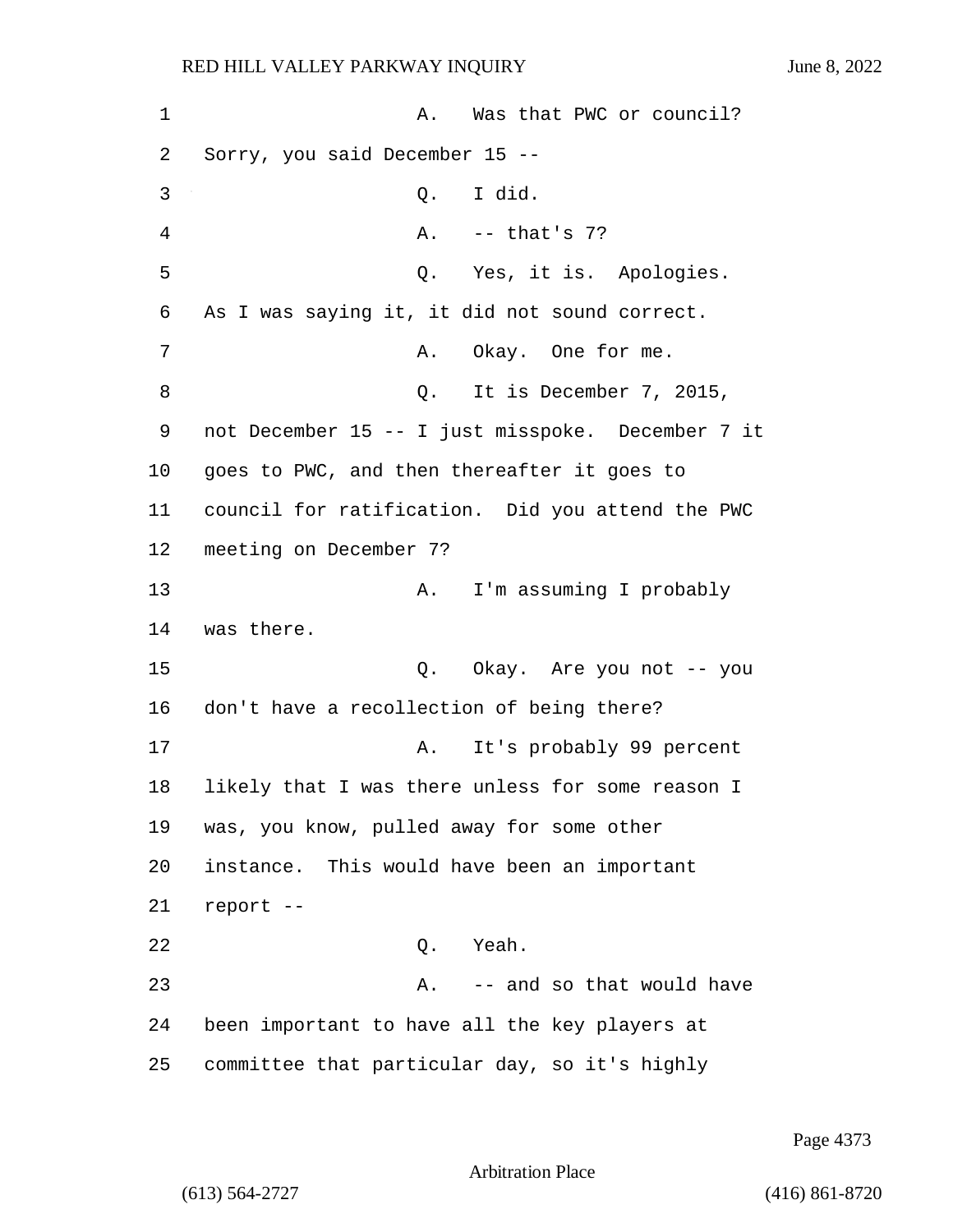1 A. Was that PWC or council? 2 Sorry, you said December 15 -- 3 Q. I did. 4 A. -- that's 7? 5 Q. Yes, it is. Apologies. 6 As I was saying it, it did not sound correct. 7 A. Okay. One for me. 8 Q. It is December 7, 2015, 9 not December 15 -- I just misspoke. December 7 it 10 goes to PWC, and then thereafter it goes to 11 council for ratification. Did you attend the PWC 12 meeting on December 7? 13 A. I'm assuming I probably 14 was there. 15 Q. Okay. Are you not -- you 16 don't have a recollection of being there? 17 A. It's probably 99 percent 18 likely that I was there unless for some reason I 19 was, you know, pulled away for some other 20 instance. This would have been an important 21 report -- 22 Q. Yeah. 23 A. -- and so that would have 24 been important to have all the key players at 25 committee that particular day, so it's highly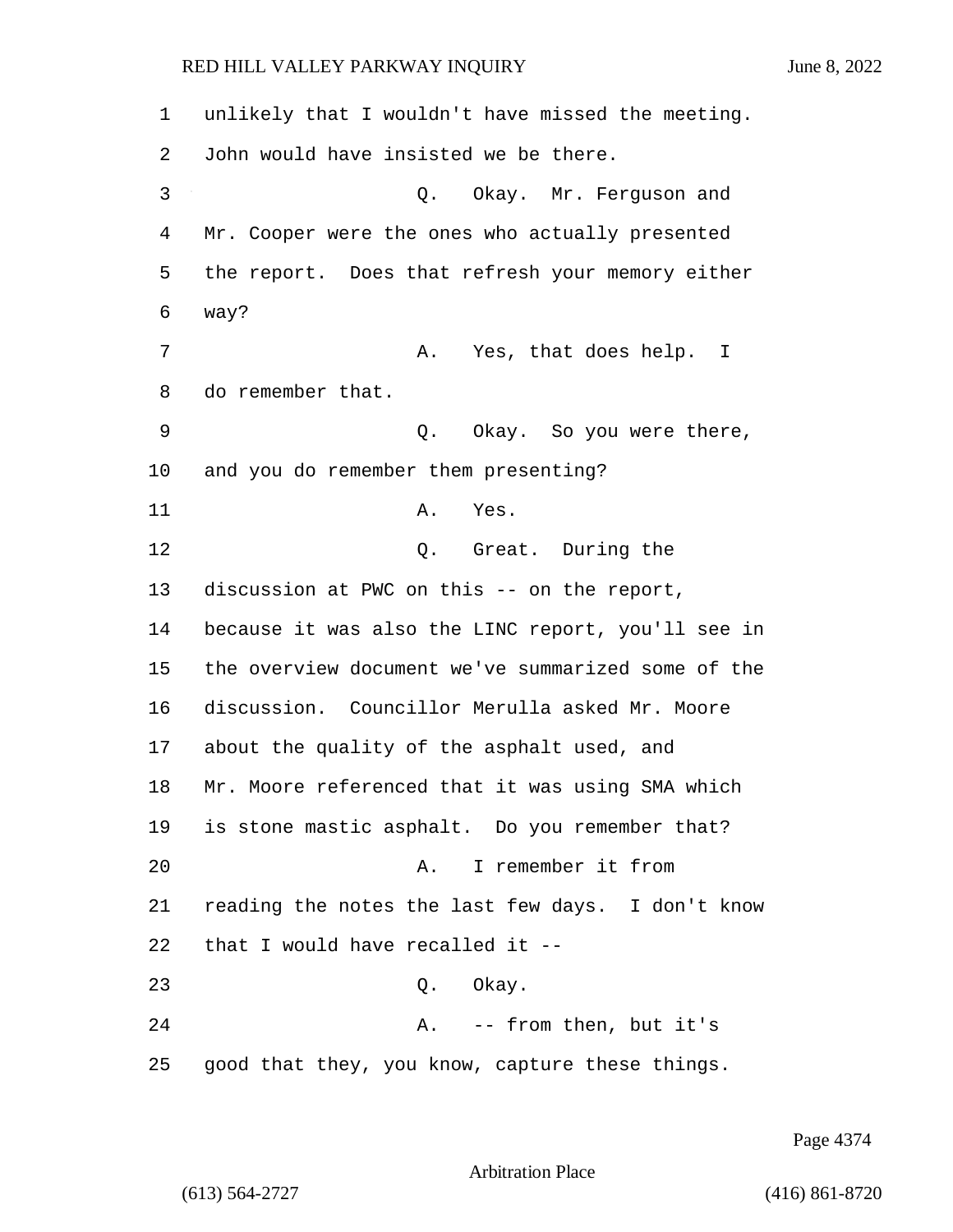unlikely that I wouldn't have missed the meeting. John would have insisted we be there. 3 Q. Okay. Mr. Ferguson and Mr. Cooper were the ones who actually presented the report. Does that refresh your memory either 6 way? 7 A. Yes, that does help. I do remember that. 9 Q. Okay. So you were there, and you do remember them presenting? 11 A. Yes. 12 Q. Great. During the discussion at PWC on this -- on the report, because it was also the LINC report, you'll see in the overview document we've summarized some of the discussion. Councillor Merulla asked Mr. Moore about the quality of the asphalt used, and Mr. Moore referenced that it was using SMA which is stone mastic asphalt. Do you remember that? 20 A. I remember it from reading the notes the last few days. I don't know that I would have recalled it -- 23 Q. Okay. 24 A. -- from then, but it's good that they, you know, capture these things.

Page 4374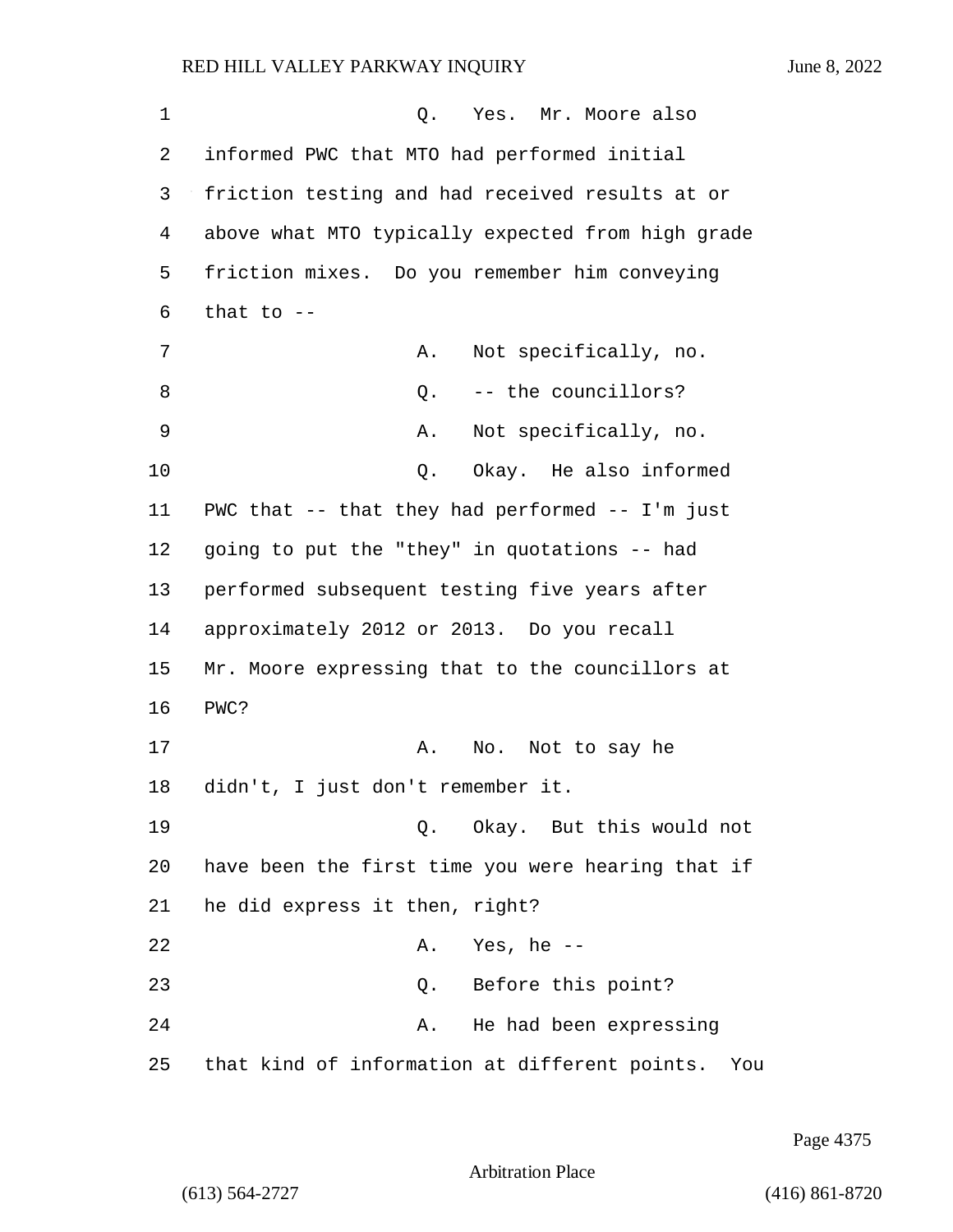1 and 0. Yes. Mr. Moore also 2 informed PWC that MTO had performed initial 3 friction testing and had received results at or 4 above what MTO typically expected from high grade 5 friction mixes. Do you remember him conveying  $6$  that to  $-$ 7 A. Not specifically, no. 8 a C. -- the councillors? 9 A. Not specifically, no. 10 Q. Okay. He also informed 11 PWC that -- that they had performed -- I'm just 12 going to put the "they" in quotations -- had 13 performed subsequent testing five years after 14 approximately 2012 or 2013. Do you recall 15 Mr. Moore expressing that to the councillors at 16 PWC? 17 A. No. Not to say he 18 didn't, I just don't remember it. 19 Q. Okay. But this would not 20 have been the first time you were hearing that if 21 he did express it then, right? 22 A. Yes, he -- 23 Q. Before this point? 24 A. He had been expressing 25 that kind of information at different points. You

Page 4375

Arbitration Place

(613) 564-2727 (416) 861-8720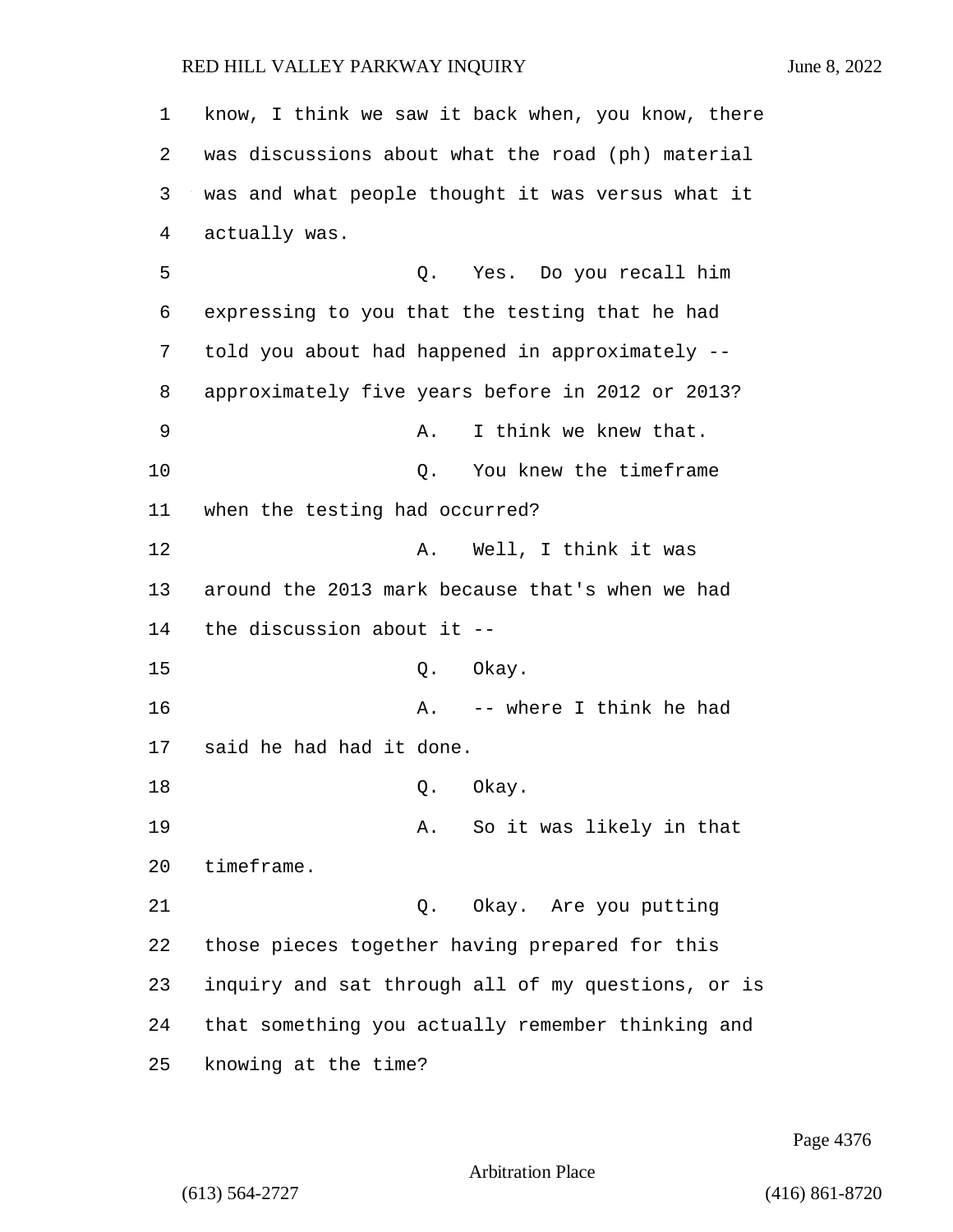know, I think we saw it back when, you know, there was discussions about what the road (ph) material was and what people thought it was versus what it actually was. 5 Q. Yes. Do you recall him expressing to you that the testing that he had told you about had happened in approximately -- approximately five years before in 2012 or 2013? 9 A. I think we knew that. 10 Q. You knew the timeframe when the testing had occurred? 12 A. Well, I think it was around the 2013 mark because that's when we had the discussion about it -- 15 Q. Okay. 16 A. -- where I think he had said he had had it done. 18 Q. Okay. 19 A. So it was likely in that timeframe. 21 Q. Okay. Are you putting those pieces together having prepared for this inquiry and sat through all of my questions, or is that something you actually remember thinking and knowing at the time?

Page 4376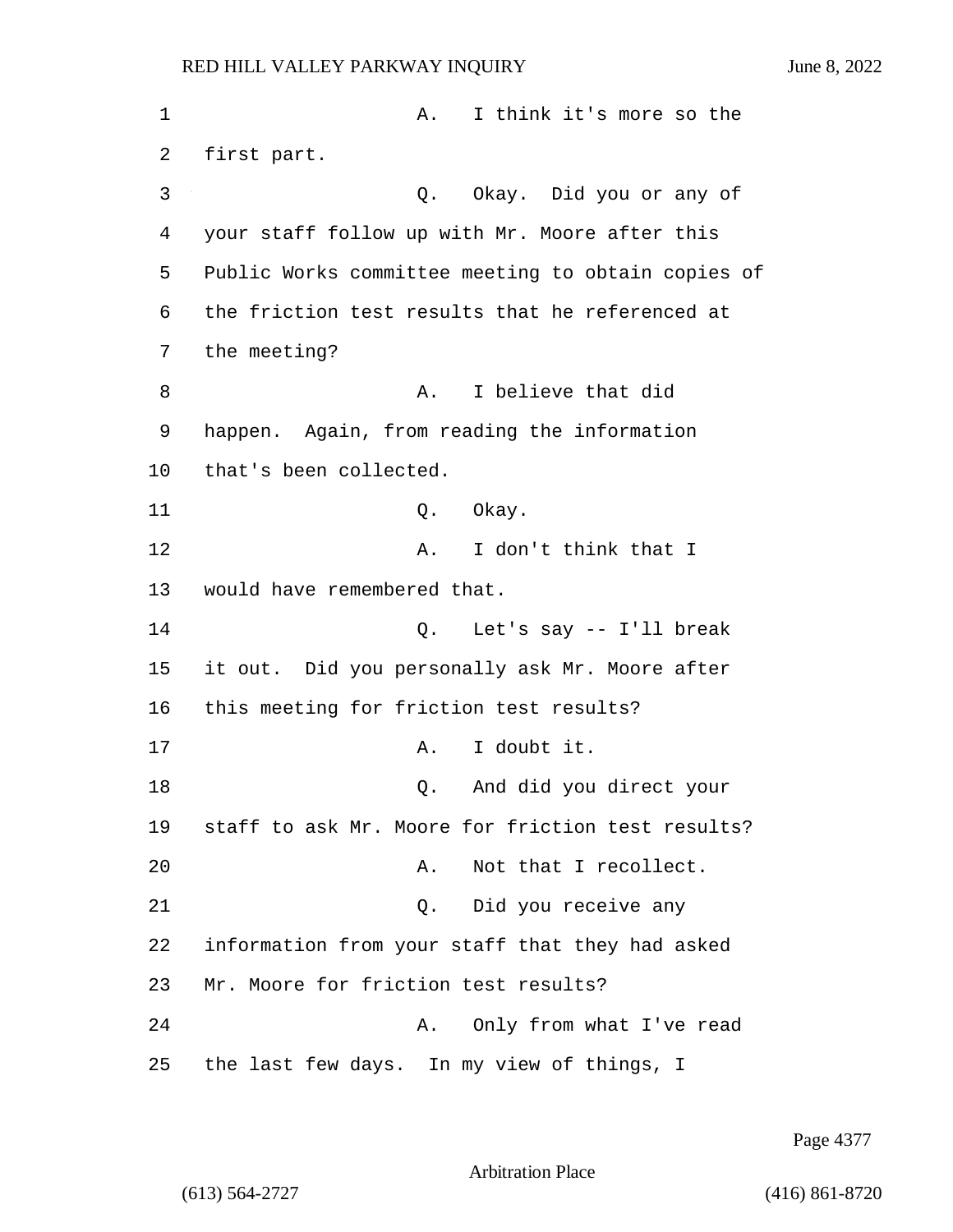| $\mathbf 1$ | I think it's more so the<br>Α.                     |
|-------------|----------------------------------------------------|
| 2           | first part.                                        |
| 3           | Okay. Did you or any of<br>Q.                      |
| 4           | your staff follow up with Mr. Moore after this     |
| 5           | Public Works committee meeting to obtain copies of |
| 6           | the friction test results that he referenced at    |
| 7           | the meeting?                                       |
| 8           | I believe that did<br>Α.                           |
| 9           | happen. Again, from reading the information        |
| 10          | that's been collected.                             |
| 11          | Okay.<br>Q.                                        |
| 12          | I don't think that I<br>Α.                         |
| 13          | would have remembered that.                        |
| 14          | Q. Let's say -- I'll break                         |
| 15          | it out. Did you personally ask Mr. Moore after     |
| 16          | this meeting for friction test results?            |
| 17          | I doubt it.<br>Α.                                  |
| 18          | And did you direct your<br>Q.                      |
| 19          | staff to ask Mr. Moore for friction test results?  |
| 20          | Not that I recollect.<br>Α.                        |
| 21          | Did you receive any<br>Q.                          |
| 22          | information from your staff that they had asked    |
| 23          | Mr. Moore for friction test results?               |
| 24          | Only from what I've read<br>Α.                     |
| 25          | the last few days. In my view of things, I         |

Page 4377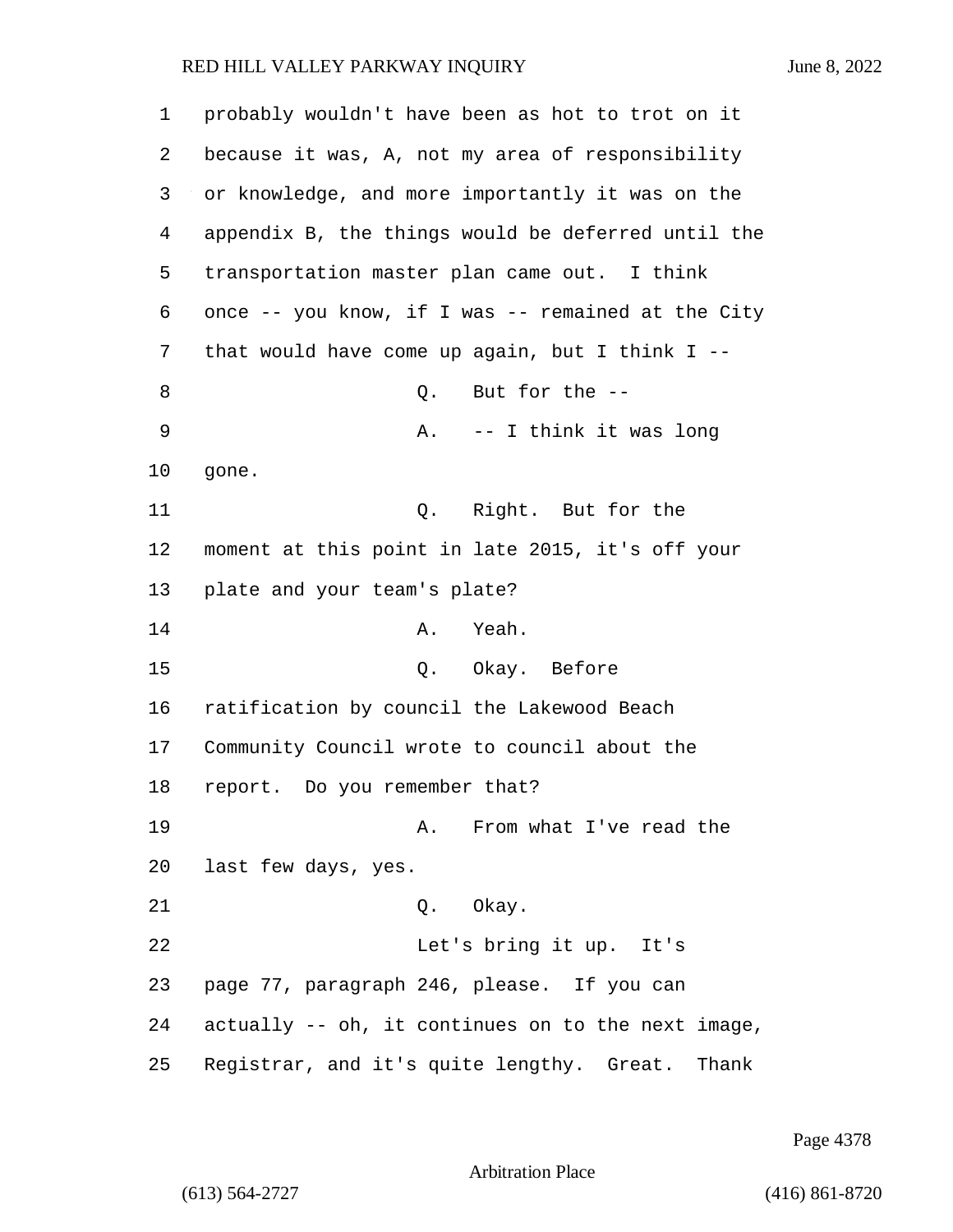| 1  | probably wouldn't have been as hot to trot on it   |
|----|----------------------------------------------------|
| 2  | because it was, A, not my area of responsibility   |
| 3  | or knowledge, and more importantly it was on the   |
| 4  | appendix B, the things would be deferred until the |
| 5  | transportation master plan came out. I think       |
| 6  | once -- you know, if I was -- remained at the City |
| 7  | that would have come up again, but I think I $-$   |
| 8  | But for the --<br>Q.                               |
| 9  | -- I think it was long<br>Α.                       |
| 10 | gone.                                              |
| 11 | Q. Right. But for the                              |
| 12 | moment at this point in late 2015, it's off your   |
| 13 | plate and your team's plate?                       |
| 14 | Yeah.<br>Α.                                        |
| 15 | Q. Okay. Before                                    |
| 16 | ratification by council the Lakewood Beach         |
| 17 | Community Council wrote to council about the       |
| 18 | report. Do you remember that?                      |
| 19 | A. From what I've read the                         |
| 20 | last few days, yes.                                |
| 21 | Q. Okay.                                           |
| 22 | Let's bring it up. It's                            |
| 23 | page 77, paragraph 246, please. If you can         |
| 24 | actually -- oh, it continues on to the next image, |
| 25 | Registrar, and it's quite lengthy. Great.<br>Thank |

Page 4378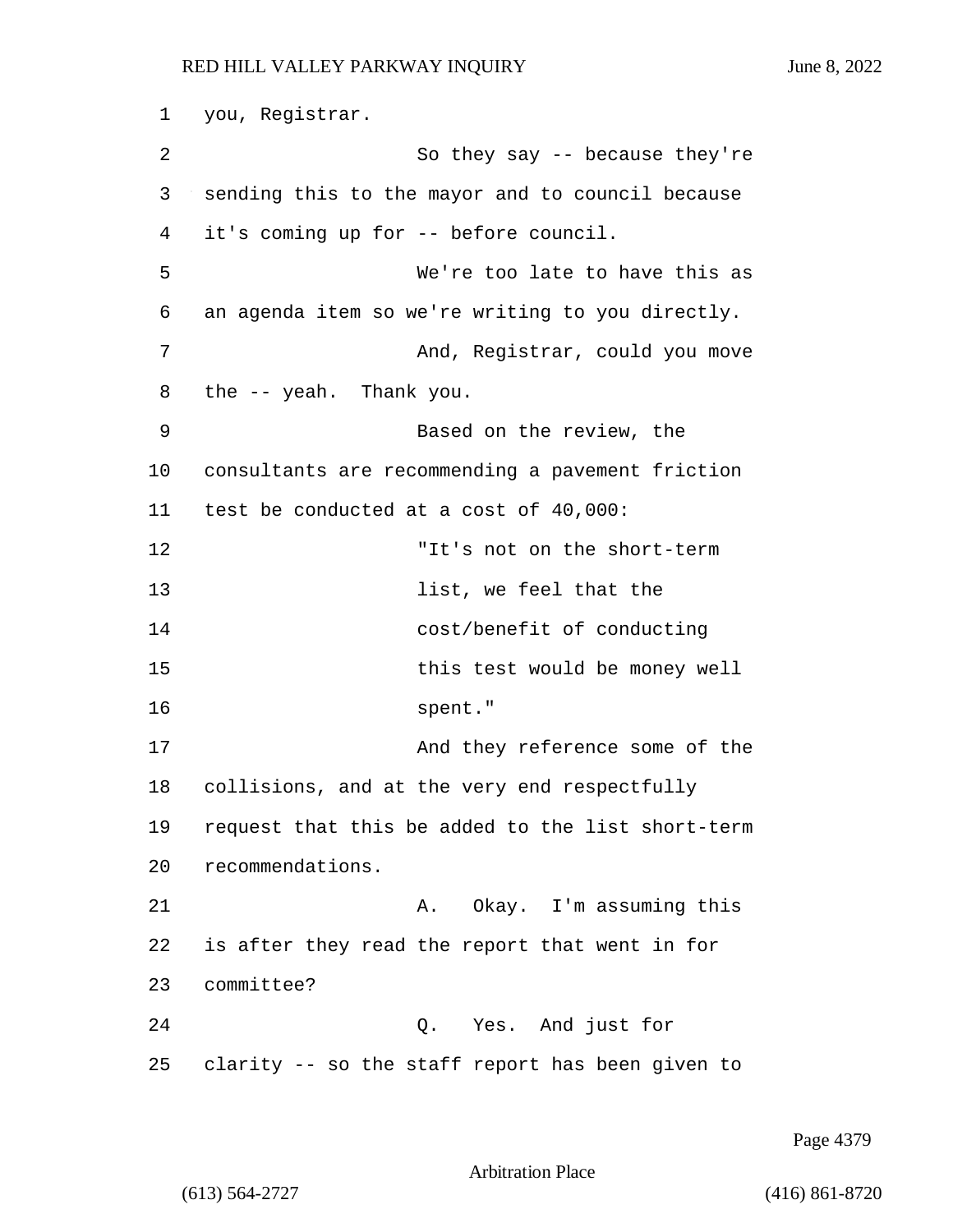1 you, Registrar. 2 So they say -- because they're 3 sending this to the mayor and to council because 4 it's coming up for -- before council. 5 We're too late to have this as 6 an agenda item so we're writing to you directly. 7 And, Registrar, could you move 8 the -- yeah. Thank you. 9 Based on the review, the 10 consultants are recommending a pavement friction 11 test be conducted at a cost of 40,000: 12 "It's not on the short-term 13 **list, we feel that the** 14 cost/benefit of conducting 15 this test would be money well 16 spent." 17 And they reference some of the 18 collisions, and at the very end respectfully 19 request that this be added to the list short-term 20 recommendations. 21 A. Okay. I'm assuming this 22 is after they read the report that went in for 23 committee? 24 Q. Yes. And just for 25 clarity -- so the staff report has been given to

Page 4379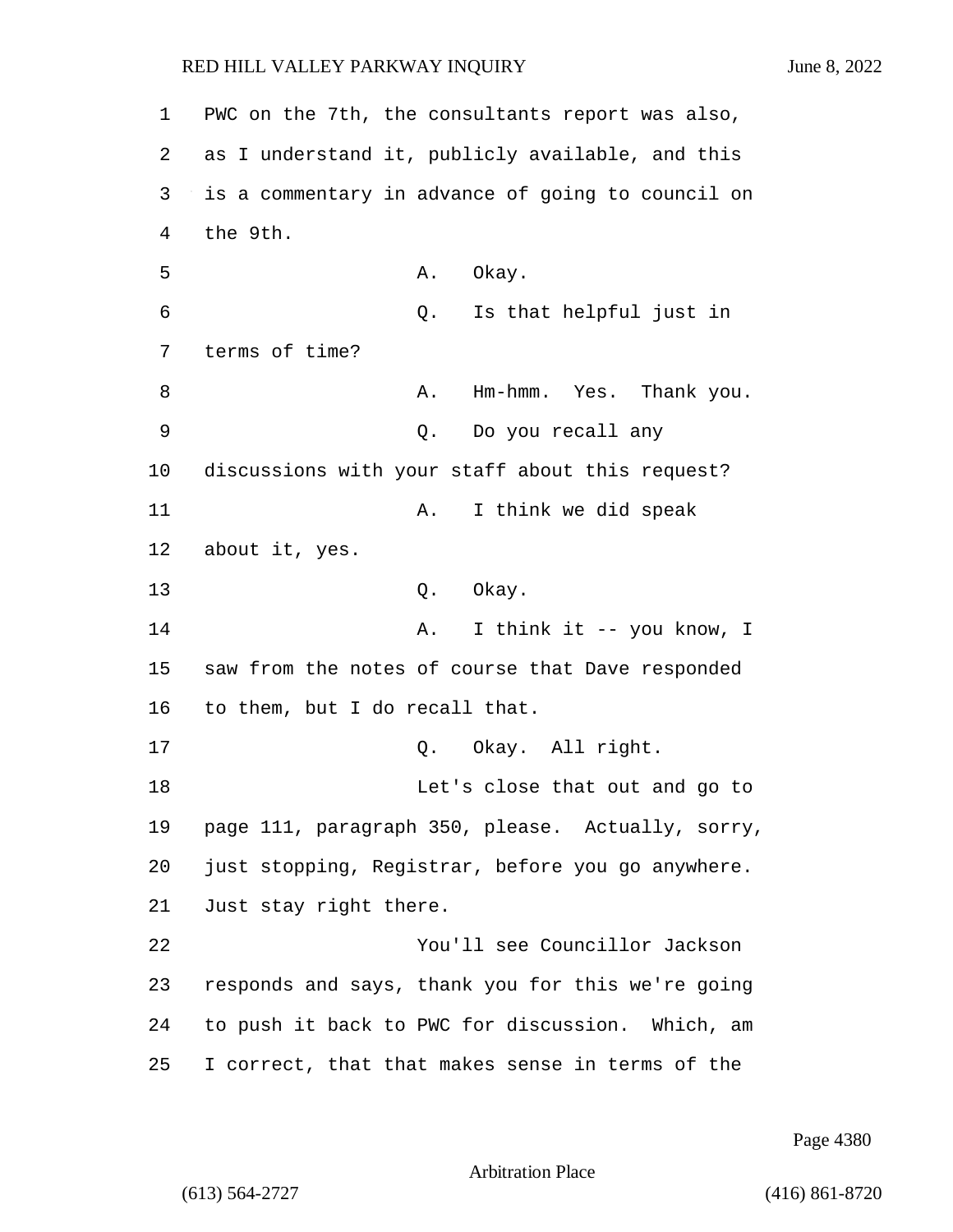1 PWC on the 7th, the consultants report was also, 2 as I understand it, publicly available, and this 3 is a commentary in advance of going to council on 4 the 9th. 5 A. Okay. 6 Q. Is that helpful just in 7 terms of time? 8 A. Hm-hmm. Yes. Thank you. 9 Q. Do you recall any 10 discussions with your staff about this request? 11 A. I think we did speak 12 about it, yes. 13 Q. Okay. 14 **A.** I think it -- you know, I 15 saw from the notes of course that Dave responded 16 to them, but I do recall that. 17 0. Okay. All right. 18 Let's close that out and go to 19 page 111, paragraph 350, please. Actually, sorry, 20 just stopping, Registrar, before you go anywhere. 21 Just stay right there. 22 You'll see Councillor Jackson 23 responds and says, thank you for this we're going 24 to push it back to PWC for discussion. Which, am 25 I correct, that that makes sense in terms of the

Page 4380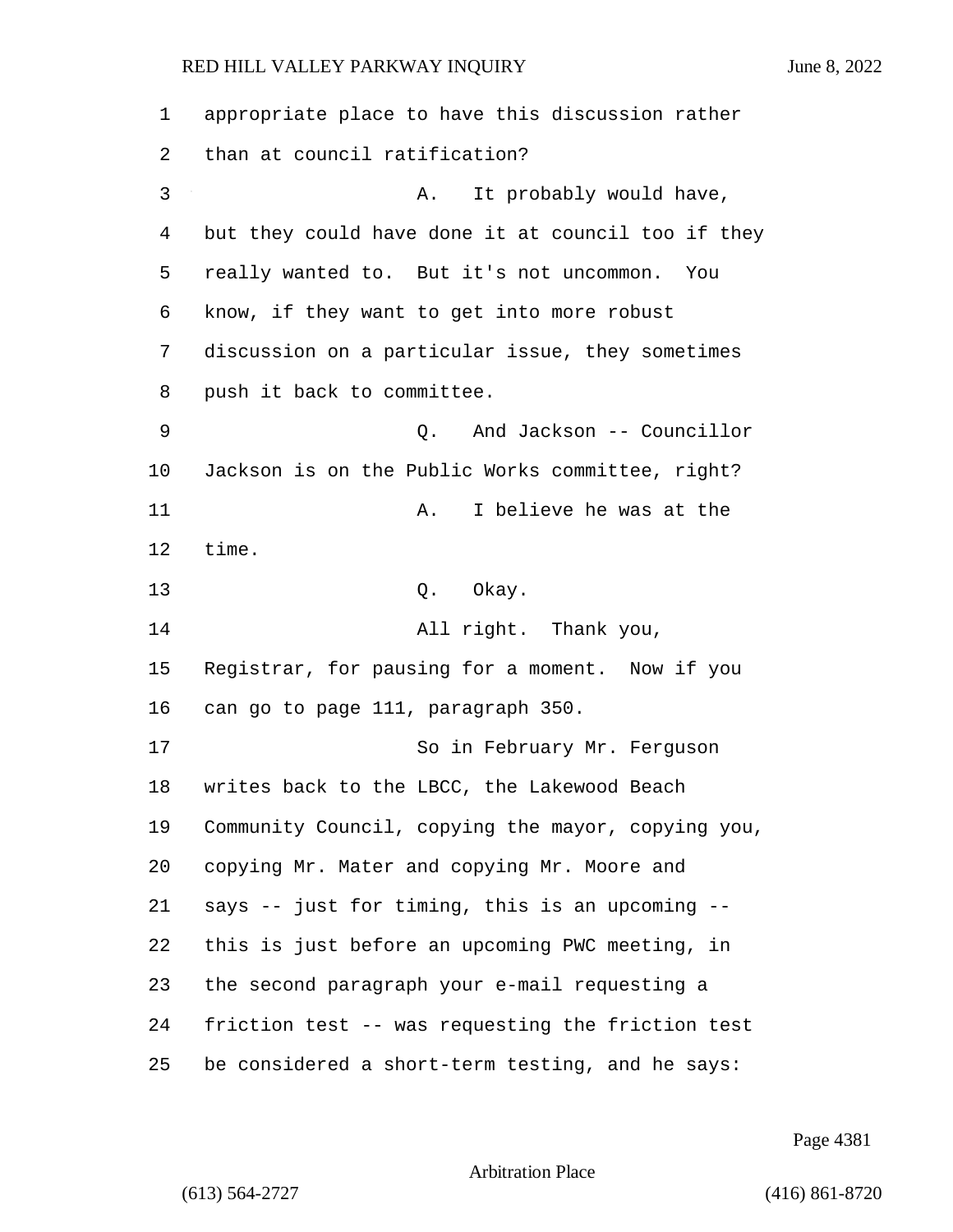appropriate place to have this discussion rather than at council ratification? 3 A. It probably would have, but they could have done it at council too if they really wanted to. But it's not uncommon. You know, if they want to get into more robust discussion on a particular issue, they sometimes push it back to committee. 9 Q. And Jackson -- Councillor Jackson is on the Public Works committee, right? 11 A. I believe he was at the time. 13 Q. Okay. 14 All right. Thank you, Registrar, for pausing for a moment. Now if you can go to page 111, paragraph 350. 17 So in February Mr. Ferquson writes back to the LBCC, the Lakewood Beach Community Council, copying the mayor, copying you, copying Mr. Mater and copying Mr. Moore and says -- just for timing, this is an upcoming -- this is just before an upcoming PWC meeting, in the second paragraph your e-mail requesting a friction test -- was requesting the friction test be considered a short-term testing, and he says:

Page 4381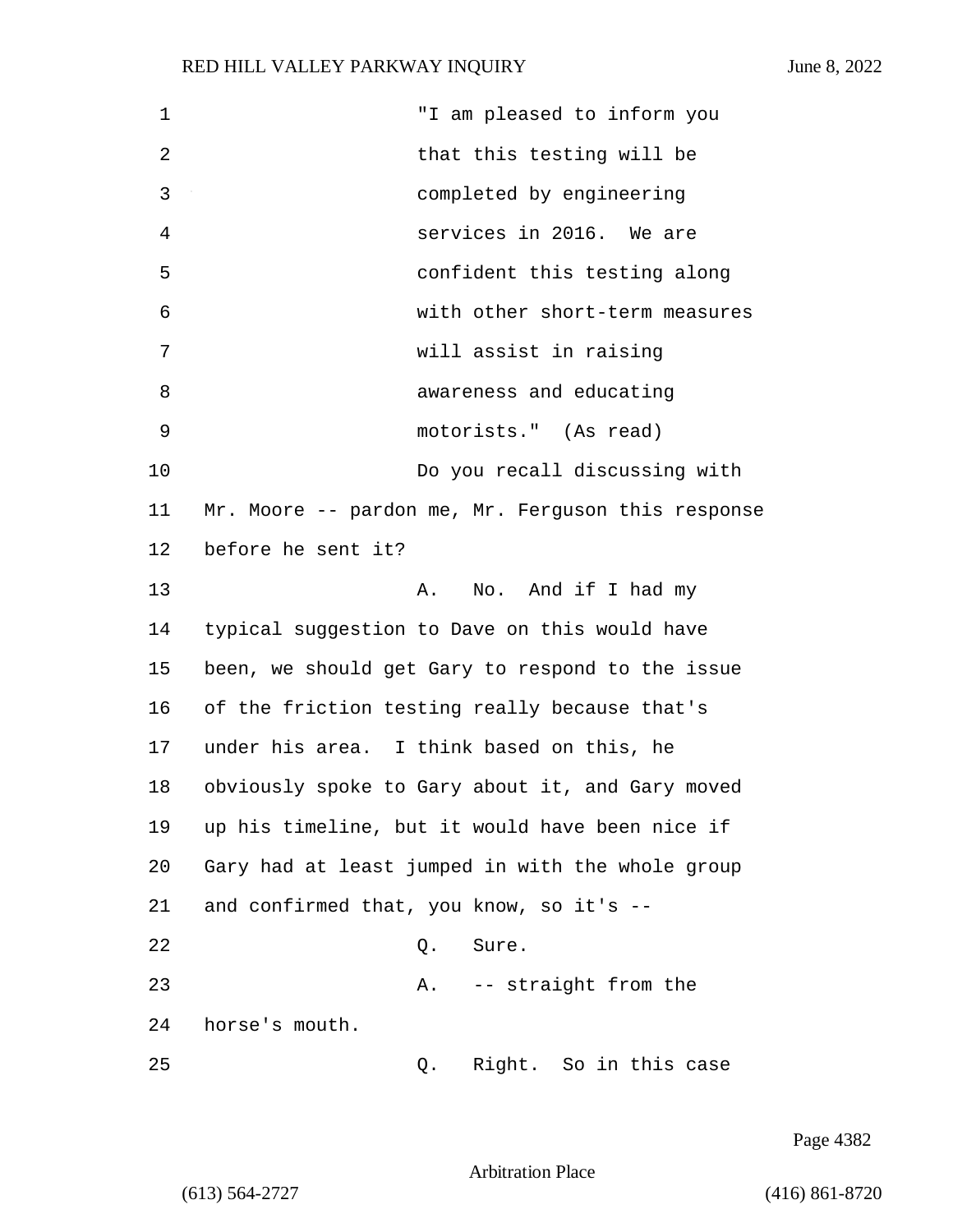1 "I am pleased to inform you 2 that this testing will be 3 completed by engineering 4 services in 2016. We are 5 confident this testing along 6 with other short-term measures 7 will assist in raising 8 awareness and educating 9 motorists." (As read) 10 Do you recall discussing with 11 Mr. Moore -- pardon me, Mr. Ferguson this response 12 before he sent it? 13 A. No. And if I had my 14 typical suggestion to Dave on this would have 15 been, we should get Gary to respond to the issue 16 of the friction testing really because that's 17 under his area. I think based on this, he 18 obviously spoke to Gary about it, and Gary moved 19 up his timeline, but it would have been nice if 20 Gary had at least jumped in with the whole group 21 and confirmed that, you know, so it's -- 22 Q. Sure. 23 A. -- straight from the 24 horse's mouth. 25 Q. Right. So in this case

Page 4382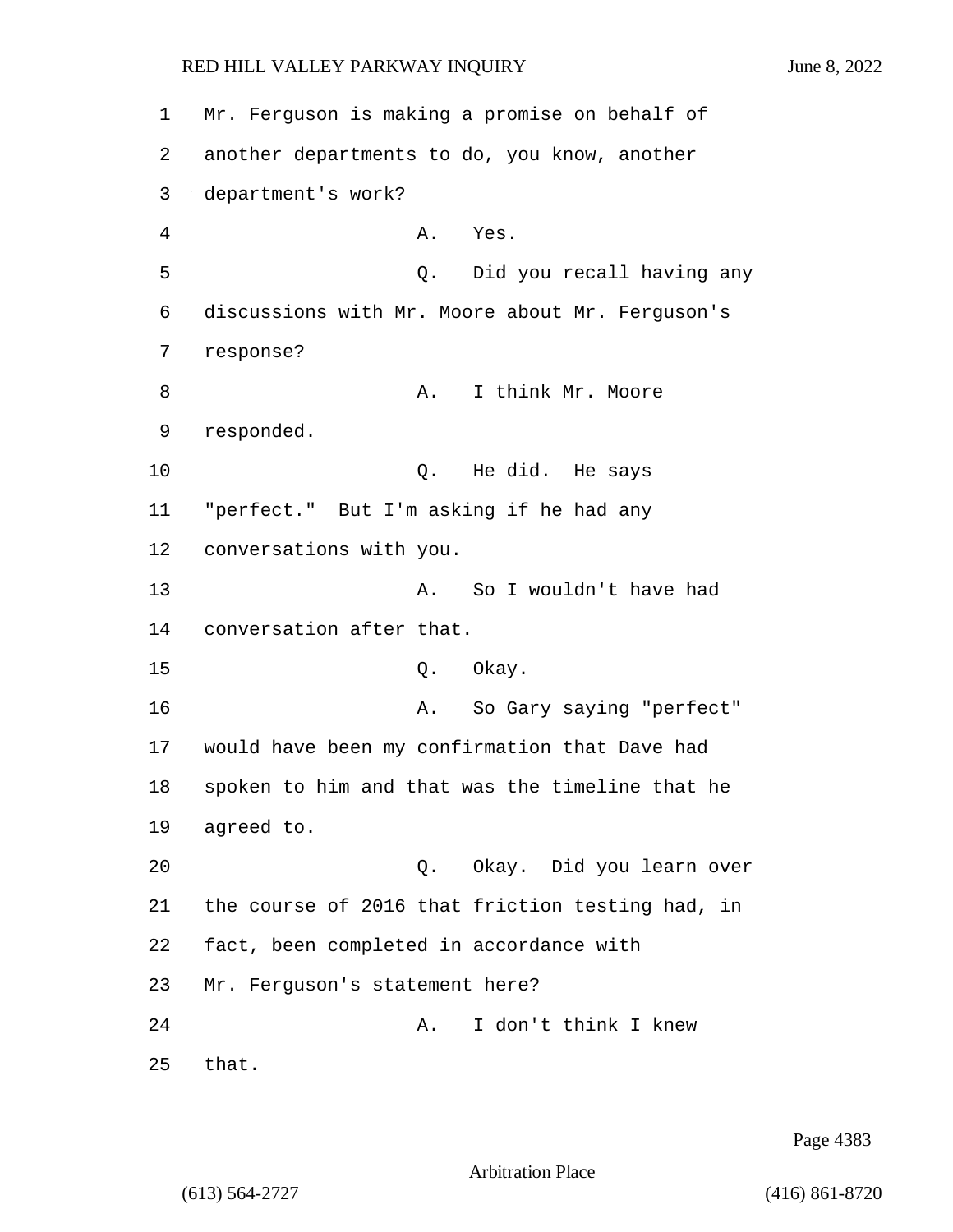1 Mr. Ferguson is making a promise on behalf of 2 another departments to do, you know, another 3 department's work? 4 A. Yes. 5 Q. Did you recall having any 6 discussions with Mr. Moore about Mr. Ferguson's 7 response? 8 A. I think Mr. Moore 9 responded. 10 Q. He did. He says 11 "perfect." But I'm asking if he had any 12 conversations with you. 13 A. So I wouldn't have had 14 conversation after that. 15 0. Okay. 16 A. So Gary saying "perfect" 17 would have been my confirmation that Dave had 18 spoken to him and that was the timeline that he 19 agreed to. 20 Q. Okay. Did you learn over 21 the course of 2016 that friction testing had, in 22 fact, been completed in accordance with 23 Mr. Ferguson's statement here? 24 A. I don't think I knew 25 that.

Page 4383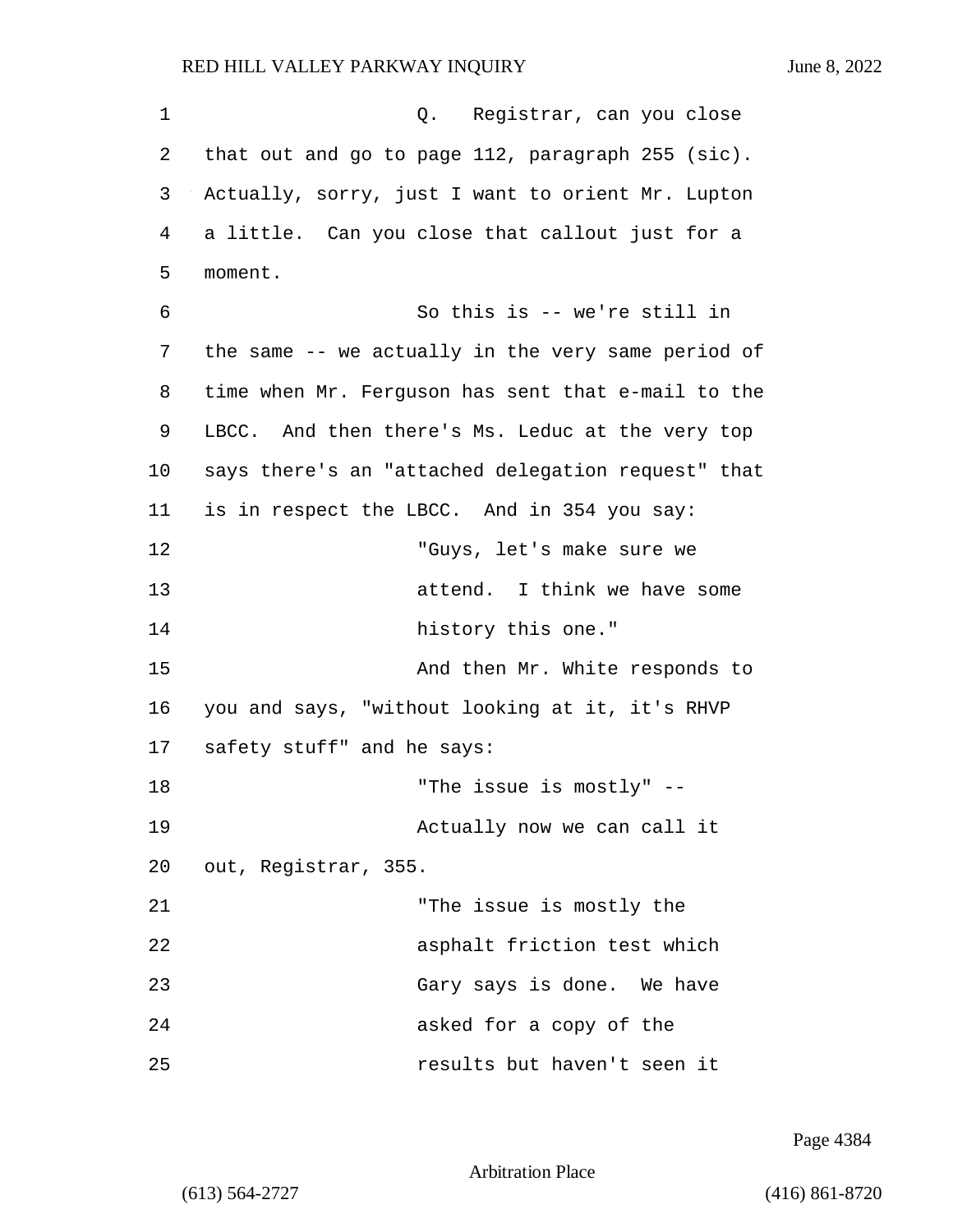1 Q. Registrar, can you close 2 that out and go to page 112, paragraph 255 (sic). 3 Actually, sorry, just I want to orient Mr. Lupton 4 a little. Can you close that callout just for a 5 moment. 6 So this is -- we're still in 7 the same -- we actually in the very same period of 8 time when Mr. Ferguson has sent that e-mail to the 9 LBCC. And then there's Ms. Leduc at the very top 10 says there's an "attached delegation request" that 11 is in respect the LBCC. And in 354 you say: 12 "Guys, let's make sure we 13 attend. I think we have some 14 history this one." 15 And then Mr. White responds to 16 you and says, "without looking at it, it's RHVP 17 safety stuff" and he says: 18 The issue is mostly" --19 Actually now we can call it 20 out, Registrar, 355. 21 "The issue is mostly the 22 asphalt friction test which 23 Gary says is done. We have 24 asked for a copy of the 25 results but haven't seen it

Page 4384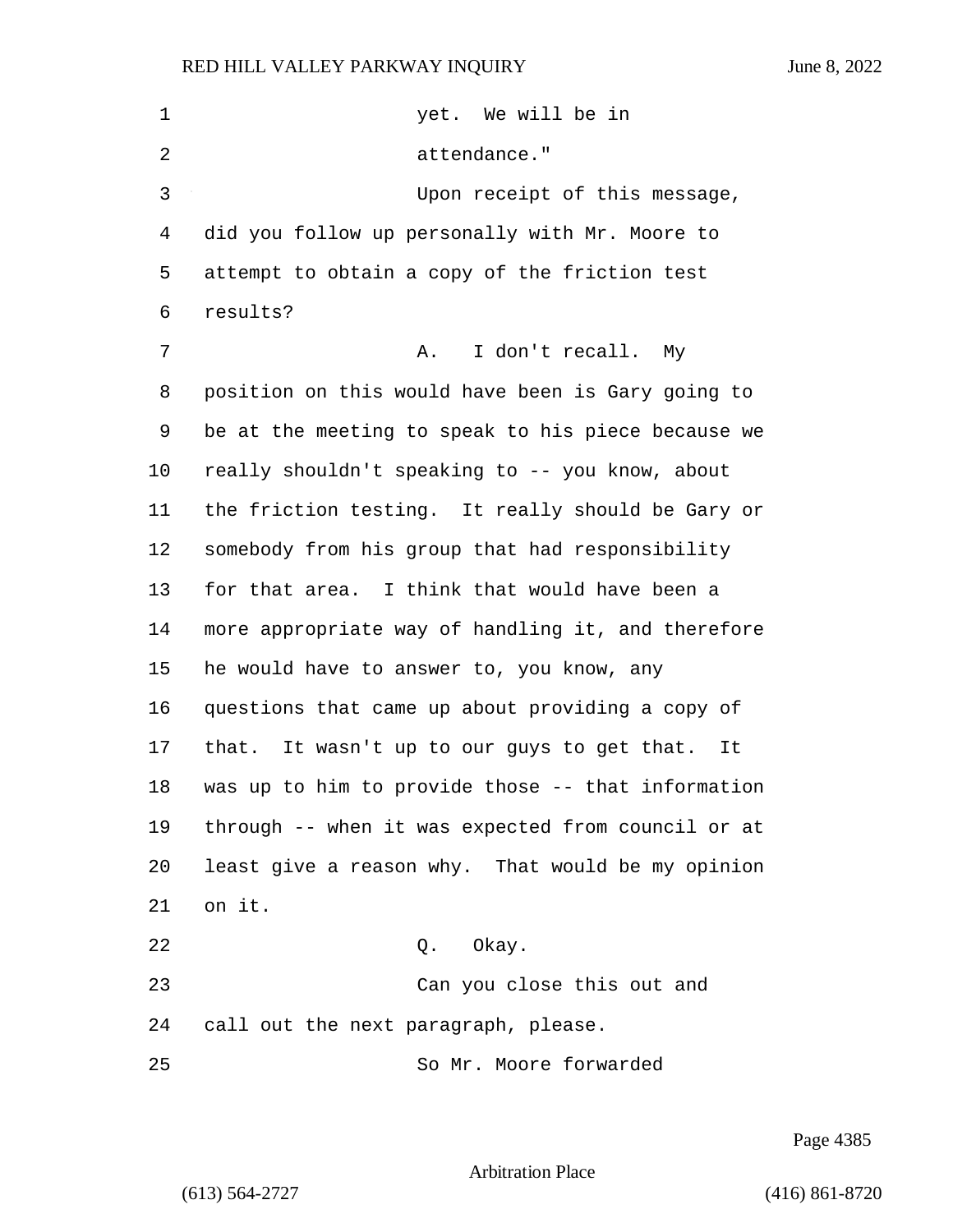| $\mathbf 1$    | yet. We will be in                                   |
|----------------|------------------------------------------------------|
| $\overline{2}$ | attendance."                                         |
| 3              | Upon receipt of this message,                        |
| 4              | did you follow up personally with Mr. Moore to       |
| 5              | attempt to obtain a copy of the friction test        |
| 6              | results?                                             |
| 7              | I don't recall. My<br>Α.                             |
| 8              | position on this would have been is Gary going to    |
| 9              | be at the meeting to speak to his piece because we   |
| 10             | really shouldn't speaking to -- you know, about      |
| 11             | the friction testing. It really should be Gary or    |
| 12             | somebody from his group that had responsibility      |
| 13             | for that area. I think that would have been a        |
| 14             | more appropriate way of handling it, and therefore   |
| 15             | he would have to answer to, you know, any            |
| 16             | questions that came up about providing a copy of     |
| 17             | that.<br>It wasn't up to our guys to get that.<br>It |
| 18             | was up to him to provide those -- that information   |
| 19             | through -- when it was expected from council or at   |
| 20             | least give a reason why. That would be my opinion    |
| 21             | on it.                                               |
| 22             | Q. Okay.                                             |
| 23             | Can you close this out and                           |
| 24             | call out the next paragraph, please.                 |
| 25             | So Mr. Moore forwarded                               |

Page 4385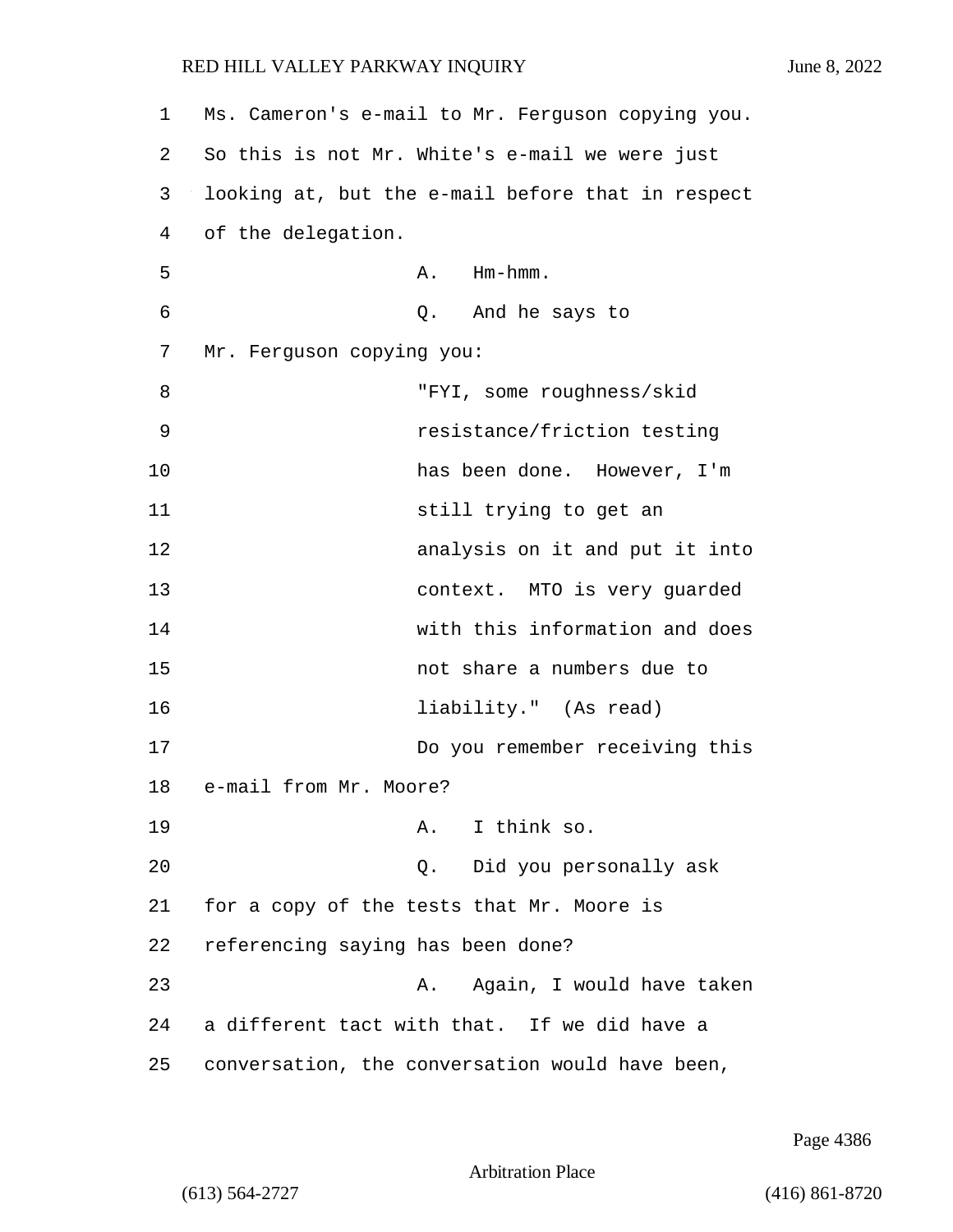| 1  | Ms. Cameron's e-mail to Mr. Ferguson copying you. |
|----|---------------------------------------------------|
| 2  | So this is not Mr. White's e-mail we were just    |
| 3  | looking at, but the e-mail before that in respect |
| 4  | of the delegation.                                |
| 5  | A. Hm-hmm.                                        |
| 6  | Q. And he says to                                 |
| 7  | Mr. Ferguson copying you:                         |
| 8  | "FYI, some roughness/skid                         |
| 9  | resistance/friction testing                       |
| 10 | has been done. However, I'm                       |
| 11 | still trying to get an                            |
| 12 | analysis on it and put it into                    |
| 13 | context. MTO is very guarded                      |
| 14 | with this information and does                    |
| 15 | not share a numbers due to                        |
| 16 | liability." (As read)                             |
| 17 | Do you remember receiving this                    |
| 18 | e-mail from Mr. Moore?                            |
| 19 | A. I think so.                                    |
| 20 | Did you personally ask<br>Q.                      |
| 21 | for a copy of the tests that Mr. Moore is         |
| 22 | referencing saying has been done?                 |
| 23 | Again, I would have taken<br>Α.                   |
| 24 | a different tact with that. If we did have a      |
| 25 | conversation, the conversation would have been,   |

Page 4386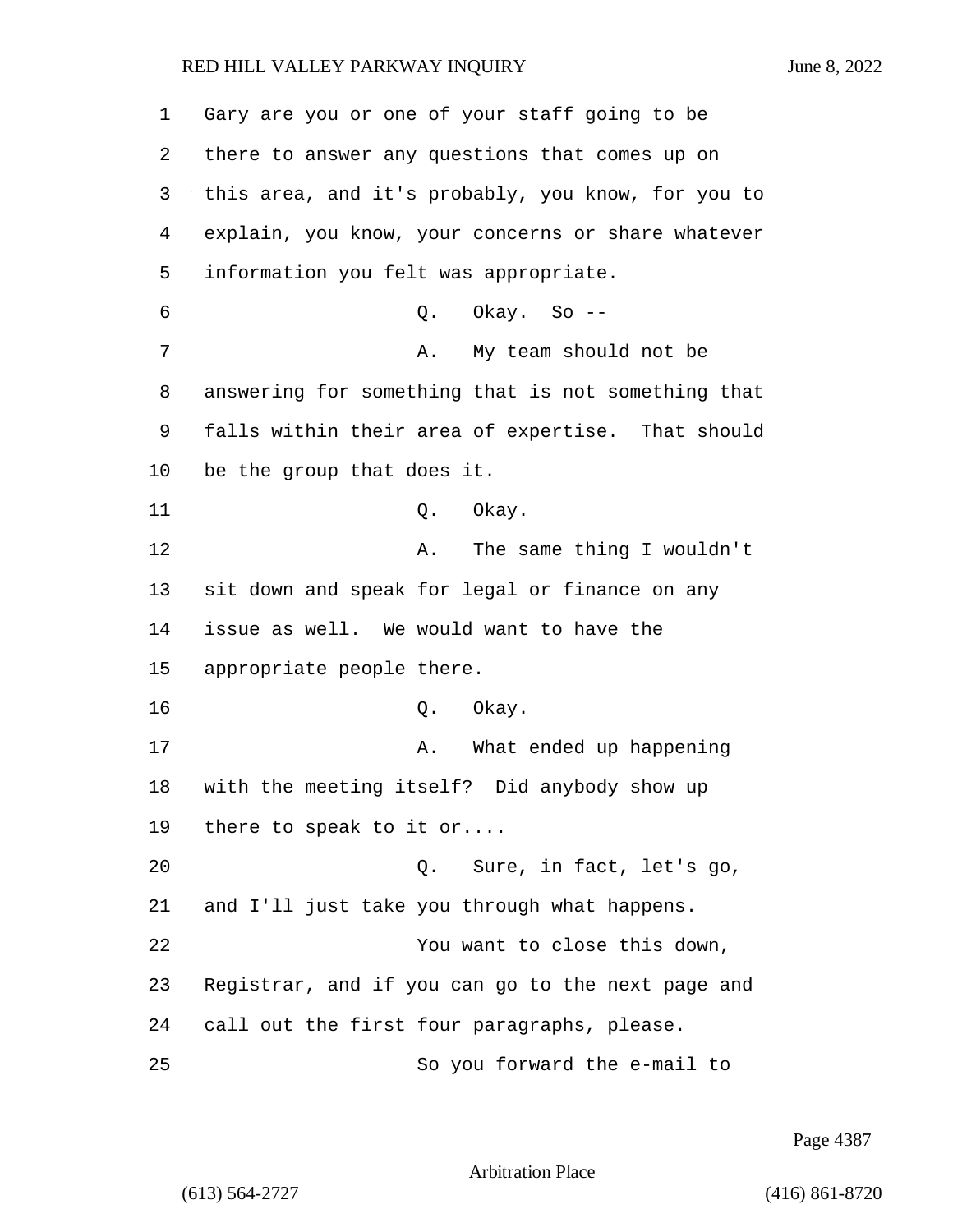| 1  | Gary are you or one of your staff going to be      |
|----|----------------------------------------------------|
| 2  | there to answer any questions that comes up on     |
| 3  | this area, and it's probably, you know, for you to |
| 4  | explain, you know, your concerns or share whatever |
| 5  | information you felt was appropriate.              |
| 6  | Okay. So --<br>Q.                                  |
| 7  | My team should not be<br>Α.                        |
| 8  | answering for something that is not something that |
| 9  | falls within their area of expertise. That should  |
| 10 | be the group that does it.                         |
| 11 | Q. Okay.                                           |
| 12 | The same thing I wouldn't<br>Α.                    |
| 13 | sit down and speak for legal or finance on any     |
| 14 | issue as well. We would want to have the           |
| 15 | appropriate people there.                          |
| 16 | Q. Okay.                                           |
| 17 | What ended up happening<br>Α.                      |
| 18 | with the meeting itself? Did anybody show up       |
| 19 | there to speak to it or                            |
| 20 | Sure, in fact, let's go,<br>Q.                     |
| 21 | and I'll just take you through what happens.       |
| 22 | You want to close this down,                       |
| 23 | Registrar, and if you can go to the next page and  |
| 24 | call out the first four paragraphs, please.        |
| 25 | So you forward the e-mail to                       |

Page 4387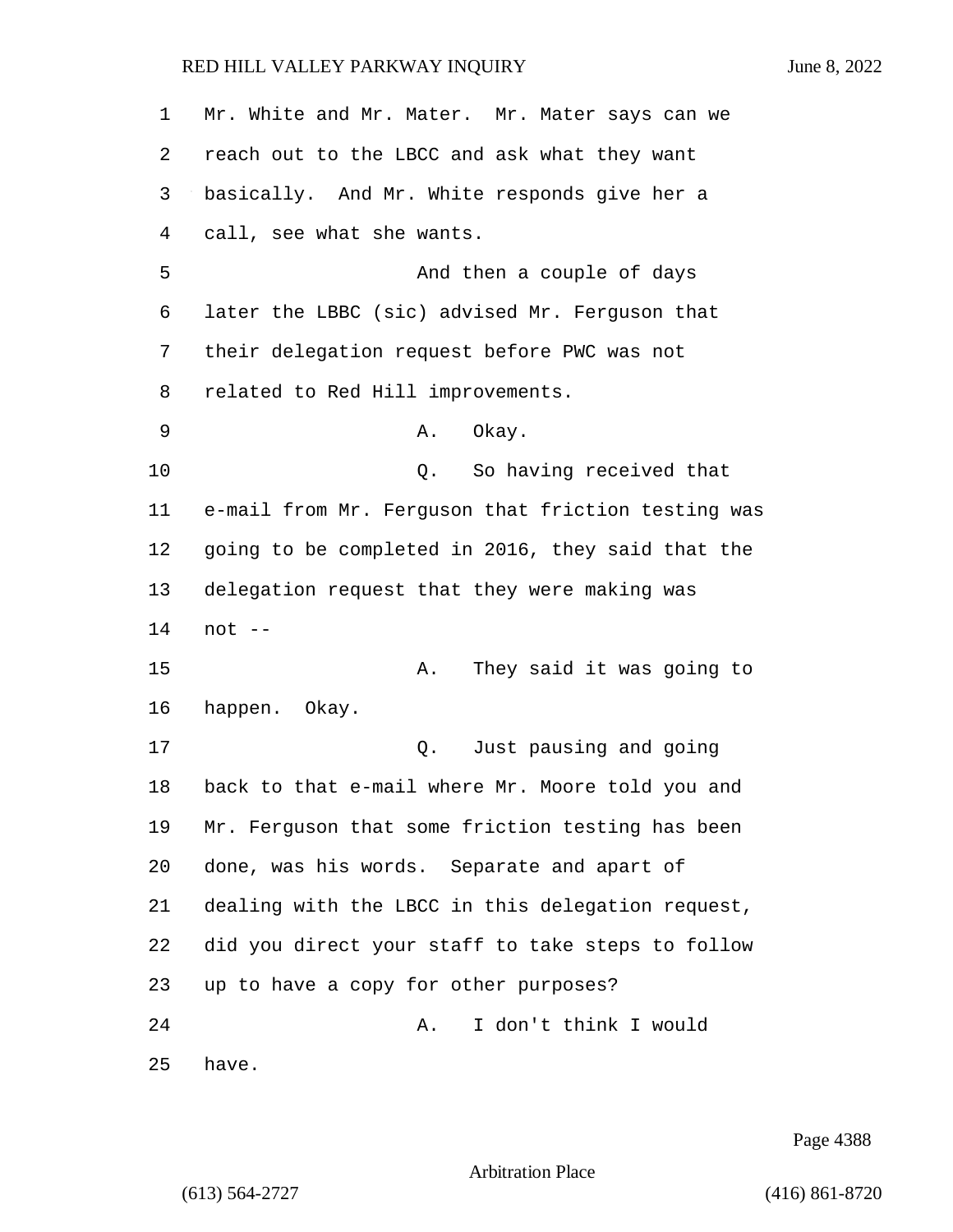| 1  | Mr. White and Mr. Mater. Mr. Mater says can we     |
|----|----------------------------------------------------|
| 2  | reach out to the LBCC and ask what they want       |
| 3  | basically. And Mr. White responds give her a       |
| 4  | call, see what she wants.                          |
| 5  | And then a couple of days                          |
| 6  | later the LBBC (sic) advised Mr. Ferguson that     |
| 7  | their delegation request before PWC was not        |
| 8  | related to Red Hill improvements.                  |
| 9  | Okay.<br>Α.                                        |
| 10 | So having received that<br>Q.                      |
| 11 | e-mail from Mr. Ferguson that friction testing was |
| 12 | going to be completed in 2016, they said that the  |
| 13 | delegation request that they were making was       |
| 14 | $not --$                                           |
| 15 | They said it was going to<br>Α.                    |
| 16 | happen. Okay.                                      |
| 17 | Just pausing and going<br>Q.                       |
| 18 | back to that e-mail where Mr. Moore told you and   |
| 19 | Mr. Ferguson that some friction testing has been   |
| 20 | done, was his words. Separate and apart of         |
| 21 | dealing with the LBCC in this delegation request,  |
| 22 | did you direct your staff to take steps to follow  |
| 23 | up to have a copy for other purposes?              |
| 24 | I don't think I would<br>Α.                        |
| 25 | have.                                              |

Page 4388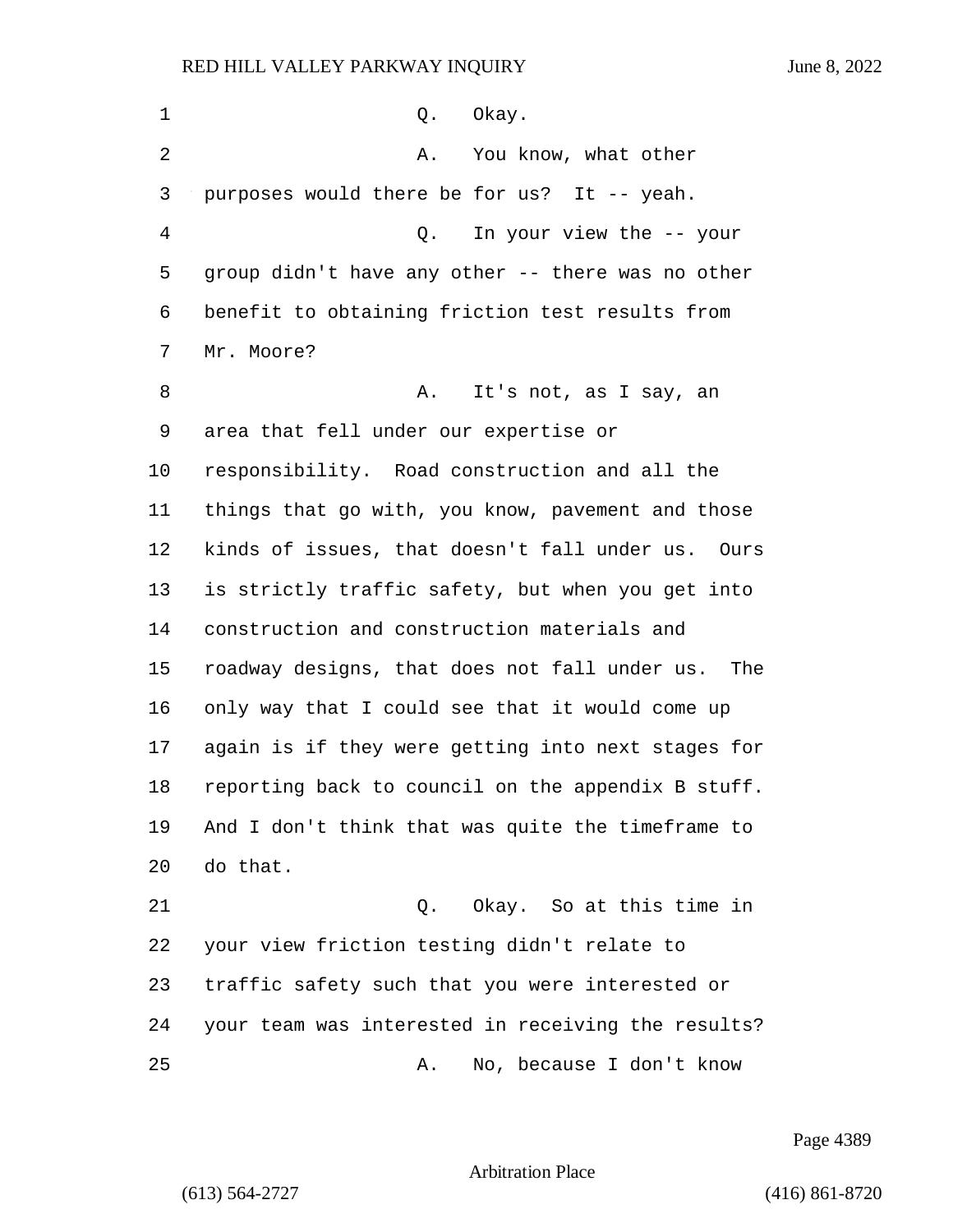| $\mathbf 1$    | Okay.<br>Q.                                        |
|----------------|----------------------------------------------------|
| $\overline{2}$ | You know, what other<br>Α.                         |
| 3              | purposes would there be for us? It -- yeah.        |
| $\overline{4}$ | In your view the -- your<br>Q.                     |
| 5              | group didn't have any other -- there was no other  |
| 6              | benefit to obtaining friction test results from    |
| 7              | Mr. Moore?                                         |
| 8              | It's not, as I say, an<br>Α.                       |
| 9              | area that fell under our expertise or              |
| 10             | responsibility. Road construction and all the      |
| 11             | things that go with, you know, pavement and those  |
| 12             | kinds of issues, that doesn't fall under us. Ours  |
| 13             | is strictly traffic safety, but when you get into  |
| 14             | construction and construction materials and        |
| 15             | roadway designs, that does not fall under us. The  |
| 16             | only way that I could see that it would come up    |
| 17             | again is if they were getting into next stages for |
| 18             | reporting back to council on the appendix B stuff. |
| 19             | And I don't think that was quite the timeframe to  |
| 20             | do that.                                           |
| 21             | Okay. So at this time in<br>Q.                     |
| 22             | your view friction testing didn't relate to        |
| 23             | traffic safety such that you were interested or    |
| 24             | your team was interested in receiving the results? |
| 25             | No, because I don't know<br>Α.                     |

Page 4389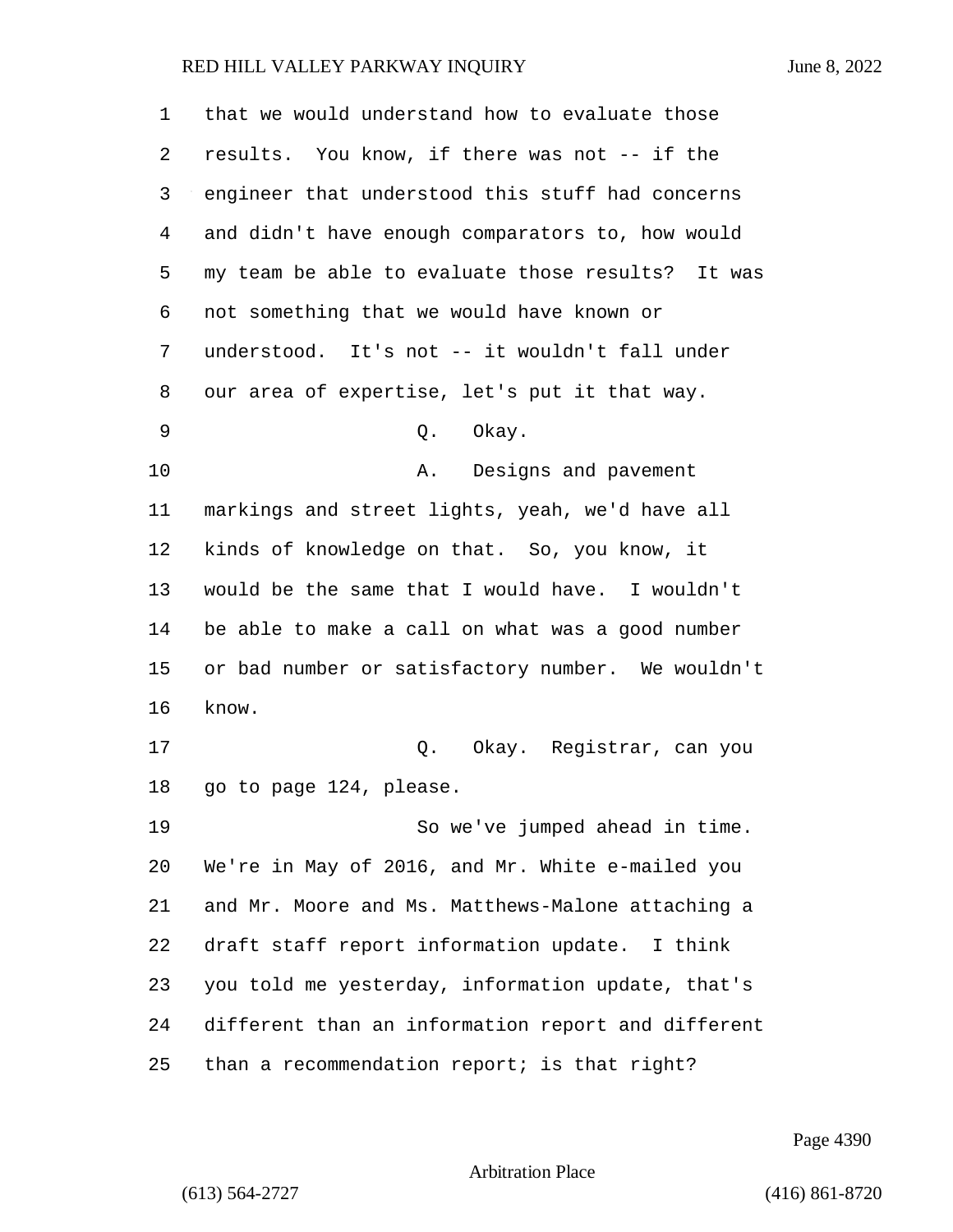that we would understand how to evaluate those results. You know, if there was not -- if the engineer that understood this stuff had concerns and didn't have enough comparators to, how would my team be able to evaluate those results? It was not something that we would have known or understood. It's not -- it wouldn't fall under our area of expertise, let's put it that way. 9 Q. Okay. 10 A. Designs and pavement markings and street lights, yeah, we'd have all kinds of knowledge on that. So, you know, it would be the same that I would have. I wouldn't be able to make a call on what was a good number or bad number or satisfactory number. We wouldn't know. 17 Q. Okay. Registrar, can you go to page 124, please. 19 So we've jumped ahead in time. We're in May of 2016, and Mr. White e-mailed you and Mr. Moore and Ms. Matthews-Malone attaching a draft staff report information update. I think you told me yesterday, information update, that's different than an information report and different than a recommendation report; is that right?

Page 4390

Arbitration Place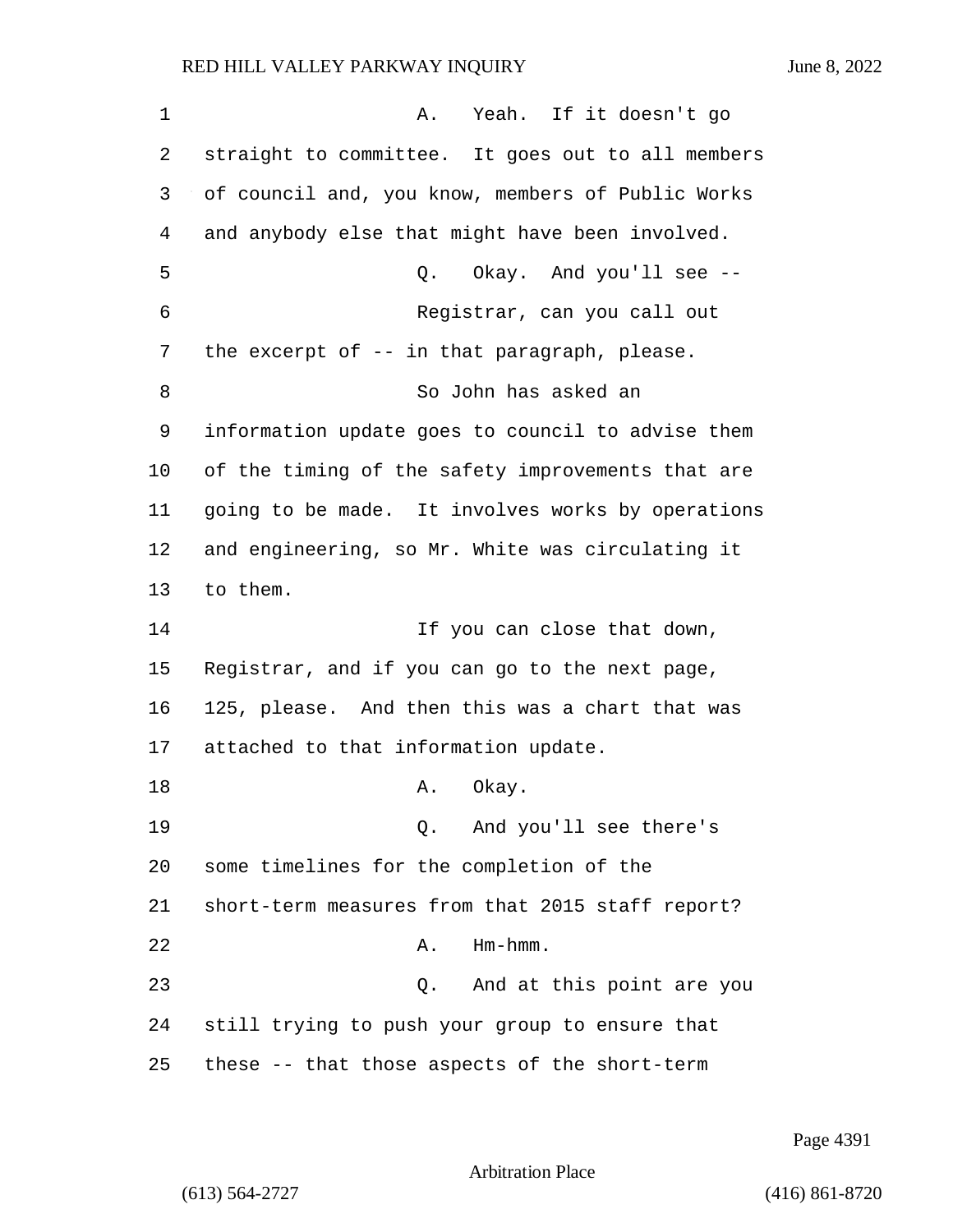1 A. Yeah. If it doesn't go 2 straight to committee. It goes out to all members 3 of council and, you know, members of Public Works 4 and anybody else that might have been involved. 5 Q. Okay. And you'll see -- 6 Registrar, can you call out 7 the excerpt of -- in that paragraph, please. 8 So John has asked an 9 information update goes to council to advise them 10 of the timing of the safety improvements that are 11 going to be made. It involves works by operations 12 and engineering, so Mr. White was circulating it 13 to them. 14 If you can close that down, 15 Registrar, and if you can go to the next page, 16 125, please. And then this was a chart that was 17 attached to that information update. 18 A. Okay. 19 Q. And you'll see there's 20 some timelines for the completion of the 21 short-term measures from that 2015 staff report? 22 A. Hm-hmm. 23 Q. And at this point are you

24 still trying to push your group to ensure that

25 these -- that those aspects of the short-term

Page 4391

Arbitration Place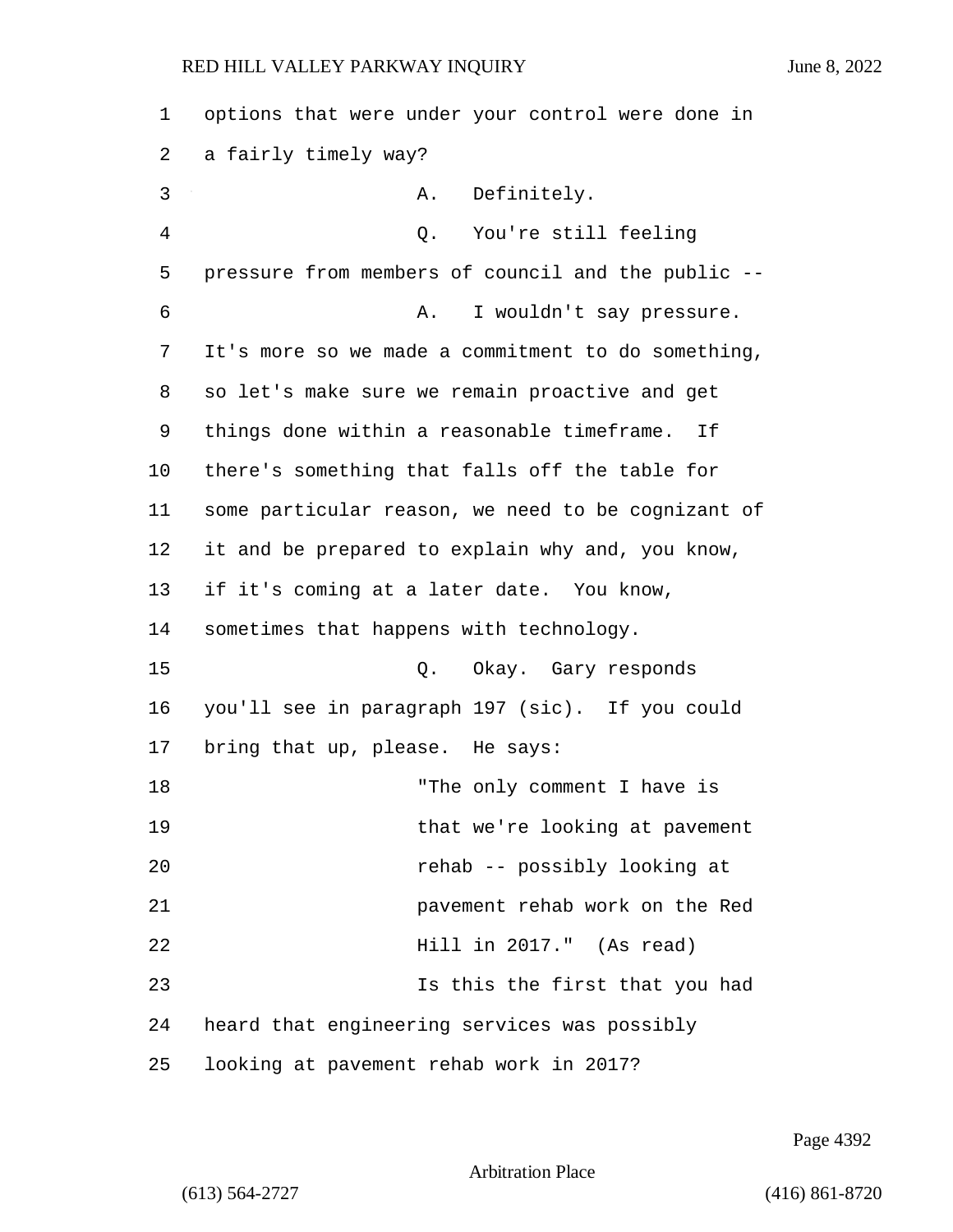| 1  | options that were under your control were done in  |
|----|----------------------------------------------------|
| 2  | a fairly timely way?                               |
| 3  | Definitely.<br>Α.                                  |
| 4  | You're still feeling<br>Q.                         |
| 5  | pressure from members of council and the public -- |
| 6  | I wouldn't say pressure.<br>Α.                     |
| 7  | It's more so we made a commitment to do something, |
| 8  | so let's make sure we remain proactive and get     |
| 9  | things done within a reasonable timeframe.<br>Ιf   |
| 10 | there's something that falls off the table for     |
| 11 | some particular reason, we need to be cognizant of |
| 12 | it and be prepared to explain why and, you know,   |
| 13 | if it's coming at a later date. You know,          |
| 14 | sometimes that happens with technology.            |
| 15 | Okay. Gary responds<br>Q.                          |
| 16 | you'll see in paragraph 197 (sic). If you could    |
| 17 | bring that up, please. He says:                    |
| 18 | "The only comment I have is                        |
| 19 | that we're looking at pavement                     |
| 20 | rehab -- possibly looking at                       |
| 21 | pavement rehab work on the Red                     |
| 22 | Hill in 2017." (As read)                           |
| 23 | Is this the first that you had                     |
| 24 | heard that engineering services was possibly       |
| 25 | looking at pavement rehab work in 2017?            |

Page 4392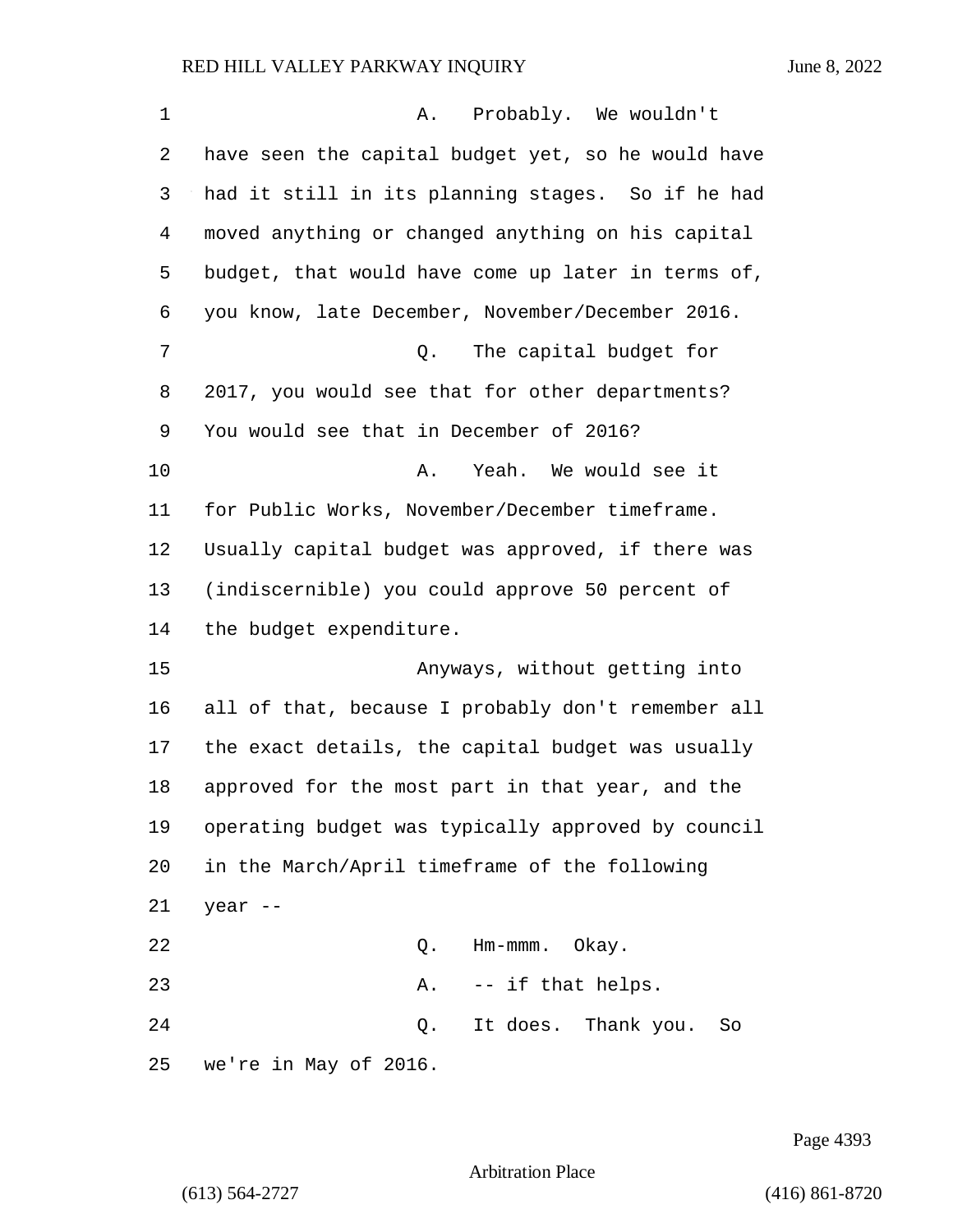| 1  | Probably. We wouldn't<br>Α.                        |
|----|----------------------------------------------------|
| 2  | have seen the capital budget yet, so he would have |
| 3  | had it still in its planning stages. So if he had  |
| 4  | moved anything or changed anything on his capital  |
| 5  | budget, that would have come up later in terms of, |
| 6  | you know, late December, November/December 2016.   |
| 7  | The capital budget for<br>Q.                       |
| 8  | 2017, you would see that for other departments?    |
| 9  | You would see that in December of 2016?            |
| 10 | Yeah. We would see it<br>Α.                        |
| 11 | for Public Works, November/December timeframe.     |
| 12 | Usually capital budget was approved, if there was  |
| 13 | (indiscernible) you could approve 50 percent of    |
| 14 | the budget expenditure.                            |
| 15 | Anyways, without getting into                      |
| 16 | all of that, because I probably don't remember all |
| 17 | the exact details, the capital budget was usually  |
| 18 | approved for the most part in that year, and the   |
| 19 | operating budget was typically approved by council |
| 20 | in the March/April timeframe of the following      |
| 21 | year --                                            |
| 22 | Q.<br>Hm-mmm. Okay.                                |
| 23 | -- if that helps.<br>Α.                            |
| 24 | It does. Thank you.<br>Q.<br>So                    |
| 25 | we're in May of 2016.                              |

Page 4393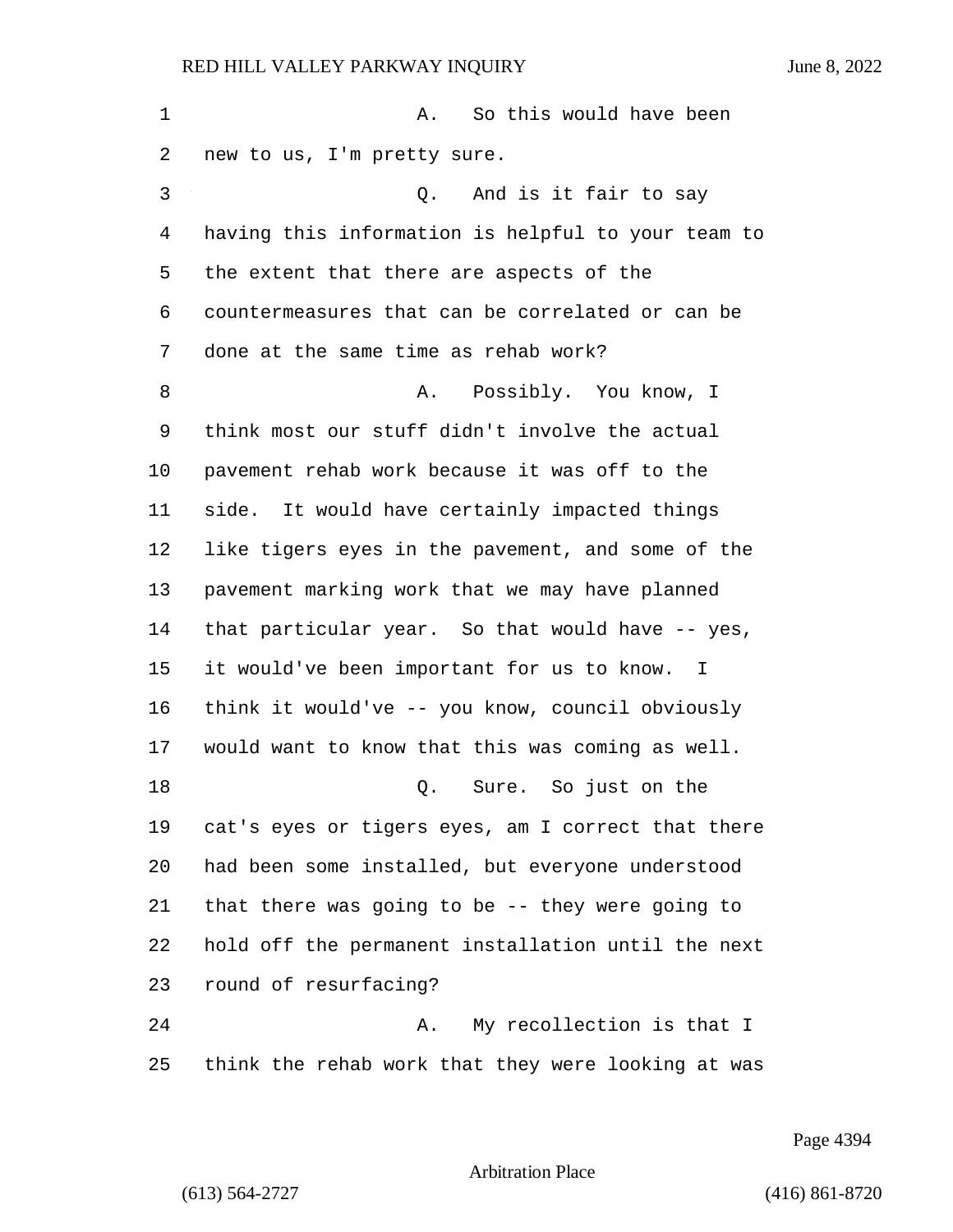1 A. So this would have been new to us, I'm pretty sure. 3 Q. And is it fair to say having this information is helpful to your team to the extent that there are aspects of the countermeasures that can be correlated or can be done at the same time as rehab work? 8 A. Possibly. You know, I think most our stuff didn't involve the actual pavement rehab work because it was off to the side. It would have certainly impacted things like tigers eyes in the pavement, and some of the pavement marking work that we may have planned that particular year. So that would have -- yes, it would've been important for us to know. I think it would've -- you know, council obviously would want to know that this was coming as well. 18 Q. Sure. So just on the cat's eyes or tigers eyes, am I correct that there had been some installed, but everyone understood that there was going to be -- they were going to hold off the permanent installation until the next round of resurfacing? 24 A. My recollection is that I

Arbitration Place

think the rehab work that they were looking at was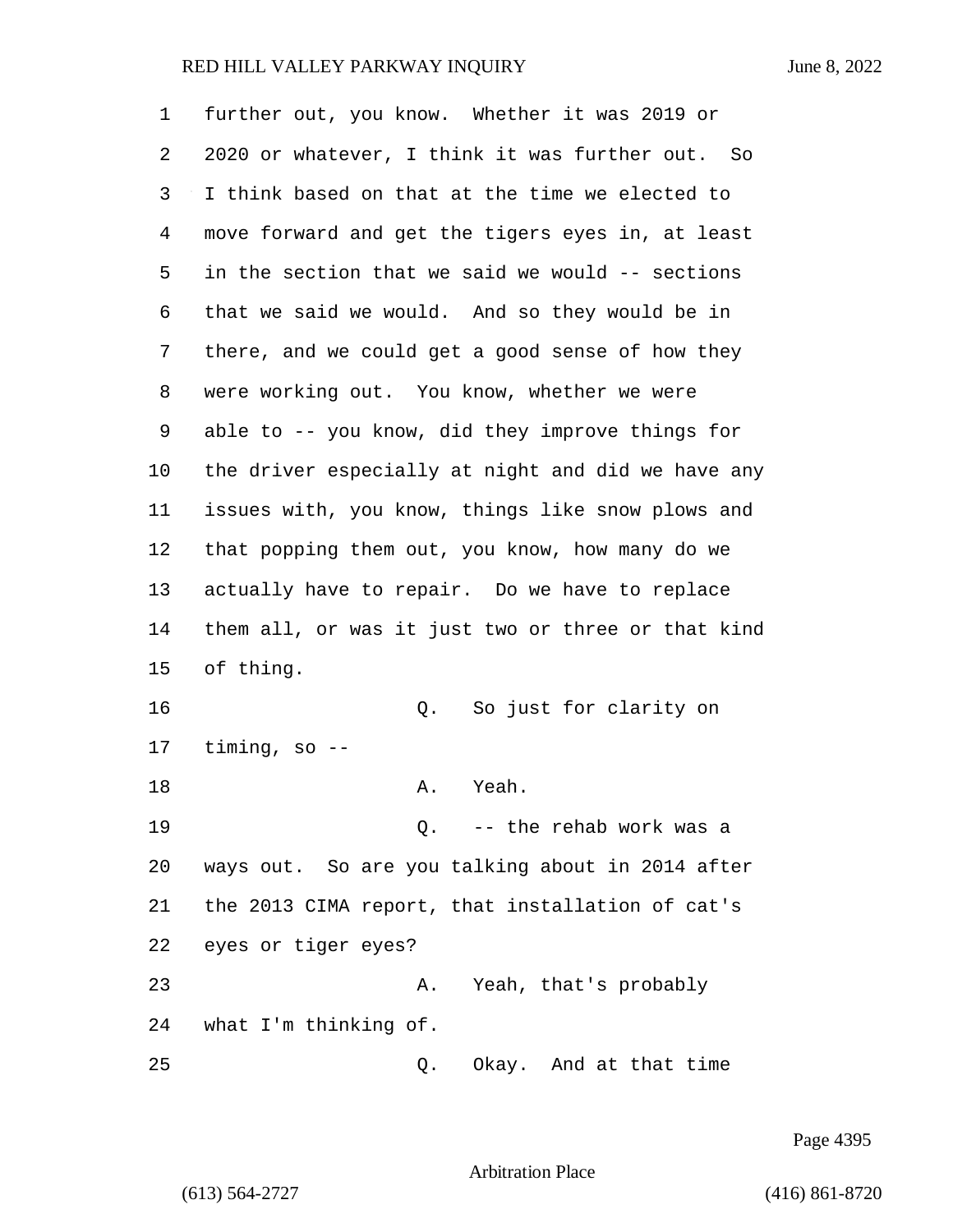| 1  | further out, you know. Whether it was 2019 or      |
|----|----------------------------------------------------|
| 2  | 2020 or whatever, I think it was further out. So   |
| 3  | I think based on that at the time we elected to    |
| 4  | move forward and get the tigers eyes in, at least  |
| 5  | in the section that we said we would -- sections   |
| 6  | that we said we would. And so they would be in     |
| 7  | there, and we could get a good sense of how they   |
| 8  | were working out. You know, whether we were        |
| 9  | able to -- you know, did they improve things for   |
| 10 | the driver especially at night and did we have any |
| 11 | issues with, you know, things like snow plows and  |
| 12 | that popping them out, you know, how many do we    |
| 13 | actually have to repair. Do we have to replace     |
| 14 | them all, or was it just two or three or that kind |
| 15 | of thing.                                          |
| 16 | So just for clarity on<br>Q.                       |
| 17 | timing, so $-$                                     |
| 18 | Yeah.<br>Α.                                        |
| 19 | Q. -- the rehab work was a                         |
| 20 | ways out. So are you talking about in 2014 after   |
| 21 | the 2013 CIMA report, that installation of cat's   |
| 22 | eyes or tiger eyes?                                |
| 23 | Yeah, that's probably<br>Α.                        |
| 24 | what I'm thinking of.                              |
| 25 | Okay. And at that time<br>Q.                       |

Page 4395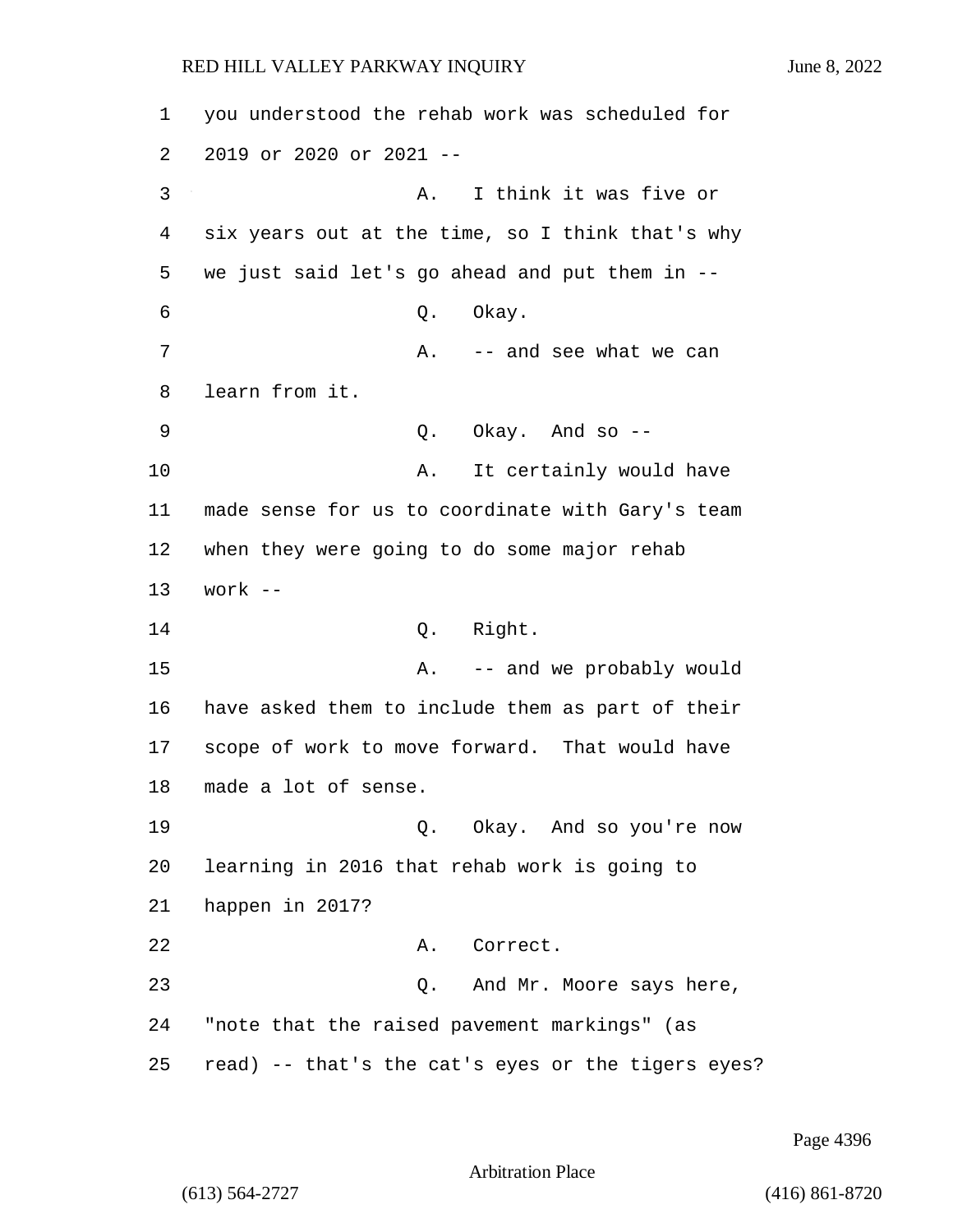1 you understood the rehab work was scheduled for 2 2019 or 2020 or 2021 -- 3 A. I think it was five or 4 six years out at the time, so I think that's why 5 we just said let's go ahead and put them in -- 6 Q. Okay. 7 A. -- and see what we can 8 learn from it. 9 Q. Okay. And so -- 10 A. It certainly would have 11 made sense for us to coordinate with Gary's team 12 when they were going to do some major rehab 13 work -- 14 Q. Right. 15 A. -- and we probably would 16 have asked them to include them as part of their 17 scope of work to move forward. That would have 18 made a lot of sense. 19 Q. Okay. And so you're now 20 learning in 2016 that rehab work is going to 21 happen in 2017? 22 A. Correct. 23 Q. And Mr. Moore says here, 24 "note that the raised pavement markings" (as 25 read) -- that's the cat's eyes or the tigers eyes?

Page 4396

Arbitration Place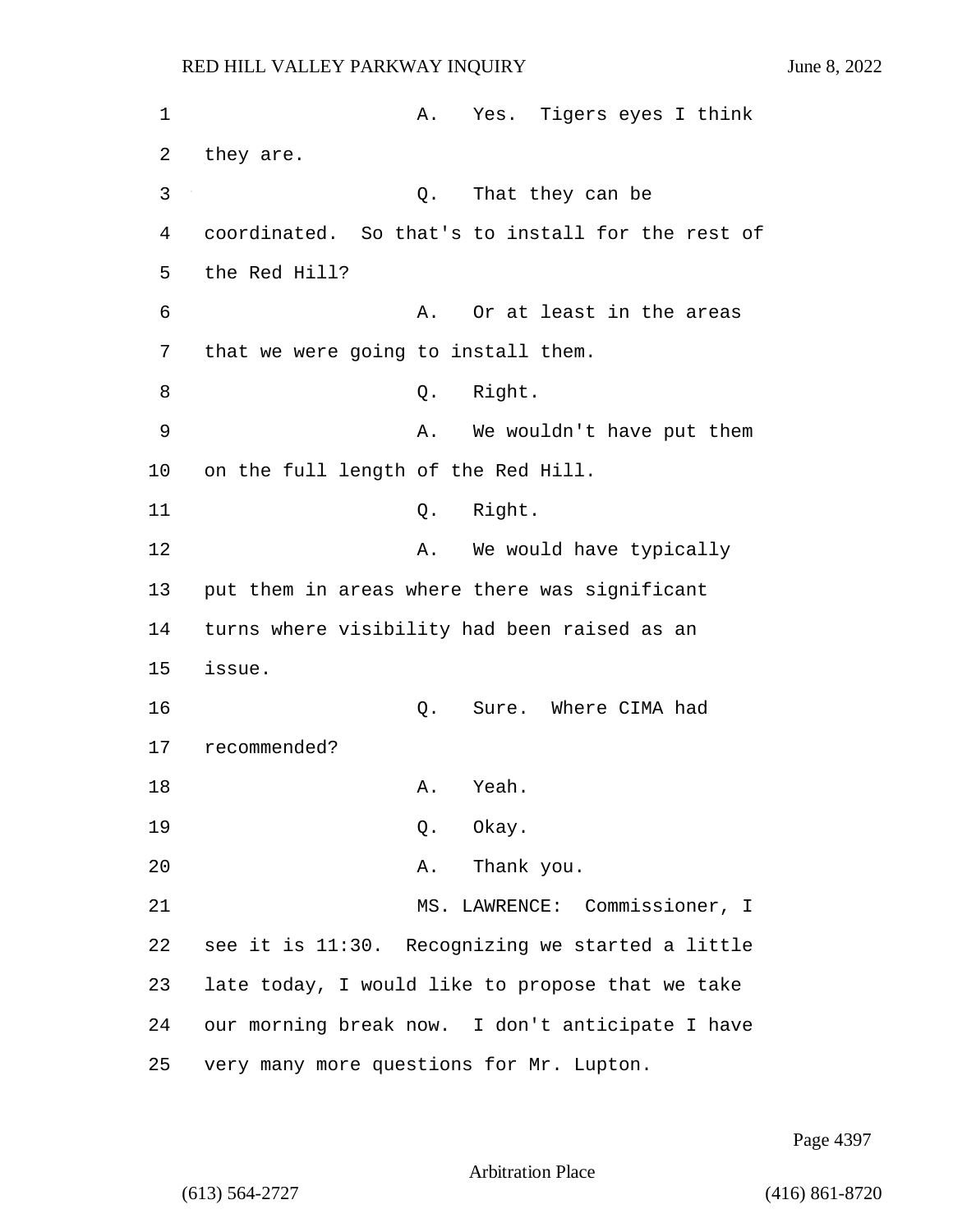1 A. Yes. Tigers eyes I think 2 they are. 3 Q. That they can be 4 coordinated. So that's to install for the rest of 5 the Red Hill? 6 A. Or at least in the areas 7 that we were going to install them. 8 Q. Right. 9 A. We wouldn't have put them 10 on the full length of the Red Hill. 11 Q. Right. 12 A. We would have typically 13 put them in areas where there was significant 14 turns where visibility had been raised as an 15 issue. 16 Q. Sure. Where CIMA had 17 recommended? 18 A. Yeah. 19 Q. Okay. 20 A. Thank you. 21 MS. LAWRENCE: Commissioner, I 22 see it is 11:30. Recognizing we started a little 23 late today, I would like to propose that we take 24 our morning break now. I don't anticipate I have 25 very many more questions for Mr. Lupton.

Page 4397

Arbitration Place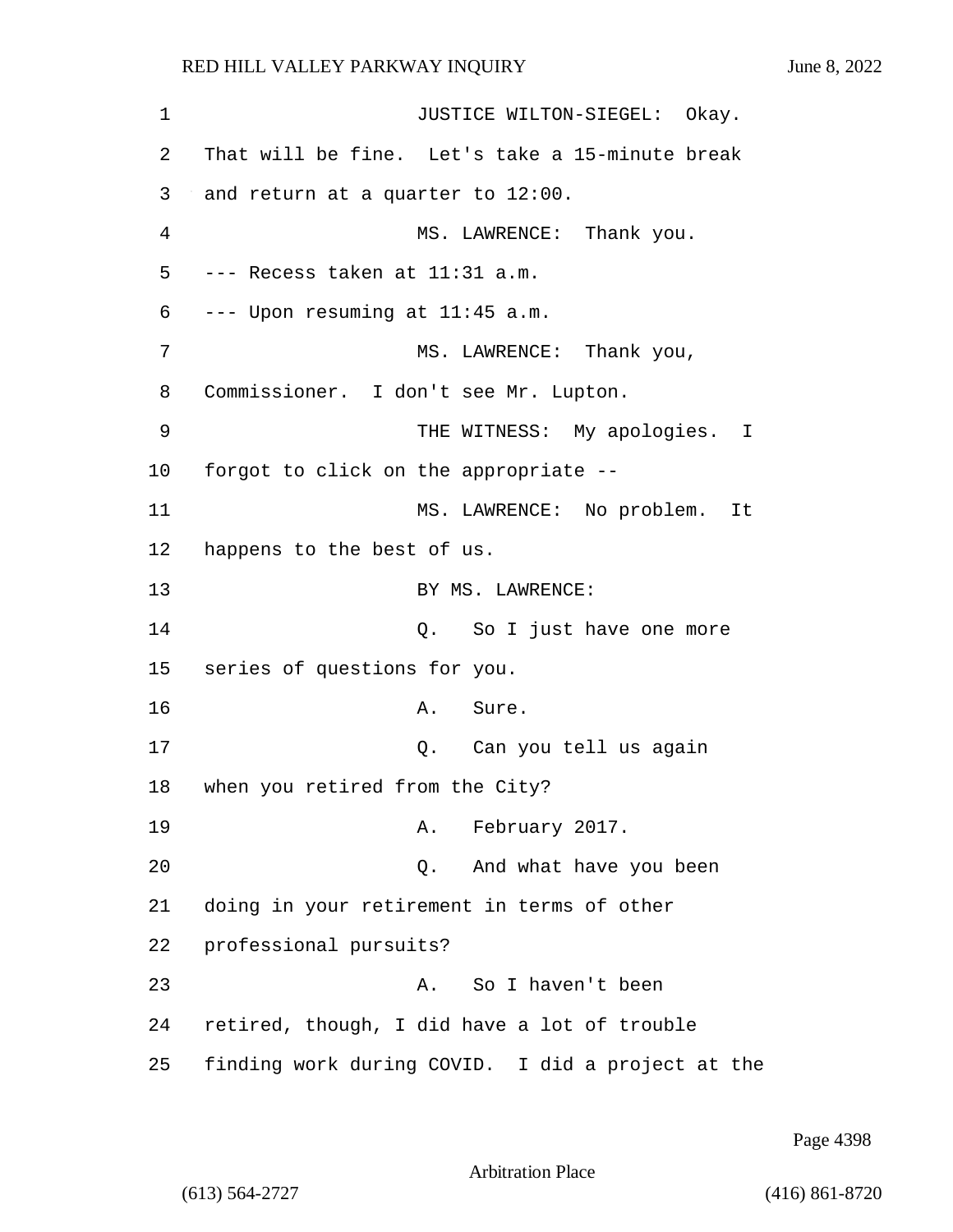1 JUSTICE WILTON-SIEGEL: Okay. 2 That will be fine. Let's take a 15-minute break 3 and return at a quarter to 12:00. 4 MS. LAWRENCE: Thank you. 5 --- Recess taken at 11:31 a.m. 6 --- Upon resuming at 11:45 a.m. 7 MS. LAWRENCE: Thank you, 8 Commissioner. I don't see Mr. Lupton. 9 THE WITNESS: My apologies. I 10 forgot to click on the appropriate -- 11 MS. LAWRENCE: No problem. It 12 happens to the best of us. 13 BY MS. LAWRENCE: 14 Q. So I just have one more 15 series of questions for you. 16 **A.** Sure. 17 Q. Can you tell us again 18 when you retired from the City? 19 **A.** February 2017. 20 Q. And what have you been 21 doing in your retirement in terms of other 22 professional pursuits? 23 A. So I haven't been 24 retired, though, I did have a lot of trouble 25 finding work during COVID. I did a project at the

Page 4398

Arbitration Place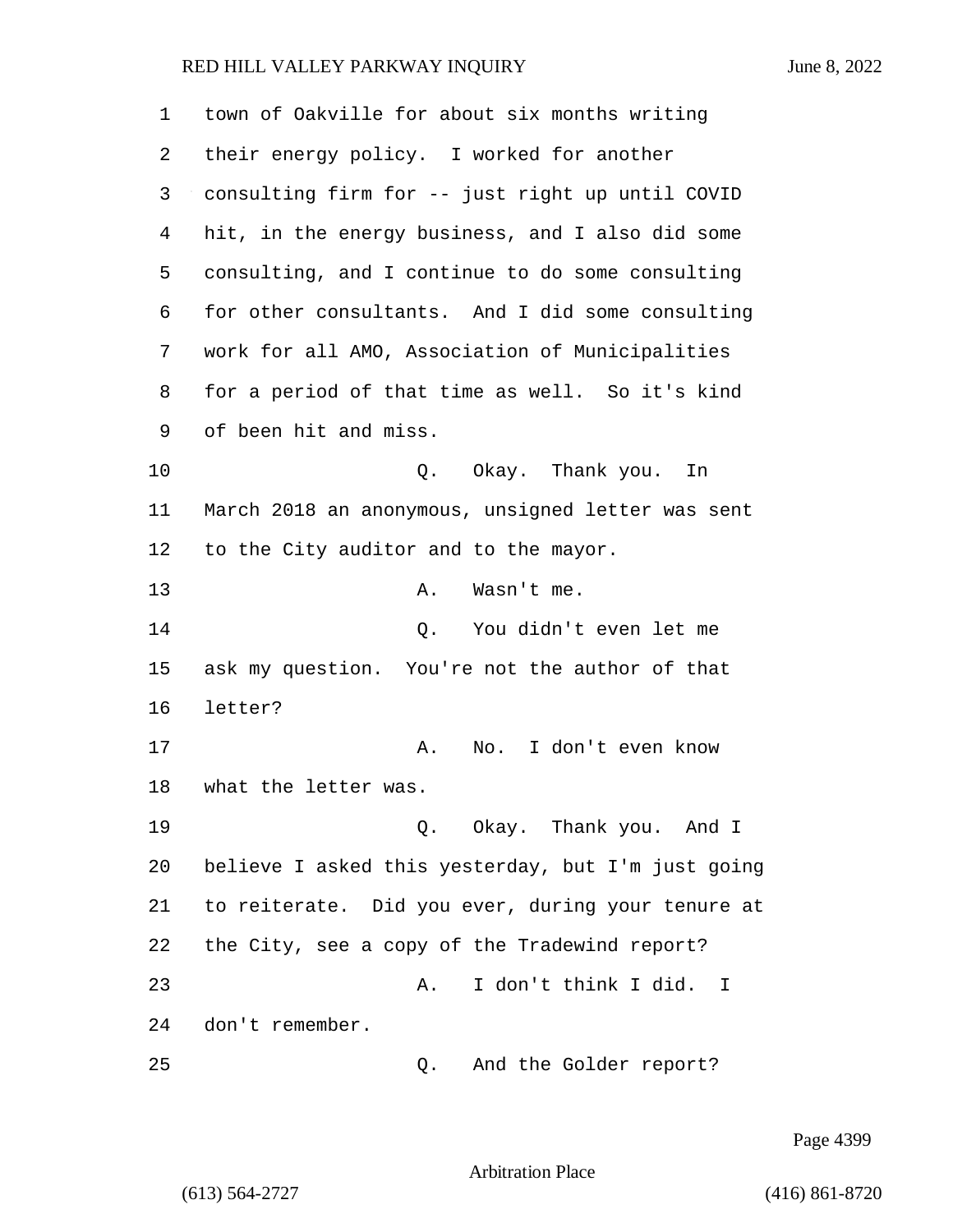town of Oakville for about six months writing their energy policy. I worked for another consulting firm for -- just right up until COVID hit, in the energy business, and I also did some consulting, and I continue to do some consulting for other consultants. And I did some consulting work for all AMO, Association of Municipalities for a period of that time as well. So it's kind of been hit and miss. 10 Q. Okay. Thank you. In March 2018 an anonymous, unsigned letter was sent to the City auditor and to the mayor. 13 A. Wasn't me. 14 Q. You didn't even let me ask my question. You're not the author of that letter? 17 A. No. I don't even know what the letter was. 19 Q. Okay. Thank you. And I believe I asked this yesterday, but I'm just going to reiterate. Did you ever, during your tenure at the City, see a copy of the Tradewind report? 23 A. I don't think I did. I don't remember. 25 Q. And the Golder report?

Page 4399

Arbitration Place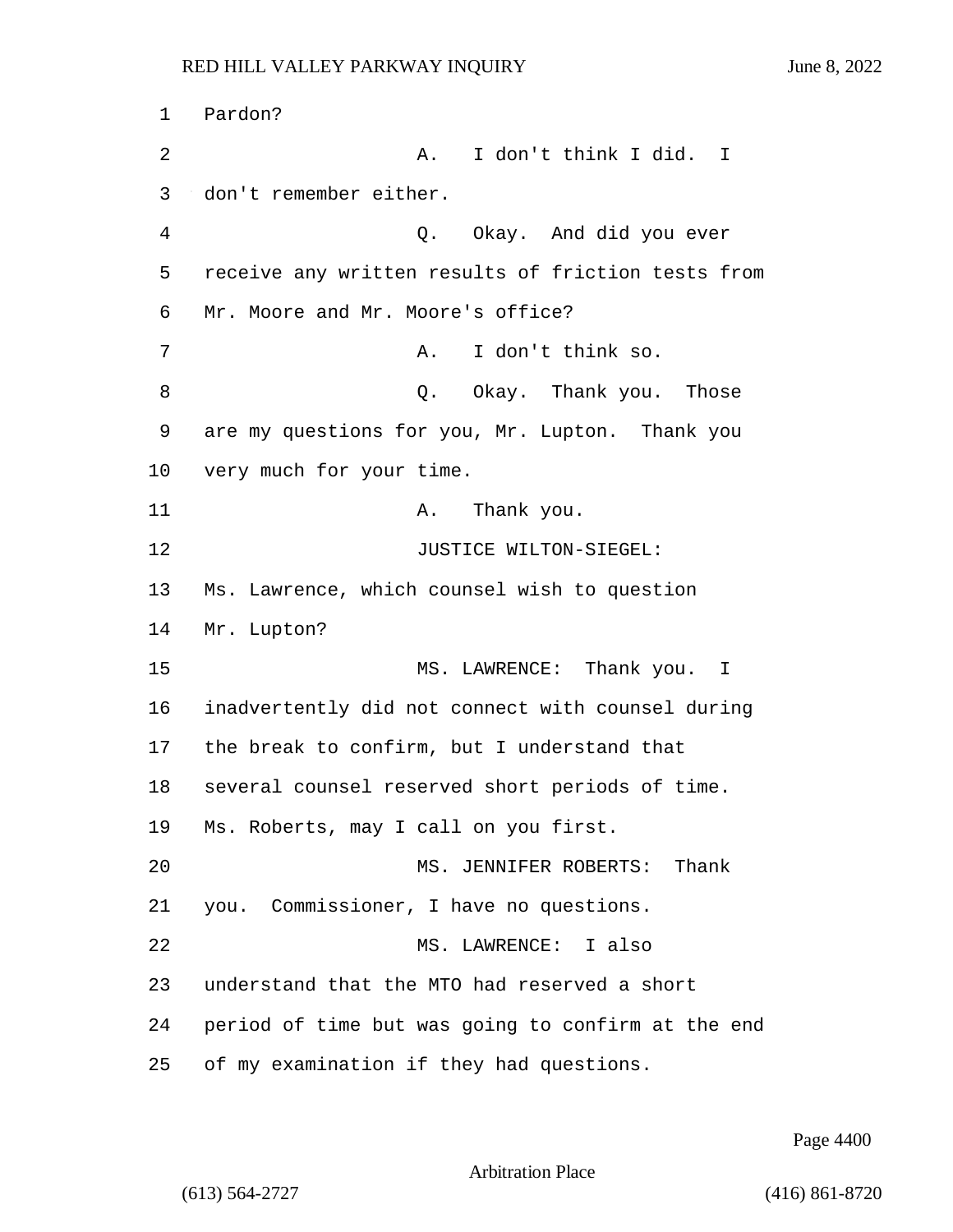1 Pardon? 2 A. I don't think I did. I 3 don't remember either. 4 Q. Okay. And did you ever 5 receive any written results of friction tests from 6 Mr. Moore and Mr. Moore's office? 7 A. I don't think so. 8 a Q. Okay. Thank you. Those 9 are my questions for you, Mr. Lupton. Thank you 10 very much for your time. 11 A. Thank you. 12 JUSTICE WILTON-SIEGEL: 13 Ms. Lawrence, which counsel wish to question 14 Mr. Lupton? 15 MS. LAWRENCE: Thank you. I 16 inadvertently did not connect with counsel during 17 the break to confirm, but I understand that 18 several counsel reserved short periods of time. 19 Ms. Roberts, may I call on you first. 20 MS. JENNIFER ROBERTS: Thank 21 you. Commissioner, I have no questions. 22 MS. LAWRENCE: I also 23 understand that the MTO had reserved a short 24 period of time but was going to confirm at the end 25 of my examination if they had questions.

Page 4400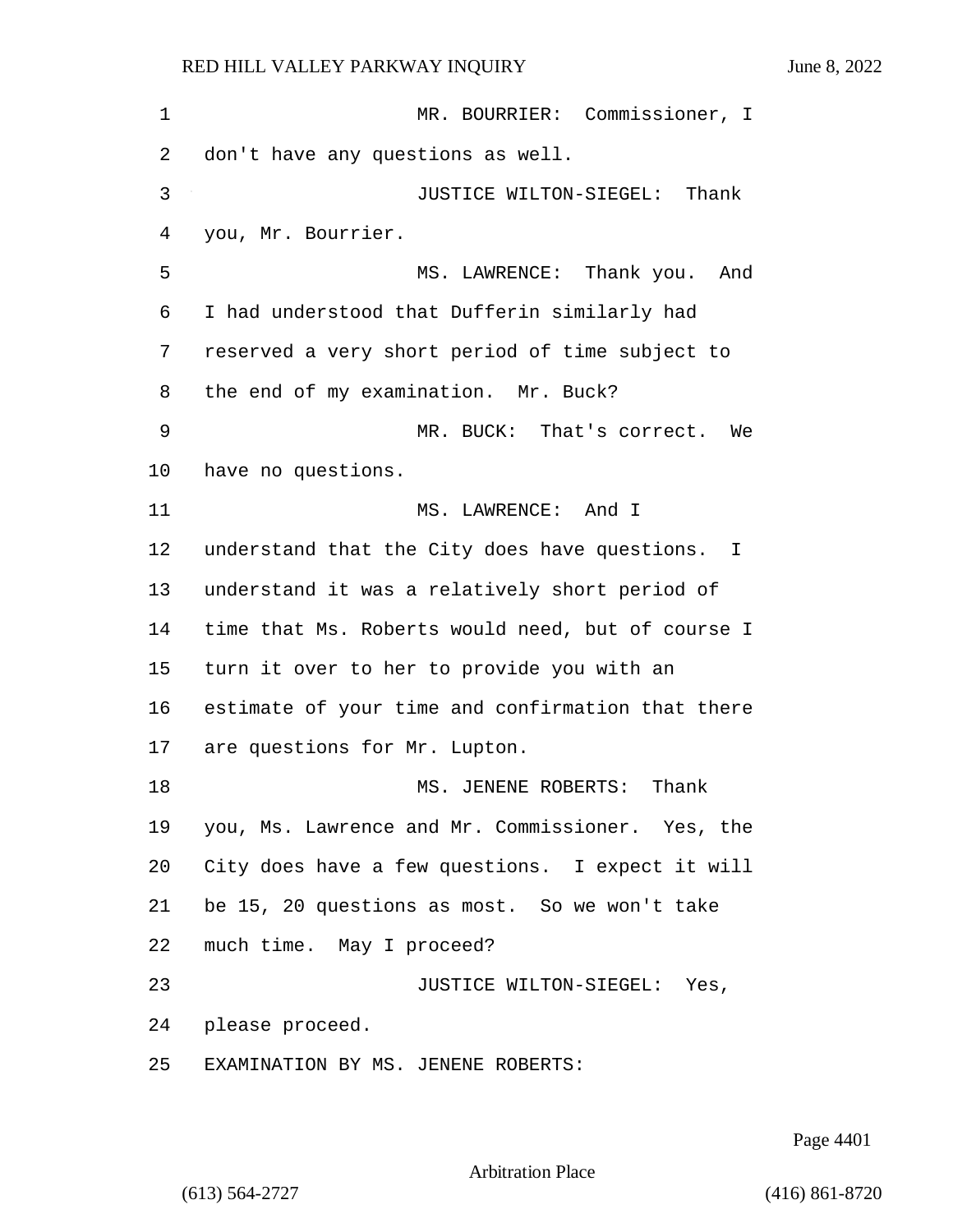1 MR. BOURRIER: Commissioner, I don't have any questions as well. 3 JUSTICE WILTON-SIEGEL: Thank you, Mr. Bourrier. 5 MS. LAWRENCE: Thank you. And I had understood that Dufferin similarly had reserved a very short period of time subject to the end of my examination. Mr. Buck? 9 MR. BUCK: That's correct. We have no questions. 11 MS. LAWRENCE: And I understand that the City does have questions. I understand it was a relatively short period of time that Ms. Roberts would need, but of course I turn it over to her to provide you with an estimate of your time and confirmation that there are questions for Mr. Lupton. 18 MS. JENENE ROBERTS: Thank you, Ms. Lawrence and Mr. Commissioner. Yes, the City does have a few questions. I expect it will be 15, 20 questions as most. So we won't take much time. May I proceed? 23 JUSTICE WILTON-SIEGEL: Yes, please proceed. EXAMINATION BY MS. JENENE ROBERTS:

Page 4401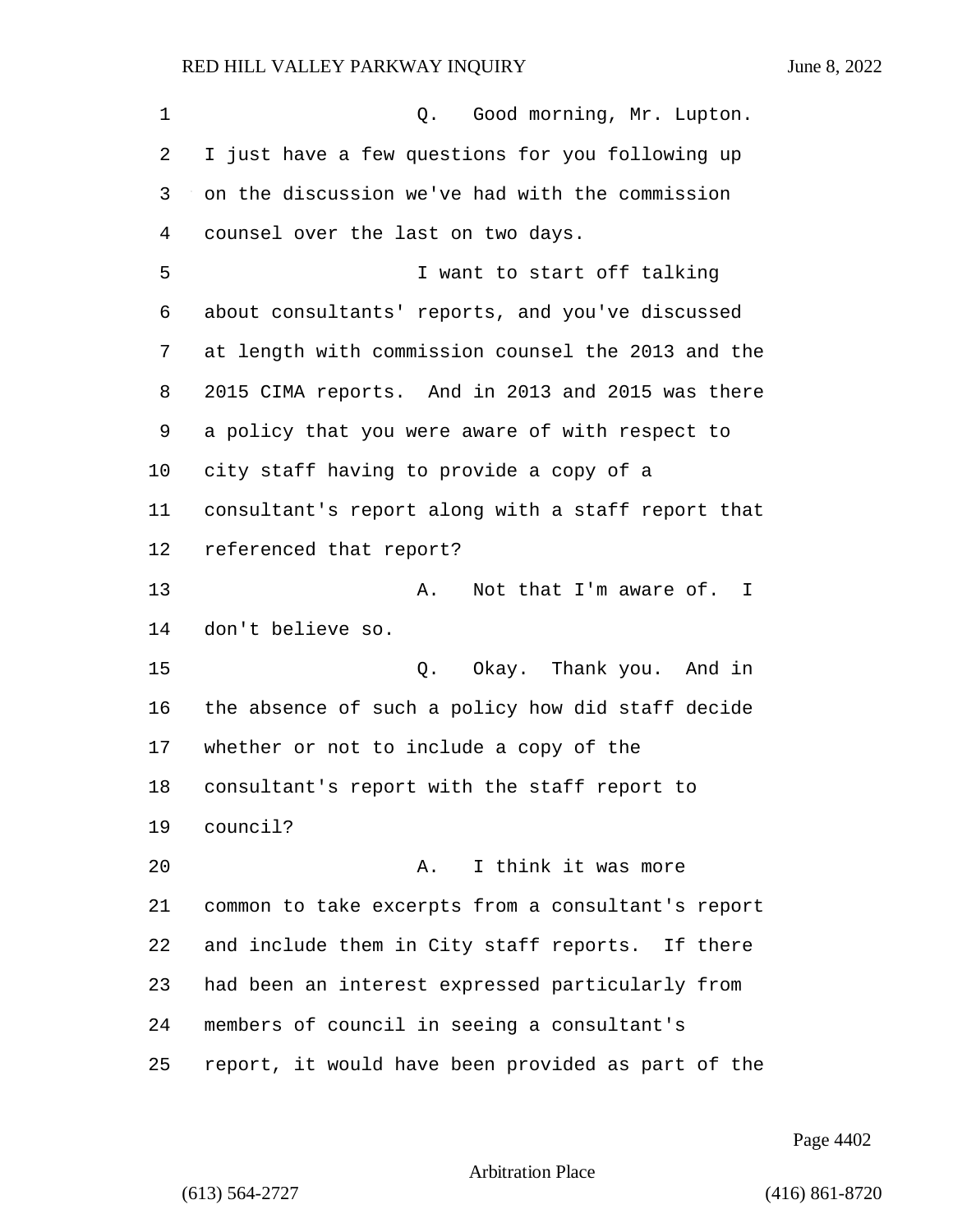| 1  | Q. Good morning, Mr. Lupton.                       |
|----|----------------------------------------------------|
| 2  | I just have a few questions for you following up   |
| 3  | on the discussion we've had with the commission    |
| 4  | counsel over the last on two days.                 |
| 5  | I want to start off talking                        |
| 6  | about consultants' reports, and you've discussed   |
| 7  | at length with commission counsel the 2013 and the |
| 8  | 2015 CIMA reports. And in 2013 and 2015 was there  |
| 9  | a policy that you were aware of with respect to    |
| 10 | city staff having to provide a copy of a           |
| 11 | consultant's report along with a staff report that |
| 12 | referenced that report?                            |
| 13 | Not that I'm aware of. I<br>Α.                     |
| 14 | don't believe so.                                  |
| 15 | Okay. Thank you. And in<br>Q.                      |
| 16 | the absence of such a policy how did staff decide  |
| 17 | whether or not to include a copy of the            |
| 18 | consultant's report with the staff report to       |
| 19 | council?                                           |
| 20 | I think it was more<br>Α.                          |
| 21 | common to take excerpts from a consultant's report |
| 22 | and include them in City staff reports. If there   |
| 23 | had been an interest expressed particularly from   |
| 24 | members of council in seeing a consultant's        |
| 25 | report, it would have been provided as part of the |

Page 4402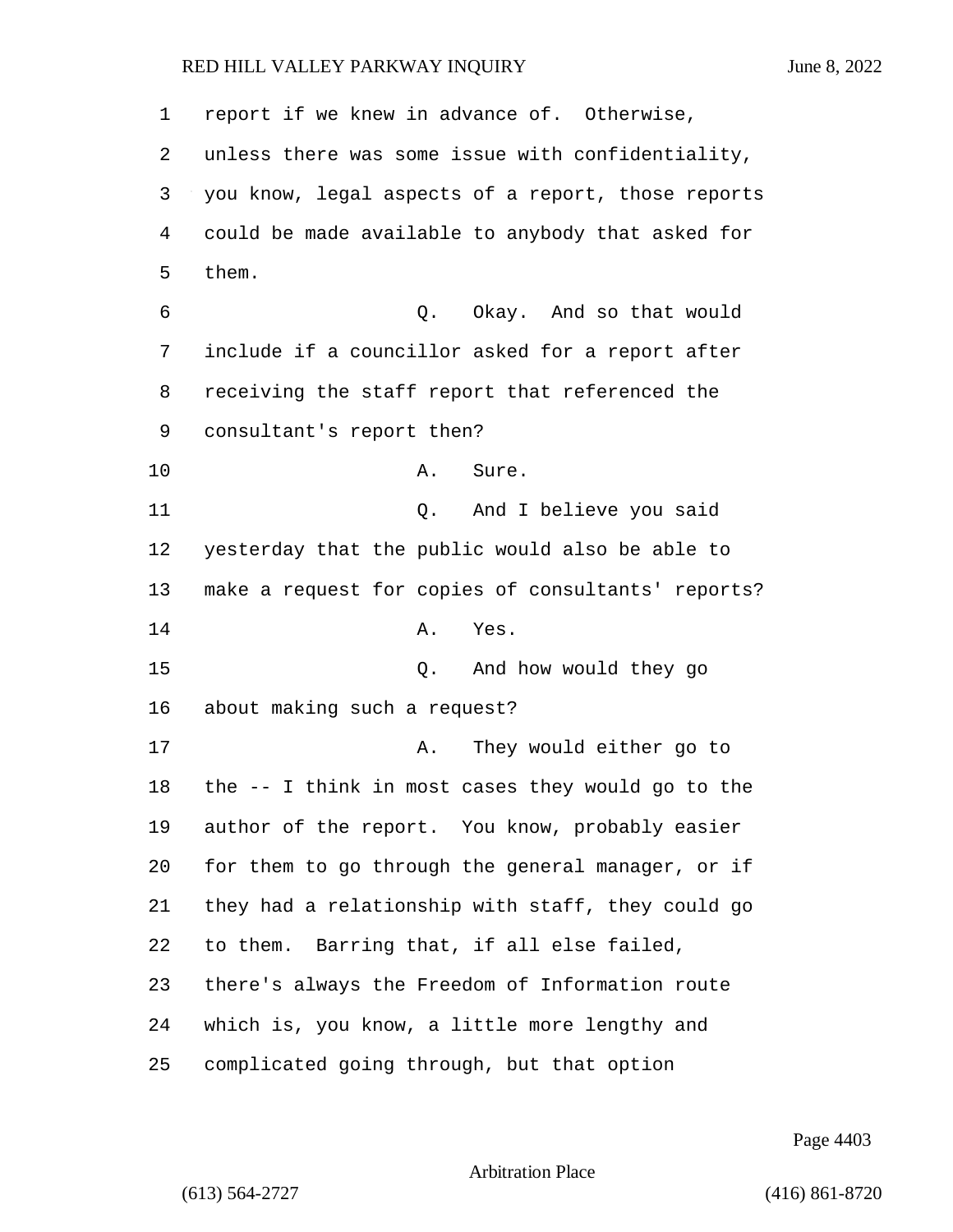| $\mathbf 1$ | report if we knew in advance of. Otherwise,        |
|-------------|----------------------------------------------------|
| 2           | unless there was some issue with confidentiality,  |
| 3           | you know, legal aspects of a report, those reports |
| 4           | could be made available to anybody that asked for  |
| 5           | them.                                              |
| 6           | Q. Okay. And so that would                         |
| 7           | include if a councillor asked for a report after   |
| 8           | receiving the staff report that referenced the     |
| 9           | consultant's report then?                          |
| 10          | Α.<br>Sure.                                        |
| 11          | And I believe you said<br>Q.                       |
| 12          | yesterday that the public would also be able to    |
| 13          | make a request for copies of consultants' reports? |
| 14          | Yes.<br>Α.                                         |
| 15          | And how would they go<br>Q.                        |
| 16          | about making such a request?                       |
| 17          | They would either go to<br>Α.                      |
| 18          | the -- I think in most cases they would go to the  |
| 19          | author of the report. You know, probably easier    |
| 20          | for them to go through the general manager, or if  |
| 21          | they had a relationship with staff, they could go  |
| 22          | to them. Barring that, if all else failed,         |
| 23          | there's always the Freedom of Information route    |
| 24          | which is, you know, a little more lengthy and      |
| 25          | complicated going through, but that option         |

Page 4403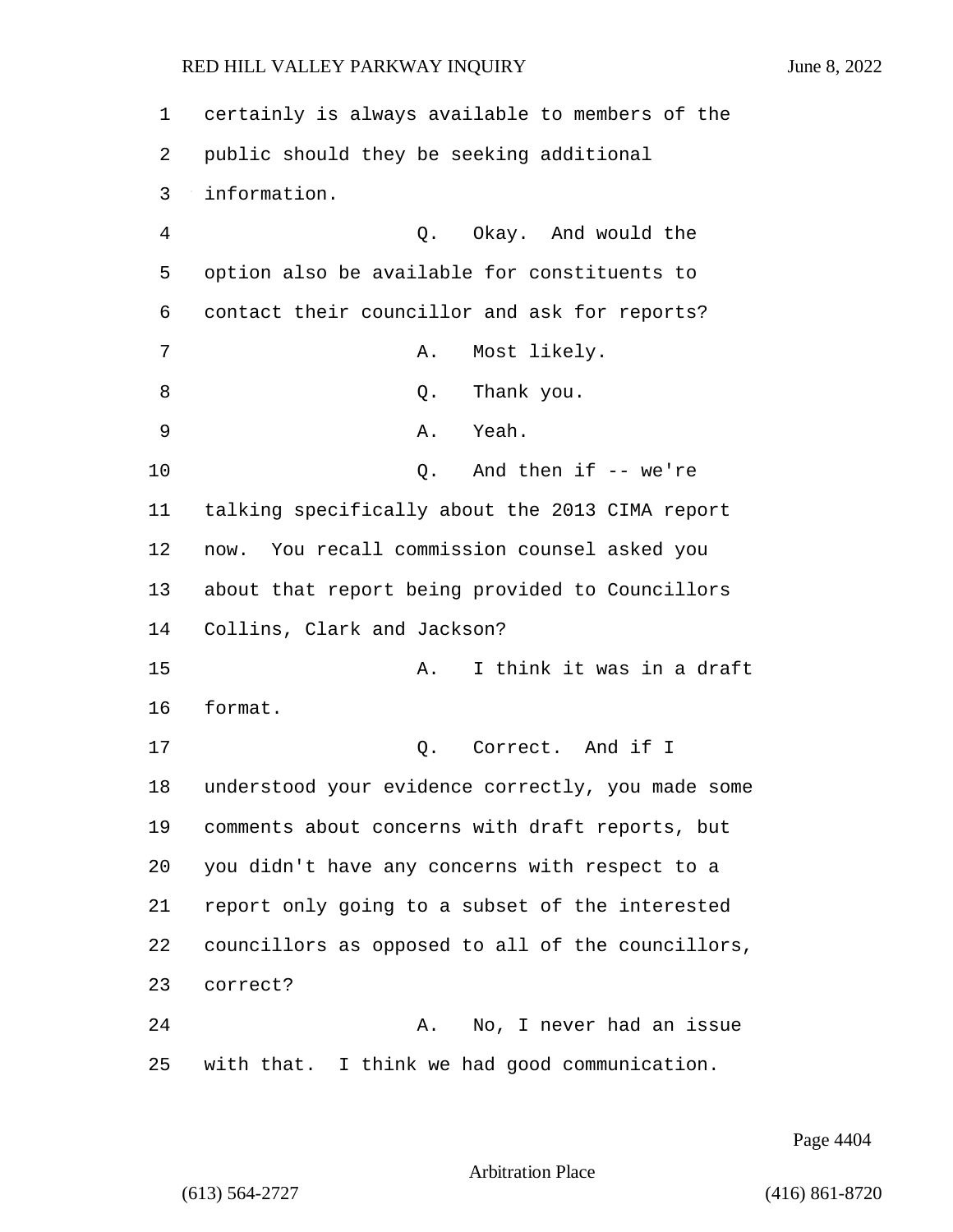| 1  | certainly is always available to members of the   |
|----|---------------------------------------------------|
| 2  | public should they be seeking additional          |
| 3  | information.                                      |
| 4  | Okay. And would the<br>Q.                         |
| 5  | option also be available for constituents to      |
| 6  | contact their councillor and ask for reports?     |
| 7  | Most likely.<br>Α.                                |
| 8  | Thank you.<br>Q.                                  |
| 9  | Yeah.<br>Α.                                       |
| 10 | And then if $--$ we're<br>Q.                      |
| 11 | talking specifically about the 2013 CIMA report   |
| 12 | now. You recall commission counsel asked you      |
| 13 | about that report being provided to Councillors   |
| 14 | Collins, Clark and Jackson?                       |
| 15 | I think it was in a draft<br>Α.                   |
| 16 | format.                                           |
| 17 | Correct. And if I<br>Q.                           |
| 18 | understood your evidence correctly, you made some |
| 19 | comments about concerns with draft reports, but   |
| 20 | you didn't have any concerns with respect to a    |
| 21 | report only going to a subset of the interested   |
| 22 | councillors as opposed to all of the councillors, |
| 23 | correct?                                          |
| 24 | No, I never had an issue<br>Α.                    |
| 25 | with that. I think we had good communication.     |

Page 4404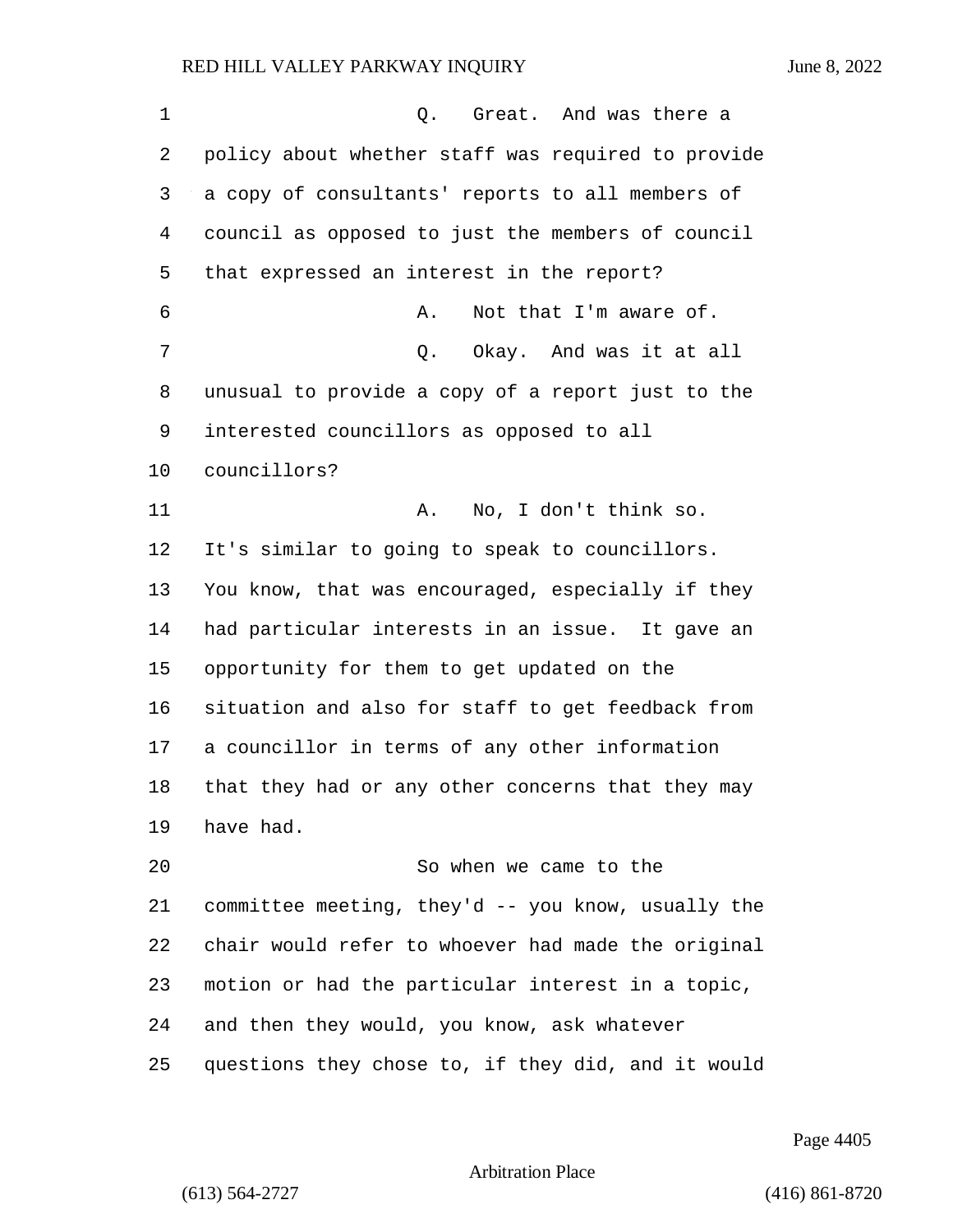1 C. Great. And was there a policy about whether staff was required to provide a copy of consultants' reports to all members of council as opposed to just the members of council that expressed an interest in the report? **A.** Not that I'm aware of. 7 C. Okay. And was it at all unusual to provide a copy of a report just to the interested councillors as opposed to all councillors? 11 A. No, I don't think so. It's similar to going to speak to councillors. You know, that was encouraged, especially if they had particular interests in an issue. It gave an opportunity for them to get updated on the situation and also for staff to get feedback from a councillor in terms of any other information that they had or any other concerns that they may have had. 20 So when we came to the committee meeting, they'd -- you know, usually the chair would refer to whoever had made the original motion or had the particular interest in a topic, and then they would, you know, ask whatever

questions they chose to, if they did, and it would

Page 4405

Arbitration Place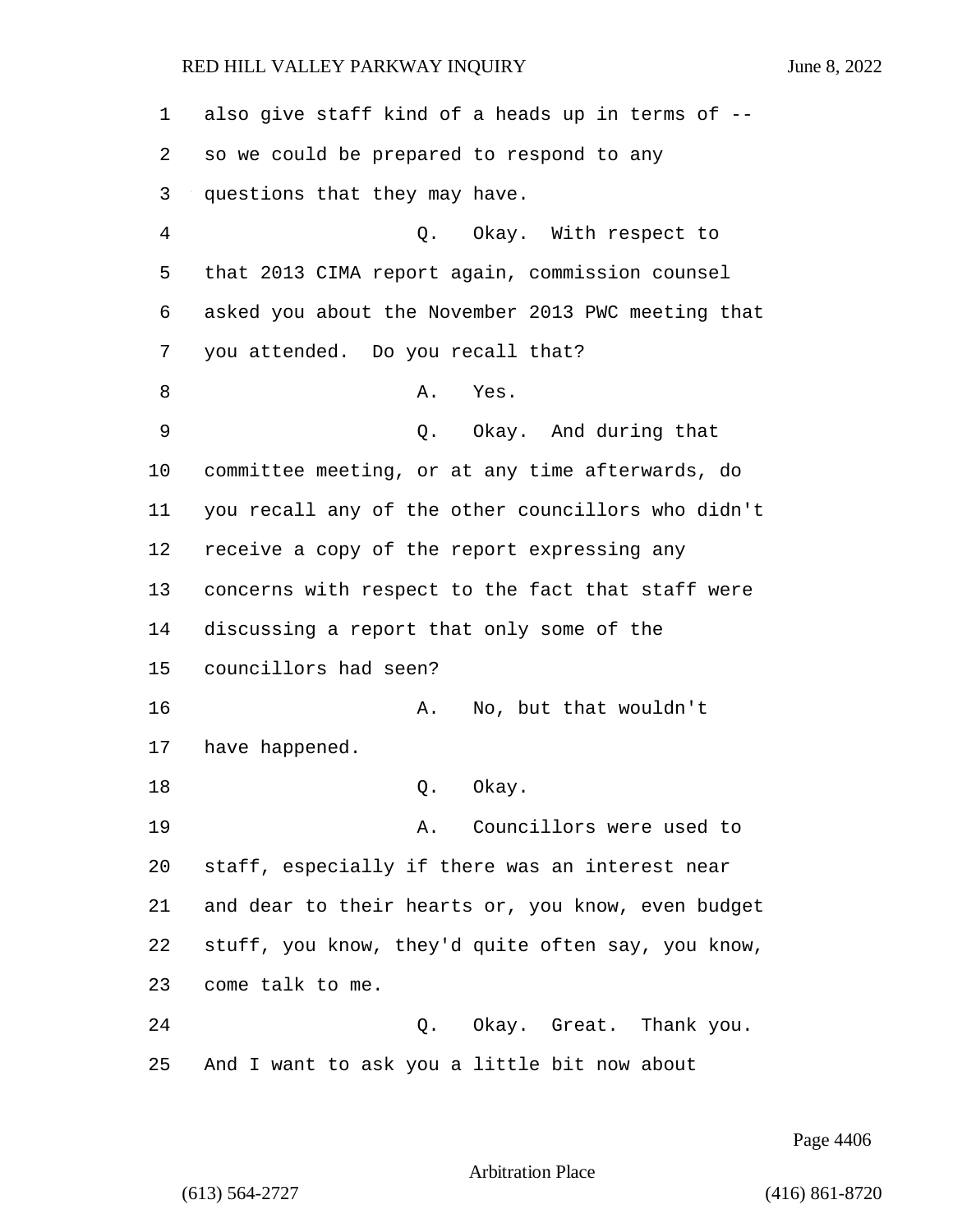also give staff kind of a heads up in terms of -- so we could be prepared to respond to any questions that they may have. 4 Q. Okay. With respect to that 2013 CIMA report again, commission counsel asked you about the November 2013 PWC meeting that you attended. Do you recall that? 8 A. Yes. 9 Q. Okay. And during that committee meeting, or at any time afterwards, do you recall any of the other councillors who didn't receive a copy of the report expressing any concerns with respect to the fact that staff were discussing a report that only some of the councillors had seen? 16 A. No, but that wouldn't have happened. 18 Q. Okay. 19 A. Councillors were used to staff, especially if there was an interest near and dear to their hearts or, you know, even budget stuff, you know, they'd quite often say, you know, come talk to me. 24 Q. Okay. Great. Thank you. And I want to ask you a little bit now about

Page 4406

Arbitration Place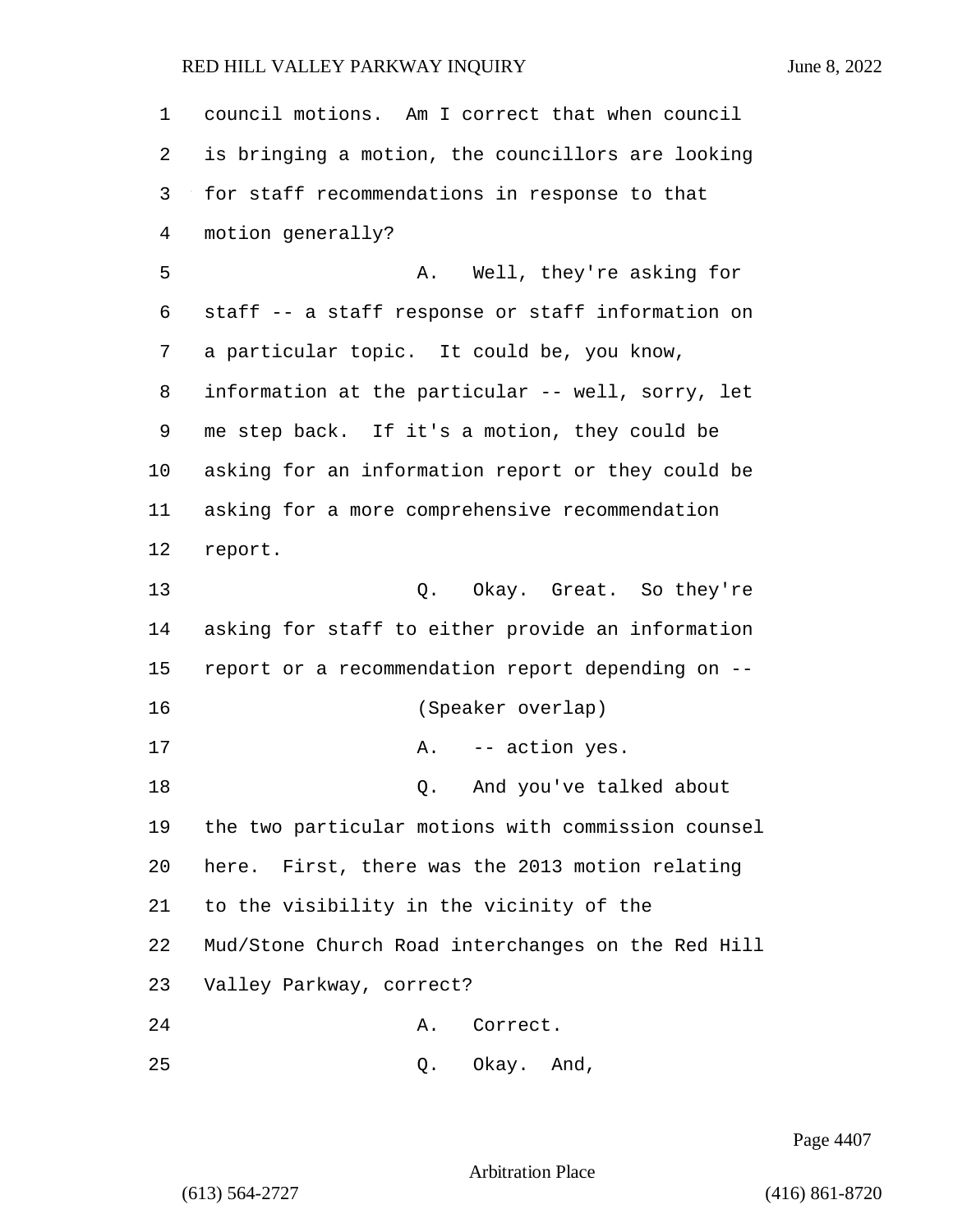| $\mathbf 1$ | council motions. Am I correct that when council    |
|-------------|----------------------------------------------------|
| 2           | is bringing a motion, the councillors are looking  |
| 3           | for staff recommendations in response to that      |
| 4           | motion generally?                                  |
| 5           | Well, they're asking for<br>Α.                     |
| 6           | staff -- a staff response or staff information on  |
| 7           | a particular topic. It could be, you know,         |
| 8           | information at the particular -- well, sorry, let  |
| 9           | me step back. If it's a motion, they could be      |
| 10          | asking for an information report or they could be  |
| 11          | asking for a more comprehensive recommendation     |
| 12          | report.                                            |
| 13          | Q. Okay. Great. So they're                         |
| 14          | asking for staff to either provide an information  |
| 15          | report or a recommendation report depending on --  |
| 16          | (Speaker overlap)                                  |
| 17          | -- action yes.<br>Α.                               |
| 18          | And you've talked about<br>Q.                      |
| 19          | the two particular motions with commission counsel |
| 20          | here. First, there was the 2013 motion relating    |
| 21          | to the visibility in the vicinity of the           |
| 22          | Mud/Stone Church Road interchanges on the Red Hill |
| 23          | Valley Parkway, correct?                           |
| 24          | Correct.<br>Α.                                     |
| 25          | Okay. And,<br>Q.                                   |

Page 4407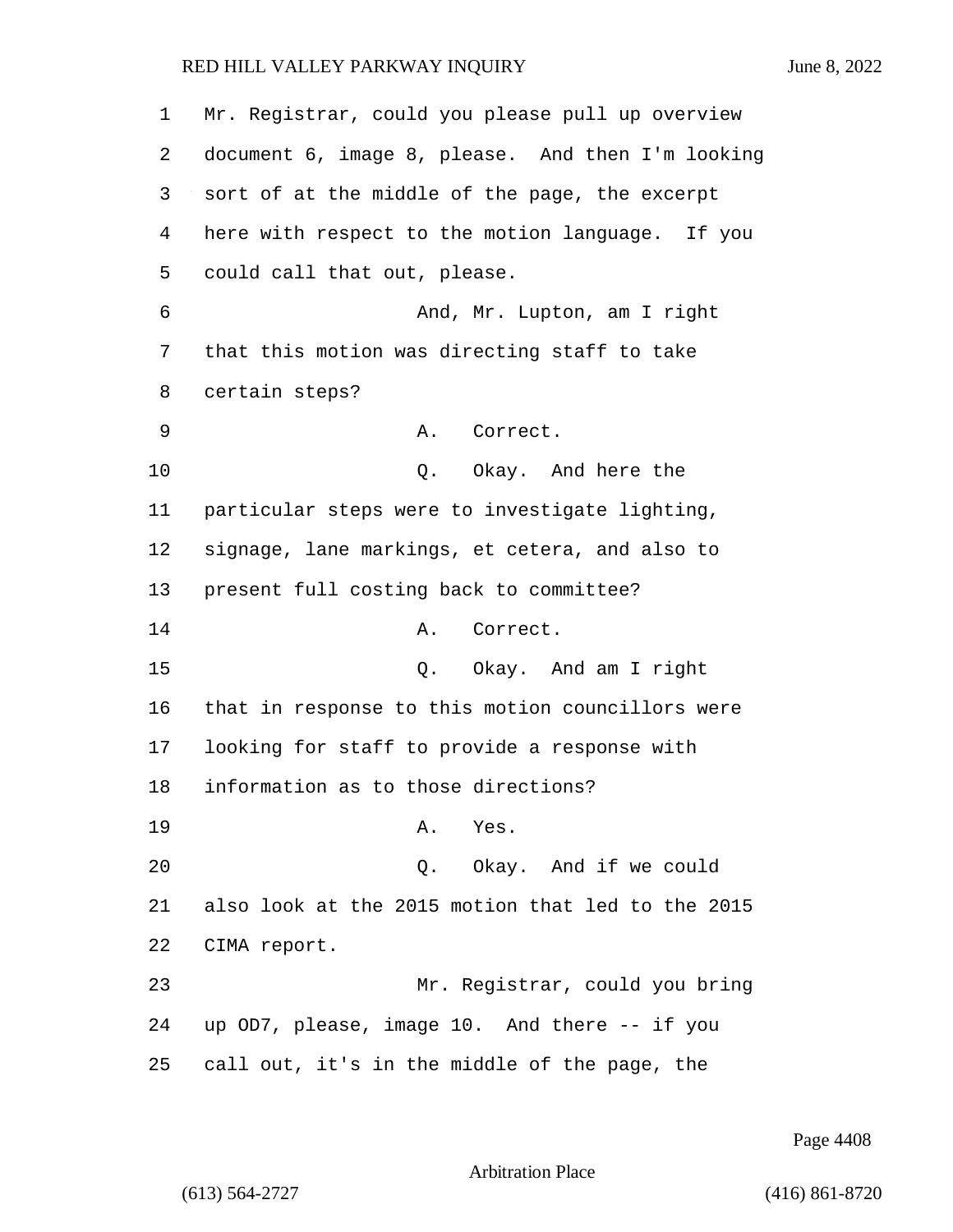Mr. Registrar, could you please pull up overview document 6, image 8, please. And then I'm looking sort of at the middle of the page, the excerpt here with respect to the motion language. If you could call that out, please. 6 And, Mr. Lupton, am I right that this motion was directing staff to take certain steps? 9 A. Correct. 10 Q. Okay. And here the particular steps were to investigate lighting, signage, lane markings, et cetera, and also to present full costing back to committee? 14 A. Correct. 15 Q. Okay. And am I right that in response to this motion councillors were looking for staff to provide a response with information as to those directions? 19 A. Yes. 20 Q. Okay. And if we could also look at the 2015 motion that led to the 2015 CIMA report. 23 Mr. Registrar, could you bring up OD7, please, image 10. And there -- if you call out, it's in the middle of the page, the

Page 4408

Arbitration Place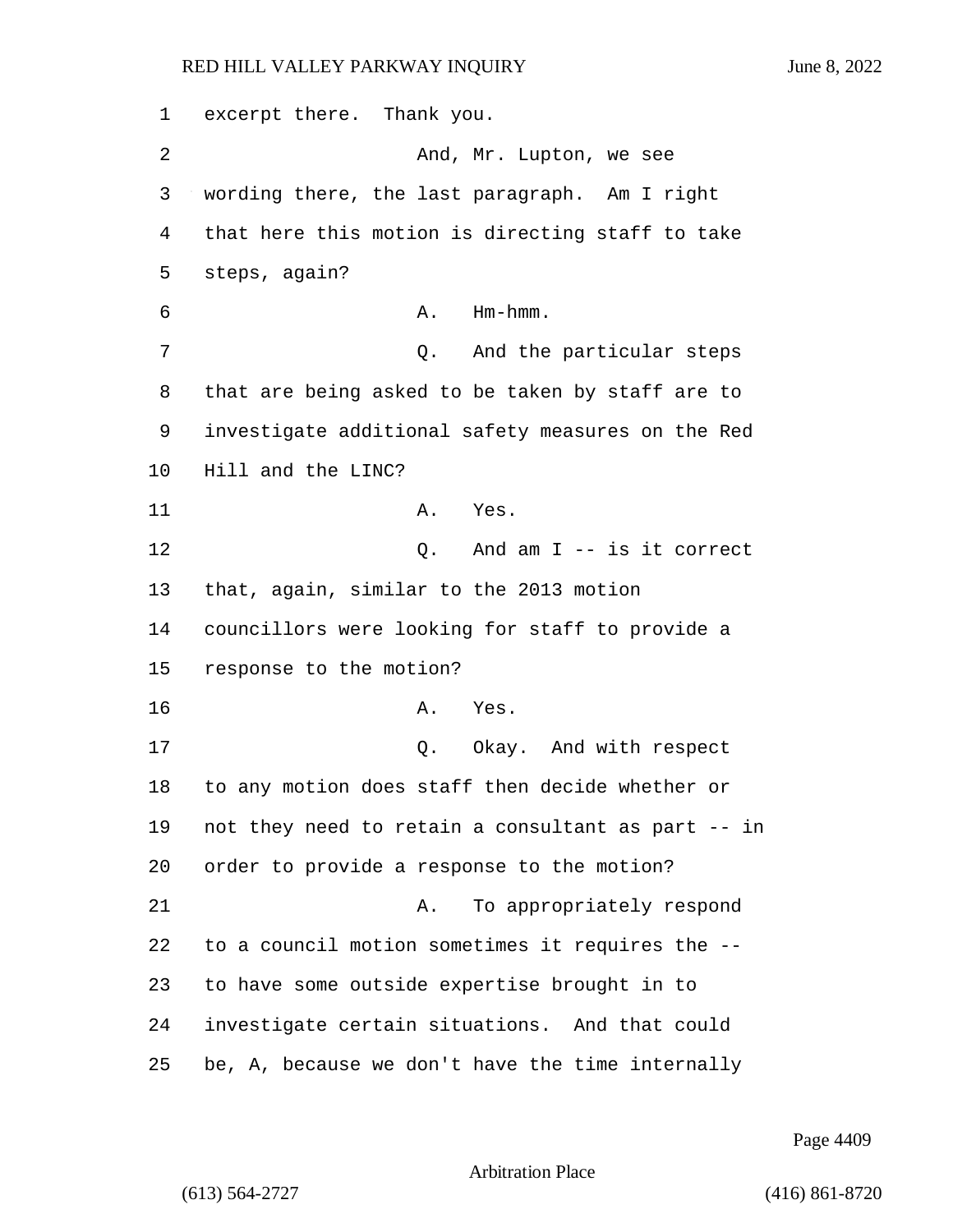excerpt there. Thank you. 2 And, Mr. Lupton, we see wording there, the last paragraph. Am I right that here this motion is directing staff to take steps, again? A. Hm-hmm. 7 and the particular steps that are being asked to be taken by staff are to investigate additional safety measures on the Red Hill and the LINC? 11 A. Yes. 12 Q. And am I -- is it correct that, again, similar to the 2013 motion councillors were looking for staff to provide a response to the motion? 16 A. Yes. 17 and 2. Okay. And with respect to any motion does staff then decide whether or not they need to retain a consultant as part -- in order to provide a response to the motion? 21 A. To appropriately respond to a council motion sometimes it requires the -- to have some outside expertise brought in to investigate certain situations. And that could be, A, because we don't have the time internally

Page 4409

Arbitration Place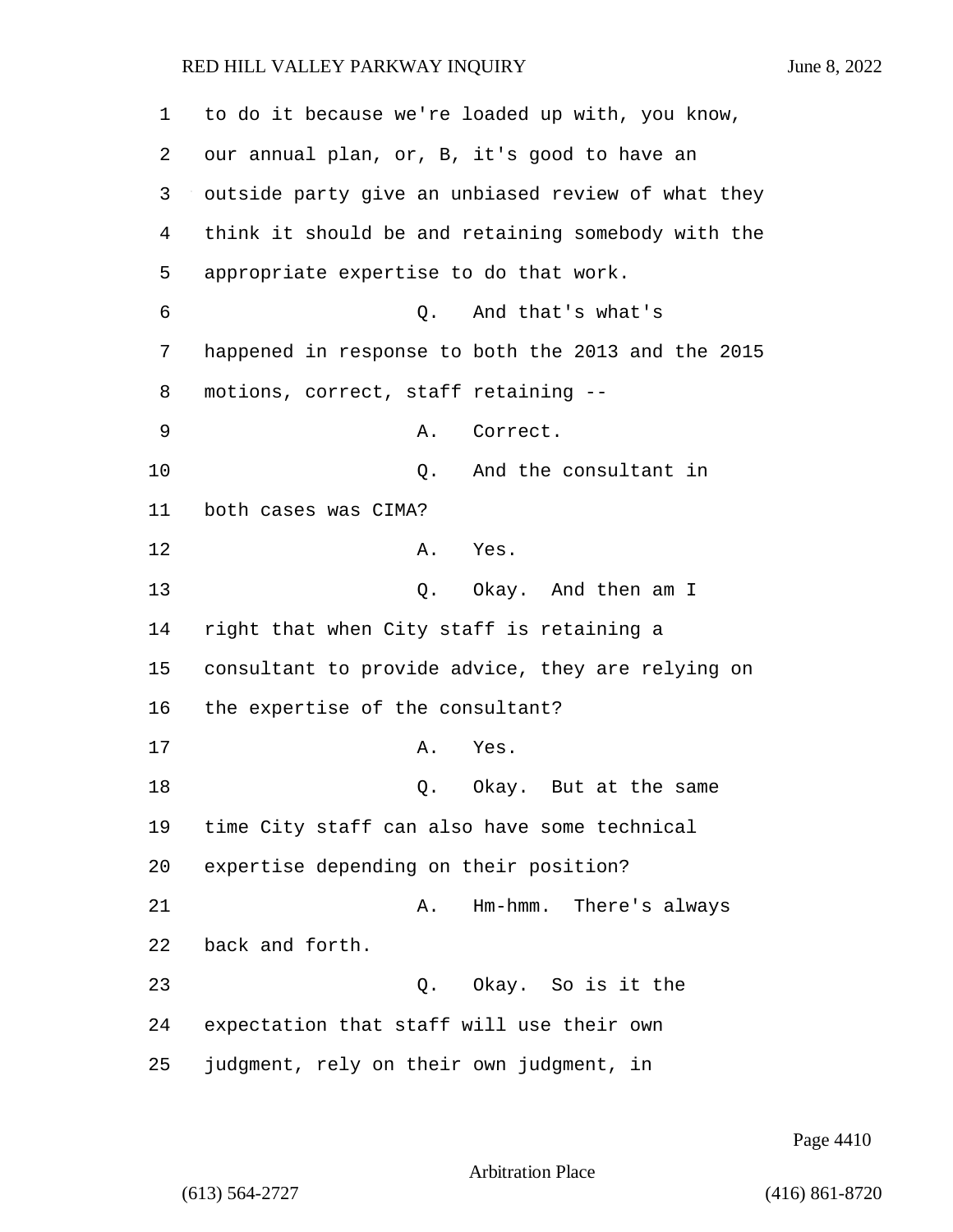| 1  | to do it because we're loaded up with, you know,   |
|----|----------------------------------------------------|
| 2  | our annual plan, or, B, it's good to have an       |
| 3  | outside party give an unbiased review of what they |
| 4  | think it should be and retaining somebody with the |
| 5  | appropriate expertise to do that work.             |
| 6  | And that's what's<br>О.                            |
| 7  | happened in response to both the 2013 and the 2015 |
| 8  | motions, correct, staff retaining --               |
| 9  | Correct.<br>Α.                                     |
| 10 | And the consultant in<br>Q.                        |
| 11 | both cases was CIMA?                               |
| 12 | Α.<br>Yes.                                         |
| 13 | Okay. And then am I<br>Q.                          |
| 14 | right that when City staff is retaining a          |
| 15 | consultant to provide advice, they are relying on  |
| 16 | the expertise of the consultant?                   |
| 17 | Α.<br>Yes.                                         |
| 18 | Okay. But at the same<br>Q.                        |
| 19 | time City staff can also have some technical       |
| 20 | expertise depending on their position?             |
| 21 | Hm-hmm.<br>There's always<br>Α.                    |
| 22 | back and forth.                                    |
| 23 | Q. Okay. So is it the                              |
| 24 | expectation that staff will use their own          |
| 25 | judgment, rely on their own judgment, in           |

Page 4410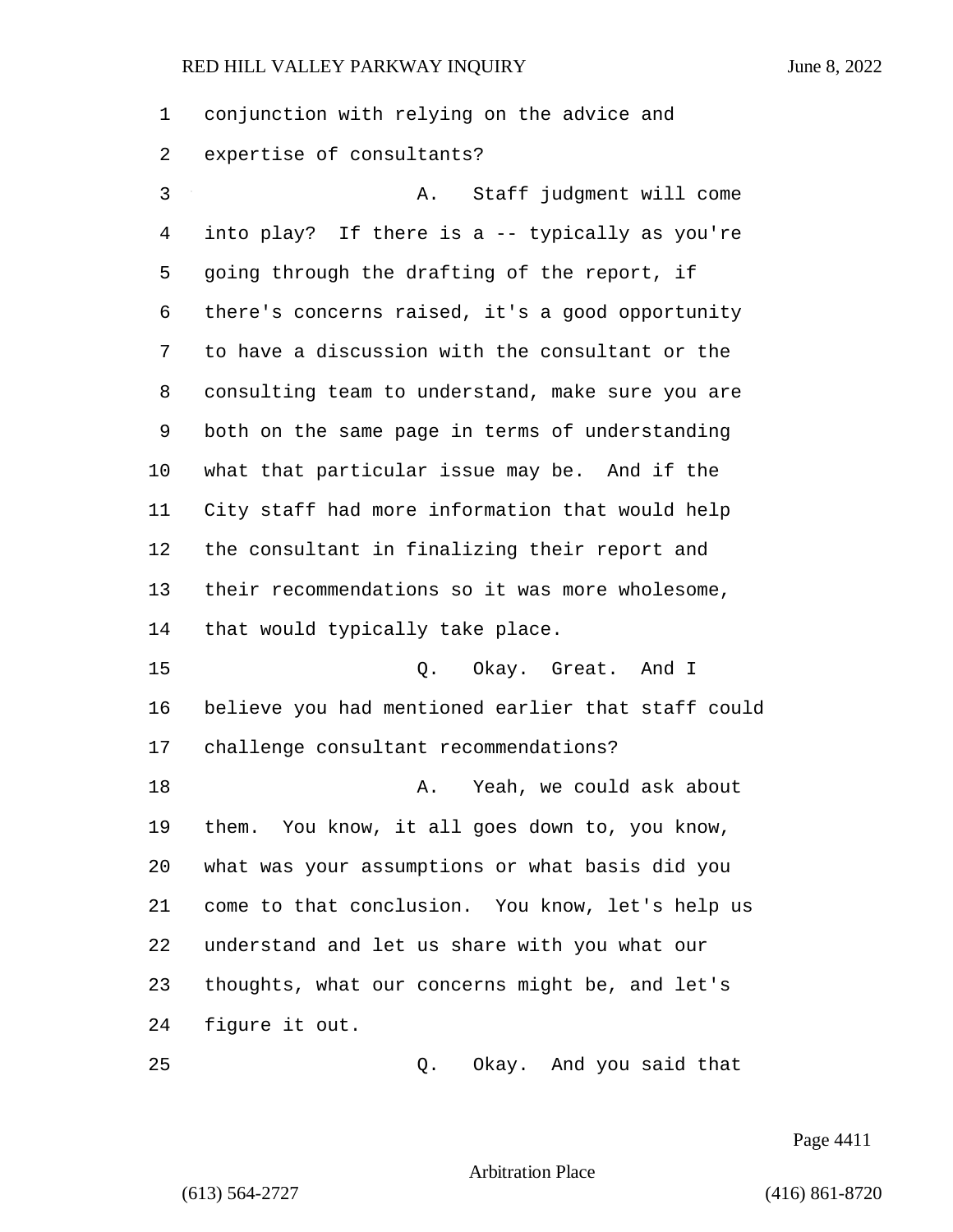conjunction with relying on the advice and expertise of consultants? 3 A. Staff judgment will come into play? If there is a -- typically as you're going through the drafting of the report, if there's concerns raised, it's a good opportunity to have a discussion with the consultant or the consulting team to understand, make sure you are both on the same page in terms of understanding what that particular issue may be. And if the City staff had more information that would help the consultant in finalizing their report and their recommendations so it was more wholesome, that would typically take place. 15 0. Okay. Great. And I believe you had mentioned earlier that staff could challenge consultant recommendations? 18 A. Yeah, we could ask about them. You know, it all goes down to, you know, what was your assumptions or what basis did you come to that conclusion. You know, let's help us understand and let us share with you what our thoughts, what our concerns might be, and let's figure it out. 25 Q. Okay. And you said that

Page 4411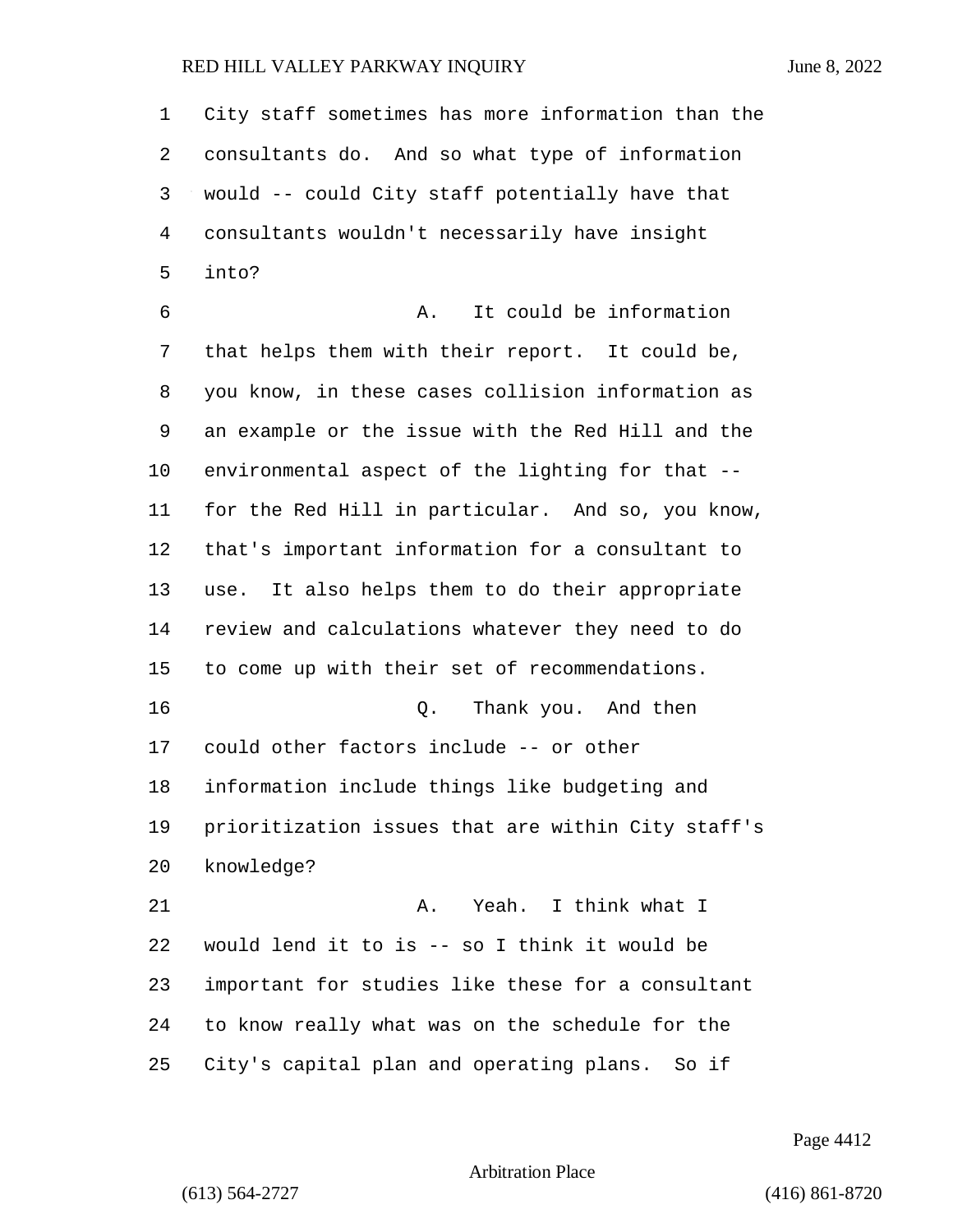| $\mathbf 1$    | City staff sometimes has more information than the |
|----------------|----------------------------------------------------|
| 2              | consultants do. And so what type of information    |
| 3              | would -- could City staff potentially have that    |
| $\overline{4}$ | consultants wouldn't necessarily have insight      |
| 5              | into?                                              |
| 6              | It could be information<br>Α.                      |
| 7              | that helps them with their report. It could be,    |
| 8              | you know, in these cases collision information as  |
| 9              | an example or the issue with the Red Hill and the  |
| 10             | environmental aspect of the lighting for that --   |
| 11             | for the Red Hill in particular. And so, you know,  |
| 12             | that's important information for a consultant to   |
| 13             | use. It also helps them to do their appropriate    |
| 14             | review and calculations whatever they need to do   |
| 15             | to come up with their set of recommendations.      |
| 16             | Thank you. And then<br>Q.                          |
| 17             | could other factors include -- or other            |
| 18             | information include things like budgeting and      |
| 19             | prioritization issues that are within City staff's |
| 20             | knowledge?                                         |
| 21             | Yeah. I think what I<br>Α.                         |
| 22             | would lend it to is -- so I think it would be      |
| 23             | important for studies like these for a consultant  |
| 24             | to know really what was on the schedule for the    |
| 25             | City's capital plan and operating plans. So if     |

Page 4412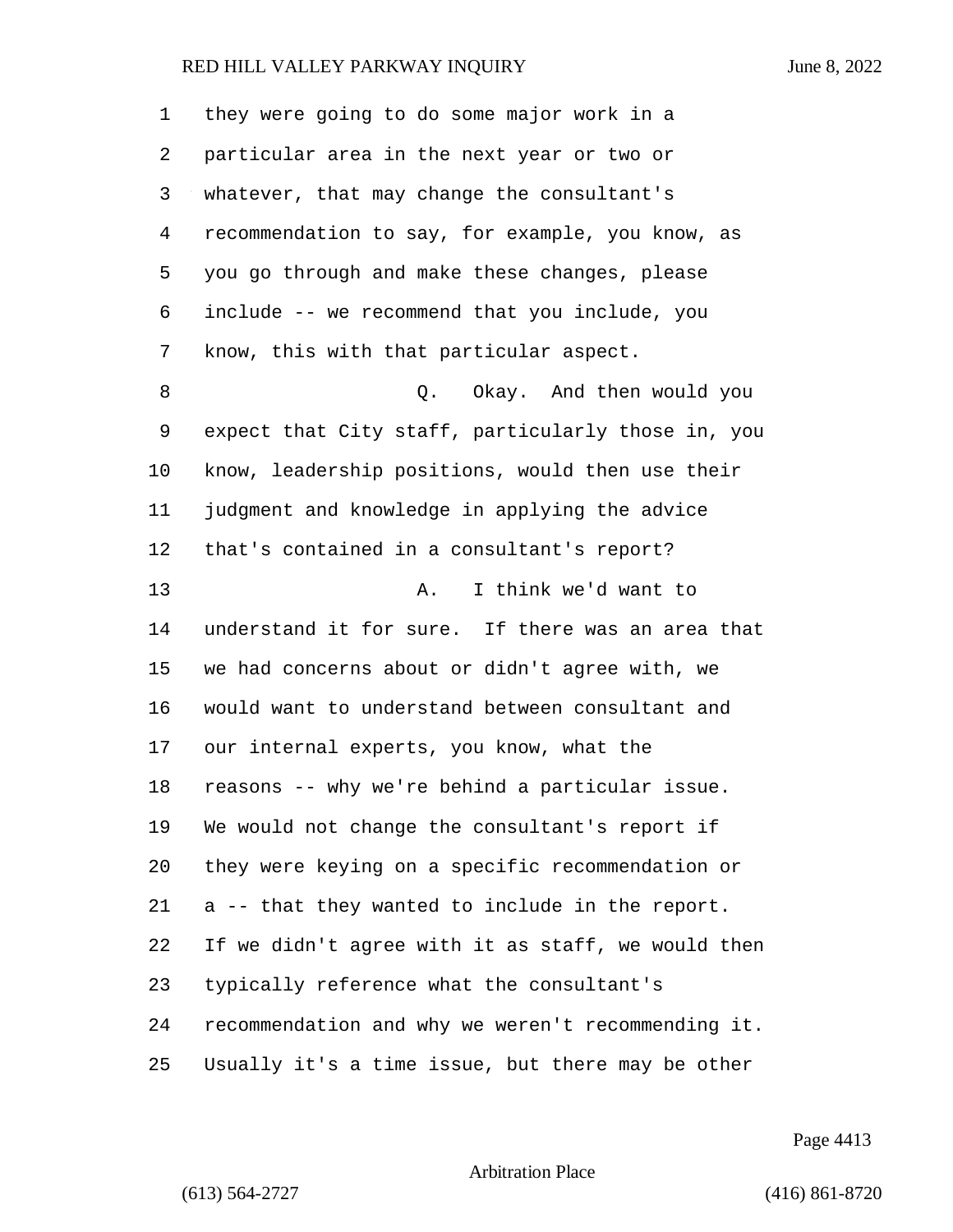| 1  | they were going to do some major work in a         |
|----|----------------------------------------------------|
| 2  | particular area in the next year or two or         |
| 3  | whatever, that may change the consultant's         |
| 4  | recommendation to say, for example, you know, as   |
| 5  | you go through and make these changes, please      |
| 6  | include -- we recommend that you include, you      |
| 7  | know, this with that particular aspect.            |
| 8  | Q. Okay. And then would you                        |
| 9  | expect that City staff, particularly those in, you |
| 10 | know, leadership positions, would then use their   |
| 11 | judgment and knowledge in applying the advice      |
| 12 | that's contained in a consultant's report?         |
| 13 | I think we'd want to<br>Α.                         |
| 14 | understand it for sure. If there was an area that  |
| 15 | we had concerns about or didn't agree with, we     |
| 16 | would want to understand between consultant and    |
| 17 | our internal experts, you know, what the           |
| 18 | reasons -- why we're behind a particular issue.    |
| 19 | We would not change the consultant's report if     |
| 20 | they were keying on a specific recommendation or   |
| 21 | a -- that they wanted to include in the report.    |
| 22 | If we didn't agree with it as staff, we would then |
| 23 | typically reference what the consultant's          |
| 24 | recommendation and why we weren't recommending it. |
| 25 | Usually it's a time issue, but there may be other  |

Page 4413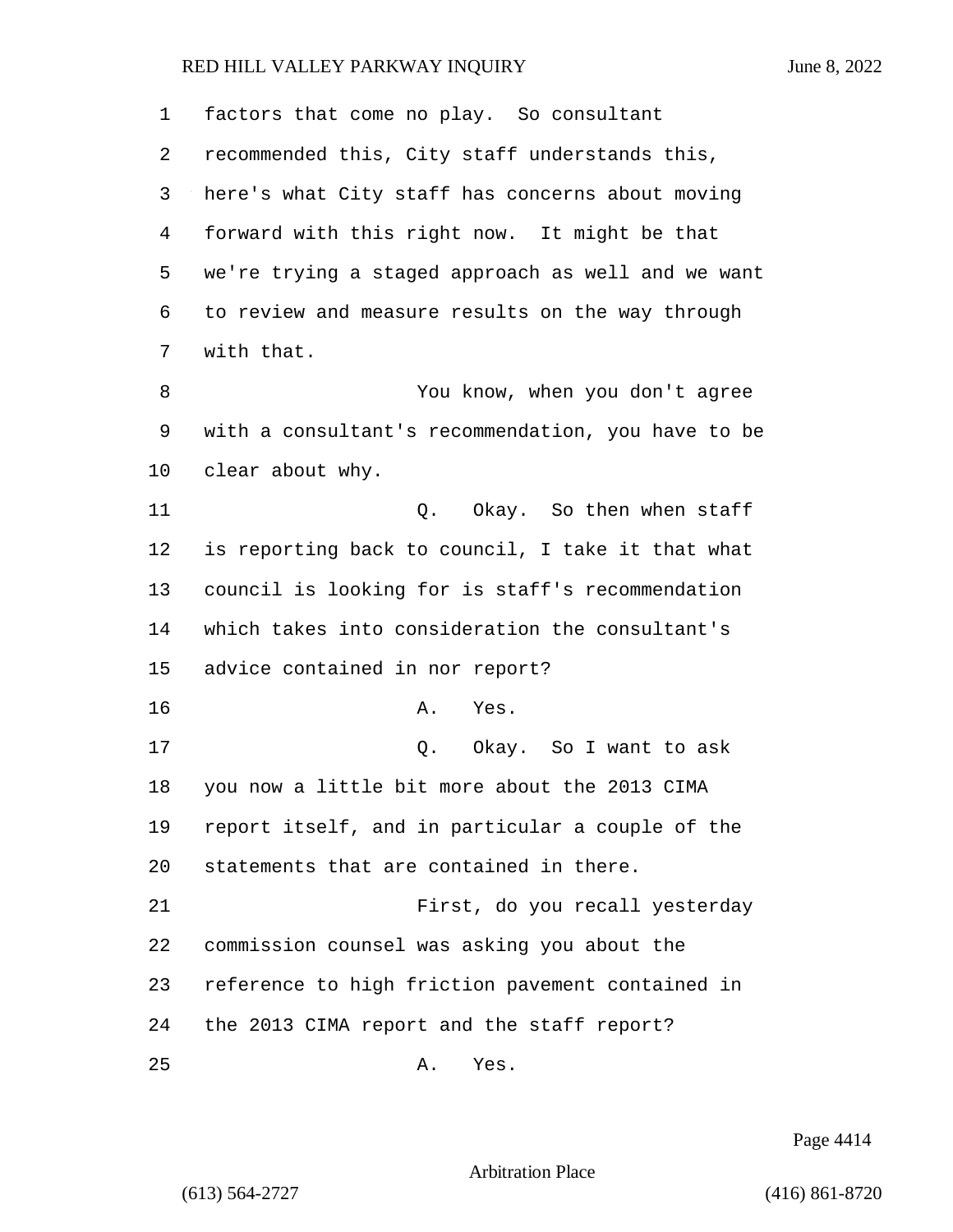factors that come no play. So consultant recommended this, City staff understands this, here's what City staff has concerns about moving forward with this right now. It might be that we're trying a staged approach as well and we want to review and measure results on the way through with that. 8 You know, when you don't agree with a consultant's recommendation, you have to be clear about why. 11 C. Okay. So then when staff is reporting back to council, I take it that what council is looking for is staff's recommendation which takes into consideration the consultant's advice contained in nor report? 16 A. Yes. 17 C. Okay. So I want to ask you now a little bit more about the 2013 CIMA report itself, and in particular a couple of the statements that are contained in there. 21 First, do you recall yesterday commission counsel was asking you about the reference to high friction pavement contained in the 2013 CIMA report and the staff report? 25 A. Yes.

Page 4414

Arbitration Place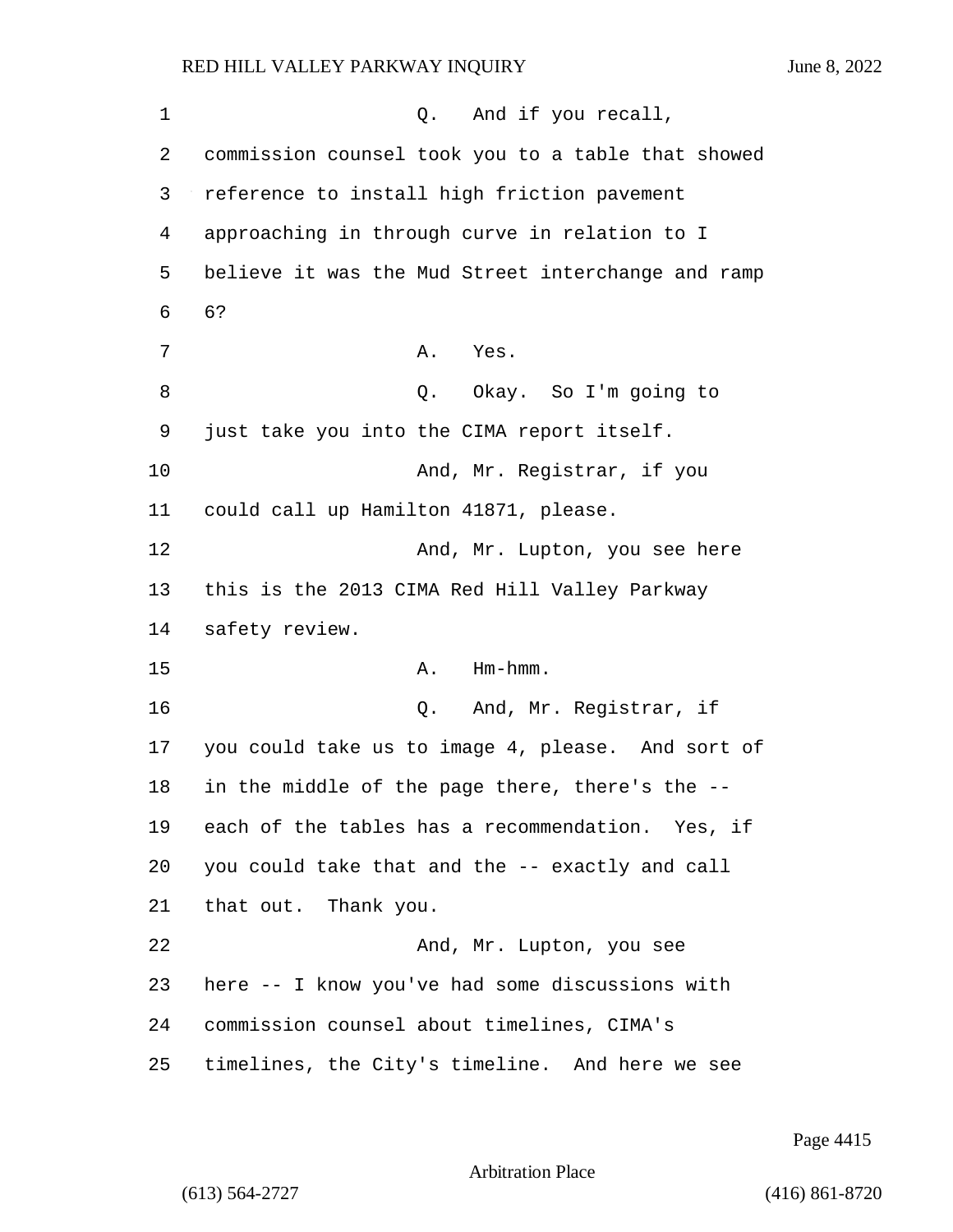1 Q. And if you recall, 2 commission counsel took you to a table that showed 3 reference to install high friction pavement 4 approaching in through curve in relation to I 5 believe it was the Mud Street interchange and ramp 6 6? 7 A. Yes. 8 Q. Okay. So I'm going to 9 just take you into the CIMA report itself. 10 And, Mr. Registrar, if you 11 could call up Hamilton 41871, please. 12 And, Mr. Lupton, you see here 13 this is the 2013 CIMA Red Hill Valley Parkway 14 safety review. 15 A. Hm-hmm. 16 Q. And, Mr. Registrar, if 17 you could take us to image 4, please. And sort of 18 in the middle of the page there, there's the --19 each of the tables has a recommendation. Yes, if 20 you could take that and the -- exactly and call 21 that out. Thank you. 22 And, Mr. Lupton, you see 23 here -- I know you've had some discussions with 24 commission counsel about timelines, CIMA's 25 timelines, the City's timeline. And here we see

Page 4415

Arbitration Place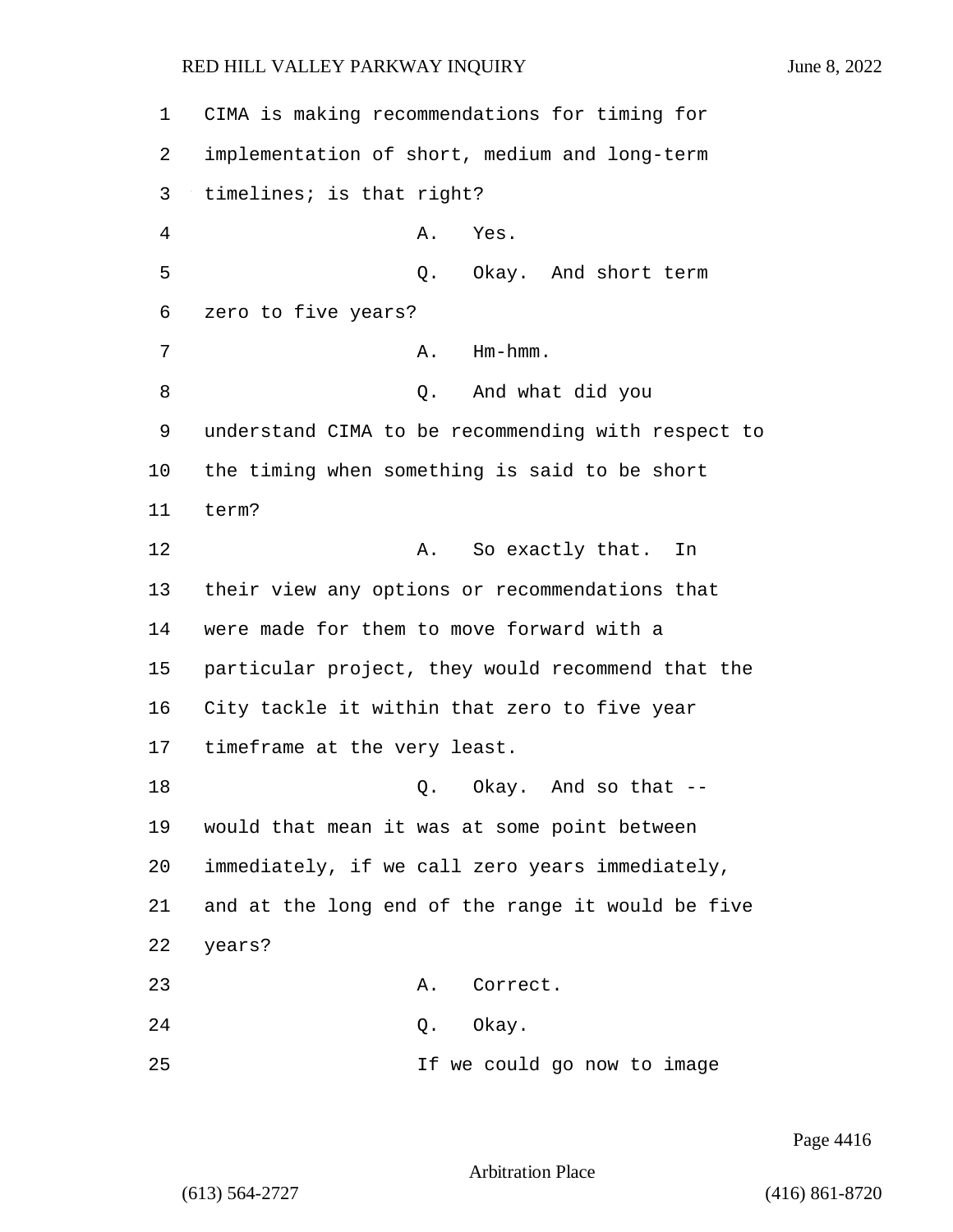1 CIMA is making recommendations for timing for 2 implementation of short, medium and long-term 3 timelines; is that right? 4 A. Yes. 5 Q. Okay. And short term 6 zero to five years? 7 A. Hm-hmm. 8 Q. And what did you 9 understand CIMA to be recommending with respect to 10 the timing when something is said to be short 11 term? 12 A. So exactly that. In 13 their view any options or recommendations that 14 were made for them to move forward with a 15 particular project, they would recommend that the 16 City tackle it within that zero to five year 17 timeframe at the very least. 18 Q. Okay. And so that --19 would that mean it was at some point between 20 immediately, if we call zero years immediately, 21 and at the long end of the range it would be five 22 years? 23 A. Correct. 24 Q. Okay. 25 If we could go now to image

Arbitration Place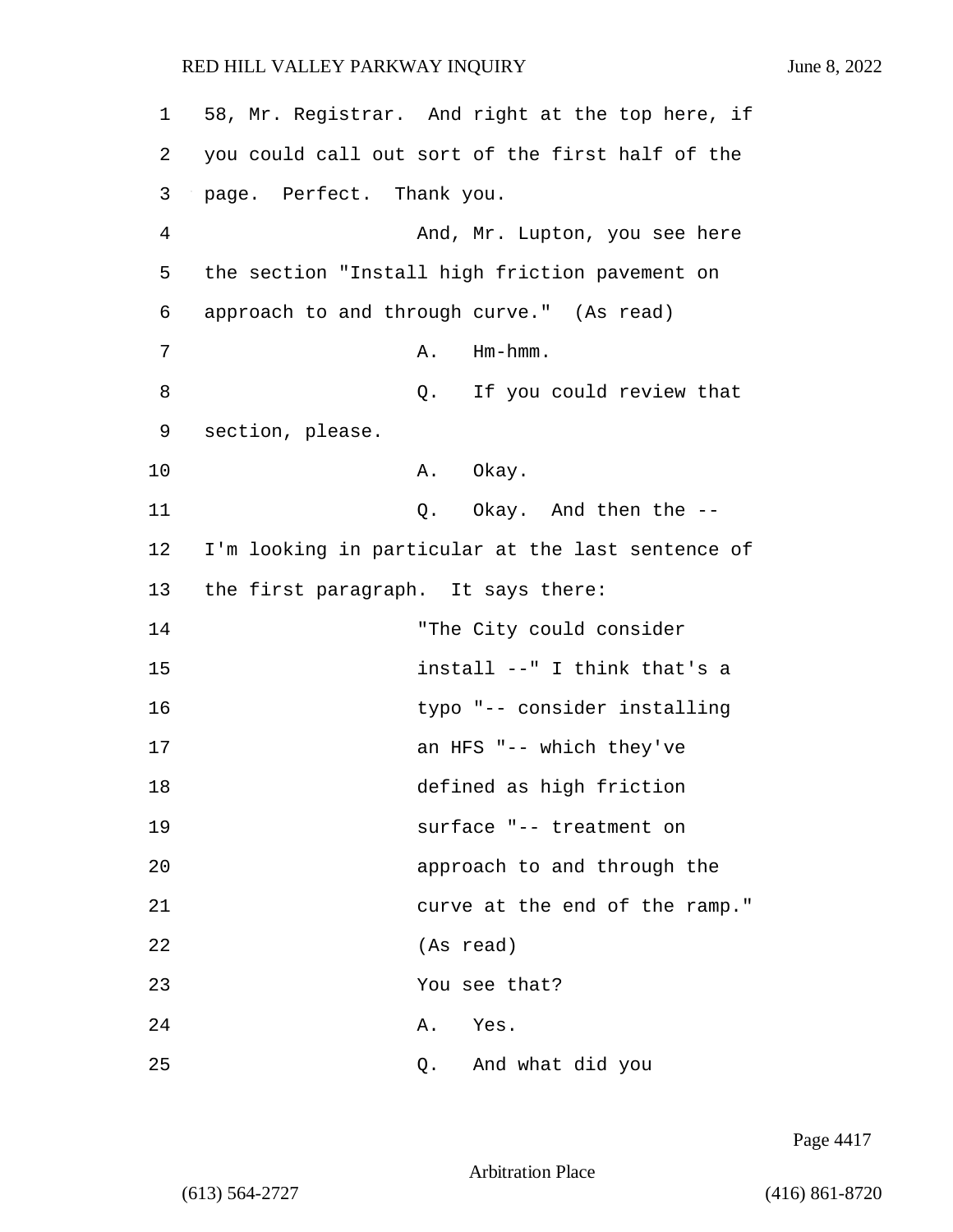1 58, Mr. Registrar. And right at the top here, if 2 you could call out sort of the first half of the 3 page. Perfect. Thank you. 4 And, Mr. Lupton, you see here 5 the section "Install high friction pavement on 6 approach to and through curve." (As read) 7 A. Hm-hmm. 8 and 2. If you could review that 9 section, please. 10 A. Okay. 11 Q. Okay. And then the --12 I'm looking in particular at the last sentence of 13 the first paragraph. It says there: 14 "The City could consider 15 install --" I think that's a 16 typo "-- consider installing 17 an HFS "-- which they've 18 defined as high friction 19 surface "-- treatment on 20 approach to and through the 21 curve at the end of the ramp." 22 (As read) 23 You see that? 24 A. Yes. 25 Q. And what did you

Page 4417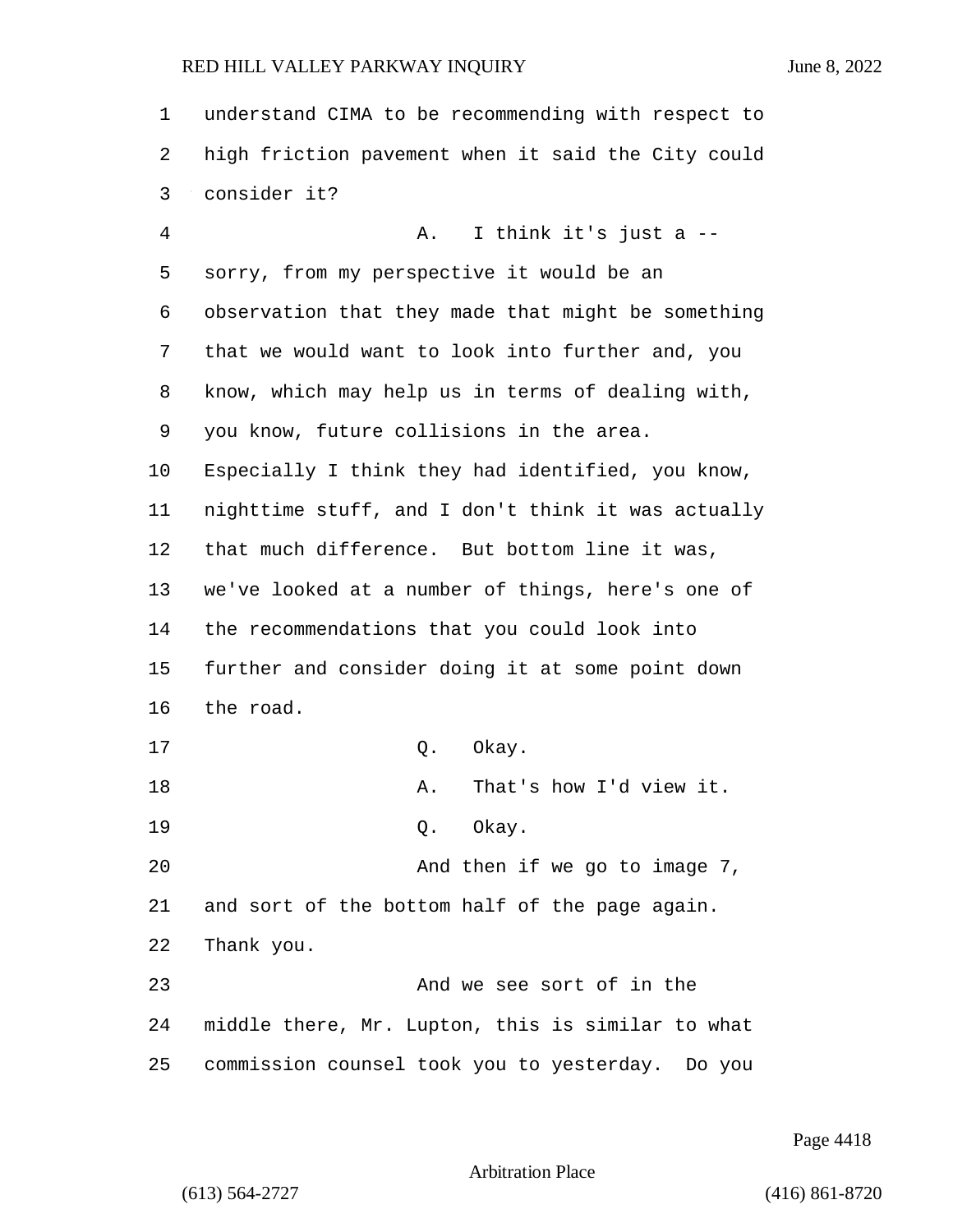| $\mathbf 1$ | understand CIMA to be recommending with respect to |
|-------------|----------------------------------------------------|
| 2           | high friction pavement when it said the City could |
| 3           | consider it?                                       |
| 4           | I think it's just a --<br>Α.                       |
| 5           | sorry, from my perspective it would be an          |
| 6           | observation that they made that might be something |
| 7           | that we would want to look into further and, you   |
| 8           | know, which may help us in terms of dealing with,  |
| 9           | you know, future collisions in the area.           |
| 10          | Especially I think they had identified, you know,  |
| 11          | nighttime stuff, and I don't think it was actually |
| 12          | that much difference. But bottom line it was,      |
| 13          | we've looked at a number of things, here's one of  |
| 14          | the recommendations that you could look into       |
| 15          | further and consider doing it at some point down   |
| 16          | the road.                                          |
| 17          | Q.<br>Okay.                                        |
| 18          | That's how I'd view it.<br>Α.                      |
| 19          | Okay.<br>Q.                                        |
| 20          | And then if we go to image 7,                      |
| 21          | and sort of the bottom half of the page again.     |
| 22          | Thank you.                                         |
| 23          | And we see sort of in the                          |
| 24          | middle there, Mr. Lupton, this is similar to what  |
| 25          | commission counsel took you to yesterday. Do you   |

Page 4418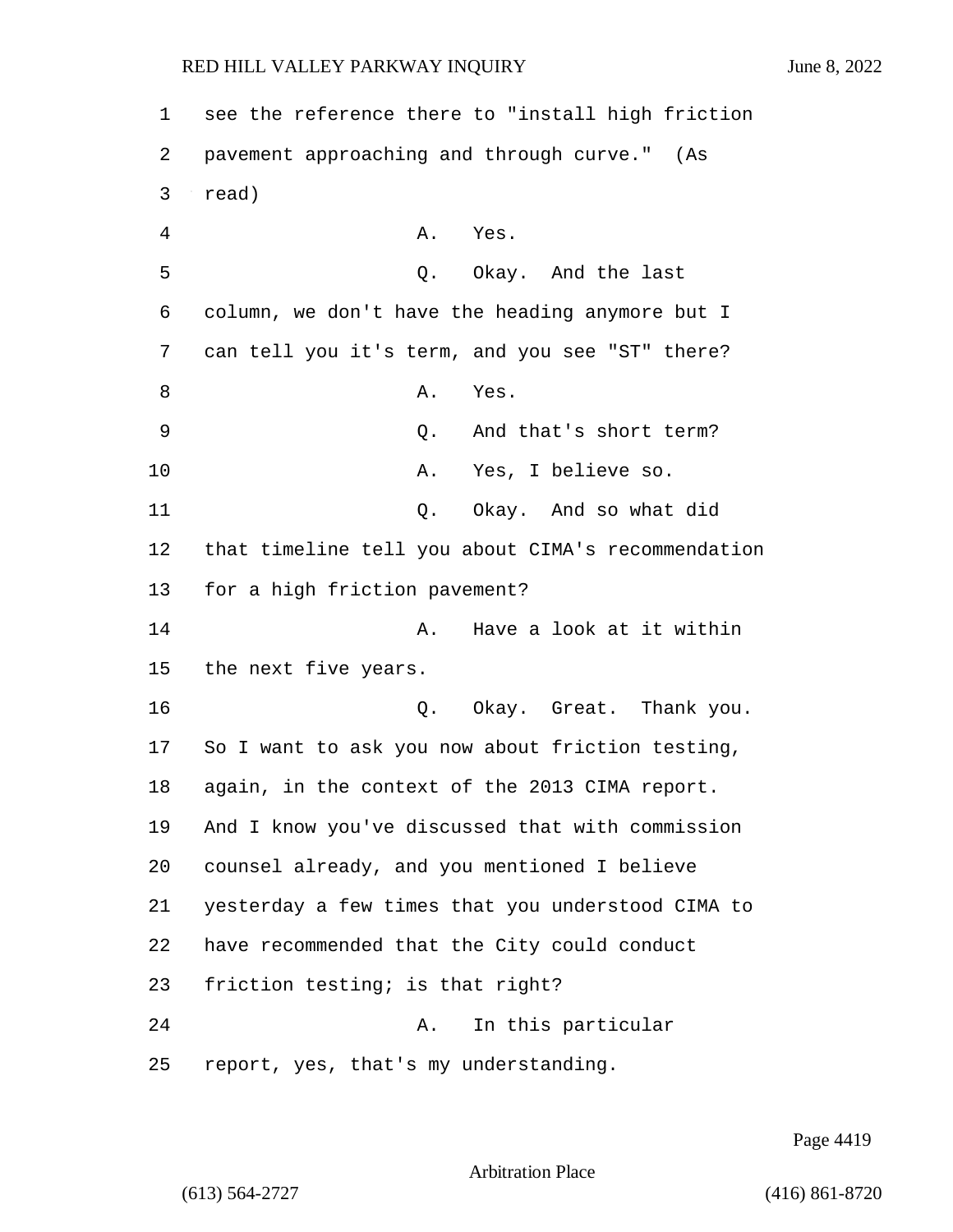| 1  | see the reference there to "install high friction  |
|----|----------------------------------------------------|
| 2  | pavement approaching and through curve." (As       |
| 3  | read)                                              |
| 4  | Yes.<br>Α.                                         |
| 5  | Okay. And the last<br>Q.                           |
| 6  | column, we don't have the heading anymore but I    |
| 7  | can tell you it's term, and you see "ST" there?    |
| 8  | Yes.<br>Α.                                         |
| 9  | And that's short term?<br>Q.                       |
| 10 | Yes, I believe so.<br>Α.                           |
| 11 | Okay. And so what did<br>Q.                        |
| 12 | that timeline tell you about CIMA's recommendation |
| 13 | for a high friction pavement?                      |
| 14 | Have a look at it within<br>Α.                     |
| 15 | the next five years.                               |
| 16 | Q. Okay. Great. Thank you.                         |
| 17 | So I want to ask you now about friction testing,   |
| 18 | again, in the context of the 2013 CIMA report.     |
| 19 | And I know you've discussed that with commission   |
| 20 | counsel already, and you mentioned I believe       |
| 21 | yesterday a few times that you understood CIMA to  |
| 22 | have recommended that the City could conduct       |
| 23 | friction testing; is that right?                   |
| 24 | In this particular<br>Α.                           |
| 25 | report, yes, that's my understanding.              |

Page 4419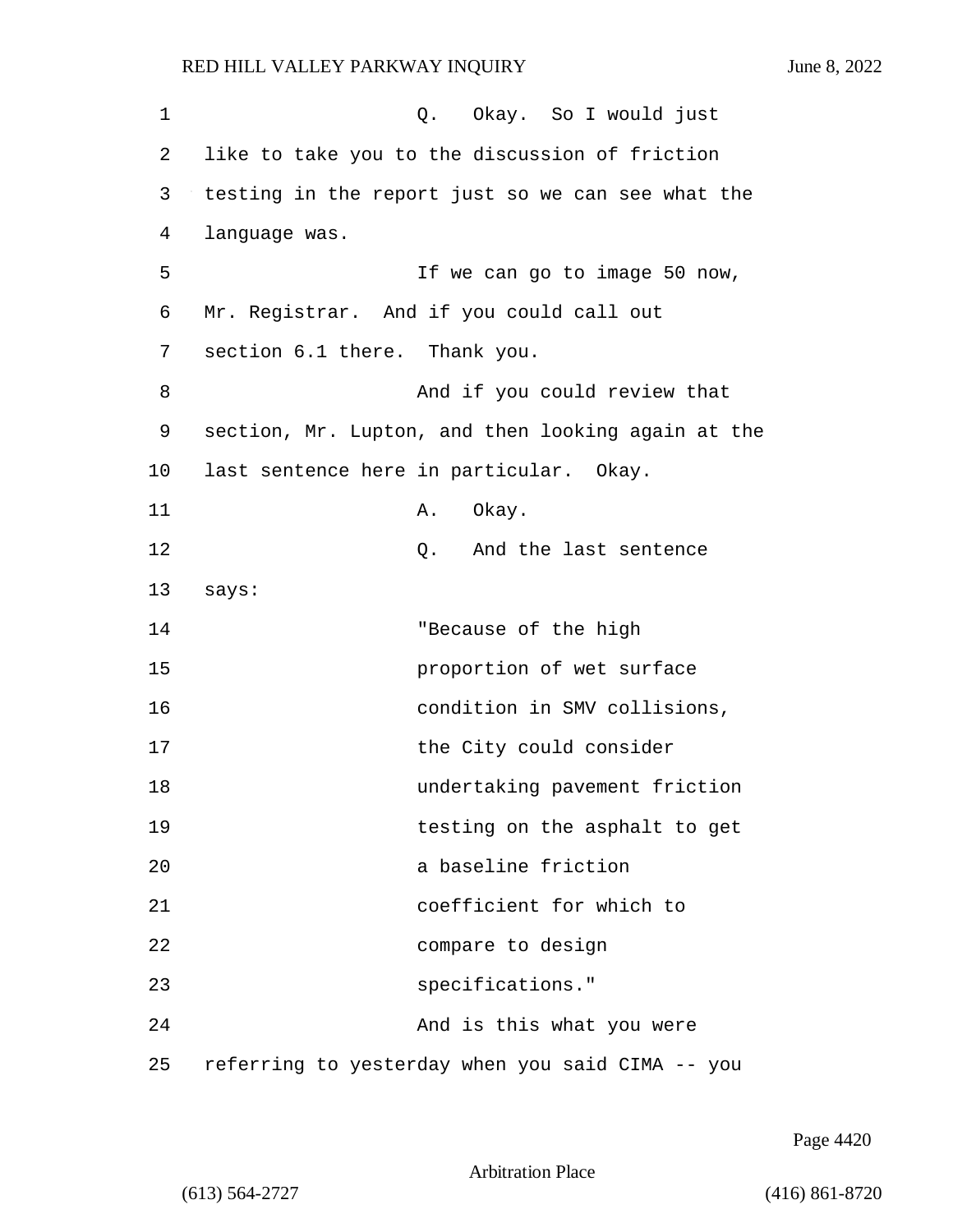| $\mathbf 1$ | Q. Okay. So I would just                           |
|-------------|----------------------------------------------------|
| 2           | like to take you to the discussion of friction     |
| 3           | testing in the report just so we can see what the  |
| 4           | language was.                                      |
| 5           | If we can go to image 50 now,                      |
| 6           | Mr. Registrar. And if you could call out           |
| 7           | section 6.1 there. Thank you.                      |
| 8           | And if you could review that                       |
| 9           | section, Mr. Lupton, and then looking again at the |
| 10          | last sentence here in particular. Okay.            |
| 11          | Okay.<br>Α.                                        |
| 12          | And the last sentence<br>Q.                        |
| 13          | says:                                              |
| 14          | "Because of the high                               |
| 15          | proportion of wet surface                          |
| 16          | condition in SMV collisions,                       |
| 17          | the City could consider                            |
| 18          | undertaking pavement friction                      |
| 19          | testing on the asphalt to get                      |
| 20          | a baseline friction                                |
| 21          | coefficient for which to                           |
| 22          | compare to design                                  |
| 23          | specifications."                                   |
| 24          | And is this what you were                          |
| 25          | referring to yesterday when you said CIMA -- you   |

Page 4420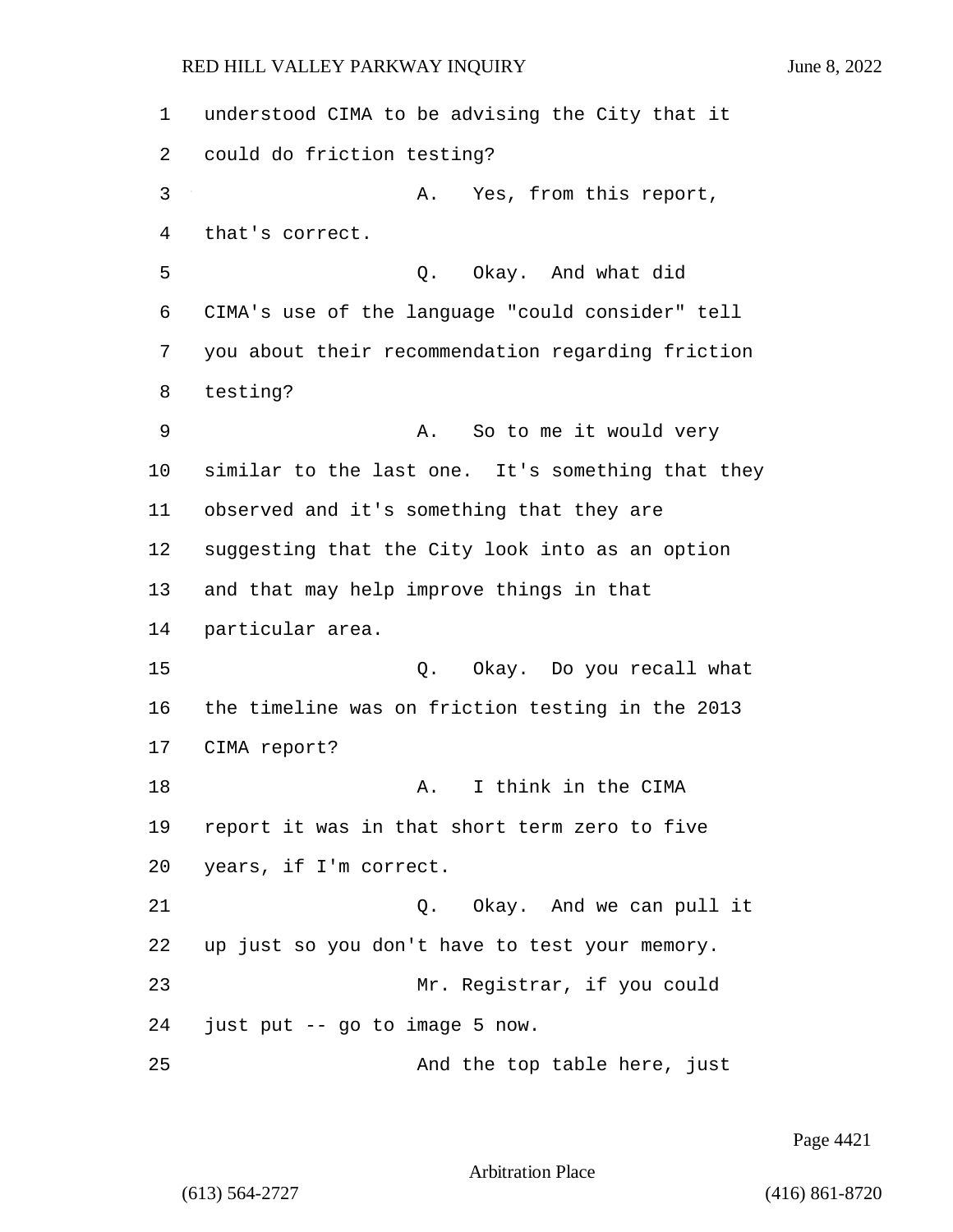understood CIMA to be advising the City that it could do friction testing? 3 A. Yes, from this report, that's correct. 5 Q. Okay. And what did CIMA's use of the language "could consider" tell you about their recommendation regarding friction 8 testing? 9 A. So to me it would very similar to the last one. It's something that they observed and it's something that they are suggesting that the City look into as an option and that may help improve things in that particular area. 15 Q. Okay. Do you recall what the timeline was on friction testing in the 2013 CIMA report? 18 A. I think in the CIMA report it was in that short term zero to five years, if I'm correct. 21 Q. Okay. And we can pull it up just so you don't have to test your memory. 23 Mr. Registrar, if you could just put -- go to image 5 now. 25 And the top table here, just

Page 4421

Arbitration Place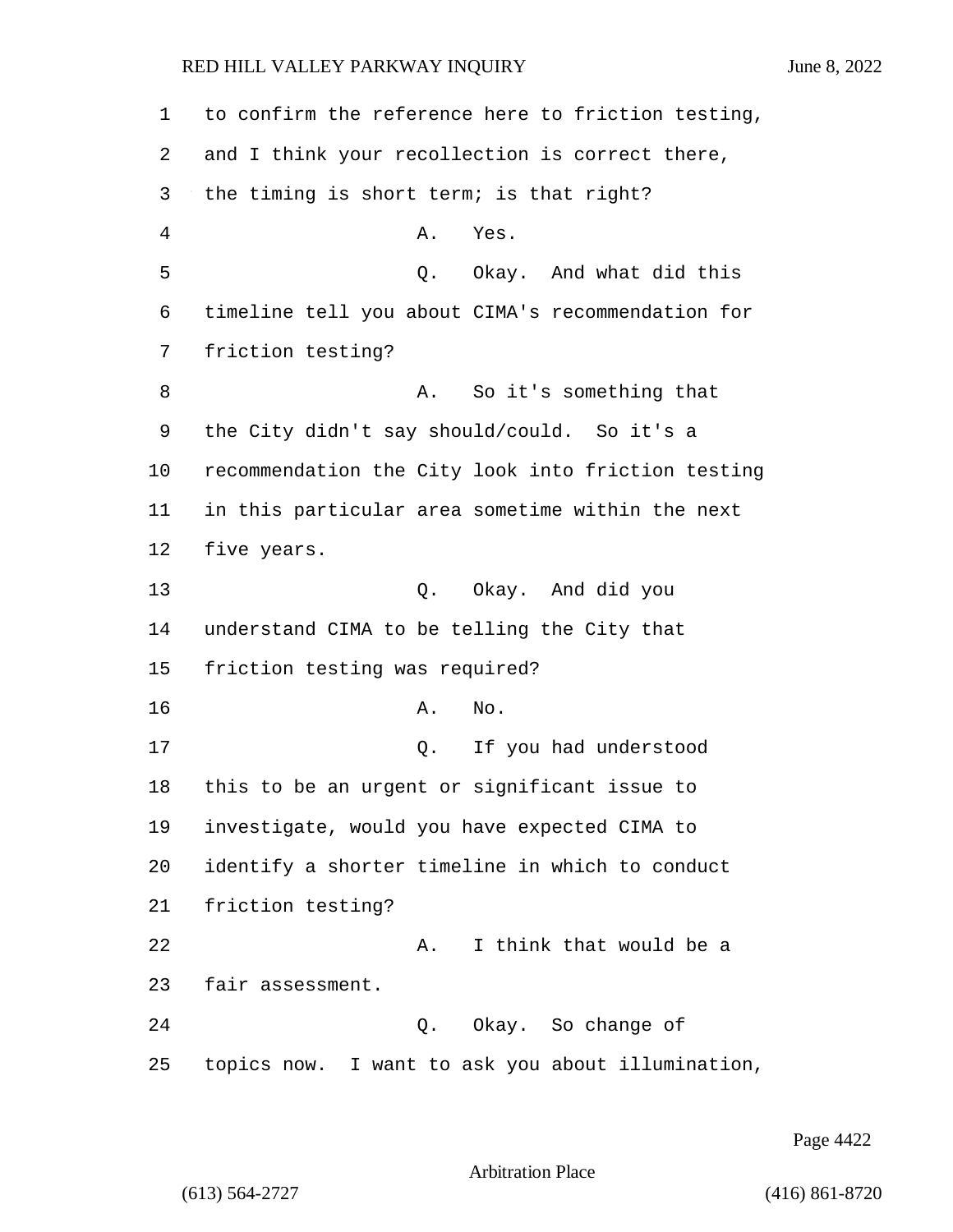to confirm the reference here to friction testing, and I think your recollection is correct there, the timing is short term; is that right? 4 A. Yes. 5 Q. Okay. And what did this timeline tell you about CIMA's recommendation for friction testing? 8 A. So it's something that the City didn't say should/could. So it's a recommendation the City look into friction testing in this particular area sometime within the next five years. 13 Q. Okay. And did you understand CIMA to be telling the City that friction testing was required? 16 A. No. 17 Q. If you had understood this to be an urgent or significant issue to investigate, would you have expected CIMA to identify a shorter timeline in which to conduct friction testing? 22 A. I think that would be a fair assessment. 24 Q. Okay. So change of topics now. I want to ask you about illumination,

Page 4422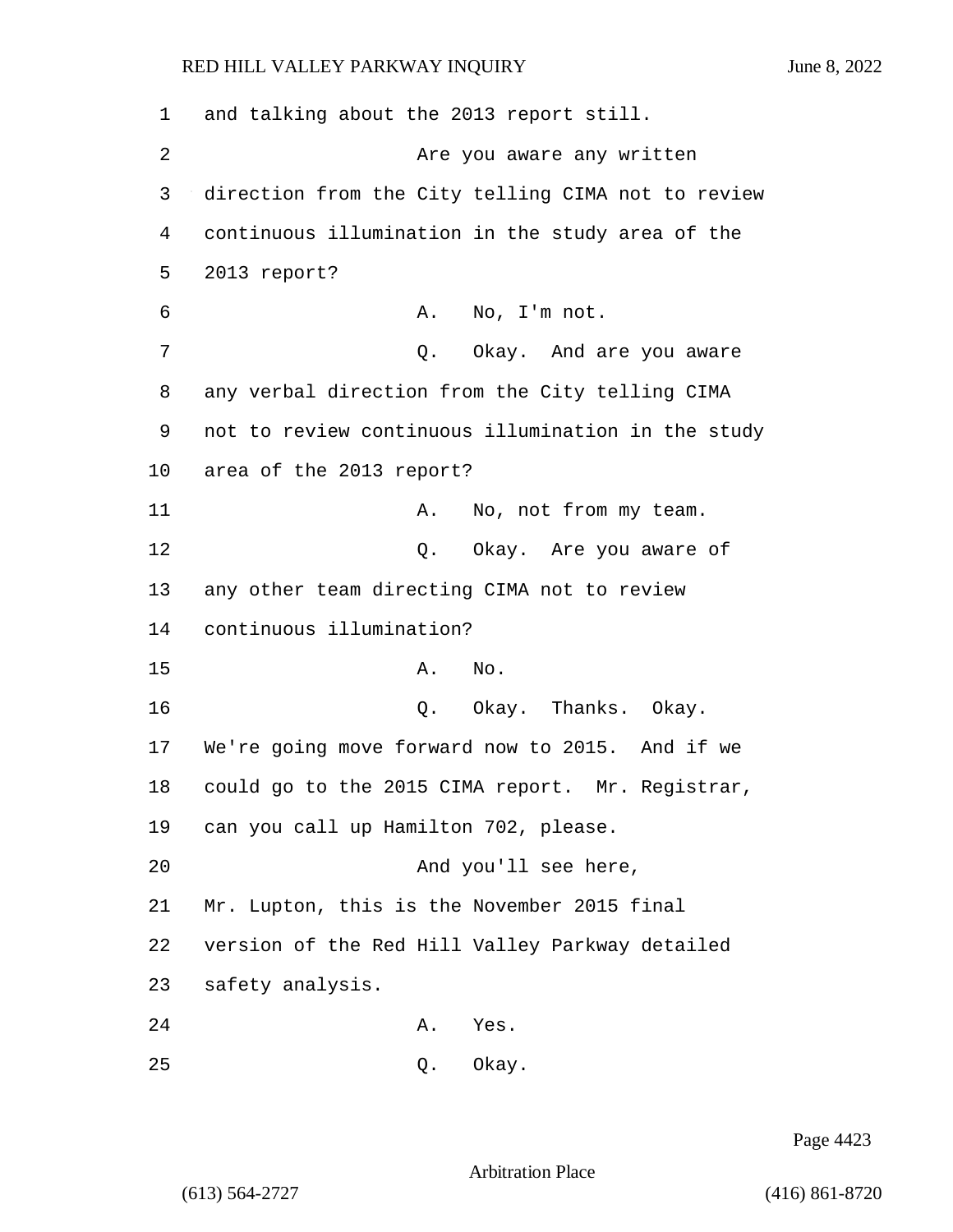1 and talking about the 2013 report still. 2 Are you aware any written 3 direction from the City telling CIMA not to review 4 continuous illumination in the study area of the 5 2013 report? 6 A. No, I'm not. 7 C. Okay. And are you aware 8 any verbal direction from the City telling CIMA 9 not to review continuous illumination in the study 10 area of the 2013 report? 11 A. No, not from my team. 12 O. Okay. Are you aware of 13 any other team directing CIMA not to review 14 continuous illumination? 15 A. No. 16 Q. Okay. Thanks. Okay. 17 We're going move forward now to 2015. And if we 18 could go to the 2015 CIMA report. Mr. Registrar, 19 can you call up Hamilton 702, please. 20 And you'll see here, 21 Mr. Lupton, this is the November 2015 final 22 version of the Red Hill Valley Parkway detailed 23 safety analysis. 24 A. Yes. 25 Q. Okay.

Page 4423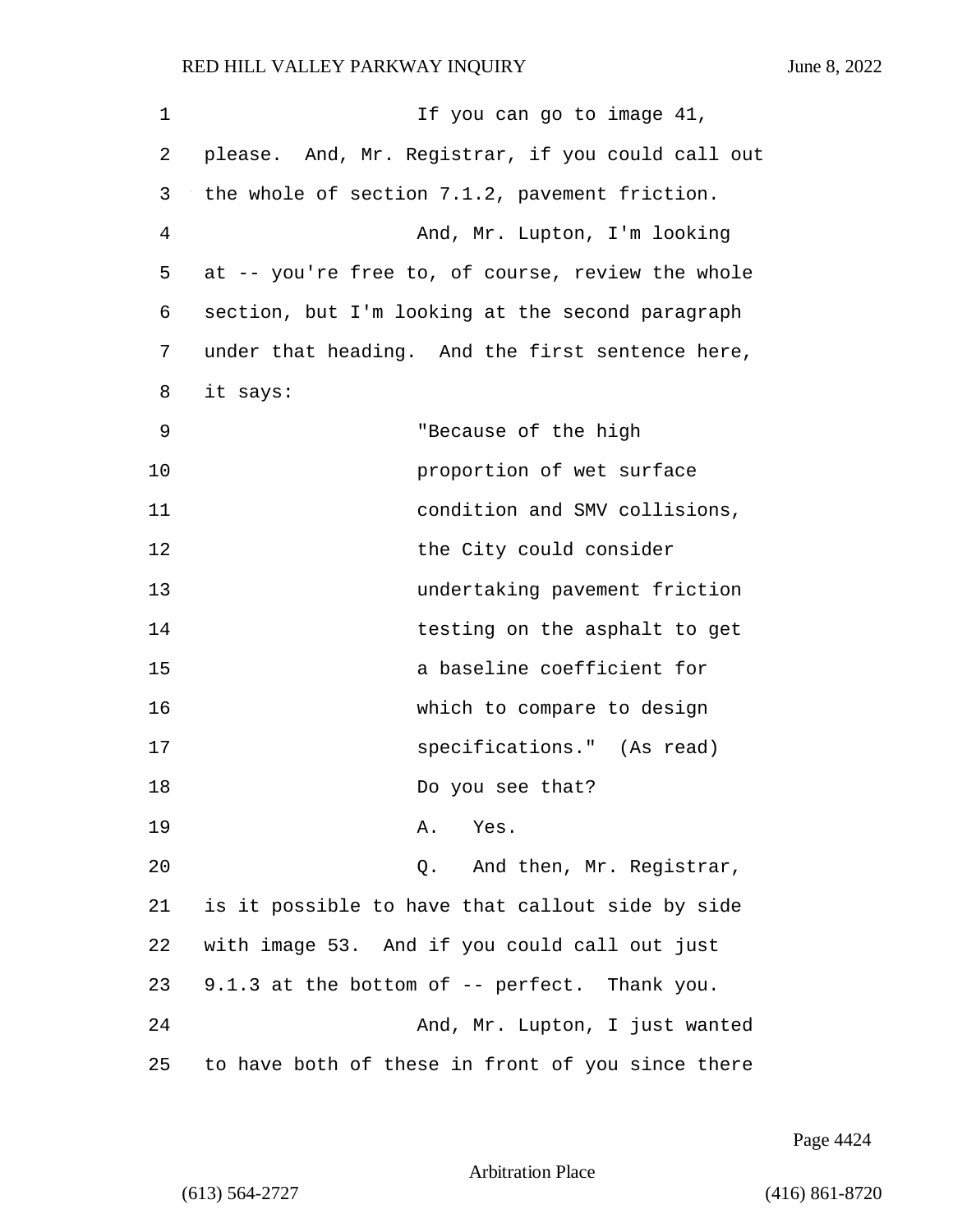| 1  | If you can go to image 41,                        |
|----|---------------------------------------------------|
| 2  | please. And, Mr. Registrar, if you could call out |
| 3  | the whole of section 7.1.2, pavement friction.    |
| 4  | And, Mr. Lupton, I'm looking                      |
| 5  | at -- you're free to, of course, review the whole |
| 6  | section, but I'm looking at the second paragraph  |
| 7  | under that heading. And the first sentence here,  |
| 8  | it says:                                          |
| 9  | "Because of the high                              |
| 10 | proportion of wet surface                         |
| 11 | condition and SMV collisions,                     |
| 12 | the City could consider                           |
| 13 | undertaking pavement friction                     |
| 14 | testing on the asphalt to get                     |
| 15 | a baseline coefficient for                        |
| 16 | which to compare to design                        |
| 17 | specifications." (As read)                        |
| 18 | Do you see that?                                  |
| 19 | Yes.<br>Α.                                        |
| 20 | And then, Mr. Registrar,<br>Q.                    |
| 21 | is it possible to have that callout side by side  |
| 22 | with image 53. And if you could call out just     |
| 23 | 9.1.3 at the bottom of -- perfect. Thank you.     |
| 24 | And, Mr. Lupton, I just wanted                    |
| 25 | to have both of these in front of you since there |

Page 4424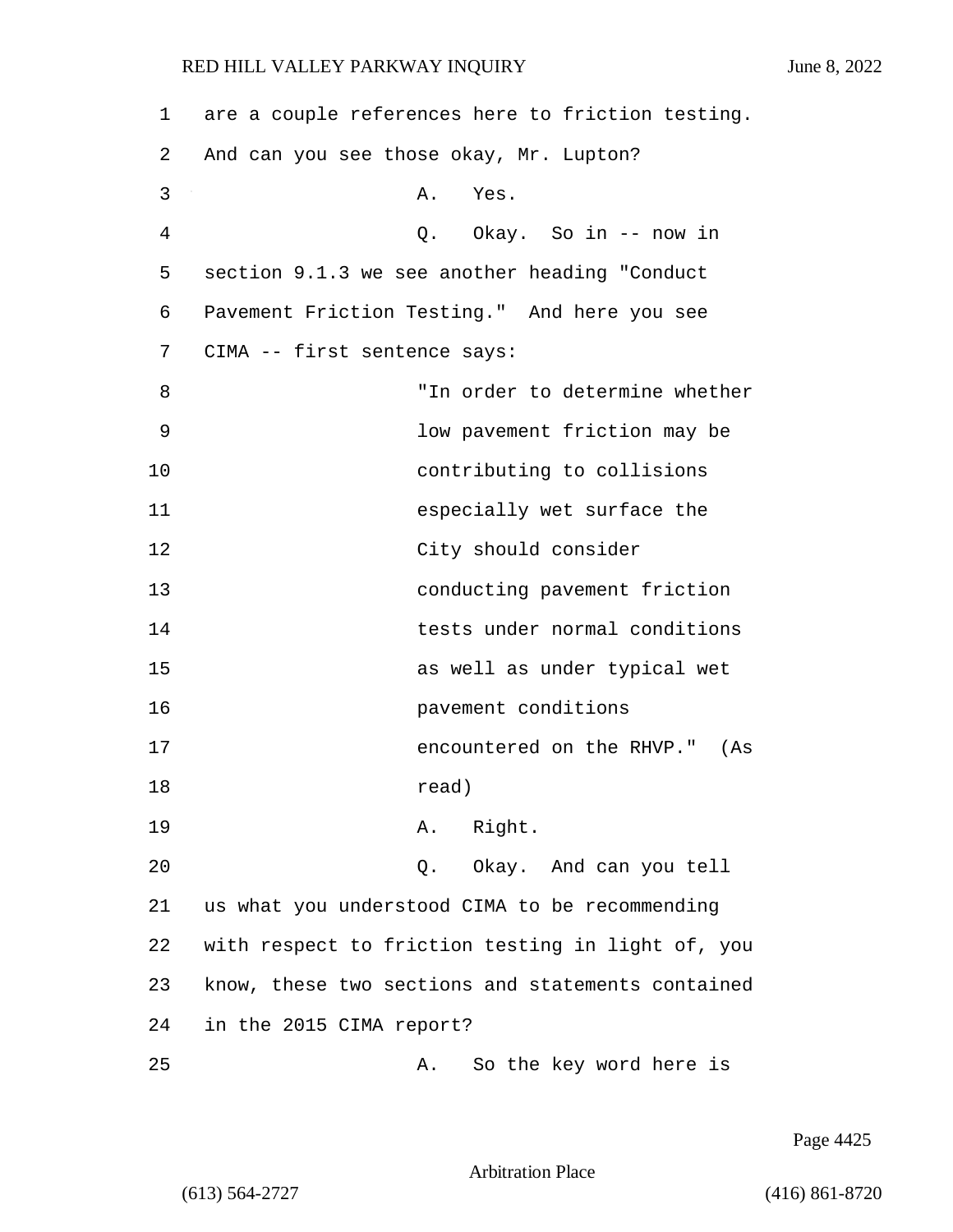| 1  | are a couple references here to friction testing. |
|----|---------------------------------------------------|
| 2  | And can you see those okay, Mr. Lupton?           |
| 3  | Yes.<br>Α.                                        |
| 4  | Q. Okay. So in -- now in                          |
| 5  | section 9.1.3 we see another heading "Conduct     |
| 6  | Pavement Friction Testing." And here you see      |
| 7  | CIMA -- first sentence says:                      |
| 8  | "In order to determine whether                    |
| 9  | low pavement friction may be                      |
| 10 | contributing to collisions                        |
| 11 | especially wet surface the                        |
| 12 | City should consider                              |
| 13 | conducting pavement friction                      |
| 14 | tests under normal conditions                     |
| 15 | as well as under typical wet                      |
| 16 | pavement conditions                               |
| 17 | encountered on the RHVP."<br>(As                  |
| 18 | read)                                             |
| 19 | A. Right.                                         |
| 20 | Q. Okay. And can you tell                         |
| 21 | us what you understood CIMA to be recommending    |
| 22 | with respect to friction testing in light of, you |
| 23 | know, these two sections and statements contained |
| 24 | in the 2015 CIMA report?                          |
| 25 | So the key word here is<br>Α.                     |

Page 4425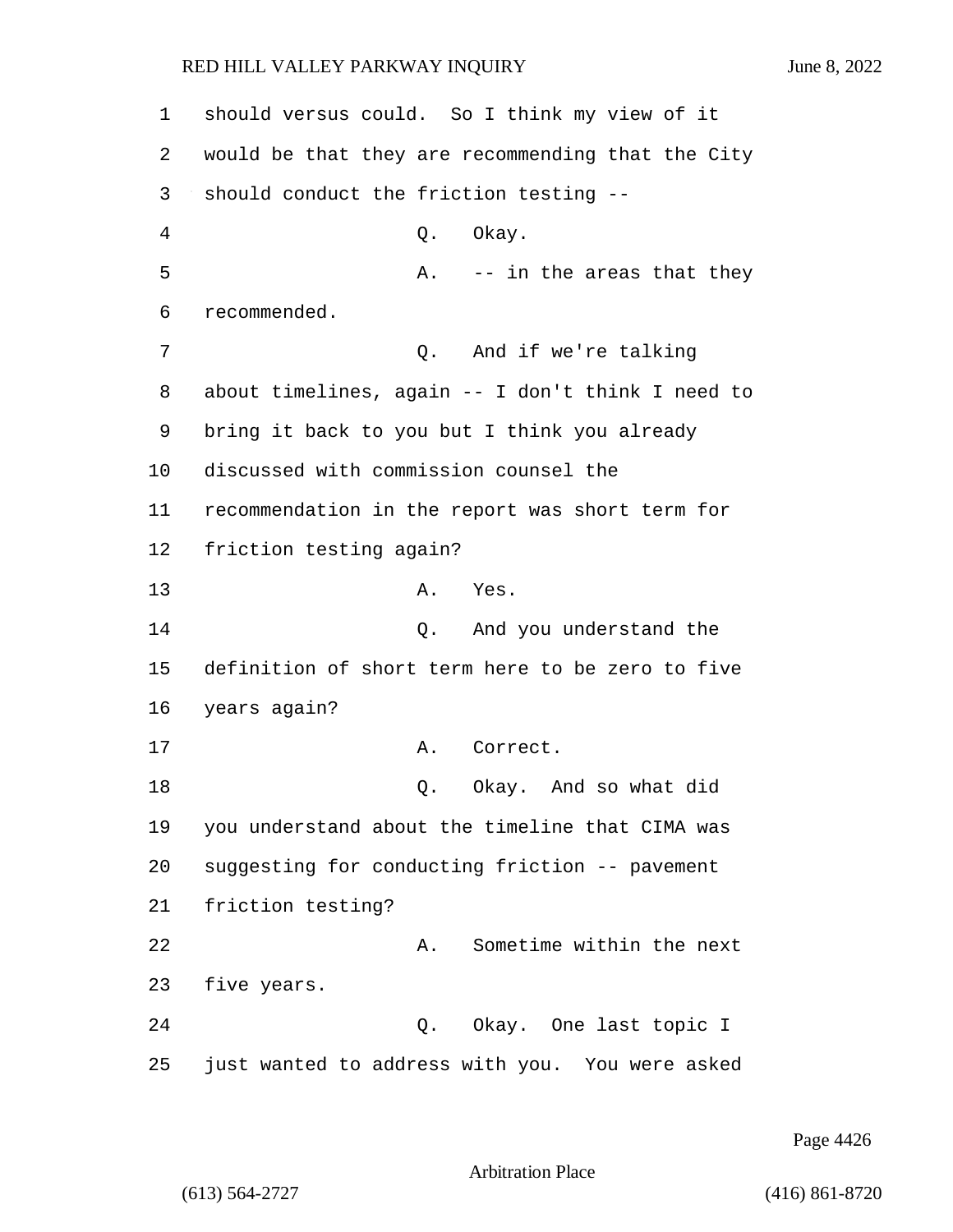should versus could. So I think my view of it would be that they are recommending that the City should conduct the friction testing -- 4 Q. Okay. 5 A. -- in the areas that they recommended. 7 O. And if we're talking about timelines, again -- I don't think I need to bring it back to you but I think you already discussed with commission counsel the recommendation in the report was short term for friction testing again? 13 A. Yes. 14 Q. And you understand the definition of short term here to be zero to five years again? 17 A. Correct. 18 Q. Okay. And so what did you understand about the timeline that CIMA was suggesting for conducting friction -- pavement friction testing? 22 A. Sometime within the next five years. 24 Q. Okay. One last topic I just wanted to address with you. You were asked

Page 4426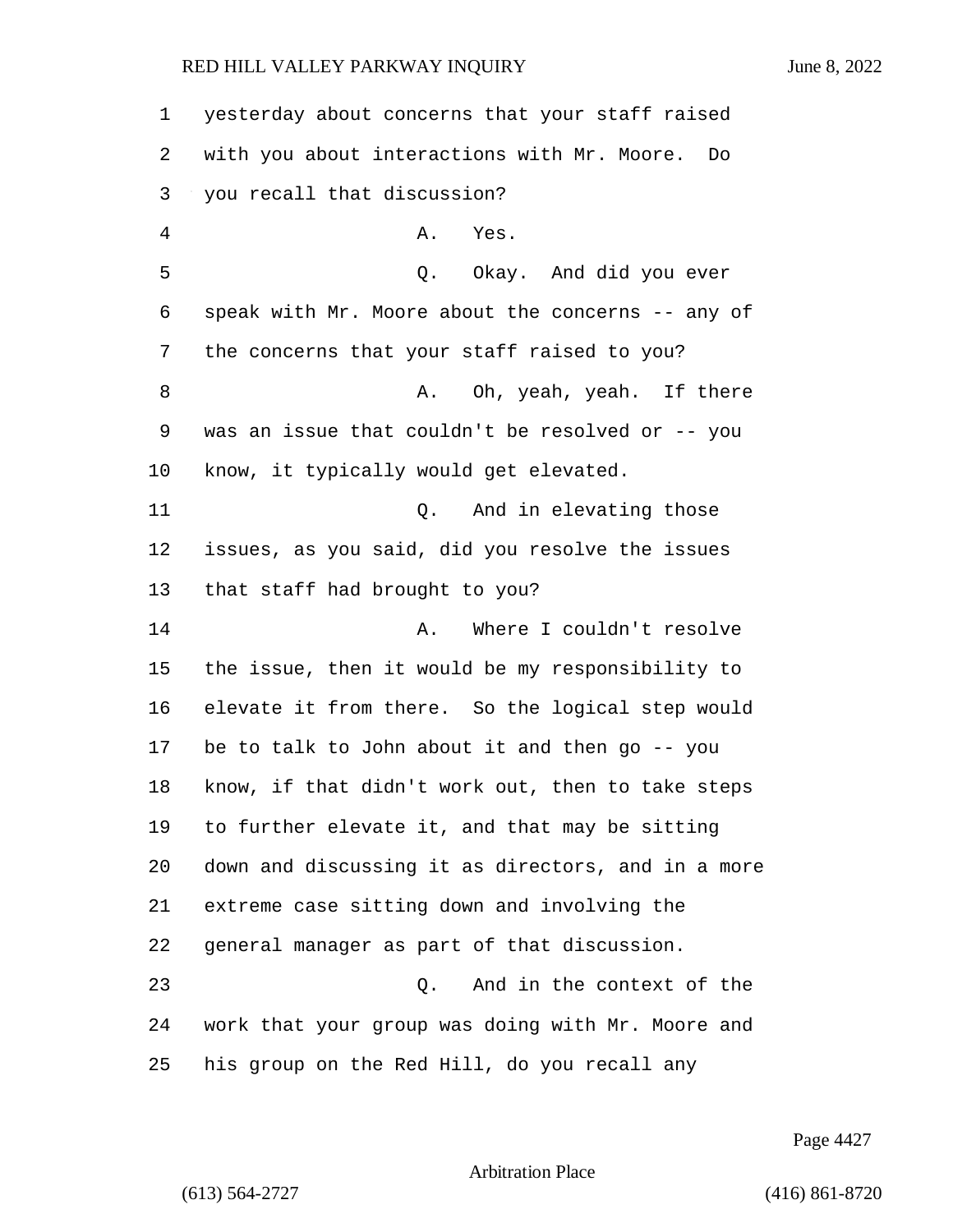| 1  | yesterday about concerns that your staff raised    |
|----|----------------------------------------------------|
| 2  | with you about interactions with Mr. Moore.<br>Do  |
| 3  | you recall that discussion?                        |
| 4  | Α.<br>Yes.                                         |
| 5  | Q.<br>Okay. And did you ever                       |
| 6  | speak with Mr. Moore about the concerns -- any of  |
| 7  | the concerns that your staff raised to you?        |
| 8  | Oh, yeah, yeah. If there<br>Α.                     |
| 9  | was an issue that couldn't be resolved or -- you   |
| 10 | know, it typically would get elevated.             |
| 11 | And in elevating those<br>Q.                       |
| 12 | issues, as you said, did you resolve the issues    |
| 13 | that staff had brought to you?                     |
| 14 | Where I couldn't resolve<br>Α.                     |
| 15 | the issue, then it would be my responsibility to   |
| 16 | elevate it from there. So the logical step would   |
| 17 | be to talk to John about it and then go $-$ - you  |
| 18 | know, if that didn't work out, then to take steps  |
| 19 | to further elevate it, and that may be sitting     |
| 20 | down and discussing it as directors, and in a more |
| 21 | extreme case sitting down and involving the        |
| 22 | general manager as part of that discussion.        |
| 23 | And in the context of the<br>$Q$ .                 |
| 24 | work that your group was doing with Mr. Moore and  |
| 25 | his group on the Red Hill, do you recall any       |

Page 4427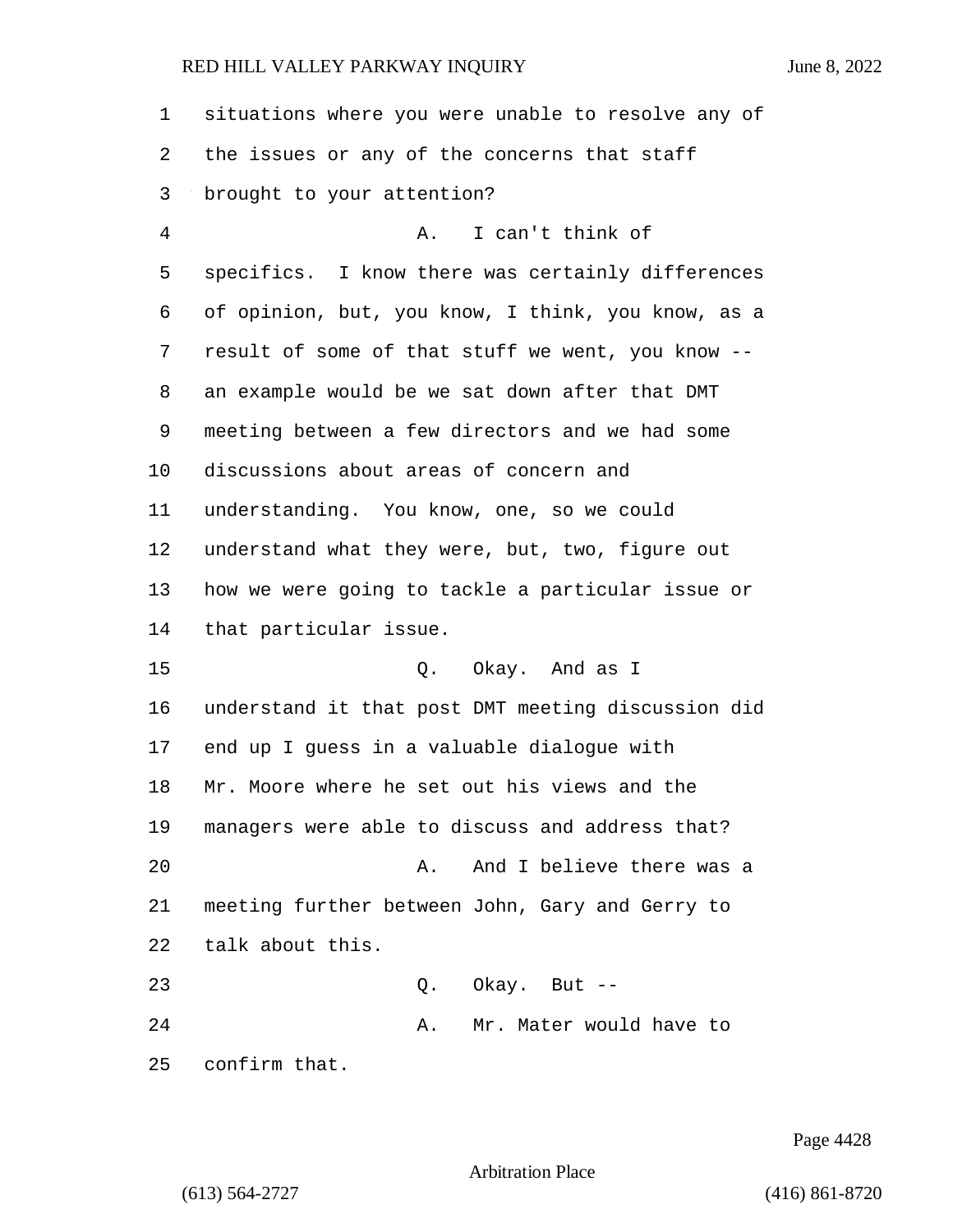| 1              | situations where you were unable to resolve any of |
|----------------|----------------------------------------------------|
|                |                                                    |
| 2              | the issues or any of the concerns that staff       |
| 3              | brought to your attention?                         |
| $\overline{4}$ | A.<br>I can't think of                             |
| 5              | specifics. I know there was certainly differences  |
| 6              | of opinion, but, you know, I think, you know, as a |
| 7              | result of some of that stuff we went, you know --  |
| 8              | an example would be we sat down after that DMT     |
| 9              | meeting between a few directors and we had some    |
| 10             | discussions about areas of concern and             |
| 11             | understanding. You know, one, so we could          |
| 12             | understand what they were, but, two, figure out    |
| 13             | how we were going to tackle a particular issue or  |
| 14             | that particular issue.                             |
| 15             | Q. Okay. And as I                                  |
| 16             | understand it that post DMT meeting discussion did |
| 17             | end up I guess in a valuable dialogue with         |
| 18             | Mr. Moore where he set out his views and the       |
| 19             | managers were able to discuss and address that?    |
| 20             | And I believe there was a<br>Α.                    |
| 21             | meeting further between John, Gary and Gerry to    |
| 22             | talk about this.                                   |
| 23             | Okay. But --<br>Q.                                 |
| 24             | Mr. Mater would have to<br>Α.                      |
| 25             | confirm that.                                      |

Page 4428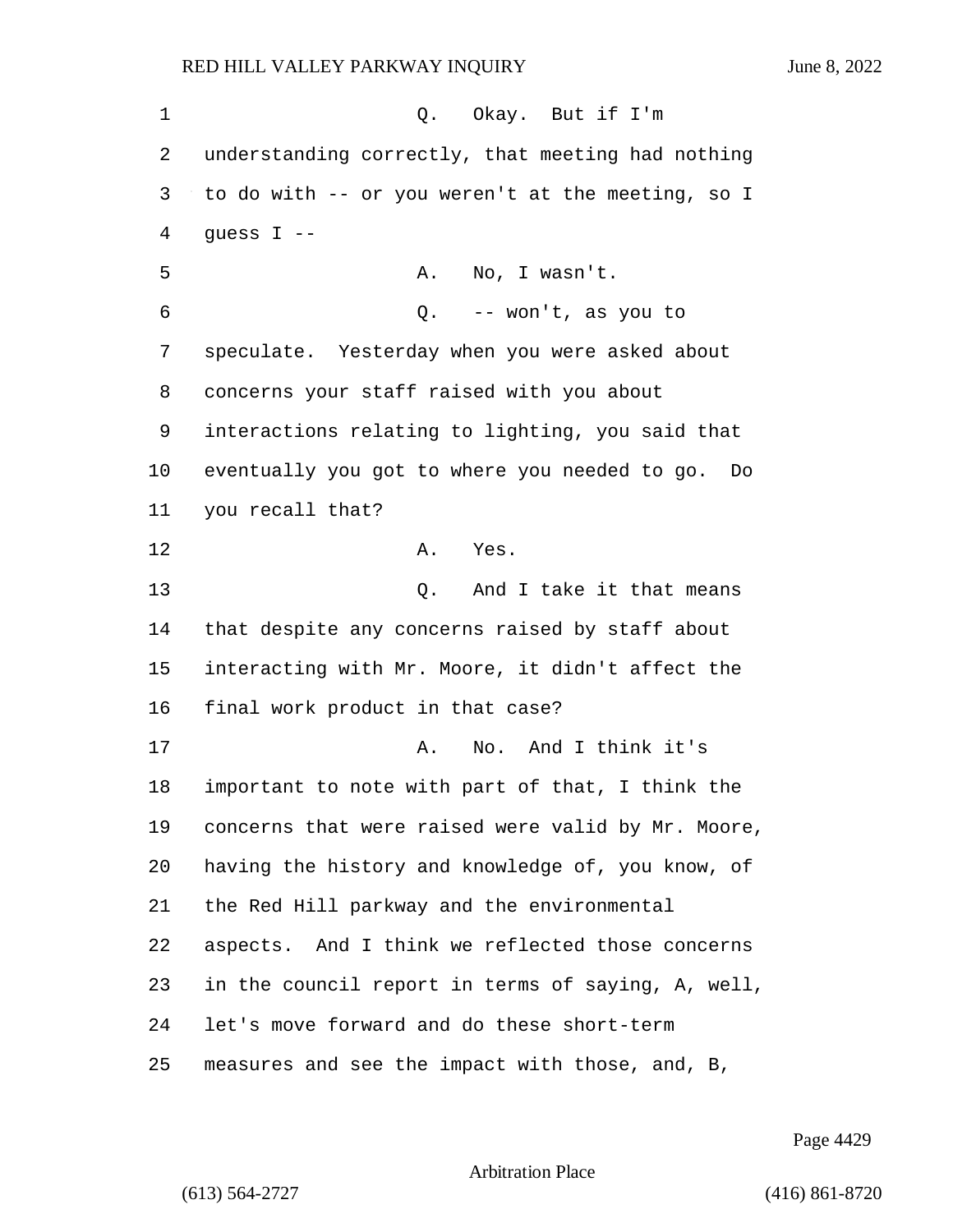1 0. Okay. But if I'm understanding correctly, that meeting had nothing to do with -- or you weren't at the meeting, so I quess I  $-$ 5 A. No, I wasn't. 6 Q. -- won't, as you to speculate. Yesterday when you were asked about concerns your staff raised with you about interactions relating to lighting, you said that eventually you got to where you needed to go. Do you recall that? 12 A. Yes. 13 C. And I take it that means that despite any concerns raised by staff about interacting with Mr. Moore, it didn't affect the final work product in that case? 17 A. No. And I think it's important to note with part of that, I think the concerns that were raised were valid by Mr. Moore, having the history and knowledge of, you know, of the Red Hill parkway and the environmental aspects. And I think we reflected those concerns in the council report in terms of saying, A, well, let's move forward and do these short-term measures and see the impact with those, and, B,

Page 4429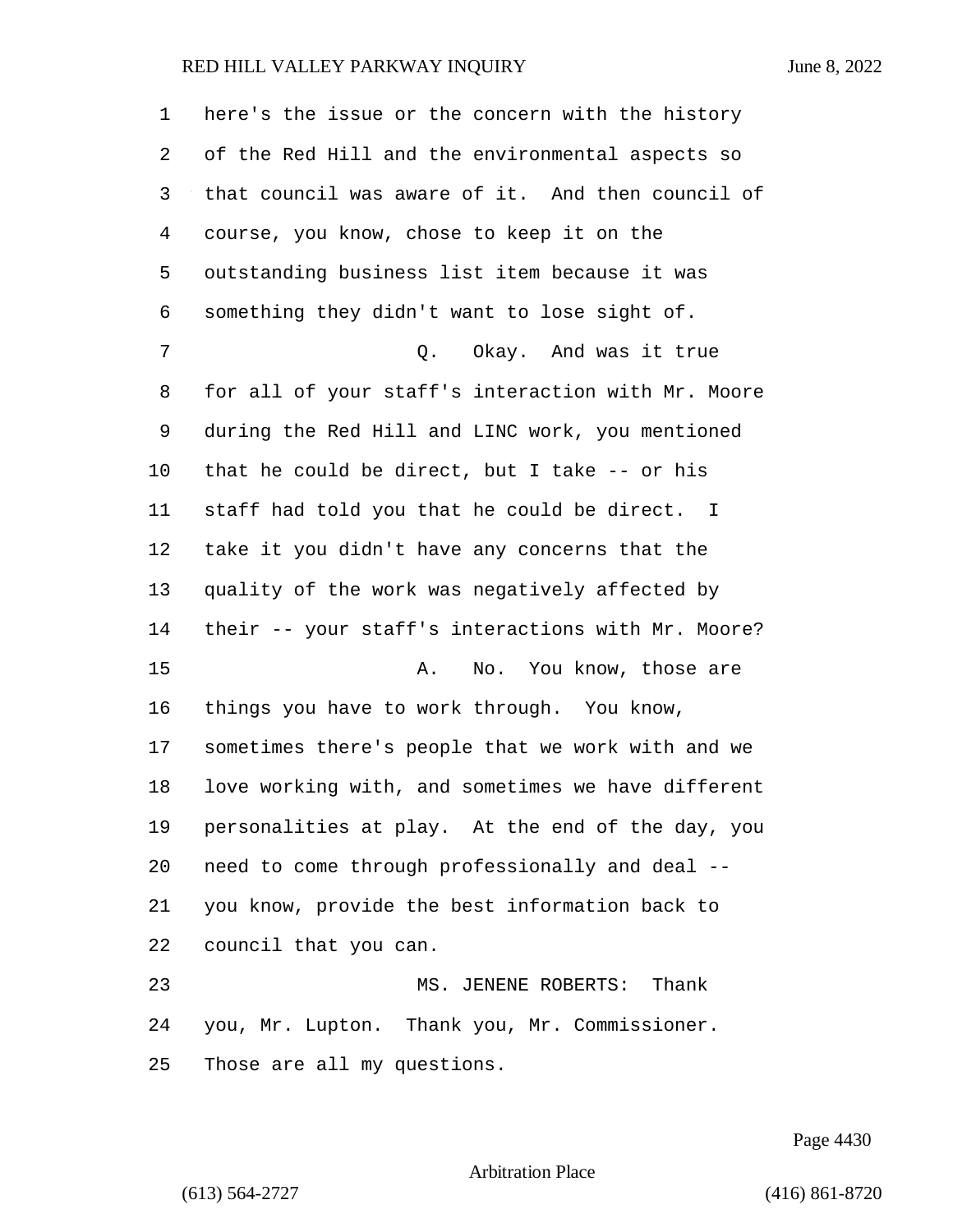here's the issue or the concern with the history of the Red Hill and the environmental aspects so that council was aware of it. And then council of course, you know, chose to keep it on the outstanding business list item because it was something they didn't want to lose sight of. 7 C. Okay. And was it true for all of your staff's interaction with Mr. Moore during the Red Hill and LINC work, you mentioned that he could be direct, but I take -- or his staff had told you that he could be direct. I take it you didn't have any concerns that the quality of the work was negatively affected by their -- your staff's interactions with Mr. Moore? 15 A. No. You know, those are things you have to work through. You know, sometimes there's people that we work with and we love working with, and sometimes we have different personalities at play. At the end of the day, you need to come through professionally and deal -- you know, provide the best information back to council that you can. 23 MS. JENENE ROBERTS: Thank you, Mr. Lupton. Thank you, Mr. Commissioner.

Those are all my questions.

Page 4430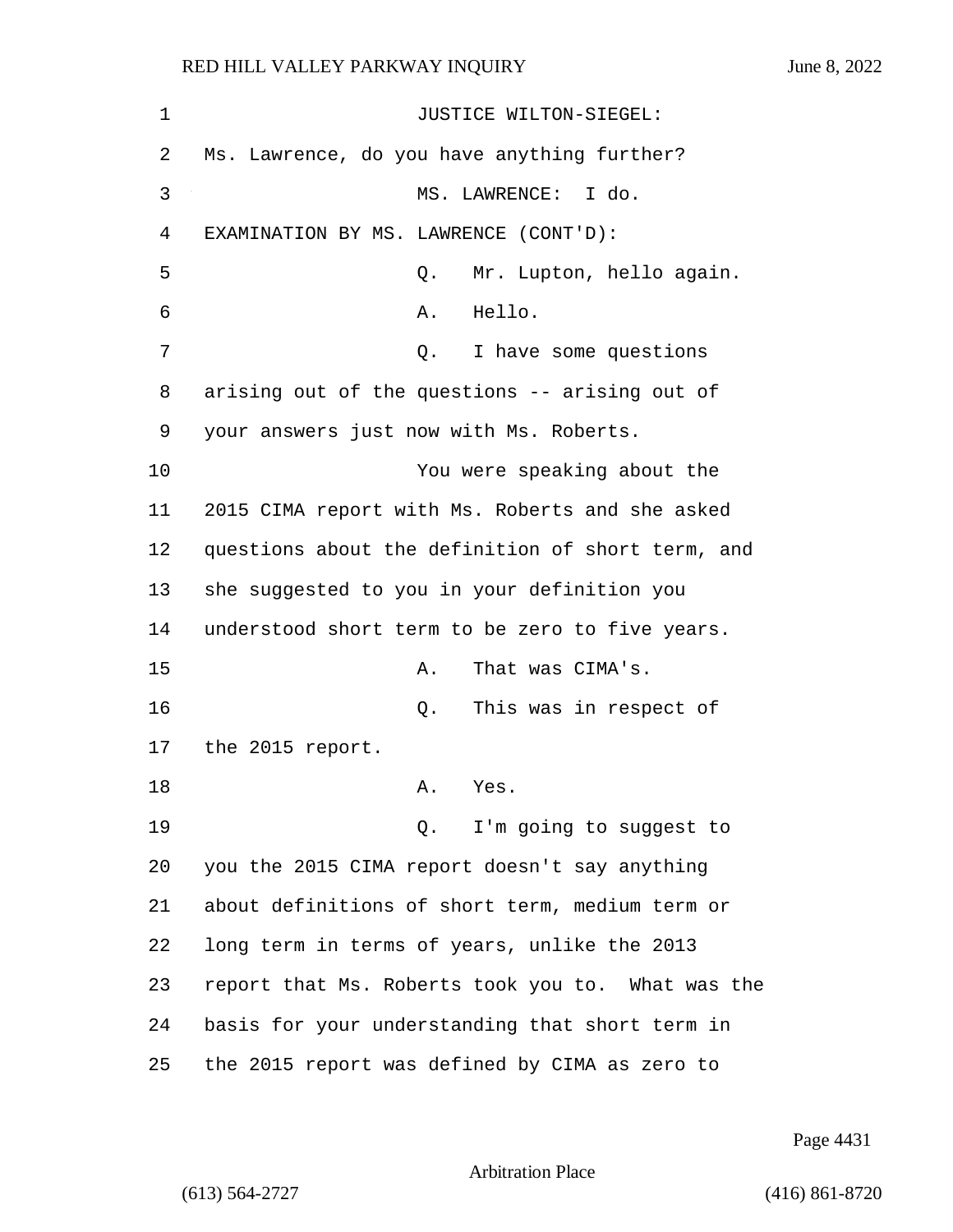| 1  | JUSTICE WILTON-SIEGEL:                            |
|----|---------------------------------------------------|
| 2  | Ms. Lawrence, do you have anything further?       |
| 3  | MS. LAWRENCE: I do.                               |
| 4  | EXAMINATION BY MS. LAWRENCE (CONT'D):             |
| 5  | Mr. Lupton, hello again.<br>Q.                    |
| 6  | Hello.<br>Α.                                      |
| 7  | I have some questions<br>Q.                       |
| 8  | arising out of the questions -- arising out of    |
| 9  | your answers just now with Ms. Roberts.           |
| 10 | You were speaking about the                       |
| 11 | 2015 CIMA report with Ms. Roberts and she asked   |
| 12 | questions about the definition of short term, and |
| 13 | she suggested to you in your definition you       |
| 14 | understood short term to be zero to five years.   |
| 15 | That was CIMA's.<br>Α.                            |
| 16 | This was in respect of<br>Q.                      |
| 17 | the 2015 report.                                  |
| 18 | Α.<br>Yes.                                        |
| 19 | Q. I'm going to suggest to                        |
| 20 | you the 2015 CIMA report doesn't say anything     |
| 21 | about definitions of short term, medium term or   |
| 22 | long term in terms of years, unlike the 2013      |
| 23 | report that Ms. Roberts took you to. What was the |
| 24 | basis for your understanding that short term in   |
| 25 | the 2015 report was defined by CIMA as zero to    |

Page 4431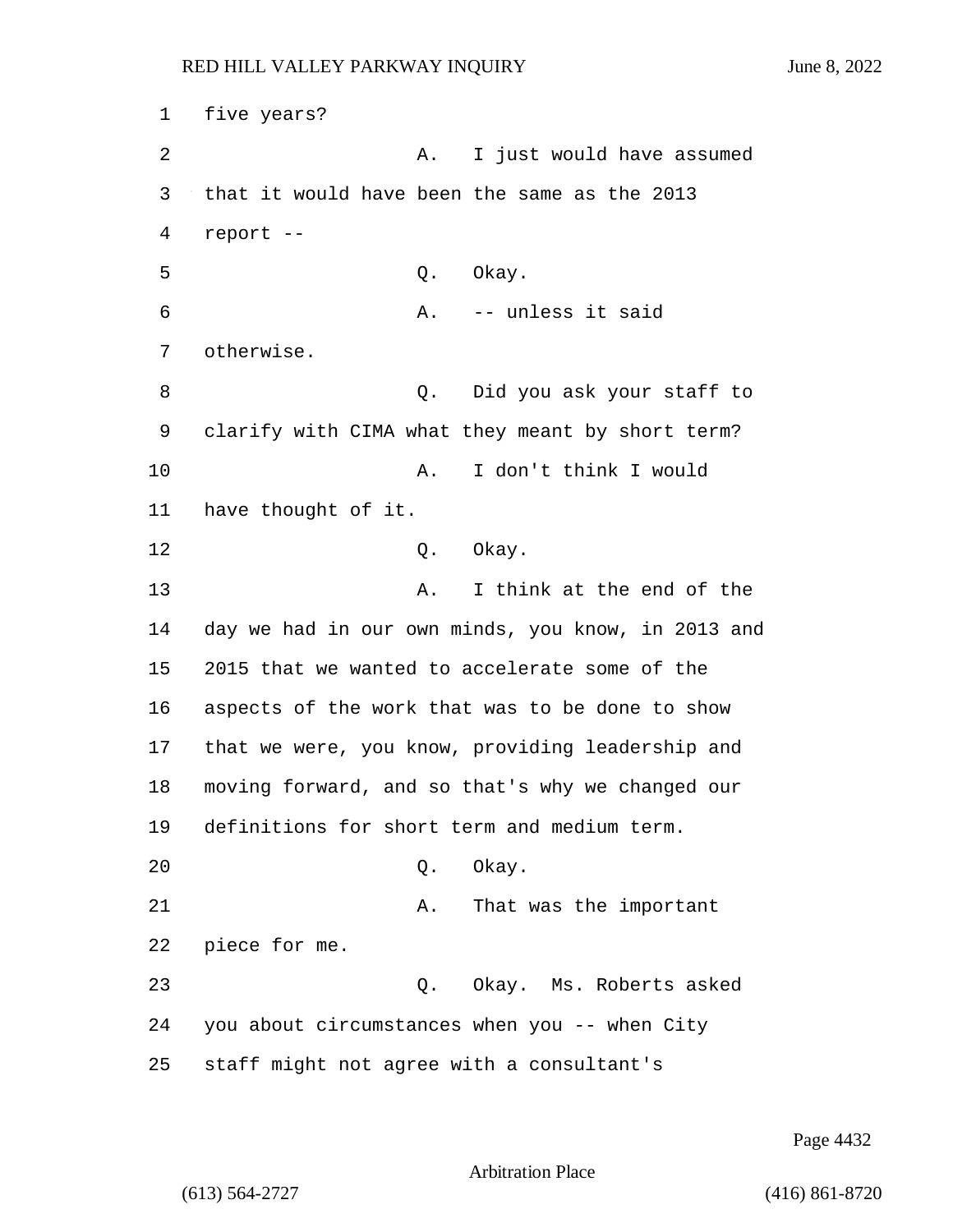1 five years? 2 A. I just would have assumed 3 that it would have been the same as the 2013 4 report -- 5 Q. Okay. 6 A. -- unless it said 7 otherwise. 8 Q. Did you ask your staff to 9 clarify with CIMA what they meant by short term? 10 A. I don't think I would 11 have thought of it. 12 0. Okay. 13 A. I think at the end of the 14 day we had in our own minds, you know, in 2013 and 15 2015 that we wanted to accelerate some of the 16 aspects of the work that was to be done to show 17 that we were, you know, providing leadership and 18 moving forward, and so that's why we changed our 19 definitions for short term and medium term. 20 Q. Okay. 21 A. That was the important 22 piece for me. 23 Q. Okay. Ms. Roberts asked 24 you about circumstances when you -- when City 25 staff might not agree with a consultant's

Page 4432

Arbitration Place

(613) 564-2727 (416) 861-8720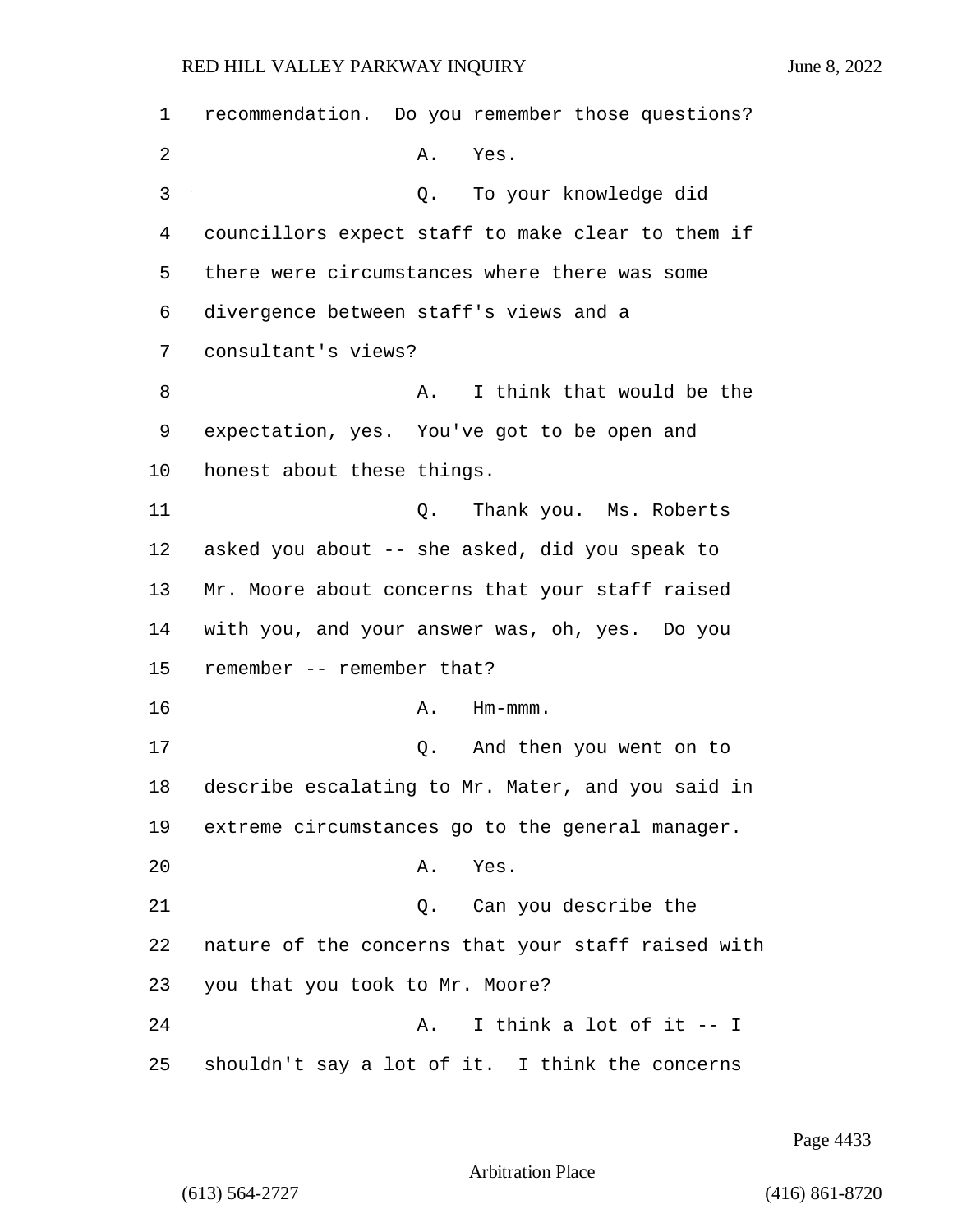| 1  | recommendation. Do you remember those questions?   |
|----|----------------------------------------------------|
| 2  | Α.<br>Yes.                                         |
| 3  | To your knowledge did<br>Q.                        |
| 4  | councillors expect staff to make clear to them if  |
| 5  | there were circumstances where there was some      |
| 6  | divergence between staff's views and a             |
| 7  | consultant's views?                                |
| 8  | I think that would be the<br>Α.                    |
| 9  | expectation, yes. You've got to be open and        |
| 10 | honest about these things.                         |
| 11 | Q.<br>Thank you. Ms. Roberts                       |
| 12 | asked you about -- she asked, did you speak to     |
| 13 | Mr. Moore about concerns that your staff raised    |
| 14 | with you, and your answer was, oh, yes. Do you     |
| 15 | remember -- remember that?                         |
| 16 | Α.<br>$Hm-mmm$ .                                   |
| 17 | Q. And then you went on to                         |
| 18 | describe escalating to Mr. Mater, and you said in  |
| 19 | extreme circumstances go to the general manager.   |
| 20 | Yes.<br>Α.                                         |
| 21 | Q. Can you describe the                            |
| 22 | nature of the concerns that your staff raised with |
| 23 | you that you took to Mr. Moore?                    |
| 24 | I think a lot of it -- I<br>Α.                     |
| 25 | shouldn't say a lot of it. I think the concerns    |

Page 4433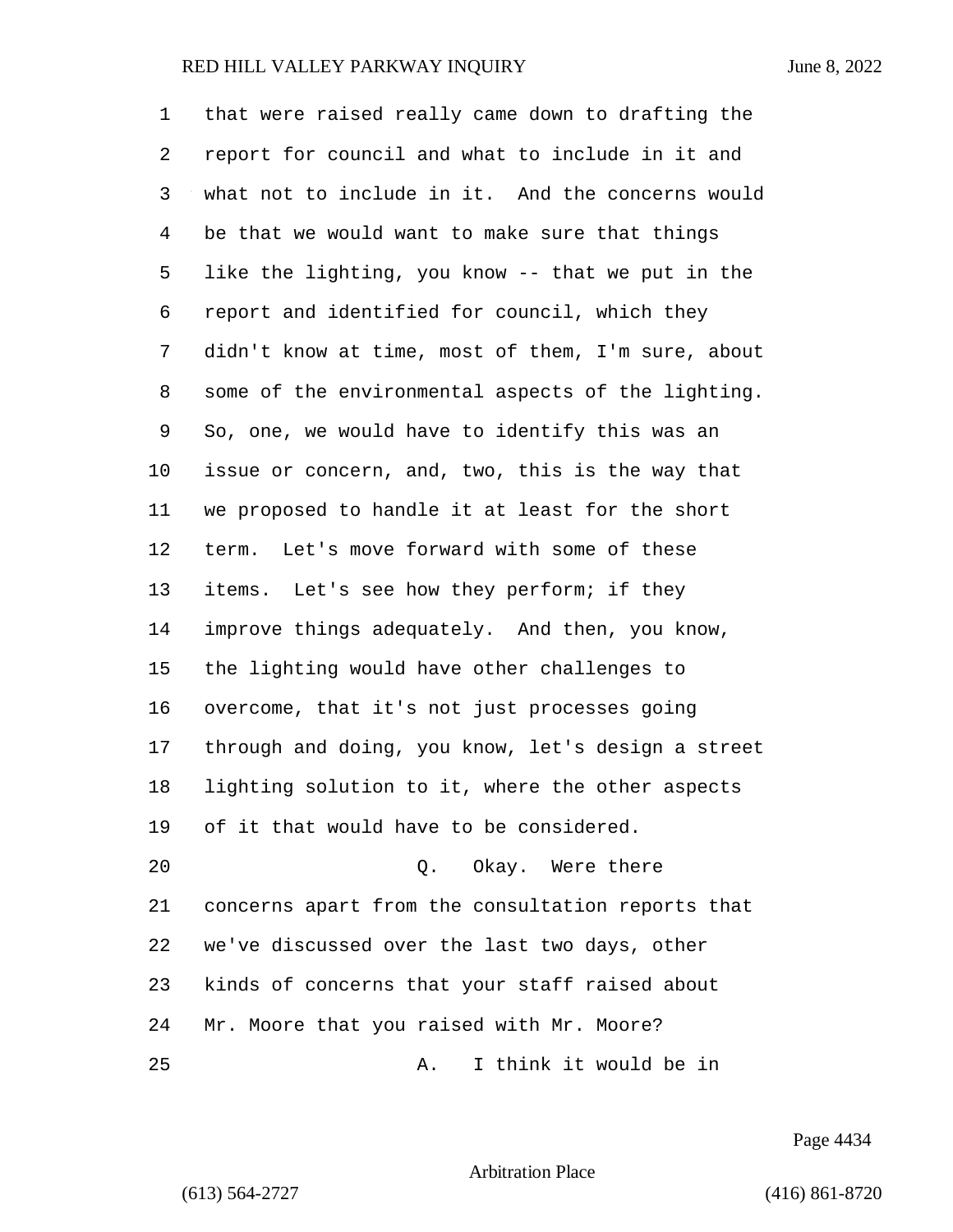| 1              | that were raised really came down to drafting the  |
|----------------|----------------------------------------------------|
| 2              | report for council and what to include in it and   |
| 3              | what not to include in it. And the concerns would  |
| $\overline{4}$ | be that we would want to make sure that things     |
| 5              | like the lighting, you know -- that we put in the  |
| 6              | report and identified for council, which they      |
| 7              | didn't know at time, most of them, I'm sure, about |
| 8              | some of the environmental aspects of the lighting. |
| 9              | So, one, we would have to identify this was an     |
| 10             | issue or concern, and, two, this is the way that   |
| 11             | we proposed to handle it at least for the short    |
| 12             | term. Let's move forward with some of these        |
| 13             | items. Let's see how they perform; if they         |
| 14             | improve things adequately. And then, you know,     |
| 15             | the lighting would have other challenges to        |
| 16             | overcome, that it's not just processes going       |
| 17             | through and doing, you know, let's design a street |
| 18             | lighting solution to it, where the other aspects   |
| 19             | of it that would have to be considered.            |
| 20             | Okay. Were there<br>$Q$ .                          |
| 21             | concerns apart from the consultation reports that  |
| 22             | we've discussed over the last two days, other      |
| 23             | kinds of concerns that your staff raised about     |
| 24             | Mr. Moore that you raised with Mr. Moore?          |
| 25             | I think it would be in<br>Α.                       |

Page 4434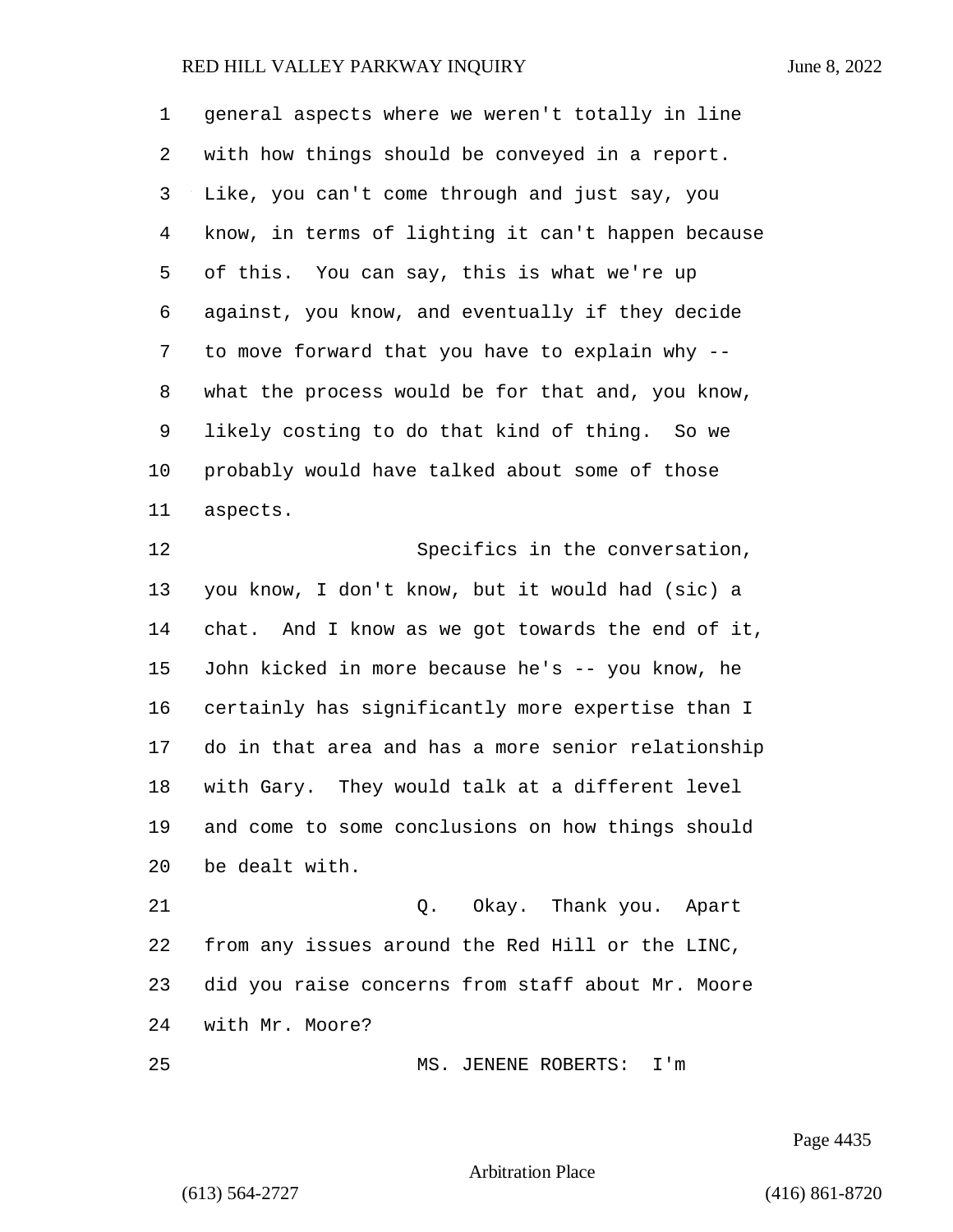| 1              | general aspects where we weren't totally in line   |
|----------------|----------------------------------------------------|
| 2              | with how things should be conveyed in a report.    |
| 3              | Like, you can't come through and just say, you     |
| $\overline{4}$ | know, in terms of lighting it can't happen because |
| 5              | of this. You can say, this is what we're up        |
| 6              | against, you know, and eventually if they decide   |
| 7              | to move forward that you have to explain why --    |
| 8              | what the process would be for that and, you know,  |
| 9              | likely costing to do that kind of thing. So we     |
| 10             | probably would have talked about some of those     |
| 11             | aspects.                                           |
| 12             | Specifics in the conversation,                     |
| 13             | you know, I don't know, but it would had (sic) a   |
| 14             | chat. And I know as we got towards the end of it,  |
| 15             | John kicked in more because he's -- you know, he   |
| 16             | certainly has significantly more expertise than I  |
| 17             | do in that area and has a more senior relationship |
| 18             | with Gary. They would talk at a different level    |
| 19             | and come to some conclusions on how things should  |
| 20             | be dealt with.                                     |
| 21             | Q. Okay. Thank you. Apart                          |
| 22             | from any issues around the Red Hill or the LINC,   |
| 23             | did you raise concerns from staff about Mr. Moore  |
| 24             | with Mr. Moore?                                    |
| 25             | MS. JENENE ROBERTS:<br>$\mathtt{I}$ 'm             |

Page 4435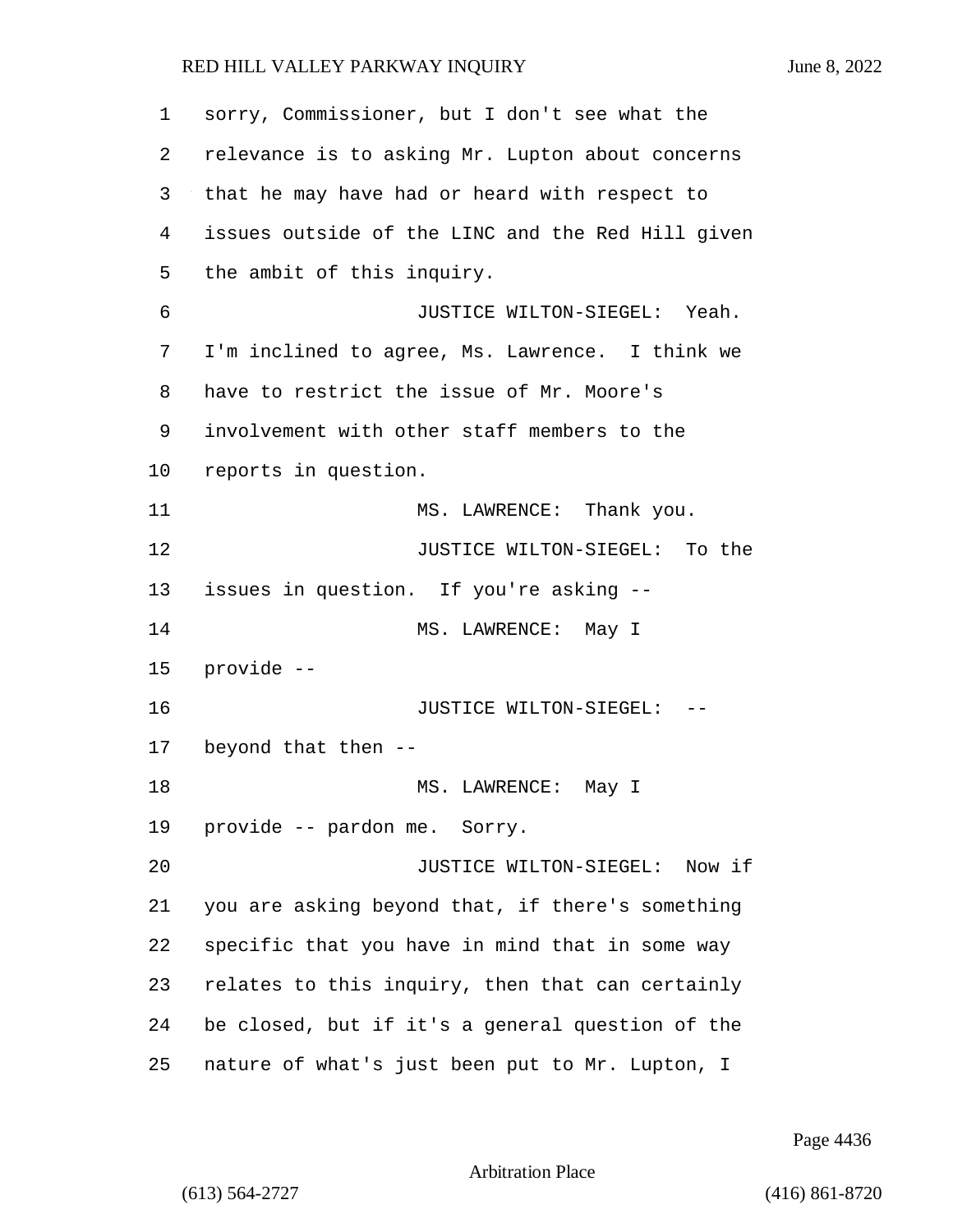sorry, Commissioner, but I don't see what the relevance is to asking Mr. Lupton about concerns that he may have had or heard with respect to issues outside of the LINC and the Red Hill given the ambit of this inquiry. 6 JUSTICE WILTON-SIEGEL: Yeah. I'm inclined to agree, Ms. Lawrence. I think we have to restrict the issue of Mr. Moore's involvement with other staff members to the reports in question. 11 MS. LAWRENCE: Thank you. **JUSTICE WILTON-SIEGEL:** To the issues in question. If you're asking -- 14 MS. LAWRENCE: May I provide -- 16 JUSTICE WILTON-SIEGEL: -- beyond that then -- 18 MS. LAWRENCE: May I provide -- pardon me. Sorry. 20 JUSTICE WILTON-SIEGEL: Now if you are asking beyond that, if there's something specific that you have in mind that in some way relates to this inquiry, then that can certainly be closed, but if it's a general question of the nature of what's just been put to Mr. Lupton, I

Page 4436

Arbitration Place

(613) 564-2727 (416) 861-8720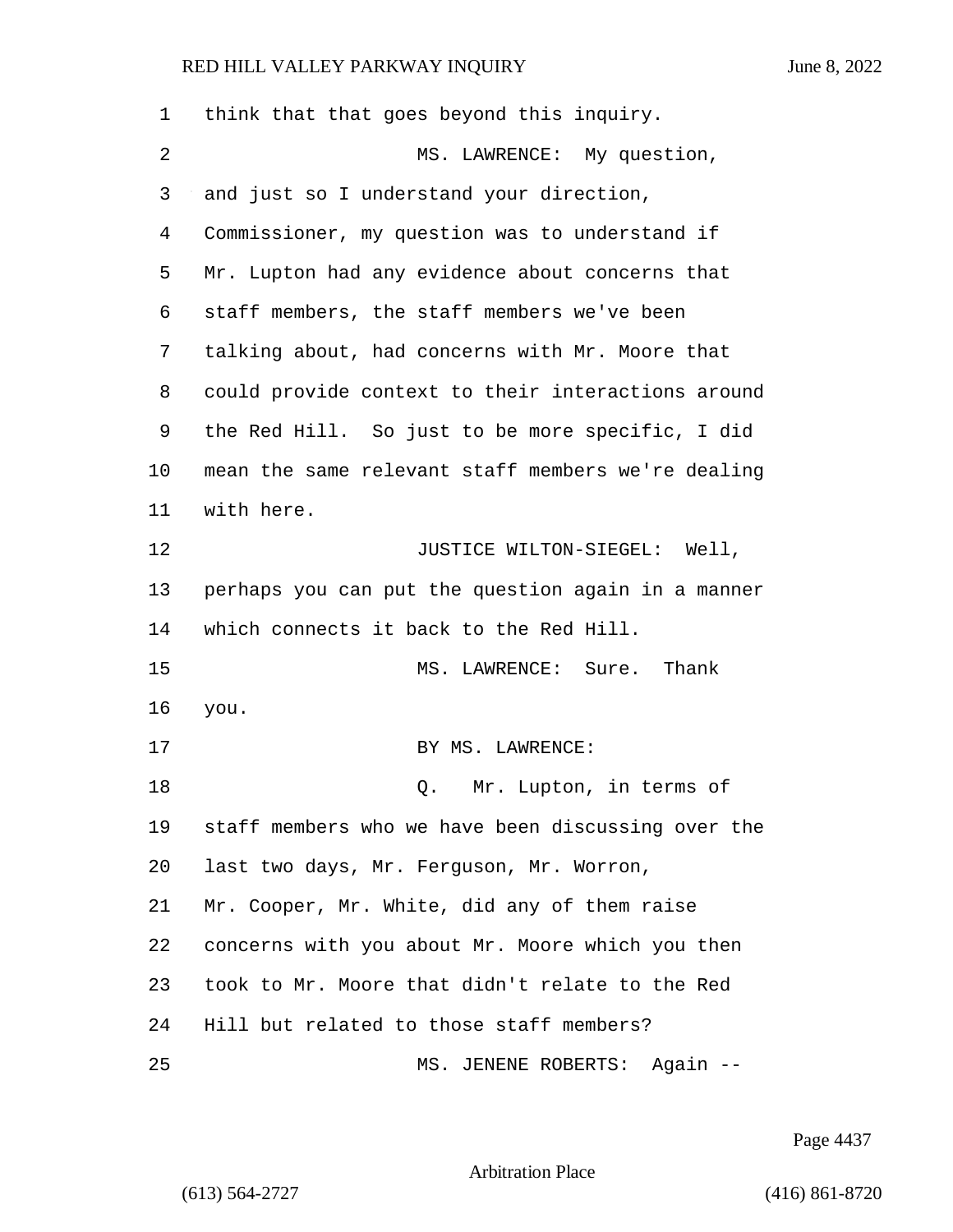| 1  | think that that goes beyond this inquiry.          |
|----|----------------------------------------------------|
| 2  | MS. LAWRENCE: My question,                         |
| 3  | and just so I understand your direction,           |
| 4  | Commissioner, my question was to understand if     |
| 5  | Mr. Lupton had any evidence about concerns that    |
| 6  | staff members, the staff members we've been        |
| 7  | talking about, had concerns with Mr. Moore that    |
| 8  | could provide context to their interactions around |
| 9  | the Red Hill. So just to be more specific, I did   |
| 10 | mean the same relevant staff members we're dealing |
| 11 | with here.                                         |
| 12 | JUSTICE WILTON-SIEGEL: Well,                       |
| 13 | perhaps you can put the question again in a manner |
| 14 | which connects it back to the Red Hill.            |
| 15 | MS. LAWRENCE: Sure. Thank                          |
| 16 | you.                                               |
| 17 | BY MS. LAWRENCE:                                   |
| 18 | Mr. Lupton, in terms of<br>Q.                      |
| 19 | staff members who we have been discussing over the |
| 20 | last two days, Mr. Ferguson, Mr. Worron,           |
| 21 | Mr. Cooper, Mr. White, did any of them raise       |
| 22 | concerns with you about Mr. Moore which you then   |
| 23 | took to Mr. Moore that didn't relate to the Red    |
| 24 | Hill but related to those staff members?           |
| 25 | MS. JENENE ROBERTS: Again --                       |

Page 4437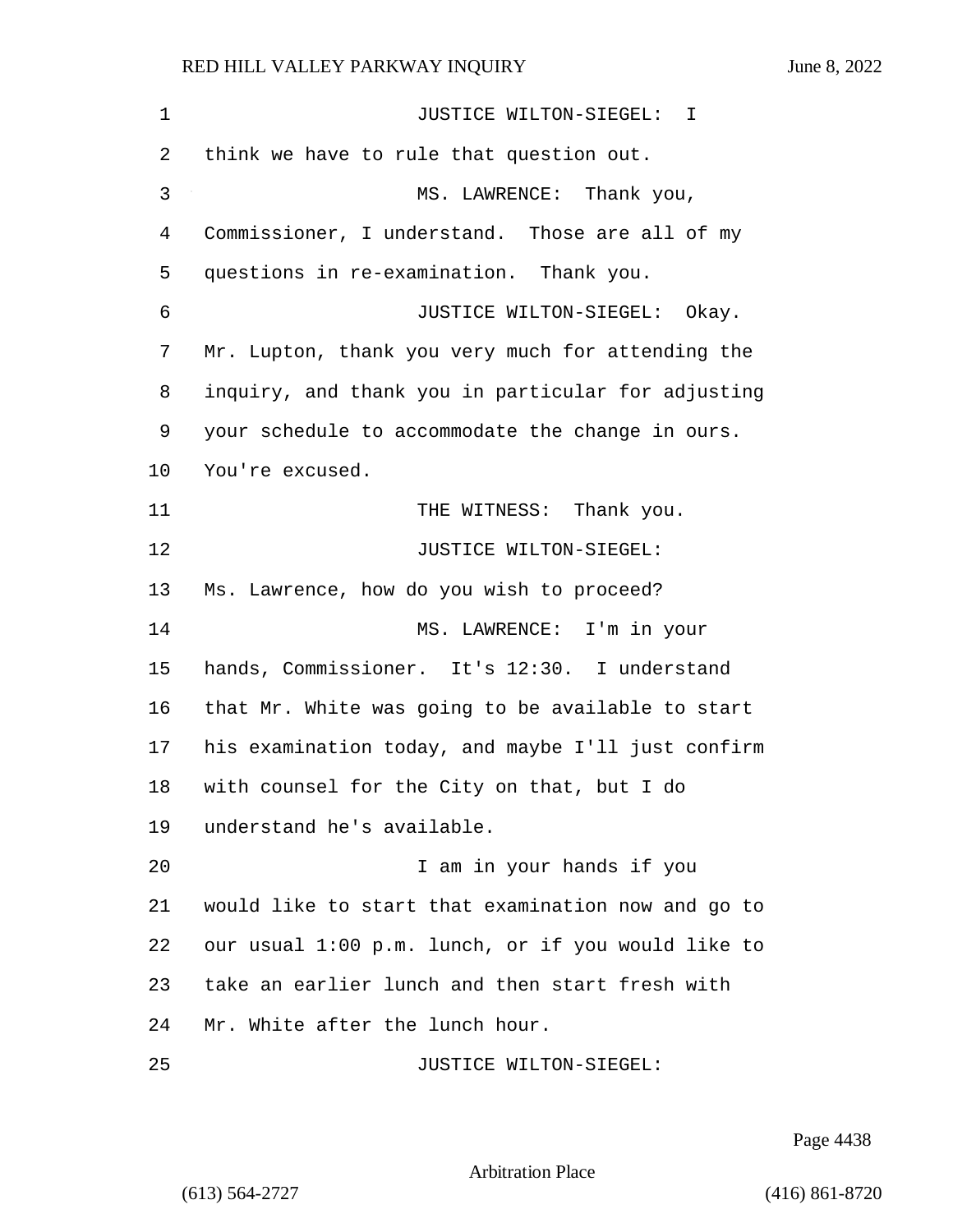| $\mathbf 1$ | JUSTICE WILTON-SIEGEL: I                           |
|-------------|----------------------------------------------------|
| 2           | think we have to rule that question out.           |
| 3           | MS. LAWRENCE: Thank you,                           |
| 4           | Commissioner, I understand. Those are all of my    |
| 5           | questions in re-examination. Thank you.            |
| 6           | JUSTICE WILTON-SIEGEL: Okay.                       |
| 7           | Mr. Lupton, thank you very much for attending the  |
| 8           | inquiry, and thank you in particular for adjusting |
| 9           | your schedule to accommodate the change in ours.   |
| 10          | You're excused.                                    |
| 11          | THE WITNESS: Thank you.                            |
| 12          | JUSTICE WILTON-SIEGEL:                             |
| 13          | Ms. Lawrence, how do you wish to proceed?          |
| 14          | MS. LAWRENCE: I'm in your                          |
| 15          | hands, Commissioner. It's 12:30. I understand      |
| 16          | that Mr. White was going to be available to start  |
| 17          | his examination today, and maybe I'll just confirm |
| 18          | with counsel for the City on that, but I do        |
| 19          | understand he's available.                         |
| 20          | I am in your hands if you                          |
| 21          | would like to start that examination now and go to |
| 22          | our usual 1:00 p.m. lunch, or if you would like to |
| 23          | take an earlier lunch and then start fresh with    |
| 24          | Mr. White after the lunch hour.                    |
| 25          | JUSTICE WILTON-SIEGEL:                             |

Page 4438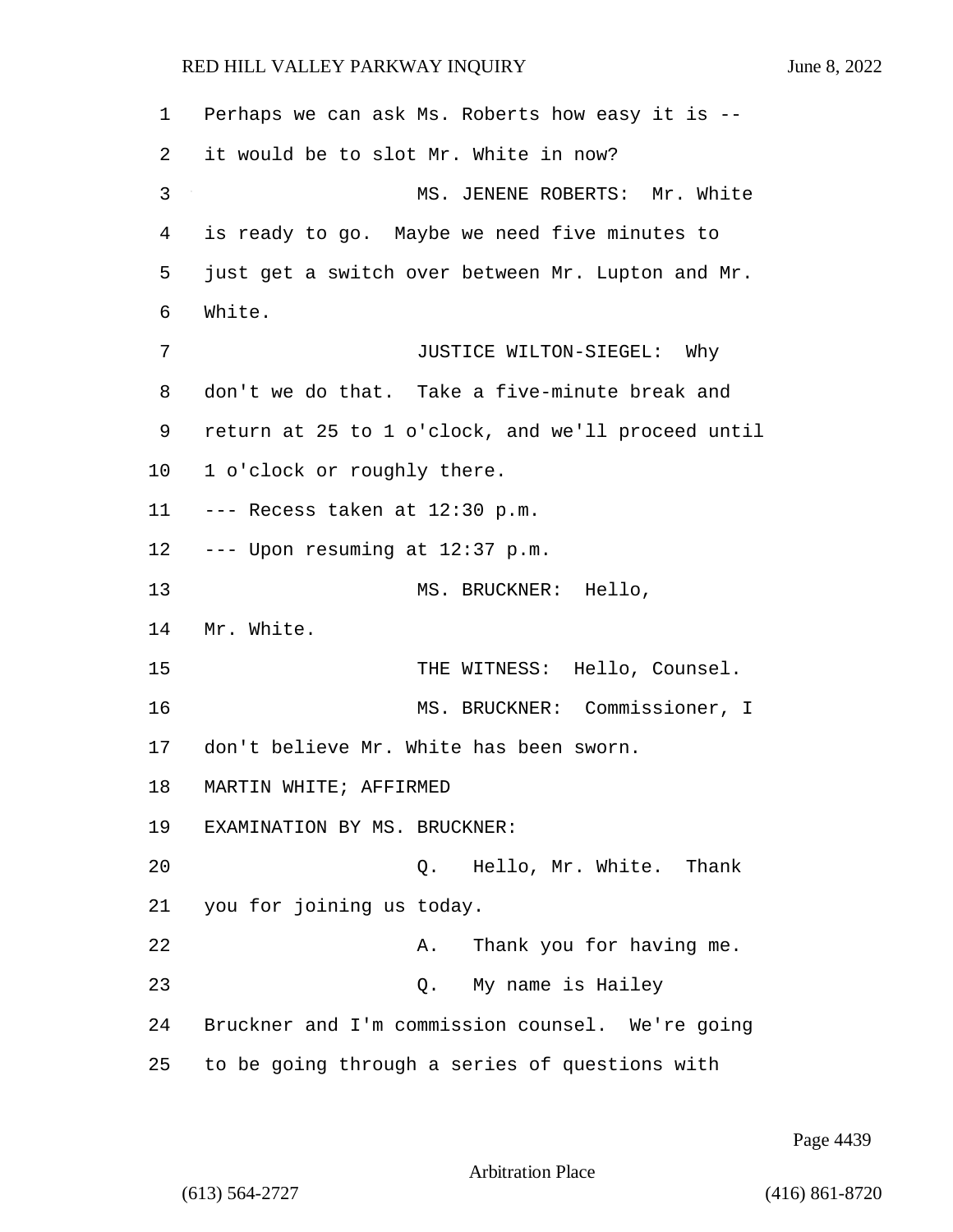1 Perhaps we can ask Ms. Roberts how easy it is -- 2 it would be to slot Mr. White in now? 3 MS. JENENE ROBERTS: Mr. White 4 is ready to go. Maybe we need five minutes to 5 just get a switch over between Mr. Lupton and Mr. 6 White. 7 JUSTICE WILTON-SIEGEL: Why 8 don't we do that. Take a five-minute break and 9 return at 25 to 1 o'clock, and we'll proceed until 10 1 o'clock or roughly there. 11 --- Recess taken at 12:30 p.m. 12  $---$  Upon resuming at 12:37 p.m. 13 MS. BRUCKNER: Hello, 14 Mr. White. 15 THE WITNESS: Hello, Counsel. 16 MS. BRUCKNER: Commissioner, I 17 don't believe Mr. White has been sworn. 18 MARTIN WHITE; AFFIRMED 19 EXAMINATION BY MS. BRUCKNER: 20 Q. Hello, Mr. White. Thank 21 you for joining us today. 22 A. Thank you for having me. 23 Q. My name is Hailey 24 Bruckner and I'm commission counsel. We're going 25 to be going through a series of questions with

Page 4439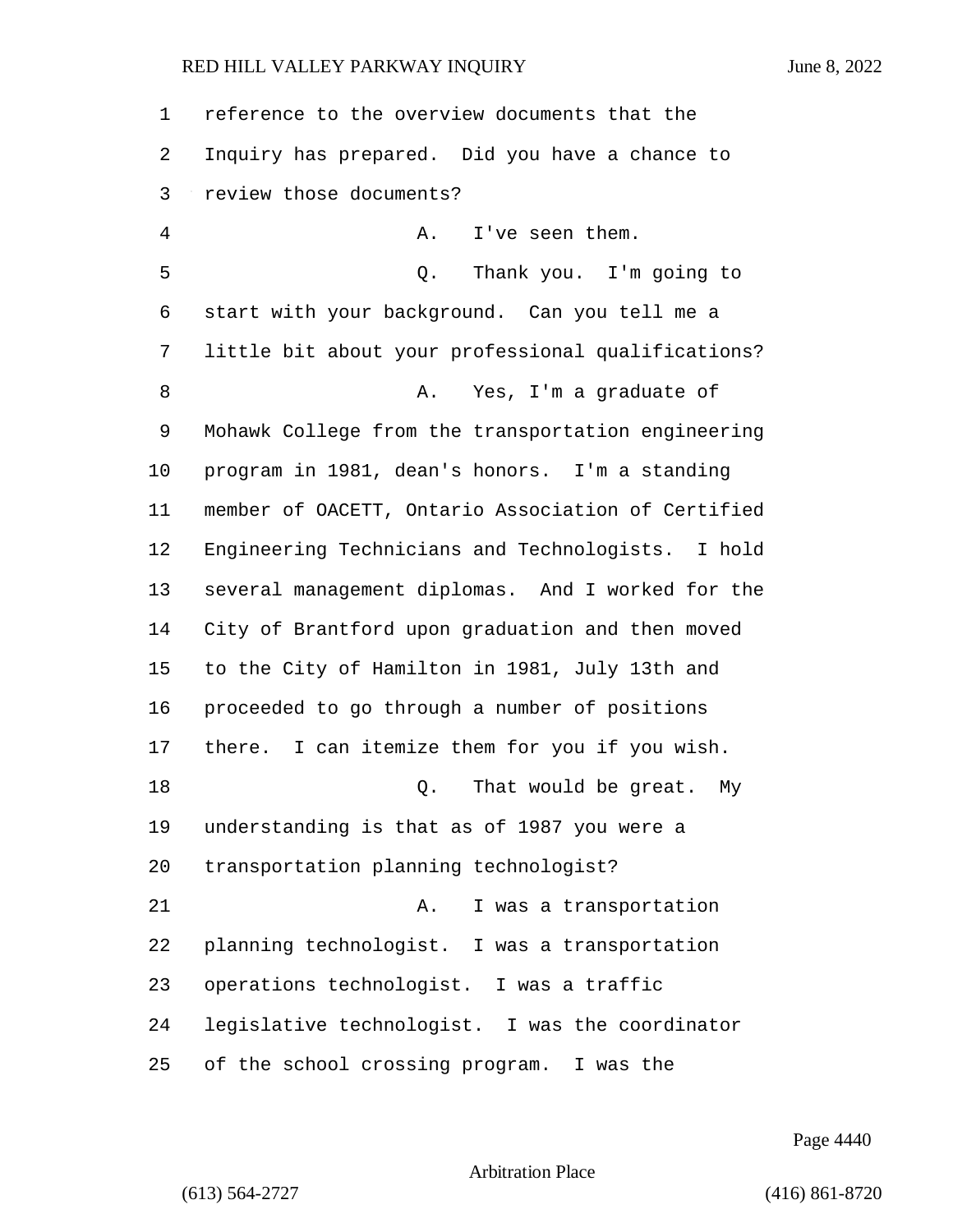| $\mathbf{1}$ | reference to the overview documents that the       |
|--------------|----------------------------------------------------|
| 2            | Inquiry has prepared. Did you have a chance to     |
| 3            | review those documents?                            |
| 4            | I've seen them.<br>Α.                              |
| 5            | Thank you. I'm going to<br>Q.                      |
| 6            | start with your background. Can you tell me a      |
| 7            | little bit about your professional qualifications? |
| 8            | Yes, I'm a graduate of<br>Α.                       |
| 9            | Mohawk College from the transportation engineering |
| 10           | program in 1981, dean's honors. I'm a standing     |
| 11           | member of OACETT, Ontario Association of Certified |
| 12           | Engineering Technicians and Technologists. I hold  |
| 13           | several management diplomas. And I worked for the  |
| 14           | City of Brantford upon graduation and then moved   |
| 15           | to the City of Hamilton in 1981, July 13th and     |
| 16           | proceeded to go through a number of positions      |
| 17           | I can itemize them for you if you wish.<br>there.  |
| 18           | That would be great.<br>Q.<br>Мy                   |
| 19           | understanding is that as of 1987 you were a        |
| 20           | transportation planning technologist?              |
| 21           | I was a transportation<br>Α.                       |
| 22           | planning technologist. I was a transportation      |
| 23           | operations technologist. I was a traffic           |
| 24           | legislative technologist. I was the coordinator    |
| 25           | of the school crossing program. I was the          |

Page 4440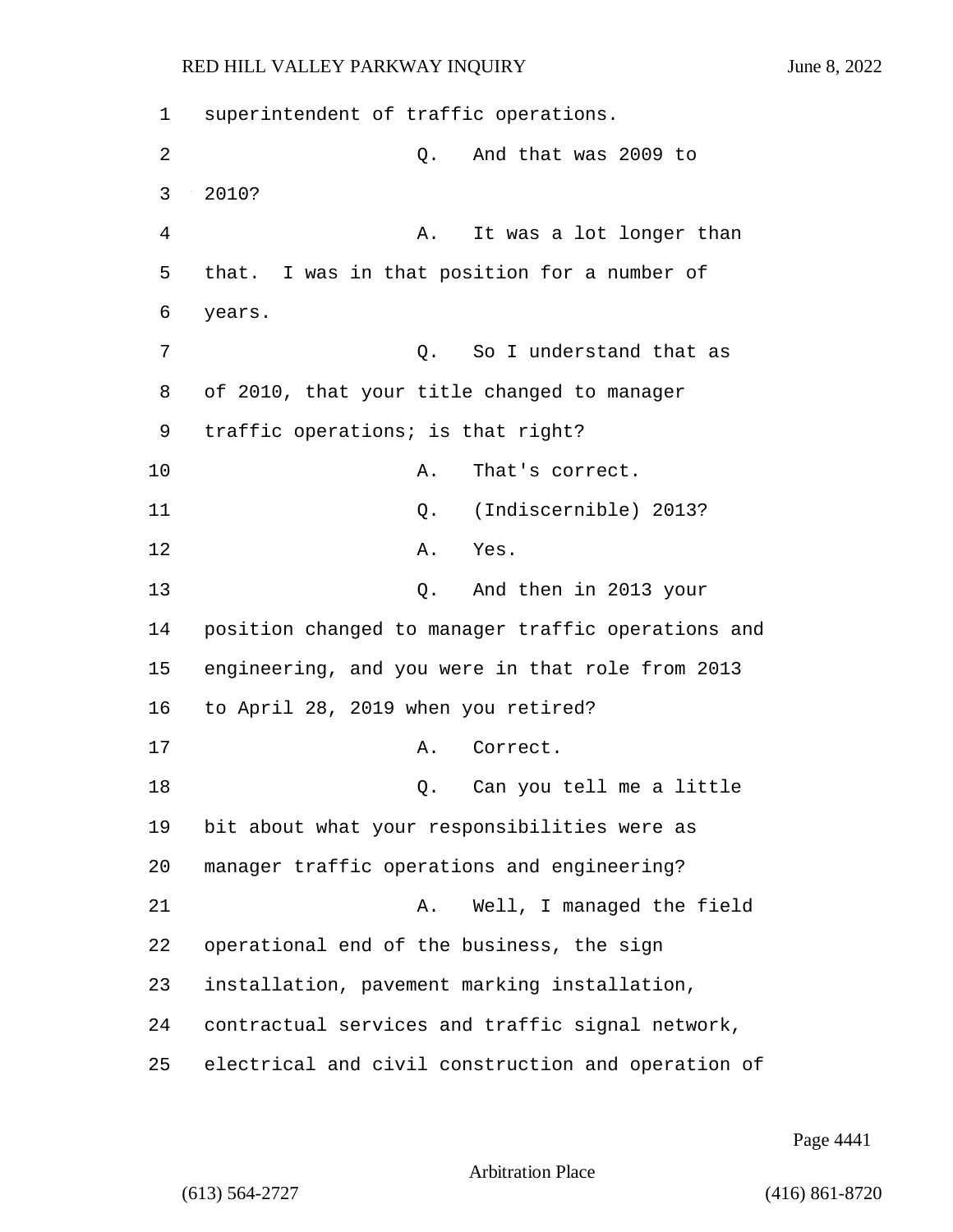1 superintendent of traffic operations. 2 Q. And that was 2009 to 3 2010? 4 A. It was a lot longer than 5 that. I was in that position for a number of 6 years. 7 C. So I understand that as 8 of 2010, that your title changed to manager 9 traffic operations; is that right? 10 A. That's correct. 11 Q. (Indiscernible) 2013? 12 A. Yes. 13 Q. And then in 2013 your 14 position changed to manager traffic operations and 15 engineering, and you were in that role from 2013 16 to April 28, 2019 when you retired? 17 A. Correct. 18 Q. Can you tell me a little 19 bit about what your responsibilities were as 20 manager traffic operations and engineering? 21 A. Well, I managed the field 22 operational end of the business, the sign 23 installation, pavement marking installation, 24 contractual services and traffic signal network, 25 electrical and civil construction and operation of

Page 4441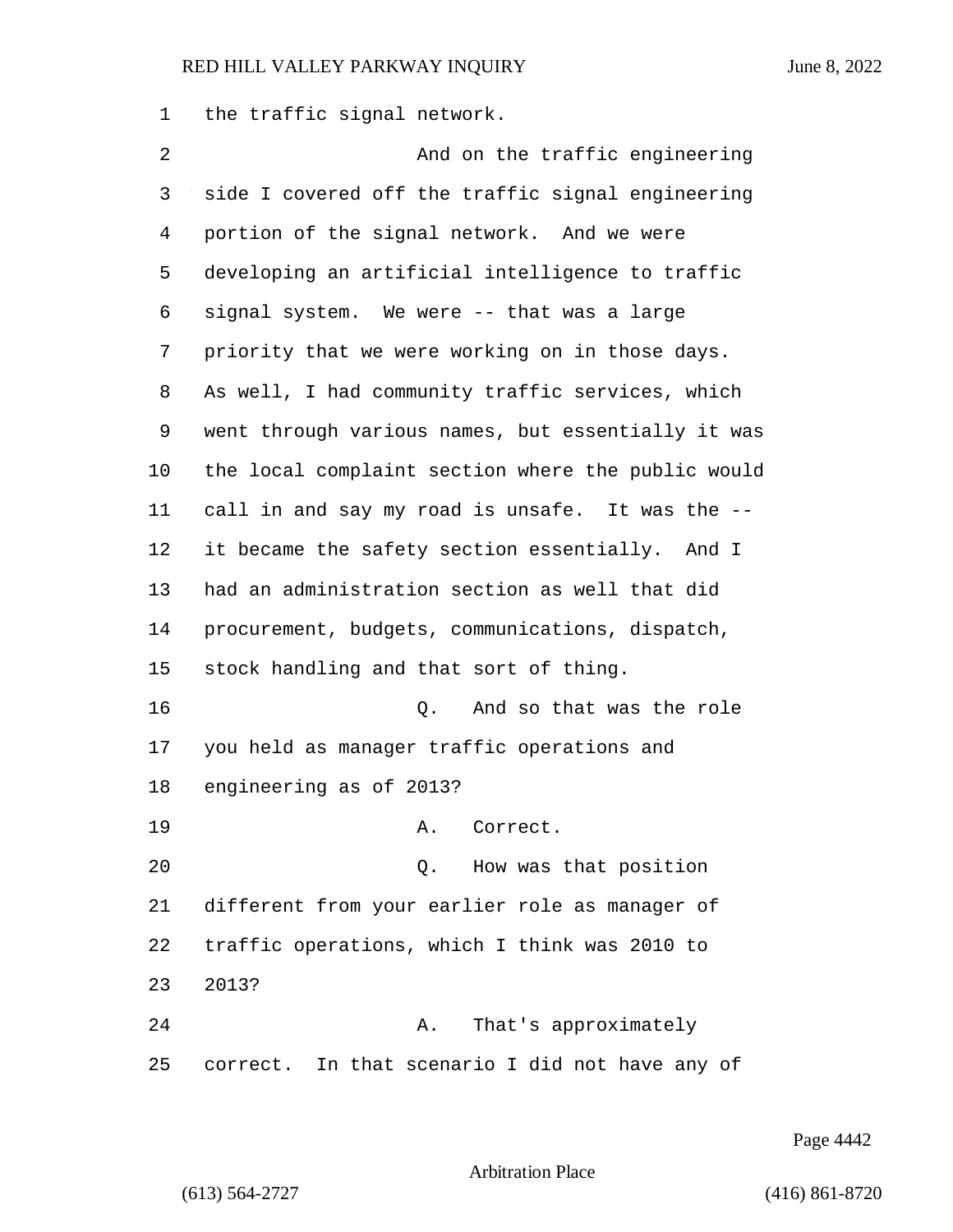the traffic signal network.

2 And on the traffic engineering side I covered off the traffic signal engineering portion of the signal network. And we were developing an artificial intelligence to traffic signal system. We were -- that was a large priority that we were working on in those days. As well, I had community traffic services, which went through various names, but essentially it was the local complaint section where the public would call in and say my road is unsafe. It was the -- it became the safety section essentially. And I had an administration section as well that did procurement, budgets, communications, dispatch, stock handling and that sort of thing. 16 and so that was the role of the role of the role of the role of the role of the role of the role of the role you held as manager traffic operations and engineering as of 2013? 19 A. Correct. 20 Q. How was that position different from your earlier role as manager of traffic operations, which I think was 2010 to 2013? 24 A. That's approximately correct. In that scenario I did not have any of

Page 4442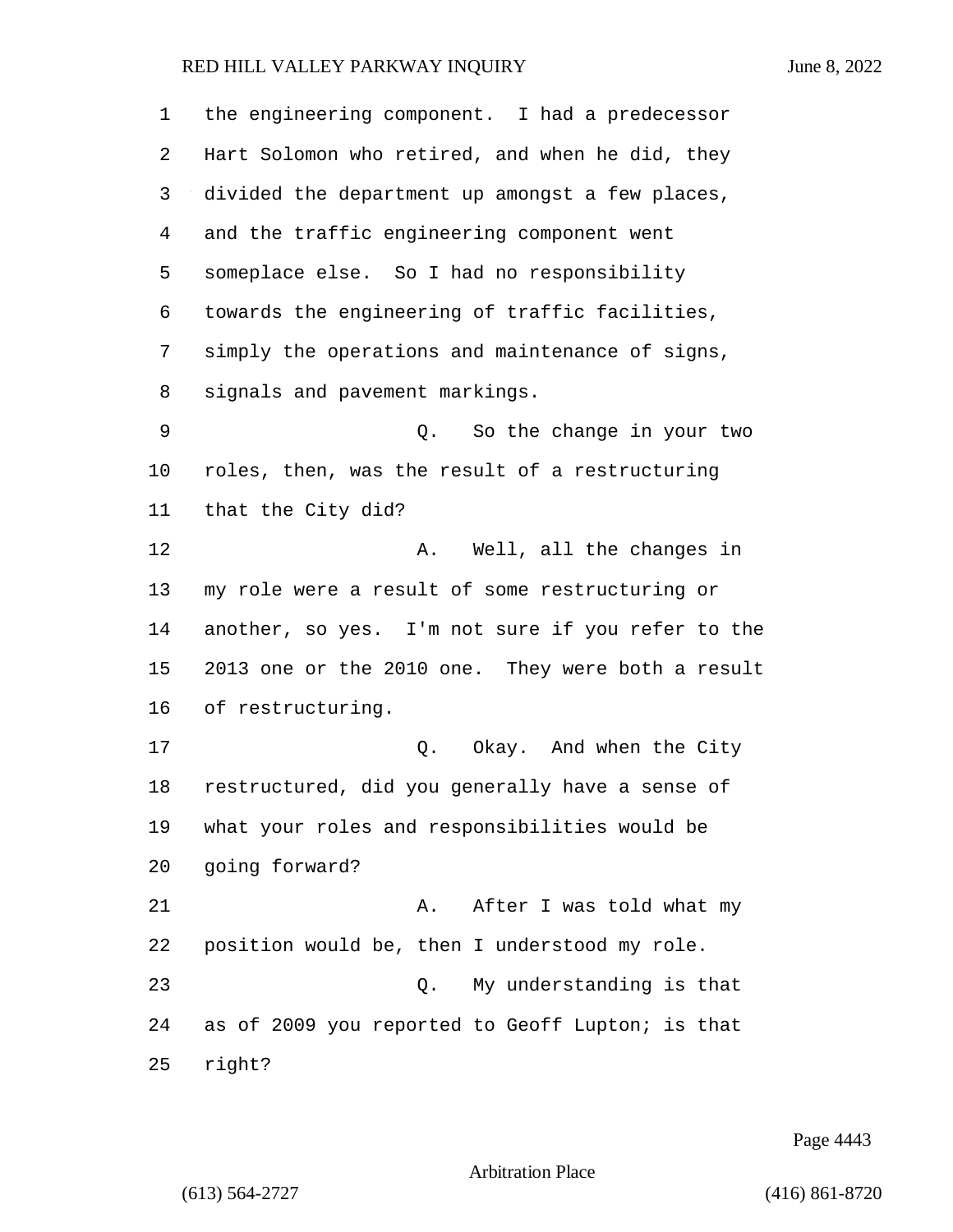| 1       | the engineering component. I had a predecessor    |
|---------|---------------------------------------------------|
| 2       | Hart Solomon who retired, and when he did, they   |
| 3       | divided the department up amongst a few places,   |
| 4       | and the traffic engineering component went        |
| 5       | someplace else. So I had no responsibility        |
| 6       | towards the engineering of traffic facilities,    |
| 7       | simply the operations and maintenance of signs,   |
| 8       | signals and pavement markings.                    |
| 9       | Q. So the change in your two                      |
| $10 \,$ | roles, then, was the result of a restructuring    |
| 11      | that the City did?                                |
| 12      | Well, all the changes in<br>Α.                    |
| 13      | my role were a result of some restructuring or    |
| 14      | another, so yes. I'm not sure if you refer to the |
| 15      | 2013 one or the 2010 one. They were both a result |
| 16      | of restructuring.                                 |
| 17      | Q. Okay. And when the City                        |
| 18      | restructured, did you generally have a sense of   |
| 19      | what your roles and responsibilities would be     |
| 20      | going forward?                                    |
| 21      | After I was told what my<br>Α.                    |
| 22      | position would be, then I understood my role.     |
| 23      | My understanding is that<br>О.                    |
| 24      | as of 2009 you reported to Geoff Lupton; is that  |
| 25      | right?                                            |

Page 4443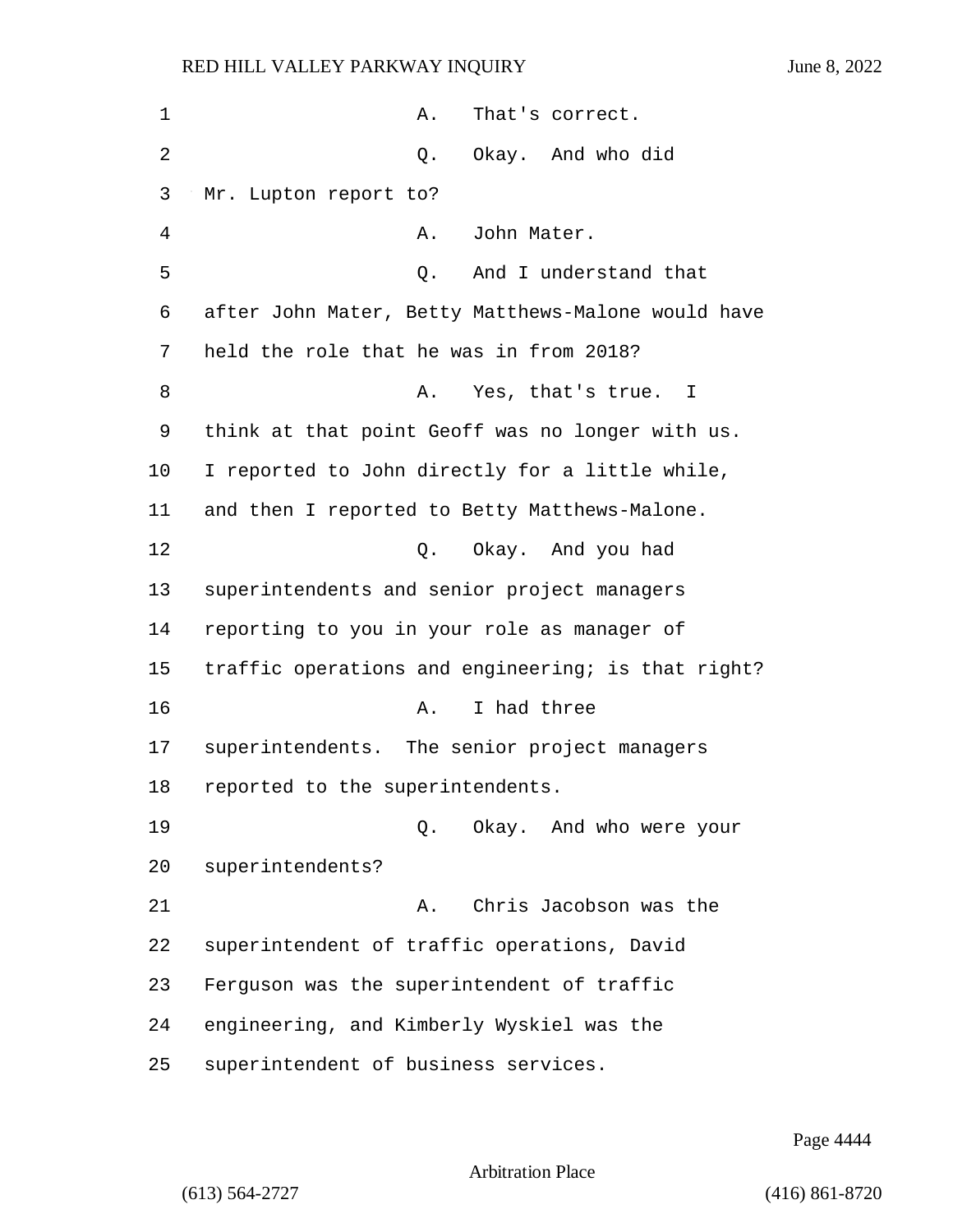| 1              | That's correct.<br>Α.                              |
|----------------|----------------------------------------------------|
| $\overline{2}$ | Okay. And who did<br>Q.                            |
| 3              | Mr. Lupton report to?                              |
| 4              | John Mater.<br>Α.                                  |
| 5              | And I understand that<br>Q.                        |
| 6              | after John Mater, Betty Matthews-Malone would have |
| 7              | held the role that he was in from 2018?            |
| 8              | Yes, that's true. I<br>Α.                          |
| 9              | think at that point Geoff was no longer with us.   |
| $10 \,$        | I reported to John directly for a little while,    |
| 11             | and then I reported to Betty Matthews-Malone.      |
| 12             | Q. Okay. And you had                               |
| 13             | superintendents and senior project managers        |
| 14             | reporting to you in your role as manager of        |
| 15             | traffic operations and engineering; is that right? |
| 16             | I had three<br>Α.                                  |
| 17             | superintendents. The senior project managers       |
| 18             | reported to the superintendents.                   |
| 19             | Okay. And who were your<br>Q.                      |
| 20             | superintendents?                                   |
| 21             | Chris Jacobson was the<br>Α.                       |
| 22             | superintendent of traffic operations, David        |
| 23             | Ferguson was the superintendent of traffic         |
| 24             | engineering, and Kimberly Wyskiel was the          |
| 25             | superintendent of business services.               |

Page 4444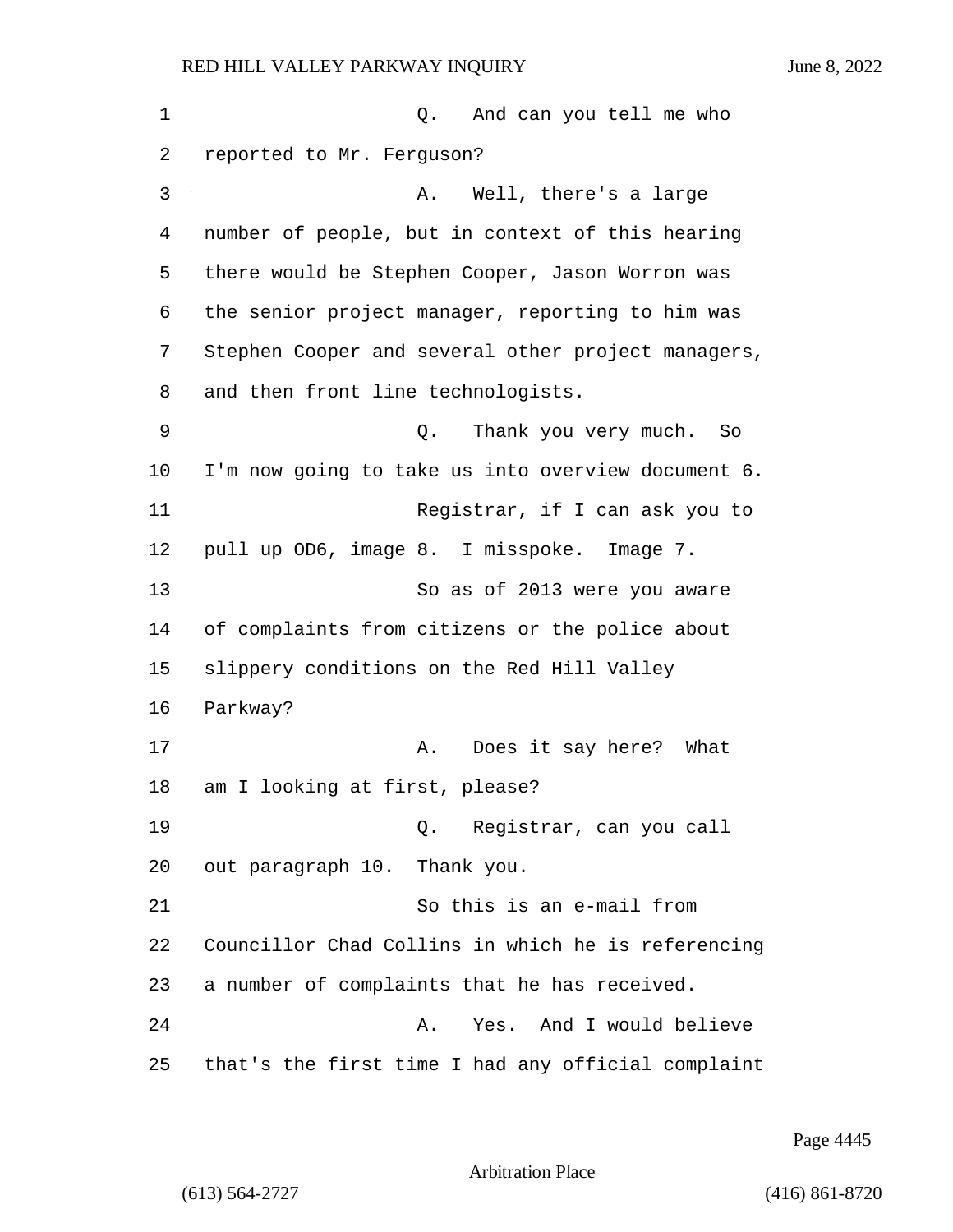| 1  | And can you tell me who<br>Q.                      |
|----|----------------------------------------------------|
| 2  | reported to Mr. Ferguson?                          |
| 3  | Well, there's a large<br>Α.                        |
| 4  | number of people, but in context of this hearing   |
| 5  | there would be Stephen Cooper, Jason Worron was    |
| 6  | the senior project manager, reporting to him was   |
| 7  | Stephen Cooper and several other project managers, |
| 8  | and then front line technologists.                 |
| 9  | Thank you very much.<br>Q.<br>So                   |
| 10 | I'm now going to take us into overview document 6. |
| 11 | Registrar, if I can ask you to                     |
| 12 | pull up OD6, image 8. I misspoke.<br>Image 7.      |
| 13 | So as of 2013 were you aware                       |
| 14 | of complaints from citizens or the police about    |
| 15 | slippery conditions on the Red Hill Valley         |
| 16 | Parkway?                                           |
| 17 | Does it say here? What<br>Α.                       |
| 18 | am I looking at first, please?                     |
| 19 | Registrar, can you call<br>Q.                      |
| 20 | out paragraph 10. Thank you.                       |
| 21 | So this is an e-mail from                          |
| 22 | Councillor Chad Collins in which he is referencing |
| 23 | a number of complaints that he has received.       |
| 24 | And I would believe<br>Α.<br>Yes.                  |
| 25 | that's the first time I had any official complaint |

Page 4445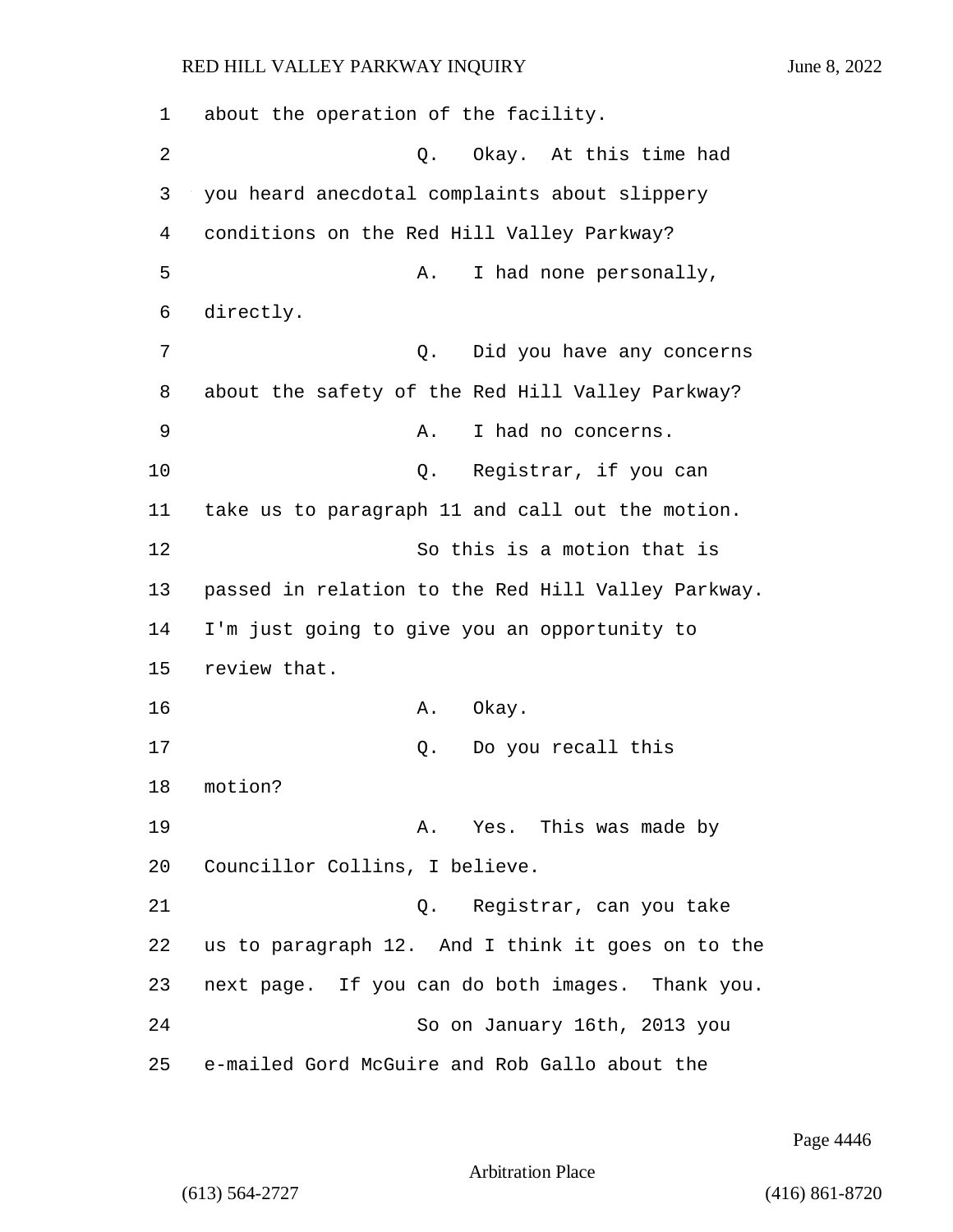1 about the operation of the facility. 2 Q. Okay. At this time had 3 you heard anecdotal complaints about slippery 4 conditions on the Red Hill Valley Parkway? 5 A. I had none personally, 6 directly. 7 Q. Did you have any concerns 8 about the safety of the Red Hill Valley Parkway? 9 A. I had no concerns. 10 Q. Registrar, if you can 11 take us to paragraph 11 and call out the motion. 12 So this is a motion that is 13 passed in relation to the Red Hill Valley Parkway. 14 I'm just going to give you an opportunity to 15 review that. 16 **A.** Okay. 17 Q. Do you recall this 18 motion? 19 A. Yes. This was made by 20 Councillor Collins, I believe. 21 Q. Registrar, can you take 22 us to paragraph 12. And I think it goes on to the 23 next page. If you can do both images. Thank you. 24 So on January 16th, 2013 you 25 e-mailed Gord McGuire and Rob Gallo about the

Page 4446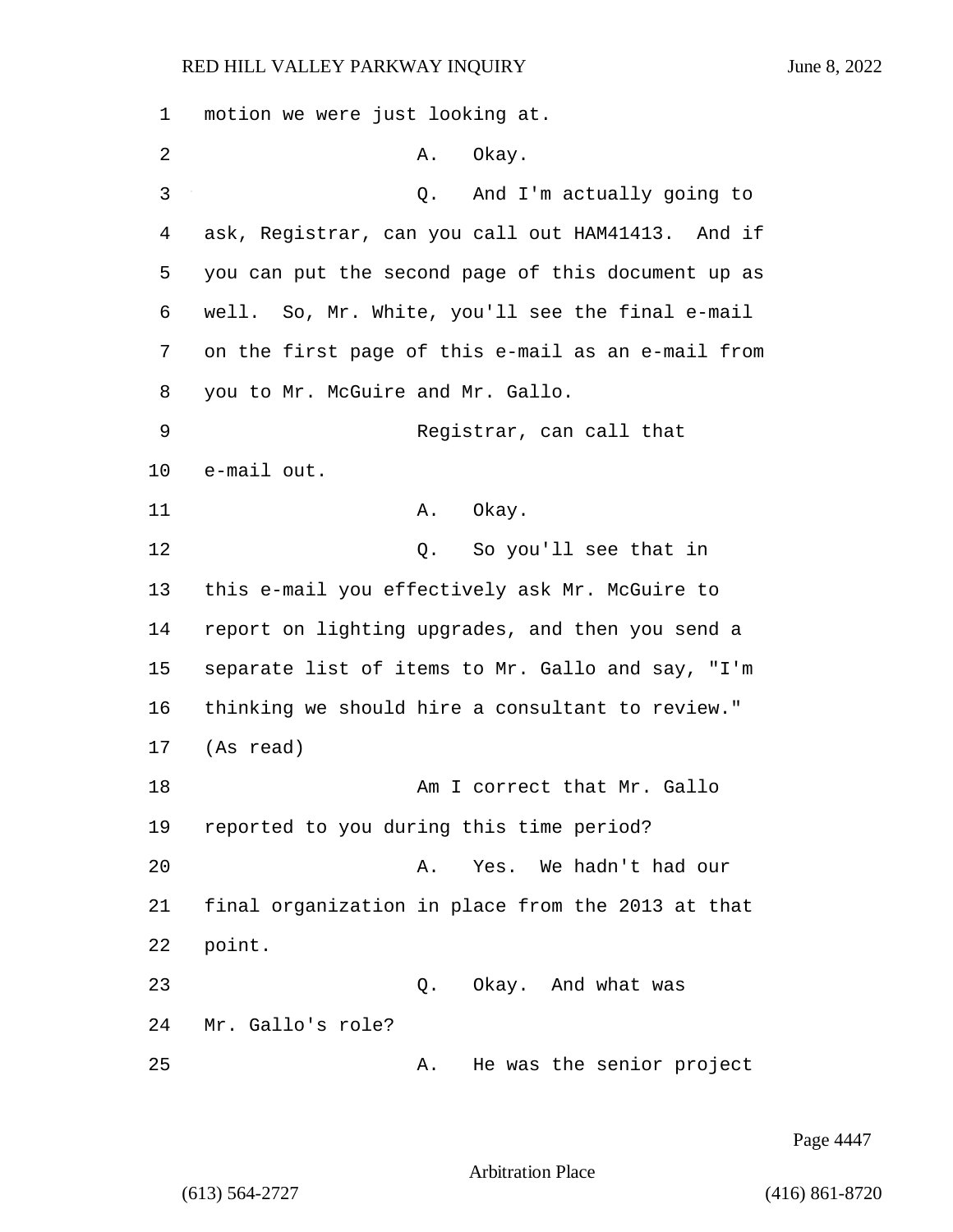1 motion we were just looking at. 2 A. Okay. 3 Q. And I'm actually going to 4 ask, Registrar, can you call out HAM41413. And if 5 you can put the second page of this document up as 6 well. So, Mr. White, you'll see the final e-mail 7 on the first page of this e-mail as an e-mail from 8 you to Mr. McGuire and Mr. Gallo. 9 Registrar, can call that 10 e-mail out. 11 A. Okay. 12 O. So you'll see that in 13 this e-mail you effectively ask Mr. McGuire to 14 report on lighting upgrades, and then you send a 15 separate list of items to Mr. Gallo and say, "I'm 16 thinking we should hire a consultant to review." 17 (As read) 18 Am I correct that Mr. Gallo 19 reported to you during this time period? 20 A. Yes. We hadn't had our 21 final organization in place from the 2013 at that 22 point. 23 Q. Okay. And what was 24 Mr. Gallo's role? 25 A. He was the senior project

Page 4447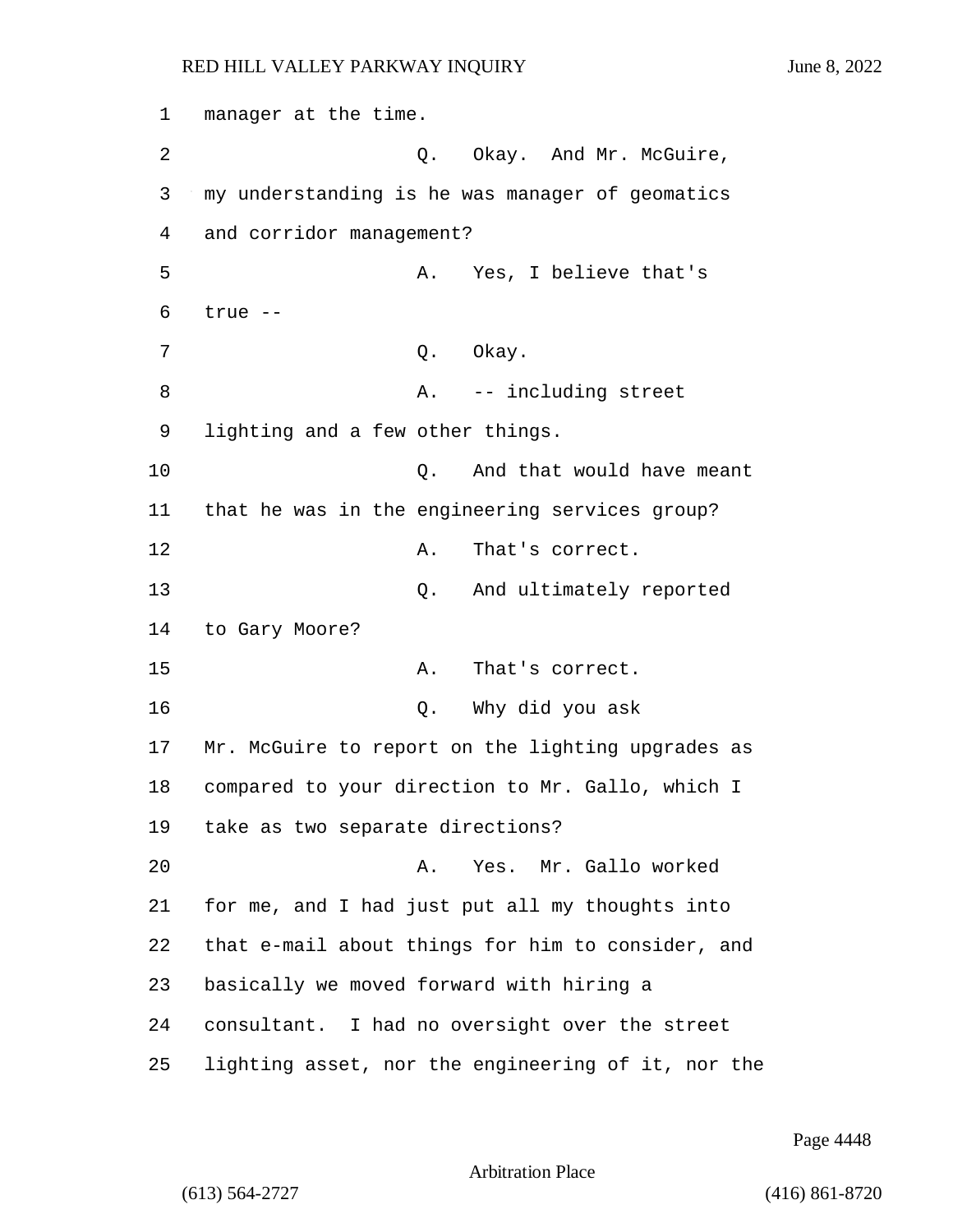1 manager at the time.

4 and corridor management?

2 Q. Okay. And Mr. McGuire, 3 my understanding is he was manager of geomatics 5 A. Yes, I believe that's 8 A. -- including street

9 lighting and a few other things.

7 O. Okay.

10 **Q.** And that would have meant

11 that he was in the engineering services group?

12 A. That's correct.

13 Q. And ultimately reported

14 to Gary Moore?

6 true --

15 A. That's correct.

16 Q. Why did you ask

17 Mr. McGuire to report on the lighting upgrades as 18 compared to your direction to Mr. Gallo, which I 19 take as two separate directions?

20 A. Yes. Mr. Gallo worked for me, and I had just put all my thoughts into that e-mail about things for him to consider, and basically we moved forward with hiring a consultant. I had no oversight over the street

25 lighting asset, nor the engineering of it, nor the

Page 4448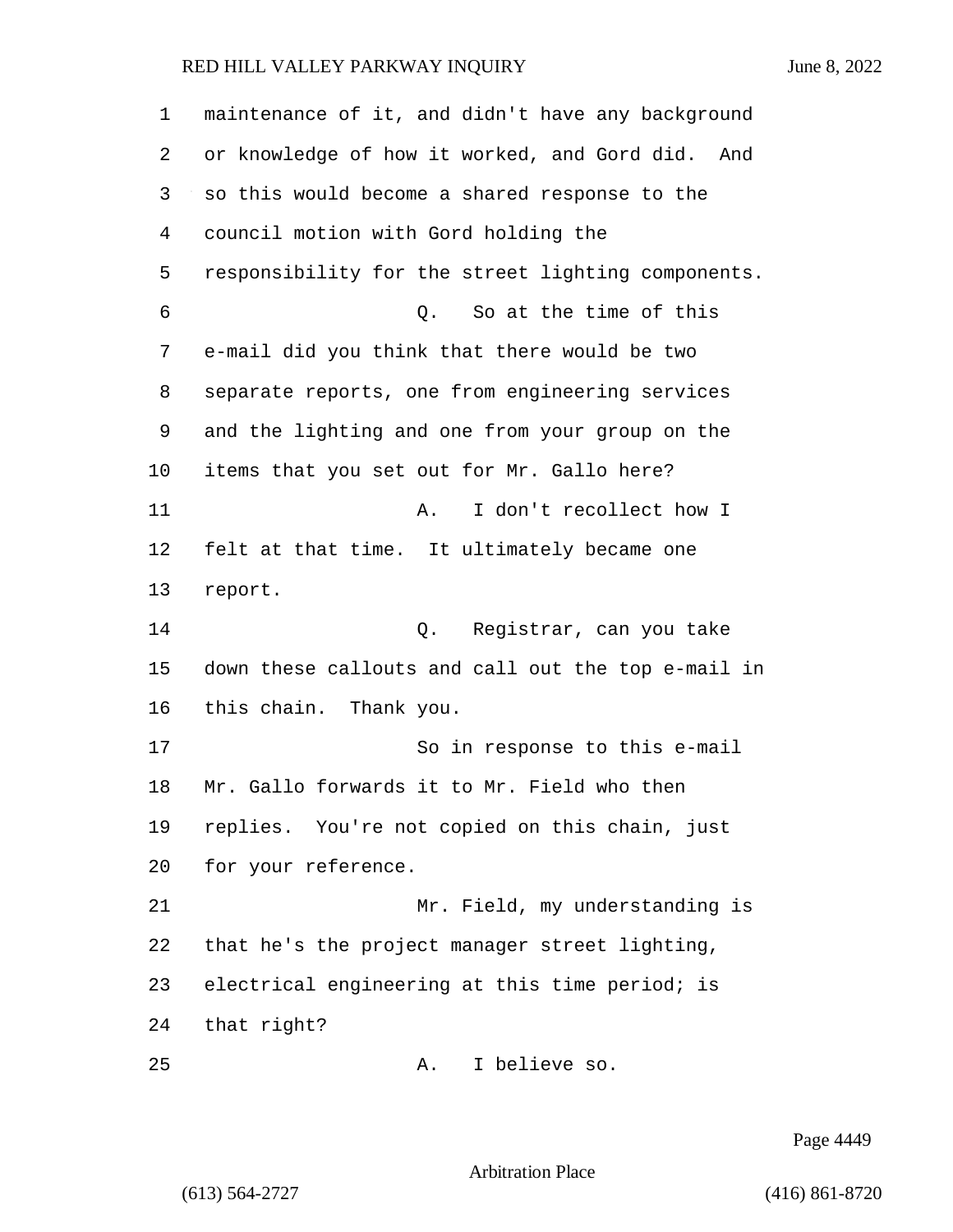maintenance of it, and didn't have any background or knowledge of how it worked, and Gord did. And so this would become a shared response to the council motion with Gord holding the responsibility for the street lighting components. 6 Q. So at the time of this e-mail did you think that there would be two separate reports, one from engineering services and the lighting and one from your group on the items that you set out for Mr. Gallo here? 11 A. I don't recollect how I felt at that time. It ultimately became one report. 14 Q. Registrar, can you take down these callouts and call out the top e-mail in this chain. Thank you. 17 So in response to this e-mail Mr. Gallo forwards it to Mr. Field who then replies. You're not copied on this chain, just for your reference. 21 Mr. Field, my understanding is that he's the project manager street lighting, electrical engineering at this time period; is that right? 25 A. I believe so.

Page 4449

Arbitration Place

(613) 564-2727 (416) 861-8720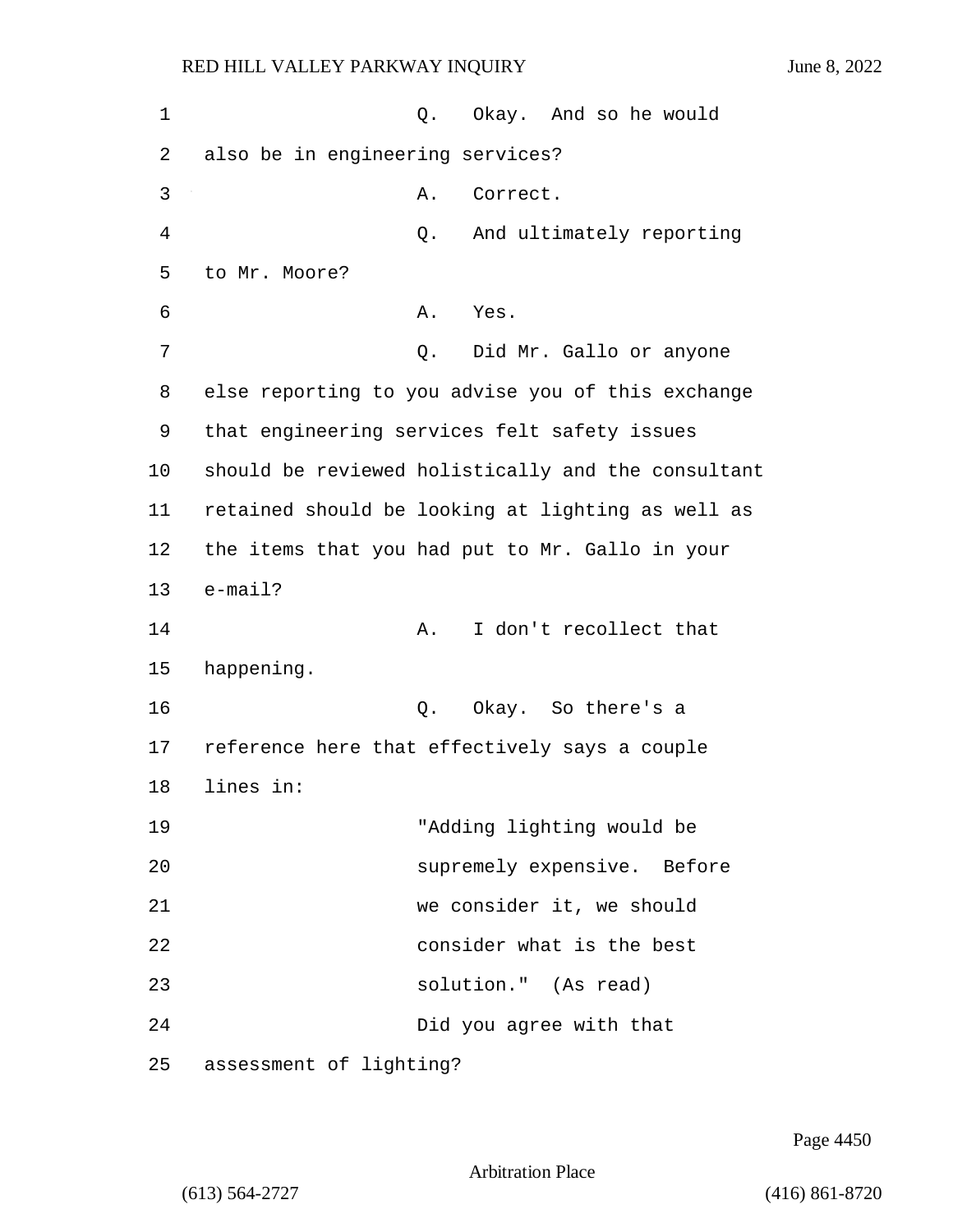1 0. Okay. And so he would 2 also be in engineering services? 3 A. Correct. 4 Q. And ultimately reporting 5 to Mr. Moore? 6 A. Yes. 7 Q. Did Mr. Gallo or anyone 8 else reporting to you advise you of this exchange 9 that engineering services felt safety issues 10 should be reviewed holistically and the consultant 11 retained should be looking at lighting as well as 12 the items that you had put to Mr. Gallo in your 13 e-mail? 14 A. I don't recollect that 15 happening. 16 Q. Okay. So there's a 17 reference here that effectively says a couple 18 lines in: 19 "Adding lighting would be 20 supremely expensive. Before 21 we consider it, we should 22 consider what is the best 23 solution." (As read) 24 Did you agree with that 25 assessment of lighting?

Page 4450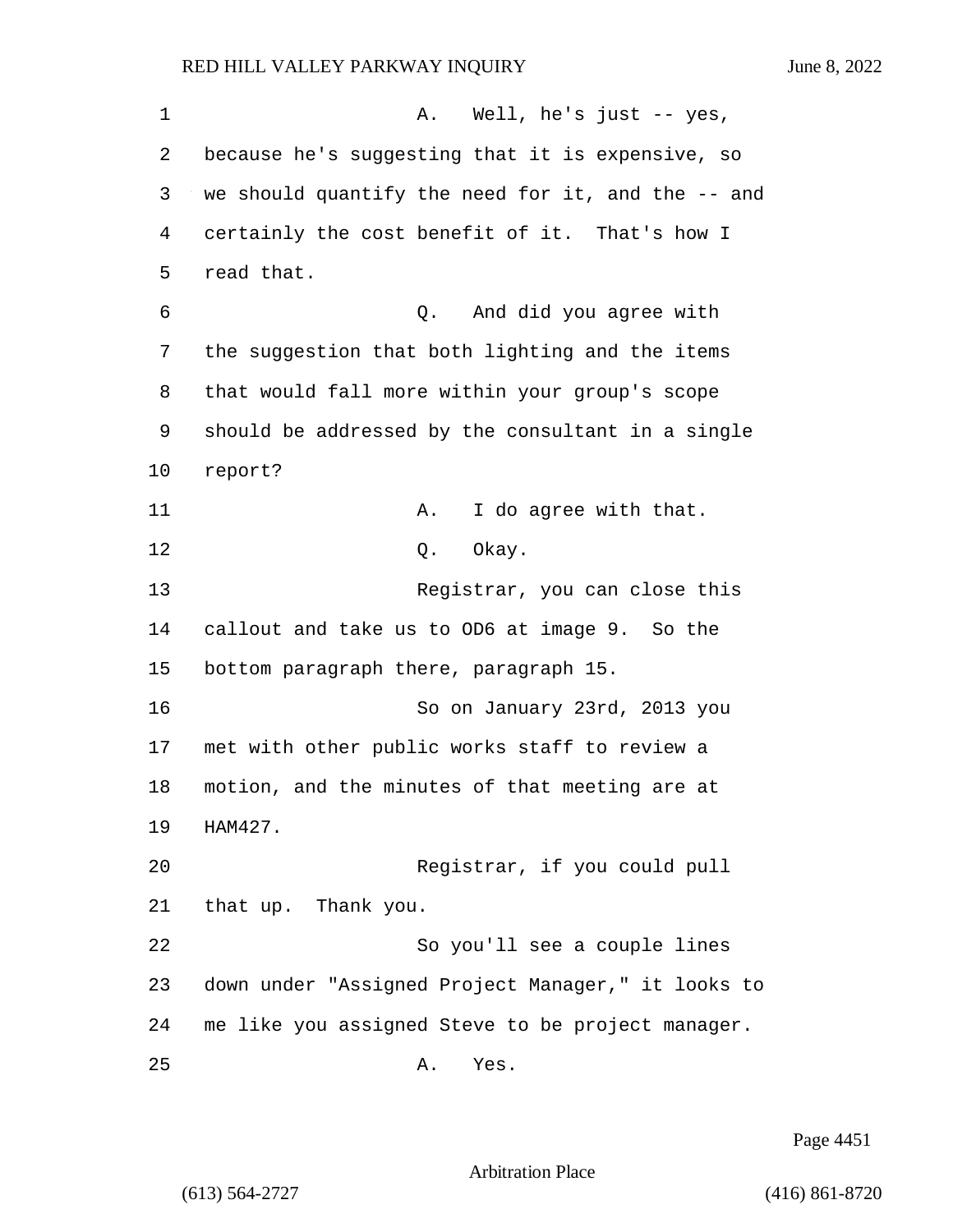1 A. Well, he's just -- yes, 2 because he's suggesting that it is expensive, so 3 we should quantify the need for it, and the -- and 4 certainly the cost benefit of it. That's how I 5 read that. 6 Q. And did you agree with 7 the suggestion that both lighting and the items 8 that would fall more within your group's scope 9 should be addressed by the consultant in a single 10 report? 11 A. I do agree with that. 12 0. Okay. 13 Registrar, you can close this 14 callout and take us to OD6 at image 9. So the 15 bottom paragraph there, paragraph 15. 16 So on January 23rd, 2013 you 17 met with other public works staff to review a 18 motion, and the minutes of that meeting are at 19 HAM427. 20 Registrar, if you could pull 21 that up. Thank you. 22 So you'll see a couple lines 23 down under "Assigned Project Manager," it looks to 24 me like you assigned Steve to be project manager. 25 A. Yes.

Page 4451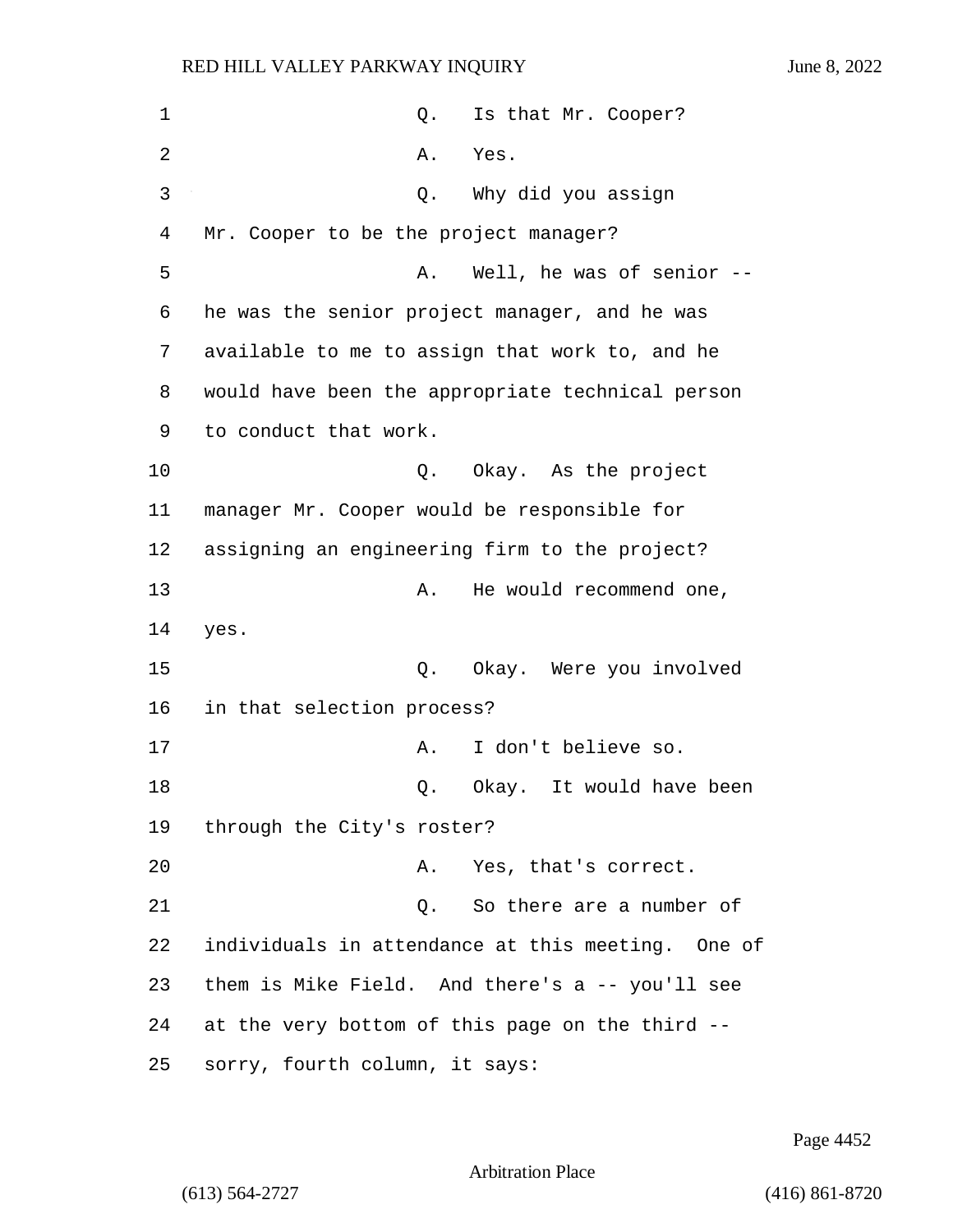1 Contract Contract Contract O. Is that Mr. Cooper? 2 A. Yes. 3 Q. Why did you assign 4 Mr. Cooper to be the project manager? 5 A. Well, he was of senior --6 he was the senior project manager, and he was 7 available to me to assign that work to, and he 8 would have been the appropriate technical person 9 to conduct that work. 10 Q. Okay. As the project 11 manager Mr. Cooper would be responsible for 12 assigning an engineering firm to the project? 13 A. He would recommend one, 14 yes. 15 Q. Okay. Were you involved 16 in that selection process? 17 A. I don't believe so. 18 and 18 Q. Okay. It would have been 19 through the City's roster? 20 A. Yes, that's correct. 21 C. So there are a number of 22 individuals in attendance at this meeting. One of 23 them is Mike Field. And there's a -- you'll see 24 at the very bottom of this page on the third --

25 sorry, fourth column, it says:

Page 4452

Arbitration Place

(613) 564-2727 (416) 861-8720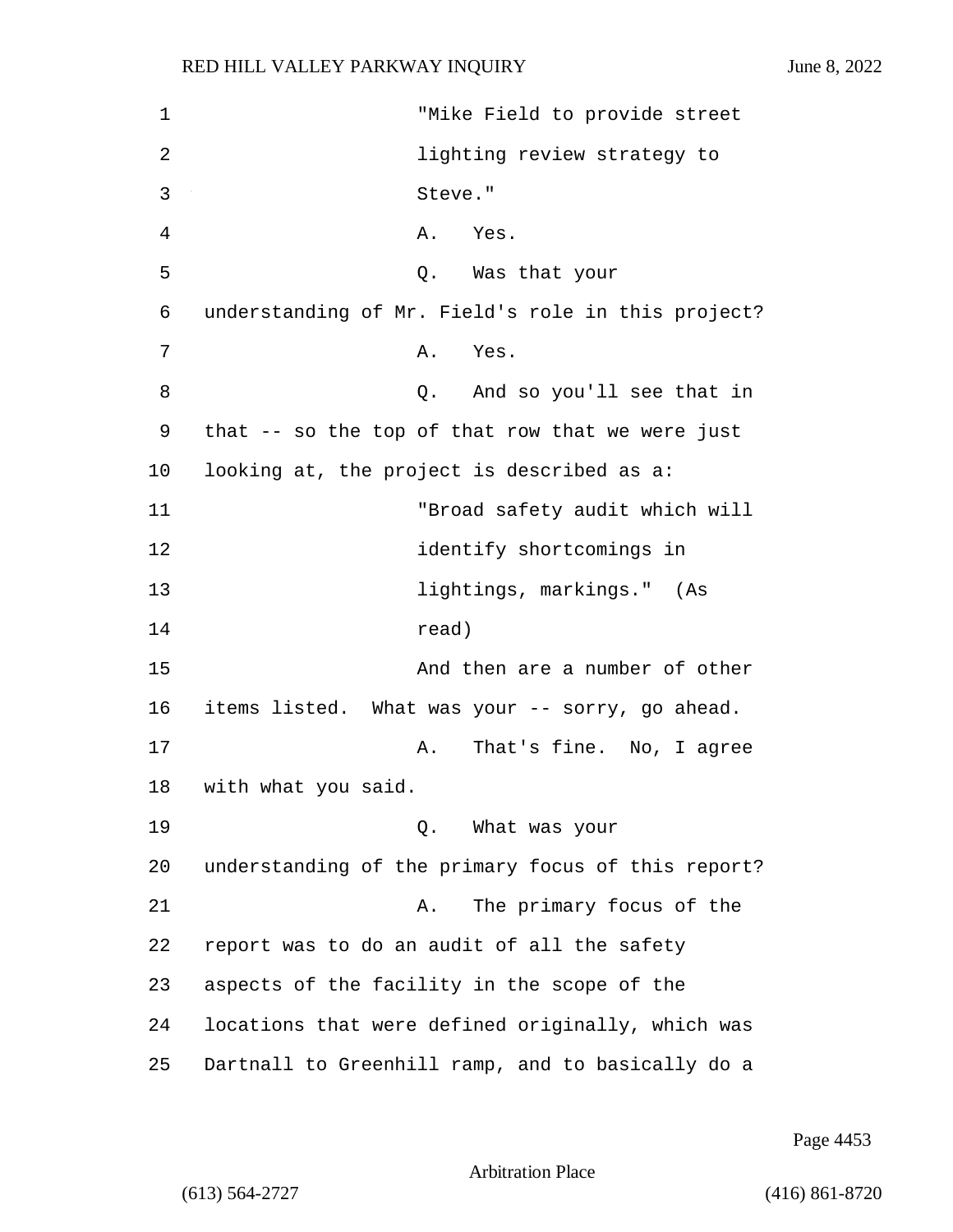1 "Mike Field to provide street 2 lighting review strategy to 3 Steve." 4 A. Yes. 5 Q. Was that your 6 understanding of Mr. Field's role in this project? 7 A. Yes. 8 Q. And so you'll see that in 9 that -- so the top of that row that we were just 10 looking at, the project is described as a: 11 "Broad safety audit which will 12 identify shortcomings in 13 lightings, markings." (As 14 read) 15 And then are a number of other 16 items listed. What was your -- sorry, go ahead. 17 A. That's fine. No, I agree 18 with what you said. 19 Q. What was your 20 understanding of the primary focus of this report? 21 A. The primary focus of the 22 report was to do an audit of all the safety 23 aspects of the facility in the scope of the 24 locations that were defined originally, which was 25 Dartnall to Greenhill ramp, and to basically do a

Page 4453

Arbitration Place

(613) 564-2727 (416) 861-8720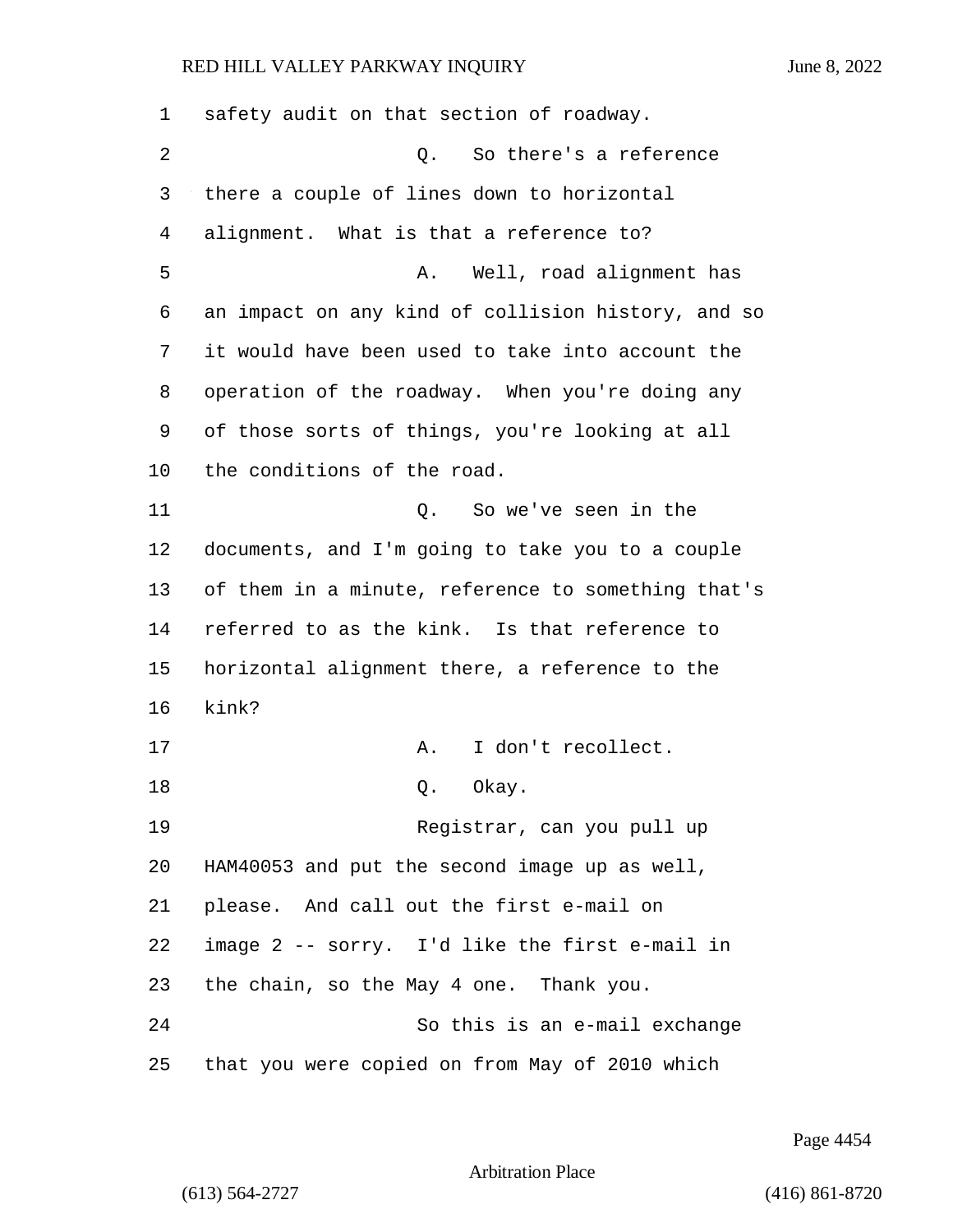| $\mathbf 1$ | safety audit on that section of roadway.           |
|-------------|----------------------------------------------------|
| 2           | So there's a reference<br>0.                       |
| 3           | there a couple of lines down to horizontal         |
| 4           | alignment. What is that a reference to?            |
| 5           | Well, road alignment has<br>Α.                     |
| 6           | an impact on any kind of collision history, and so |
| 7           | it would have been used to take into account the   |
| 8           | operation of the roadway. When you're doing any    |
| 9           | of those sorts of things, you're looking at all    |
| 10          | the conditions of the road.                        |
| 11          | So we've seen in the<br>Q.                         |
| 12          | documents, and I'm going to take you to a couple   |
| 13          | of them in a minute, reference to something that's |
| 14          | referred to as the kink. Is that reference to      |
| 15          | horizontal alignment there, a reference to the     |
| 16          | kink?                                              |
| 17          | I don't recollect.<br>Α.                           |
| 18          | Okay.<br>Q.                                        |
| 19          | Registrar, can you pull up                         |
| 20          | HAM40053 and put the second image up as well,      |
| 21          | please. And call out the first e-mail on           |
| 22          | image 2 -- sorry. I'd like the first e-mail in     |
| 23          | the chain, so the May 4 one. Thank you.            |
| 24          | So this is an e-mail exchange                      |
| 25          | that you were copied on from May of 2010 which     |

Page 4454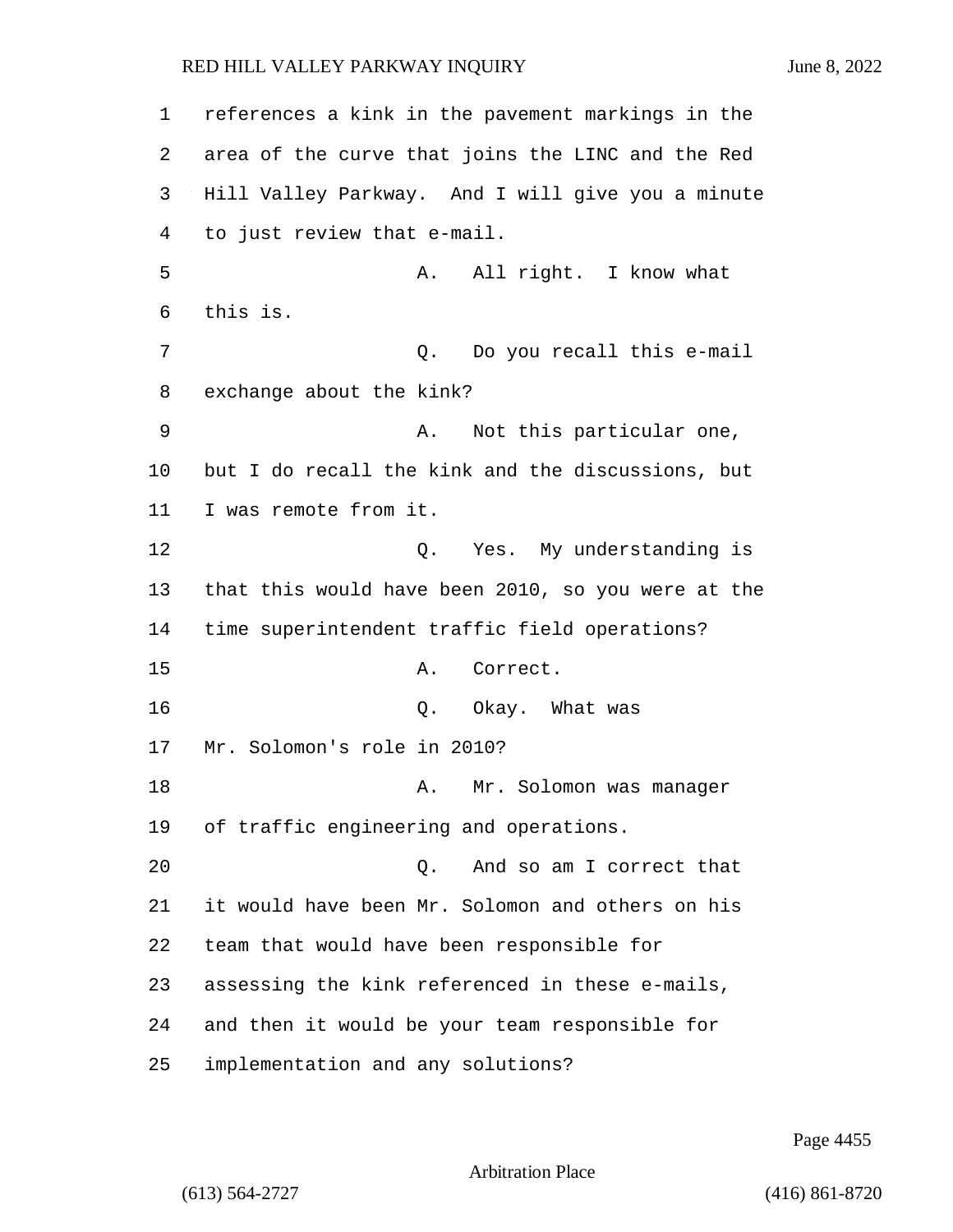references a kink in the pavement markings in the area of the curve that joins the LINC and the Red Hill Valley Parkway. And I will give you a minute to just review that e-mail. 5 A. All right. I know what 6 this is. 7 Q. Do you recall this e-mail exchange about the kink? 9 A. Not this particular one, but I do recall the kink and the discussions, but I was remote from it. 12 Q. Yes. My understanding is that this would have been 2010, so you were at the time superintendent traffic field operations? 15 A. Correct. 16 O. Okay. What was Mr. Solomon's role in 2010? 18 A. Mr. Solomon was manager of traffic engineering and operations. 20 Q. And so am I correct that it would have been Mr. Solomon and others on his team that would have been responsible for assessing the kink referenced in these e-mails, and then it would be your team responsible for

25 implementation and any solutions?

Page 4455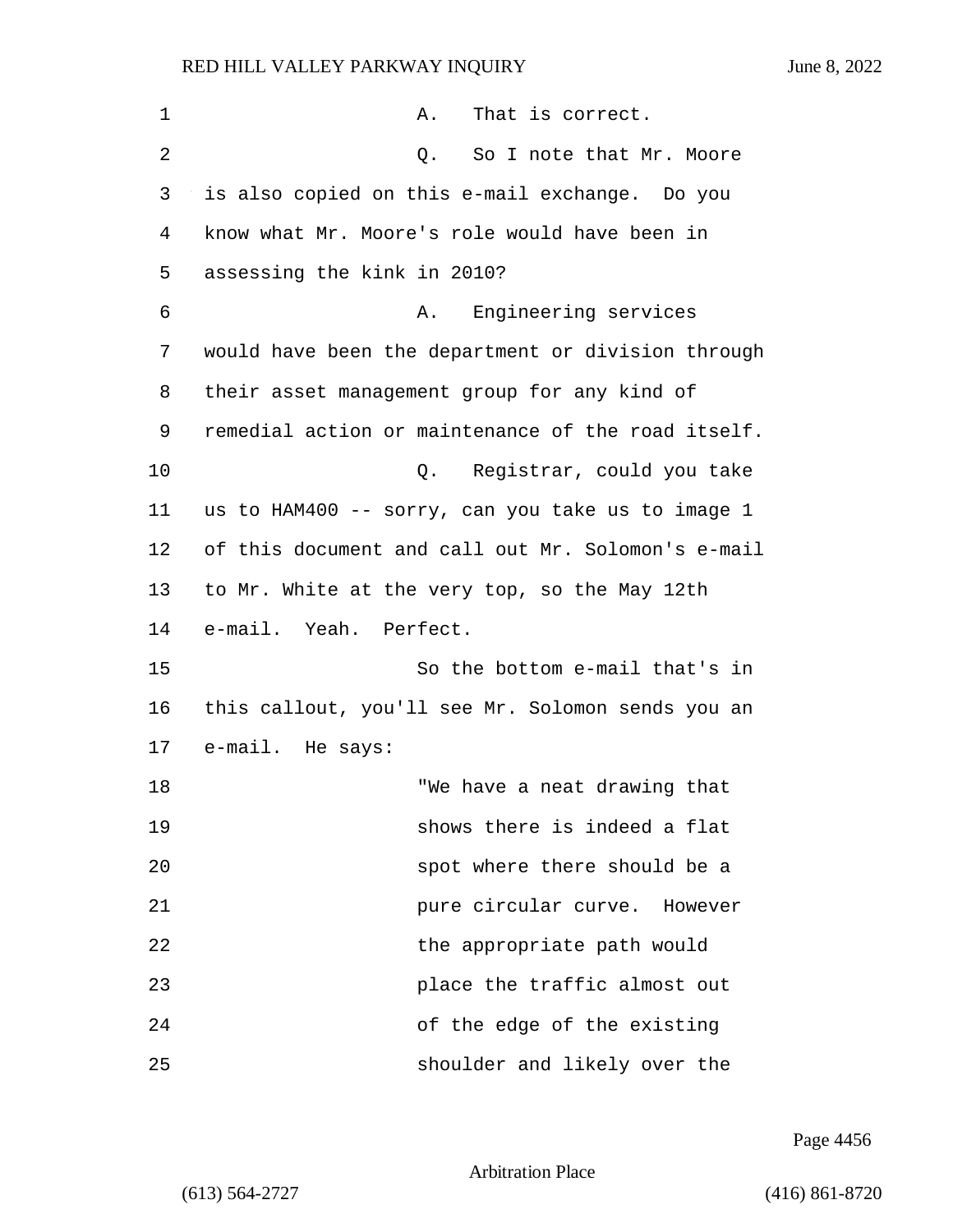| $\mathbf 1$ | That is correct.<br>Α.                             |
|-------------|----------------------------------------------------|
| 2           | So I note that Mr. Moore<br>Q.                     |
| 3           | is also copied on this e-mail exchange. Do you     |
| 4           | know what Mr. Moore's role would have been in      |
| 5           | assessing the kink in 2010?                        |
| 6           | Engineering services<br>Α.                         |
| 7           | would have been the department or division through |
| 8           | their asset management group for any kind of       |
| 9           | remedial action or maintenance of the road itself. |
| 10          | Registrar, could you take<br>Q.                    |
| 11          | us to HAM400 -- sorry, can you take us to image 1  |
| 12          | of this document and call out Mr. Solomon's e-mail |
| 13          | to Mr. White at the very top, so the May 12th      |
| 14          | e-mail. Yeah. Perfect.                             |
| 15          | So the bottom e-mail that's in                     |
| 16          | this callout, you'll see Mr. Solomon sends you an  |
| 17          | e-mail. He says:                                   |
| 18          | "We have a neat drawing that                       |
| 19          | shows there is indeed a flat                       |
| 20          | spot where there should be a                       |
| 21          | pure circular curve. However                       |
| 22          | the appropriate path would                         |
| 23          | place the traffic almost out                       |
| 24          | of the edge of the existing                        |
| 25          | shoulder and likely over the                       |

Page 4456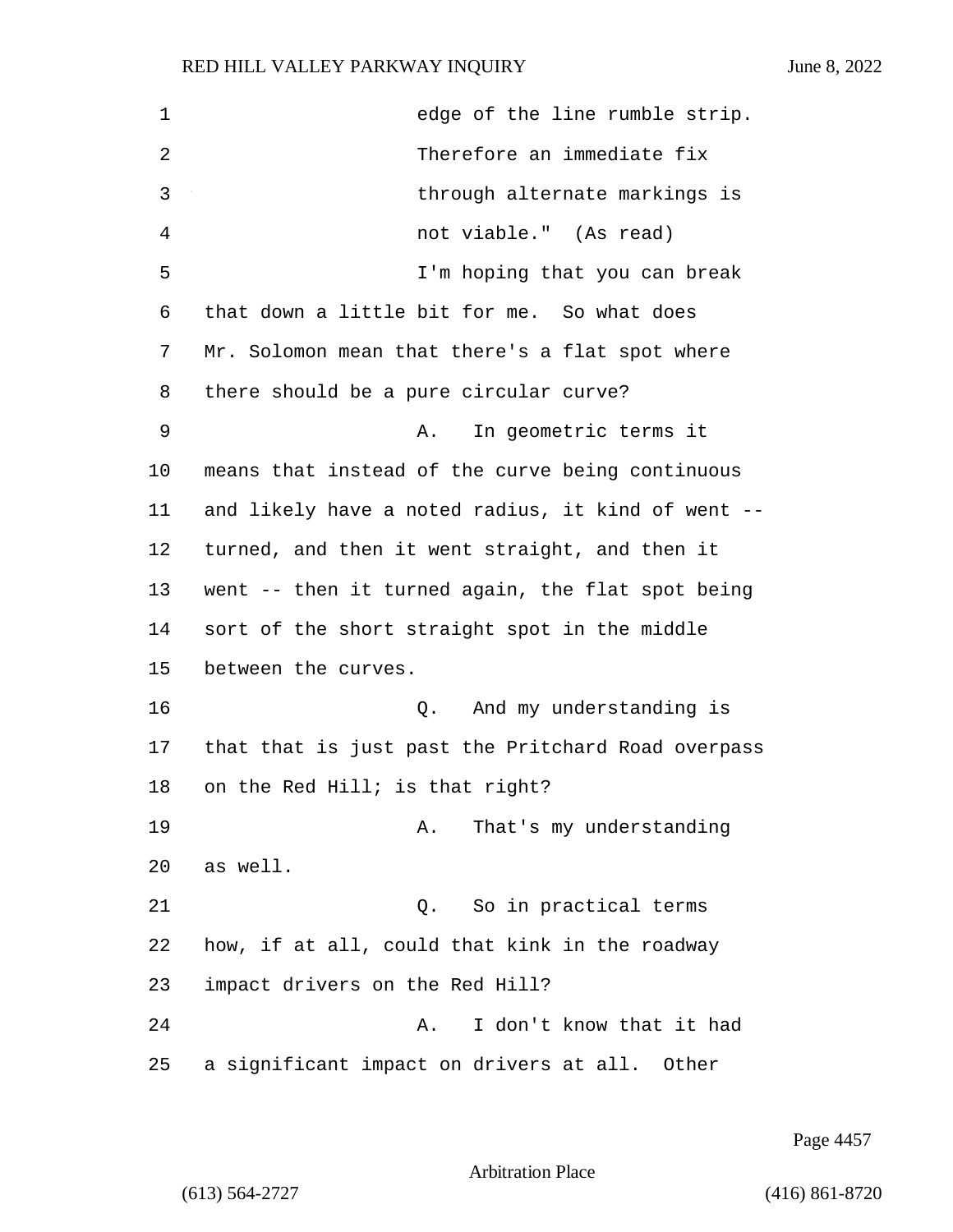| $\mathbf 1$ | edge of the line rumble strip.                     |
|-------------|----------------------------------------------------|
| 2           | Therefore an immediate fix                         |
| 3           | through alternate markings is                      |
| 4           | not viable." (As read)                             |
| 5           | I'm hoping that you can break                      |
| 6           | that down a little bit for me. So what does        |
| 7           | Mr. Solomon mean that there's a flat spot where    |
| 8           | there should be a pure circular curve?             |
| 9           | In geometric terms it<br>Α.                        |
| 10          | means that instead of the curve being continuous   |
| 11          | and likely have a noted radius, it kind of went -- |
| 12          | turned, and then it went straight, and then it     |
| 13          | went -- then it turned again, the flat spot being  |
| 14          | sort of the short straight spot in the middle      |
| 15          | between the curves.                                |
| 16          | And my understanding is<br>Q.                      |
| 17          | that that is just past the Pritchard Road overpass |
| 18          | on the Red Hill; is that right?                    |
| 19          | That's my understanding<br>Α.                      |
| 20          | as well.                                           |
| 21          | So in practical terms<br>Q.                        |
| 22          | how, if at all, could that kink in the roadway     |
| 23          | impact drivers on the Red Hill?                    |
| 24          | I don't know that it had<br>Α.                     |
| 25          | a significant impact on drivers at all. Other      |

Page 4457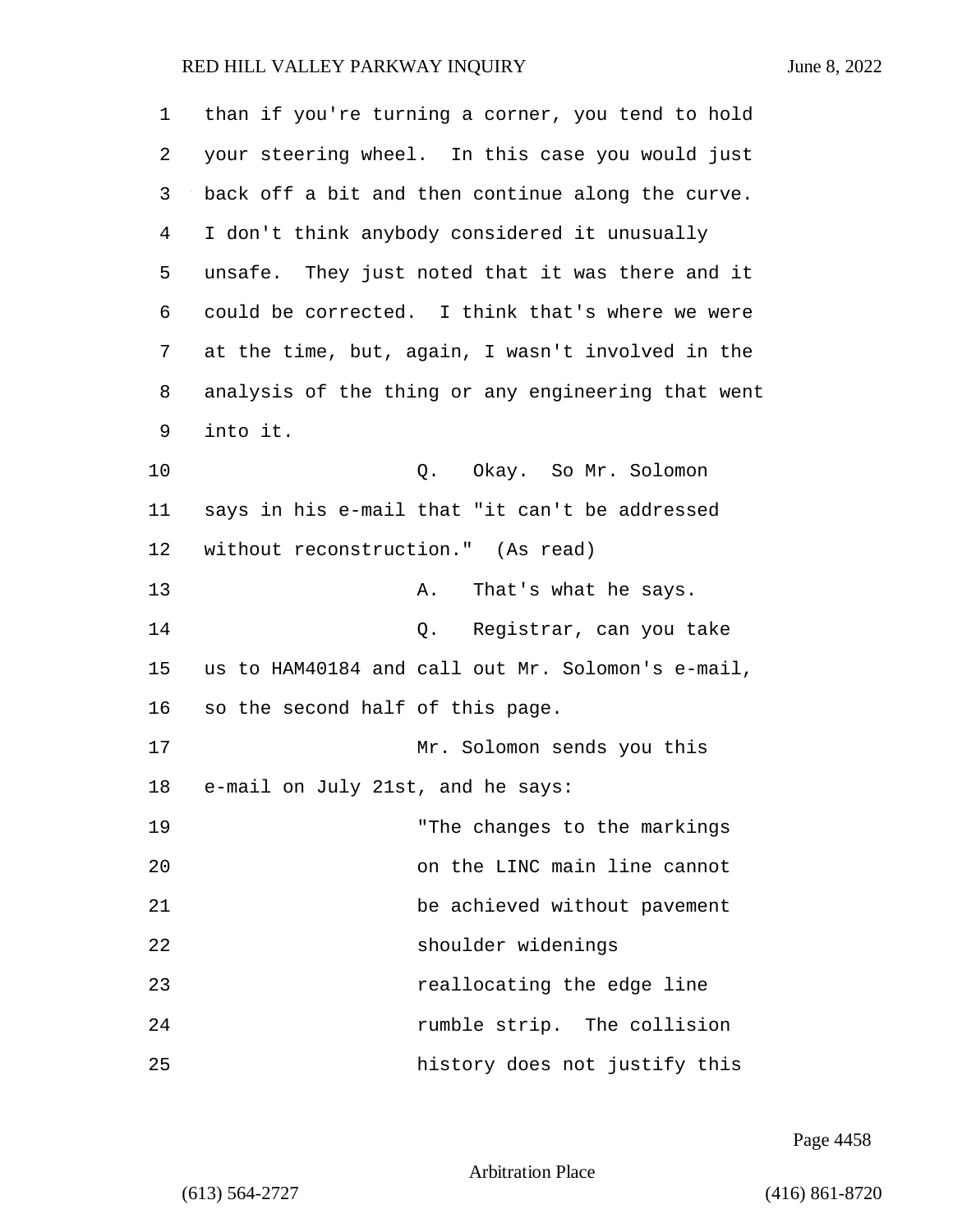| 1  | than if you're turning a corner, you tend to hold  |
|----|----------------------------------------------------|
| 2  | your steering wheel. In this case you would just   |
| 3  | back off a bit and then continue along the curve.  |
| 4  | I don't think anybody considered it unusually      |
| 5  | unsafe. They just noted that it was there and it   |
| 6  | could be corrected. I think that's where we were   |
| 7  | at the time, but, again, I wasn't involved in the  |
| 8  | analysis of the thing or any engineering that went |
| 9  | into it.                                           |
| 10 | Q. Okay. So Mr. Solomon                            |
| 11 | says in his e-mail that "it can't be addressed     |
| 12 | without reconstruction." (As read)                 |
| 13 | That's what he says.<br>Α.                         |
| 14 | Q. Registrar, can you take                         |
| 15 | us to HAM40184 and call out Mr. Solomon's e-mail,  |
| 16 | so the second half of this page.                   |
| 17 | Mr. Solomon sends you this                         |
| 18 | e-mail on July 21st, and he says:                  |
| 19 | "The changes to the markings                       |
| 20 | on the LINC main line cannot                       |
| 21 | be achieved without pavement                       |
| 22 | shoulder widenings                                 |
| 23 | reallocating the edge line                         |
| 24 | rumble strip. The collision                        |
| 25 | history does not justify this                      |

Page 4458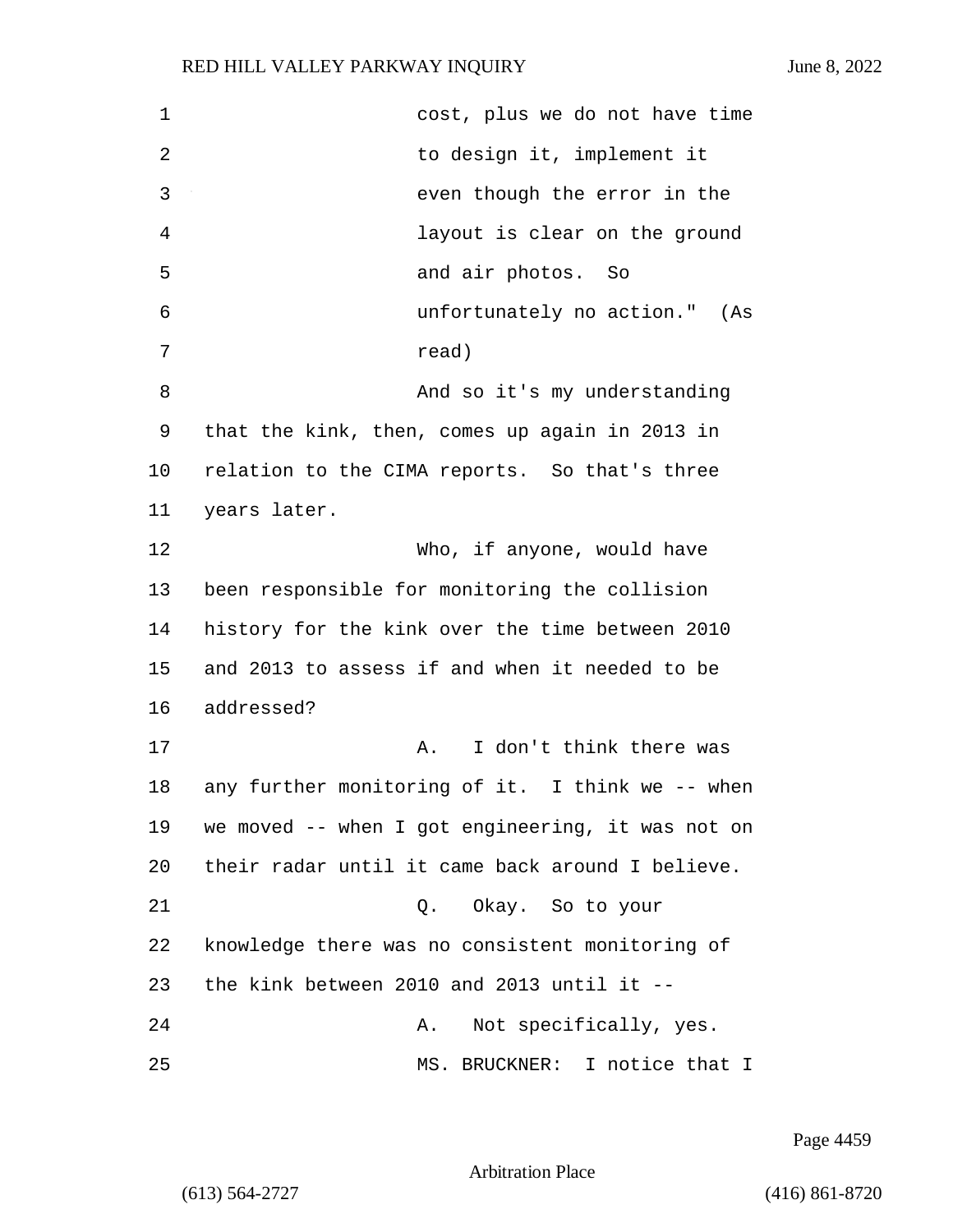| 1  | cost, plus we do not have time                    |
|----|---------------------------------------------------|
| 2  | to design it, implement it                        |
| 3  | even though the error in the                      |
| 4  | layout is clear on the ground                     |
| 5  | and air photos.<br>So                             |
| 6  | unfortunately no action." (As                     |
| 7  | read)                                             |
| 8  | And so it's my understanding                      |
| 9  | that the kink, then, comes up again in 2013 in    |
| 10 | relation to the CIMA reports. So that's three     |
| 11 | years later.                                      |
| 12 | Who, if anyone, would have                        |
| 13 | been responsible for monitoring the collision     |
| 14 | history for the kink over the time between 2010   |
| 15 | and 2013 to assess if and when it needed to be    |
| 16 | addressed?                                        |
| 17 | I don't think there was<br>Α.                     |
| 18 | any further monitoring of it. I think we -- when  |
| 19 | we moved -- when I got engineering, it was not on |
| 20 | their radar until it came back around I believe.  |
| 21 | Q. Okay. So to your                               |
| 22 | knowledge there was no consistent monitoring of   |
| 23 | the kink between 2010 and 2013 until it $-$       |
| 24 | Not specifically, yes.<br>Α.                      |
| 25 | MS. BRUCKNER: I notice that I                     |

Page 4459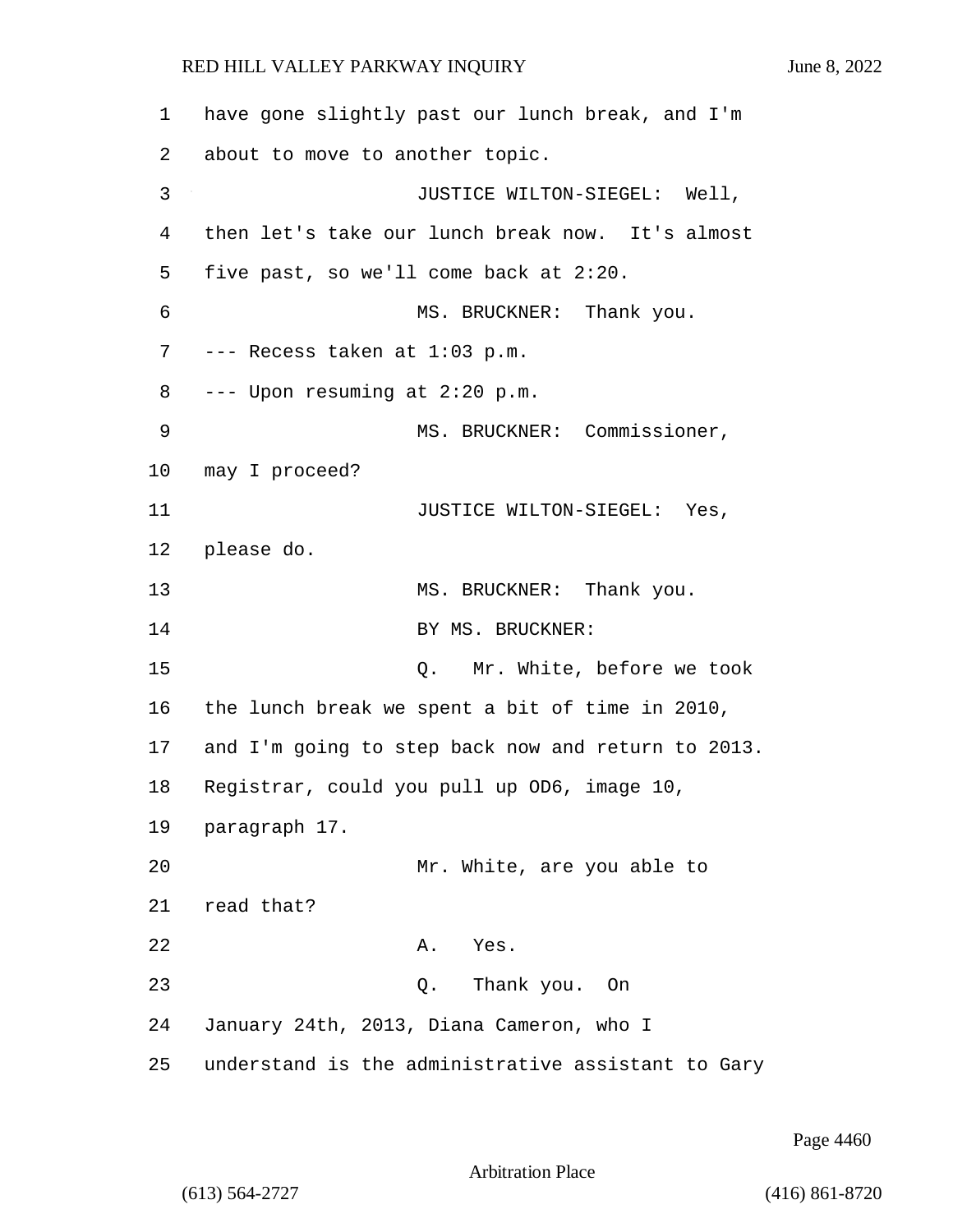1 have gone slightly past our lunch break, and I'm 2 about to move to another topic. 3 JUSTICE WILTON-SIEGEL: Well, 4 then let's take our lunch break now. It's almost 5 five past, so we'll come back at 2:20. 6 MS. BRUCKNER: Thank you. 7 --- Recess taken at 1:03 p.m. 8 --- Upon resuming at 2:20 p.m. 9 MS. BRUCKNER: Commissioner, 10 may I proceed? 11 JUSTICE WILTON-SIEGEL: Yes, 12 please do. 13 MS. BRUCKNER: Thank you. 14 BY MS. BRUCKNER: 15 Q. Mr. White, before we took 16 the lunch break we spent a bit of time in 2010, 17 and I'm going to step back now and return to 2013. 18 Registrar, could you pull up OD6, image 10, 19 paragraph 17. 20 Mr. White, are you able to 21 read that? 22 A. Yes. 23 Q. Thank you. On 24 January 24th, 2013, Diana Cameron, who I 25 understand is the administrative assistant to Gary

Page 4460

Arbitration Place

(613) 564-2727 (416) 861-8720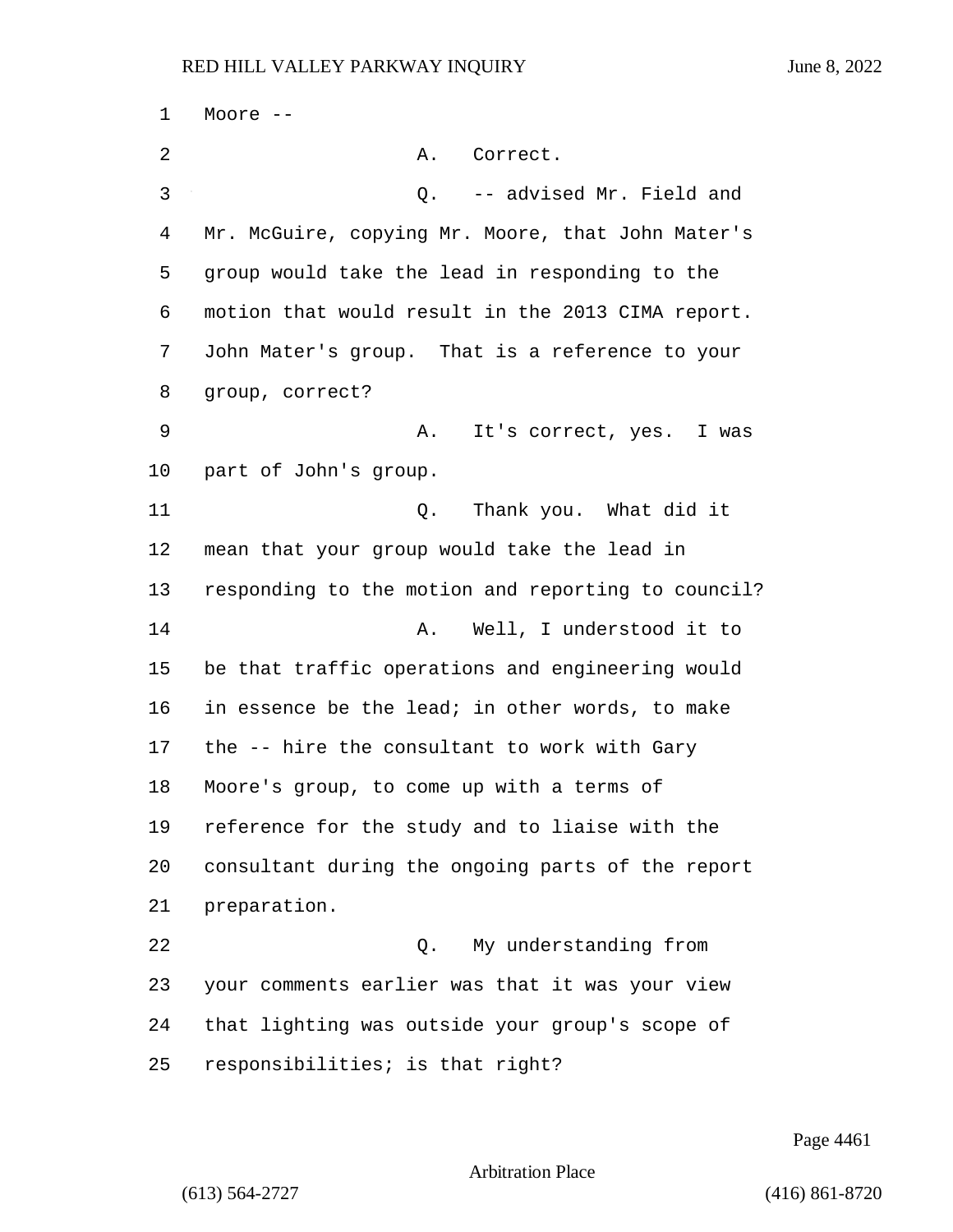Moore -- 2 A. Correct. 3 Q. -- advised Mr. Field and Mr. McGuire, copying Mr. Moore, that John Mater's group would take the lead in responding to the motion that would result in the 2013 CIMA report. John Mater's group. That is a reference to your group, correct? 9 A. It's correct, yes. I was part of John's group. **Q.** Thank you. What did it mean that your group would take the lead in responding to the motion and reporting to council? 14 A. Well, I understood it to be that traffic operations and engineering would in essence be the lead; in other words, to make the -- hire the consultant to work with Gary Moore's group, to come up with a terms of reference for the study and to liaise with the consultant during the ongoing parts of the report preparation. 22 Q. My understanding from your comments earlier was that it was your view that lighting was outside your group's scope of responsibilities; is that right?

Page 4461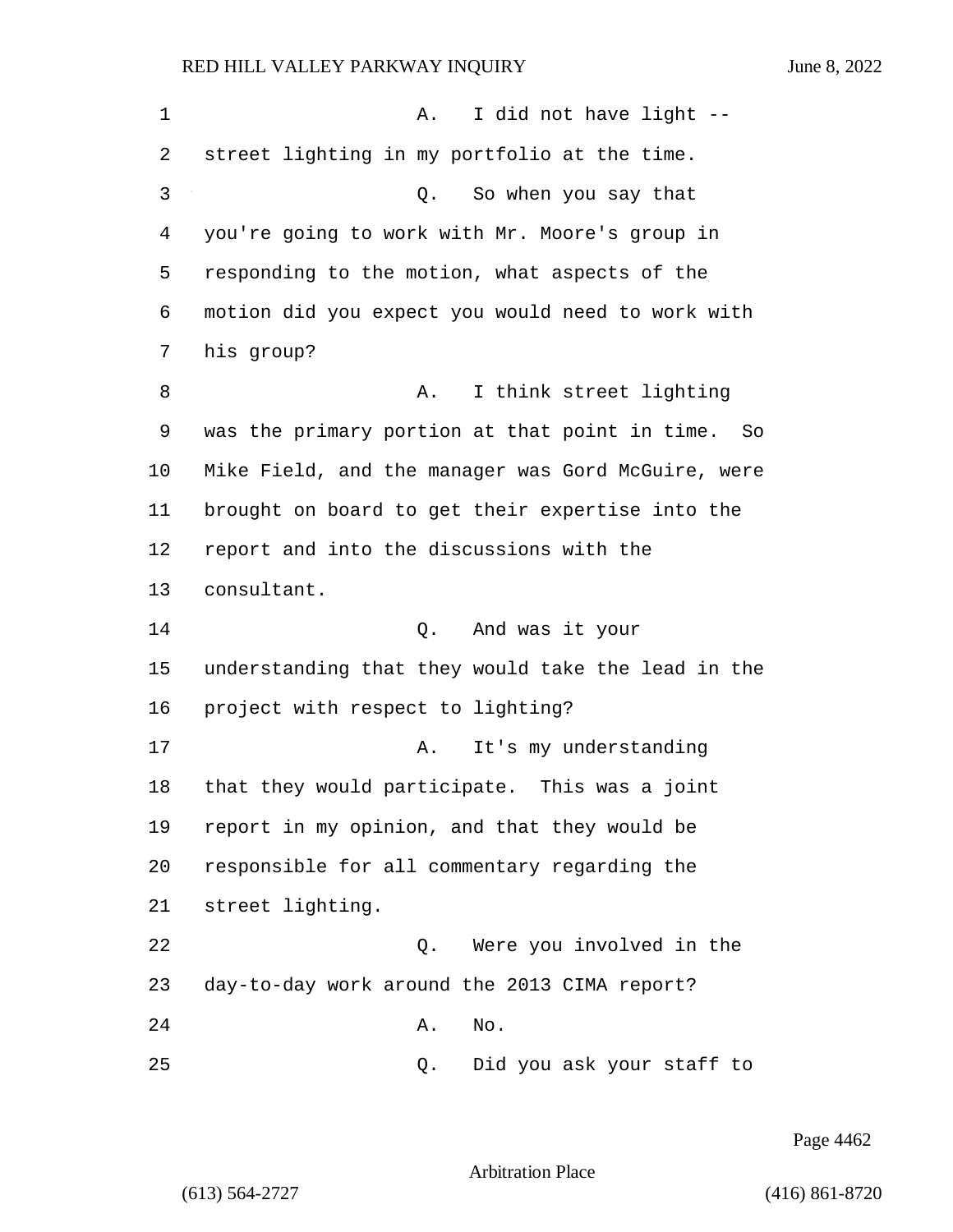| 1  | I did not have light --<br>Α.                      |
|----|----------------------------------------------------|
| 2  | street lighting in my portfolio at the time.       |
| 3  | So when you say that<br>Q.                         |
| 4  | you're going to work with Mr. Moore's group in     |
| 5  | responding to the motion, what aspects of the      |
| 6  | motion did you expect you would need to work with  |
| 7  | his group?                                         |
| 8  | I think street lighting<br>Α.                      |
| 9  | was the primary portion at that point in time. So  |
| 10 | Mike Field, and the manager was Gord McGuire, were |
| 11 | brought on board to get their expertise into the   |
| 12 | report and into the discussions with the           |
| 13 | consultant.                                        |
| 14 | And was it your<br>Q.                              |
| 15 | understanding that they would take the lead in the |
| 16 | project with respect to lighting?                  |
| 17 | It's my understanding<br>Α.                        |
| 18 | that they would participate. This was a joint      |
| 19 | report in my opinion, and that they would be       |
| 20 | responsible for all commentary regarding the       |
| 21 | street lighting.                                   |
| 22 | Were you involved in the<br>Q.                     |
| 23 | day-to-day work around the 2013 CIMA report?       |
| 24 | No.<br>Α.                                          |
| 25 | Did you ask your staff to<br>Q.                    |

Page 4462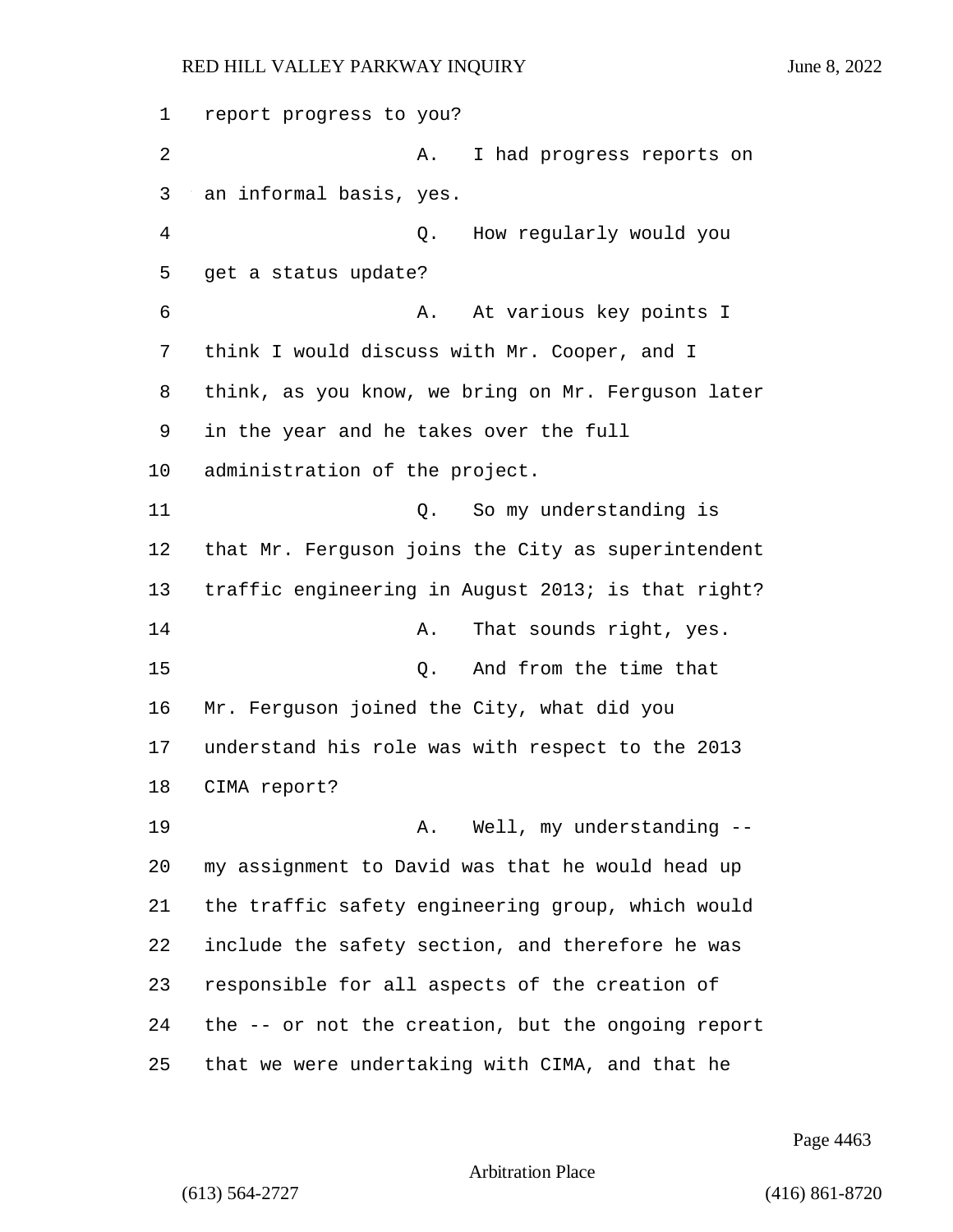report progress to you? 2 A. I had progress reports on an informal basis, yes. 4 Q. How regularly would you get a status update? 6 A. At various key points I think I would discuss with Mr. Cooper, and I think, as you know, we bring on Mr. Ferguson later in the year and he takes over the full administration of the project. 11 Q. So my understanding is that Mr. Ferguson joins the City as superintendent traffic engineering in August 2013; is that right? 14 A. That sounds right, yes. 15 Q. And from the time that Mr. Ferguson joined the City, what did you understand his role was with respect to the 2013 CIMA report? 19 A. Well, my understanding -- my assignment to David was that he would head up the traffic safety engineering group, which would include the safety section, and therefore he was responsible for all aspects of the creation of the -- or not the creation, but the ongoing report that we were undertaking with CIMA, and that he

Page 4463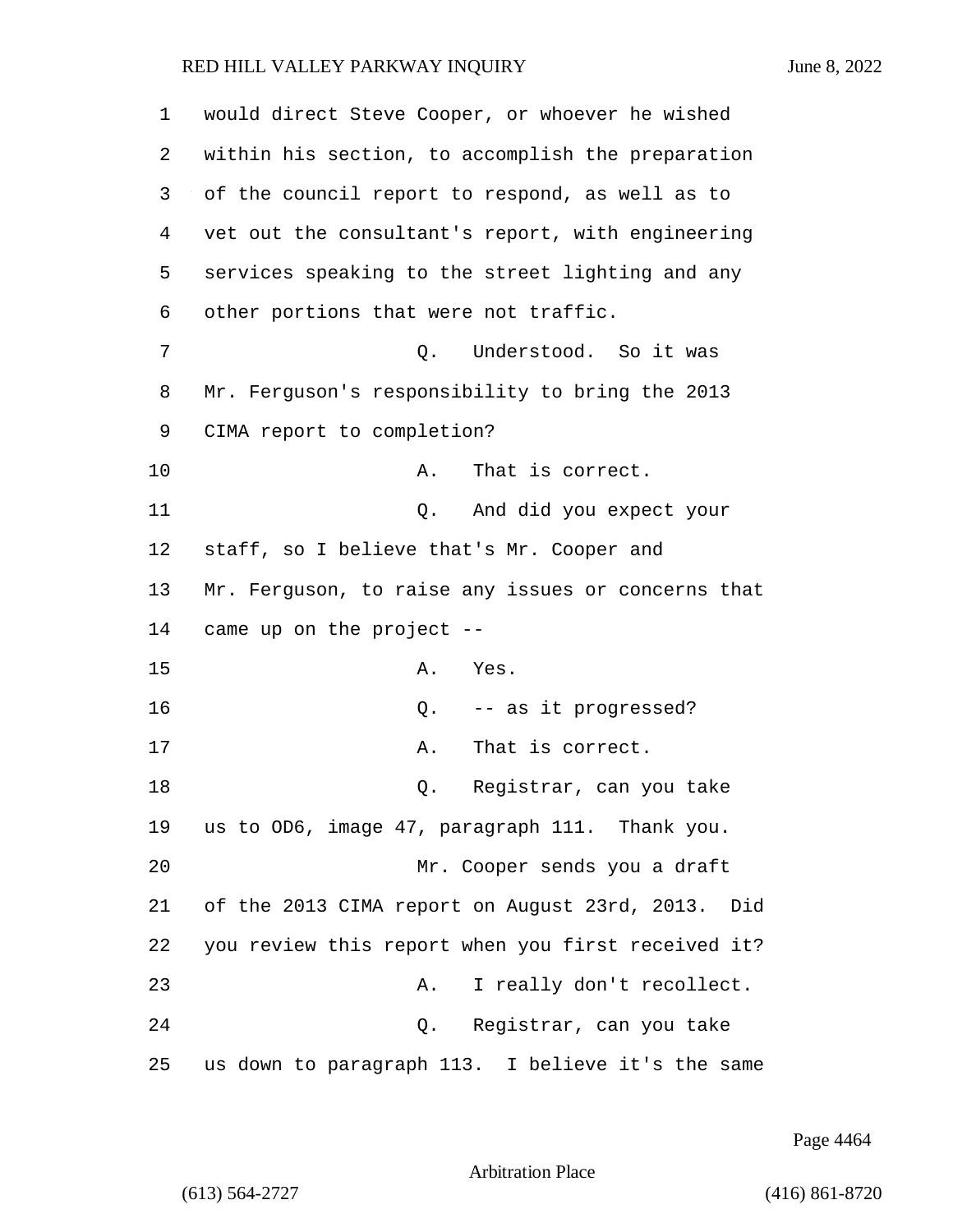| 1  | would direct Steve Cooper, or whoever he wished      |
|----|------------------------------------------------------|
| 2  | within his section, to accomplish the preparation    |
| 3  | of the council report to respond, as well as to      |
| 4  | vet out the consultant's report, with engineering    |
| 5  | services speaking to the street lighting and any     |
| 6  | other portions that were not traffic.                |
| 7  | Understood. So it was<br>Q.                          |
| 8  | Mr. Ferguson's responsibility to bring the 2013      |
| 9  | CIMA report to completion?                           |
| 10 | That is correct.<br>Α.                               |
| 11 | And did you expect your<br>Q.                        |
| 12 | staff, so I believe that's Mr. Cooper and            |
| 13 | Mr. Ferguson, to raise any issues or concerns that   |
| 14 | came up on the project --                            |
| 15 | Yes.<br>Α.                                           |
| 16 | -- as it progressed?<br>Q.                           |
| 17 | That is correct.<br>Α.                               |
| 18 | Registrar, can you take<br>Q.                        |
| 19 | us to OD6, image 47, paragraph 111. Thank you.       |
| 20 | Mr. Cooper sends you a draft                         |
| 21 | of the 2013 CIMA report on August 23rd, 2013.<br>Did |
| 22 | you review this report when you first received it?   |
| 23 | I really don't recollect.<br>Α.                      |
| 24 | Registrar, can you take<br>Q.                        |
| 25 | us down to paragraph 113. I believe it's the same    |

Page 4464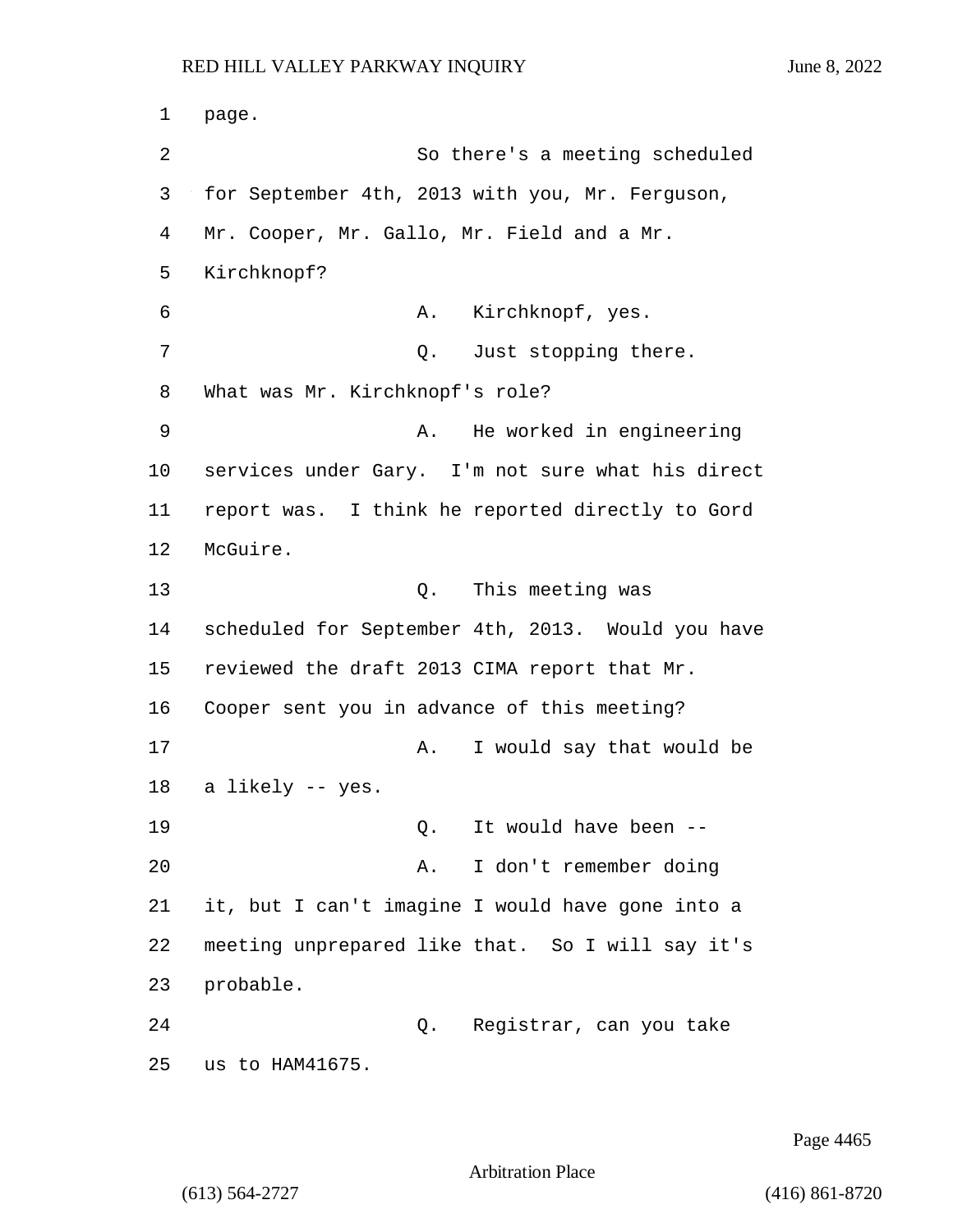1 page. 2 So there's a meeting scheduled 3 for September 4th, 2013 with you, Mr. Ferguson, 4 Mr. Cooper, Mr. Gallo, Mr. Field and a Mr. 5 Kirchknopf? 6 A. Kirchknopf, yes. 7 O. Just stopping there. 8 What was Mr. Kirchknopf's role? 9 A. He worked in engineering 10 services under Gary. I'm not sure what his direct 11 report was. I think he reported directly to Gord 12 McGuire. 13 Q. This meeting was 14 scheduled for September 4th, 2013. Would you have 15 reviewed the draft 2013 CIMA report that Mr. 16 Cooper sent you in advance of this meeting? 17 A. I would say that would be 18 a likely -- yes. 19 Q. It would have been -- 20 A. I don't remember doing 21 it, but I can't imagine I would have gone into a 22 meeting unprepared like that. So I will say it's 23 probable. 24 Q. Registrar, can you take 25 us to HAM41675.

Page 4465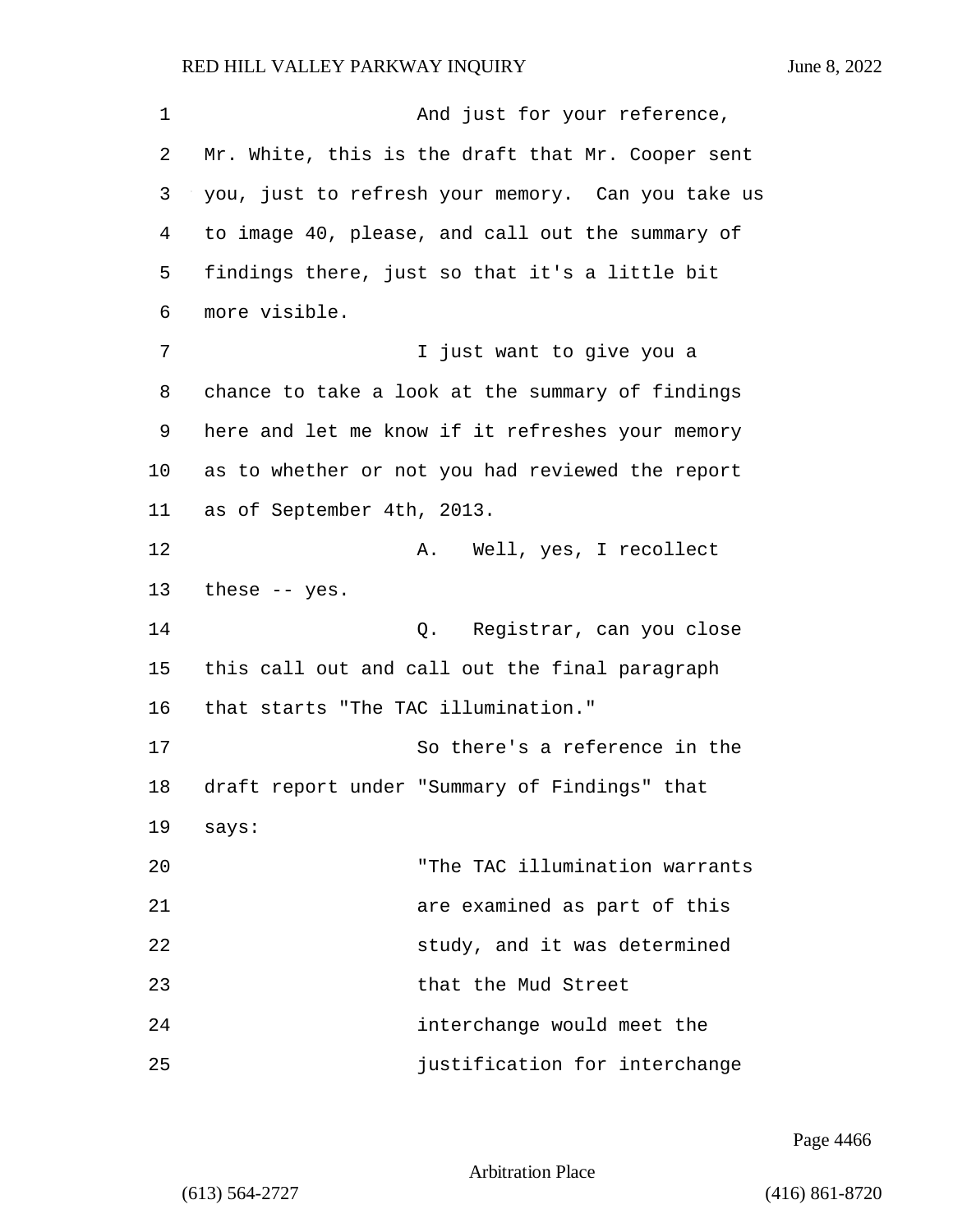1 And just for your reference, 2 Mr. White, this is the draft that Mr. Cooper sent 3 you, just to refresh your memory. Can you take us 4 to image 40, please, and call out the summary of 5 findings there, just so that it's a little bit 6 more visible. 7 I just want to give you a 8 chance to take a look at the summary of findings 9 here and let me know if it refreshes your memory 10 as to whether or not you had reviewed the report 11 as of September 4th, 2013. 12 A. Well, yes, I recollect 13 these -- yes. 14 Q. Registrar, can you close 15 this call out and call out the final paragraph 16 that starts "The TAC illumination." 17 So there's a reference in the 18 draft report under "Summary of Findings" that 19 says: 20 "The TAC illumination warrants 21 are examined as part of this 22 study, and it was determined 23 that the Mud Street 24 interchange would meet the 25 justification for interchange

Page 4466

Arbitration Place

(613) 564-2727 (416) 861-8720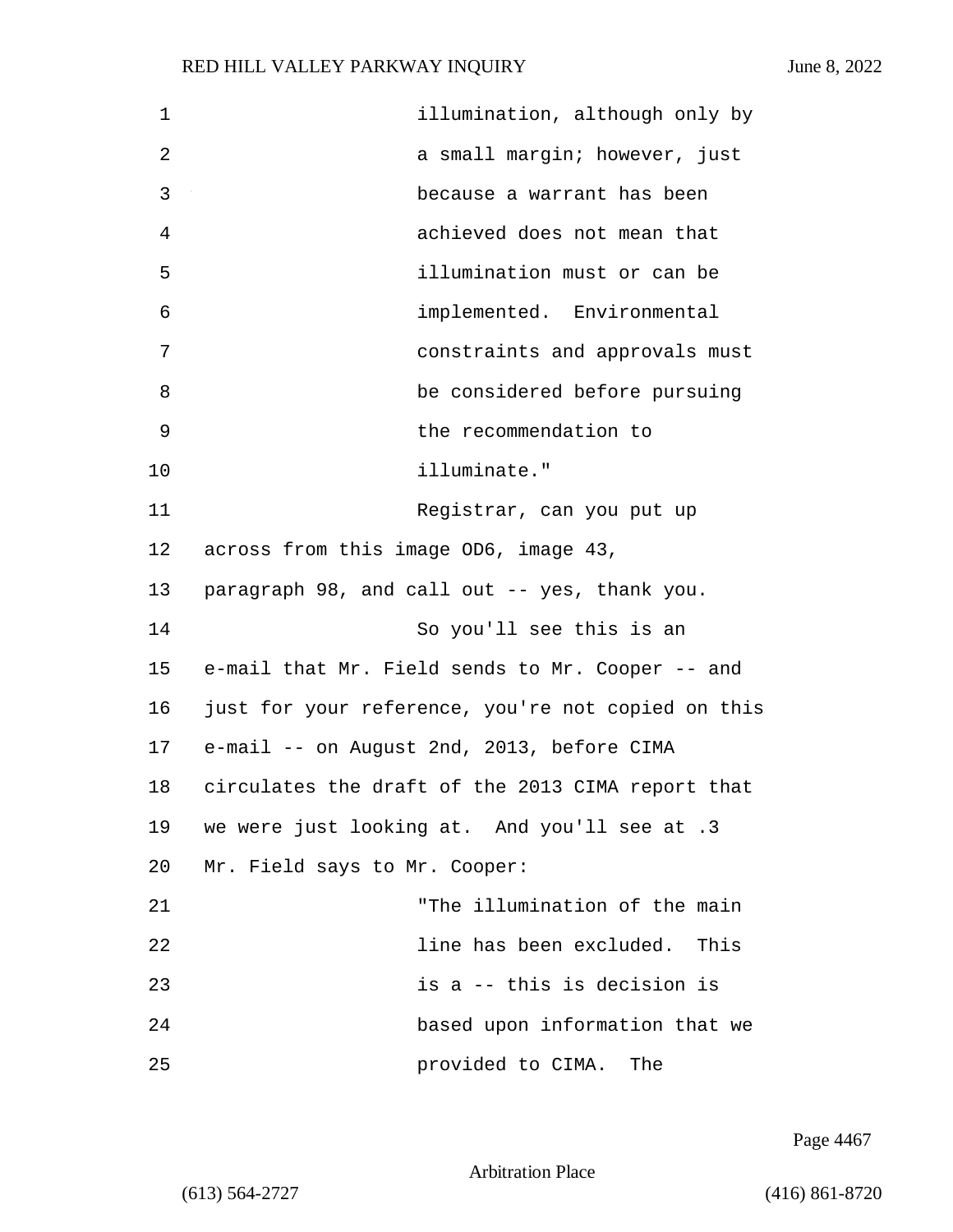| $\mathbf 1$ | illumination, although only by                     |
|-------------|----------------------------------------------------|
| 2           | a small margin; however, just                      |
| 3           | because a warrant has been                         |
| 4           | achieved does not mean that                        |
| 5           | illumination must or can be                        |
| 6           | implemented. Environmental                         |
| 7           | constraints and approvals must                     |
| 8           | be considered before pursuing                      |
| 9           | the recommendation to                              |
| 10          | illuminate."                                       |
| 11          | Registrar, can you put up                          |
| 12          | across from this image OD6, image 43,              |
| 13          | paragraph 98, and call out -- yes, thank you.      |
| 14          | So you'll see this is an                           |
| 15          | e-mail that Mr. Field sends to Mr. Cooper -- and   |
| 16          | just for your reference, you're not copied on this |
| 17          | e-mail -- on August 2nd, 2013, before CIMA         |
| 18          | circulates the draft of the 2013 CIMA report that  |
| 19          | we were just looking at. And you'll see at .3      |
| 20          | Mr. Field says to Mr. Cooper:                      |
| 21          | "The illumination of the main                      |
| 22          | line has been excluded. This                       |
| 23          | is a -- this is decision is                        |
| 24          | based upon information that we                     |
| 25          | provided to CIMA. The                              |

Page 4467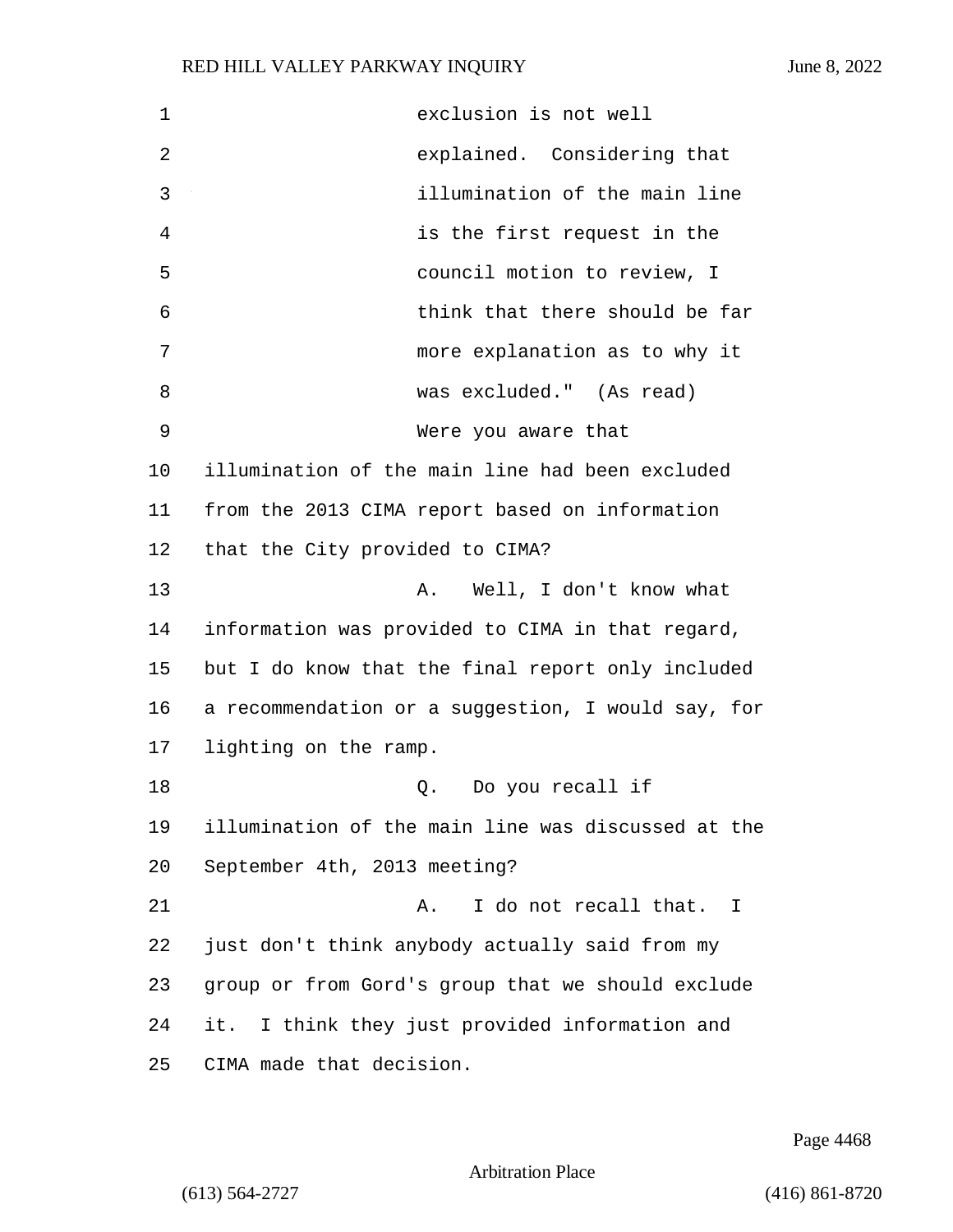| 1  | exclusion is not well                              |
|----|----------------------------------------------------|
| 2  | explained. Considering that                        |
| 3  | illumination of the main line                      |
| 4  | is the first request in the                        |
| 5  | council motion to review, I                        |
| 6  | think that there should be far                     |
| 7  | more explanation as to why it                      |
| 8  | was excluded." (As read)                           |
| 9  | Were you aware that                                |
| 10 | illumination of the main line had been excluded    |
| 11 | from the 2013 CIMA report based on information     |
| 12 | that the City provided to CIMA?                    |
| 13 | Well, I don't know what<br>Α.                      |
| 14 | information was provided to CIMA in that regard,   |
| 15 | but I do know that the final report only included  |
| 16 | a recommendation or a suggestion, I would say, for |
| 17 | lighting on the ramp.                              |
| 18 | Q. Do you recall if                                |
| 19 | illumination of the main line was discussed at the |
| 20 | September 4th, 2013 meeting?                       |
| 21 | I do not recall that.<br>Α.<br>- I                 |
| 22 | just don't think anybody actually said from my     |
| 23 | group or from Gord's group that we should exclude  |
| 24 | it. I think they just provided information and     |
| 25 | CIMA made that decision.                           |

Page 4468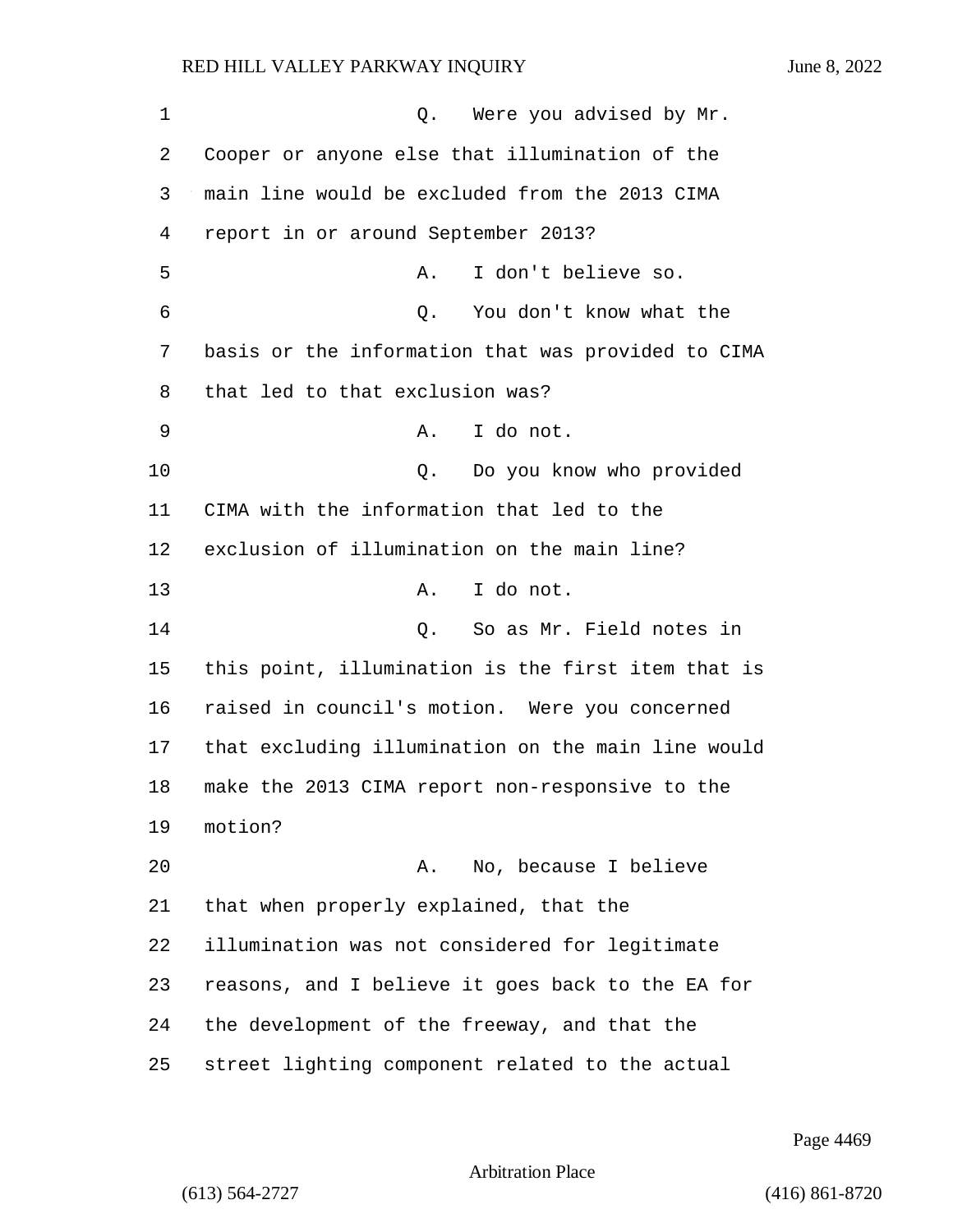1 O. Were you advised by Mr. Cooper or anyone else that illumination of the main line would be excluded from the 2013 CIMA report in or around September 2013? 5 A. I don't believe so. 6 Q. You don't know what the basis or the information that was provided to CIMA that led to that exclusion was? 9 A. I do not. 10 Q. Do you know who provided CIMA with the information that led to the exclusion of illumination on the main line? 13 A. I do not. 14 Q. So as Mr. Field notes in this point, illumination is the first item that is raised in council's motion. Were you concerned that excluding illumination on the main line would make the 2013 CIMA report non-responsive to the 19 motion? 20 A. No, because I believe that when properly explained, that the illumination was not considered for legitimate reasons, and I believe it goes back to the EA for the development of the freeway, and that the street lighting component related to the actual

Page 4469

Arbitration Place

(613) 564-2727 (416) 861-8720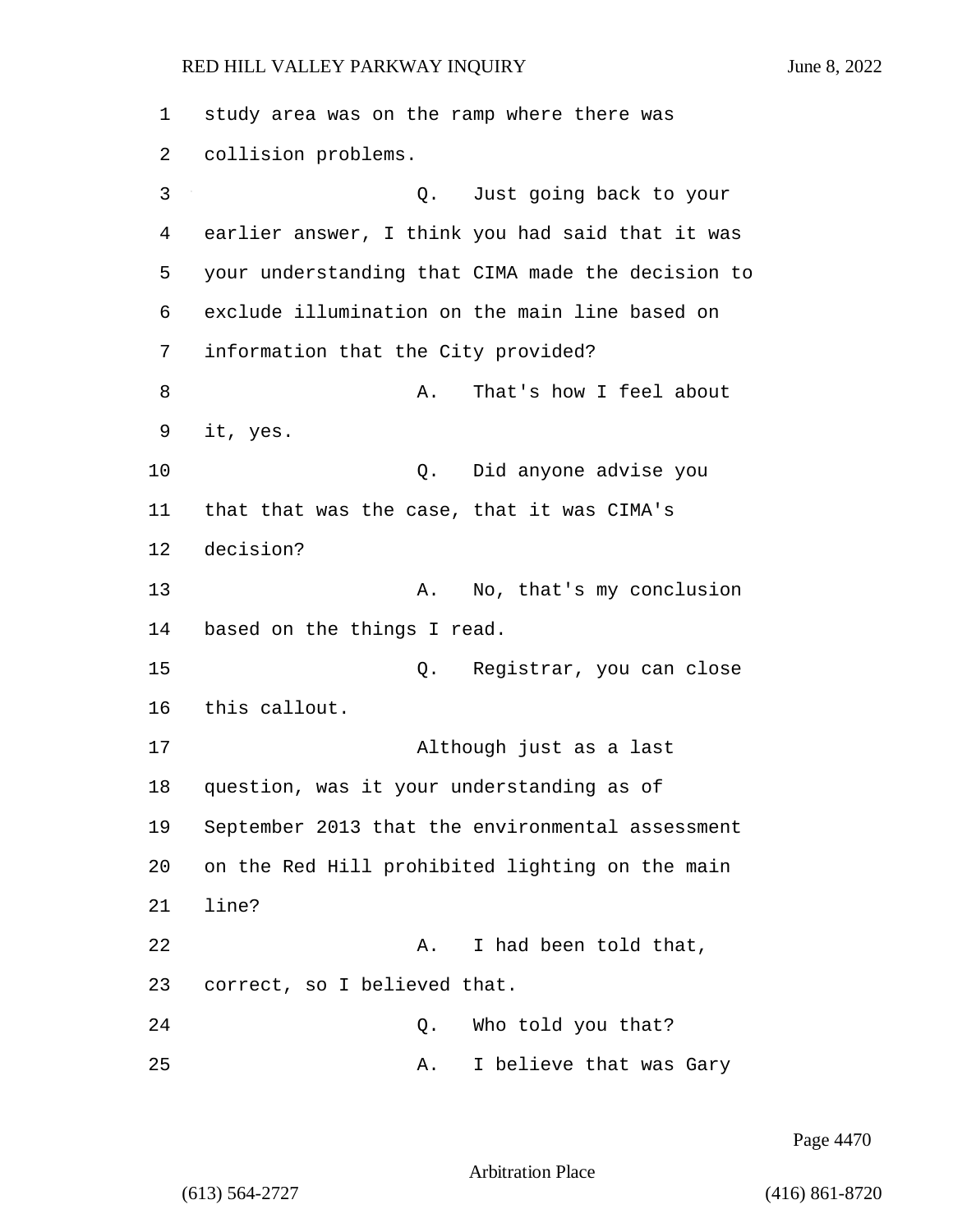1 study area was on the ramp where there was 2 collision problems. 3 Q. Just going back to your 4 earlier answer, I think you had said that it was 5 your understanding that CIMA made the decision to 6 exclude illumination on the main line based on 7 information that the City provided? 8 A. That's how I feel about 9 it, yes. 10 Q. Did anyone advise you 11 that that was the case, that it was CIMA's 12 decision? 13 A. No, that's my conclusion 14 based on the things I read. 15 Q. Registrar, you can close 16 this callout. 17 Although just as a last 18 question, was it your understanding as of 19 September 2013 that the environmental assessment 20 on the Red Hill prohibited lighting on the main 21 line? 22 A. I had been told that, 23 correct, so I believed that. 24 Q. Who told you that? 25 A. I believe that was Gary

Page 4470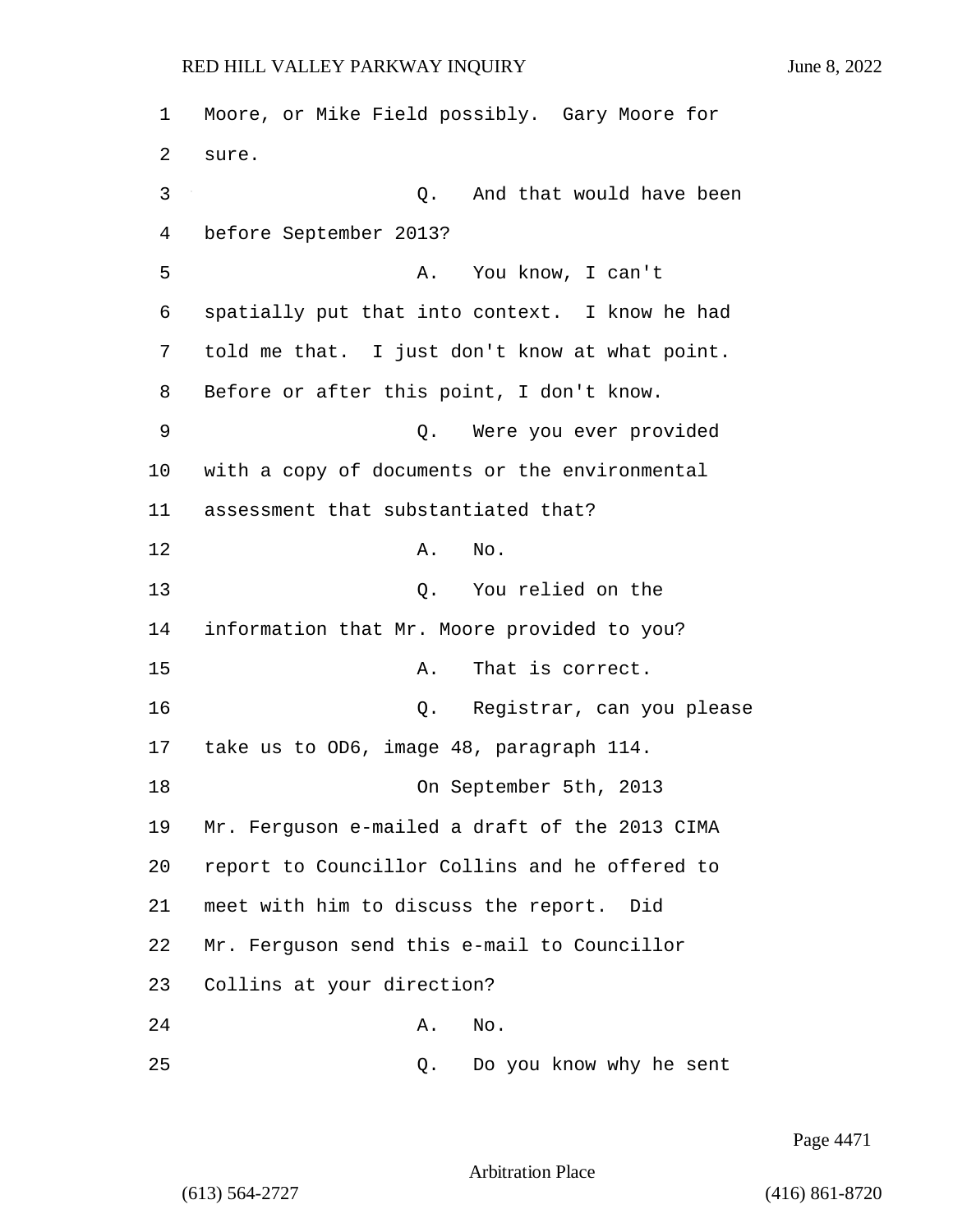1 Moore, or Mike Field possibly. Gary Moore for 2 sure. 3 Q. And that would have been 4 before September 2013? 5 A. You know, I can't 6 spatially put that into context. I know he had 7 told me that. I just don't know at what point. 8 Before or after this point, I don't know. 9 Q. Were you ever provided 10 with a copy of documents or the environmental 11 assessment that substantiated that? 12 A. No. 13 O. You relied on the 14 information that Mr. Moore provided to you? 15 A. That is correct. 16 Q. Registrar, can you please 17 take us to OD6, image 48, paragraph 114. 18 On September 5th, 2013 19 Mr. Ferguson e-mailed a draft of the 2013 CIMA 20 report to Councillor Collins and he offered to 21 meet with him to discuss the report. Did 22 Mr. Ferguson send this e-mail to Councillor 23 Collins at your direction? 24 A. No. 25 Q. Do you know why he sent

Page 4471

Arbitration Place

(613) 564-2727 (416) 861-8720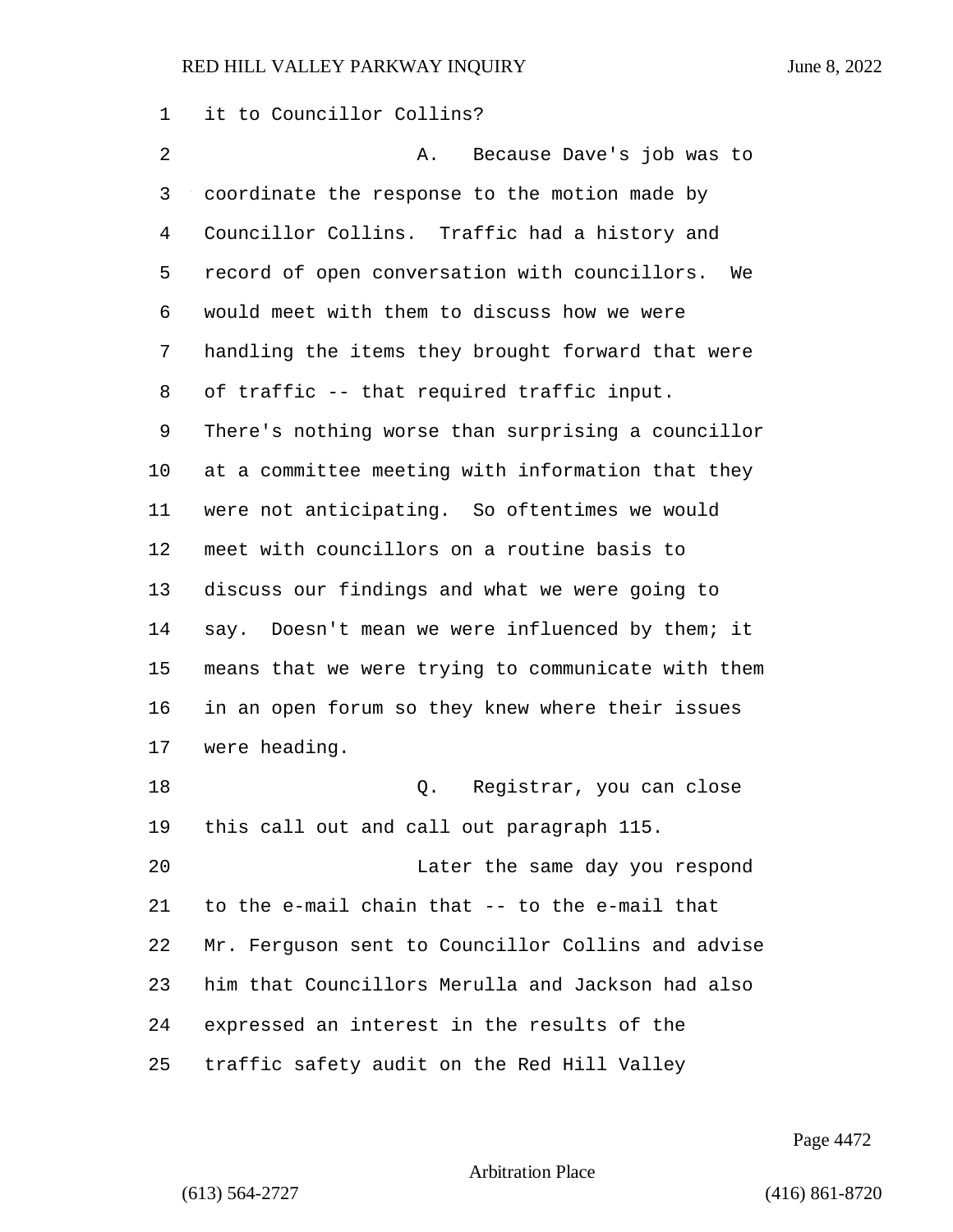it to Councillor Collins?

2 A. Because Dave's job was to coordinate the response to the motion made by Councillor Collins. Traffic had a history and record of open conversation with councillors. We would meet with them to discuss how we were handling the items they brought forward that were of traffic -- that required traffic input. There's nothing worse than surprising a councillor at a committee meeting with information that they were not anticipating. So oftentimes we would meet with councillors on a routine basis to discuss our findings and what we were going to say. Doesn't mean we were influenced by them; it means that we were trying to communicate with them in an open forum so they knew where their issues were heading. 18 Q. Registrar, you can close this call out and call out paragraph 115. 20 Later the same day you respond to the e-mail chain that -- to the e-mail that Mr. Ferguson sent to Councillor Collins and advise him that Councillors Merulla and Jackson had also expressed an interest in the results of the traffic safety audit on the Red Hill Valley

Page 4472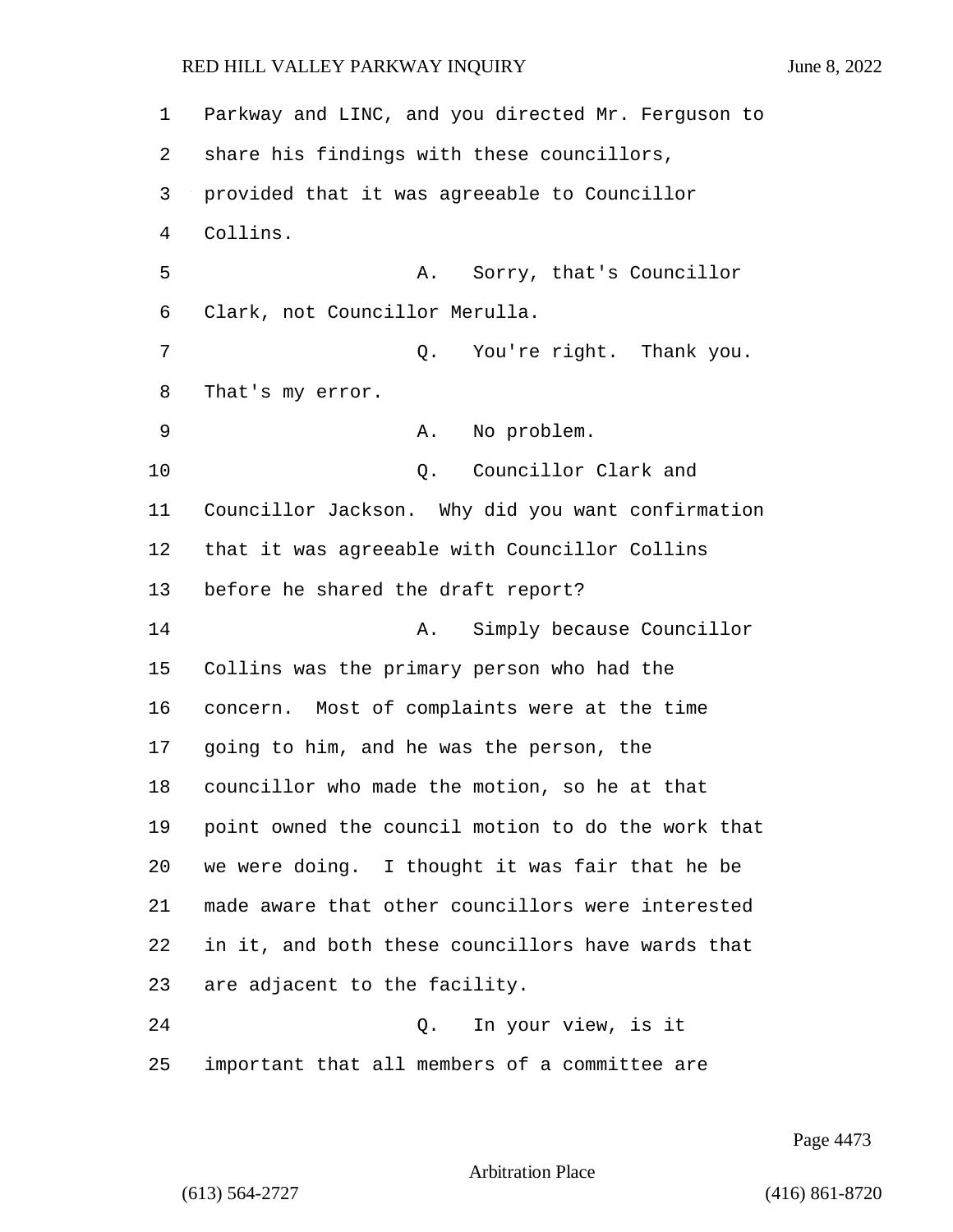Parkway and LINC, and you directed Mr. Ferguson to share his findings with these councillors, provided that it was agreeable to Councillor Collins. 5 A. Sorry, that's Councillor Clark, not Councillor Merulla. 7 Q. You're right. Thank you. That's my error. 9 A. No problem. 10 Q. Councillor Clark and Councillor Jackson. Why did you want confirmation that it was agreeable with Councillor Collins before he shared the draft report? 14 A. Simply because Councillor Collins was the primary person who had the concern. Most of complaints were at the time going to him, and he was the person, the councillor who made the motion, so he at that point owned the council motion to do the work that we were doing. I thought it was fair that he be made aware that other councillors were interested in it, and both these councillors have wards that are adjacent to the facility. 24 Q. In your view, is it important that all members of a committee are

Page 4473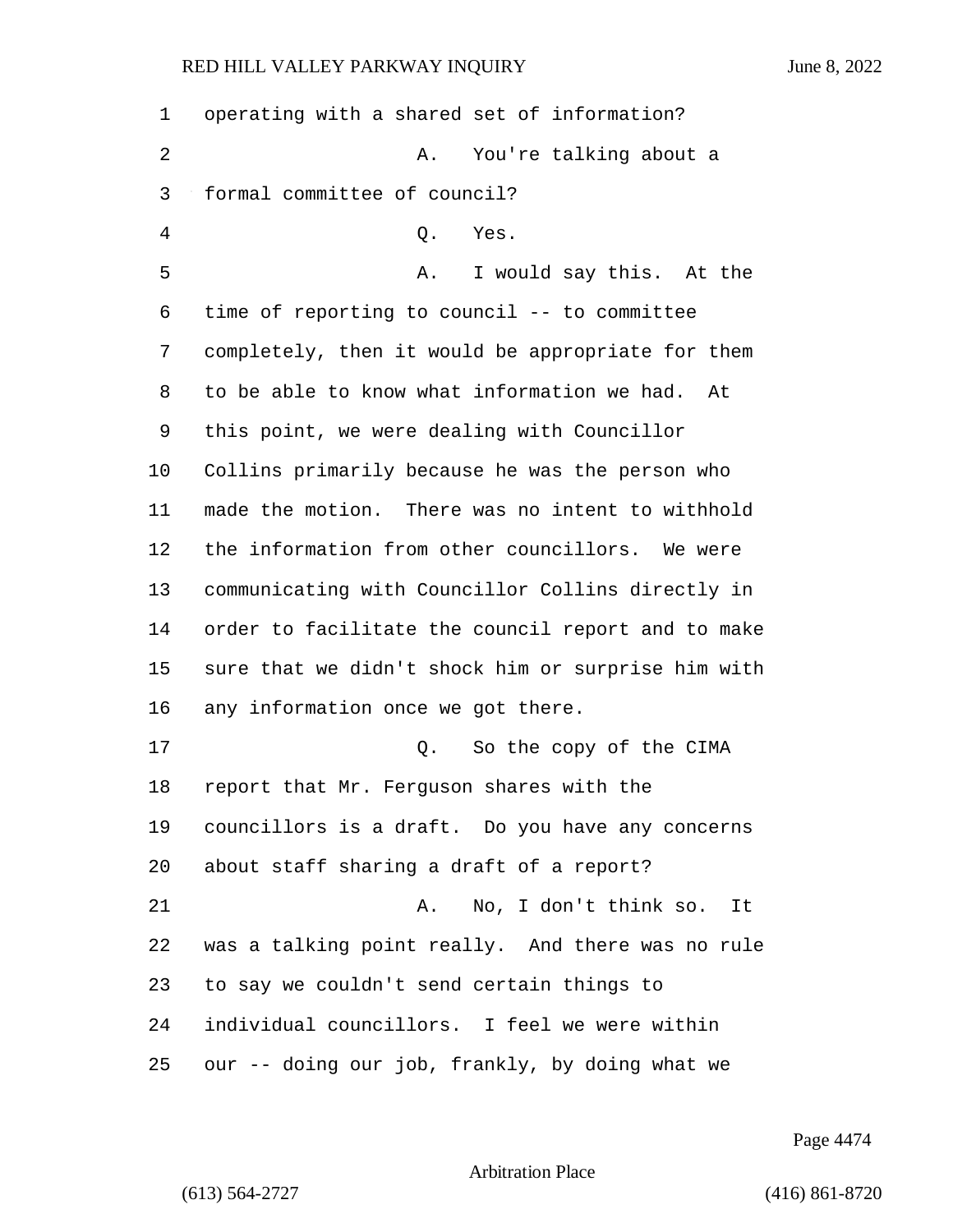operating with a shared set of information? 2 A. You're talking about a formal committee of council? 4 Q. Yes. 5 A. I would say this. At the time of reporting to council -- to committee completely, then it would be appropriate for them to be able to know what information we had. At this point, we were dealing with Councillor Collins primarily because he was the person who made the motion. There was no intent to withhold the information from other councillors. We were communicating with Councillor Collins directly in order to facilitate the council report and to make sure that we didn't shock him or surprise him with any information once we got there. 17 C. So the copy of the CIMA report that Mr. Ferguson shares with the councillors is a draft. Do you have any concerns about staff sharing a draft of a report? 21 A. No, I don't think so. It was a talking point really. And there was no rule to say we couldn't send certain things to individual councillors. I feel we were within our -- doing our job, frankly, by doing what we

Page 4474

Arbitration Place

(613) 564-2727 (416) 861-8720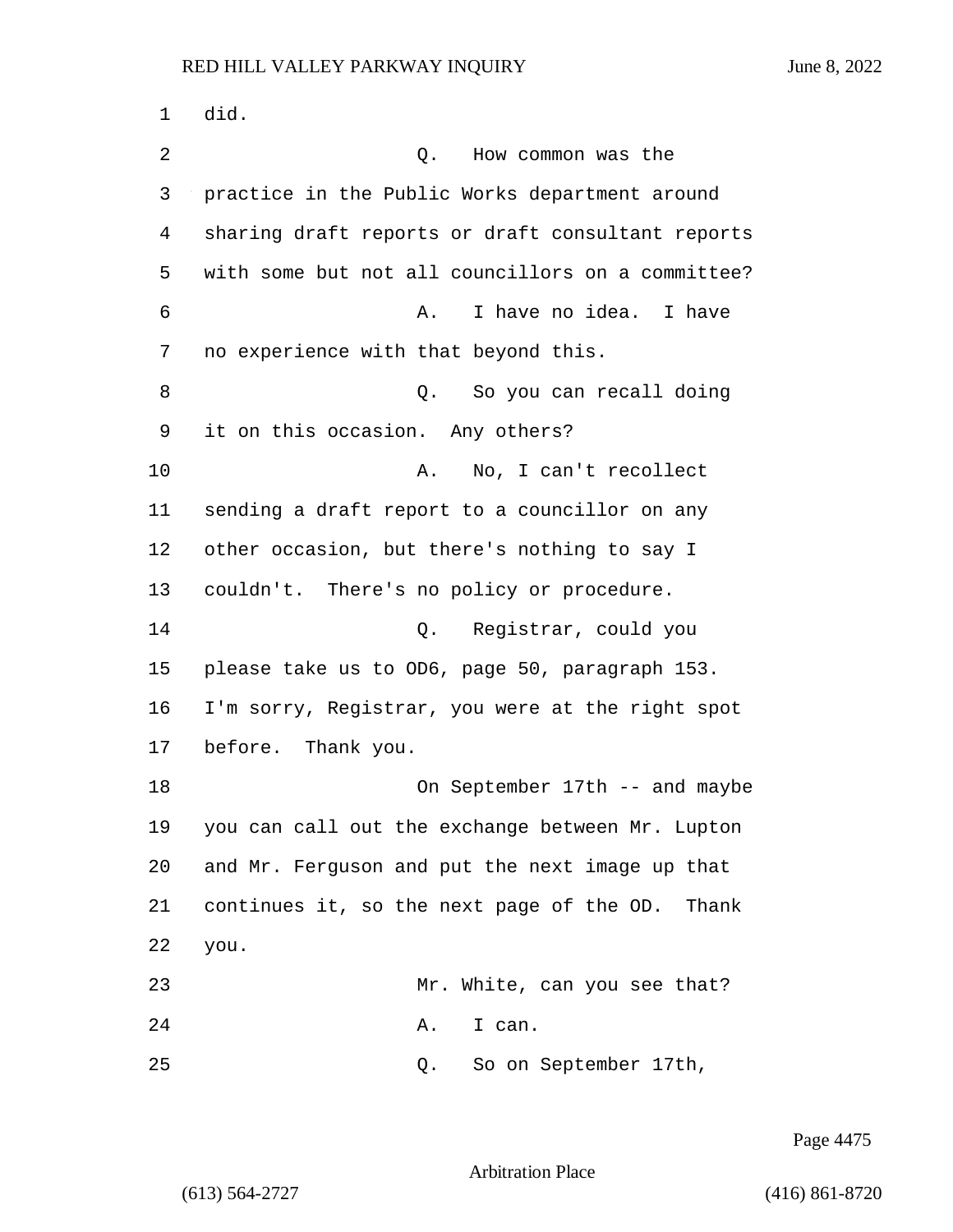1 did. 2 Q. How common was the 3 practice in the Public Works department around 4 sharing draft reports or draft consultant reports 5 with some but not all councillors on a committee? 6 A. I have no idea. I have 7 no experience with that beyond this. 8 and 2. So you can recall doing 9 it on this occasion. Any others? 10 A. No, I can't recollect 11 sending a draft report to a councillor on any 12 other occasion, but there's nothing to say I 13 couldn't. There's no policy or procedure. 14 Q. Registrar, could you 15 please take us to OD6, page 50, paragraph 153. 16 I'm sorry, Registrar, you were at the right spot 17 before. Thank you. 18 On September 17th -- and maybe 19 you can call out the exchange between Mr. Lupton 20 and Mr. Ferguson and put the next image up that 21 continues it, so the next page of the OD. Thank 22 you. 23 Mr. White, can you see that? 24 A. I can. 25 Q. So on September 17th,

Page 4475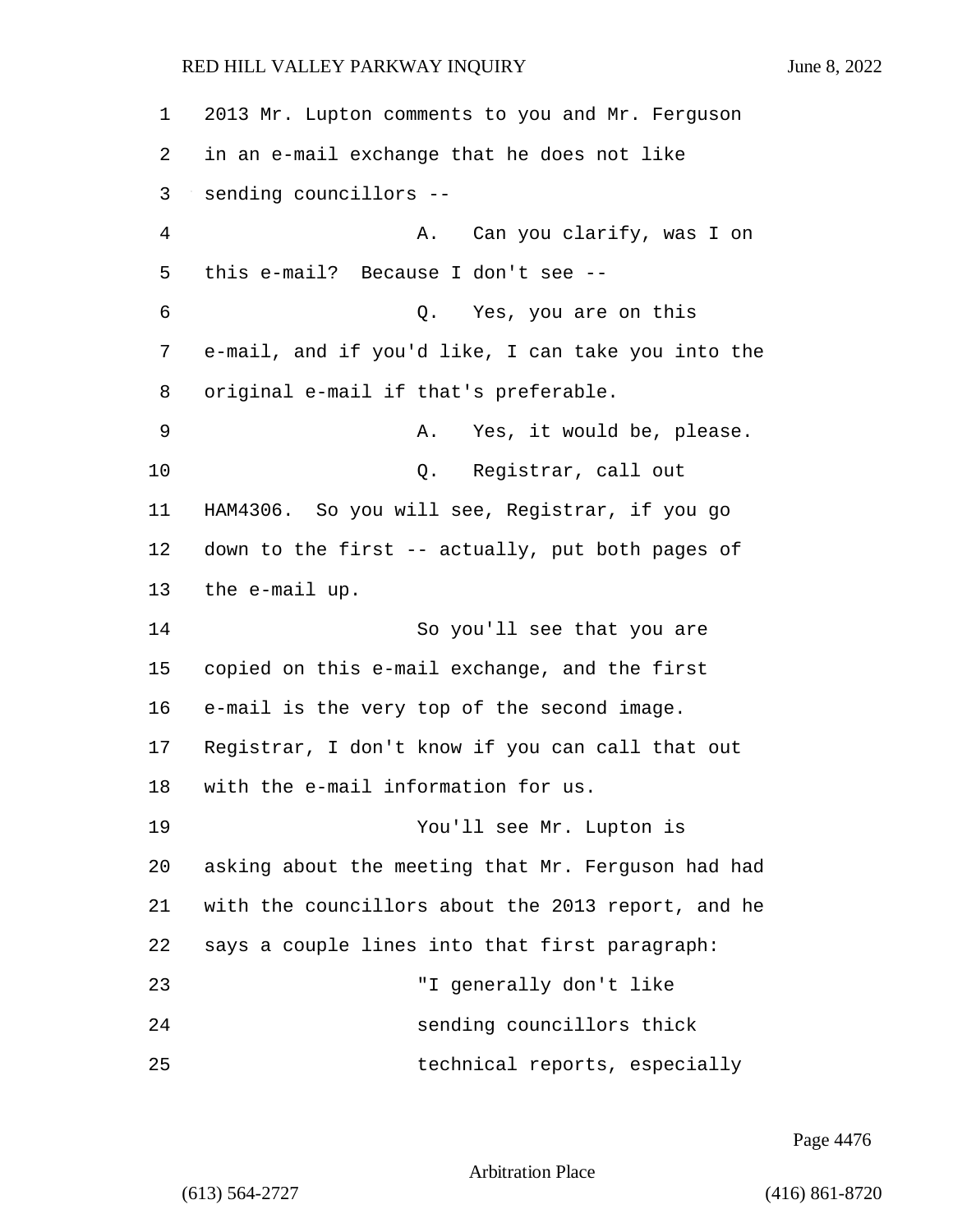2013 Mr. Lupton comments to you and Mr. Ferguson in an e-mail exchange that he does not like sending councillors -- 4 A. Can you clarify, was I on this e-mail? Because I don't see -- 6 Q. Yes, you are on this e-mail, and if you'd like, I can take you into the original e-mail if that's preferable. 9 A. Yes, it would be, please. 10 Q. Registrar, call out HAM4306. So you will see, Registrar, if you go down to the first -- actually, put both pages of the e-mail up. 14 So you'll see that you are copied on this e-mail exchange, and the first e-mail is the very top of the second image. Registrar, I don't know if you can call that out with the e-mail information for us. 19 You'll see Mr. Lupton is asking about the meeting that Mr. Ferguson had had with the councillors about the 2013 report, and he says a couple lines into that first paragraph: 23 "I generally don't like 24 sending councillors thick 25 technical reports, especially

Page 4476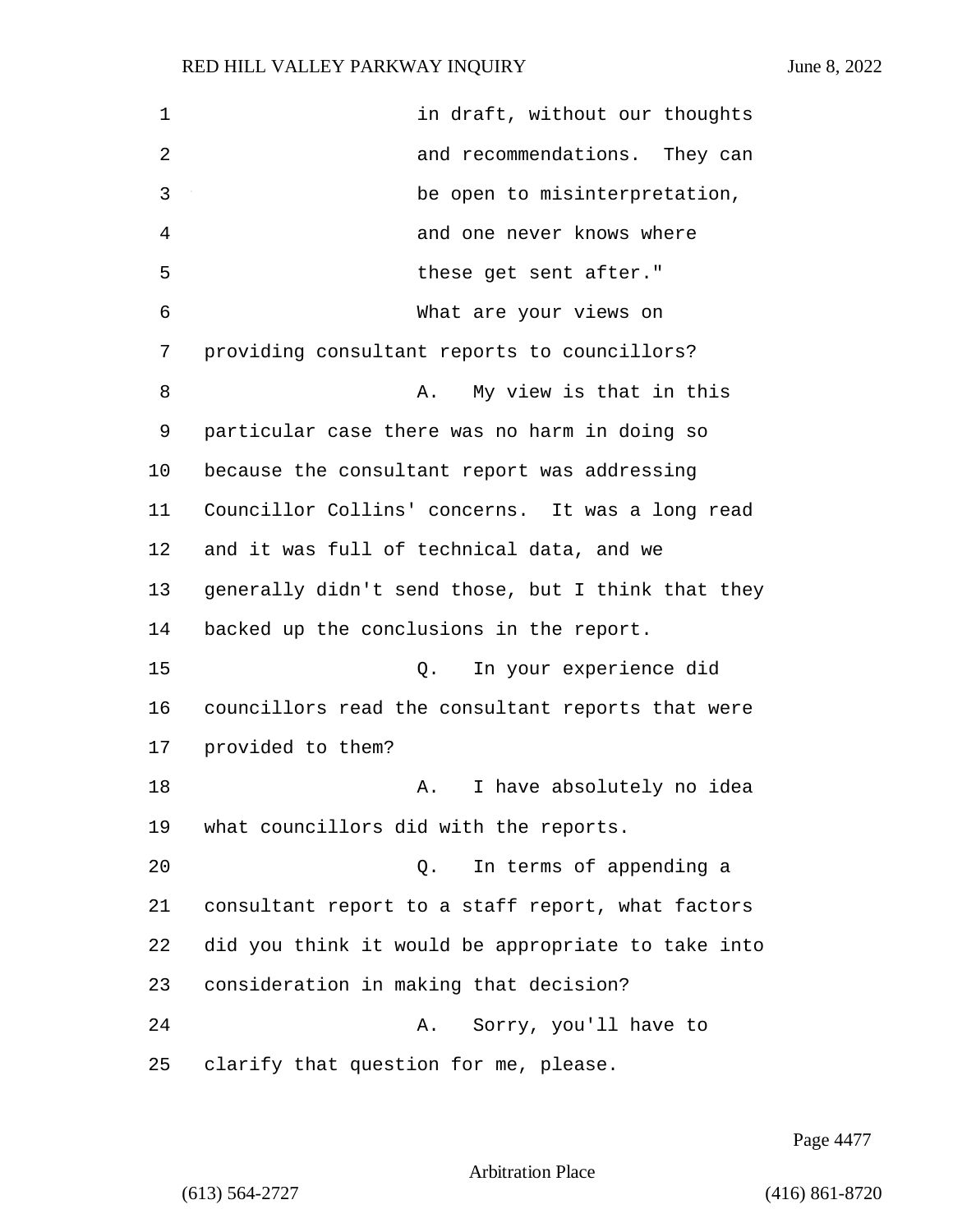| 1  | in draft, without our thoughts                     |
|----|----------------------------------------------------|
| 2  | and recommendations. They can                      |
| 3  | be open to misinterpretation,                      |
| 4  | and one never knows where                          |
| 5  | these get sent after."                             |
| 6  | What are your views on                             |
| 7  | providing consultant reports to councillors?       |
| 8  | My view is that in this<br>Α.                      |
| 9  | particular case there was no harm in doing so      |
| 10 | because the consultant report was addressing       |
| 11 | Councillor Collins' concerns. It was a long read   |
| 12 | and it was full of technical data, and we          |
| 13 | generally didn't send those, but I think that they |
| 14 | backed up the conclusions in the report.           |
| 15 | In your experience did<br>Q.                       |
| 16 | councillors read the consultant reports that were  |
| 17 | provided to them?                                  |
| 18 | I have absolutely no idea<br>А.                    |
| 19 | what councillors did with the reports.             |
| 20 | In terms of appending a<br>Q.                      |
| 21 | consultant report to a staff report, what factors  |
| 22 | did you think it would be appropriate to take into |
| 23 | consideration in making that decision?             |
| 24 | Sorry, you'll have to<br>Α.                        |
| 25 | clarify that question for me, please.              |

Page 4477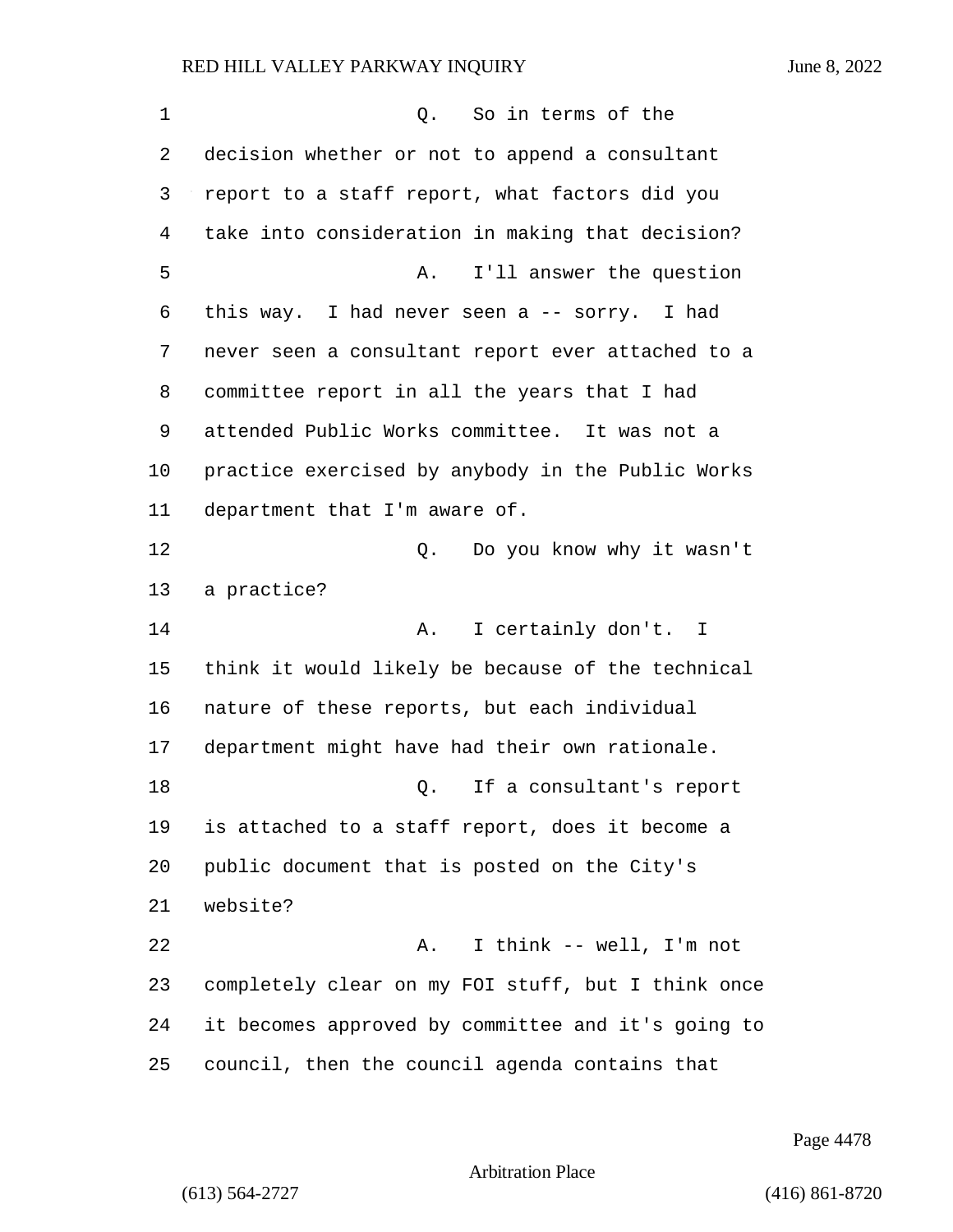| 1  | So in terms of the<br>Q.                           |
|----|----------------------------------------------------|
| 2  | decision whether or not to append a consultant     |
| 3  | report to a staff report, what factors did you     |
| 4  | take into consideration in making that decision?   |
| 5  | I'll answer the question<br>Α.                     |
| 6  | this way. I had never seen a -- sorry. I had       |
| 7  | never seen a consultant report ever attached to a  |
| 8  | committee report in all the years that I had       |
| 9  | attended Public Works committee. It was not a      |
| 10 | practice exercised by anybody in the Public Works  |
| 11 | department that I'm aware of.                      |
| 12 | Do you know why it wasn't<br>Q.                    |
| 13 | a practice?                                        |
| 14 | I certainly don't. I<br>Α.                         |
| 15 | think it would likely be because of the technical  |
| 16 | nature of these reports, but each individual       |
| 17 | department might have had their own rationale.     |
| 18 | If a consultant's report<br>Q.                     |
| 19 | is attached to a staff report, does it become a    |
| 20 | public document that is posted on the City's       |
| 21 | website?                                           |
| 22 | I think -- well, I'm not<br>Α.                     |
| 23 | completely clear on my FOI stuff, but I think once |
| 24 | it becomes approved by committee and it's going to |
| 25 | council, then the council agenda contains that     |

Page 4478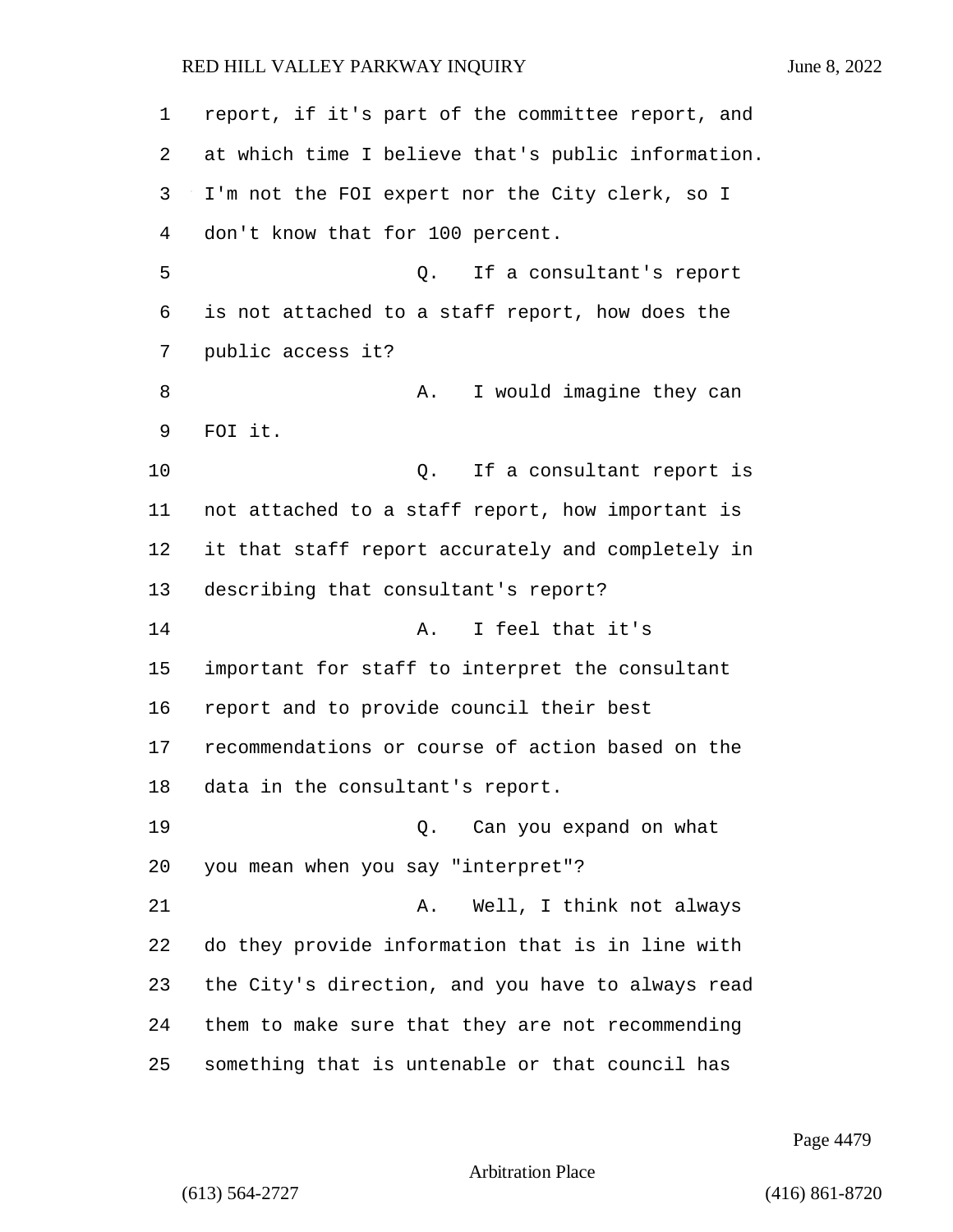| 1  | report, if it's part of the committee report, and  |
|----|----------------------------------------------------|
| 2  | at which time I believe that's public information. |
| 3  | I'm not the FOI expert nor the City clerk, so I    |
| 4  | don't know that for 100 percent.                   |
| 5  | If a consultant's report<br>Q.                     |
| 6  | is not attached to a staff report, how does the    |
| 7  | public access it?                                  |
| 8  | I would imagine they can<br>Α.                     |
| 9  | FOI it.                                            |
| 10 | If a consultant report is<br>Q.                    |
| 11 | not attached to a staff report, how important is   |
| 12 | it that staff report accurately and completely in  |
| 13 | describing that consultant's report?               |
| 14 | I feel that it's<br>Α.                             |
| 15 | important for staff to interpret the consultant    |
| 16 | report and to provide council their best           |
| 17 | recommendations or course of action based on the   |
| 18 | data in the consultant's report.                   |
| 19 | Can you expand on what<br>Q.                       |
| 20 | you mean when you say "interpret"?                 |
| 21 | Well, I think not always<br>Α.                     |
| 22 | do they provide information that is in line with   |
| 23 | the City's direction, and you have to always read  |
| 24 | them to make sure that they are not recommending   |
| 25 | something that is untenable or that council has    |

Page 4479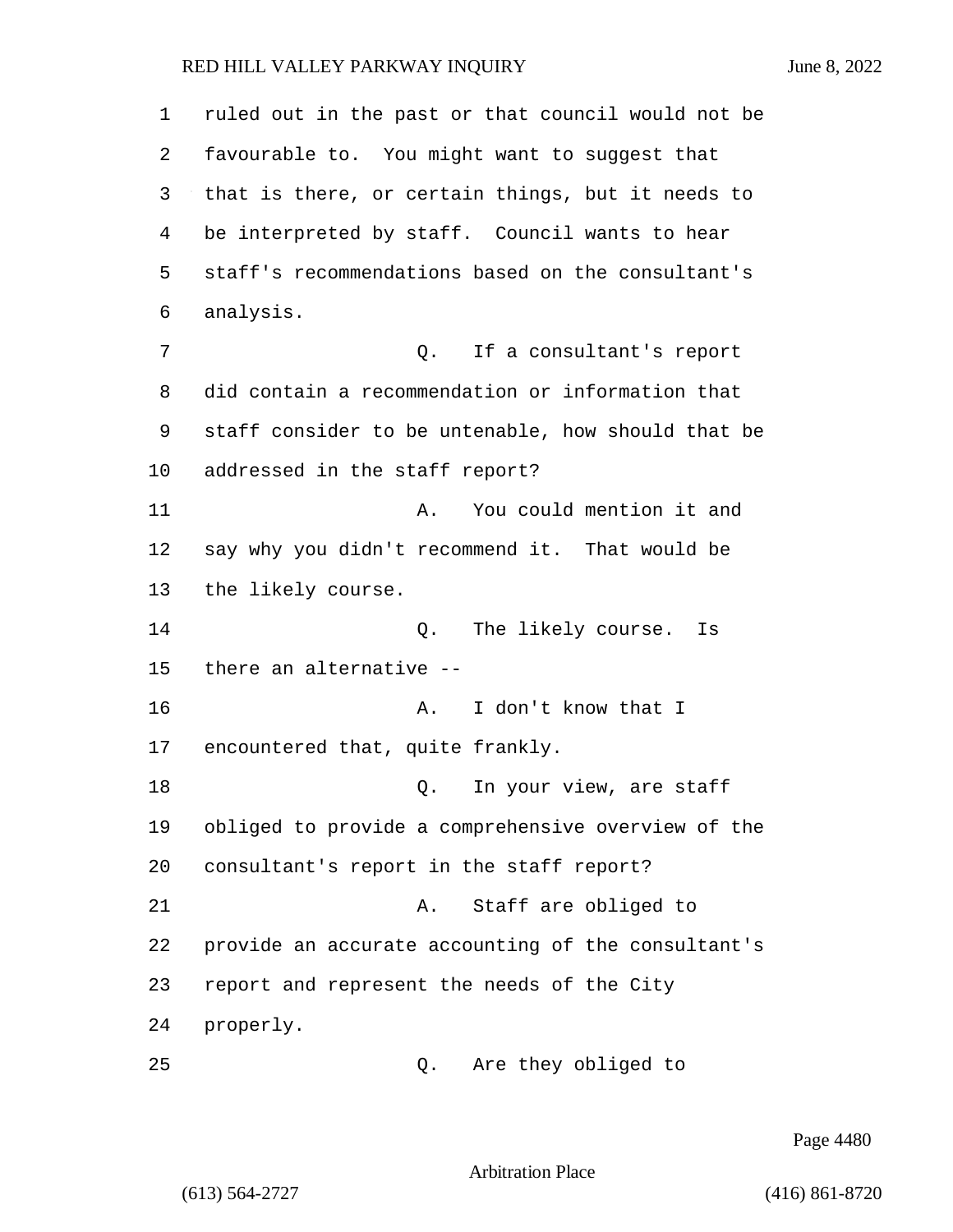| 1  | ruled out in the past or that council would not be |
|----|----------------------------------------------------|
| 2  | favourable to. You might want to suggest that      |
| 3  | that is there, or certain things, but it needs to  |
| 4  | be interpreted by staff. Council wants to hear     |
| 5  | staff's recommendations based on the consultant's  |
| 6  | analysis.                                          |
| 7  | If a consultant's report<br>0.                     |
| 8  | did contain a recommendation or information that   |
| 9  | staff consider to be untenable, how should that be |
| 10 | addressed in the staff report?                     |
| 11 | You could mention it and<br>Α.                     |
| 12 | say why you didn't recommend it. That would be     |
| 13 | the likely course.                                 |
| 14 | Q. The likely course.<br>Is                        |
| 15 | there an alternative --                            |
| 16 | I don't know that I<br>Α.                          |
| 17 | encountered that, quite frankly.                   |
| 18 | In your view, are staff<br>Q.                      |
| 19 | obliged to provide a comprehensive overview of the |
| 20 | consultant's report in the staff report?           |
| 21 | Staff are obliged to<br>Α.                         |
| 22 | provide an accurate accounting of the consultant's |
| 23 | report and represent the needs of the City         |
| 24 | properly.                                          |
| 25 | Are they obliged to<br>Q.                          |

Page 4480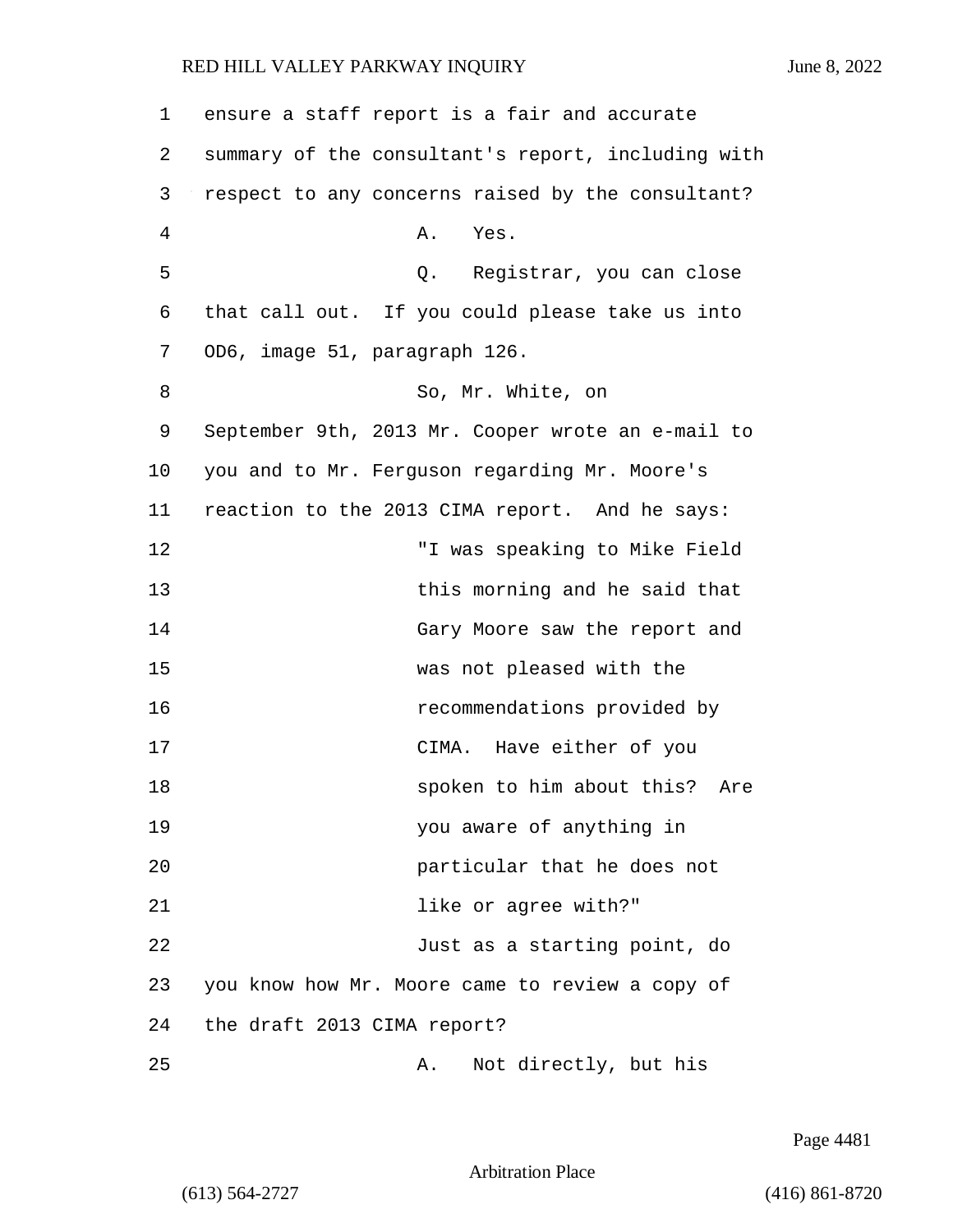1 ensure a staff report is a fair and accurate 2 summary of the consultant's report, including with 3 respect to any concerns raised by the consultant? 4 A. Yes. 5 Q. Registrar, you can close 6 that call out. If you could please take us into 7 OD6, image 51, paragraph 126. 8 So, Mr. White, on 9 September 9th, 2013 Mr. Cooper wrote an e-mail to 10 you and to Mr. Ferguson regarding Mr. Moore's 11 reaction to the 2013 CIMA report. And he says: 12 "I was speaking to Mike Field 13 this morning and he said that 14 Gary Moore saw the report and 15 was not pleased with the 16 recommendations provided by 17 CIMA. Have either of you 18 **Spoken to him about this?** Are 19 you aware of anything in 20 particular that he does not 21 **like or agree with?**" 22 Just as a starting point, do 23 you know how Mr. Moore came to review a copy of 24 the draft 2013 CIMA report? 25 A. Not directly, but his

Page 4481

Arbitration Place

(613) 564-2727 (416) 861-8720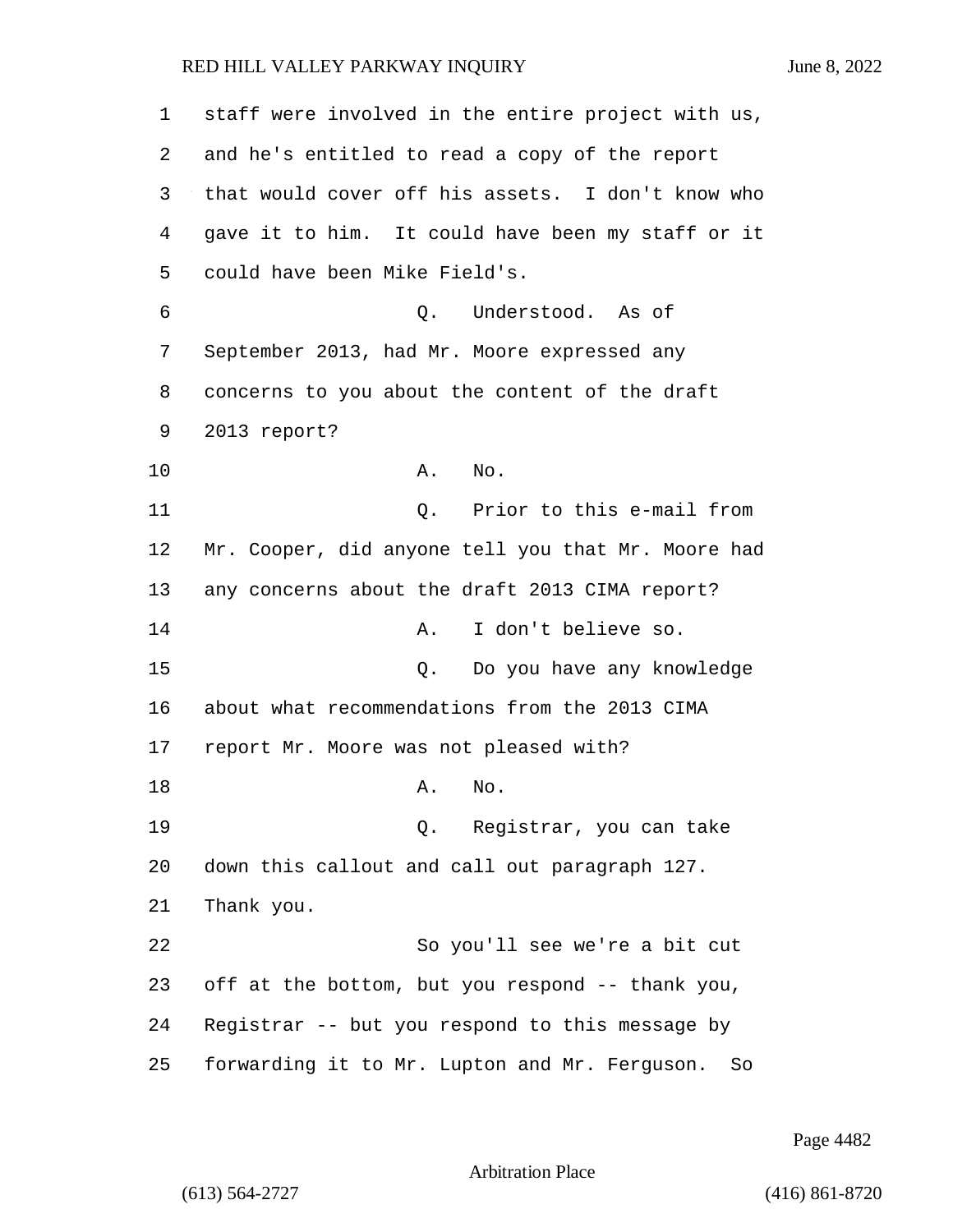| 1  | staff were involved in the entire project with us,  |
|----|-----------------------------------------------------|
| 2  | and he's entitled to read a copy of the report      |
| 3  | that would cover off his assets. I don't know who   |
| 4  | gave it to him. It could have been my staff or it   |
| 5  | could have been Mike Field's.                       |
| 6  | Understood. As of<br>Q.                             |
| 7  | September 2013, had Mr. Moore expressed any         |
| 8  | concerns to you about the content of the draft      |
| 9  | 2013 report?                                        |
| 10 | No.<br>Α.                                           |
| 11 | Q. Prior to this e-mail from                        |
| 12 | Mr. Cooper, did anyone tell you that Mr. Moore had  |
| 13 | any concerns about the draft 2013 CIMA report?      |
| 14 | I don't believe so.<br>Α.                           |
| 15 | Q. Do you have any knowledge                        |
| 16 | about what recommendations from the 2013 CIMA       |
| 17 | report Mr. Moore was not pleased with?              |
| 18 | No.<br>A.                                           |
| 19 | Registrar, you can take<br>О.                       |
| 20 | down this callout and call out paragraph 127.       |
| 21 | Thank you.                                          |
| 22 | So you'll see we're a bit cut                       |
| 23 | off at the bottom, but you respond -- thank you,    |
| 24 | Registrar -- but you respond to this message by     |
| 25 | forwarding it to Mr. Lupton and Mr. Ferguson.<br>So |

Page 4482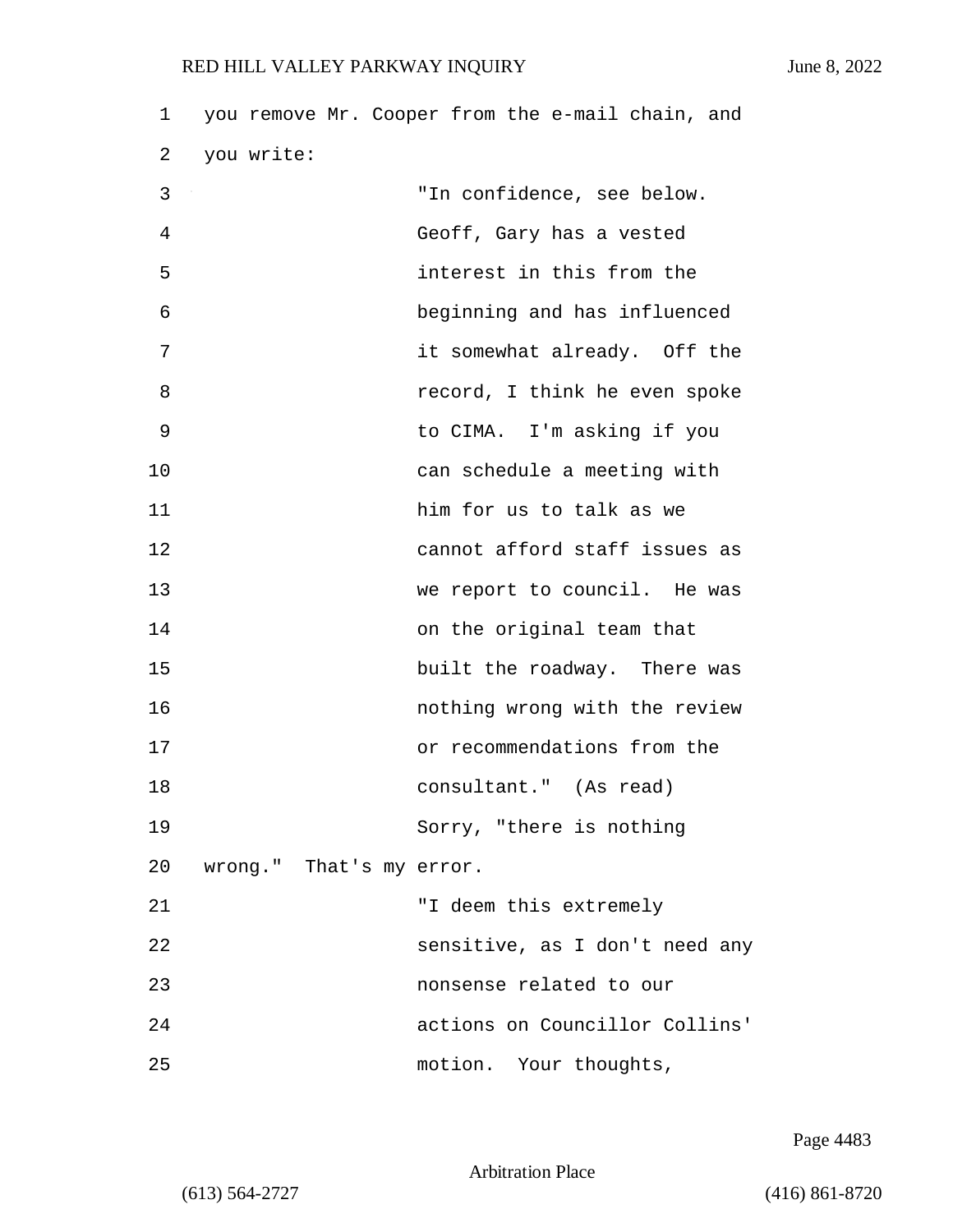| 1  |                          | you remove Mr. Cooper from the e-mail chain, and |
|----|--------------------------|--------------------------------------------------|
| 2  | you write:               |                                                  |
| 3  |                          | "In confidence, see below.                       |
| 4  |                          | Geoff, Gary has a vested                         |
| 5  |                          | interest in this from the                        |
| 6  |                          | beginning and has influenced                     |
| 7  |                          | it somewhat already. Off the                     |
| 8  |                          | record, I think he even spoke                    |
| 9  |                          | to CIMA. I'm asking if you                       |
| 10 |                          | can schedule a meeting with                      |
| 11 |                          | him for us to talk as we                         |
| 12 |                          | cannot afford staff issues as                    |
| 13 |                          | we report to council. He was                     |
| 14 |                          | on the original team that                        |
| 15 |                          | built the roadway. There was                     |
| 16 |                          | nothing wrong with the review                    |
| 17 |                          | or recommendations from the                      |
| 18 |                          | consultant." (As read)                           |
| 19 |                          | Sorry, "there is nothing                         |
| 20 | wrong." That's my error. |                                                  |
| 21 |                          | "I deem this extremely                           |
| 22 |                          | sensitive, as I don't need any                   |
| 23 |                          | nonsense related to our                          |
| 24 |                          | actions on Councillor Collins'                   |
| 25 |                          | motion. Your thoughts,                           |

Page 4483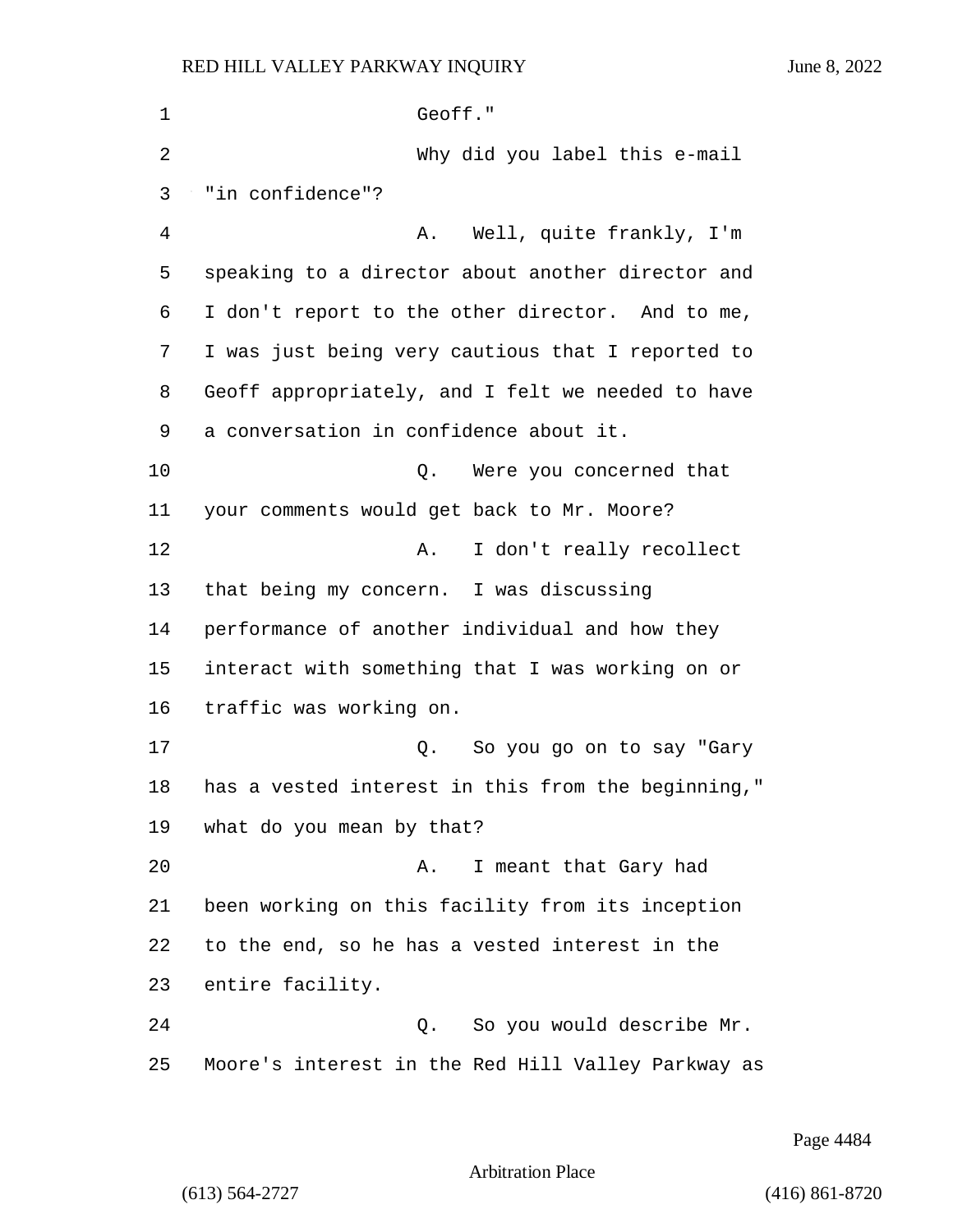| 1  | Geoff."                                            |
|----|----------------------------------------------------|
| 2  | Why did you label this e-mail                      |
| 3  | "in confidence"?                                   |
| 4  | Well, quite frankly, I'm<br>Α.                     |
| 5  | speaking to a director about another director and  |
| 6  | I don't report to the other director. And to me,   |
| 7  | I was just being very cautious that I reported to  |
| 8  | Geoff appropriately, and I felt we needed to have  |
| 9  | a conversation in confidence about it.             |
| 10 | Q. Were you concerned that                         |
| 11 | your comments would get back to Mr. Moore?         |
| 12 | I don't really recollect<br>Α.                     |
| 13 | that being my concern. I was discussing            |
| 14 | performance of another individual and how they     |
| 15 | interact with something that I was working on or   |
| 16 | traffic was working on.                            |
| 17 | So you go on to say "Gary<br>Q.                    |
| 18 | has a vested interest in this from the beginning," |
| 19 | what do you mean by that?                          |
| 20 | I meant that Gary had<br>Α.                        |
| 21 | been working on this facility from its inception   |
| 22 | to the end, so he has a vested interest in the     |
| 23 | entire facility.                                   |
| 24 | Q. So you would describe Mr.                       |
| 25 | Moore's interest in the Red Hill Valley Parkway as |

Page 4484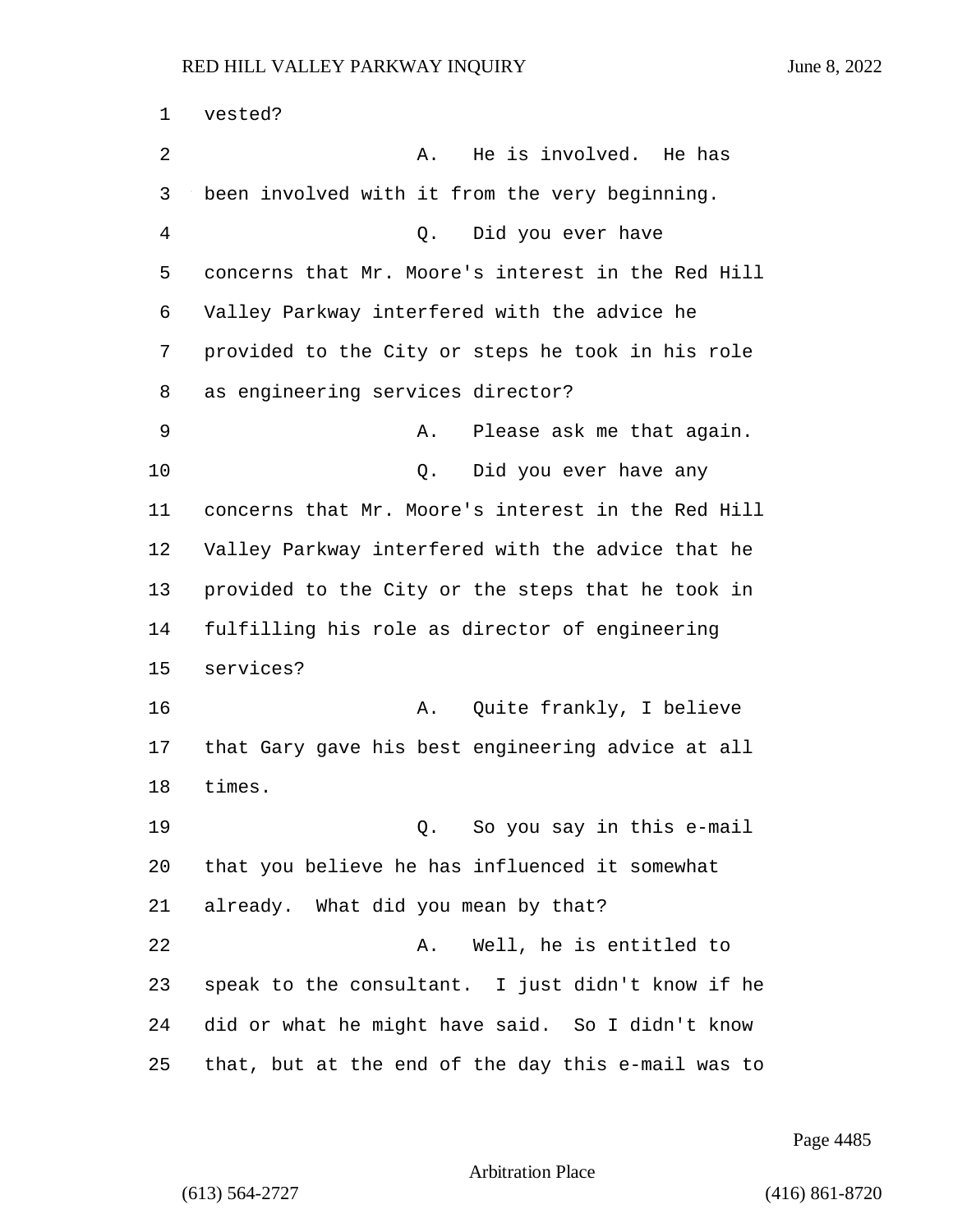vested? 2 A. He is involved. He has been involved with it from the very beginning. 4 Q. Did you ever have concerns that Mr. Moore's interest in the Red Hill Valley Parkway interfered with the advice he provided to the City or steps he took in his role as engineering services director? 9 A. Please ask me that again. 10 Q. Did you ever have any concerns that Mr. Moore's interest in the Red Hill Valley Parkway interfered with the advice that he provided to the City or the steps that he took in fulfilling his role as director of engineering services? 16 A. Quite frankly, I believe that Gary gave his best engineering advice at all times. 19 Q. So you say in this e-mail that you believe he has influenced it somewhat already. What did you mean by that? 22 A. Well, he is entitled to speak to the consultant. I just didn't know if he did or what he might have said. So I didn't know that, but at the end of the day this e-mail was to

Page 4485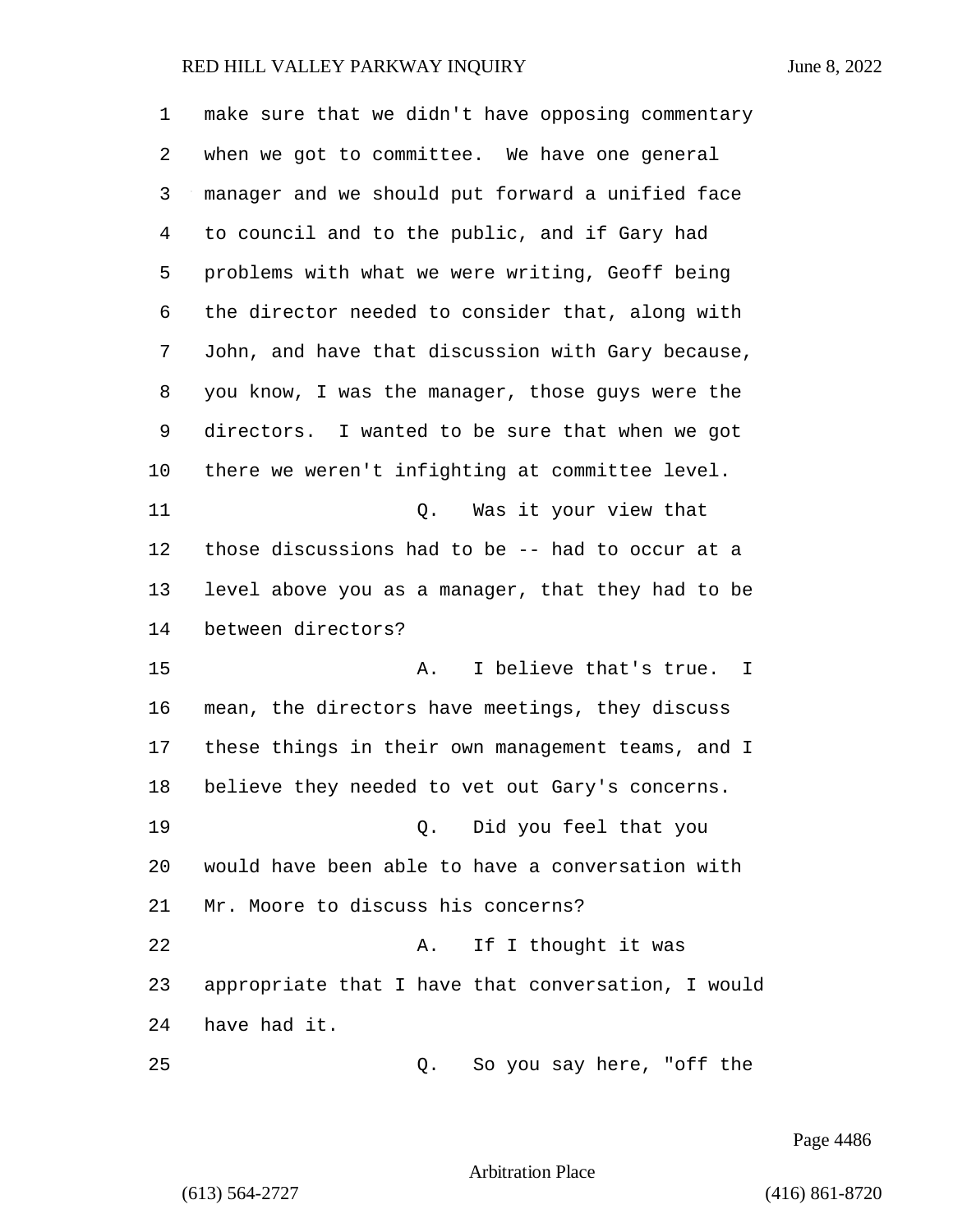| 1       | make sure that we didn't have opposing commentary  |
|---------|----------------------------------------------------|
| 2       | when we got to committee. We have one general      |
| 3       | manager and we should put forward a unified face   |
| 4       | to council and to the public, and if Gary had      |
| 5       | problems with what we were writing, Geoff being    |
| 6       | the director needed to consider that, along with   |
| 7       | John, and have that discussion with Gary because,  |
| 8       | you know, I was the manager, those guys were the   |
| 9       | directors. I wanted to be sure that when we got    |
| $10 \,$ | there we weren't infighting at committee level.    |
| 11      | Was it your view that<br>Q.                        |
| 12      | those discussions had to be -- had to occur at a   |
| 13      | level above you as a manager, that they had to be  |
| 14      | between directors?                                 |
| 15      | I believe that's true. I<br>Α.                     |
| 16      | mean, the directors have meetings, they discuss    |
| 17      | these things in their own management teams, and I  |
| 18      | believe they needed to vet out Gary's concerns.    |
| 19      | Q. Did you feel that you                           |
| 20      | would have been able to have a conversation with   |
| 21      | Mr. Moore to discuss his concerns?                 |
| 22      | If I thought it was<br>Α.                          |
| 23      | appropriate that I have that conversation, I would |
| 24      | have had it.                                       |
| 25      | So you say here, "off the<br>Q.                    |

Page 4486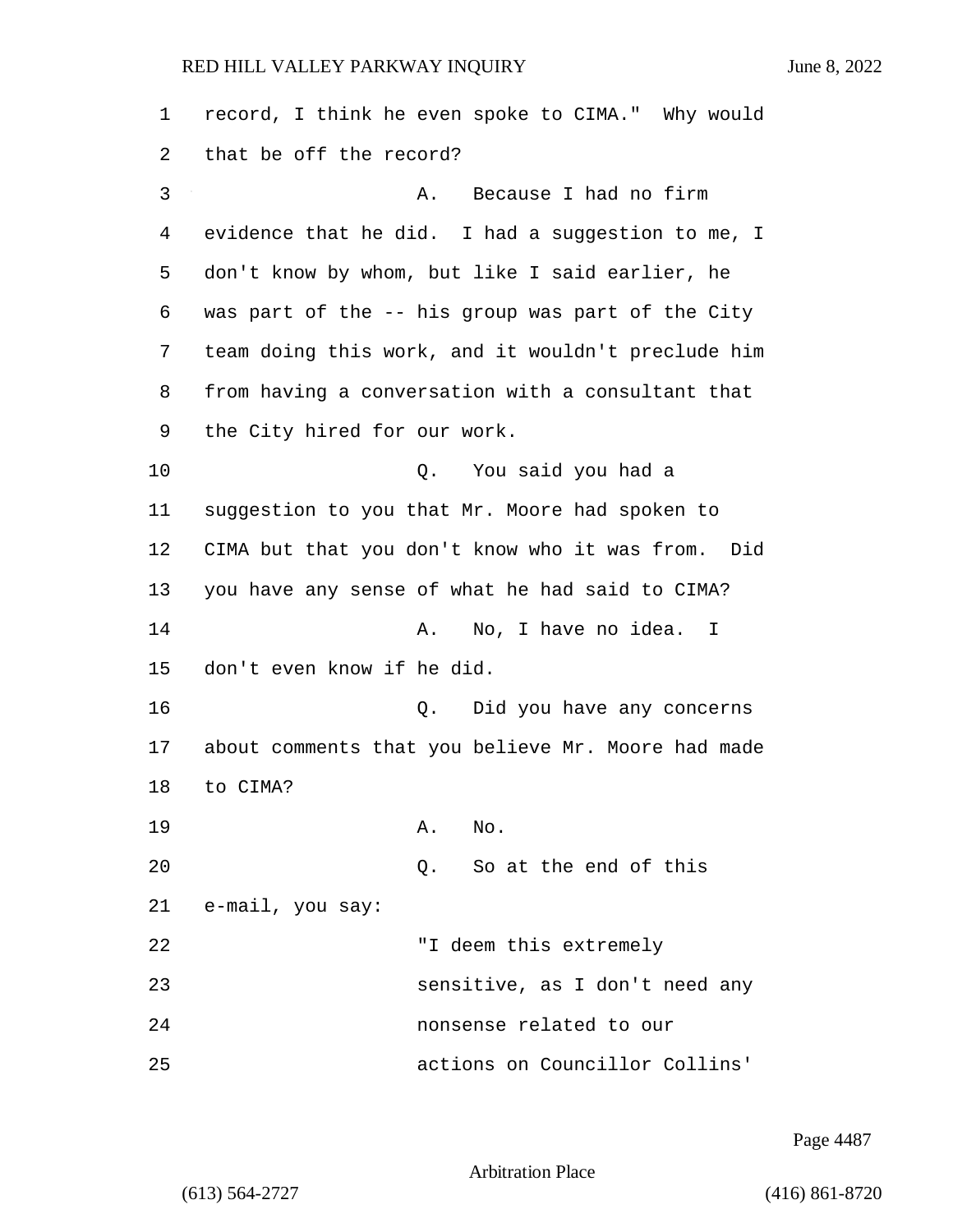1 record, I think he even spoke to CIMA." Why would 2 that be off the record? 3 A. Because I had no firm 4 evidence that he did. I had a suggestion to me, I 5 don't know by whom, but like I said earlier, he 6 was part of the -- his group was part of the City 7 team doing this work, and it wouldn't preclude him 8 from having a conversation with a consultant that 9 the City hired for our work. 10 Q. You said you had a 11 suggestion to you that Mr. Moore had spoken to 12 CIMA but that you don't know who it was from. Did 13 you have any sense of what he had said to CIMA? 14 A. No, I have no idea. I 15 don't even know if he did. 16 Q. Did you have any concerns 17 about comments that you believe Mr. Moore had made 18 to CIMA? 19 A. No. 20 Q. So at the end of this 21 e-mail, you say: 22 "I deem this extremely 23 sensitive, as I don't need any 24 nonsense related to our 25 actions on Councillor Collins'

Page 4487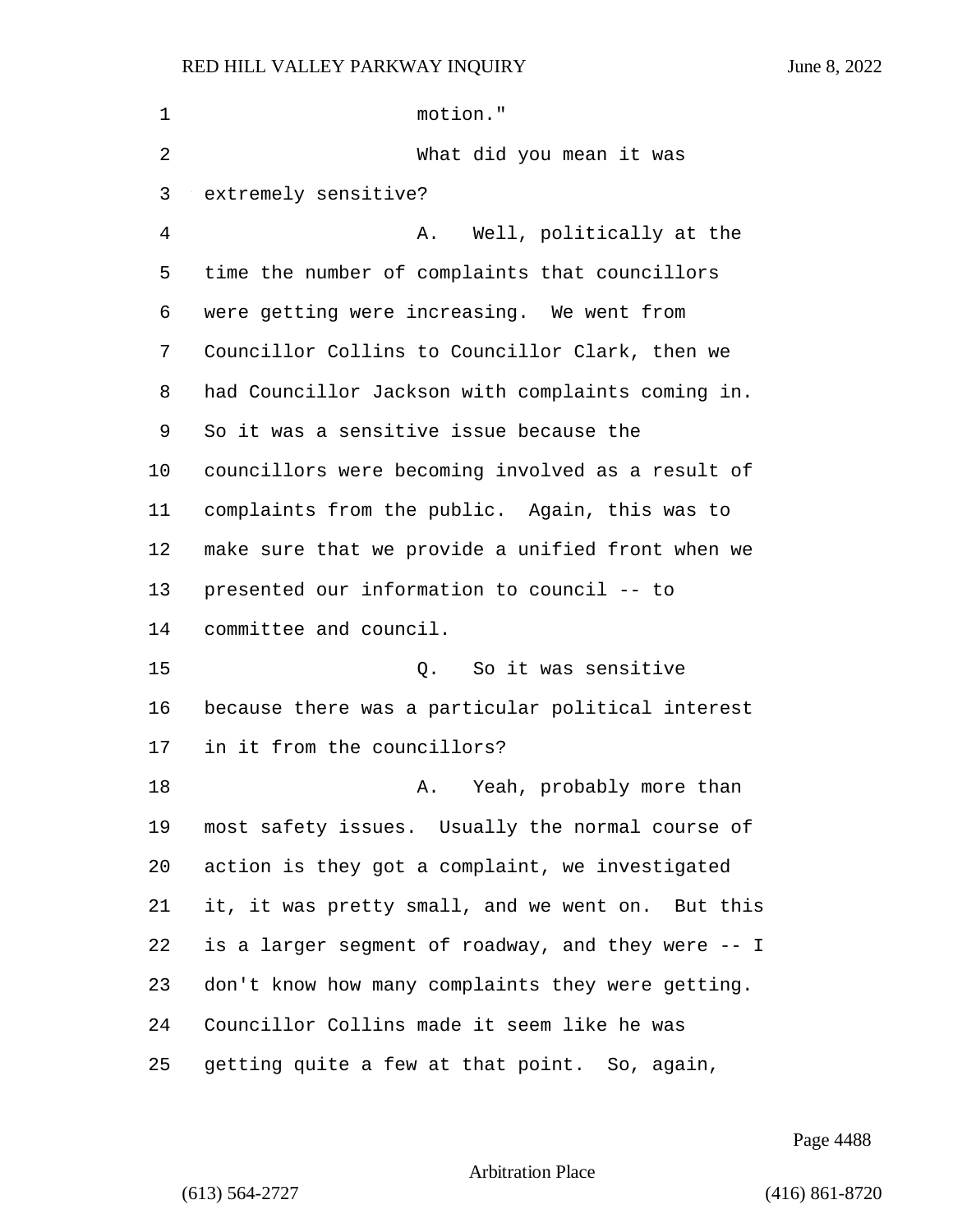| 1  | motion."                                           |
|----|----------------------------------------------------|
| 2  | What did you mean it was                           |
| 3  | extremely sensitive?                               |
| 4  | Well, politically at the<br>Α.                     |
| 5  | time the number of complaints that councillors     |
| 6  | were getting were increasing. We went from         |
| 7  | Councillor Collins to Councillor Clark, then we    |
| 8  | had Councillor Jackson with complaints coming in.  |
| 9  | So it was a sensitive issue because the            |
| 10 | councillors were becoming involved as a result of  |
| 11 | complaints from the public. Again, this was to     |
| 12 | make sure that we provide a unified front when we  |
| 13 | presented our information to council -- to         |
| 14 | committee and council.                             |
| 15 | So it was sensitive<br>Q.                          |
| 16 | because there was a particular political interest  |
| 17 | in it from the councillors?                        |
| 18 | Yeah, probably more than<br>Α.                     |
| 19 | most safety issues. Usually the normal course of   |
| 20 | action is they got a complaint, we investigated    |
| 21 | it, it was pretty small, and we went on. But this  |
| 22 | is a larger segment of roadway, and they were -- I |
| 23 | don't know how many complaints they were getting.  |
| 24 | Councillor Collins made it seem like he was        |
| 25 | getting quite a few at that point. So, again,      |

Page 4488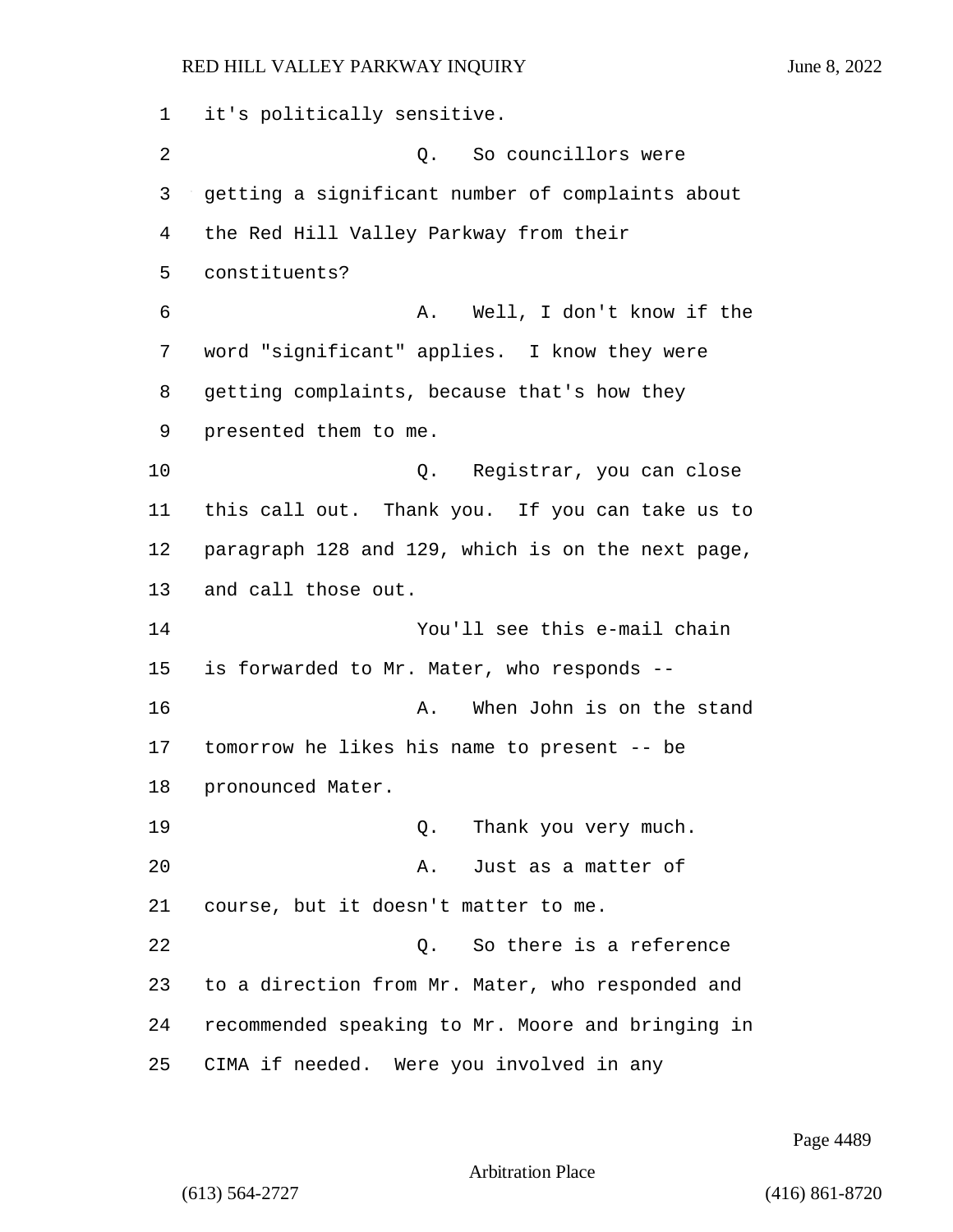it's politically sensitive. 2 Q. So councillors were getting a significant number of complaints about the Red Hill Valley Parkway from their constituents? 6 A. Well, I don't know if the word "significant" applies. I know they were getting complaints, because that's how they presented them to me. 10 Q. Registrar, you can close this call out. Thank you. If you can take us to paragraph 128 and 129, which is on the next page, and call those out. 14 You'll see this e-mail chain is forwarded to Mr. Mater, who responds -- 16 A. When John is on the stand tomorrow he likes his name to present -- be pronounced Mater. 19 and 19 Q. Thank you very much. **A.** Just as a matter of course, but it doesn't matter to me. 22 22 Q. So there is a reference to a direction from Mr. Mater, who responded and recommended speaking to Mr. Moore and bringing in CIMA if needed. Were you involved in any

Page 4489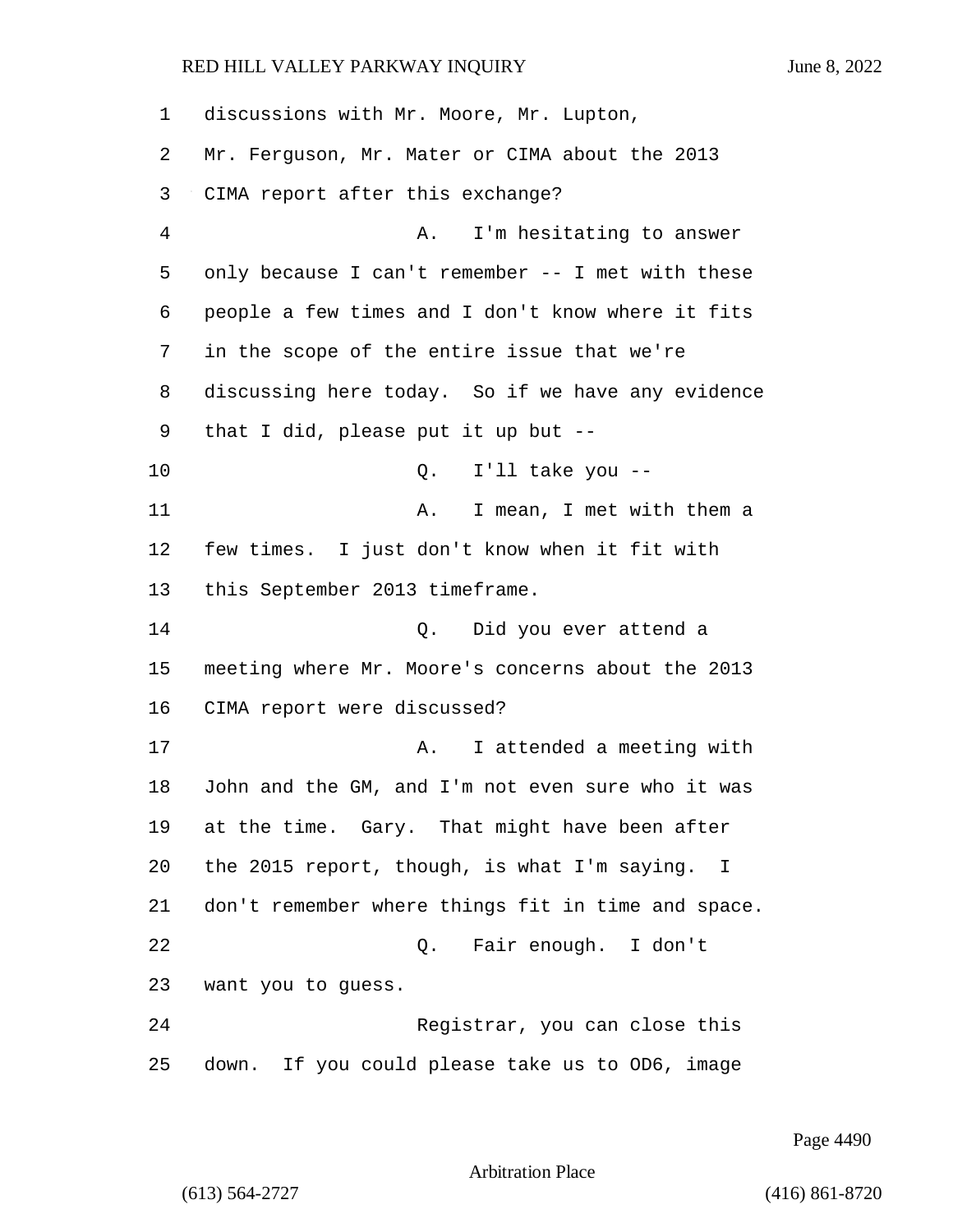discussions with Mr. Moore, Mr. Lupton, Mr. Ferguson, Mr. Mater or CIMA about the 2013 CIMA report after this exchange? 4 A. I'm hesitating to answer only because I can't remember -- I met with these people a few times and I don't know where it fits in the scope of the entire issue that we're discussing here today. So if we have any evidence that I did, please put it up but -- 10 Q. I'll take you -- 11 A. I mean, I met with them a few times. I just don't know when it fit with this September 2013 timeframe. 14 Q. Did you ever attend a meeting where Mr. Moore's concerns about the 2013 CIMA report were discussed? **A.** I attended a meeting with John and the GM, and I'm not even sure who it was at the time. Gary. That might have been after the 2015 report, though, is what I'm saying. I don't remember where things fit in time and space. 22 Q. Fair enough. I don't want you to guess. 24 Registrar, you can close this down. If you could please take us to OD6, image

Page 4490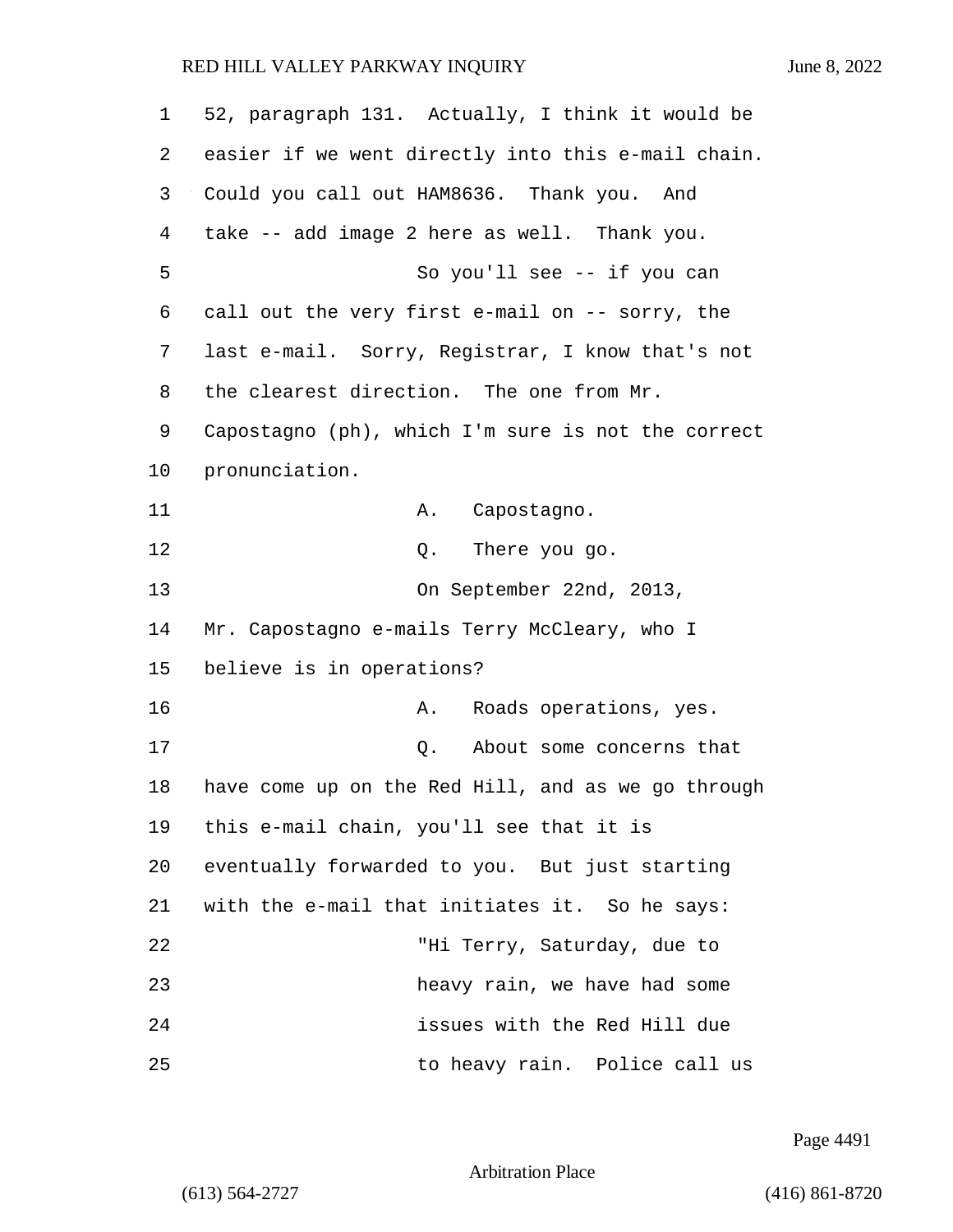| $\mathbf 1$ | 52, paragraph 131. Actually, I think it would be   |
|-------------|----------------------------------------------------|
| 2           | easier if we went directly into this e-mail chain. |
| 3           | Could you call out HAM8636. Thank you. And         |
| 4           | take -- add image 2 here as well. Thank you.       |
| 5           | So you'll see -- if you can                        |
| 6           | call out the very first e-mail on -- sorry, the    |
| 7           | last e-mail. Sorry, Registrar, I know that's not   |
| 8           | the clearest direction. The one from Mr.           |
| 9           | Capostagno (ph), which I'm sure is not the correct |
| 10          | pronunciation.                                     |
| 11          | Capostagno.<br>Α.                                  |
| 12          | There you go.<br>Q.                                |
| 13          | On September 22nd, 2013,                           |
| 14          | Mr. Capostagno e-mails Terry McCleary, who I       |
| 15          | believe is in operations?                          |
| 16          | Roads operations, yes.<br>Α.                       |
| 17          | About some concerns that<br>Q.                     |
| 18          | have come up on the Red Hill, and as we go through |
| 19          | this e-mail chain, you'll see that it is           |
| 20          | eventually forwarded to you. But just starting     |
| 21          | with the e-mail that initiates it. So he says:     |
| 22          | "Hi Terry, Saturday, due to                        |
| 23          | heavy rain, we have had some                       |
| 24          | issues with the Red Hill due                       |
| 25          | to heavy rain. Police call us                      |

Page 4491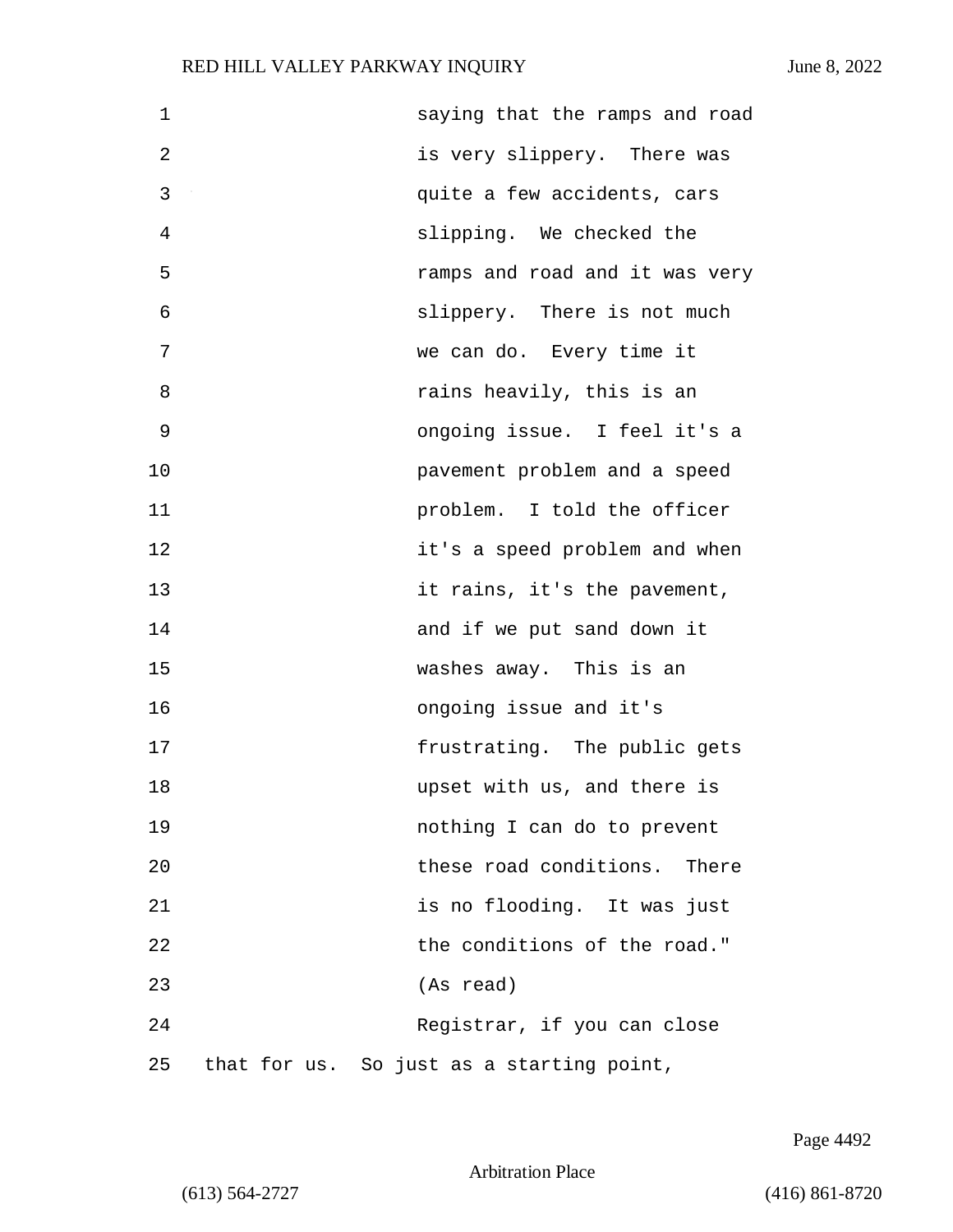| $\mathbf 1$ | saying that the ramps and road            |
|-------------|-------------------------------------------|
| 2           | is very slippery. There was               |
| 3           | quite a few accidents, cars               |
| 4           | slipping. We checked the                  |
| 5           | ramps and road and it was very            |
| 6           | slippery. There is not much               |
| 7           | we can do. Every time it                  |
| 8           | rains heavily, this is an                 |
| 9           | ongoing issue. I feel it's a              |
| 10          | pavement problem and a speed              |
| 11          | problem. I told the officer               |
| 12          | it's a speed problem and when             |
| 13          | it rains, it's the pavement,              |
| 14          | and if we put sand down it                |
| 15          | washes away. This is an                   |
| 16          | ongoing issue and it's                    |
| 17          | frustrating. The public gets              |
| 18          | upset with us, and there is               |
| 19          | nothing I can do to prevent               |
| 20          | these road conditions. There              |
| 21          | is no flooding. It was just               |
| 22          | the conditions of the road."              |
| 23          | (As read)                                 |
| 24          | Registrar, if you can close               |
| 25          | that for us. So just as a starting point, |

Page 4492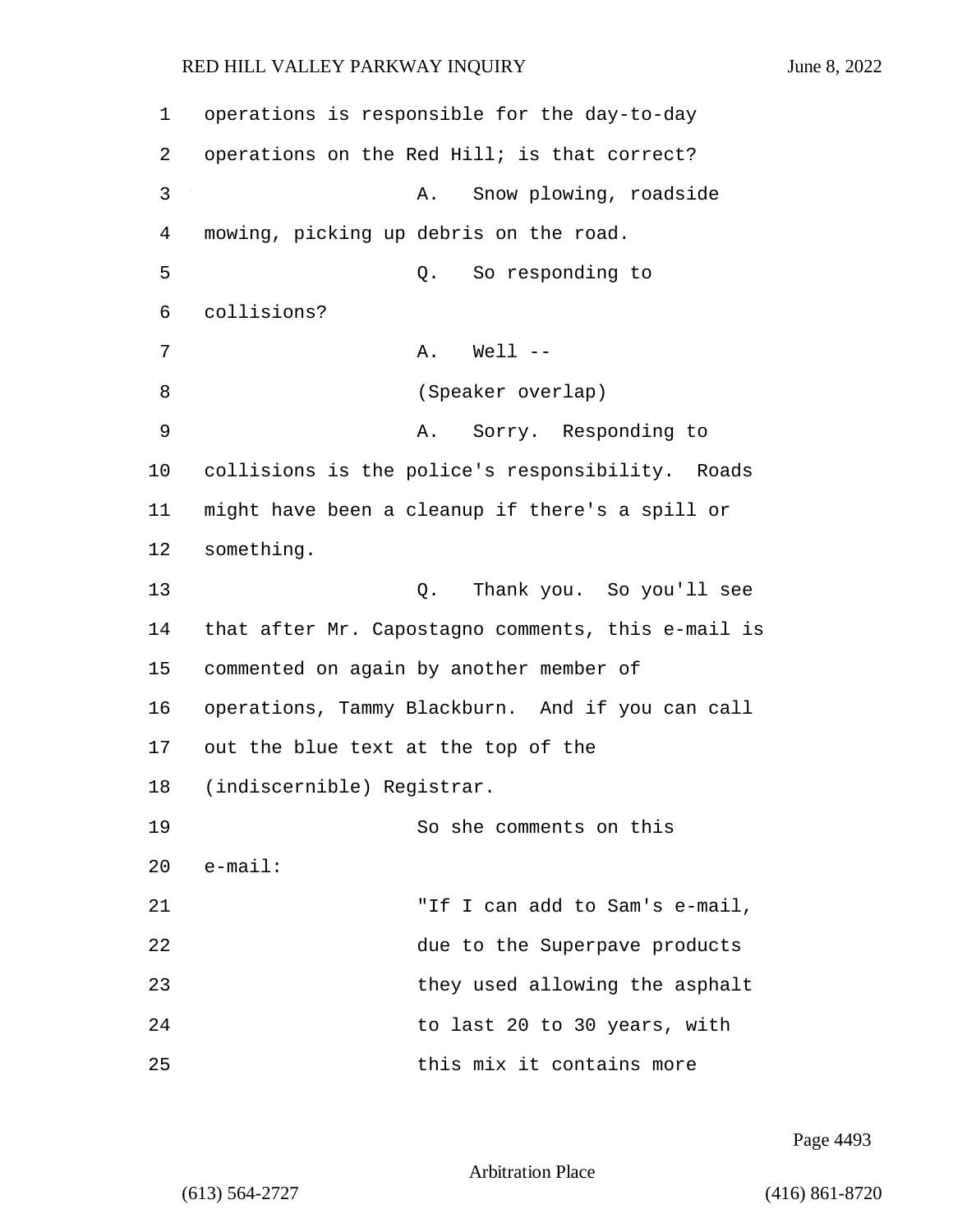1 operations is responsible for the day-to-day 2 operations on the Red Hill; is that correct? 3 A. Snow plowing, roadside 4 mowing, picking up debris on the road. 5 Q. So responding to 6 collisions? 7 A. Well --8 (Speaker overlap) 9 A. Sorry. Responding to 10 collisions is the police's responsibility. Roads 11 might have been a cleanup if there's a spill or 12 something. 13 Q. Thank you. So you'll see 14 that after Mr. Capostagno comments, this e-mail is 15 commented on again by another member of 16 operations, Tammy Blackburn. And if you can call 17 out the blue text at the top of the 18 (indiscernible) Registrar. 19 So she comments on this 20 e-mail: 21 "If I can add to Sam's e-mail, 22 due to the Superpave products 23 they used allowing the asphalt 24 to last 20 to 30 years, with 25 this mix it contains more

Page 4493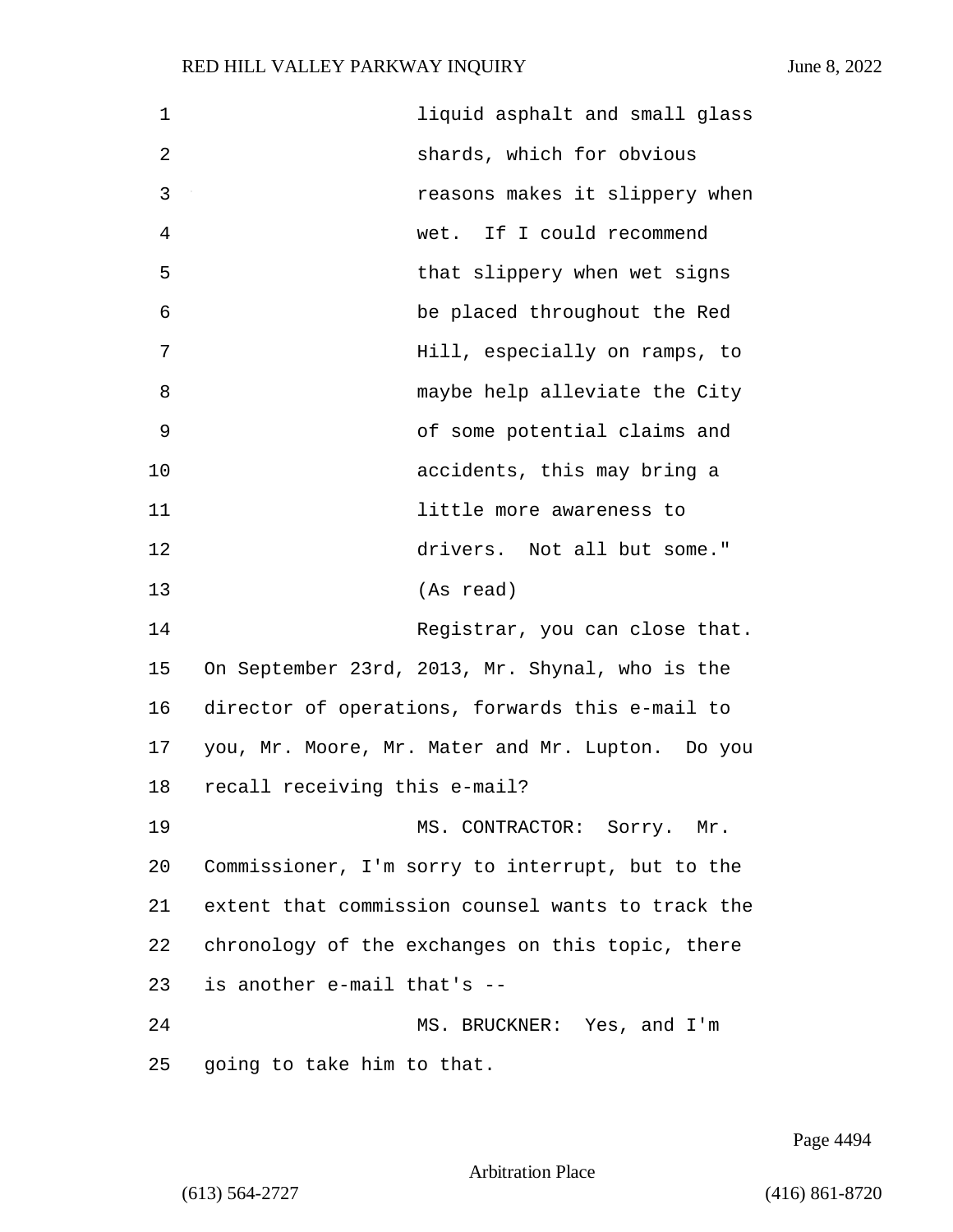| 1            | liquid asphalt and small glass                    |
|--------------|---------------------------------------------------|
| $\mathbf{2}$ | shards, which for obvious                         |
| 3            | reasons makes it slippery when                    |
| 4            | wet. If I could recommend                         |
| 5            | that slippery when wet signs                      |
| 6            | be placed throughout the Red                      |
| 7            | Hill, especially on ramps, to                     |
| 8            | maybe help alleviate the City                     |
| $\mathsf 9$  | of some potential claims and                      |
| 10           | accidents, this may bring a                       |
| 11           | little more awareness to                          |
| 12           | drivers. Not all but some."                       |
| 13           | (As read)                                         |
| 14           | Registrar, you can close that.                    |
| 15           | On September 23rd, 2013, Mr. Shynal, who is the   |
| 16           | director of operations, forwards this e-mail to   |
| 17           | you, Mr. Moore, Mr. Mater and Mr. Lupton. Do you  |
| 18           | recall receiving this e-mail?                     |
| 19           | MS. CONTRACTOR: Sorry. Mr.                        |
| 20           | Commissioner, I'm sorry to interrupt, but to the  |
| 21           | extent that commission counsel wants to track the |
| 22           | chronology of the exchanges on this topic, there  |
| 23           | is another e-mail that's --                       |
| 24           | MS. BRUCKNER: Yes, and I'm                        |
| 25           | going to take him to that.                        |

Page 4494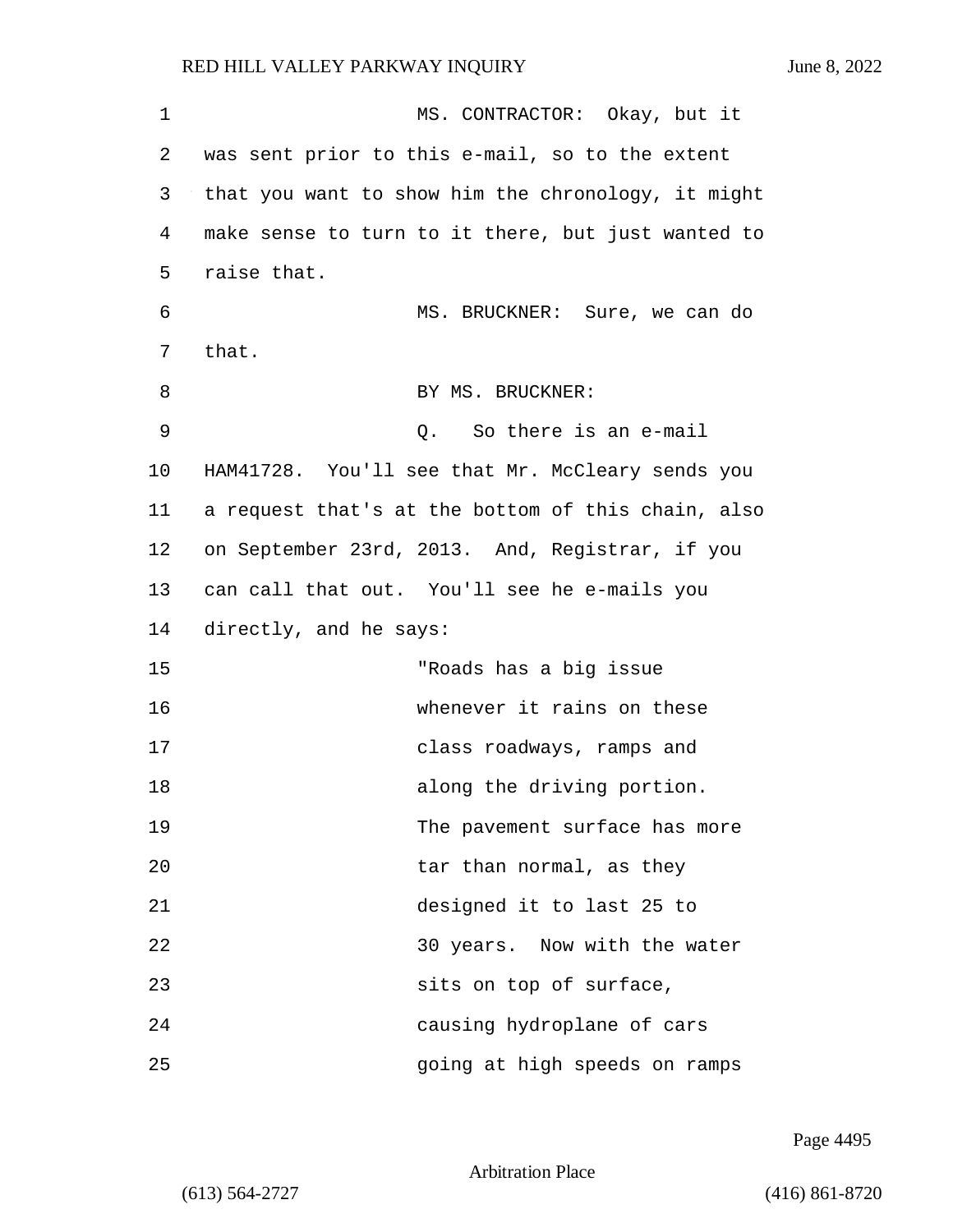1 MS. CONTRACTOR: Okay, but it 2 was sent prior to this e-mail, so to the extent 3 that you want to show him the chronology, it might 4 make sense to turn to it there, but just wanted to 5 raise that. 6 MS. BRUCKNER: Sure, we can do 7 that. 8 BY MS. BRUCKNER: 9 Q. So there is an e-mail 10 HAM41728. You'll see that Mr. McCleary sends you 11 a request that's at the bottom of this chain, also 12 on September 23rd, 2013. And, Registrar, if you 13 can call that out. You'll see he e-mails you 14 directly, and he says: 15 "Roads has a big issue 16 whenever it rains on these 17 class roadways, ramps and 18 along the driving portion. 19 The pavement surface has more 20 tar than normal, as they 21 designed it to last 25 to 22 30 years. Now with the water 23 sits on top of surface, 24 causing hydroplane of cars 25 going at high speeds on ramps

Page 4495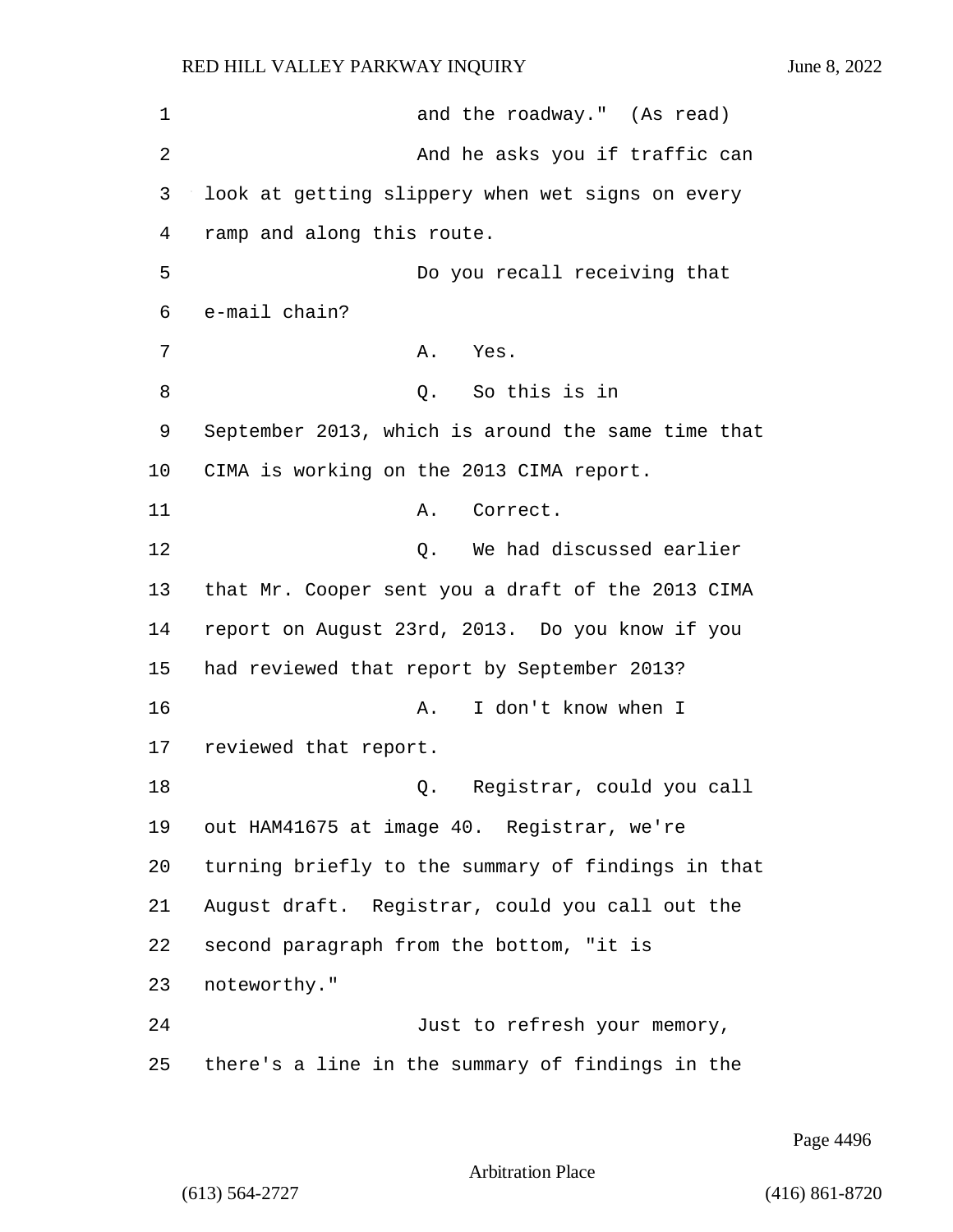1 and the roadway." (As read) 2 And he asks you if traffic can 3 look at getting slippery when wet signs on every 4 ramp and along this route. 5 Do you recall receiving that 6 e-mail chain? 7 A. Yes. 8 Q. So this is in 9 September 2013, which is around the same time that 10 CIMA is working on the 2013 CIMA report. 11 A. Correct. 12 Q. We had discussed earlier 13 that Mr. Cooper sent you a draft of the 2013 CIMA 14 report on August 23rd, 2013. Do you know if you 15 had reviewed that report by September 2013? 16 A. I don't know when I 17 reviewed that report. 18 Q. Registrar, could you call 19 out HAM41675 at image 40. Registrar, we're 20 turning briefly to the summary of findings in that 21 August draft. Registrar, could you call out the 22 second paragraph from the bottom, "it is 23 noteworthy." 24 Just to refresh your memory, 25 there's a line in the summary of findings in the

Page 4496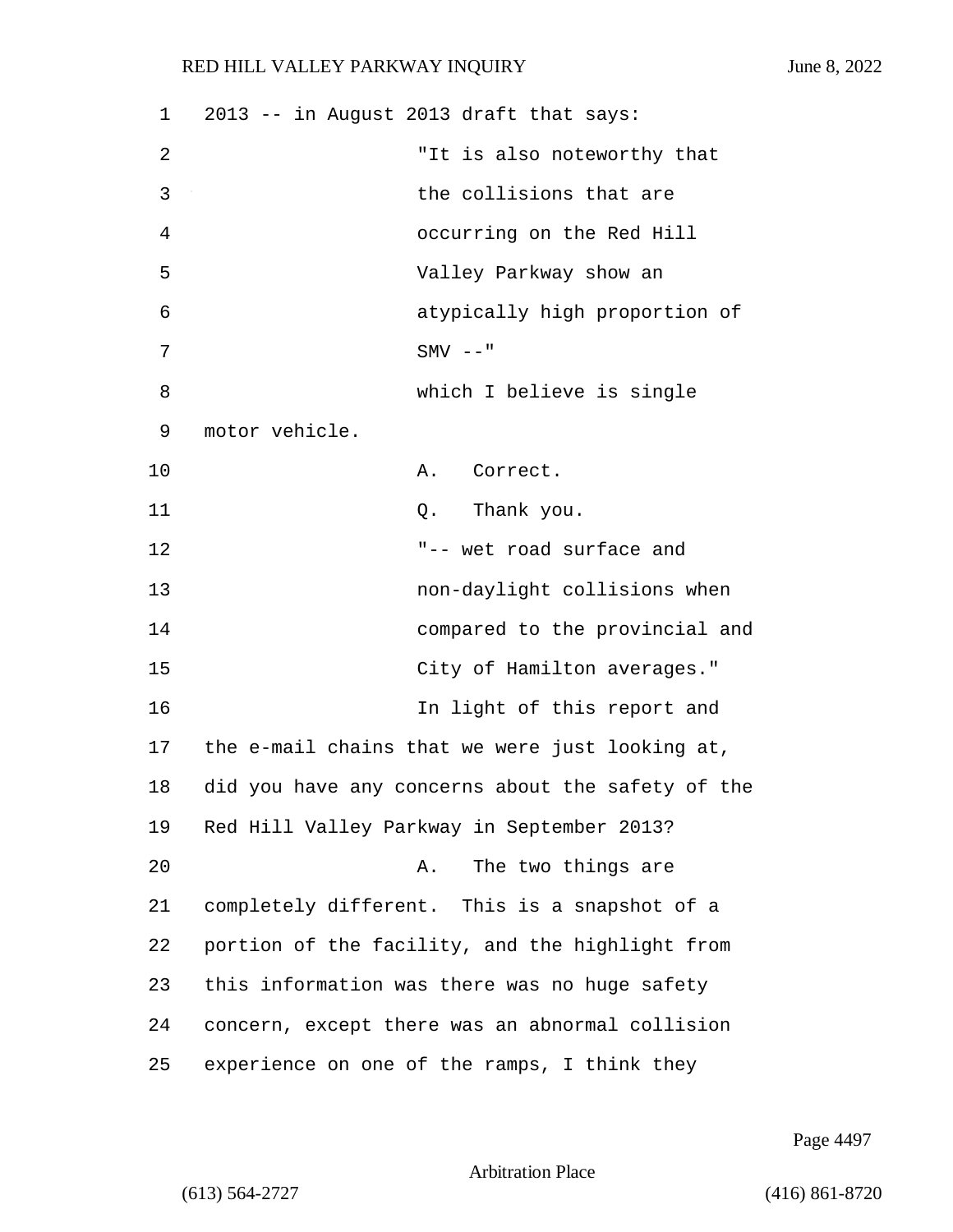| 1  | 2013 -- in August 2013 draft that says:           |
|----|---------------------------------------------------|
| 2  | "It is also noteworthy that                       |
| 3  | the collisions that are                           |
| 4  | occurring on the Red Hill                         |
| 5  | Valley Parkway show an                            |
| 6  | atypically high proportion of                     |
| 7  | $SMV$ --"                                         |
| 8  | which I believe is single                         |
| 9  | motor vehicle.                                    |
| 10 | A. Correct.                                       |
| 11 | Thank you.<br>Q.                                  |
| 12 | "-- wet road surface and                          |
| 13 | non-daylight collisions when                      |
| 14 | compared to the provincial and                    |
| 15 | City of Hamilton averages."                       |
| 16 | In light of this report and                       |
| 17 | the e-mail chains that we were just looking at,   |
| 18 | did you have any concerns about the safety of the |
| 19 | Red Hill Valley Parkway in September 2013?        |
| 20 | The two things are<br>Α.                          |
| 21 | completely different. This is a snapshot of a     |
| 22 | portion of the facility, and the highlight from   |
| 23 | this information was there was no huge safety     |
| 24 | concern, except there was an abnormal collision   |
| 25 | experience on one of the ramps, I think they      |

Page 4497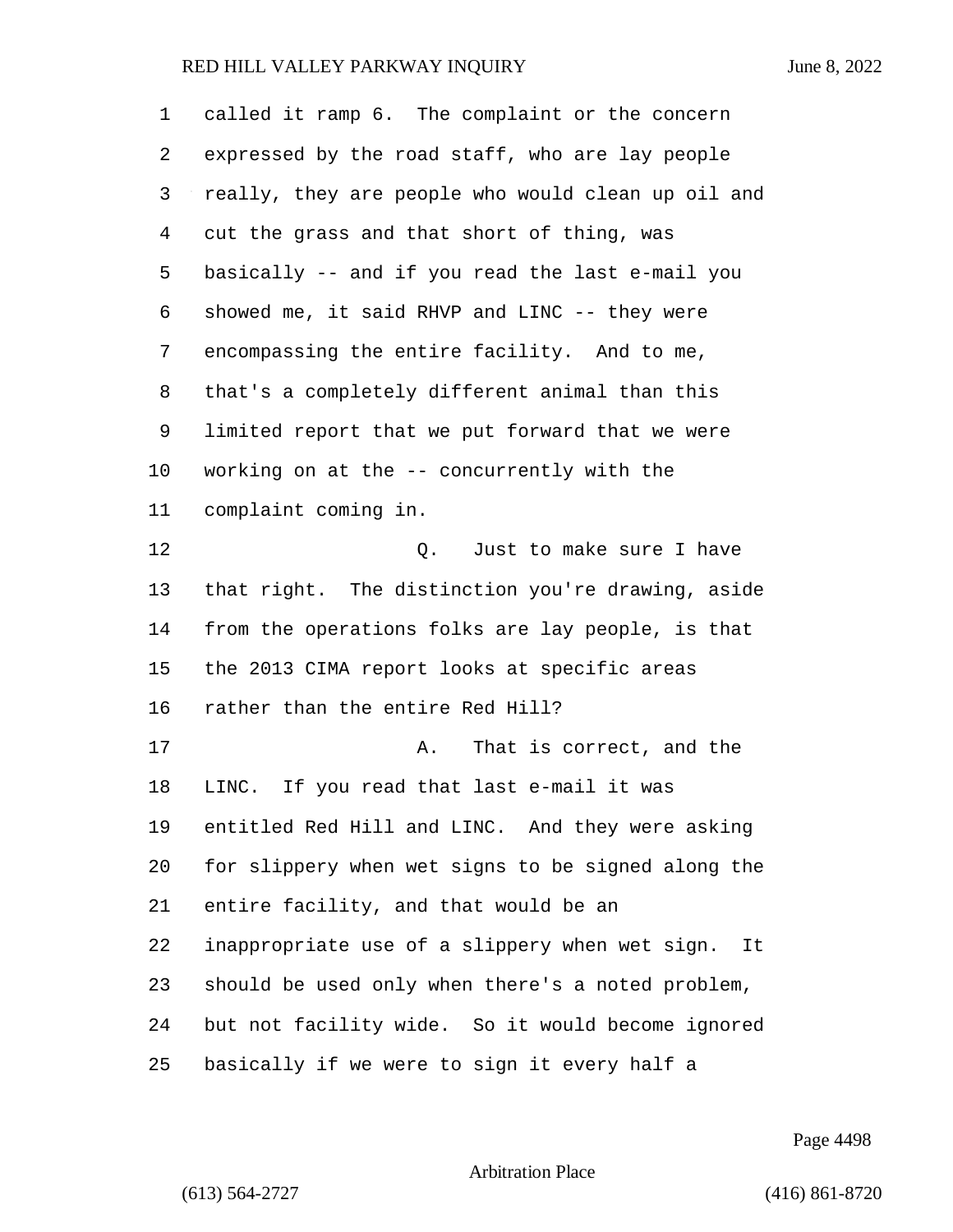| 1  | called it ramp 6. The complaint or the concern       |
|----|------------------------------------------------------|
| 2  | expressed by the road staff, who are lay people      |
| 3  | really, they are people who would clean up oil and   |
| 4  | cut the grass and that short of thing, was           |
| 5  | basically -- and if you read the last e-mail you     |
| 6  | showed me, it said RHVP and LINC -- they were        |
| 7  | encompassing the entire facility. And to me,         |
| 8  | that's a completely different animal than this       |
| 9  | limited report that we put forward that we were      |
| 10 | working on at the -- concurrently with the           |
| 11 | complaint coming in.                                 |
| 12 | Just to make sure I have<br>Q.                       |
| 13 | that right. The distinction you're drawing, aside    |
| 14 | from the operations folks are lay people, is that    |
| 15 | the 2013 CIMA report looks at specific areas         |
| 16 | rather than the entire Red Hill?                     |
| 17 | That is correct, and the<br>Α.                       |
| 18 | LINC. If you read that last e-mail it was            |
| 19 | entitled Red Hill and LINC. And they were asking     |
| 20 | for slippery when wet signs to be signed along the   |
| 21 | entire facility, and that would be an                |
| 22 | inappropriate use of a slippery when wet sign.<br>It |
| 23 | should be used only when there's a noted problem,    |
| 24 | but not facility wide. So it would become ignored    |
| 25 | basically if we were to sign it every half a         |

Page 4498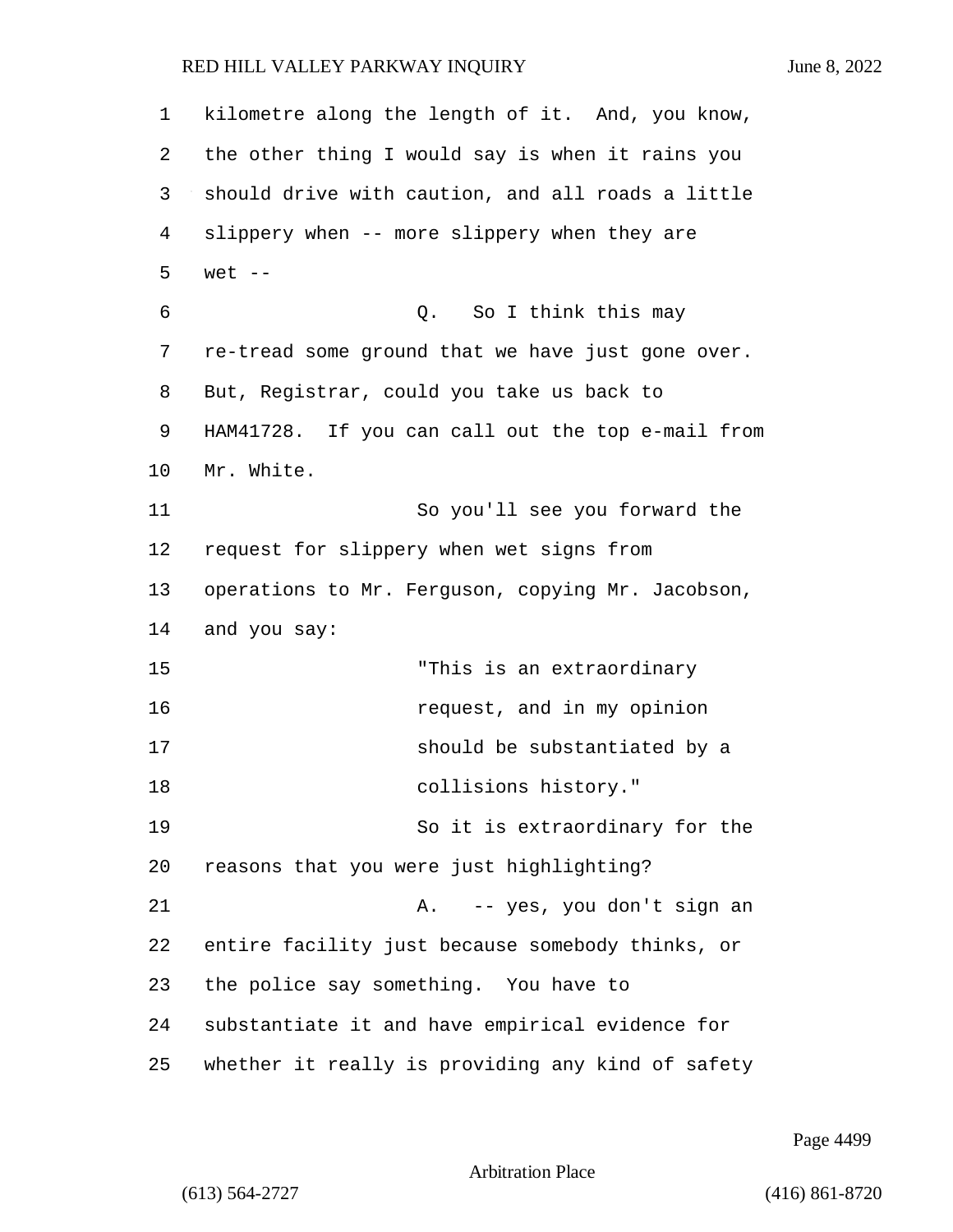kilometre along the length of it. And, you know, the other thing I would say is when it rains you should drive with caution, and all roads a little slippery when -- more slippery when they are 5 wet -- 6 Q. So I think this may re-tread some ground that we have just gone over. But, Registrar, could you take us back to HAM41728. If you can call out the top e-mail from Mr. White. 11 So you'll see you forward the request for slippery when wet signs from operations to Mr. Ferguson, copying Mr. Jacobson, and you say: 15 "This is an extraordinary 16 request, and in my opinion 17 should be substantiated by a 18 collisions history." 19 So it is extraordinary for the reasons that you were just highlighting? 21 A. -- yes, you don't sign an entire facility just because somebody thinks, or the police say something. You have to substantiate it and have empirical evidence for whether it really is providing any kind of safety

Page 4499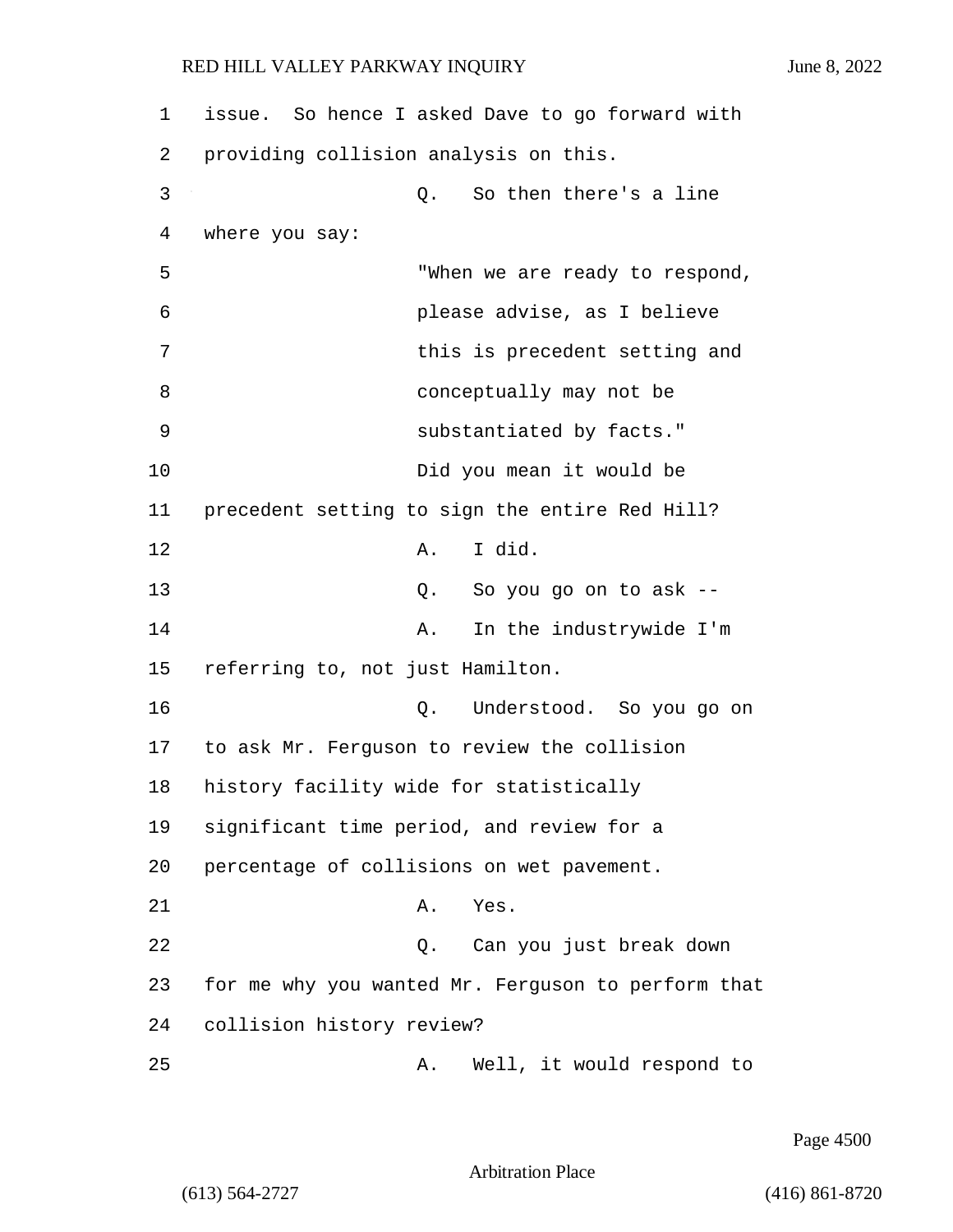| 1  | issue. So hence I asked Dave to go forward with    |
|----|----------------------------------------------------|
| 2  | providing collision analysis on this.              |
| 3  | So then there's a line<br>Q.                       |
| 4  | where you say:                                     |
| 5  | "When we are ready to respond,                     |
| 6  | please advise, as I believe                        |
| 7  | this is precedent setting and                      |
| 8  | conceptually may not be                            |
| 9  | substantiated by facts."                           |
| 10 | Did you mean it would be                           |
| 11 | precedent setting to sign the entire Red Hill?     |
| 12 | I did.<br>Α.                                       |
| 13 | So you go on to ask --<br>Q.                       |
| 14 | In the industrywide I'm<br>Α.                      |
| 15 | referring to, not just Hamilton.                   |
| 16 | Understood. So you go on<br>Q.                     |
| 17 | to ask Mr. Ferguson to review the collision        |
| 18 | history facility wide for statistically            |
| 19 | significant time period, and review for a          |
| 20 | percentage of collisions on wet pavement.          |
| 21 | Yes.<br>Α.                                         |
| 22 | Can you just break down<br>Q.                      |
| 23 | for me why you wanted Mr. Ferguson to perform that |
| 24 | collision history review?                          |
| 25 | Well, it would respond to<br>Α.                    |

Page 4500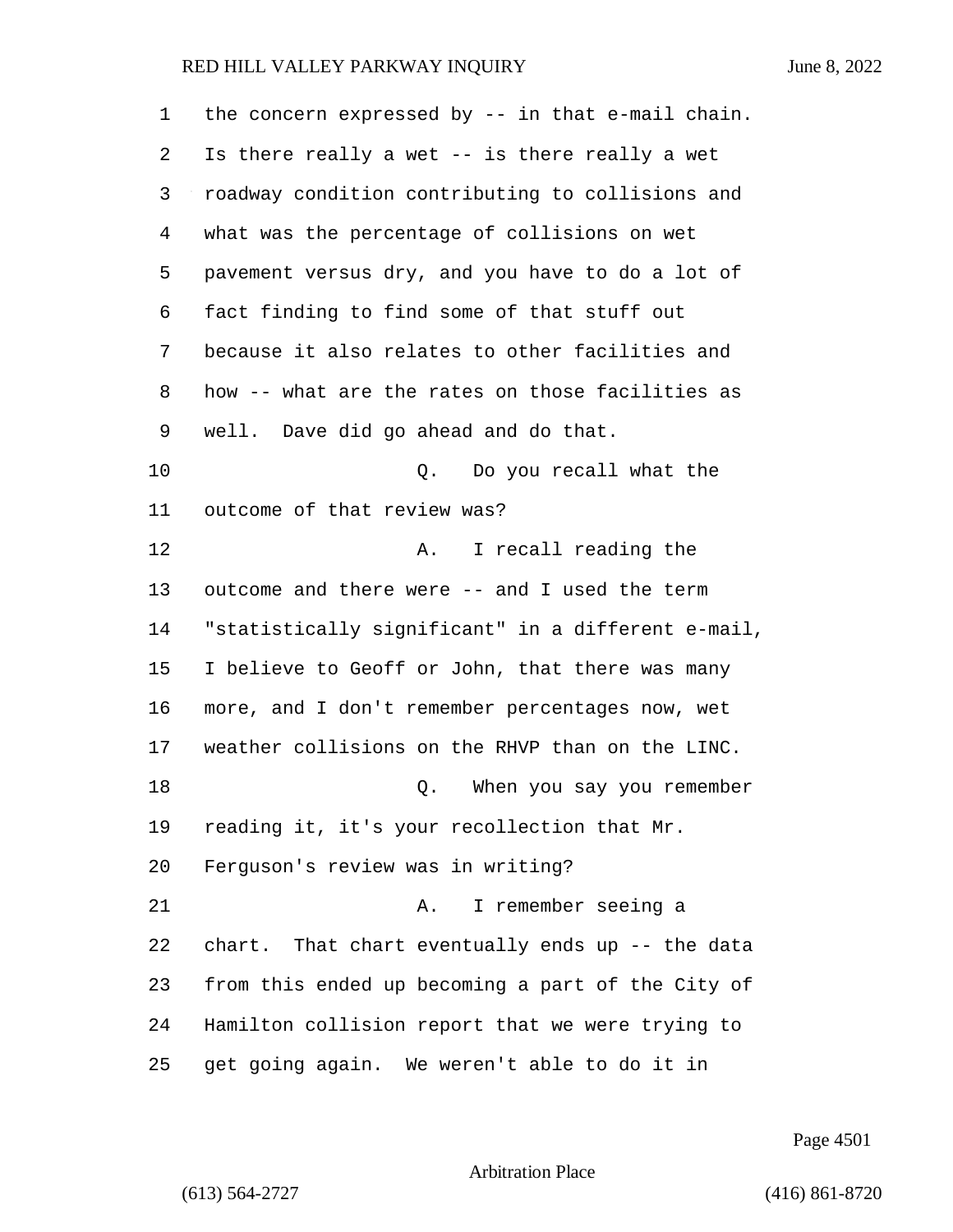| 1  | the concern expressed by $-$ - in that e-mail chain. |
|----|------------------------------------------------------|
| 2  | Is there really a wet -- is there really a wet       |
| 3  | roadway condition contributing to collisions and     |
| 4  | what was the percentage of collisions on wet         |
| 5  | pavement versus dry, and you have to do a lot of     |
| 6  | fact finding to find some of that stuff out          |
| 7  | because it also relates to other facilities and      |
| 8  | how -- what are the rates on those facilities as     |
| 9  | well. Dave did go ahead and do that.                 |
| 10 | Do you recall what the<br>Q.                         |
| 11 | outcome of that review was?                          |
| 12 | Α.<br>I recall reading the                           |
| 13 | outcome and there were -- and I used the term        |
| 14 | "statistically significant" in a different e-mail,   |
| 15 | I believe to Geoff or John, that there was many      |
| 16 | more, and I don't remember percentages now, wet      |
| 17 | weather collisions on the RHVP than on the LINC.     |
| 18 | When you say you remember<br>Q.                      |
| 19 | reading it, it's your recollection that Mr.          |
| 20 | Ferguson's review was in writing?                    |
| 21 | I remember seeing a<br>Α.                            |
| 22 | chart. That chart eventually ends up -- the data     |
| 23 | from this ended up becoming a part of the City of    |
| 24 | Hamilton collision report that we were trying to     |
| 25 | get going again. We weren't able to do it in         |

Page 4501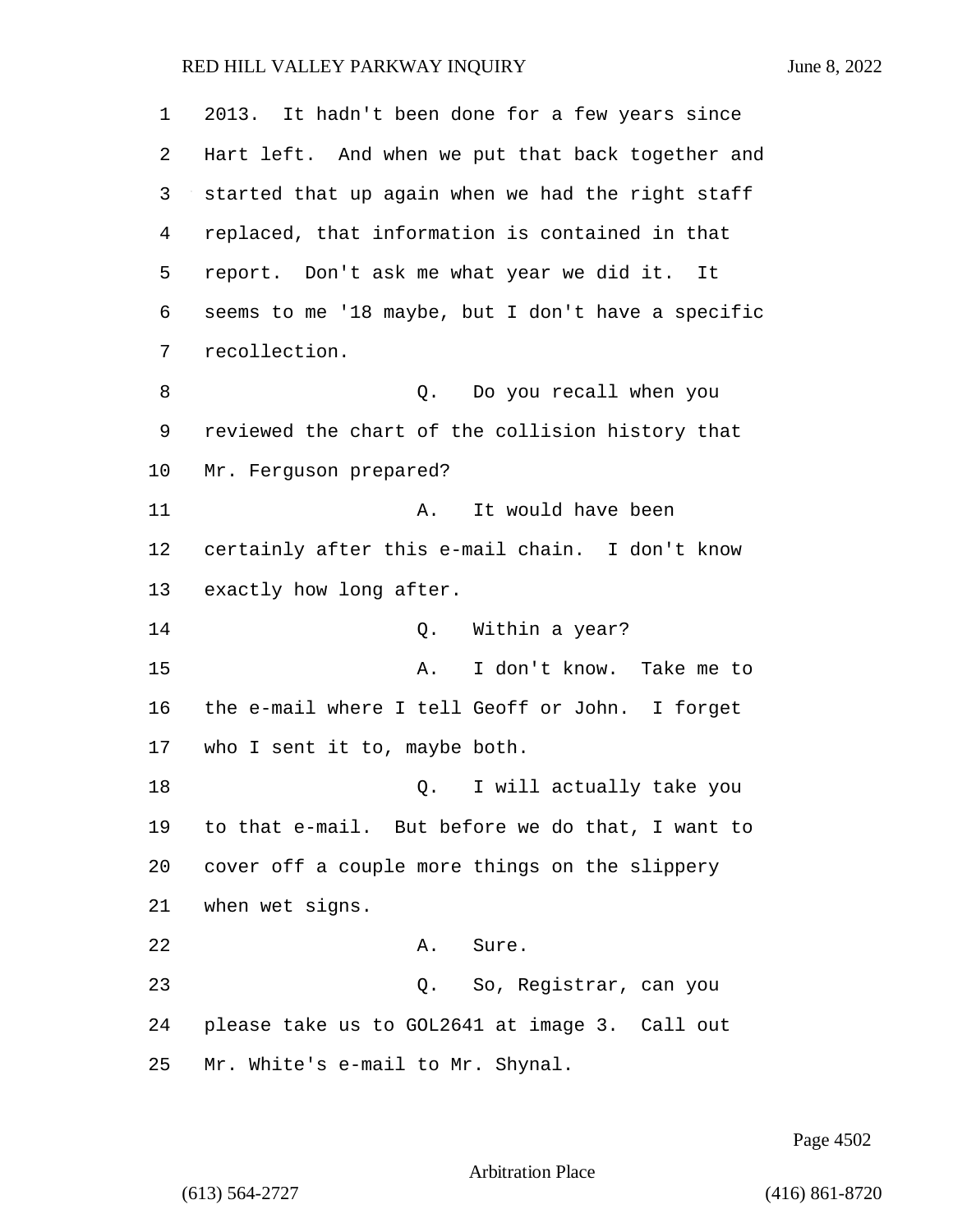2013. It hadn't been done for a few years since Hart left. And when we put that back together and started that up again when we had the right staff replaced, that information is contained in that report. Don't ask me what year we did it. It seems to me '18 maybe, but I don't have a specific recollection. 8 a Q. Do you recall when you reviewed the chart of the collision history that Mr. Ferguson prepared? 11 A. It would have been certainly after this e-mail chain. I don't know exactly how long after. 14 C. Within a year? 15 A. I don't know. Take me to the e-mail where I tell Geoff or John. I forget who I sent it to, maybe both. 18 Q. I will actually take you to that e-mail. But before we do that, I want to cover off a couple more things on the slippery when wet signs. 22 A. Sure. 23 Q. So, Registrar, can you please take us to GOL2641 at image 3. Call out Mr. White's e-mail to Mr. Shynal.

Page 4502

Arbitration Place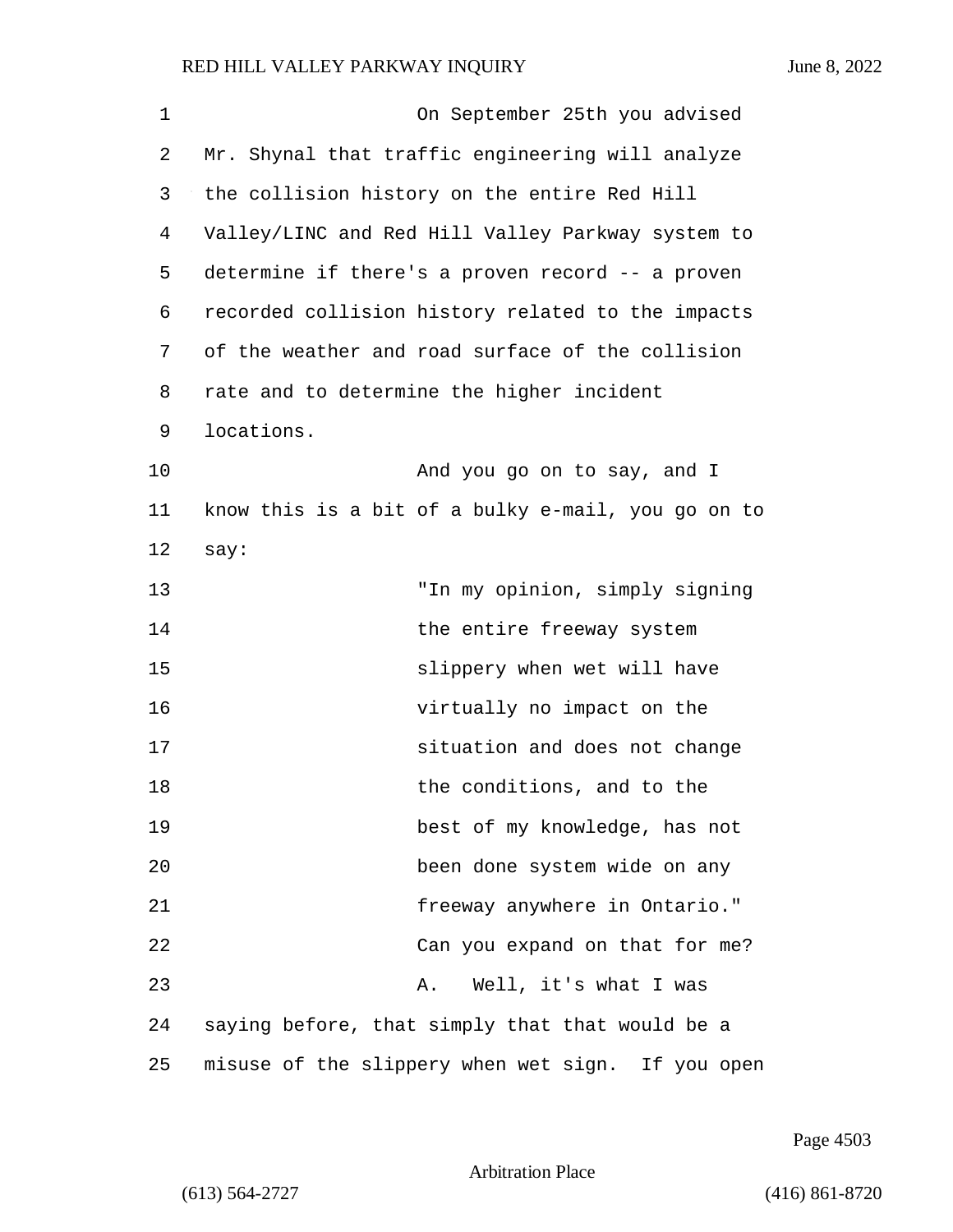1 On September 25th you advised 2 Mr. Shynal that traffic engineering will analyze 3 the collision history on the entire Red Hill 4 Valley/LINC and Red Hill Valley Parkway system to 5 determine if there's a proven record -- a proven 6 recorded collision history related to the impacts 7 of the weather and road surface of the collision 8 rate and to determine the higher incident 9 locations. 10 And you go on to say, and I 11 know this is a bit of a bulky e-mail, you go on to 12 say: 13 "In my opinion, simply signing 14 the entire freeway system 15 slippery when wet will have 16 virtually no impact on the 17 situation and does not change 18 the conditions, and to the 19 best of my knowledge, has not 20 been done system wide on any 21 freeway anywhere in Ontario." 22 Can you expand on that for me? 23 A. Well, it's what I was 24 saying before, that simply that that would be a 25 misuse of the slippery when wet sign. If you open

Page 4503

Arbitration Place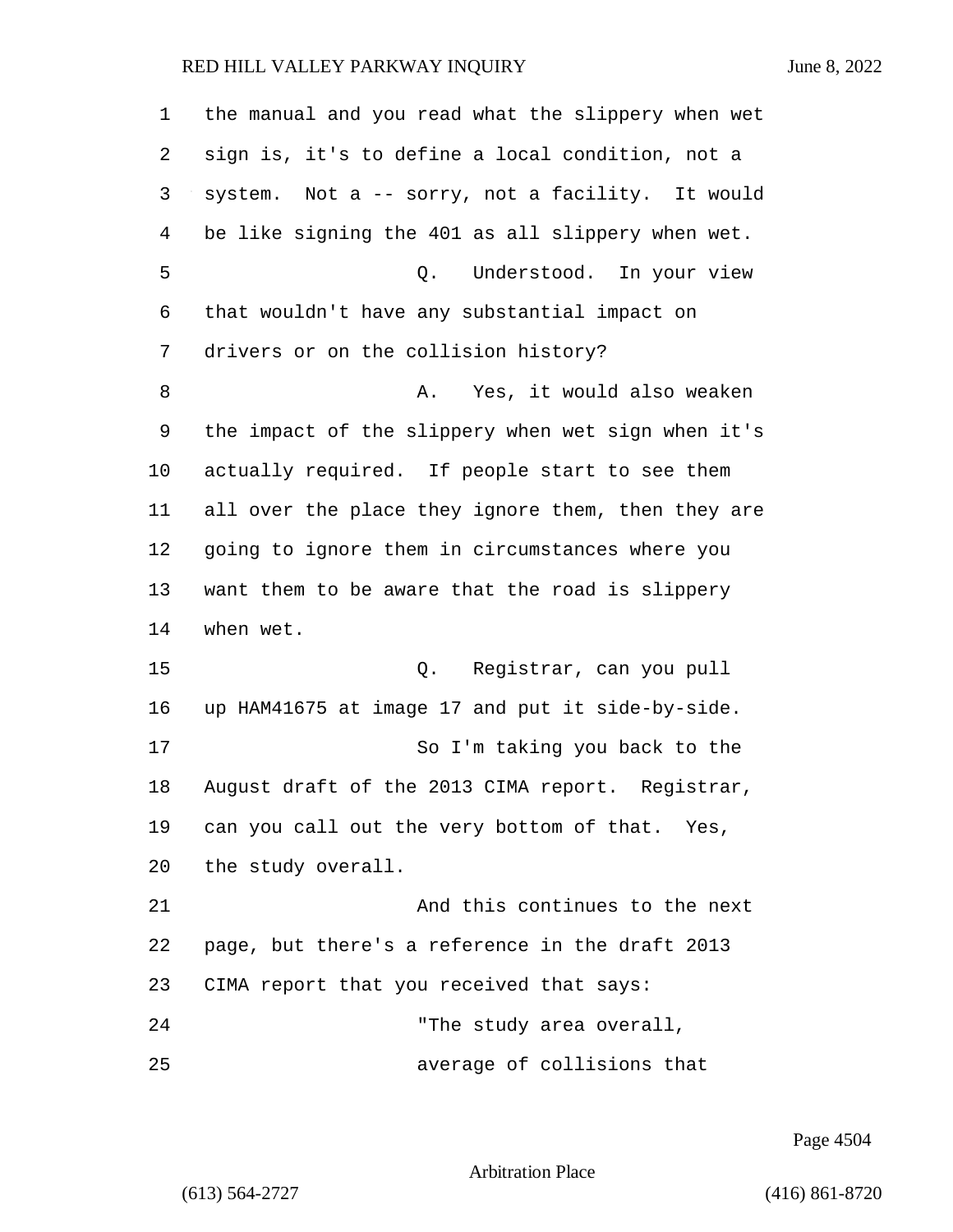the manual and you read what the slippery when wet sign is, it's to define a local condition, not a system. Not a -- sorry, not a facility. It would be like signing the 401 as all slippery when wet. 5 Q. Understood. In your view that wouldn't have any substantial impact on drivers or on the collision history? 8 a. Yes, it would also weaken the impact of the slippery when wet sign when it's actually required. If people start to see them all over the place they ignore them, then they are going to ignore them in circumstances where you want them to be aware that the road is slippery when wet. 15 Q. Registrar, can you pull up HAM41675 at image 17 and put it side-by-side. 17 So I'm taking you back to the August draft of the 2013 CIMA report. Registrar, can you call out the very bottom of that. Yes, the study overall. 21 And this continues to the next page, but there's a reference in the draft 2013 CIMA report that you received that says: 24 The study area overall, 25 average of collisions that

Page 4504

Arbitration Place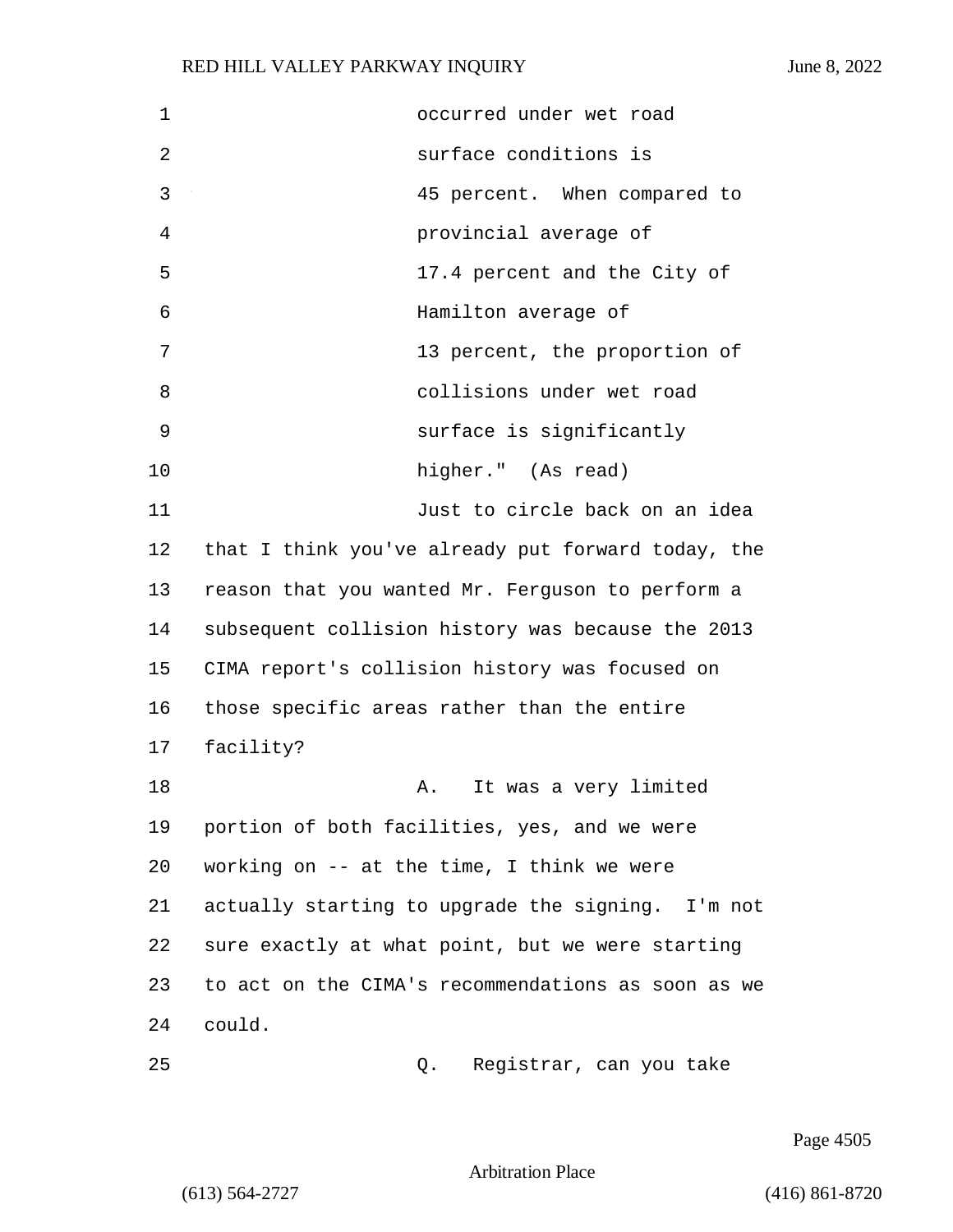| 1  | occurred under wet road                            |
|----|----------------------------------------------------|
| 2  | surface conditions is                              |
| 3  | 45 percent. When compared to                       |
| 4  | provincial average of                              |
| 5  | 17.4 percent and the City of                       |
| 6  | Hamilton average of                                |
| 7  | 13 percent, the proportion of                      |
| 8  | collisions under wet road                          |
| 9  | surface is significantly                           |
| 10 | higher." (As read)                                 |
| 11 | Just to circle back on an idea                     |
| 12 | that I think you've already put forward today, the |
| 13 | reason that you wanted Mr. Ferguson to perform a   |
| 14 | subsequent collision history was because the 2013  |
| 15 | CIMA report's collision history was focused on     |
| 16 | those specific areas rather than the entire        |
| 17 | facility?                                          |
| 18 | It was a very limited<br>Α.                        |
| 19 | portion of both facilities, yes, and we were       |
| 20 | working on $--$ at the time, I think we were       |
| 21 | actually starting to upgrade the signing. I'm not  |
| 22 | sure exactly at what point, but we were starting   |
| 23 | to act on the CIMA's recommendations as soon as we |
| 24 | could.                                             |
| 25 | Registrar, can you take<br>Q.                      |

Page 4505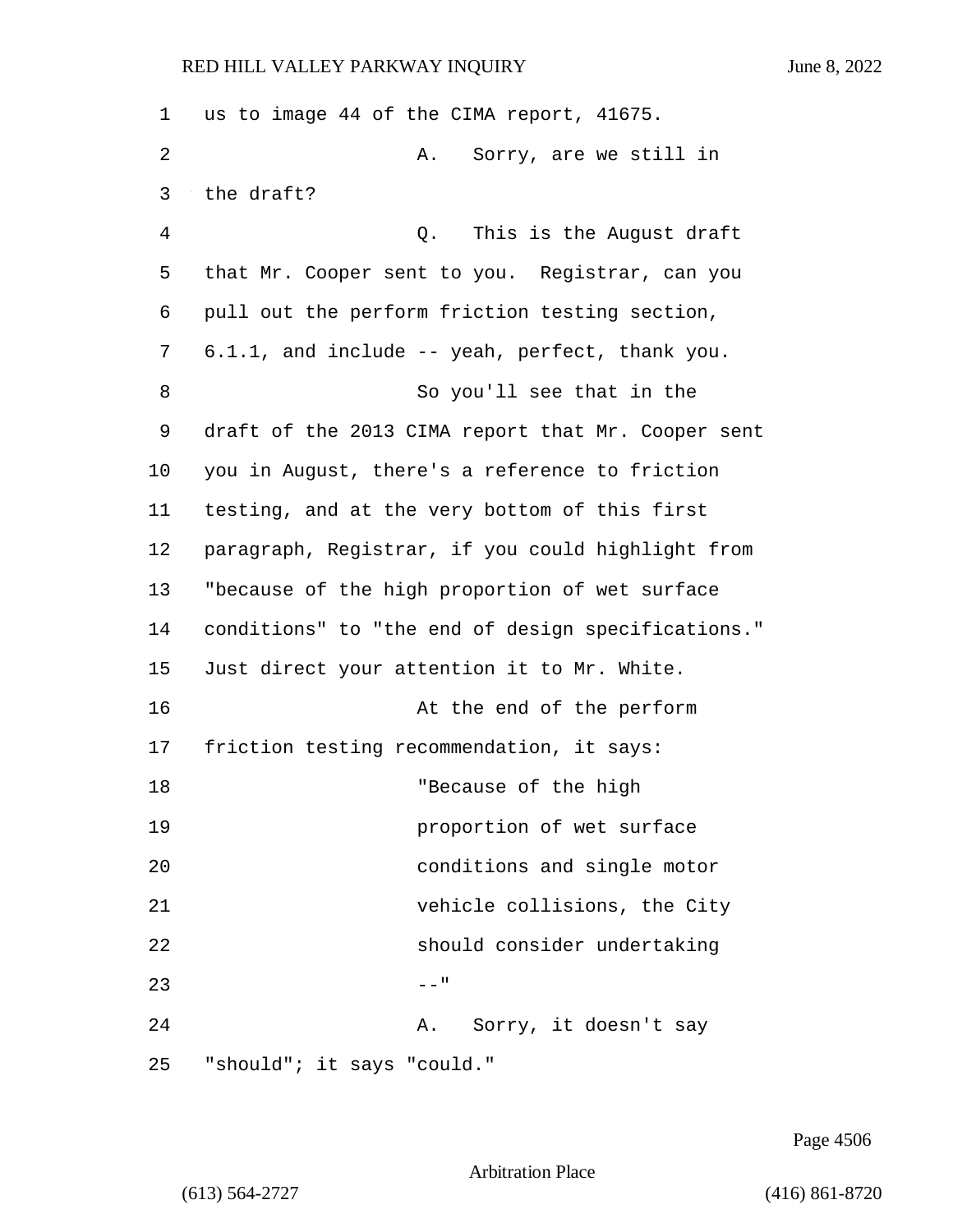| 1  | us to image 44 of the CIMA report, 41675.          |
|----|----------------------------------------------------|
| 2  | Sorry, are we still in<br>Α.                       |
| 3  | the draft?                                         |
| 4  | This is the August draft<br>Q.                     |
| 5  | that Mr. Cooper sent to you. Registrar, can you    |
| 6  | pull out the perform friction testing section,     |
| 7  | 6.1.1, and include -- yeah, perfect, thank you.    |
| 8  | So you'll see that in the                          |
| 9  | draft of the 2013 CIMA report that Mr. Cooper sent |
| 10 | you in August, there's a reference to friction     |
| 11 | testing, and at the very bottom of this first      |
| 12 | paragraph, Registrar, if you could highlight from  |
| 13 | "because of the high proportion of wet surface     |
| 14 | conditions" to "the end of design specifications." |
| 15 | Just direct your attention it to Mr. White.        |
| 16 | At the end of the perform                          |
| 17 | friction testing recommendation, it says:          |
| 18 | "Because of the high                               |
| 19 | proportion of wet surface                          |
| 20 | conditions and single motor                        |
| 21 | vehicle collisions, the City                       |
| 22 | should consider undertaking                        |
| 23 | $- -$ "                                            |
| 24 | Sorry, it doesn't say<br>Α.                        |
| 25 | "should"; it says "could."                         |

Page 4506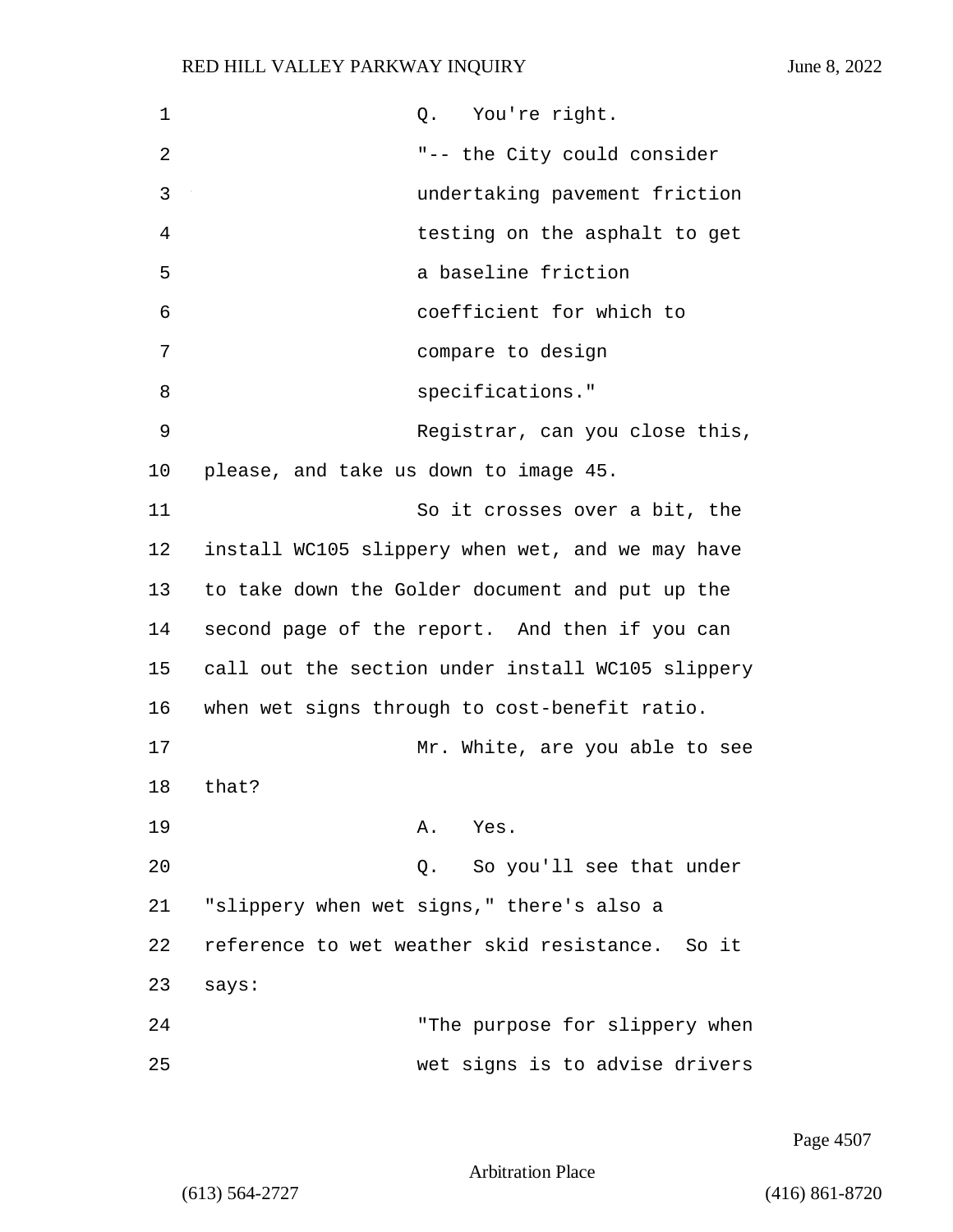| 1  | You're right.<br>Q.                               |
|----|---------------------------------------------------|
| 2  | "-- the City could consider                       |
| 3  | undertaking pavement friction                     |
| 4  | testing on the asphalt to get                     |
| 5  | a baseline friction                               |
| 6  | coefficient for which to                          |
| 7  | compare to design                                 |
| 8  | specifications."                                  |
| 9  | Registrar, can you close this,                    |
| 10 | please, and take us down to image 45.             |
| 11 | So it crosses over a bit, the                     |
| 12 | install WC105 slippery when wet, and we may have  |
| 13 | to take down the Golder document and put up the   |
| 14 | second page of the report. And then if you can    |
| 15 | call out the section under install WC105 slippery |
| 16 | when wet signs through to cost-benefit ratio.     |
| 17 | Mr. White, are you able to see                    |
| 18 | that?                                             |
| 19 | A. Yes.                                           |
| 20 | So you'll see that under<br>Q.                    |
| 21 | "slippery when wet signs," there's also a         |
| 22 | reference to wet weather skid resistance. So it   |
| 23 | says:                                             |
| 24 | "The purpose for slippery when                    |
| 25 | wet signs is to advise drivers                    |

Page 4507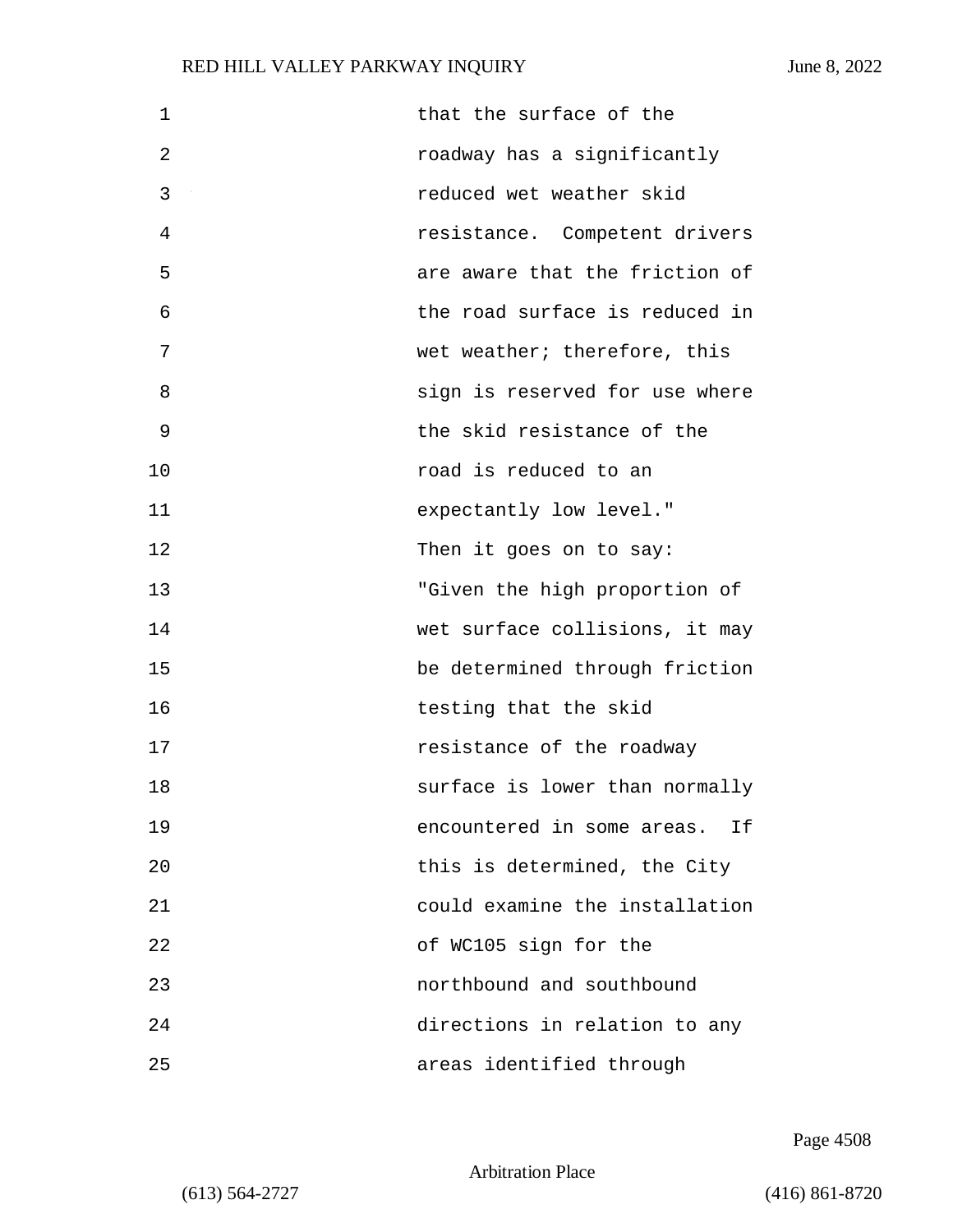| $\mathbf 1$ | that the surface of the        |
|-------------|--------------------------------|
| 2           | roadway has a significantly    |
| 3           | reduced wet weather skid       |
| 4           | resistance. Competent drivers  |
| 5           | are aware that the friction of |
| 6           | the road surface is reduced in |
| 7           | wet weather; therefore, this   |
| 8           | sign is reserved for use where |
| 9           | the skid resistance of the     |
| 10          | road is reduced to an          |
| 11          | expectantly low level."        |
| 12          | Then it goes on to say:        |
| 13          | "Given the high proportion of  |
| 14          | wet surface collisions, it may |
| 15          | be determined through friction |
| 16          | testing that the skid          |
| 17          | resistance of the roadway      |
| 18          | surface is lower than normally |
| 19          | encountered in some areas. If  |
| 20          | this is determined, the City   |
| 21          | could examine the installation |
| 22          | of WC105 sign for the          |
| 23          | northbound and southbound      |
| 24          | directions in relation to any  |
| 25          | areas identified through       |

Page 4508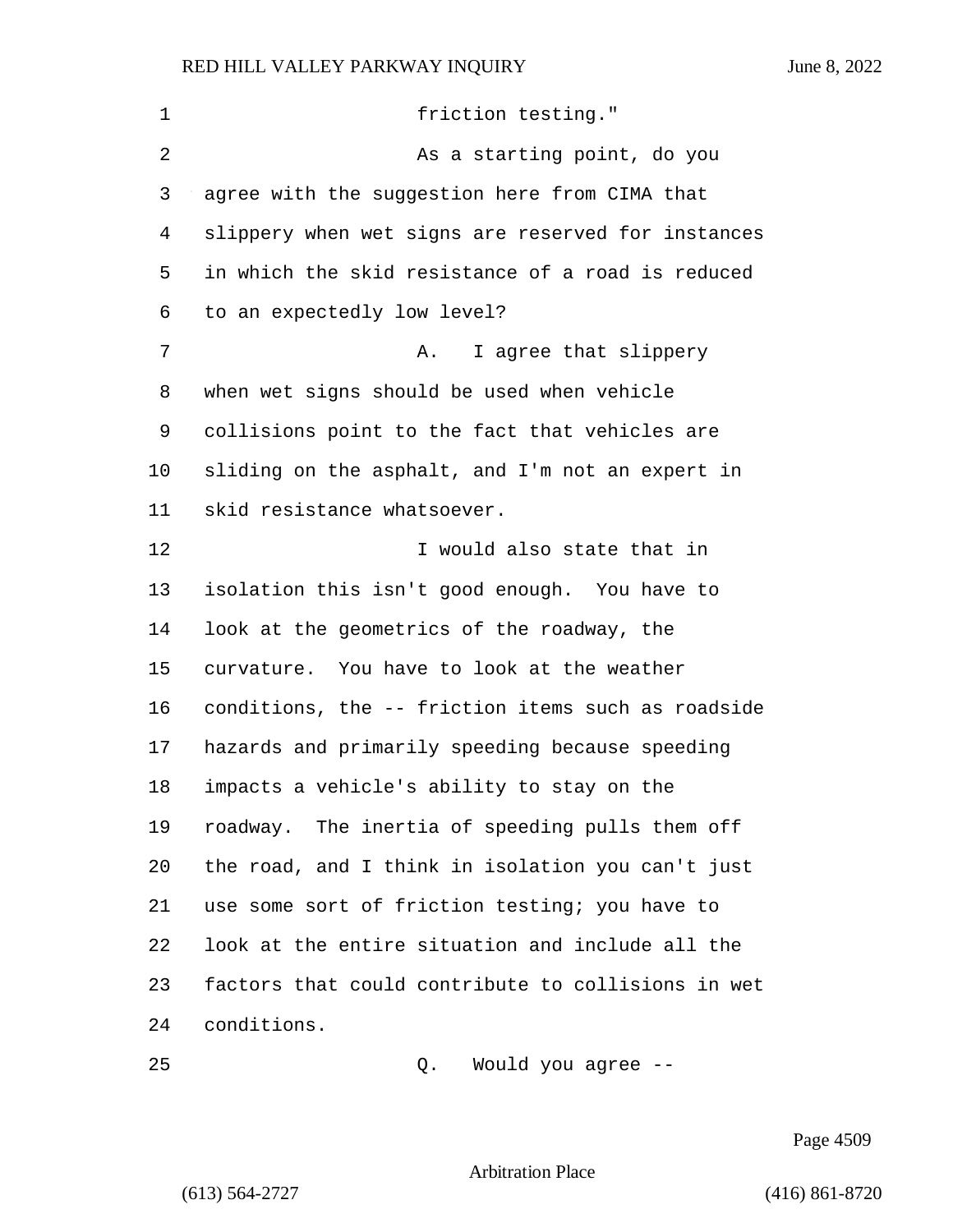| 1  | friction testing."                                 |
|----|----------------------------------------------------|
| 2  | As a starting point, do you                        |
| 3  | agree with the suggestion here from CIMA that      |
| 4  | slippery when wet signs are reserved for instances |
| 5  | in which the skid resistance of a road is reduced  |
| 6  | to an expectedly low level?                        |
| 7  | I agree that slippery<br>Α.                        |
| 8  | when wet signs should be used when vehicle         |
| 9  | collisions point to the fact that vehicles are     |
| 10 | sliding on the asphalt, and I'm not an expert in   |
| 11 | skid resistance whatsoever.                        |
| 12 | I would also state that in                         |
| 13 | isolation this isn't good enough. You have to      |
| 14 | look at the geometrics of the roadway, the         |
| 15 | curvature. You have to look at the weather         |
| 16 | conditions, the -- friction items such as roadside |
| 17 | hazards and primarily speeding because speeding    |
| 18 | impacts a vehicle's ability to stay on the         |
| 19 | roadway. The inertia of speeding pulls them off    |
| 20 | the road, and I think in isolation you can't just  |
| 21 | use some sort of friction testing; you have to     |
| 22 | look at the entire situation and include all the   |
| 23 | factors that could contribute to collisions in wet |
| 24 | conditions.                                        |
|    |                                                    |

25 Q. Would you agree --

Page 4509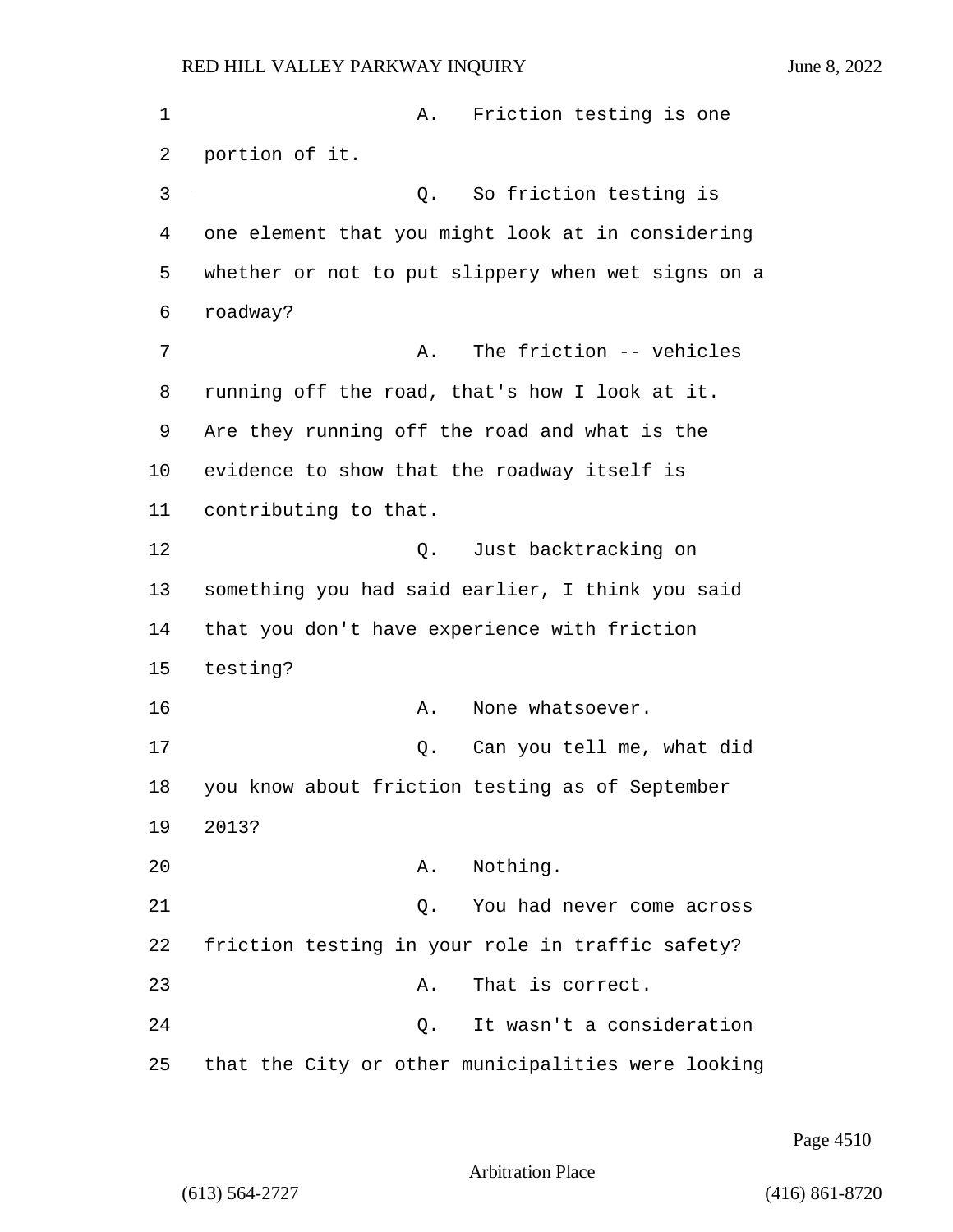1 A. Friction testing is one 2 portion of it. 3 Q. So friction testing is 4 one element that you might look at in considering 5 whether or not to put slippery when wet signs on a 6 roadway? 7 A. The friction -- vehicles 8 running off the road, that's how I look at it. 9 Are they running off the road and what is the 10 evidence to show that the roadway itself is 11 contributing to that. 12 O. Just backtracking on 13 something you had said earlier, I think you said 14 that you don't have experience with friction 15 testing? 16 A. None whatsoever. 17 Q. Can you tell me, what did 18 you know about friction testing as of September 19 2013? 20 A. Nothing. 21 Q. You had never come across 22 friction testing in your role in traffic safety? 23 A. That is correct. 24 Q. It wasn't a consideration 25 that the City or other municipalities were looking

Page 4510

```
Arbitration Place
```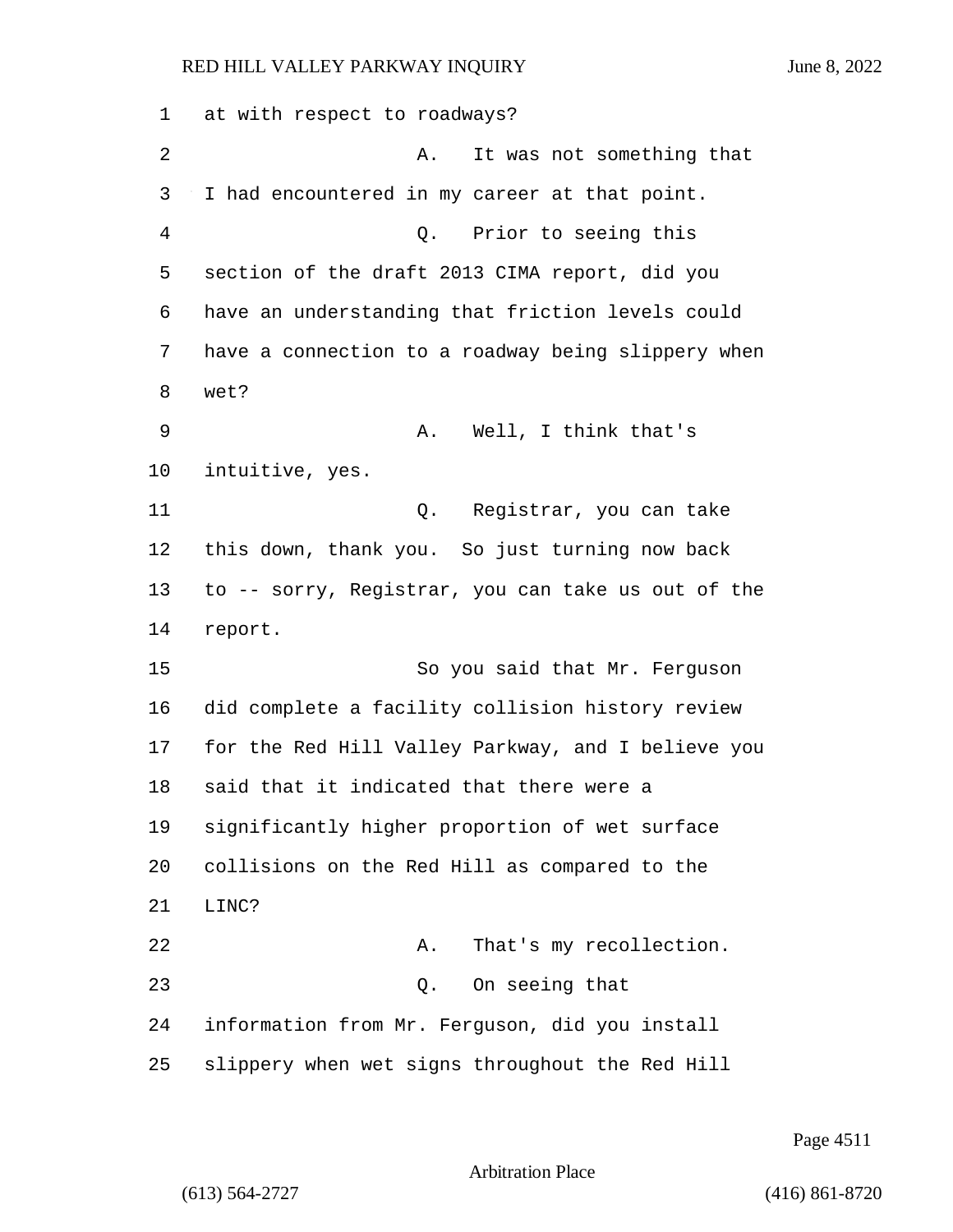| 1  | at with respect to roadways?                       |
|----|----------------------------------------------------|
| 2  | It was not something that<br>Α.                    |
| 3  | I had encountered in my career at that point.      |
| 4  | Q. Prior to seeing this                            |
| 5  | section of the draft 2013 CIMA report, did you     |
| 6  | have an understanding that friction levels could   |
| 7  | have a connection to a roadway being slippery when |
| 8  | wet?                                               |
| 9  | Well, I think that's<br>Α.                         |
| 10 | intuitive, yes.                                    |
| 11 | Registrar, you can take<br>Q.                      |
| 12 | this down, thank you. So just turning now back     |
| 13 | to -- sorry, Registrar, you can take us out of the |
| 14 | report.                                            |
| 15 | So you said that Mr. Ferguson                      |
| 16 | did complete a facility collision history review   |
| 17 | for the Red Hill Valley Parkway, and I believe you |
| 18 | said that it indicated that there were a           |
| 19 | significantly higher proportion of wet surface     |
| 20 | collisions on the Red Hill as compared to the      |
| 21 | LINC?                                              |
| 22 | That's my recollection.<br>Α.                      |
| 23 | On seeing that<br>Q.                               |
| 24 | information from Mr. Ferguson, did you install     |
| 25 | slippery when wet signs throughout the Red Hill    |

Page 4511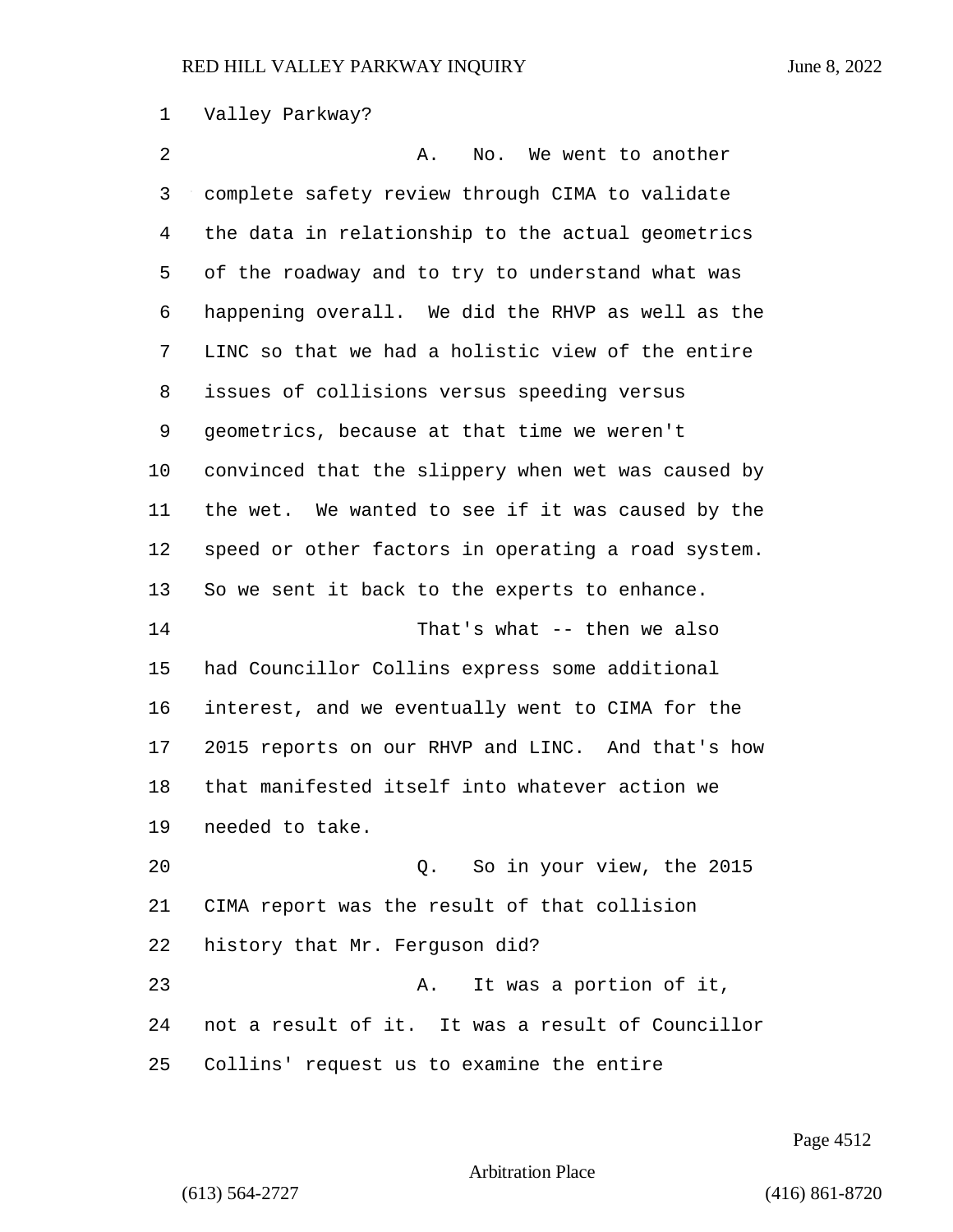### Valley Parkway?

2 A. No. We went to another complete safety review through CIMA to validate the data in relationship to the actual geometrics of the roadway and to try to understand what was happening overall. We did the RHVP as well as the LINC so that we had a holistic view of the entire issues of collisions versus speeding versus geometrics, because at that time we weren't convinced that the slippery when wet was caused by the wet. We wanted to see if it was caused by the speed or other factors in operating a road system. So we sent it back to the experts to enhance. 14 That's what -- then we also had Councillor Collins express some additional interest, and we eventually went to CIMA for the 2015 reports on our RHVP and LINC. And that's how that manifested itself into whatever action we needed to take. 20 Q. So in your view, the 2015 CIMA report was the result of that collision history that Mr. Ferguson did? 23 A. It was a portion of it, not a result of it. It was a result of Councillor Collins' request us to examine the entire

Page 4512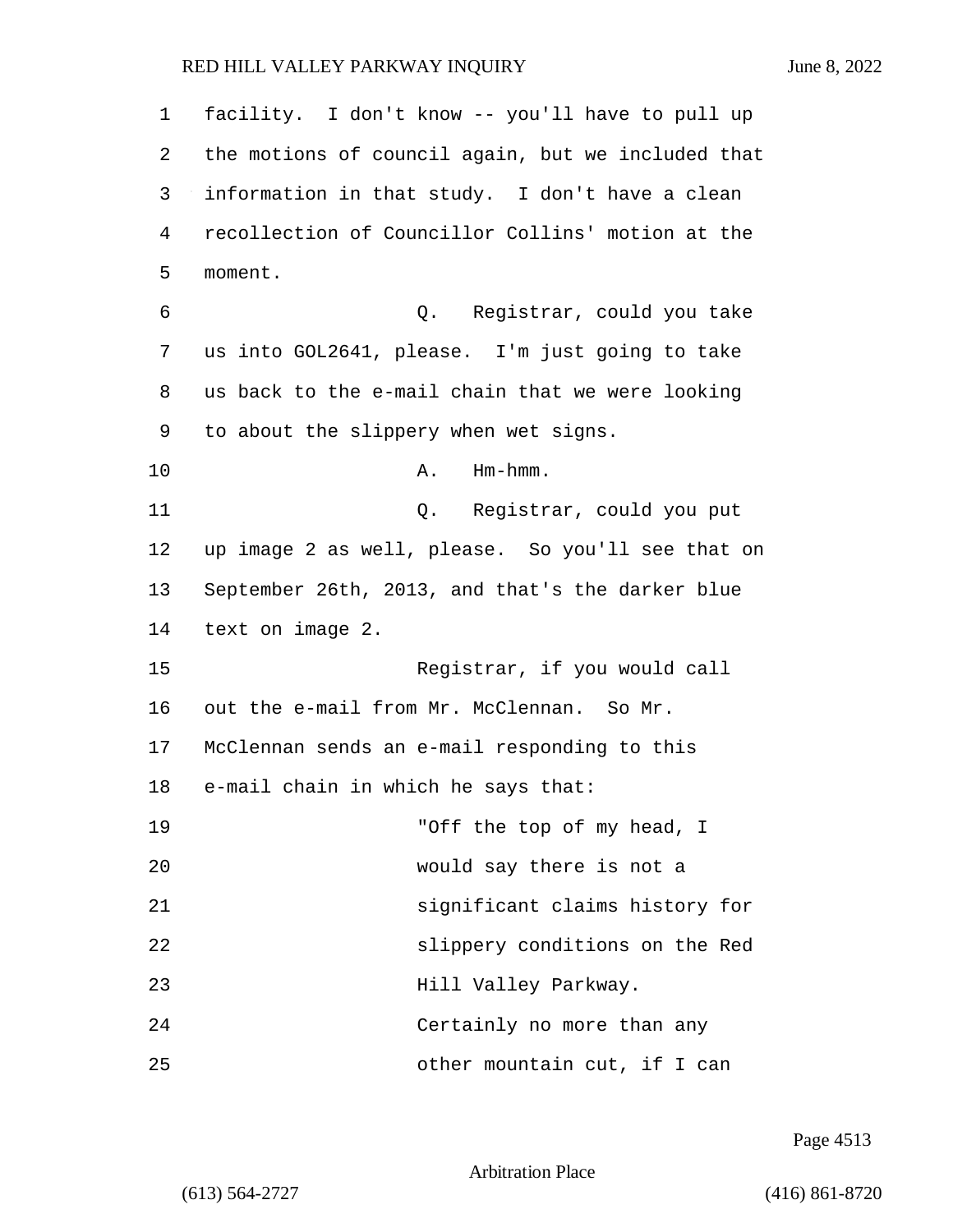| $\mathbf 1$ | facility. I don't know -- you'll have to pull up   |
|-------------|----------------------------------------------------|
| 2           | the motions of council again, but we included that |
| 3           | information in that study. I don't have a clean    |
| 4           | recollection of Councillor Collins' motion at the  |
| 5           | moment.                                            |
| 6           | Registrar, could you take<br>Q.                    |
| 7           | us into GOL2641, please. I'm just going to take    |
| 8           | us back to the e-mail chain that we were looking   |
| 9           | to about the slippery when wet signs.              |
| 10          | $Hm-hmm$ .<br>Α.                                   |
| 11          | Registrar, could you put<br>Q.                     |
| 12          | up image 2 as well, please. So you'll see that on  |
| 13          | September 26th, 2013, and that's the darker blue   |
| 14          | text on image 2.                                   |
| 15          | Registrar, if you would call                       |
| 16          | out the e-mail from Mr. McClennan. So Mr.          |
| 17          | McClennan sends an e-mail responding to this       |
| 18          | e-mail chain in which he says that:                |
| 19          | "Off the top of my head, I                         |
| 20          | would say there is not a                           |
| 21          | significant claims history for                     |
| 22          | slippery conditions on the Red                     |
| 23          | Hill Valley Parkway.                               |
| 24          | Certainly no more than any                         |
| 25          | other mountain cut, if I can                       |

Page 4513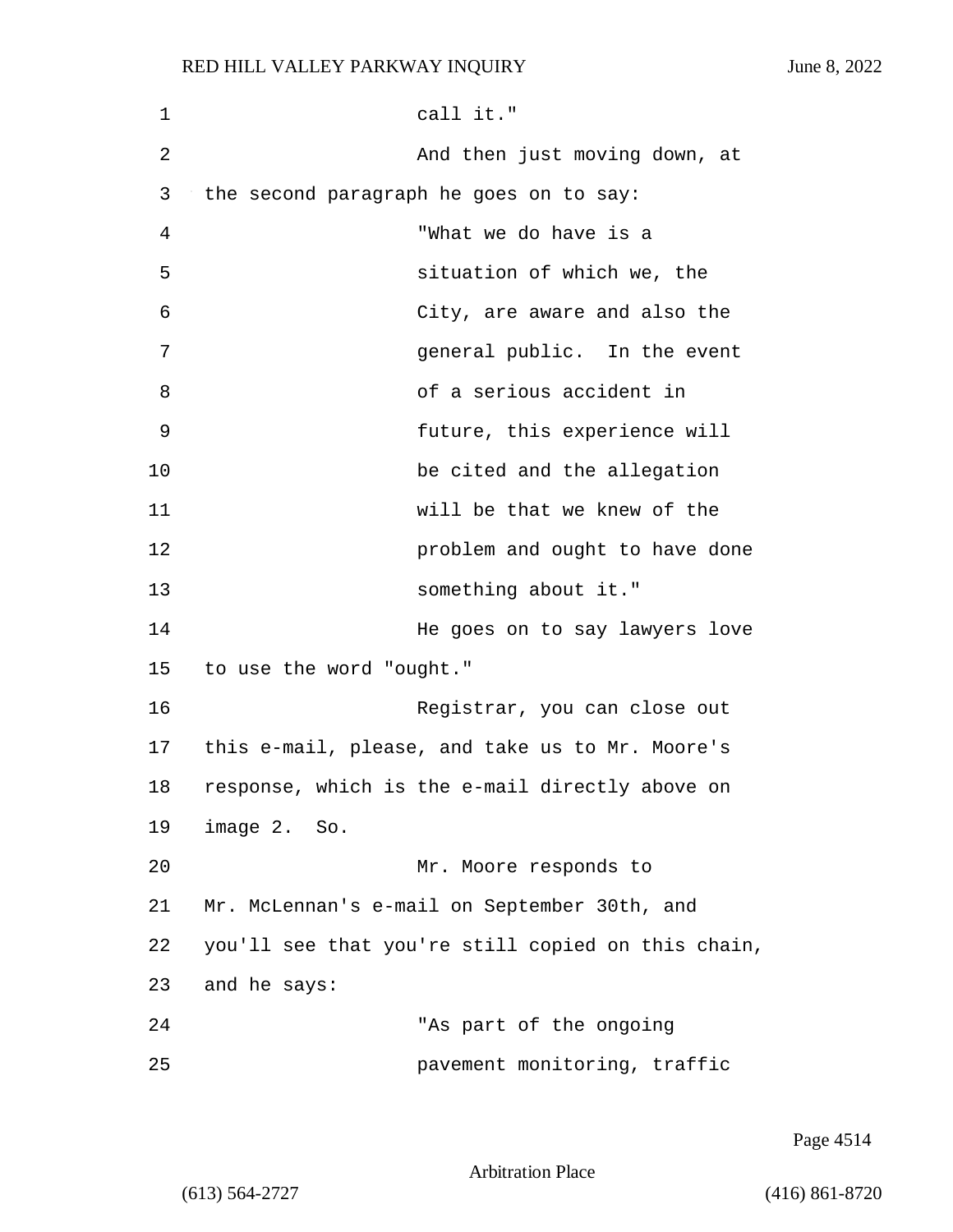| 1  | call it."                                          |
|----|----------------------------------------------------|
| 2  | And then just moving down, at                      |
| 3  | the second paragraph he goes on to say:            |
| 4  | "What we do have is a                              |
| 5  | situation of which we, the                         |
| 6  | City, are aware and also the                       |
| 7  | general public. In the event                       |
| 8  | of a serious accident in                           |
| 9  | future, this experience will                       |
| 10 | be cited and the allegation                        |
| 11 | will be that we knew of the                        |
| 12 | problem and ought to have done                     |
| 13 | something about it."                               |
| 14 | He goes on to say lawyers love                     |
| 15 | to use the word "ought."                           |
| 16 | Registrar, you can close out                       |
| 17 | this e-mail, please, and take us to Mr. Moore's    |
| 18 | response, which is the e-mail directly above on    |
| 19 | image 2. So.                                       |
| 20 | Mr. Moore responds to                              |
| 21 | Mr. McLennan's e-mail on September 30th, and       |
| 22 | you'll see that you're still copied on this chain, |
| 23 | and he says:                                       |
| 24 | "As part of the ongoing                            |
| 25 | pavement monitoring, traffic                       |

Page 4514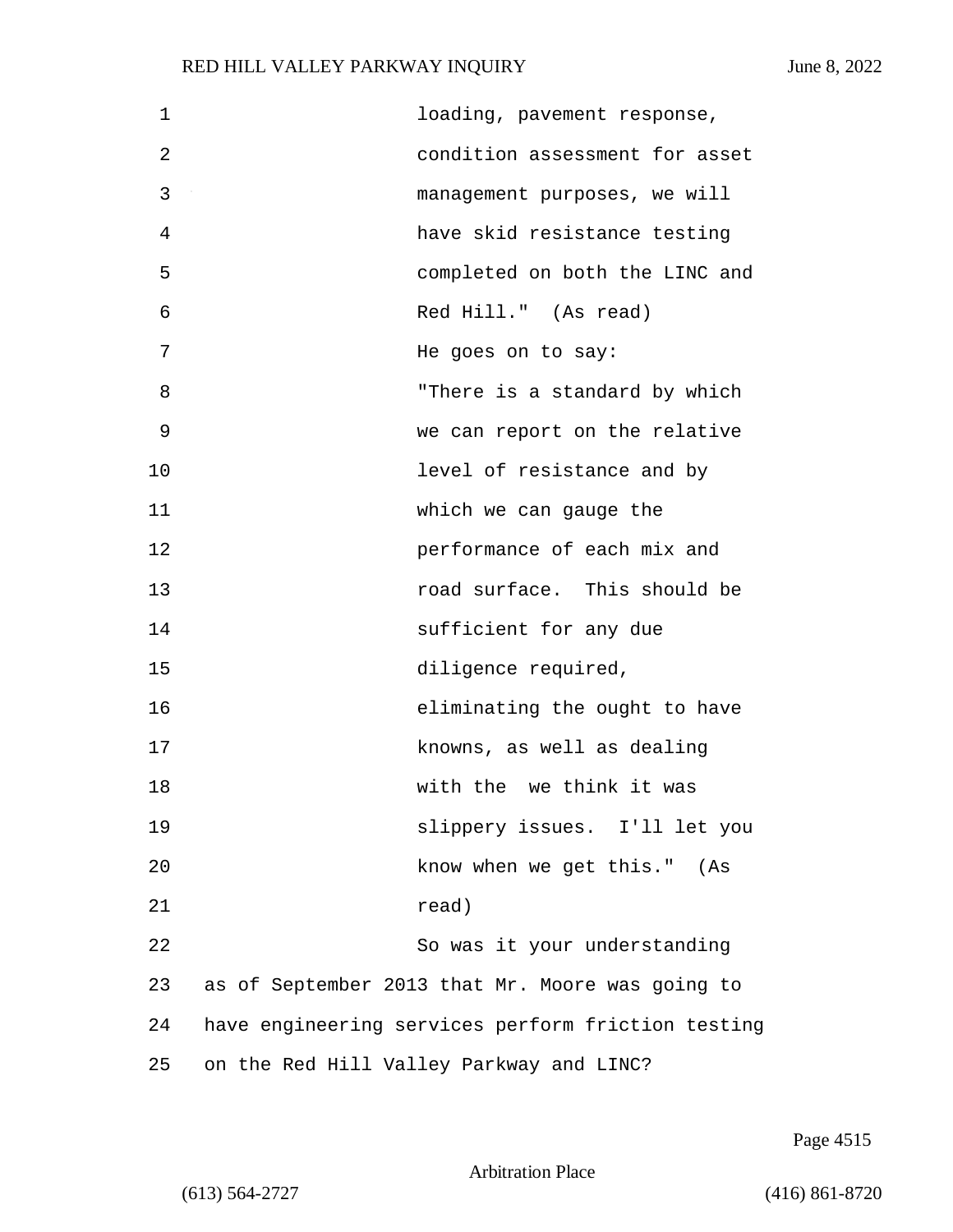| $\mathbf 1$ |                                          | loading, pavement response,                        |
|-------------|------------------------------------------|----------------------------------------------------|
| 2           |                                          | condition assessment for asset                     |
| 3           |                                          | management purposes, we will                       |
| 4           |                                          | have skid resistance testing                       |
| 5           |                                          | completed on both the LINC and                     |
| 6           |                                          | Red Hill." (As read)                               |
| 7           |                                          | He goes on to say:                                 |
| 8           |                                          | "There is a standard by which                      |
| 9           |                                          | we can report on the relative                      |
| 10          |                                          | level of resistance and by                         |
| 11          |                                          | which we can gauge the                             |
| 12          |                                          | performance of each mix and                        |
| 13          |                                          | road surface. This should be                       |
| 14          |                                          | sufficient for any due                             |
| 15          |                                          | diligence required,                                |
| 16          |                                          | eliminating the ought to have                      |
| 17          |                                          | knowns, as well as dealing                         |
| 18          |                                          | with the we think it was                           |
| 19          |                                          | slippery issues. I'll let you                      |
| 20          |                                          | know when we get this." (As                        |
| 21          |                                          | read)                                              |
| 22          |                                          | So was it your understanding                       |
| 23          |                                          | as of September 2013 that Mr. Moore was going to   |
| 24          |                                          | have engineering services perform friction testing |
| 25          | on the Red Hill Valley Parkway and LINC? |                                                    |

Page 4515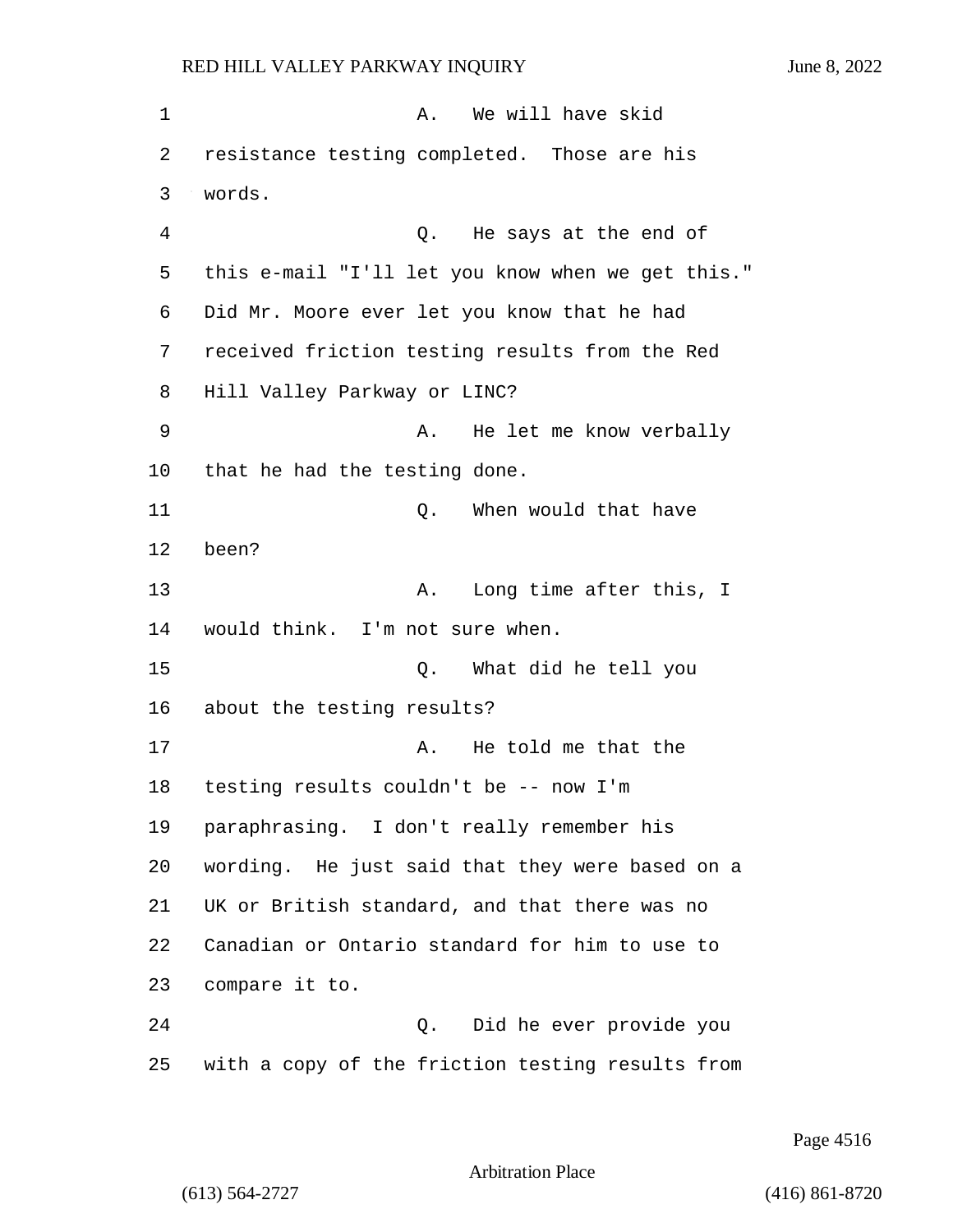| 1  | We will have skid<br>Α.                           |
|----|---------------------------------------------------|
| 2  | resistance testing completed. Those are his       |
| 3  | words.                                            |
| 4  | He says at the end of<br>Q.                       |
| 5  | this e-mail "I'll let you know when we get this." |
| 6  | Did Mr. Moore ever let you know that he had       |
| 7  | received friction testing results from the Red    |
| 8  | Hill Valley Parkway or LINC?                      |
| 9  | He let me know verbally<br>Α.                     |
| 10 | that he had the testing done.                     |
| 11 | When would that have<br>Q.                        |
| 12 | been?                                             |
| 13 | Long time after this, I<br>Α.                     |
| 14 | would think. I'm not sure when.                   |
| 15 | What did he tell you<br>Q.                        |
| 16 | about the testing results?                        |
| 17 | He told me that the<br>Α.                         |
| 18 | testing results couldn't be -- now I'm            |
| 19 | paraphrasing. I don't really remember his         |
| 20 | wording. He just said that they were based on a   |
| 21 | UK or British standard, and that there was no     |
| 22 | Canadian or Ontario standard for him to use to    |
| 23 | compare it to.                                    |
| 24 | Did he ever provide you<br>Q.                     |
| 25 | with a copy of the friction testing results from  |

Page 4516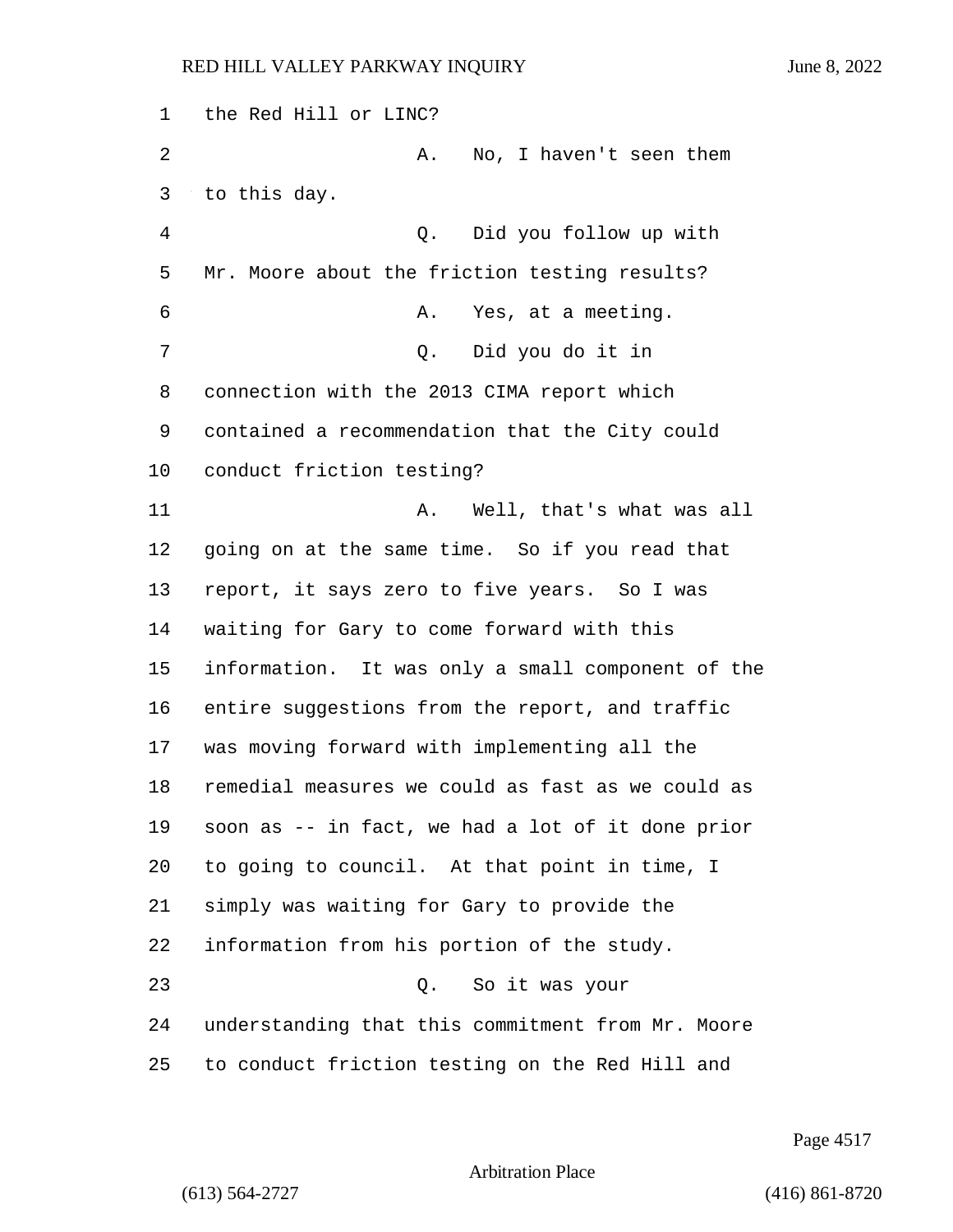the Red Hill or LINC? 2 A. No, I haven't seen them to this day. 4 Q. Did you follow up with Mr. Moore about the friction testing results? 6 A. Yes, at a meeting. 7 Q. Did you do it in connection with the 2013 CIMA report which contained a recommendation that the City could conduct friction testing? 11 A. Well, that's what was all going on at the same time. So if you read that report, it says zero to five years. So I was waiting for Gary to come forward with this information. It was only a small component of the entire suggestions from the report, and traffic was moving forward with implementing all the remedial measures we could as fast as we could as soon as -- in fact, we had a lot of it done prior to going to council. At that point in time, I simply was waiting for Gary to provide the information from his portion of the study. 23 Q. So it was your understanding that this commitment from Mr. Moore to conduct friction testing on the Red Hill and

Page 4517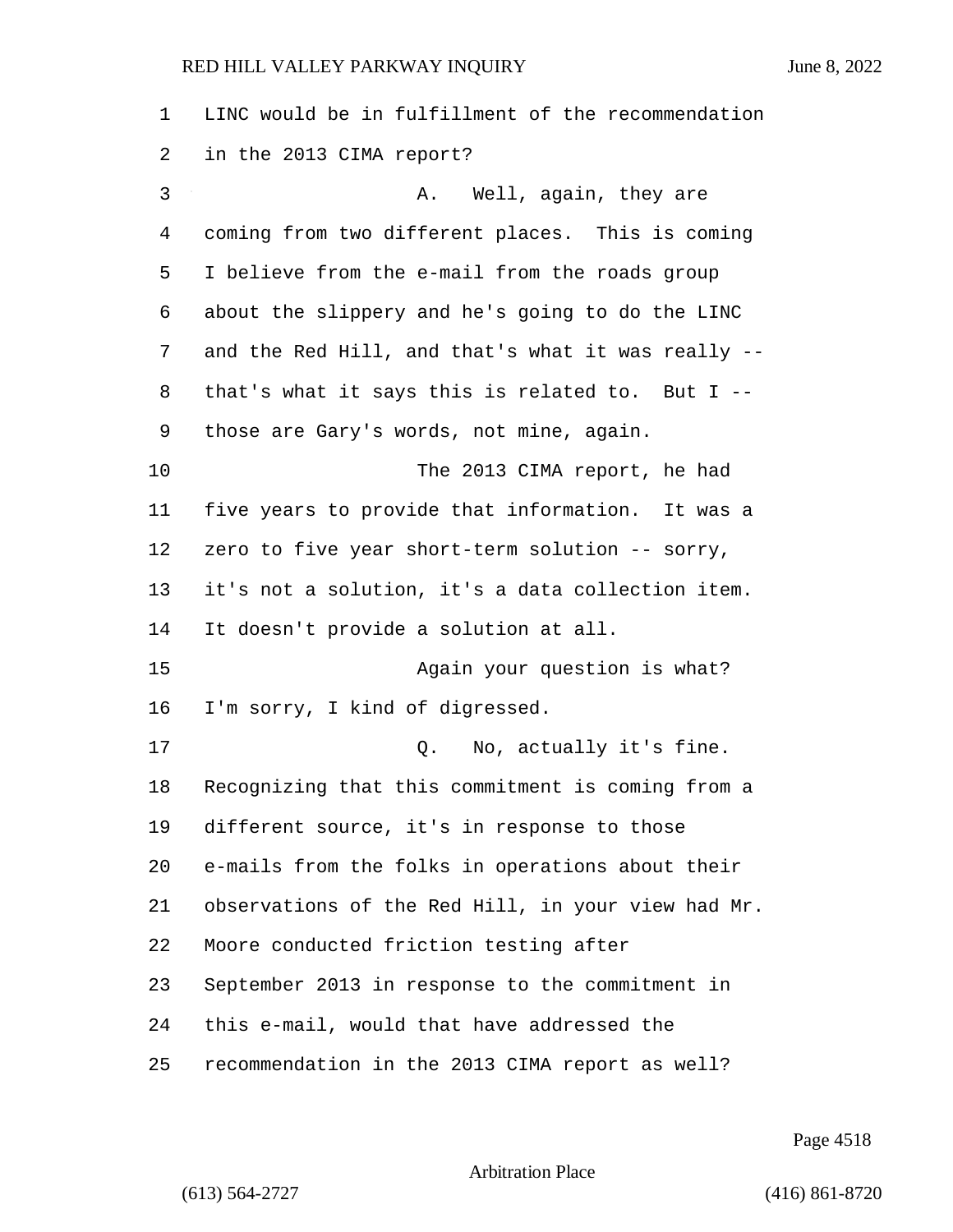LINC would be in fulfillment of the recommendation in the 2013 CIMA report? 3 A. Well, again, they are coming from two different places. This is coming I believe from the e-mail from the roads group about the slippery and he's going to do the LINC and the Red Hill, and that's what it was really -- that's what it says this is related to. But I -- those are Gary's words, not mine, again. 10 The 2013 CIMA report, he had five years to provide that information. It was a zero to five year short-term solution -- sorry, it's not a solution, it's a data collection item. It doesn't provide a solution at all. 15 Again your question is what? I'm sorry, I kind of digressed. 17 C. No, actually it's fine. Recognizing that this commitment is coming from a different source, it's in response to those e-mails from the folks in operations about their observations of the Red Hill, in your view had Mr. Moore conducted friction testing after September 2013 in response to the commitment in this e-mail, would that have addressed the recommendation in the 2013 CIMA report as well?

Page 4518

```
Arbitration Place
```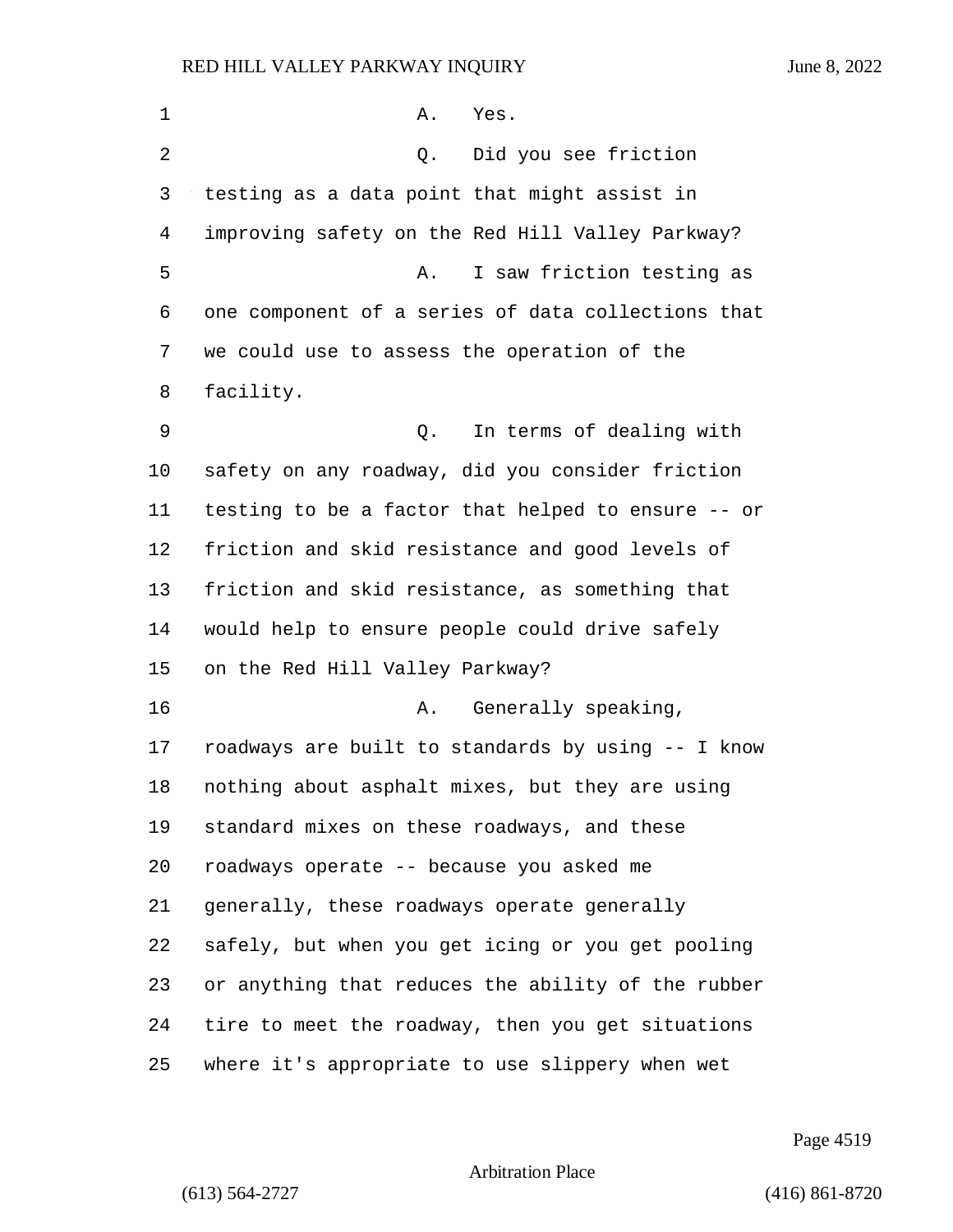1 A. Yes. 2 Q. Did you see friction testing as a data point that might assist in improving safety on the Red Hill Valley Parkway? 5 A. I saw friction testing as one component of a series of data collections that we could use to assess the operation of the facility. 9 Q. In terms of dealing with safety on any roadway, did you consider friction testing to be a factor that helped to ensure -- or friction and skid resistance and good levels of friction and skid resistance, as something that would help to ensure people could drive safely on the Red Hill Valley Parkway? 16 A. Generally speaking, roadways are built to standards by using -- I know nothing about asphalt mixes, but they are using standard mixes on these roadways, and these roadways operate -- because you asked me generally, these roadways operate generally safely, but when you get icing or you get pooling or anything that reduces the ability of the rubber tire to meet the roadway, then you get situations where it's appropriate to use slippery when wet

Page 4519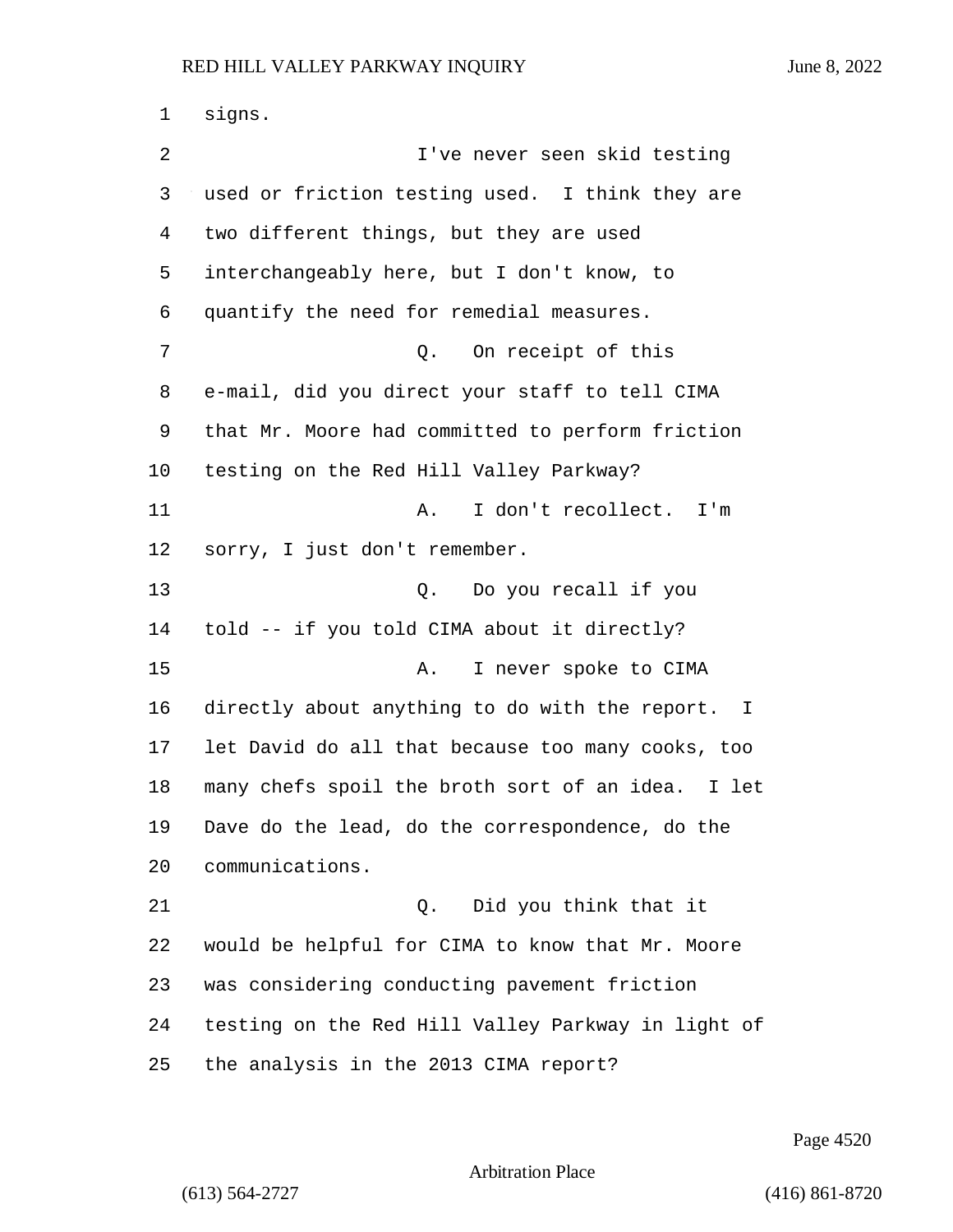signs. 2 I've never seen skid testing used or friction testing used. I think they are two different things, but they are used interchangeably here, but I don't know, to quantify the need for remedial measures. 7 Q. On receipt of this e-mail, did you direct your staff to tell CIMA that Mr. Moore had committed to perform friction testing on the Red Hill Valley Parkway? 11 A. I don't recollect. I'm sorry, I just don't remember. 13 Q. Do you recall if you told -- if you told CIMA about it directly? 15 A. I never spoke to CIMA directly about anything to do with the report. I let David do all that because too many cooks, too many chefs spoil the broth sort of an idea. I let Dave do the lead, do the correspondence, do the communications. 21 Q. Did you think that it would be helpful for CIMA to know that Mr. Moore was considering conducting pavement friction testing on the Red Hill Valley Parkway in light of the analysis in the 2013 CIMA report?

Page 4520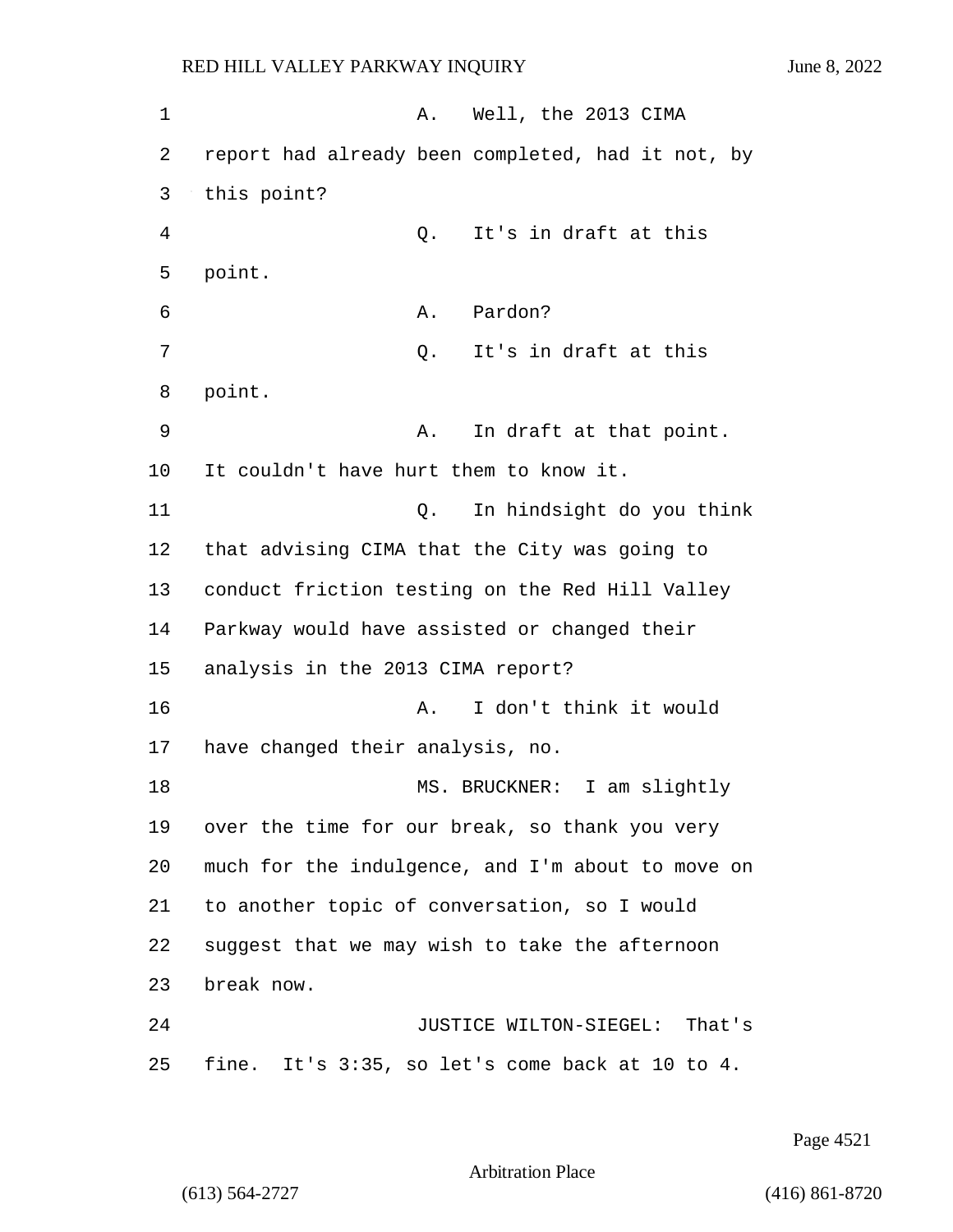1 A. Well, the 2013 CIMA 2 report had already been completed, had it not, by 3 this point? 4 Q. It's in draft at this 5 point. 6 A. Pardon? 7 C. It's in draft at this 8 point. 9 A. In draft at that point. 10 It couldn't have hurt them to know it. 11 Q. In hindsight do you think 12 that advising CIMA that the City was going to 13 conduct friction testing on the Red Hill Valley 14 Parkway would have assisted or changed their 15 analysis in the 2013 CIMA report? 16 A. I don't think it would 17 have changed their analysis, no. 18 MS. BRUCKNER: I am slightly 19 over the time for our break, so thank you very 20 much for the indulgence, and I'm about to move on 21 to another topic of conversation, so I would 22 suggest that we may wish to take the afternoon 23 break now. 24 JUSTICE WILTON-SIEGEL: That's 25 fine. It's 3:35, so let's come back at 10 to 4.

Page 4521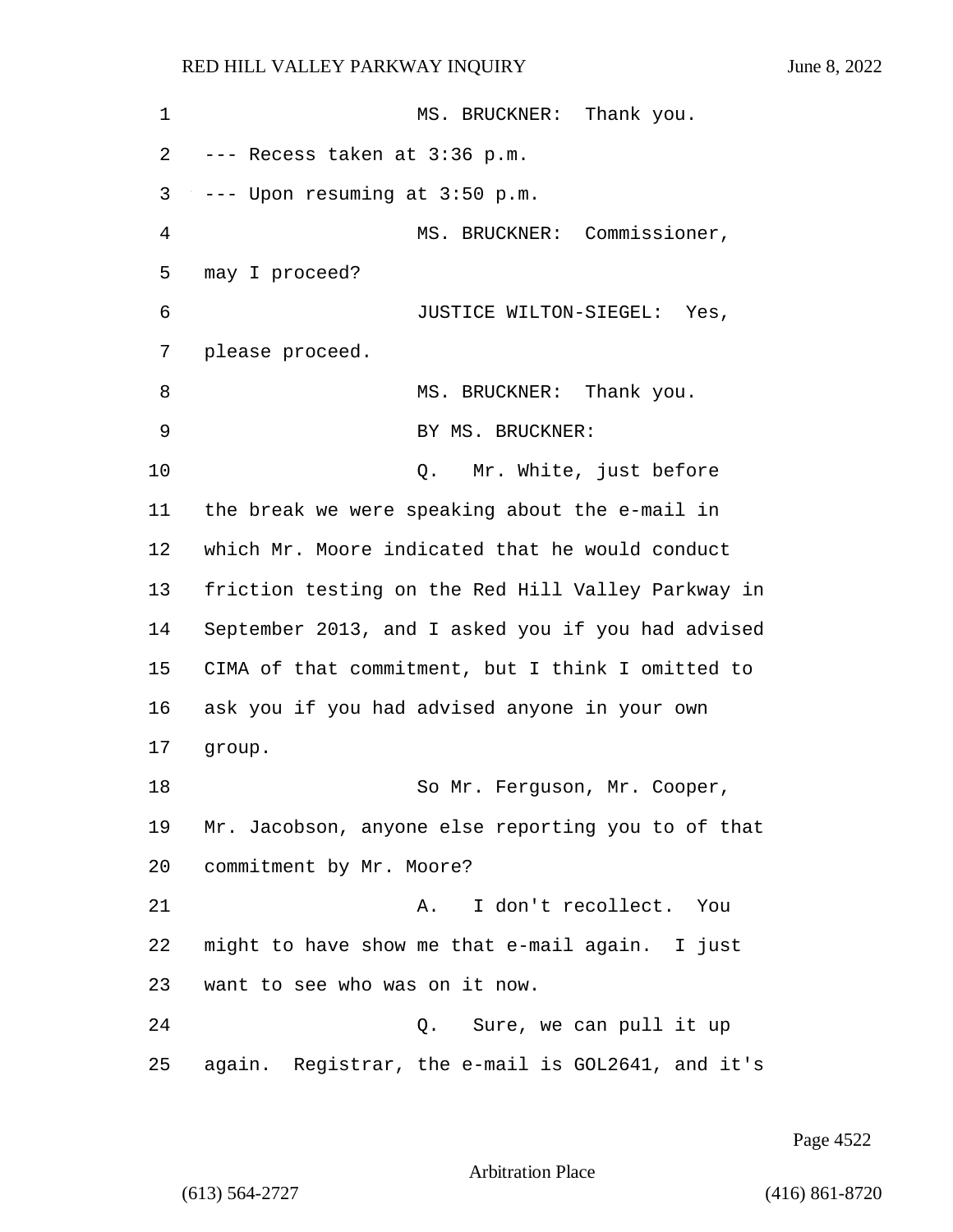| $\mathbf 1$ | Thank you.<br>MS. BRUCKNER:                        |
|-------------|----------------------------------------------------|
| 2           | --- Recess taken at 3:36 p.m.                      |
| 3           | --- Upon resuming at 3:50 p.m.                     |
| 4           | MS. BRUCKNER: Commissioner,                        |
| 5           | may I proceed?                                     |
| 6           | JUSTICE WILTON-SIEGEL: Yes,                        |
| 7           | please proceed.                                    |
| 8           | MS. BRUCKNER: Thank you.                           |
| 9           | BY MS. BRUCKNER:                                   |
| 10          | Mr. White, just before<br>Q.                       |
| 11          | the break we were speaking about the e-mail in     |
| 12          | which Mr. Moore indicated that he would conduct    |
| 13          | friction testing on the Red Hill Valley Parkway in |
| 14          | September 2013, and I asked you if you had advised |
| 15          | CIMA of that commitment, but I think I omitted to  |
| 16          | ask you if you had advised anyone in your own      |
| 17          | group.                                             |
| 18          | So Mr. Ferguson, Mr. Cooper,                       |
| 19          | Mr. Jacobson, anyone else reporting you to of that |
| 20          | commitment by Mr. Moore?                           |
| 21          | I don't recollect. You<br>Α.                       |
| 22          | might to have show me that e-mail again. I just    |
| 23          | want to see who was on it now.                     |
| 24          | Sure, we can pull it up<br>Q.                      |
| 25          | again. Registrar, the e-mail is GOL2641, and it's  |

Page 4522

Arbitration Place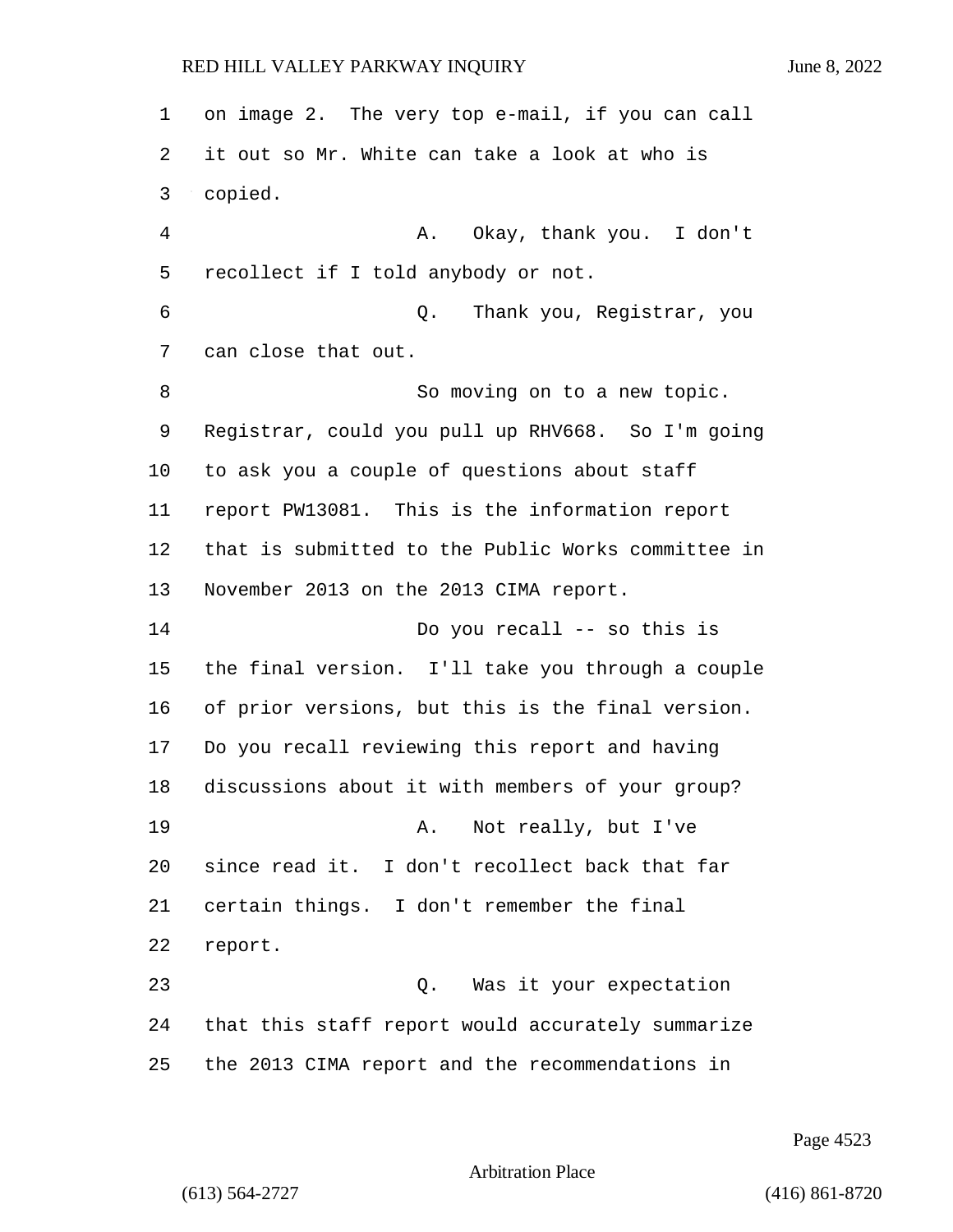on image 2. The very top e-mail, if you can call it out so Mr. White can take a look at who is copied. 4 A. Okay, thank you. I don't recollect if I told anybody or not. 6 Q. Thank you, Registrar, you can close that out. 8 So moving on to a new topic. Registrar, could you pull up RHV668. So I'm going to ask you a couple of questions about staff report PW13081. This is the information report that is submitted to the Public Works committee in November 2013 on the 2013 CIMA report. 14 Do you recall -- so this is the final version. I'll take you through a couple of prior versions, but this is the final version. Do you recall reviewing this report and having discussions about it with members of your group? 19 A. Not really, but I've since read it. I don't recollect back that far certain things. I don't remember the final report. 23 Q. Was it your expectation that this staff report would accurately summarize the 2013 CIMA report and the recommendations in

Page 4523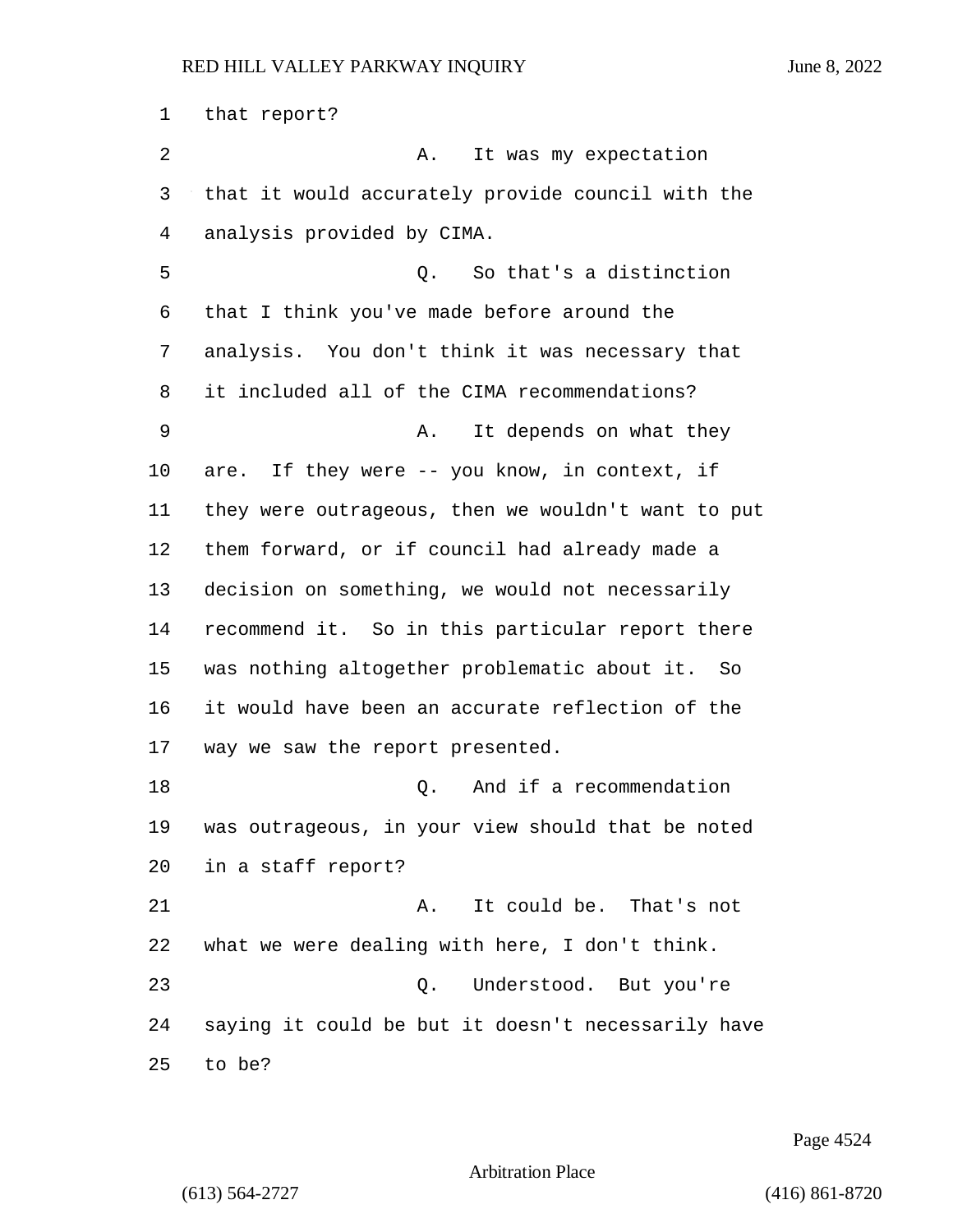that report? 2 A. It was my expectation that it would accurately provide council with the analysis provided by CIMA. 5 Q. So that's a distinction that I think you've made before around the analysis. You don't think it was necessary that it included all of the CIMA recommendations? 9 A. It depends on what they are. If they were -- you know, in context, if they were outrageous, then we wouldn't want to put them forward, or if council had already made a decision on something, we would not necessarily recommend it. So in this particular report there was nothing altogether problematic about it. So it would have been an accurate reflection of the way we saw the report presented. 18 Q. And if a recommendation was outrageous, in your view should that be noted in a staff report? 21 A. It could be. That's not what we were dealing with here, I don't think. 23 Q. Understood. But you're saying it could be but it doesn't necessarily have to be?

Page 4524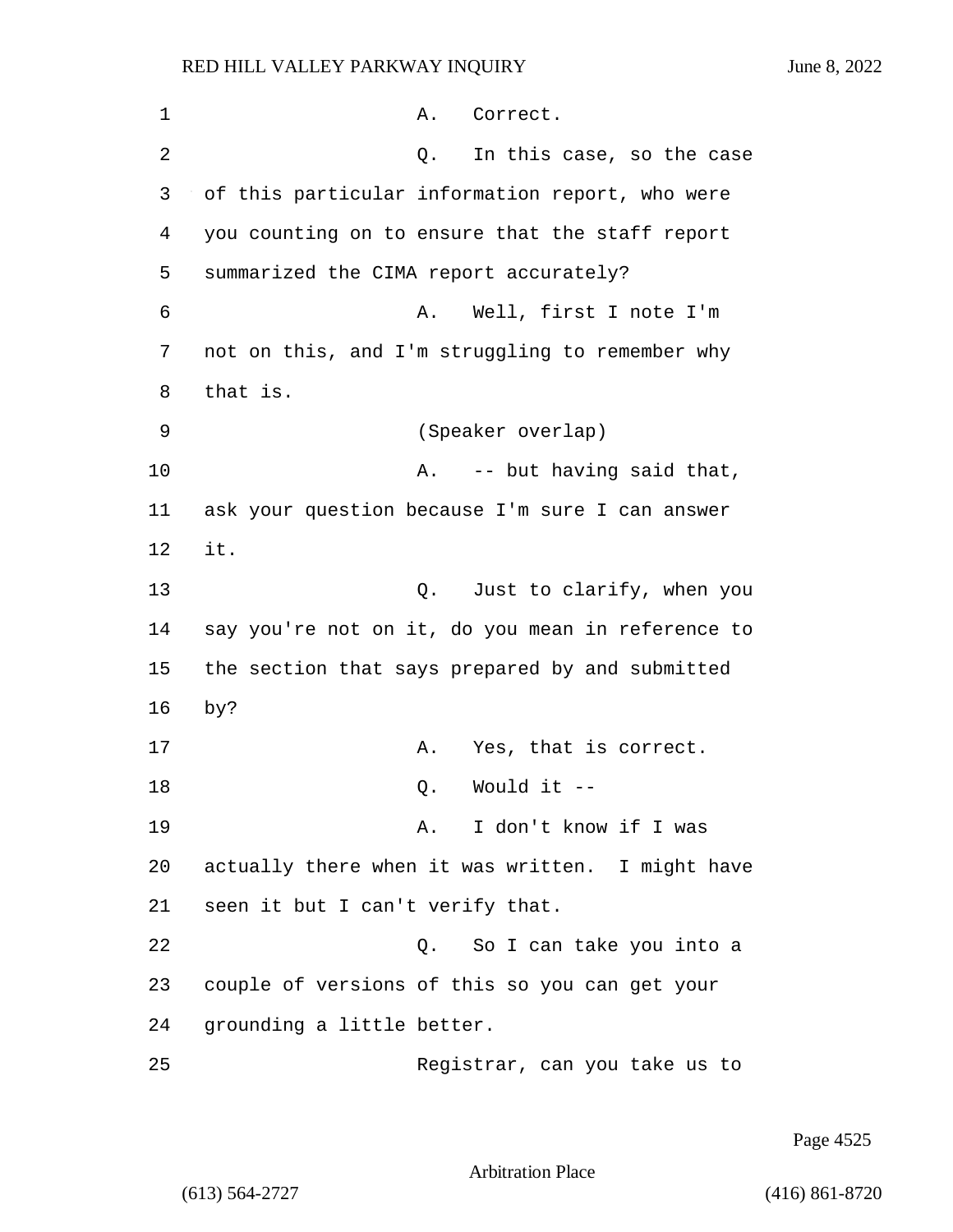| 1  | Correct.<br>Α.                                    |
|----|---------------------------------------------------|
| 2  | In this case, so the case<br>Q.                   |
| 3  | of this particular information report, who were   |
| 4  | you counting on to ensure that the staff report   |
| 5  | summarized the CIMA report accurately?            |
| 6  | Well, first I note I'm<br>Α.                      |
| 7  | not on this, and I'm struggling to remember why   |
| 8  | that is.                                          |
| 9  | (Speaker overlap)                                 |
| 10 | A. -- but having said that,                       |
| 11 | ask your question because I'm sure I can answer   |
| 12 | it.                                               |
| 13 | Just to clarify, when you<br>Q.                   |
| 14 | say you're not on it, do you mean in reference to |
| 15 | the section that says prepared by and submitted   |
| 16 | py?                                               |
| 17 | Yes, that is correct.<br>Α.                       |
| 18 | Would it --<br>Q.                                 |
| 19 | I don't know if I was<br>Α.                       |
| 20 | actually there when it was written. I might have  |
| 21 | seen it but I can't verify that.                  |
| 22 | Q. So I can take you into a                       |
| 23 | couple of versions of this so you can get your    |
| 24 | grounding a little better.                        |
| 25 | Registrar, can you take us to                     |

Page 4525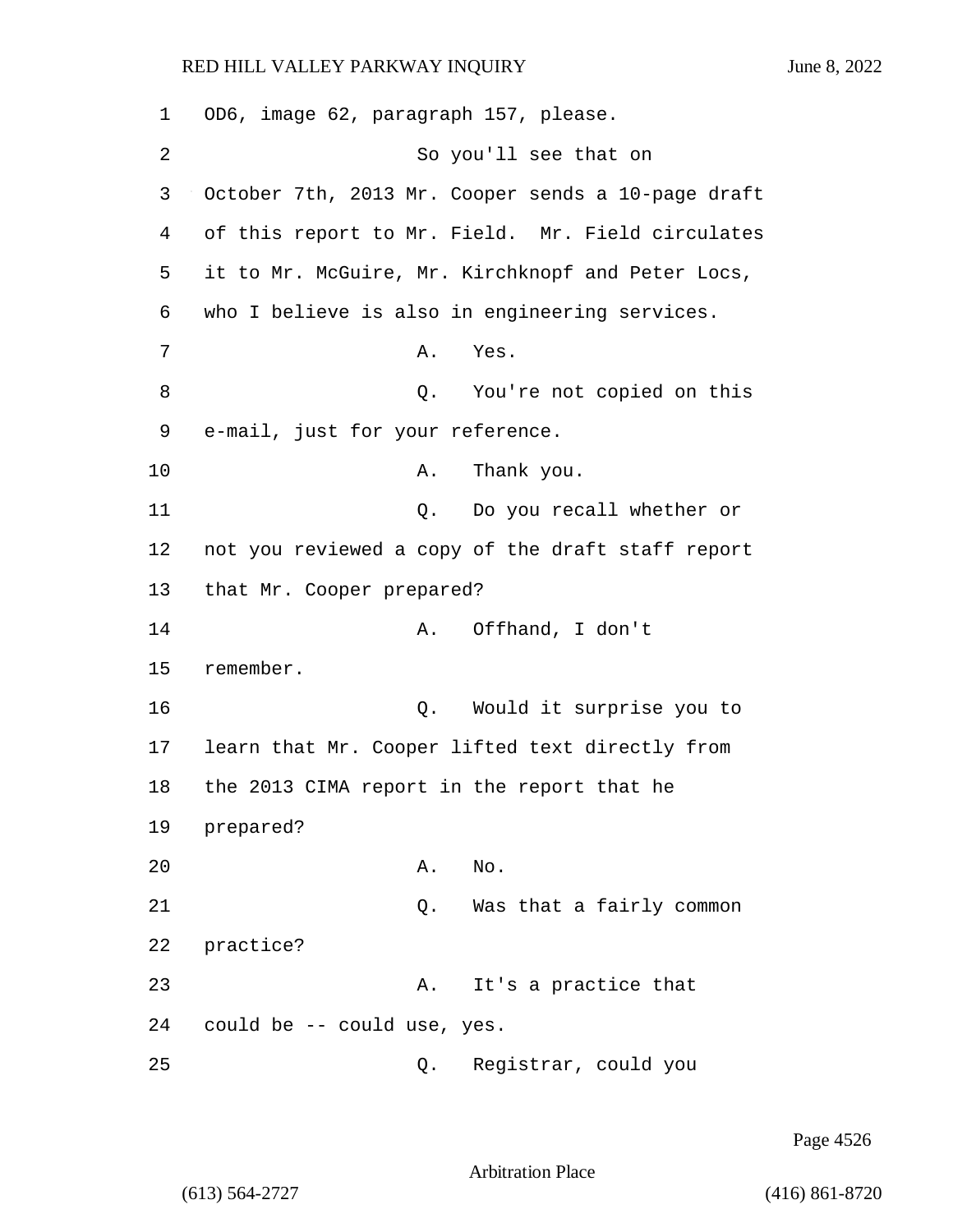| 1              | OD6, image 62, paragraph 157, please.              |
|----------------|----------------------------------------------------|
| $\overline{2}$ | So you'll see that on                              |
| 3              | October 7th, 2013 Mr. Cooper sends a 10-page draft |
| 4              | of this report to Mr. Field. Mr. Field circulates  |
| 5              | it to Mr. McGuire, Mr. Kirchknopf and Peter Locs,  |
| 6              | who I believe is also in engineering services.     |
| 7              | Yes.<br>Α.                                         |
| 8              | Q. You're not copied on this                       |
| 9              | e-mail, just for your reference.                   |
| 10             | Thank you.<br>Α.                                   |
| 11             | Q. Do you recall whether or                        |
| 12             | not you reviewed a copy of the draft staff report  |
| 13             | that Mr. Cooper prepared?                          |
| 14             | Offhand, I don't<br>Α.                             |
| 15             | remember.                                          |
| 16             | Would it surprise you to<br>Q.                     |
| 17             | learn that Mr. Cooper lifted text directly from    |
| 18             | the 2013 CIMA report in the report that he         |
| 19             | prepared?                                          |
| 20             | Α.<br>No.                                          |
| 21             | Was that a fairly common<br>Q.                     |
| 22             | practice?                                          |
| 23             | It's a practice that<br>Α.                         |
| 24             | could be -- could use, yes.                        |
| 25             | Registrar, could you<br>Q.                         |

Page 4526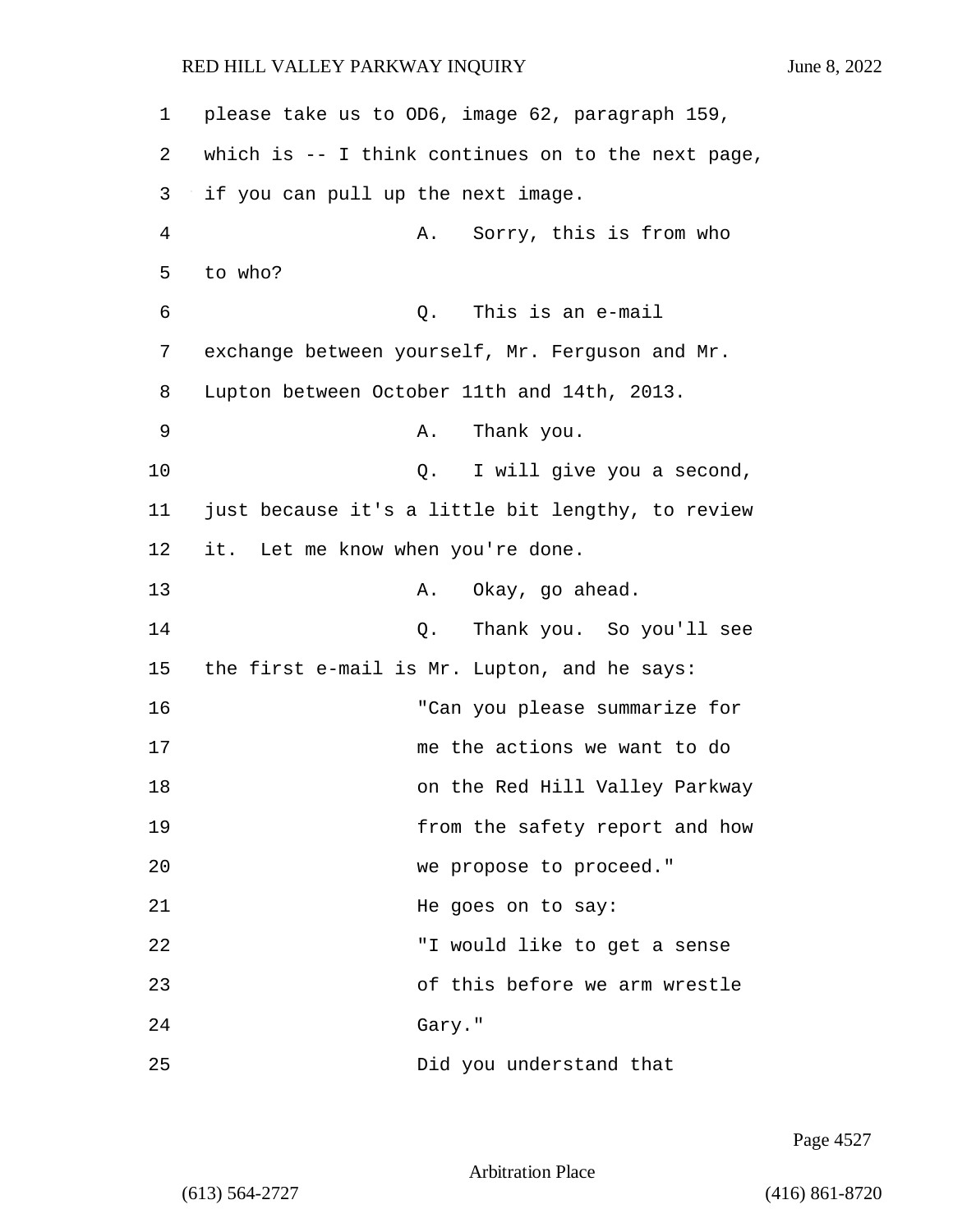| 1      | please take us to OD6, image 62, paragraph 159,    |
|--------|----------------------------------------------------|
| 2      | which is -- I think continues on to the next page, |
| 3      | if you can pull up the next image.                 |
| 4      | Sorry, this is from who<br>Α.                      |
| 5      | to who?                                            |
| 6      | This is an e-mail<br>Q.                            |
| 7      | exchange between yourself, Mr. Ferguson and Mr.    |
| 8      | Lupton between October 11th and 14th, 2013.        |
| 9      | Thank you.<br>Α.                                   |
| 10     | I will give you a second,<br>Q.                    |
| 11     | just because it's a little bit lengthy, to review  |
| 12     | it. Let me know when you're done.                  |
| 13     | Okay, go ahead.<br>Α.                              |
| 14     | Thank you. So you'll see<br>Q.                     |
| 15     | the first e-mail is Mr. Lupton, and he says:       |
| 16     | "Can you please summarize for                      |
| 17     | me the actions we want to do                       |
| $18\,$ | on the Red Hill Valley Parkway                     |
| 19     | from the safety report and how                     |
| 20     | we propose to proceed."                            |
| 21     | He goes on to say:                                 |
| 22     | "I would like to get a sense                       |
| 23     | of this before we arm wrestle                      |
| 24     | Gary."                                             |
| 25     | Did you understand that                            |

Page 4527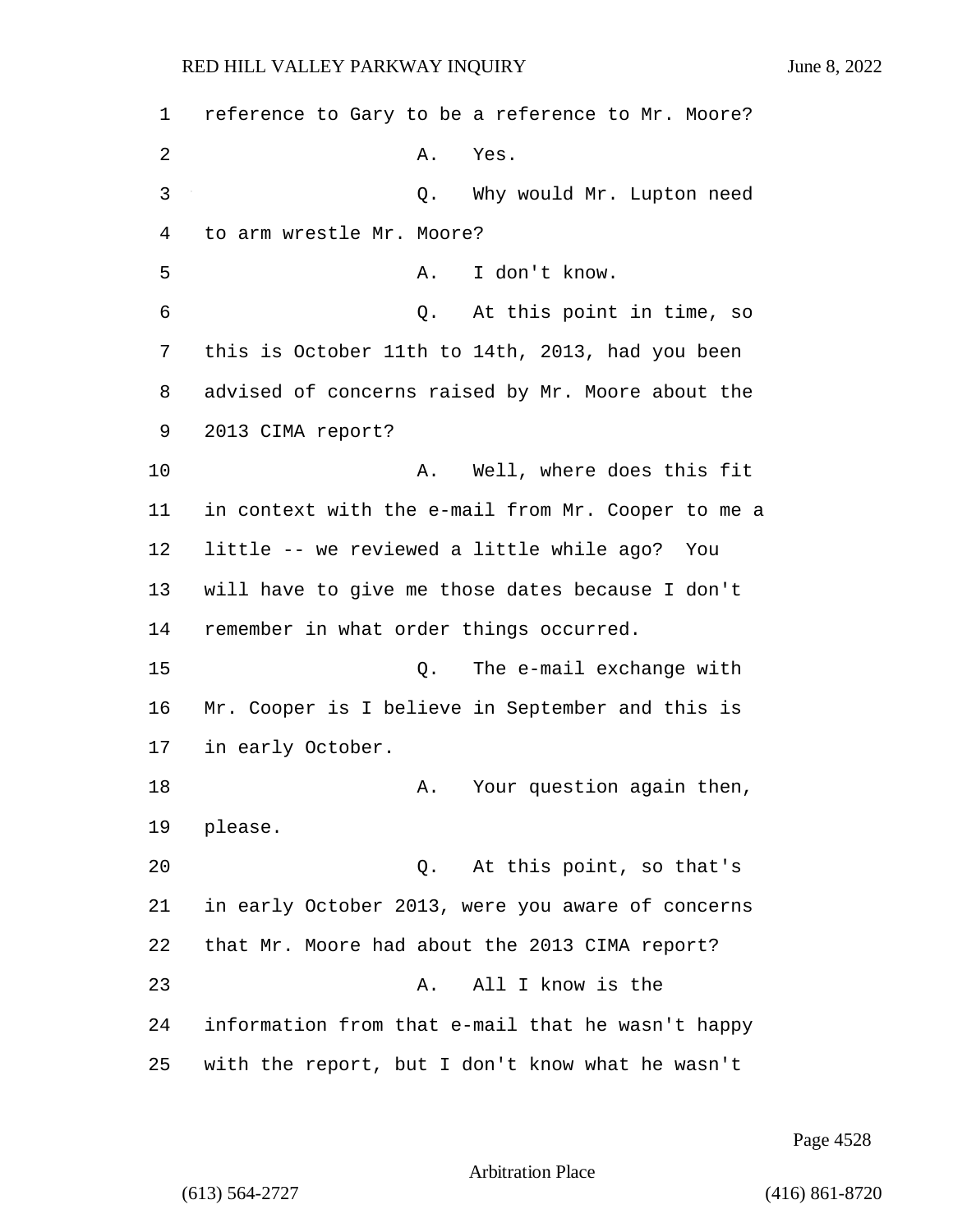1 reference to Gary to be a reference to Mr. Moore? 2 A. Yes. 3 Q. Why would Mr. Lupton need 4 to arm wrestle Mr. Moore? 5 A. I don't know. 6 Q. At this point in time, so 7 this is October 11th to 14th, 2013, had you been 8 advised of concerns raised by Mr. Moore about the 9 2013 CIMA report? 10 A. Well, where does this fit 11 in context with the e-mail from Mr. Cooper to me a 12 little -- we reviewed a little while ago? You 13 will have to give me those dates because I don't 14 remember in what order things occurred. 15 Q. The e-mail exchange with 16 Mr. Cooper is I believe in September and this is 17 in early October. 18 A. Your question again then, 19 please. 20 Q. At this point, so that's 21 in early October 2013, were you aware of concerns 22 that Mr. Moore had about the 2013 CIMA report? 23 A. All I know is the 24 information from that e-mail that he wasn't happy 25 with the report, but I don't know what he wasn't

Page 4528

```
Arbitration Place
```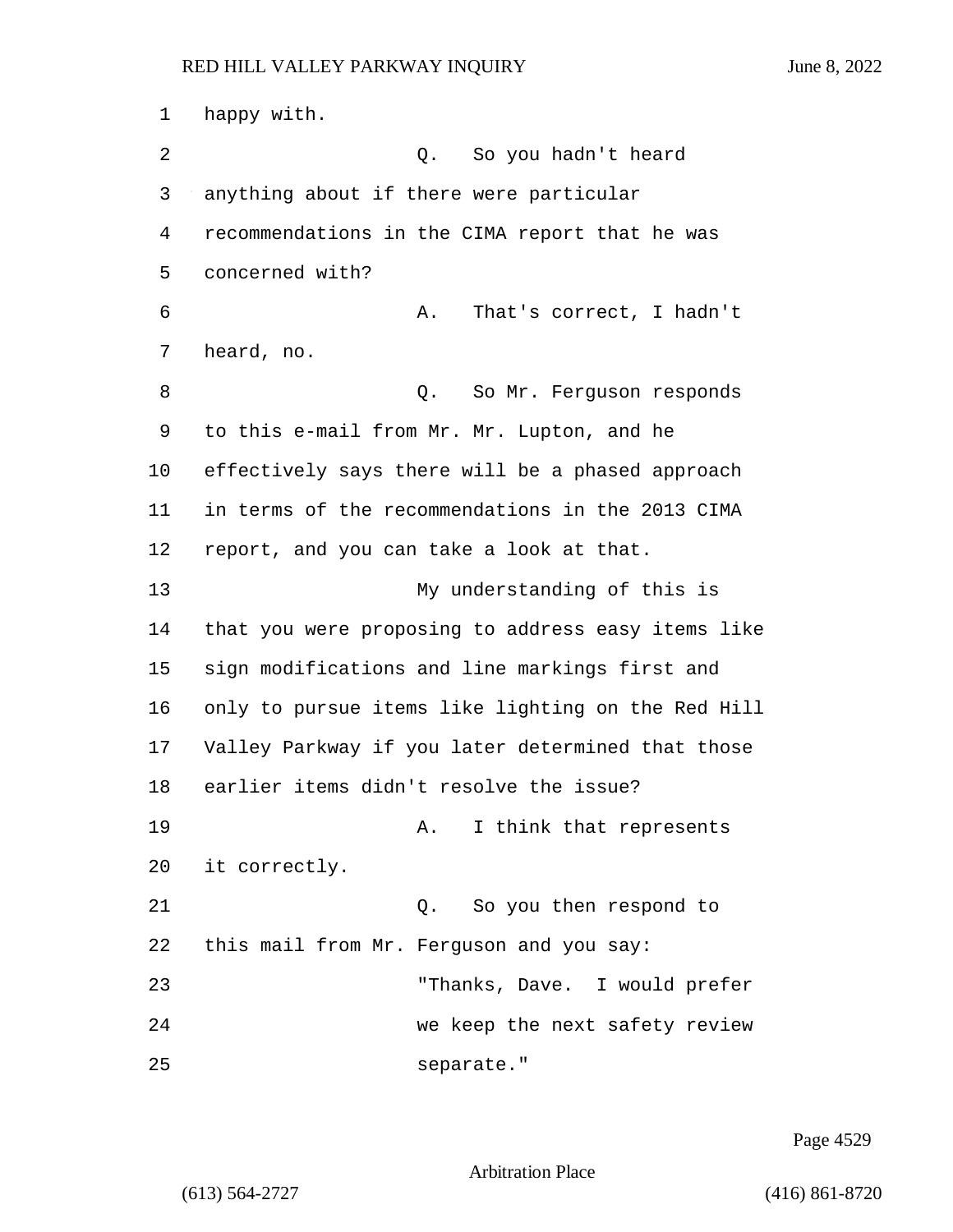happy with. 2 Q. So you hadn't heard anything about if there were particular recommendations in the CIMA report that he was concerned with? 6 A. That's correct, I hadn't heard, no. 8 and 2. So Mr. Ferguson responds to this e-mail from Mr. Mr. Lupton, and he effectively says there will be a phased approach in terms of the recommendations in the 2013 CIMA report, and you can take a look at that. 13 My understanding of this is that you were proposing to address easy items like sign modifications and line markings first and only to pursue items like lighting on the Red Hill Valley Parkway if you later determined that those earlier items didn't resolve the issue? 19 A. I think that represents it correctly. 21 Q. So you then respond to this mail from Mr. Ferguson and you say: 23 "Thanks, Dave. I would prefer 24 we keep the next safety review 25 separate."

Page 4529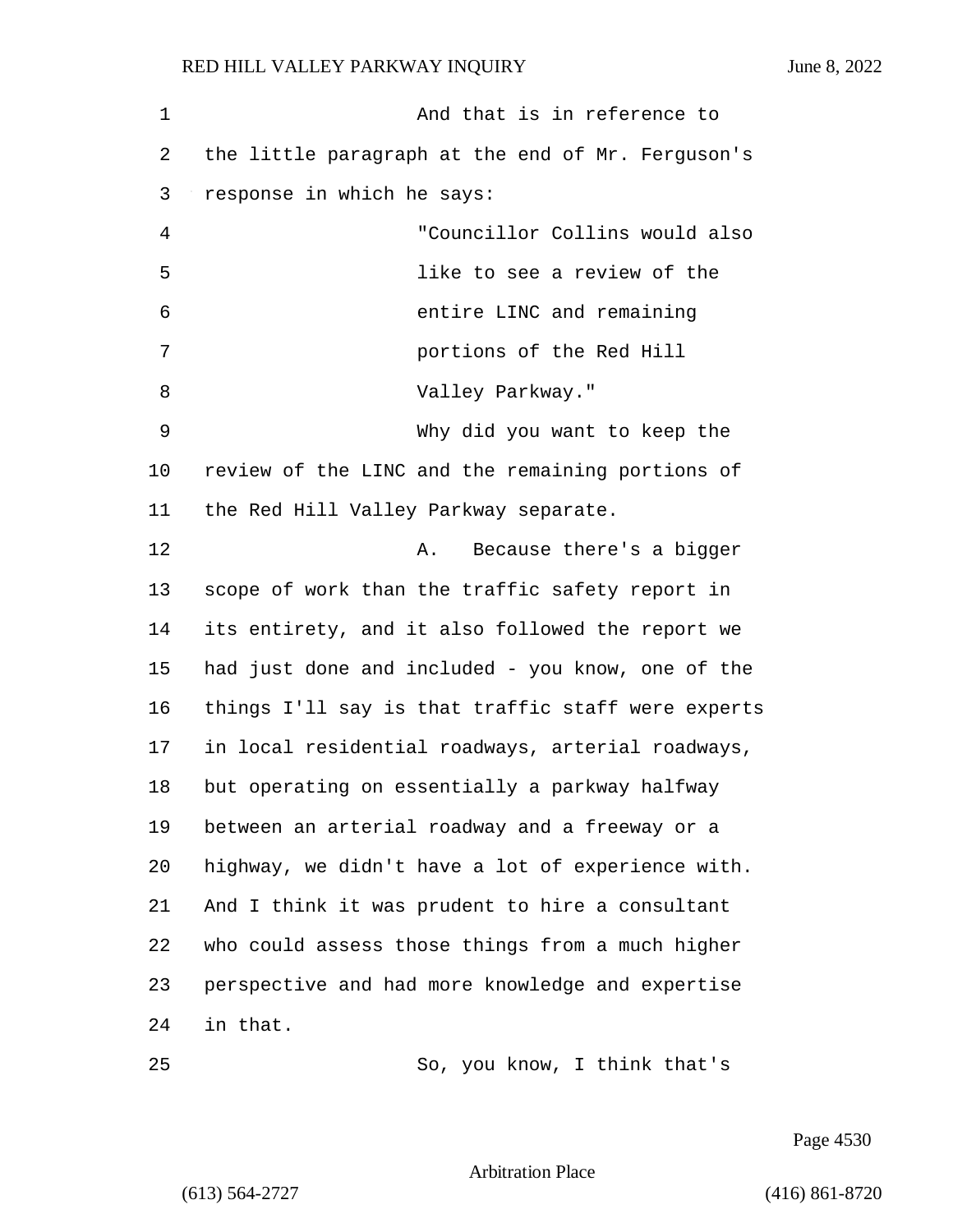| $\mathbf 1$ | And that is in reference to                        |
|-------------|----------------------------------------------------|
| 2           | the little paragraph at the end of Mr. Ferguson's  |
| 3           | response in which he says:                         |
| 4           | "Councillor Collins would also                     |
| 5           | like to see a review of the                        |
| 6           | entire LINC and remaining                          |
| 7           | portions of the Red Hill                           |
| 8           | Valley Parkway."                                   |
| 9           | Why did you want to keep the                       |
| 10          | review of the LINC and the remaining portions of   |
| 11          | the Red Hill Valley Parkway separate.              |
| 12          | Because there's a bigger<br>Α.                     |
| 13          | scope of work than the traffic safety report in    |
| 14          | its entirety, and it also followed the report we   |
| 15          | had just done and included - you know, one of the  |
| 16          | things I'll say is that traffic staff were experts |
| 17          | in local residential roadways, arterial roadways,  |
| 18          | but operating on essentially a parkway halfway     |
| 19          | between an arterial roadway and a freeway or a     |
| 20          | highway, we didn't have a lot of experience with.  |
| 21          | And I think it was prudent to hire a consultant    |
| 22          | who could assess those things from a much higher   |
| 23          | perspective and had more knowledge and expertise   |
| 24          | in that.                                           |
| 25          | So, you know, I think that's                       |

Page 4530

Arbitration Place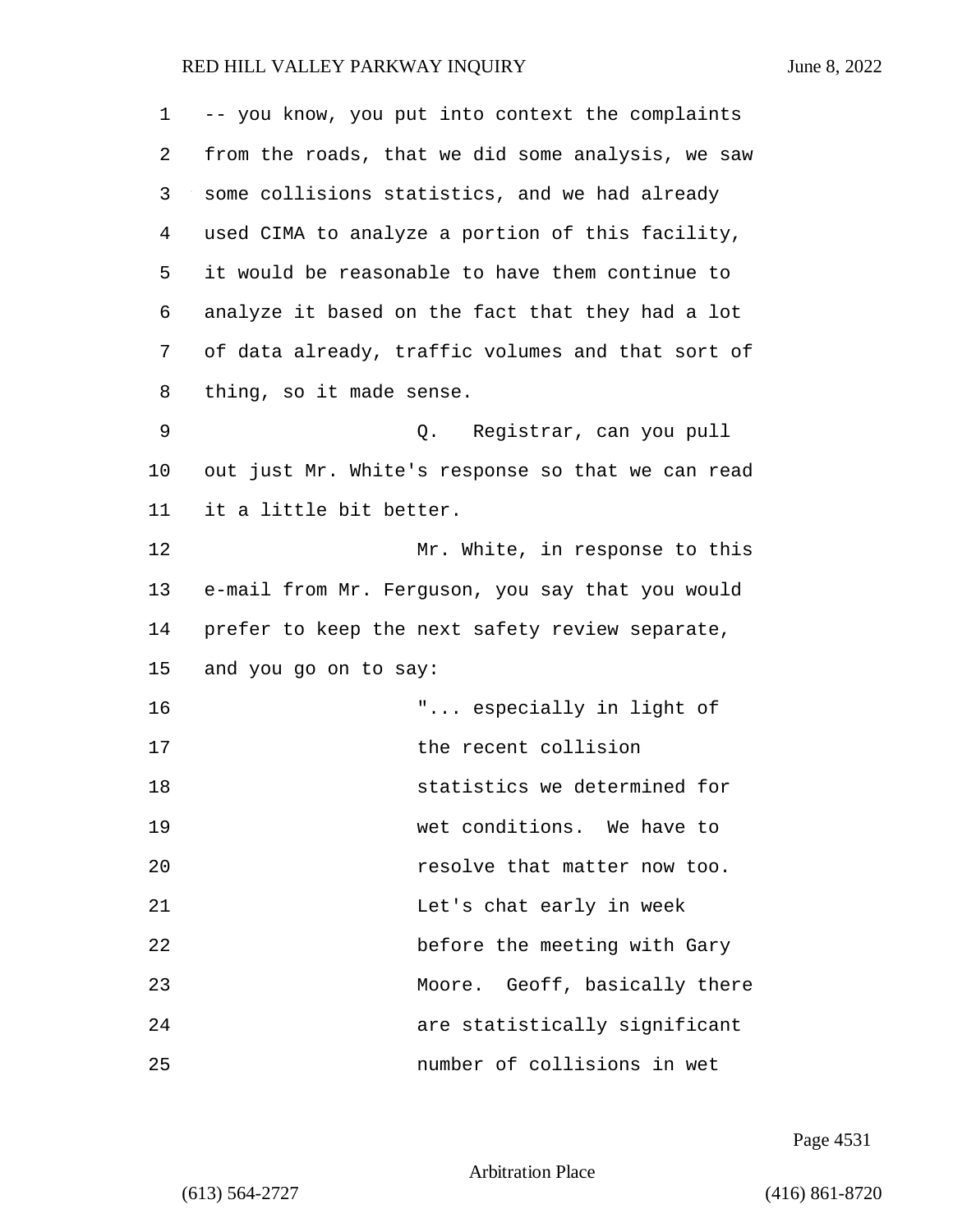| 1  | -- you know, you put into context the complaints  |
|----|---------------------------------------------------|
| 2  | from the roads, that we did some analysis, we saw |
| 3  | some collisions statistics, and we had already    |
| 4  | used CIMA to analyze a portion of this facility,  |
| 5  | it would be reasonable to have them continue to   |
| 6  | analyze it based on the fact that they had a lot  |
| 7  | of data already, traffic volumes and that sort of |
| 8  | thing, so it made sense.                          |
| 9  | Registrar, can you pull<br>Q.                     |
| 10 | out just Mr. White's response so that we can read |
| 11 | it a little bit better.                           |
| 12 | Mr. White, in response to this                    |
| 13 | e-mail from Mr. Ferguson, you say that you would  |
| 14 | prefer to keep the next safety review separate,   |
| 15 | and you go on to say:                             |
| 16 | " especially in light of                          |
| 17 | the recent collision                              |
| 18 | statistics we determined for                      |
| 19 | wet conditions. We have to                        |
| 20 | resolve that matter now too.                      |
| 21 | Let's chat early in week                          |
| 22 | before the meeting with Gary                      |
| 23 | Moore. Geoff, basically there                     |
| 24 | are statistically significant                     |
| 25 | number of collisions in wet                       |

Page 4531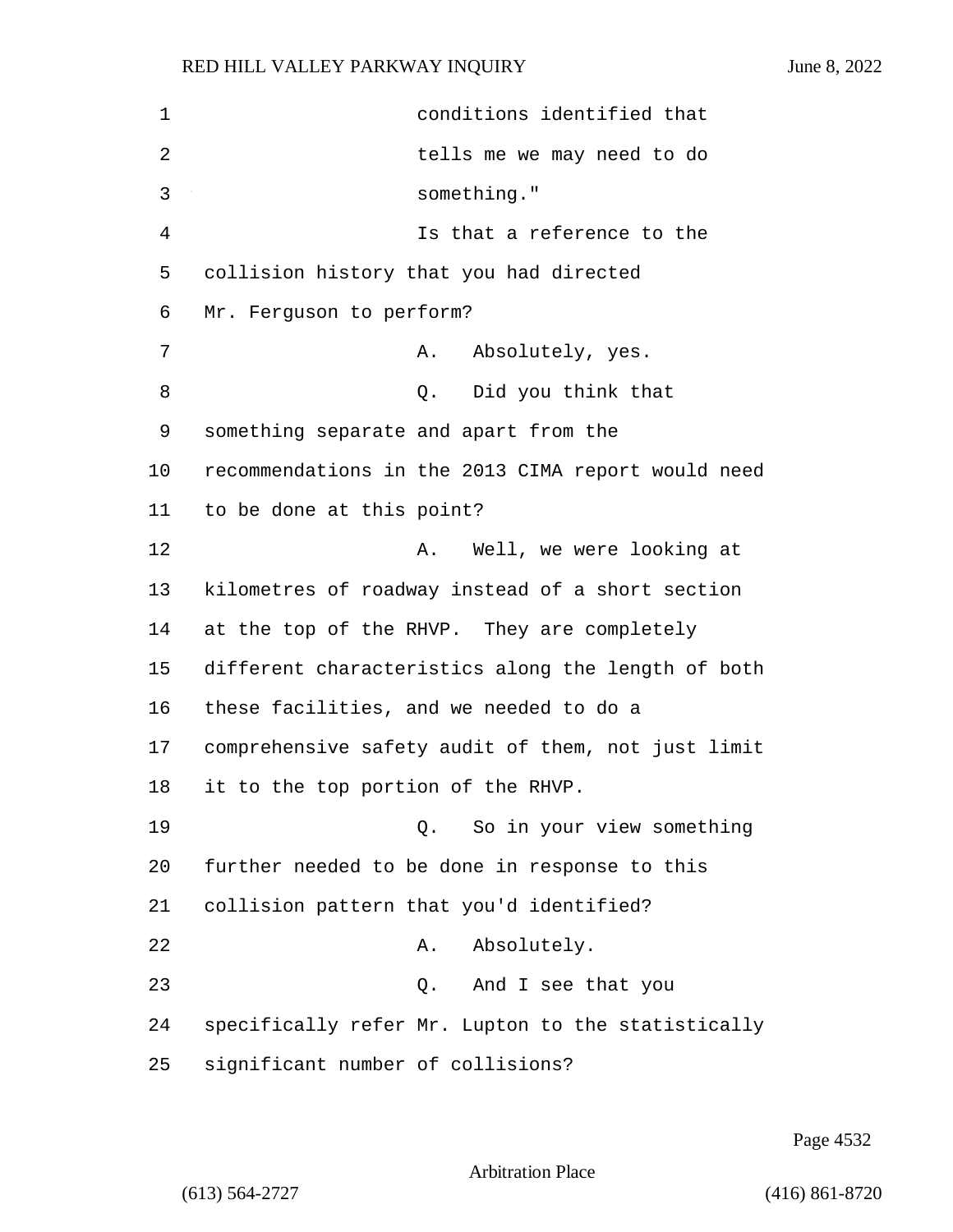| $\mathbf 1$ | conditions identified that                         |
|-------------|----------------------------------------------------|
| 2           | tells me we may need to do                         |
| 3           | something."                                        |
| 4           | Is that a reference to the                         |
| 5           | collision history that you had directed            |
| 6           | Mr. Ferguson to perform?                           |
| 7           | Absolutely, yes.<br>Α.                             |
| 8           | Did you think that<br>Q.                           |
| 9           | something separate and apart from the              |
| 10          | recommendations in the 2013 CIMA report would need |
| 11          | to be done at this point?                          |
| 12          | Well, we were looking at<br>Α.                     |
| 13          | kilometres of roadway instead of a short section   |
| 14          | at the top of the RHVP. They are completely        |
| 15          | different characteristics along the length of both |
| 16          | these facilities, and we needed to do a            |
| 17          | comprehensive safety audit of them, not just limit |
| 18          | it to the top portion of the RHVP.                 |
| 19          | Q. So in your view something                       |
| 20          | further needed to be done in response to this      |
| 21          | collision pattern that you'd identified?           |
| 22          | Absolutely.<br>Α.                                  |
| 23          | And I see that you<br>Q.                           |
| 24          | specifically refer Mr. Lupton to the statistically |
| 25          | significant number of collisions?                  |

Page 4532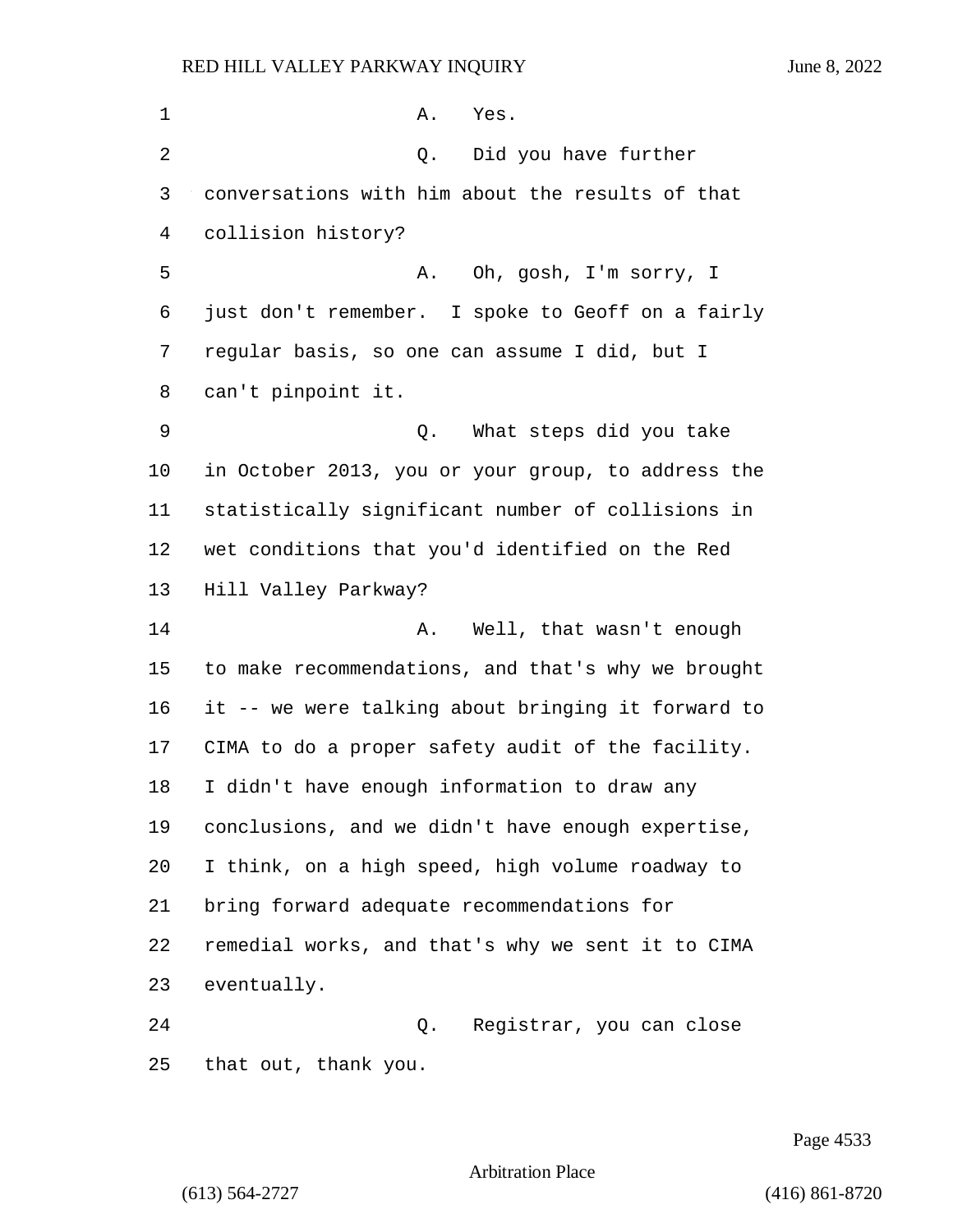| 1  | Α.<br>Yes.                                         |
|----|----------------------------------------------------|
| 2  | Did you have further<br>Q.                         |
| 3  | conversations with him about the results of that   |
| 4  | collision history?                                 |
| 5  | Oh, gosh, I'm sorry, I<br>Α.                       |
| 6  | just don't remember. I spoke to Geoff on a fairly  |
| 7  | regular basis, so one can assume I did, but I      |
| 8  | can't pinpoint it.                                 |
| 9  | What steps did you take<br>Q.                      |
| 10 | in October 2013, you or your group, to address the |
| 11 | statistically significant number of collisions in  |
| 12 | wet conditions that you'd identified on the Red    |
| 13 | Hill Valley Parkway?                               |
| 14 | Well, that wasn't enough<br>Α.                     |
| 15 | to make recommendations, and that's why we brought |
| 16 | it -- we were talking about bringing it forward to |
| 17 | CIMA to do a proper safety audit of the facility.  |
| 18 | I didn't have enough information to draw any       |
| 19 | conclusions, and we didn't have enough expertise,  |
| 20 | I think, on a high speed, high volume roadway to   |
| 21 | bring forward adequate recommendations for         |
| 22 | remedial works, and that's why we sent it to CIMA  |
| 23 | eventually.                                        |
| 24 | Registrar, you can close<br>Q.                     |
| 25 | that out, thank you.                               |

Page 4533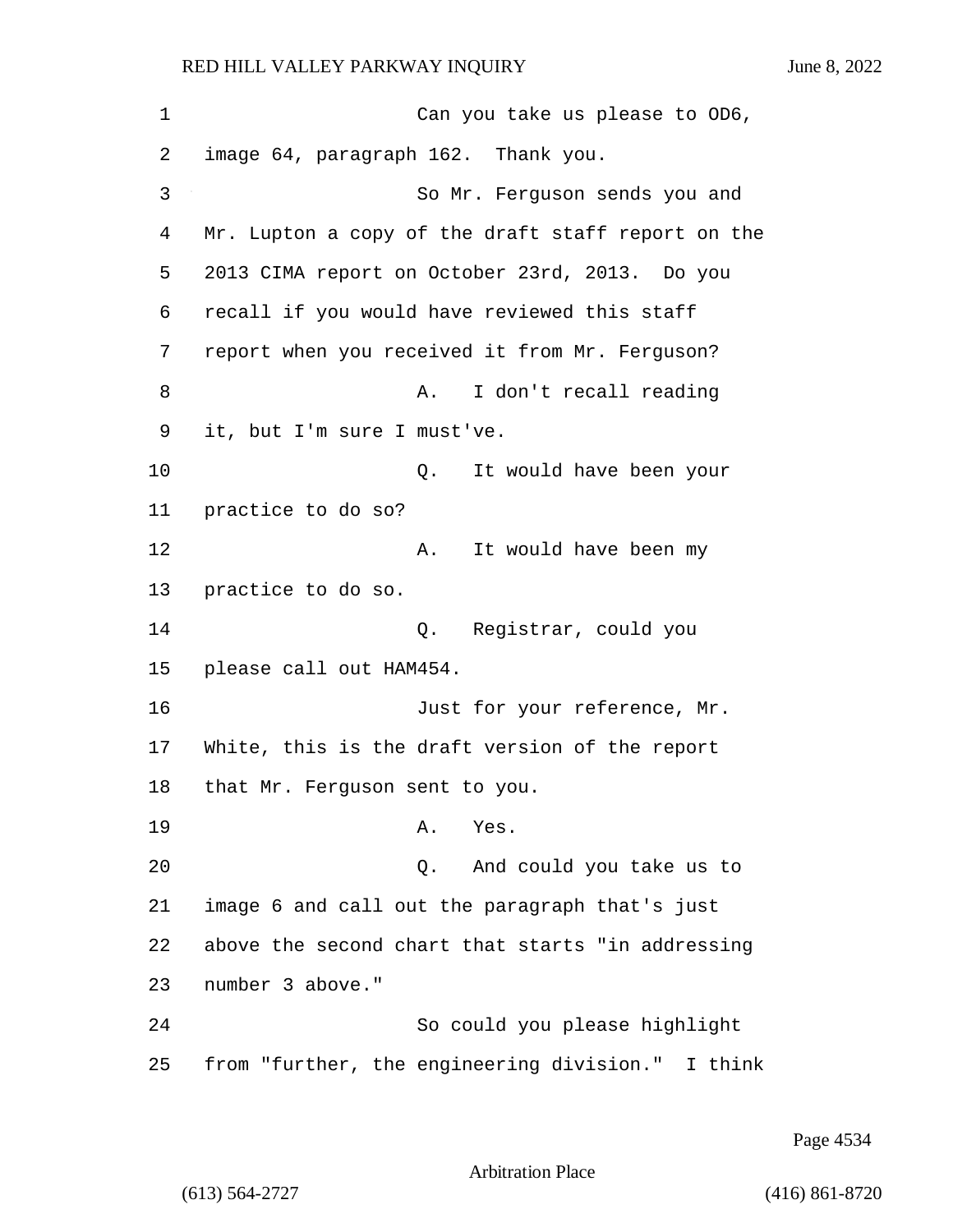| 1  | Can you take us please to OD6,                     |
|----|----------------------------------------------------|
| 2  | image 64, paragraph 162. Thank you.                |
| 3  | So Mr. Ferguson sends you and                      |
| 4  | Mr. Lupton a copy of the draft staff report on the |
| 5  | 2013 CIMA report on October 23rd, 2013. Do you     |
| 6  | recall if you would have reviewed this staff       |
| 7  | report when you received it from Mr. Ferguson?     |
| 8  | I don't recall reading<br>Α.                       |
| 9  | it, but I'm sure I must've.                        |
| 10 | It would have been your<br>Q.                      |
| 11 | practice to do so?                                 |
| 12 | It would have been my<br>Α.                        |
| 13 | practice to do so.                                 |
| 14 | Q. Registrar, could you                            |
| 15 | please call out HAM454.                            |
| 16 | Just for your reference, Mr.                       |
| 17 | White, this is the draft version of the report     |
| 18 | that Mr. Ferguson sent to you.                     |
| 19 | Yes.<br>Α.                                         |
| 20 | And could you take us to<br>Q.                     |
| 21 | image 6 and call out the paragraph that's just     |
| 22 | above the second chart that starts "in addressing  |
| 23 | number 3 above."                                   |
| 24 | So could you please highlight                      |
| 25 | from "further, the engineering division." I think  |

Page 4534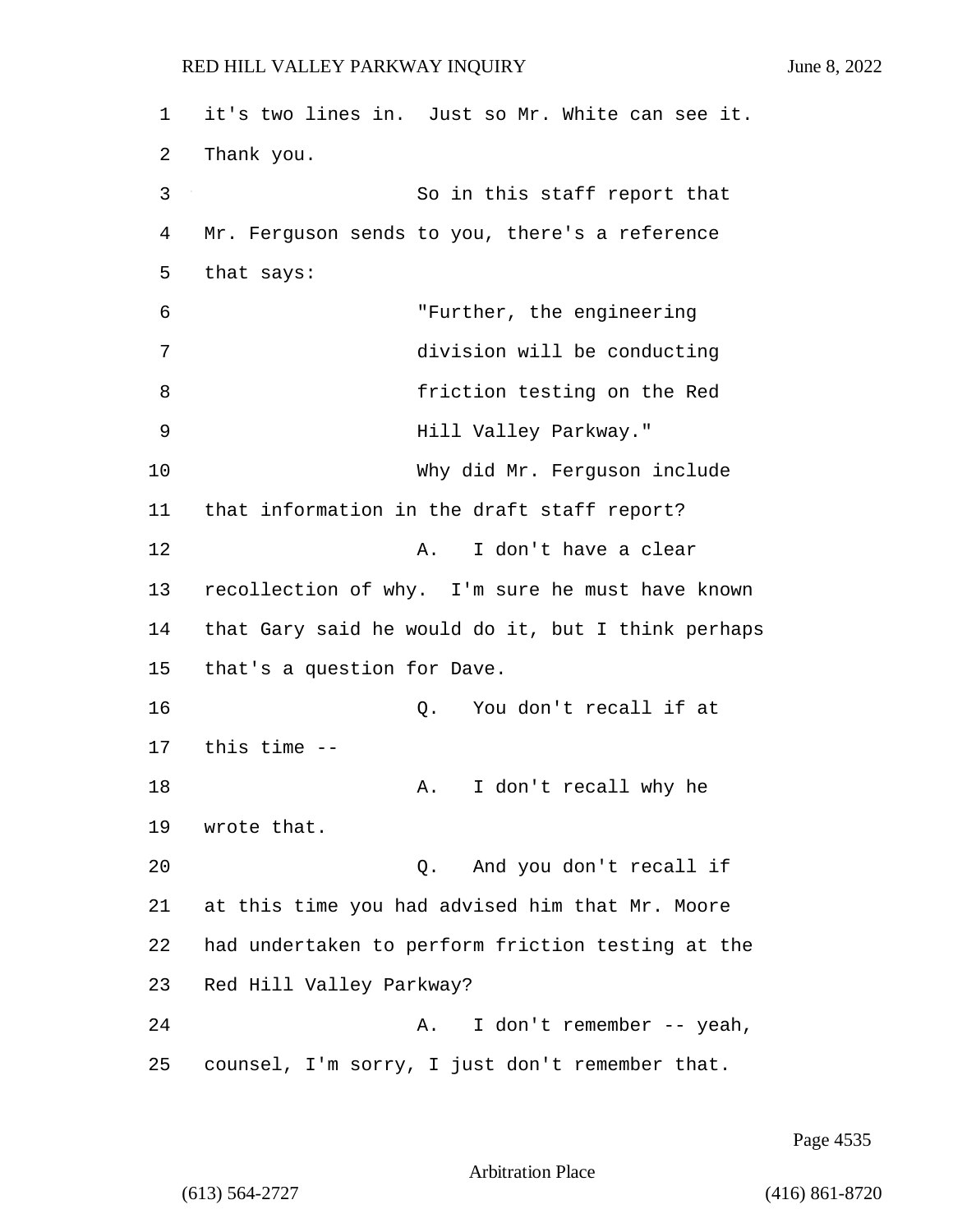1 it's two lines in. Just so Mr. White can see it. 2 Thank you. 3 So in this staff report that 4 Mr. Ferguson sends to you, there's a reference 5 that says: 6 "Further, the engineering 7 division will be conducting 8 friction testing on the Red 9 Hill Valley Parkway." 10 Why did Mr. Ferguson include 11 that information in the draft staff report? 12 A. I don't have a clear 13 recollection of why. I'm sure he must have known 14 that Gary said he would do it, but I think perhaps 15 that's a question for Dave. 16 and 16 Q. You don't recall if at 17 this time -- 18 A. I don't recall why he 19 wrote that. 20 Q. And you don't recall if 21 at this time you had advised him that Mr. Moore 22 had undertaken to perform friction testing at the 23 Red Hill Valley Parkway? 24 A. I don't remember -- yeah, 25 counsel, I'm sorry, I just don't remember that.

Page 4535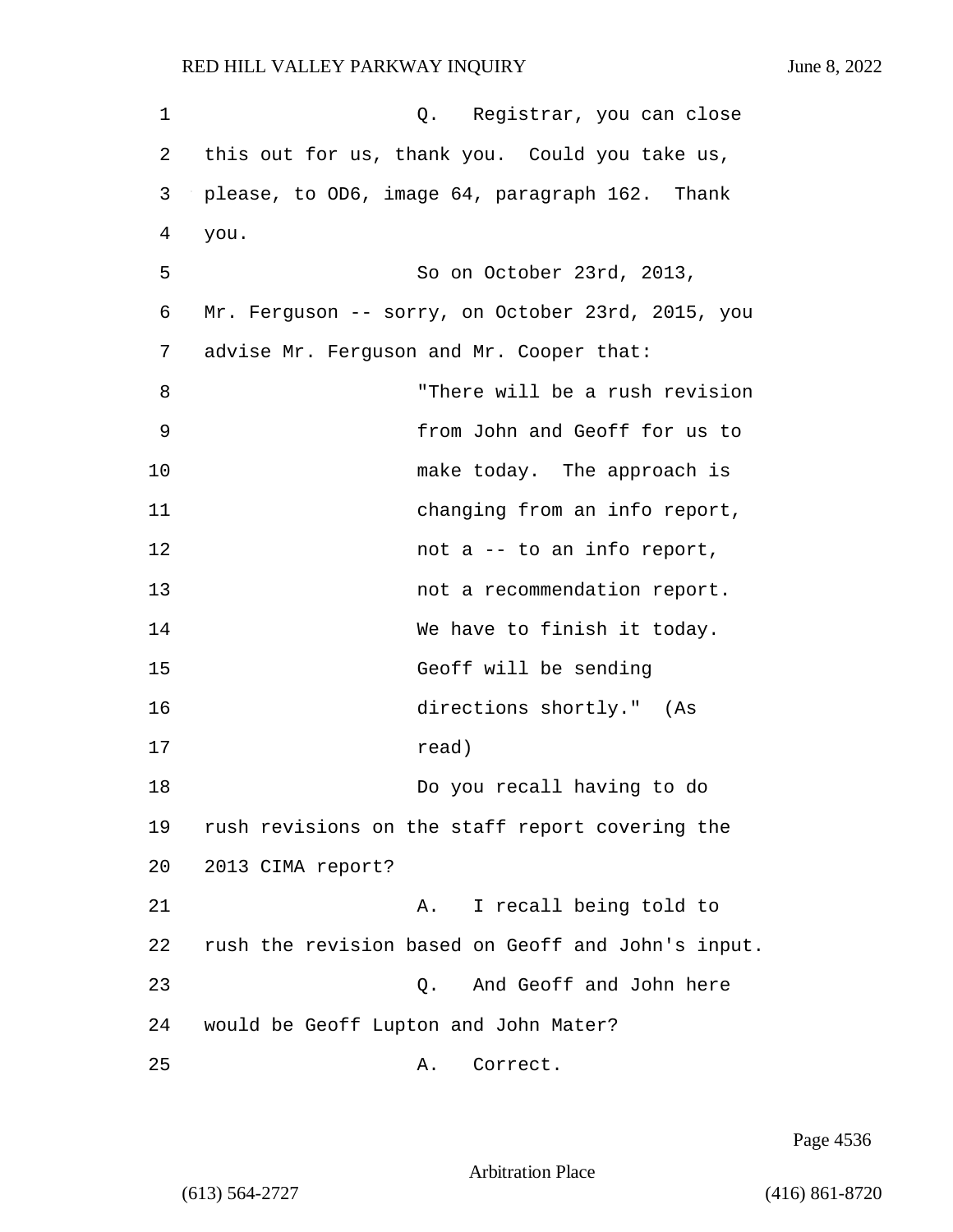| 1  | Q. Registrar, you can close                        |
|----|----------------------------------------------------|
| 2  | this out for us, thank you. Could you take us,     |
| 3  | please, to OD6, image 64, paragraph 162. Thank     |
| 4  | you.                                               |
| 5  | So on October 23rd, 2013,                          |
| 6  | Mr. Ferguson -- sorry, on October 23rd, 2015, you  |
| 7  | advise Mr. Ferguson and Mr. Cooper that:           |
| 8  | "There will be a rush revision                     |
| 9  | from John and Geoff for us to                      |
| 10 | make today. The approach is                        |
| 11 | changing from an info report,                      |
| 12 | not a -- to an info report,                        |
| 13 | not a recommendation report.                       |
| 14 | We have to finish it today.                        |
| 15 | Geoff will be sending                              |
| 16 | directions shortly." (As                           |
| 17 | read)                                              |
| 18 | Do you recall having to do                         |
| 19 | rush revisions on the staff report covering the    |
| 20 | 2013 CIMA report?                                  |
| 21 | I recall being told to<br>Α.                       |
| 22 | rush the revision based on Geoff and John's input. |
| 23 | And Geoff and John here<br>$Q$ .                   |
| 24 | would be Geoff Lupton and John Mater?              |
| 25 | Correct.<br>Α.                                     |

Page 4536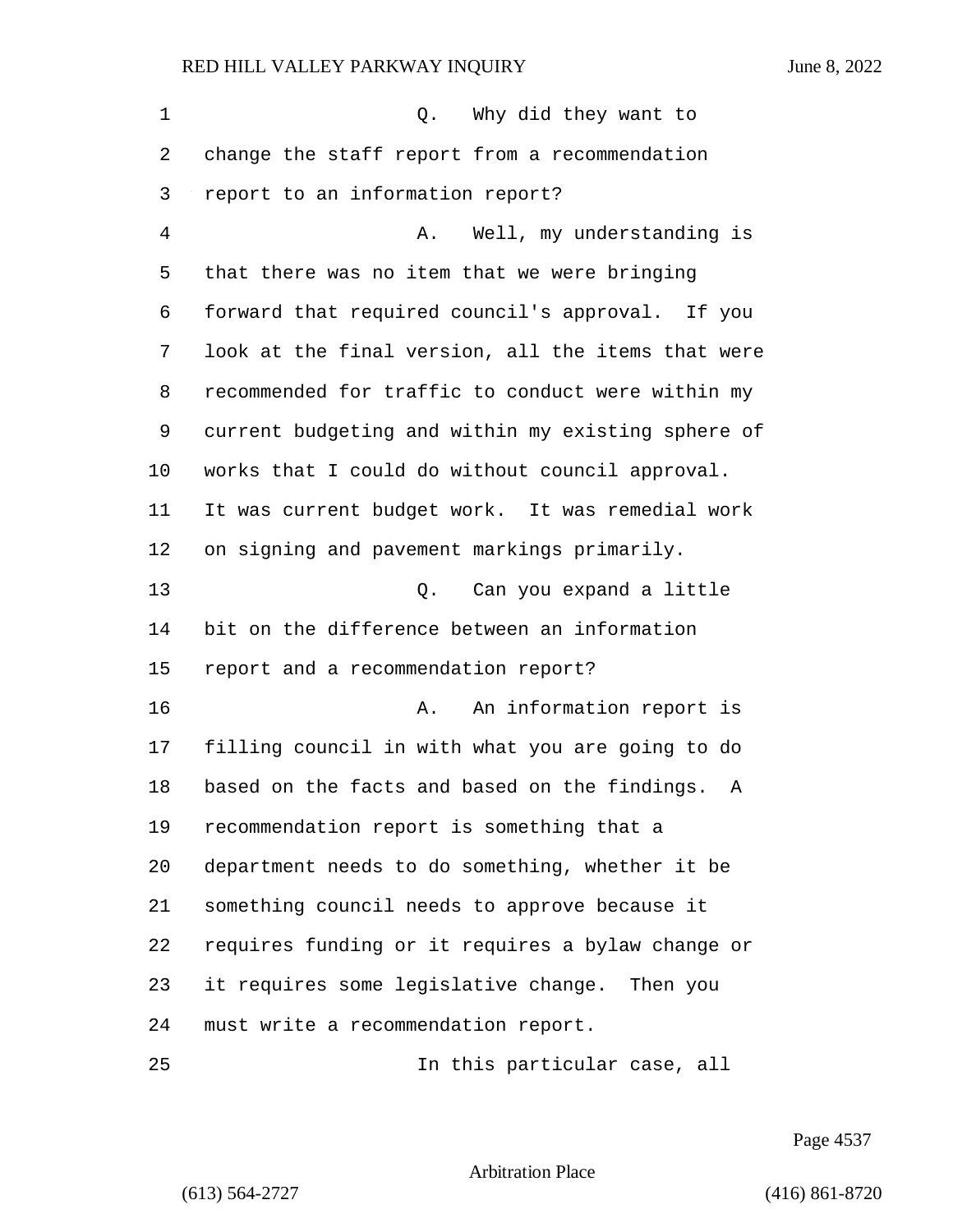1 C. Why did they want to change the staff report from a recommendation report to an information report? 4 A. Well, my understanding is that there was no item that we were bringing forward that required council's approval. If you look at the final version, all the items that were recommended for traffic to conduct were within my current budgeting and within my existing sphere of works that I could do without council approval. It was current budget work. It was remedial work on signing and pavement markings primarily. 13 Q. Can you expand a little bit on the difference between an information report and a recommendation report? 16 A. An information report is filling council in with what you are going to do based on the facts and based on the findings. A recommendation report is something that a department needs to do something, whether it be something council needs to approve because it requires funding or it requires a bylaw change or it requires some legislative change. Then you must write a recommendation report.

25 In this particular case, all

Page 4537

Arbitration Place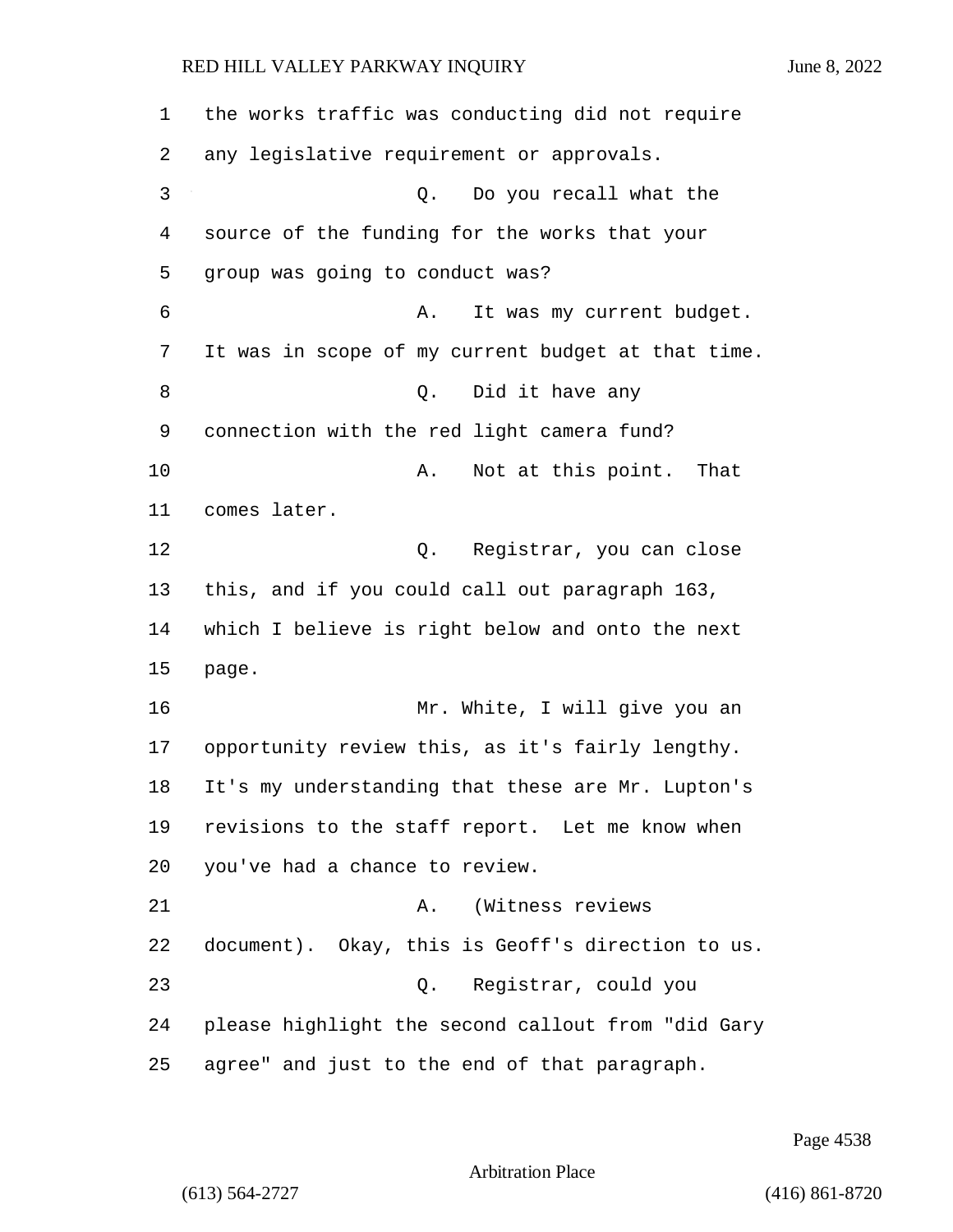| 1      | the works traffic was conducting did not require   |
|--------|----------------------------------------------------|
| 2      | any legislative requirement or approvals.          |
| 3      | Do you recall what the<br>Q.                       |
| 4      | source of the funding for the works that your      |
| 5      | group was going to conduct was?                    |
| 6      | It was my current budget.<br>Α.                    |
| 7      | It was in scope of my current budget at that time. |
| 8      | Did it have any<br>Q.                              |
| 9      | connection with the red light camera fund?         |
| 10     | Not at this point. That<br>Α.                      |
| 11     | comes later.                                       |
| 12     | Q.<br>Registrar, you can close                     |
| 13     | this, and if you could call out paragraph 163,     |
| 14     | which I believe is right below and onto the next   |
| 15     | page.                                              |
| 16     | Mr. White, I will give you an                      |
| 17     | opportunity review this, as it's fairly lengthy.   |
| $18\,$ | It's my understanding that these are Mr. Lupton's  |
| 19     | revisions to the staff report. Let me know when    |
| 20     | you've had a chance to review.                     |
| 21     | (Witness reviews<br>Α.                             |
| 22     | document). Okay, this is Geoff's direction to us.  |
| 23     | Q. Registrar, could you                            |
| 24     | please highlight the second callout from "did Gary |
| 25     | agree" and just to the end of that paragraph.      |

Page 4538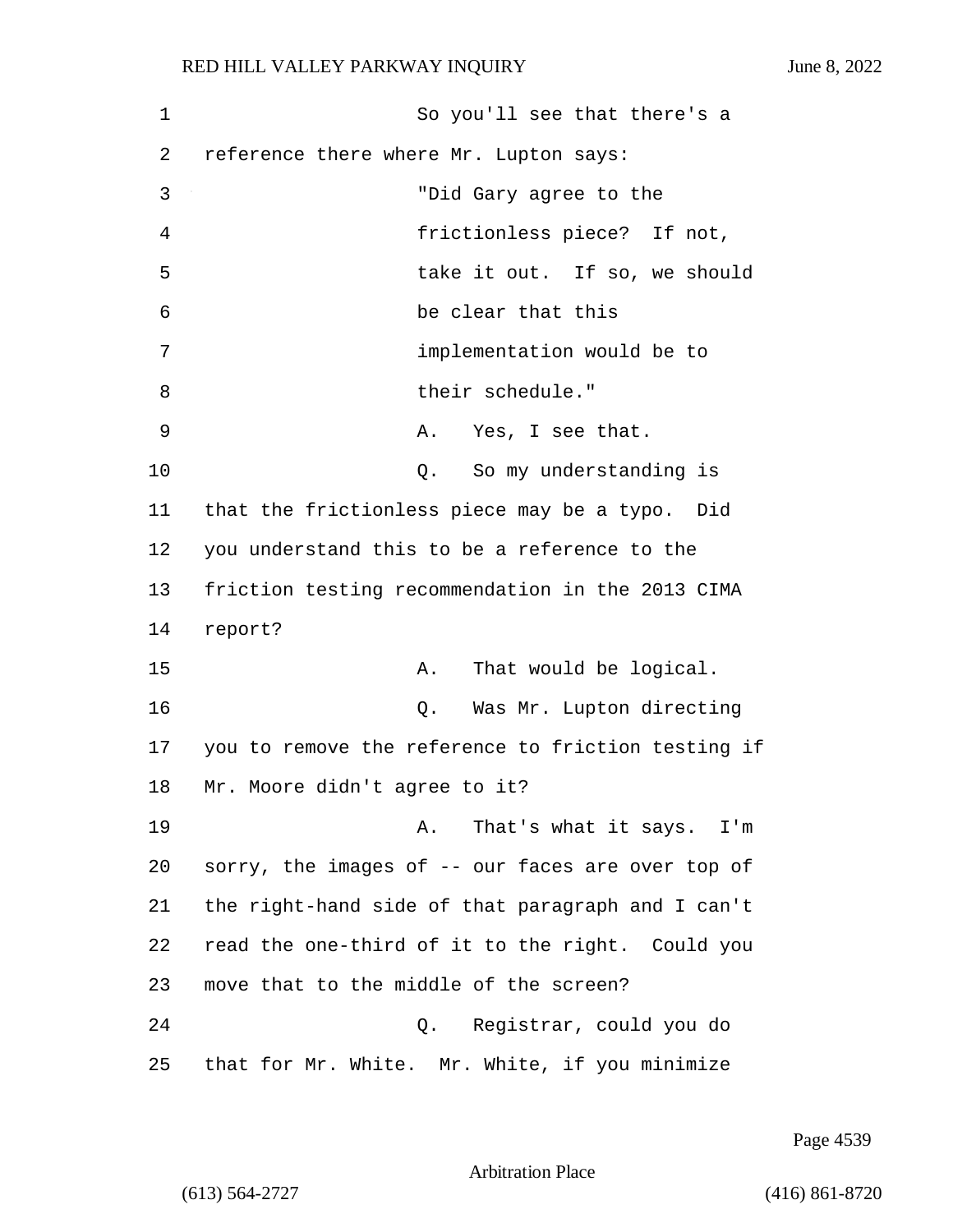1 So you'll see that there's a 2 reference there where Mr. Lupton says: 3 "Did Gary agree to the 4 frictionless piece? If not, 5 take it out. If so, we should 6 be clear that this 7 implementation would be to 8 bluess their schedule." 9 A. Yes, I see that. 10 Q. So my understanding is 11 that the frictionless piece may be a typo. Did 12 you understand this to be a reference to the 13 friction testing recommendation in the 2013 CIMA 14 report? 15 A. That would be logical. 16 Q. Was Mr. Lupton directing 17 you to remove the reference to friction testing if 18 Mr. Moore didn't agree to it? 19 A. That's what it says. I'm 20 sorry, the images of -- our faces are over top of 21 the right-hand side of that paragraph and I can't 22 read the one-third of it to the right. Could you 23 move that to the middle of the screen? 24 Q. Registrar, could you do 25 that for Mr. White. Mr. White, if you minimize

Page 4539

Arbitration Place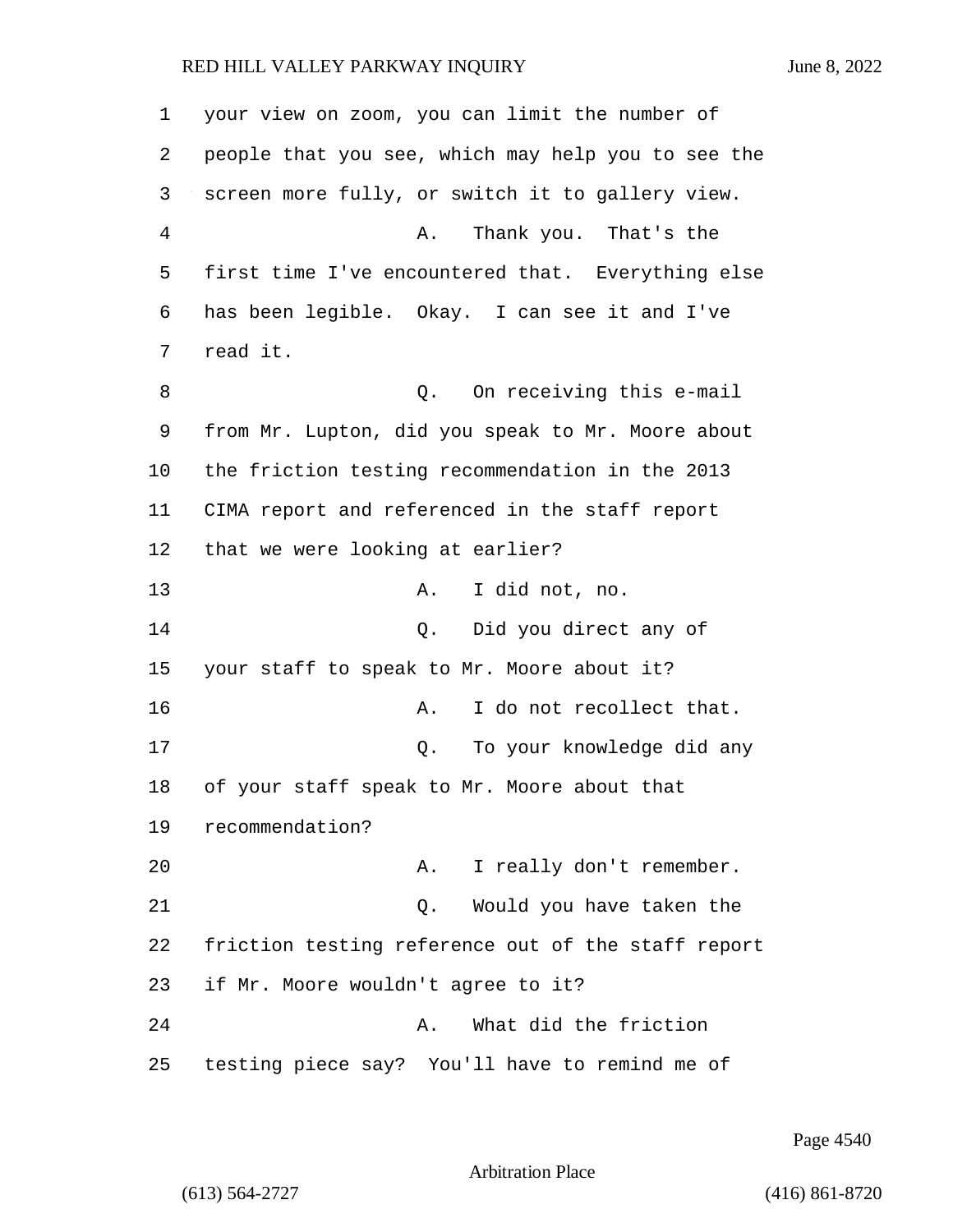your view on zoom, you can limit the number of people that you see, which may help you to see the screen more fully, or switch it to gallery view. 4 A. Thank you. That's the first time I've encountered that. Everything else has been legible. Okay. I can see it and I've 7 read it. 8 a Q. On receiving this e-mail from Mr. Lupton, did you speak to Mr. Moore about the friction testing recommendation in the 2013 CIMA report and referenced in the staff report that we were looking at earlier? 13 A. I did not, no. 14 Q. Did you direct any of your staff to speak to Mr. Moore about it? **A.** I do not recollect that. 17 Q. To your knowledge did any of your staff speak to Mr. Moore about that recommendation? 20 A. I really don't remember. 21 Q. Would you have taken the friction testing reference out of the staff report if Mr. Moore wouldn't agree to it? 24 A. What did the friction testing piece say? You'll have to remind me of

Page 4540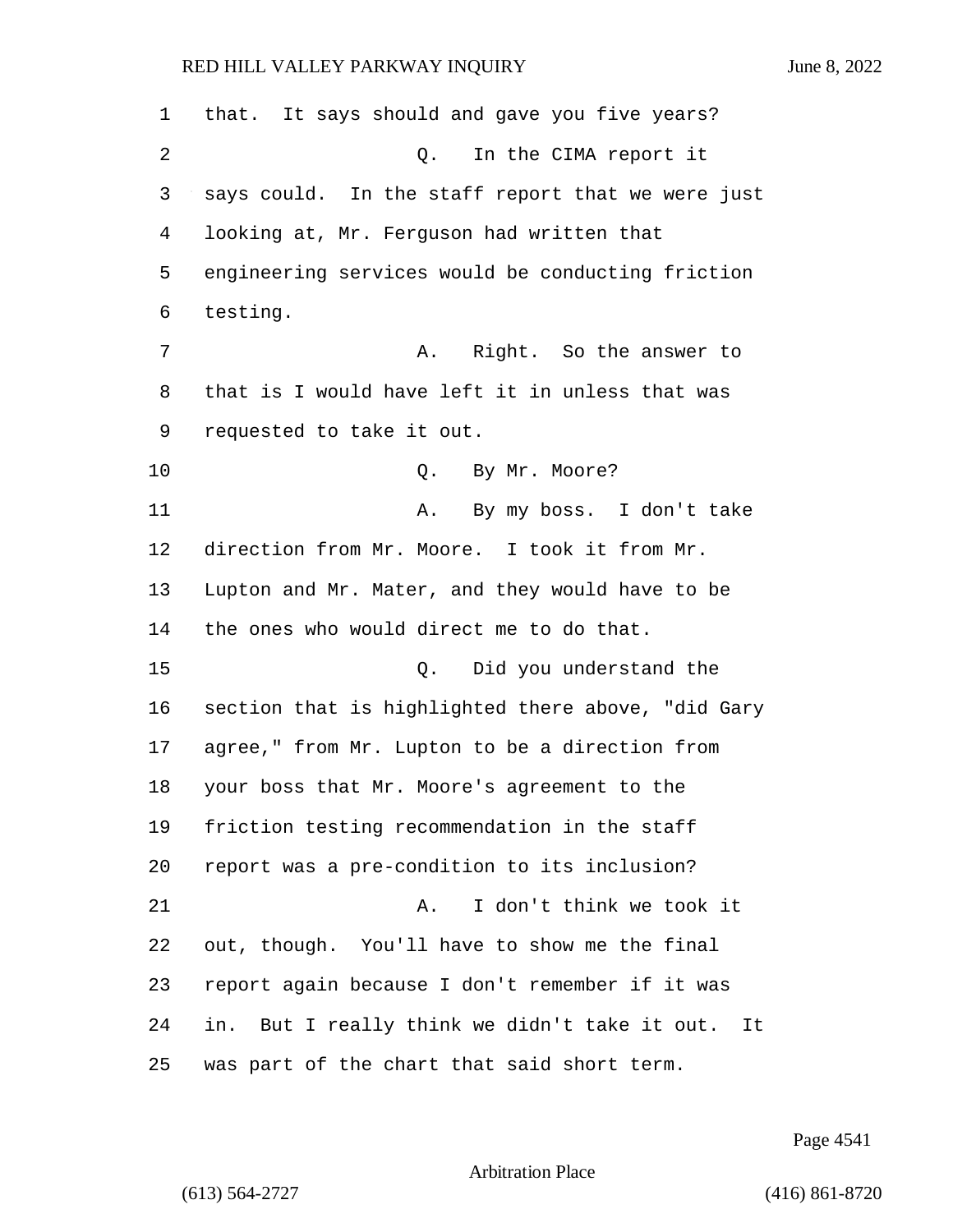| 1  | that. It says should and gave you five years?      |
|----|----------------------------------------------------|
| 2  | In the CIMA report it<br>Q.                        |
| 3  | says could. In the staff report that we were just  |
| 4  | looking at, Mr. Ferguson had written that          |
| 5  | engineering services would be conducting friction  |
| 6  | testing.                                           |
| 7  | Right. So the answer to<br>Α.                      |
| 8  | that is I would have left it in unless that was    |
| 9  | requested to take it out.                          |
| 10 | By Mr. Moore?<br>Q.                                |
| 11 | By my boss. I don't take<br>Α.                     |
| 12 | direction from Mr. Moore. I took it from Mr.       |
| 13 | Lupton and Mr. Mater, and they would have to be    |
| 14 | the ones who would direct me to do that.           |
| 15 | Did you understand the<br>Q.                       |
| 16 | section that is highlighted there above, "did Gary |
| 17 | agree," from Mr. Lupton to be a direction from     |
| 18 | your boss that Mr. Moore's agreement to the        |
| 19 | friction testing recommendation in the staff       |
| 20 | report was a pre-condition to its inclusion?       |
| 21 | I don't think we took it<br>Α.                     |
| 22 | out, though. You'll have to show me the final      |
| 23 | report again because I don't remember if it was    |
| 24 | in. But I really think we didn't take it out. It   |
| 25 | was part of the chart that said short term.        |

Page 4541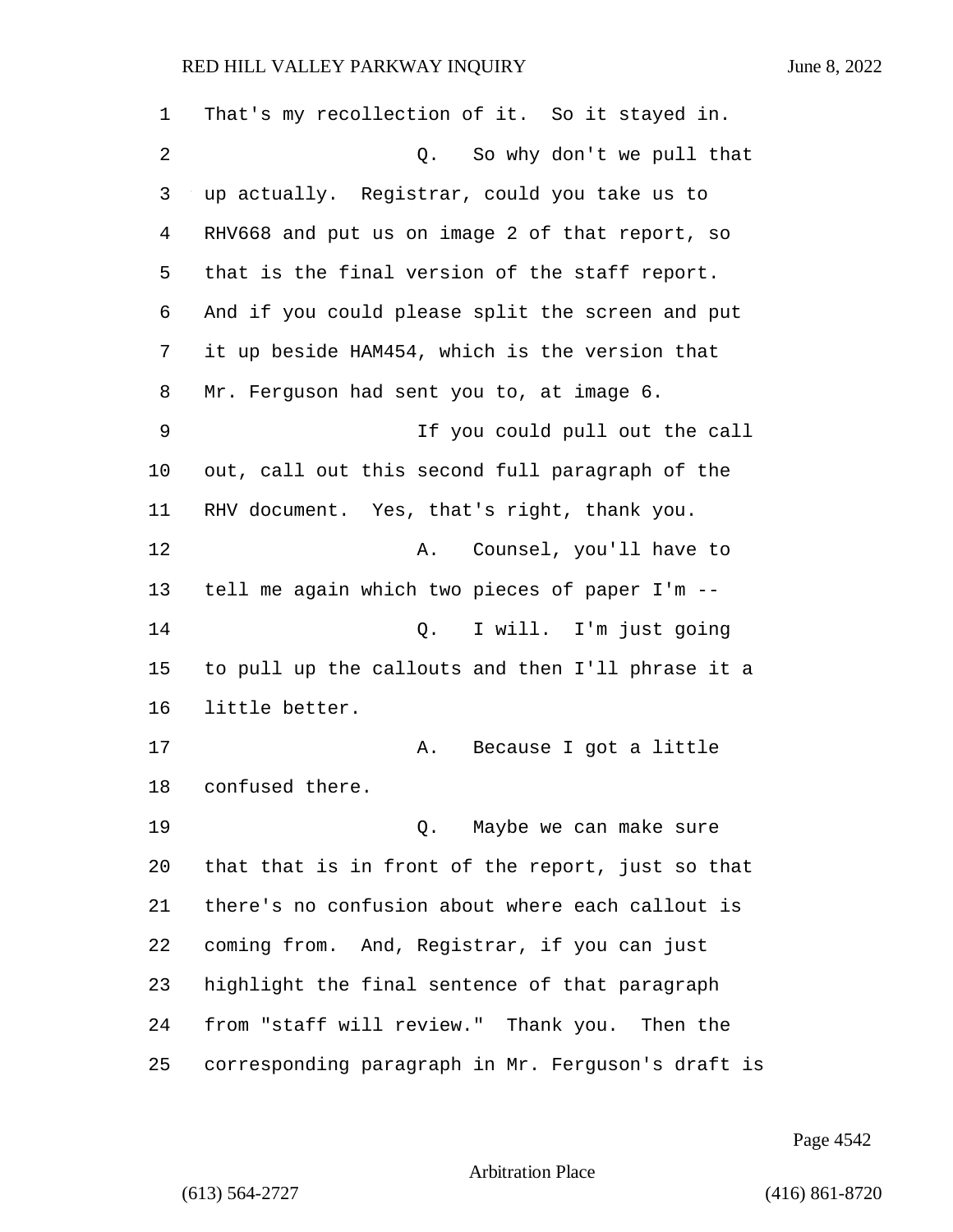| 1  | That's my recollection of it. So it stayed in.     |
|----|----------------------------------------------------|
| 2  | Q. So why don't we pull that                       |
| 3  | up actually. Registrar, could you take us to       |
| 4  | RHV668 and put us on image 2 of that report, so    |
| 5  | that is the final version of the staff report.     |
| 6  | And if you could please split the screen and put   |
| 7  | it up beside HAM454, which is the version that     |
| 8  | Mr. Ferguson had sent you to, at image 6.          |
| 9  | If you could pull out the call                     |
| 10 | out, call out this second full paragraph of the    |
| 11 | RHV document. Yes, that's right, thank you.        |
| 12 | Counsel, you'll have to<br>Α.                      |
| 13 | tell me again which two pieces of paper I'm --     |
| 14 | I will. I'm just going<br>Q.                       |
| 15 | to pull up the callouts and then I'll phrase it a  |
| 16 | little better.                                     |
| 17 | Because I got a little<br>Α.                       |
| 18 | confused there.                                    |
| 19 | Q. Maybe we can make sure                          |
| 20 | that that is in front of the report, just so that  |
| 21 | there's no confusion about where each callout is   |
| 22 | coming from. And, Registrar, if you can just       |
| 23 | highlight the final sentence of that paragraph     |
| 24 | from "staff will review." Thank you. Then the      |
| 25 | corresponding paragraph in Mr. Ferguson's draft is |

Page 4542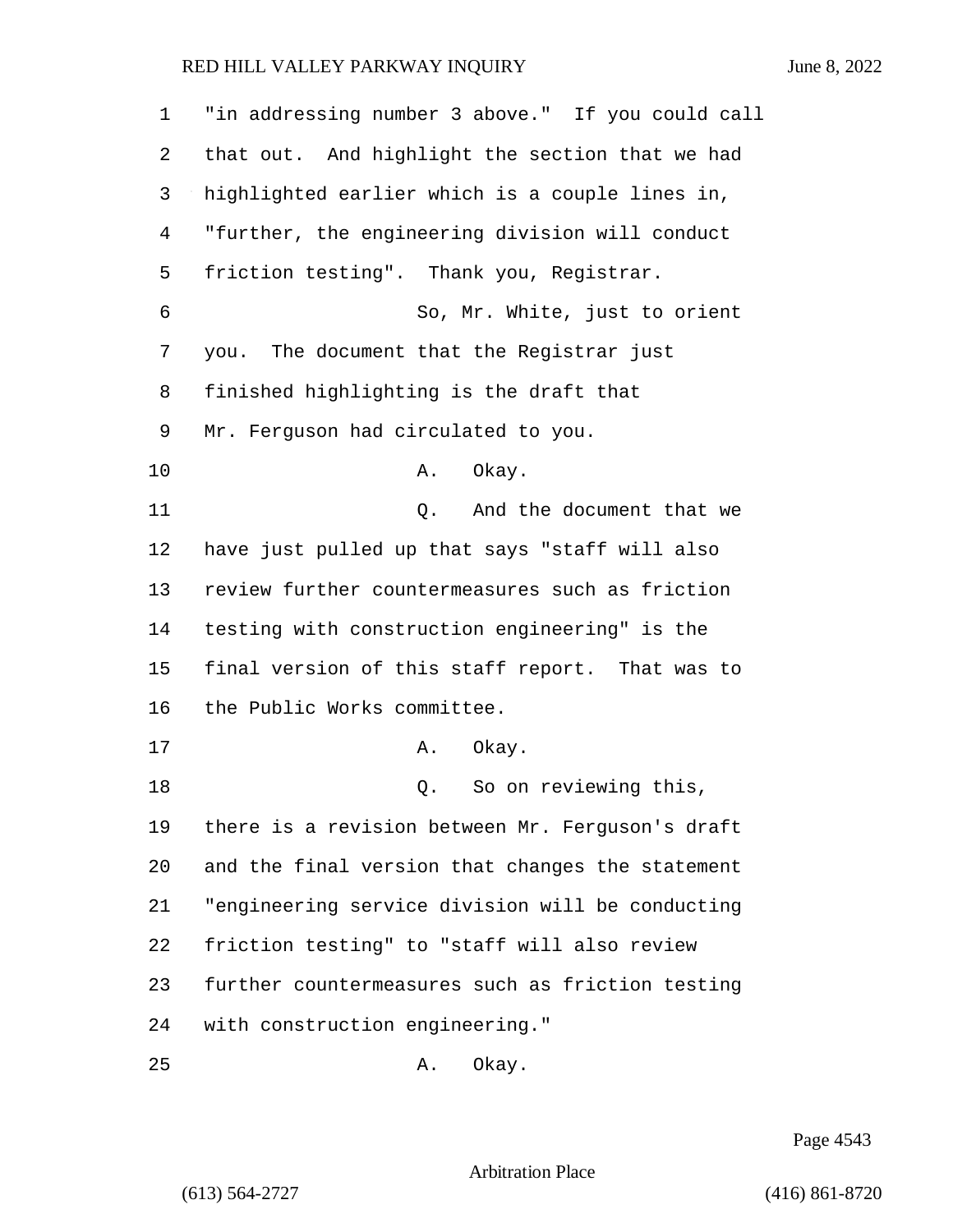| $\mathbf{1}$   | "in addressing number 3 above." If you could call |
|----------------|---------------------------------------------------|
| 2              | that out. And highlight the section that we had   |
| 3              | highlighted earlier which is a couple lines in,   |
| $\overline{4}$ | "further, the engineering division will conduct   |
| 5              | friction testing". Thank you, Registrar.          |
| 6              | So, Mr. White, just to orient                     |
| 7              | The document that the Registrar just<br>you.      |
| 8              | finished highlighting is the draft that           |
| 9              | Mr. Ferguson had circulated to you.               |
| 10             | Okay.<br>Α.                                       |
| 11             | Q. And the document that we                       |
| 12             | have just pulled up that says "staff will also    |
| 13             | review further countermeasures such as friction   |
| 14             | testing with construction engineering" is the     |
| 15             | final version of this staff report. That was to   |
| 16             | the Public Works committee.                       |
| 17             | Α.<br>Okay.                                       |
| 18             | So on reviewing this,<br>Q.                       |
| 19             | there is a revision between Mr. Ferguson's draft  |
| 20             | and the final version that changes the statement  |
| 21             | "engineering service division will be conducting  |
| 22             | friction testing" to "staff will also review      |
| 23             | further countermeasures such as friction testing  |
| 24             | with construction engineering."                   |
| 25             | Okay.<br>Α.                                       |

Page 4543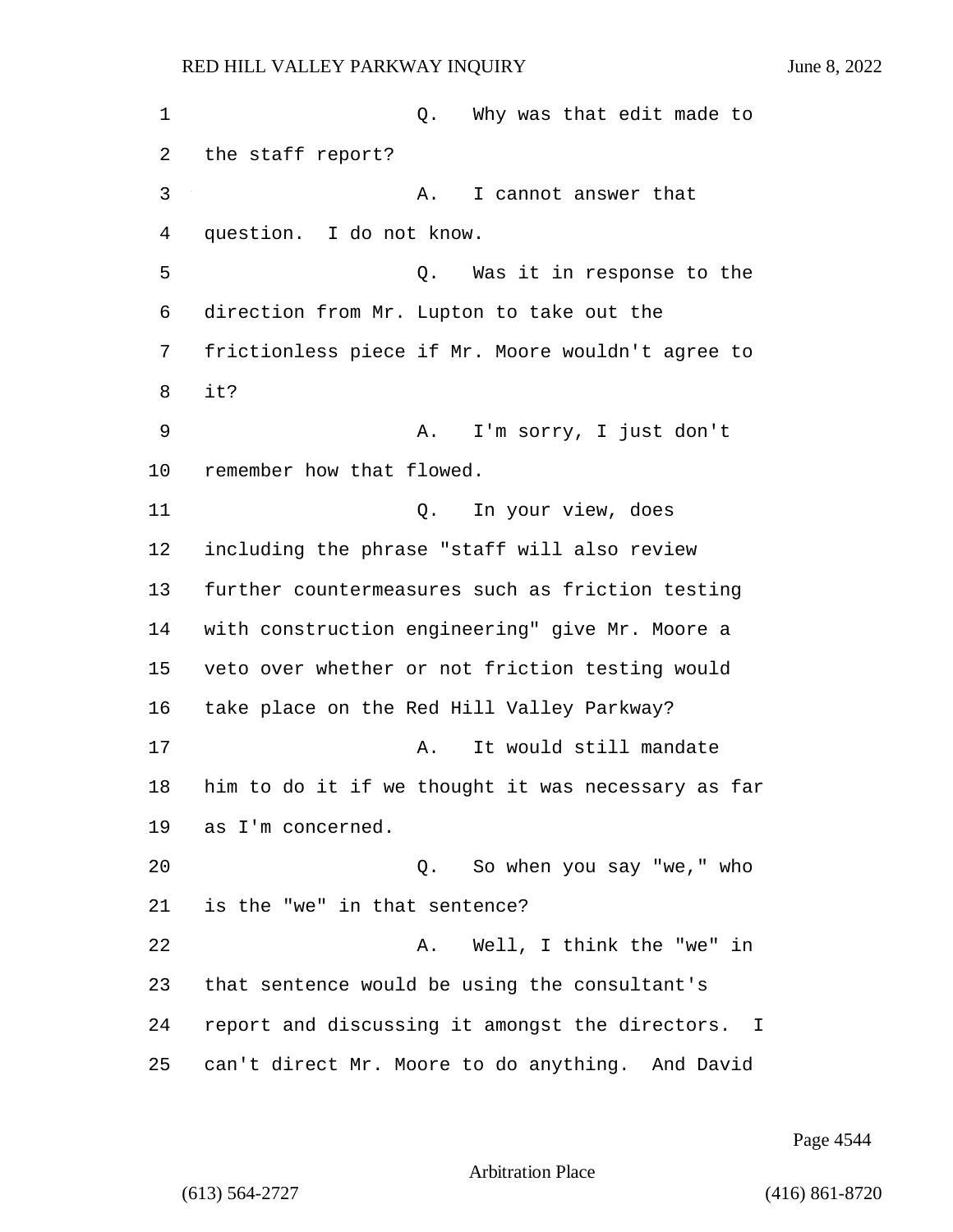1 and 1 Q. Why was that edit made to the staff report? 3 A. I cannot answer that question. I do not know. 5 Q. Was it in response to the direction from Mr. Lupton to take out the frictionless piece if Mr. Moore wouldn't agree to 8 it? 9 A. I'm sorry, I just don't remember how that flowed. 11 Q. In your view, does including the phrase "staff will also review further countermeasures such as friction testing with construction engineering" give Mr. Moore a veto over whether or not friction testing would take place on the Red Hill Valley Parkway? 17 a. It would still mandate him to do it if we thought it was necessary as far as I'm concerned. 20 Q. So when you say "we," who is the "we" in that sentence? 22 A. Well, I think the "we" in that sentence would be using the consultant's report and discussing it amongst the directors. I can't direct Mr. Moore to do anything. And David

Page 4544

Arbitration Place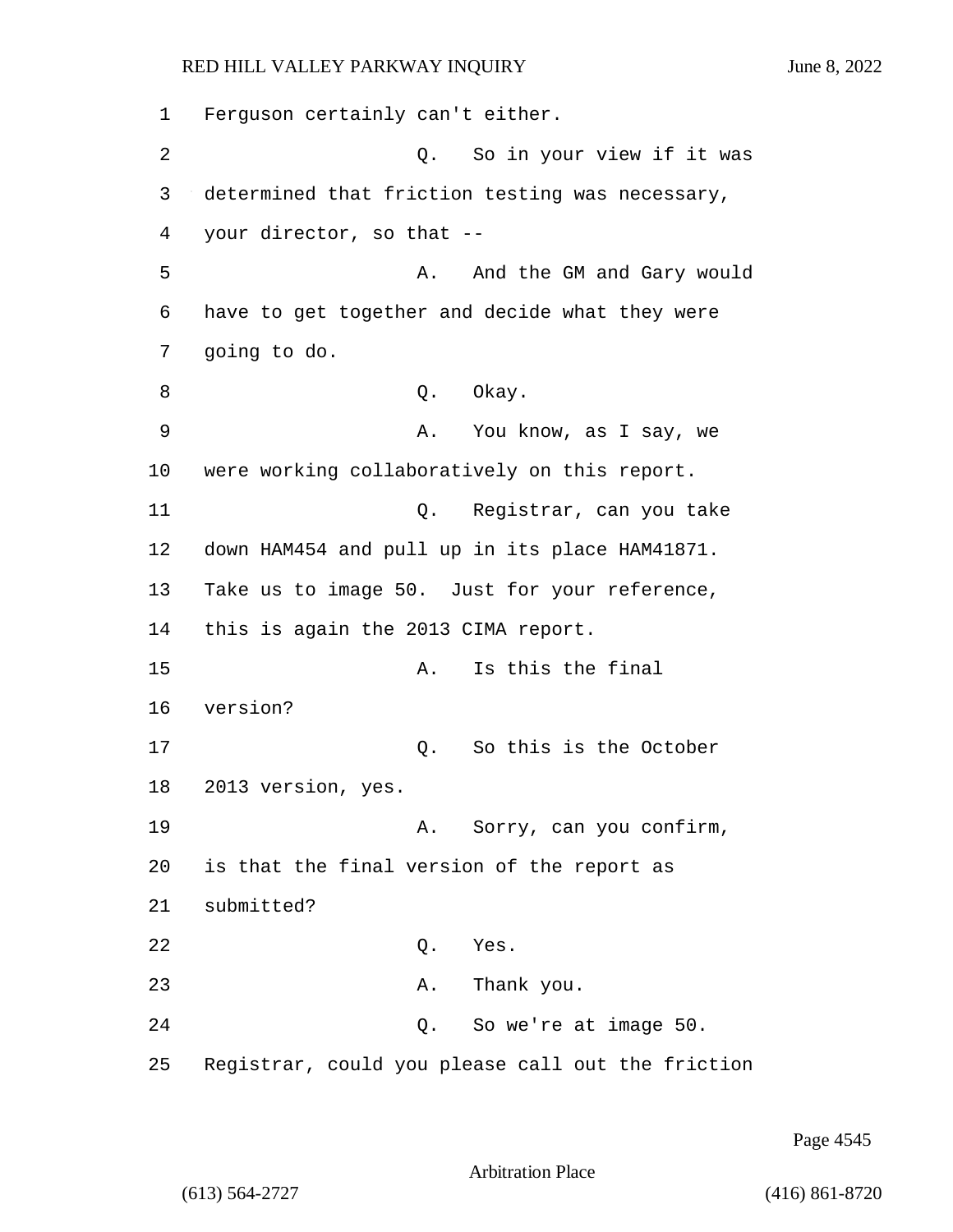1 Ferguson certainly can't either. 2 Q. So in your view if it was 3 determined that friction testing was necessary, 4 your director, so that -- 5 A. And the GM and Gary would 6 have to get together and decide what they were 7 going to do. 8 Q. Okay. 9 A. You know, as I say, we 10 were working collaboratively on this report. 11 Q. Registrar, can you take 12 down HAM454 and pull up in its place HAM41871. 13 Take us to image 50. Just for your reference, 14 this is again the 2013 CIMA report. 15 A. Is this the final 16 version? 17 and 0. So this is the October 18 2013 version, yes. 19 A. Sorry, can you confirm, 20 is that the final version of the report as 21 submitted? 22 Q. Yes. 23 A. Thank you. 24 Q. So we're at image 50. 25 Registrar, could you please call out the friction

Page 4545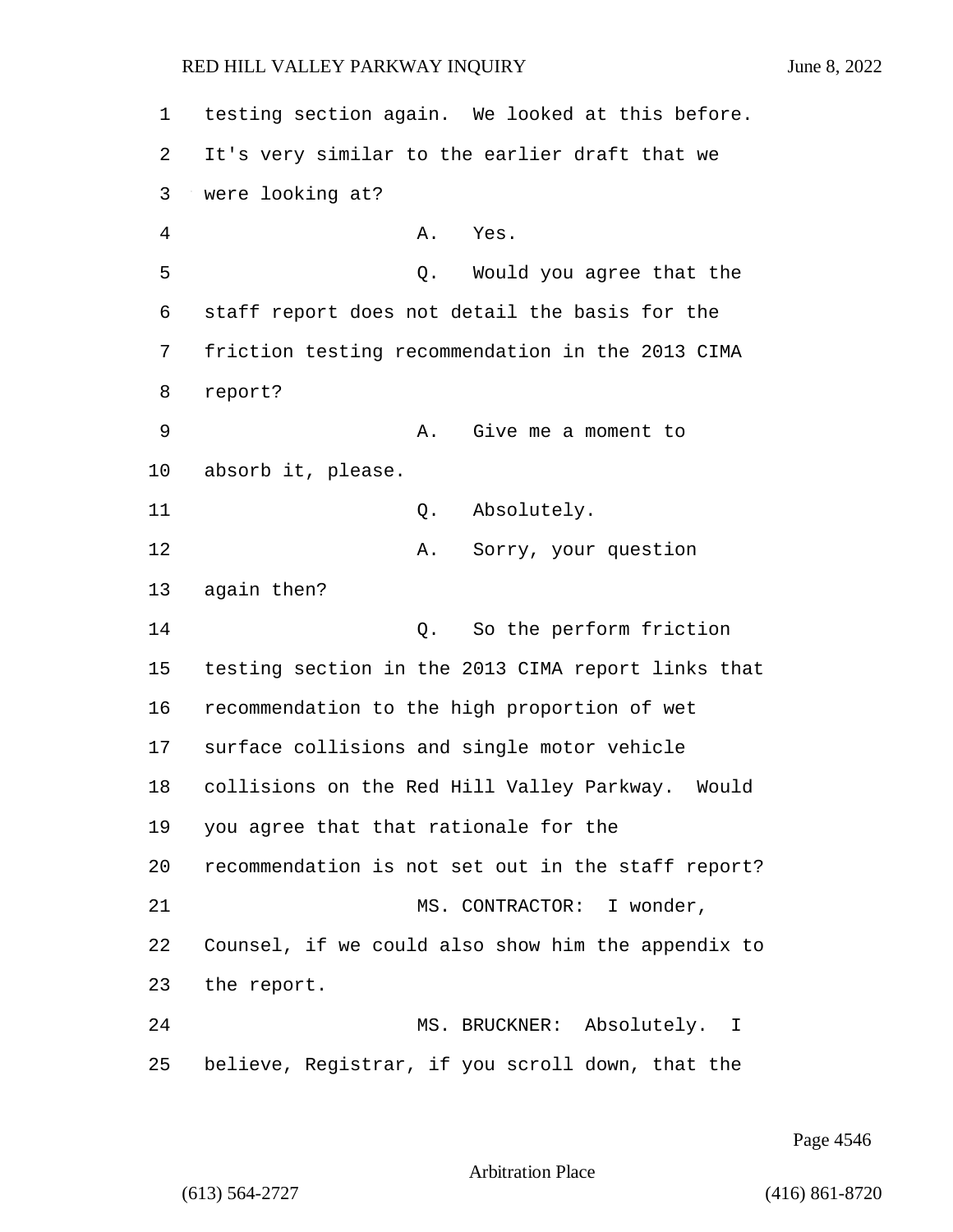testing section again. We looked at this before. It's very similar to the earlier draft that we were looking at? 4 A. Yes. 5 Q. Would you agree that the staff report does not detail the basis for the friction testing recommendation in the 2013 CIMA 8 report? 9 A. Give me a moment to absorb it, please. 11 Q. Absolutely. 12 A. Sorry, your question again then? 14 C. So the perform friction testing section in the 2013 CIMA report links that recommendation to the high proportion of wet surface collisions and single motor vehicle collisions on the Red Hill Valley Parkway. Would you agree that that rationale for the recommendation is not set out in the staff report? 21 MS. CONTRACTOR: I wonder, Counsel, if we could also show him the appendix to the report. 24 MS. BRUCKNER: Absolutely. I

Page 4546

Arbitration Place

25 believe, Registrar, if you scroll down, that the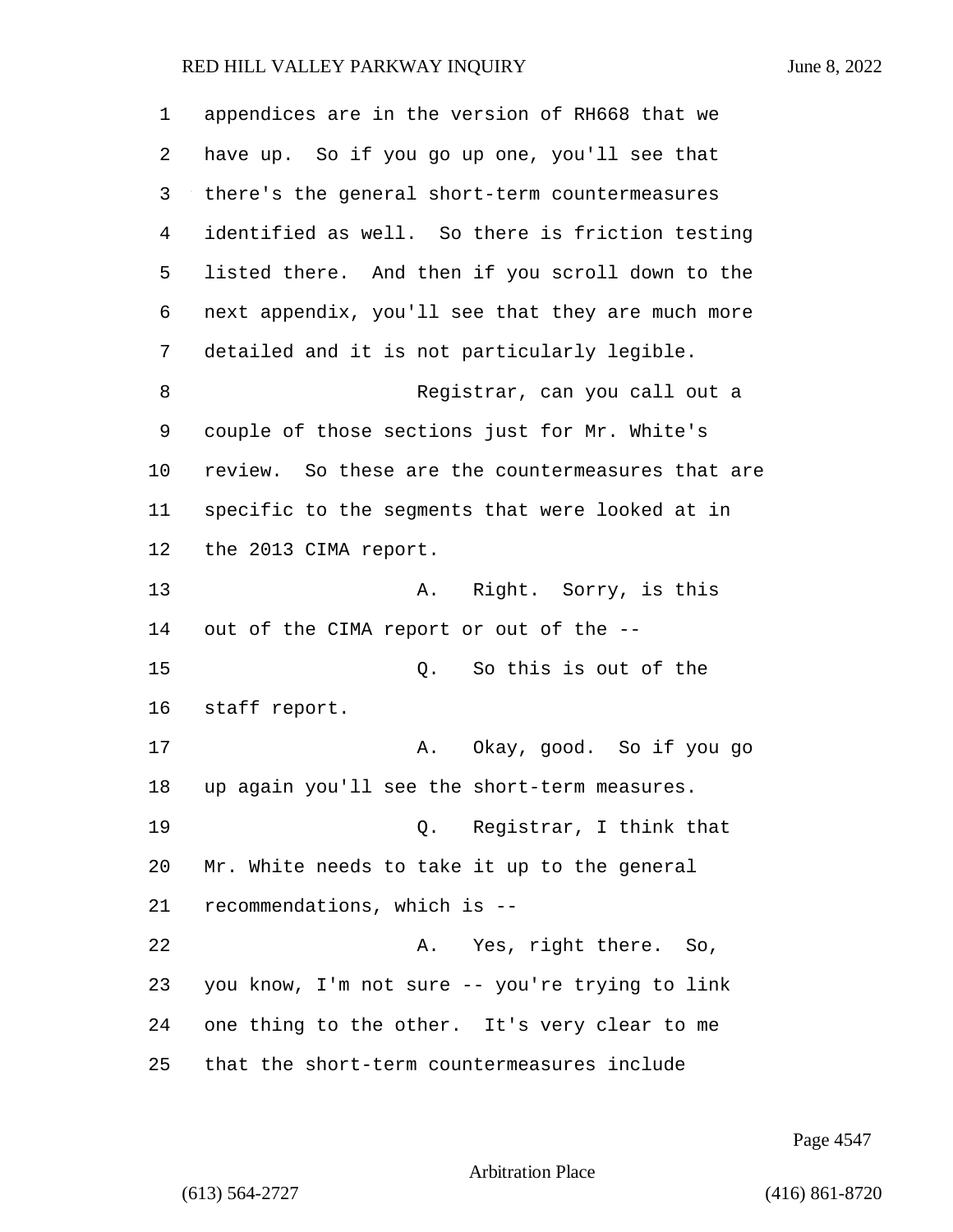| 1              | appendices are in the version of RH668 that we    |
|----------------|---------------------------------------------------|
| 2              | have up. So if you go up one, you'll see that     |
| 3              | there's the general short-term countermeasures    |
| $\overline{4}$ | identified as well. So there is friction testing  |
| 5              | listed there. And then if you scroll down to the  |
| 6              | next appendix, you'll see that they are much more |
| 7              | detailed and it is not particularly legible.      |
| 8              | Registrar, can you call out a                     |
| 9              | couple of those sections just for Mr. White's     |
| 10             | review. So these are the countermeasures that are |
| 11             | specific to the segments that were looked at in   |
| 12             | the 2013 CIMA report.                             |
| 13             | Right. Sorry, is this<br>Α.                       |
| 14             | out of the CIMA report or out of the --           |
| 15             | So this is out of the<br>Q.                       |
| 16             | staff report.                                     |
| 17             | Okay, good. So if you go<br>Α.                    |
| 18             | up again you'll see the short-term measures.      |
| 19             | Q. Registrar, I think that                        |
| 20             | Mr. White needs to take it up to the general      |
| 21             | recommendations, which is --                      |
| 22             | A. Yes, right there. So,                          |
| 23             | you know, I'm not sure -- you're trying to link   |
| 24             | one thing to the other. It's very clear to me     |
| 25             | that the short-term countermeasures include       |

Page 4547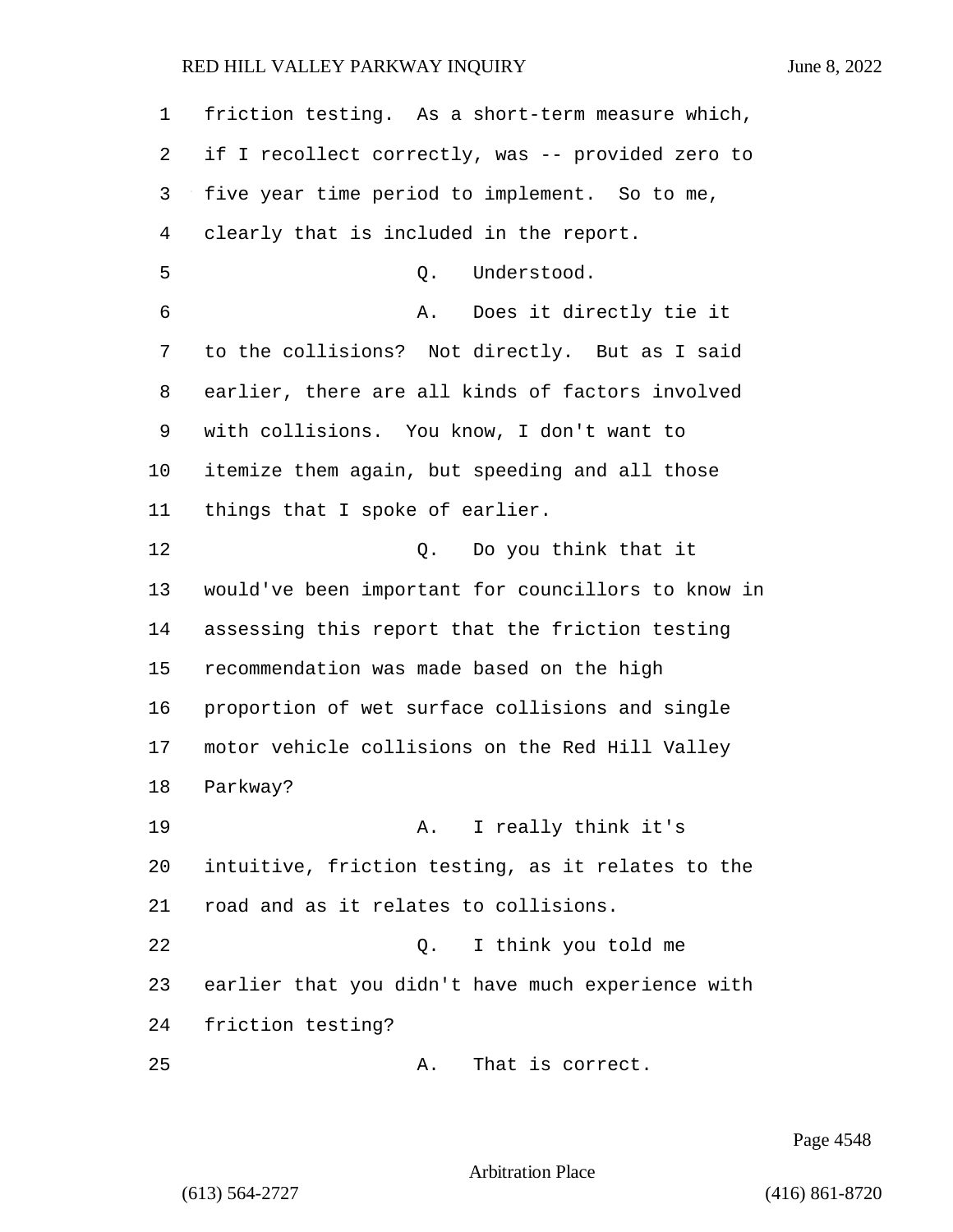| $\mathbf{1}$ | friction testing. As a short-term measure which,   |
|--------------|----------------------------------------------------|
| 2            | if I recollect correctly, was -- provided zero to  |
| 3            | five year time period to implement. So to me,      |
| 4            | clearly that is included in the report.            |
| 5            | Understood.<br>Q.                                  |
| 6            | Does it directly tie it<br>Α.                      |
| 7            | to the collisions? Not directly. But as I said     |
| 8            | earlier, there are all kinds of factors involved   |
| 9            | with collisions. You know, I don't want to         |
| 10           | itemize them again, but speeding and all those     |
| 11           | things that I spoke of earlier.                    |
| 12           | Do you think that it<br>О.                         |
| 13           | would've been important for councillors to know in |
| 14           | assessing this report that the friction testing    |
| 15           | recommendation was made based on the high          |
| 16           | proportion of wet surface collisions and single    |
| 17           | motor vehicle collisions on the Red Hill Valley    |
| 18           | Parkway?                                           |
| 19           | A. I really think it's                             |
| 20           | intuitive, friction testing, as it relates to the  |
| 21           | road and as it relates to collisions.              |
| 22           | I think you told me<br>Q.                          |
| 23           | earlier that you didn't have much experience with  |
| 24           | friction testing?                                  |
| 25           | That is correct.<br>Α.                             |

Page 4548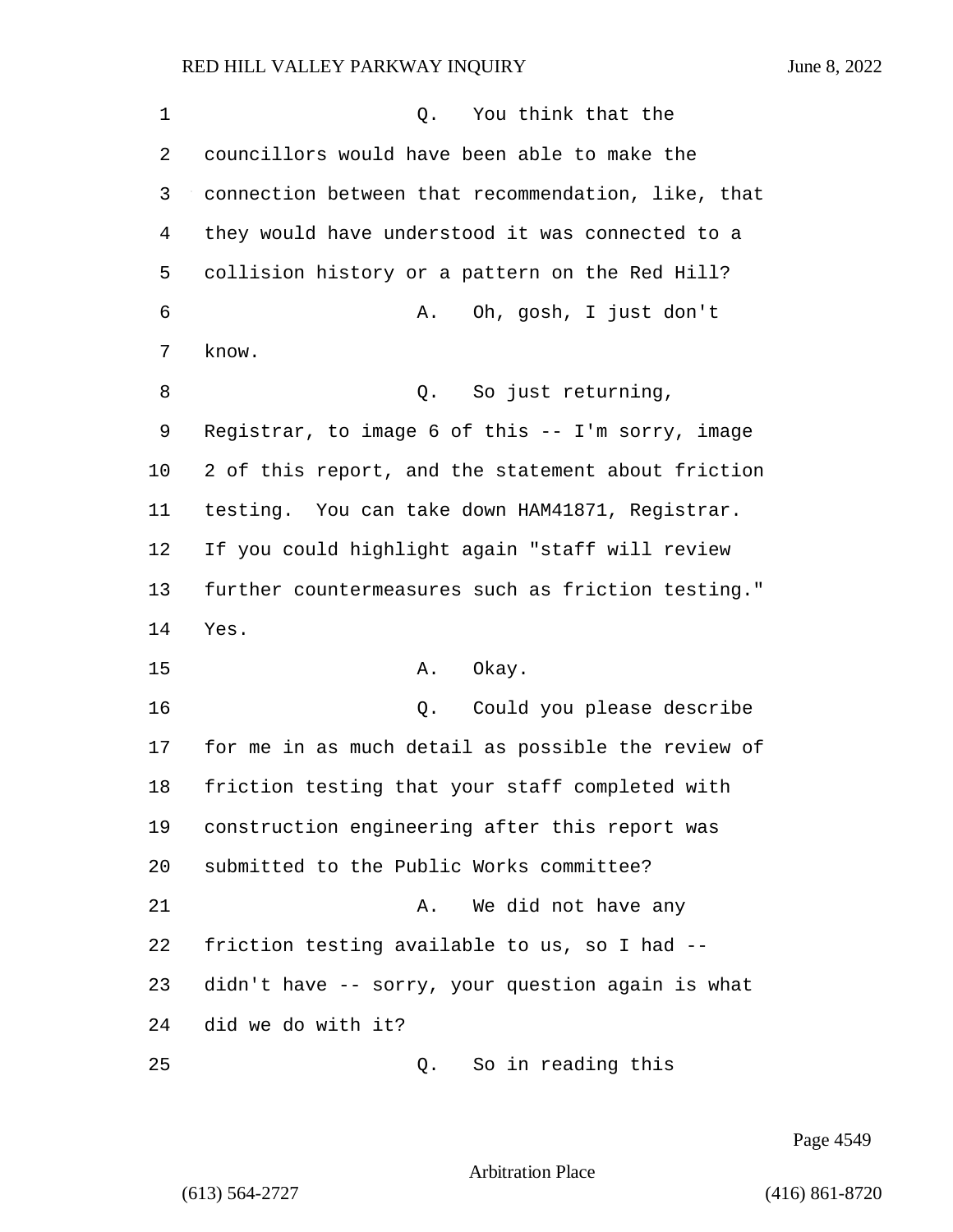1 and 1 Q. You think that the councillors would have been able to make the connection between that recommendation, like, that they would have understood it was connected to a collision history or a pattern on the Red Hill? 6 A. Oh, gosh, I just don't know. 8 and 2. So just returning, Registrar, to image 6 of this -- I'm sorry, image 2 of this report, and the statement about friction testing. You can take down HAM41871, Registrar. If you could highlight again "staff will review further countermeasures such as friction testing." Yes. 15 A. Okay. 16 Q. Could you please describe for me in as much detail as possible the review of friction testing that your staff completed with construction engineering after this report was submitted to the Public Works committee? 21 A. We did not have any friction testing available to us, so I had -- didn't have -- sorry, your question again is what did we do with it? 25 Q. So in reading this

Page 4549

Arbitration Place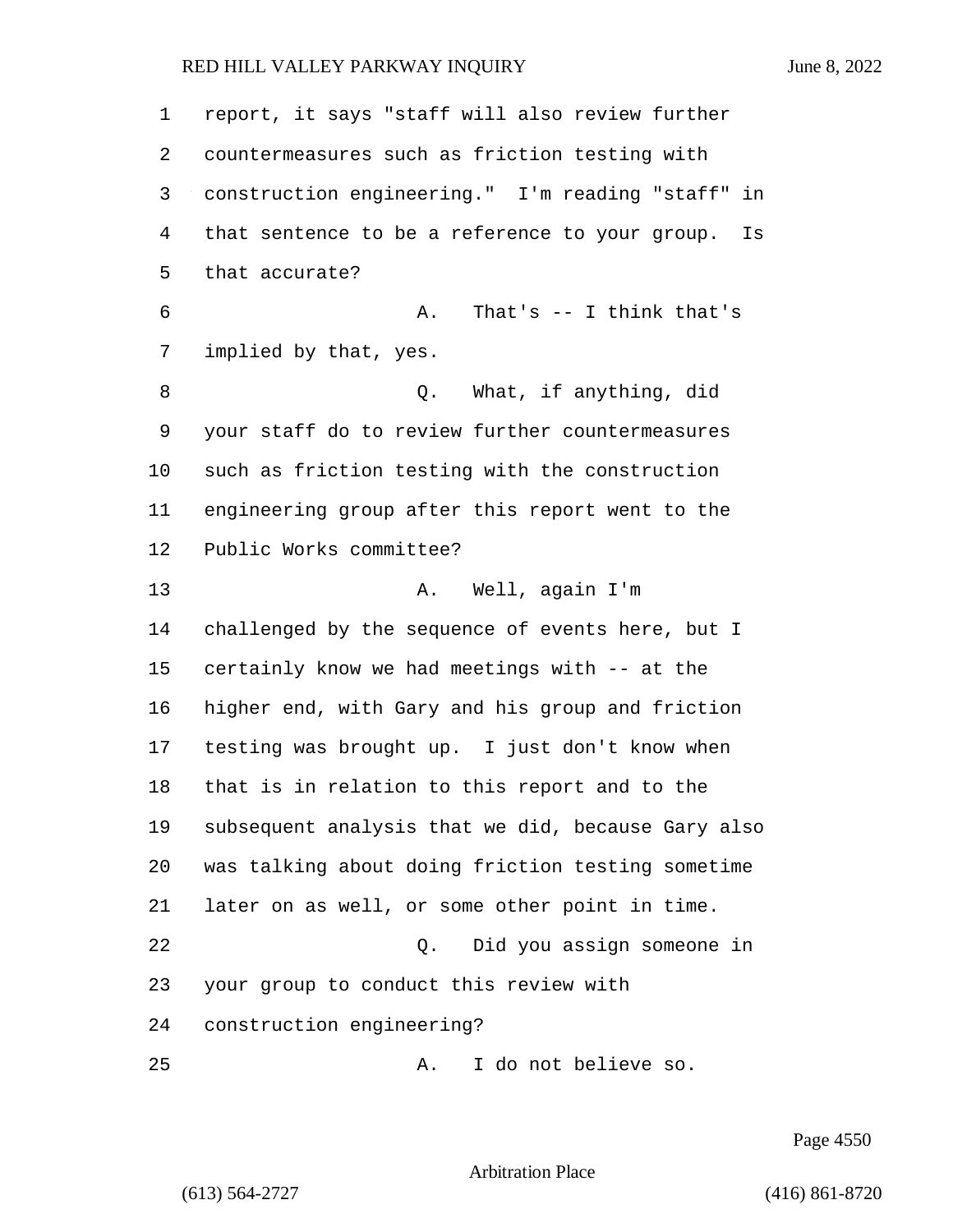| $\mathbf 1$    | report, it says "staff will also review further      |
|----------------|------------------------------------------------------|
| 2              | countermeasures such as friction testing with        |
| 3              | construction engineering." I'm reading "staff" in    |
| $\overline{4}$ | that sentence to be a reference to your group.<br>Is |
| 5              | that accurate?                                       |
| 6              | That's $-$ I think that's<br>Α.                      |
| 7              | implied by that, yes.                                |
| 8              | What, if anything, did<br>Q.                         |
| 9              | your staff do to review further countermeasures      |
| 10             | such as friction testing with the construction       |
| 11             | engineering group after this report went to the      |
| 12             | Public Works committee?                              |
| 13             | Well, again I'm<br>Α.                                |
| 14             | challenged by the sequence of events here, but I     |
| 15             | certainly know we had meetings with -- at the        |
| 16             | higher end, with Gary and his group and friction     |
| 17             | testing was brought up. I just don't know when       |
| 18             | that is in relation to this report and to the        |
| 19             | subsequent analysis that we did, because Gary also   |
| 20             | was talking about doing friction testing sometime    |
| 21             | later on as well, or some other point in time.       |
| 22             | Did you assign someone in<br>О.                      |
| 23             | your group to conduct this review with               |
| 24             | construction engineering?                            |
| 25             | I do not believe so.<br>Α.                           |

Page 4550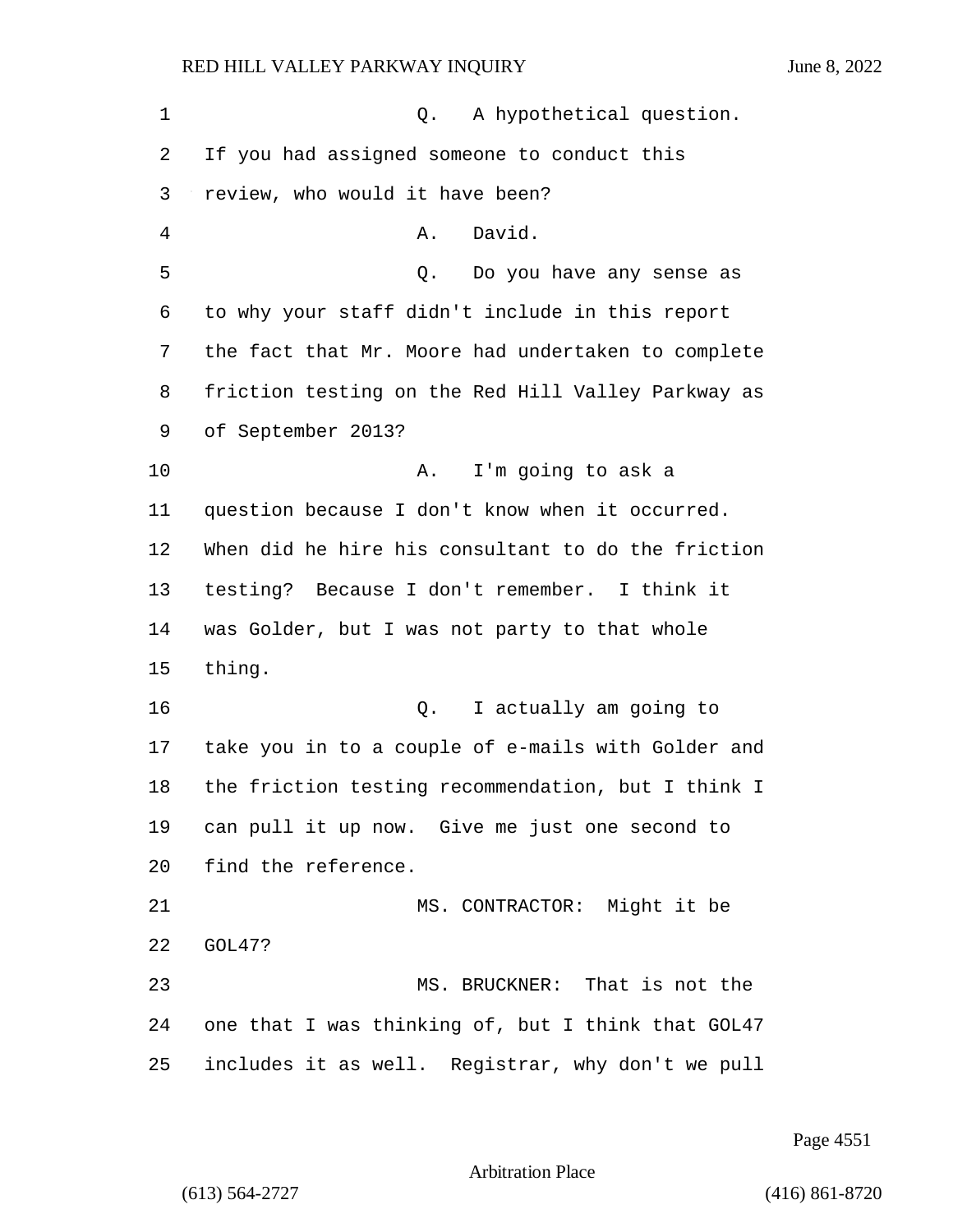1 0. A hypothetical question. If you had assigned someone to conduct this review, who would it have been? 4 A. David. 5 Q. Do you have any sense as to why your staff didn't include in this report the fact that Mr. Moore had undertaken to complete friction testing on the Red Hill Valley Parkway as of September 2013? 10 A. I'm going to ask a question because I don't know when it occurred. When did he hire his consultant to do the friction testing? Because I don't remember. I think it was Golder, but I was not party to that whole thing. 16 Q. I actually am going to take you in to a couple of e-mails with Golder and the friction testing recommendation, but I think I can pull it up now. Give me just one second to find the reference. 21 MS. CONTRACTOR: Might it be GOL47? 23 MS. BRUCKNER: That is not the one that I was thinking of, but I think that GOL47 includes it as well. Registrar, why don't we pull

Page 4551

Arbitration Place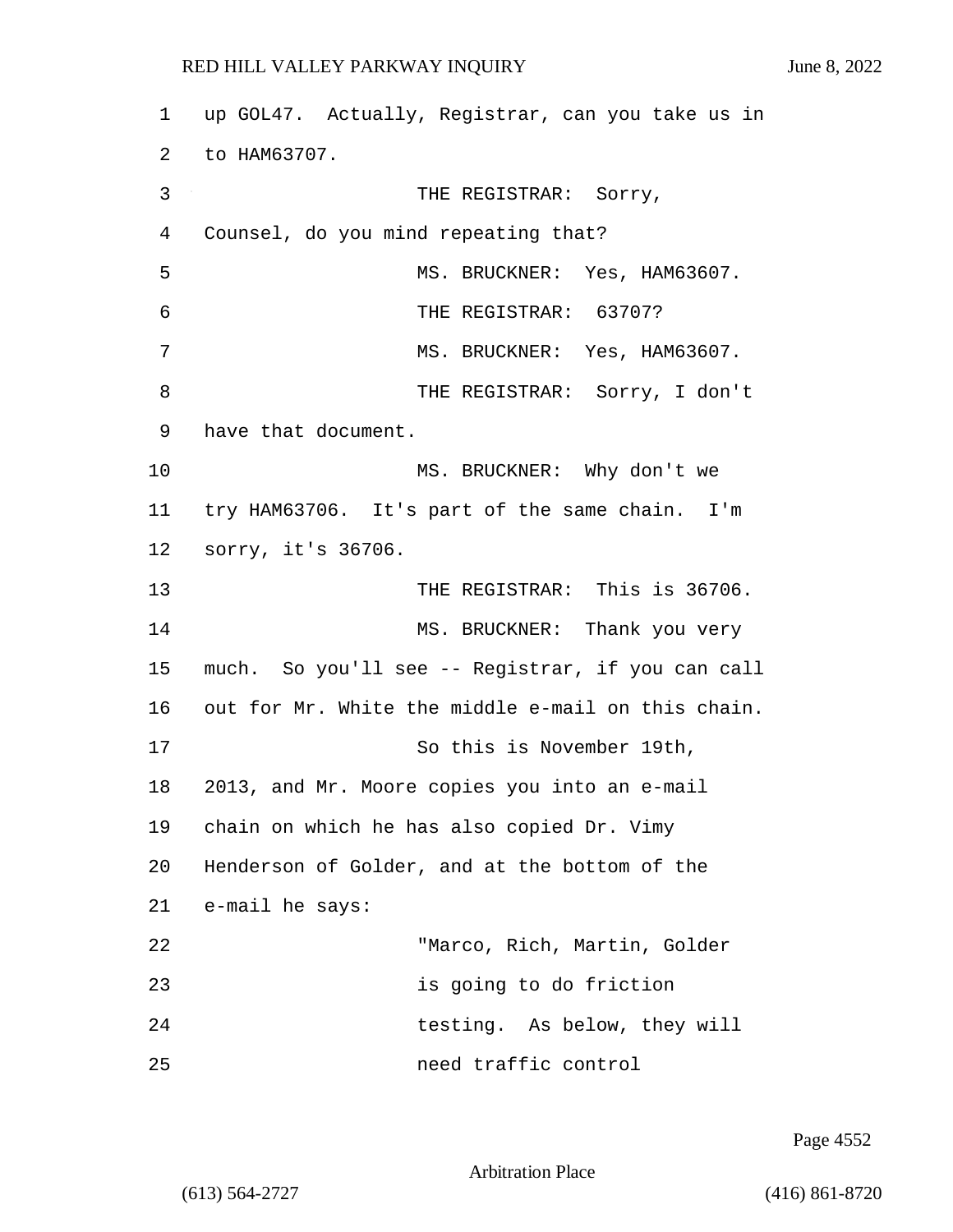1 up GOL47. Actually, Registrar, can you take us in 2 to HAM63707. 3 THE REGISTRAR: Sorry, 4 Counsel, do you mind repeating that? 5 MS. BRUCKNER: Yes, HAM63607. 6 THE REGISTRAR: 63707? 7 MS. BRUCKNER: Yes, HAM63607. 8 THE REGISTRAR: Sorry, I don't 9 have that document. 10 MS. BRUCKNER: Why don't we 11 try HAM63706. It's part of the same chain. I'm 12 sorry, it's 36706. 13 THE REGISTRAR: This is 36706. 14 MS. BRUCKNER: Thank you very 15 much. So you'll see -- Registrar, if you can call 16 out for Mr. White the middle e-mail on this chain. 17 So this is November 19th, 18 2013, and Mr. Moore copies you into an e-mail 19 chain on which he has also copied Dr. Vimy 20 Henderson of Golder, and at the bottom of the 21 e-mail he says: 22 "Marco, Rich, Martin, Golder 23 is going to do friction 24 testing. As below, they will 25 need traffic control

Page 4552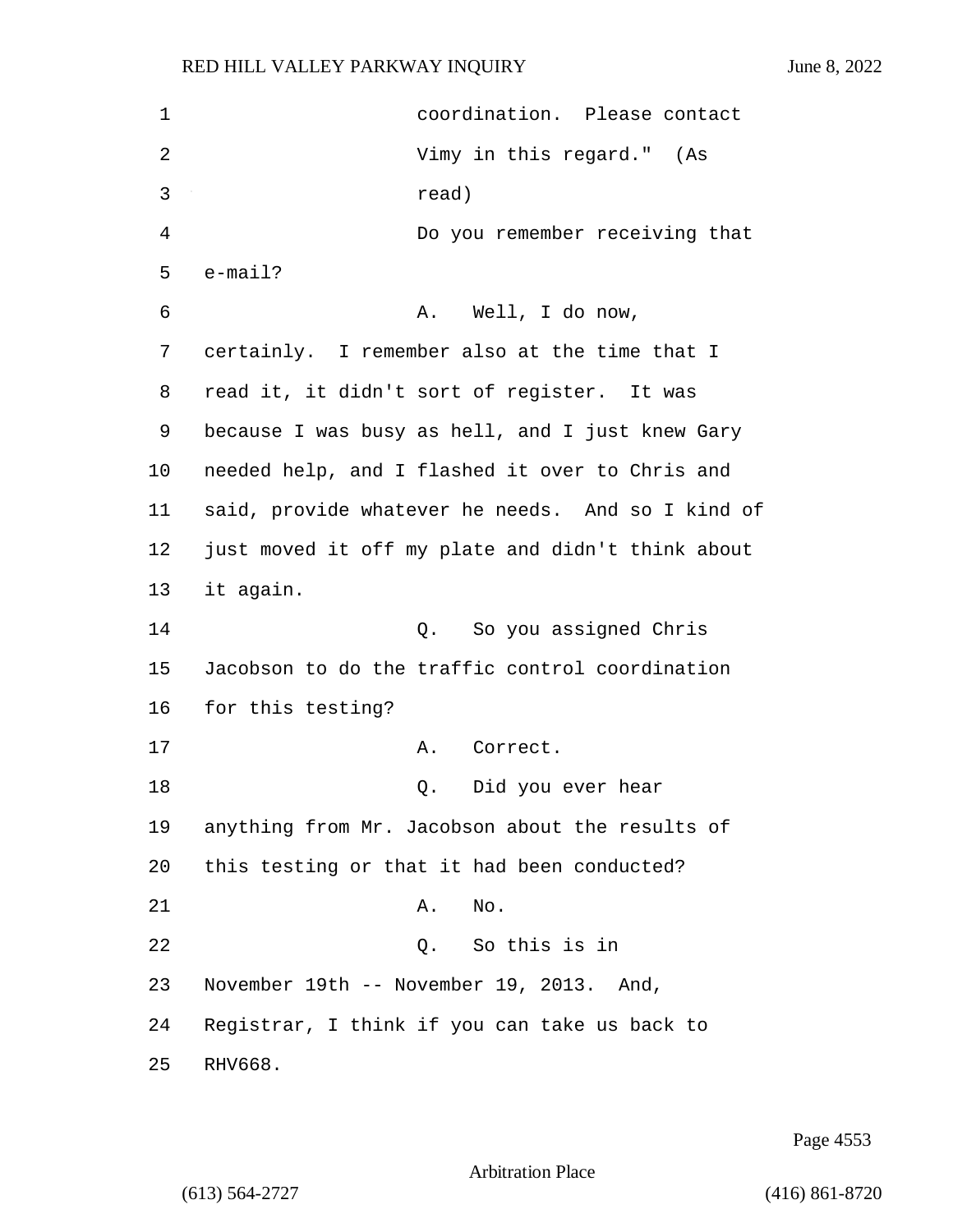1 coordination. Please contact 2 Vimy in this regard." (As 3 read) 4 Do you remember receiving that 5 e-mail? 6 A. Well, I do now, 7 certainly. I remember also at the time that I 8 read it, it didn't sort of register. It was 9 because I was busy as hell, and I just knew Gary 10 needed help, and I flashed it over to Chris and 11 said, provide whatever he needs. And so I kind of 12 just moved it off my plate and didn't think about 13 it again. 14 Q. So you assigned Chris 15 Jacobson to do the traffic control coordination 16 for this testing? 17 A. Correct. 18 Q. Did you ever hear 19 anything from Mr. Jacobson about the results of 20 this testing or that it had been conducted? 21 A. No. 22 Q. So this is in 23 November 19th -- November 19, 2013. And, 24 Registrar, I think if you can take us back to 25 RHV668.

Page 4553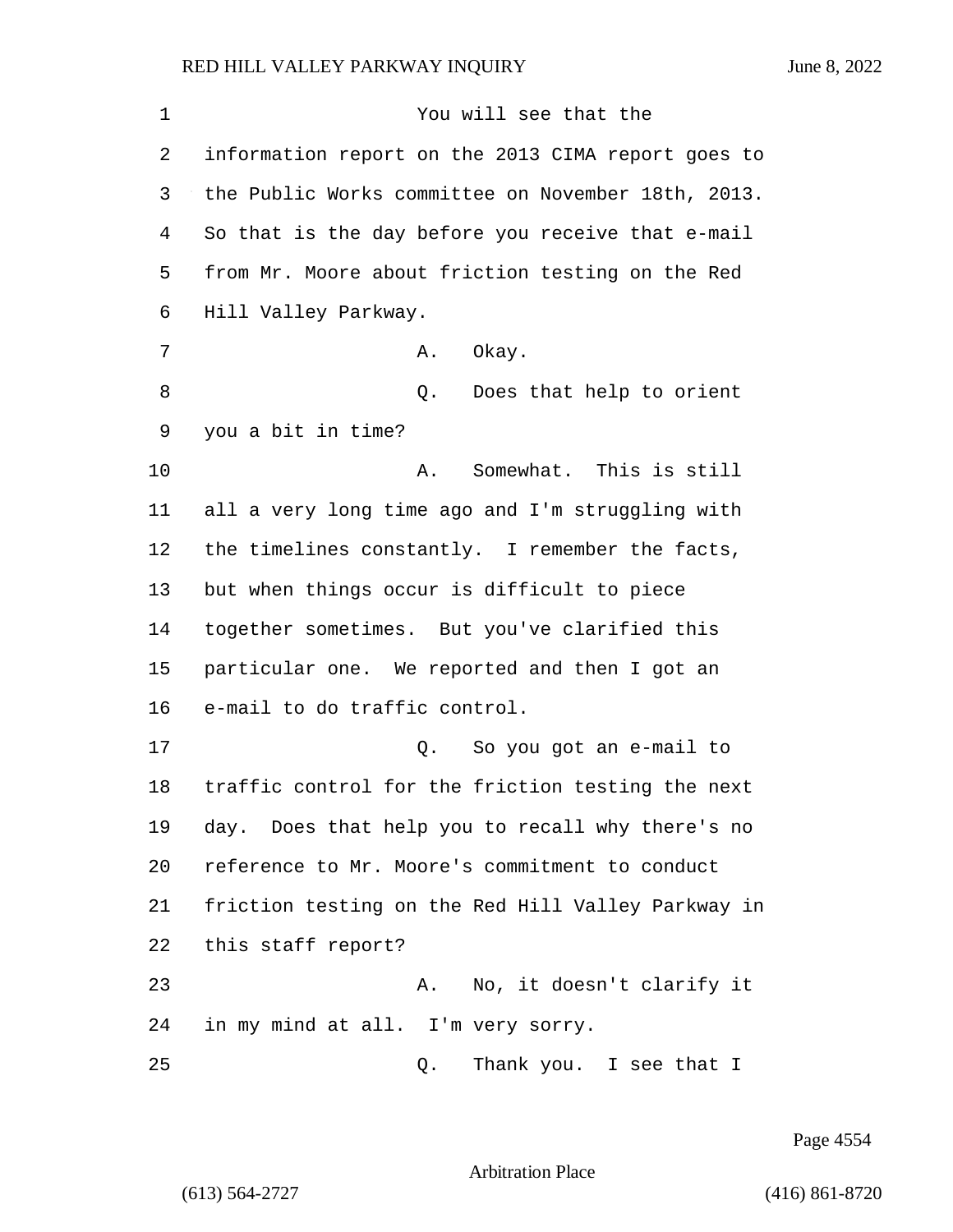| 1  | You will see that the                              |
|----|----------------------------------------------------|
| 2  | information report on the 2013 CIMA report goes to |
| 3  | the Public Works committee on November 18th, 2013. |
| 4  | So that is the day before you receive that e-mail  |
| 5  | from Mr. Moore about friction testing on the Red   |
| 6  | Hill Valley Parkway.                               |
| 7  | Okay.<br>Α.                                        |
| 8  | Does that help to orient<br>Q.                     |
| 9  | you a bit in time?                                 |
| 10 | Somewhat. This is still<br>Α.                      |
| 11 | all a very long time ago and I'm struggling with   |
| 12 | the timelines constantly. I remember the facts,    |
| 13 | but when things occur is difficult to piece        |
| 14 | together sometimes. But you've clarified this      |
| 15 | particular one. We reported and then I got an      |
| 16 | e-mail to do traffic control.                      |
| 17 | So you got an e-mail to<br>Q.                      |
| 18 | traffic control for the friction testing the next  |
| 19 | day. Does that help you to recall why there's no   |
| 20 | reference to Mr. Moore's commitment to conduct     |
| 21 | friction testing on the Red Hill Valley Parkway in |
| 22 | this staff report?                                 |
| 23 | No, it doesn't clarify it<br>Α.                    |
| 24 | in my mind at all. I'm very sorry.                 |
| 25 | Thank you. I see that I<br>Q.                      |

Page 4554

Arbitration Place